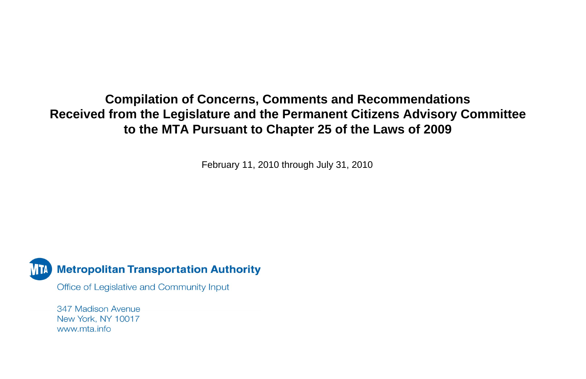## **Compilation of Concerns, Comments and Recommendations Received from the Legislature and the Permanent Citizens Advisory Committee to the MTA Pursuant to Chapter 25 of the Laws of 2009**

February 11, 2010 through July 31, 2010



Office of Legislative and Community Input

347 Madison Avenue New York, NY 10017 www.mta.info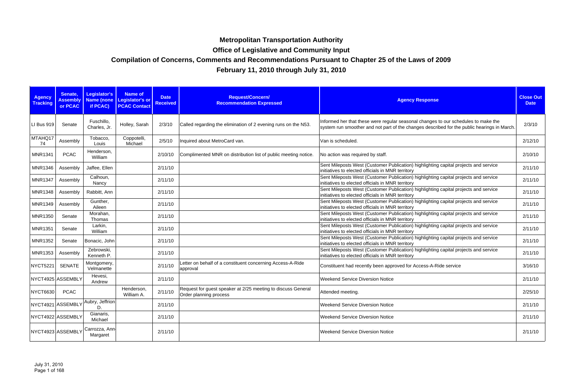| <b>Agency</b><br><b>Tracking</b> | Senate,<br><b>Assembly</b><br>or PCAC | <b>Legislator's</b><br><b>Name (none</b><br>if PCAC) | <b>Name of</b><br>Legislator's or<br><b>PCAC Contact</b> | <b>Date</b><br><b>Received</b> | Request/Concern/<br><b>Recommendation Expressed</b>                                    | <b>Agency Response</b>                                                                                                                                                            | <b>Close Out</b><br><b>Date</b> |
|----------------------------------|---------------------------------------|------------------------------------------------------|----------------------------------------------------------|--------------------------------|----------------------------------------------------------------------------------------|-----------------------------------------------------------------------------------------------------------------------------------------------------------------------------------|---------------------------------|
| LI Bus 919                       | Senate                                | Fuschillo,<br>Charles, Jr.                           | Holley, Sarah                                            | 2/3/10                         | Called regarding the elimination of 2 evening runs on the N53.                         | Informed her that these were regular seasonal changes to our schedules to make the<br>system run smoother and not part of the changes described for the public hearings in March. | 2/3/10                          |
| MTAHQ17<br>74                    | Assembly                              | Tobacco,<br>Louis                                    | Coppotelli,<br>Michael                                   | 2/5/10                         | Inquired about MetroCard van.                                                          | Van is scheduled.                                                                                                                                                                 | 2/12/10                         |
| <b>MNR1341</b>                   | <b>PCAC</b>                           | Henderson,<br>William                                |                                                          | 2/10/10                        | Complimented MNR on distribution list of public meeting notice.                        | No action was required by staff.                                                                                                                                                  | 2/10/10                         |
| <b>MNR1346</b>                   | Assembly                              | Jaffee, Ellen                                        |                                                          | 2/11/10                        |                                                                                        | Sent Mileposts West (Customer Publication) highlighting capital projects and service<br>initiatives to elected officials in MNR territory                                         | 2/11/10                         |
| <b>MNR1347</b>                   | Assembly                              | Calhoun,<br>Nancy                                    |                                                          | 2/11/10                        |                                                                                        | Sent Mileposts West (Customer Publication) highlighting capital projects and service<br>initiatives to elected officials in MNR territory                                         | 2/11/10                         |
| <b>MNR1348</b>                   | Assembly                              | Rabbitt, Ann                                         |                                                          | 2/11/10                        |                                                                                        | Sent Mileposts West (Customer Publication) highlighting capital projects and service<br>initiatives to elected officials in MNR territory                                         | 2/11/10                         |
| <b>MNR1349</b>                   | Assembly                              | Gunther,<br>Aileen                                   |                                                          | 2/11/10                        |                                                                                        | Sent Mileposts West (Customer Publication) highlighting capital projects and service<br>initiatives to elected officials in MNR territory                                         | 2/11/10                         |
| <b>MNR1350</b>                   | Senate                                | Morahan,<br>Thomas                                   |                                                          | 2/11/10                        |                                                                                        | Sent Mileposts West (Customer Publication) highlighting capital projects and service<br>initiatives to elected officials in MNR territory                                         | 2/11/10                         |
| <b>MNR1351</b>                   | Senate                                | Larkin,<br>William                                   |                                                          | 2/11/10                        |                                                                                        | Sent Mileposts West (Customer Publication) highlighting capital projects and service<br>initiatives to elected officials in MNR territory                                         | 2/11/10                         |
| <b>MNR1352</b>                   | Senate                                | Bonacic, John                                        |                                                          | 2/11/10                        |                                                                                        | Sent Mileposts West (Customer Publication) highlighting capital projects and service<br>initiatives to elected officials in MNR territory                                         | 2/11/10                         |
| <b>MNR1353</b>                   | Assembly                              | Zebrowski,<br>Kenneth P.                             |                                                          | 2/11/10                        |                                                                                        | Sent Mileposts West (Customer Publication) highlighting capital projects and service<br>initiatives to elected officials in MNR territory                                         | 2/11/10                         |
| <b>NYCT5221</b>                  | <b>SENATE</b>                         | Montgomery,<br>Velmanette                            |                                                          | 2/11/10                        | Letter on behalf of a constituent concerning Access-A-Ride<br>approval                 | Constituent had recently been approved for Access-A-Ride service                                                                                                                  | 3/16/10                         |
|                                  | NYCT4925 ASSEMBLY                     | Hevesi,<br>Andrew                                    |                                                          | 2/11/10                        |                                                                                        | <b>Weekend Service Diversion Notice</b>                                                                                                                                           | 2/11/10                         |
| <b>NYCT6630</b>                  | <b>PCAC</b>                           |                                                      | Henderson,<br>William A.                                 | 2/11/10                        | Request for guest speaker at 2/25 meeting to discuss General<br>Order planning process | Attended meeting.                                                                                                                                                                 | 2/25/10                         |
|                                  | NYCT4921 ASSEMBLY                     | Aubry, Jeffrion<br>D.                                |                                                          | 2/11/10                        |                                                                                        | <b>Weekend Service Diversion Notice</b>                                                                                                                                           | 2/11/10                         |
|                                  | NYCT4922 ASSEMBLY                     | Gianaris,<br>Michael                                 |                                                          | 2/11/10                        |                                                                                        | <b>Weekend Service Diversion Notice</b>                                                                                                                                           | 2/11/10                         |
|                                  | NYCT4923 ASSEMBLY                     | Carrozza, Ann-<br>Margaret                           |                                                          | 2/11/10                        |                                                                                        | <b>Weekend Service Diversion Notice</b>                                                                                                                                           | 2/11/10                         |

## **Compilation of Concerns, Comments and Recommendations Pursuant to Chapter 25 of the Laws of 2009**

**February 11, 2010 through July 31, 2010**

## **Metropolitan Transportation Authority**

**Office of Legislative and Community Input**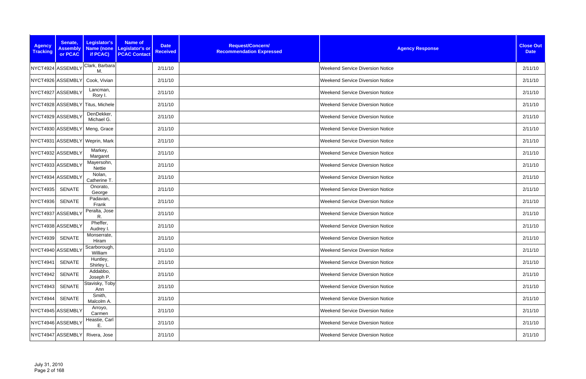| <b>Agency</b><br><b>Tracking</b> | Senate,<br><b>Assembly</b><br>or PCAC | Legislator's<br>if PCAC)         | <b>Name of</b><br>Name (none Legislator's or<br><b>PCAC Contact</b> | <b>Date</b><br><b>Received</b> | Request/Concern/<br><b>Recommendation Expressed</b> | <b>Agency Response</b>                  | <b>Close Out</b><br><b>Date</b> |
|----------------------------------|---------------------------------------|----------------------------------|---------------------------------------------------------------------|--------------------------------|-----------------------------------------------------|-----------------------------------------|---------------------------------|
|                                  | NYCT4924 ASSEMBLY                     | Clark, Barbara<br>M.             |                                                                     | 2/11/10                        |                                                     | <b>Weekend Service Diversion Notice</b> | 2/11/10                         |
|                                  | NYCT4926 ASSEMBLY                     | Cook, Vivian                     |                                                                     | 2/11/10                        |                                                     | <b>Weekend Service Diversion Notice</b> | 2/11/10                         |
|                                  | NYCT4927 ASSEMBLY                     | Lancman,<br>Rory I.              |                                                                     | 2/11/10                        |                                                     | <b>Weekend Service Diversion Notice</b> | 2/11/10                         |
|                                  |                                       | NYCT4928 ASSEMBLY Titus, Michele |                                                                     | 2/11/10                        |                                                     | <b>Weekend Service Diversion Notice</b> | 2/11/10                         |
|                                  | NYCT4929 ASSEMBLY                     | DenDekker,<br>Michael G.         |                                                                     | 2/11/10                        |                                                     | <b>Weekend Service Diversion Notice</b> | 2/11/10                         |
|                                  |                                       | NYCT4930 ASSEMBLY Meng, Grace    |                                                                     | 2/11/10                        |                                                     | <b>Weekend Service Diversion Notice</b> | 2/11/10                         |
|                                  |                                       | NYCT4931 ASSEMBLY Weprin, Mark   |                                                                     | 2/11/10                        |                                                     | <b>Weekend Service Diversion Notice</b> | 2/11/10                         |
|                                  | NYCT4932 ASSEMBLY                     | Markey,<br>Margaret              |                                                                     | 2/11/10                        |                                                     | <b>Weekend Service Diversion Notice</b> | 2/11/10                         |
|                                  | NYCT4933 ASSEMBLY                     | Mayersohn,<br>Nettie             |                                                                     | 2/11/10                        |                                                     | <b>Weekend Service Diversion Notice</b> | 2/11/10                         |
|                                  | NYCT4934 ASSEMBLY                     | Nolan,<br>Catherine T.           |                                                                     | 2/11/10                        |                                                     | <b>Weekend Service Diversion Notice</b> | 2/11/10                         |
| NYCT4935                         | <b>SENATE</b>                         | Onorato,<br>George               |                                                                     | 2/11/10                        |                                                     | <b>Weekend Service Diversion Notice</b> | 2/11/10                         |
| <b>NYCT4936</b>                  | <b>SENATE</b>                         | Padavan,<br>Frank                |                                                                     | 2/11/10                        |                                                     | <b>Weekend Service Diversion Notice</b> | 2/11/10                         |
|                                  | NYCT4937 ASSEMBLY                     | Peralta, Jose<br>R.              |                                                                     | 2/11/10                        |                                                     | <b>Weekend Service Diversion Notice</b> | 2/11/10                         |
|                                  | NYCT4938 ASSEMBLY                     | Pheffer,<br>Audrey I.            |                                                                     | 2/11/10                        |                                                     | <b>Weekend Service Diversion Notice</b> | 2/11/10                         |
| <b>NYCT4939</b>                  | <b>SENATE</b>                         | Monserrate,<br>Hiram             |                                                                     | 2/11/10                        |                                                     | <b>Weekend Service Diversion Notice</b> | 2/11/10                         |
|                                  | NYCT4940 ASSEMBLY                     | Scarborough,<br>William          |                                                                     | 2/11/10                        |                                                     | <b>Weekend Service Diversion Notice</b> | 2/11/10                         |
| <b>NYCT4941</b>                  | <b>SENATE</b>                         | Huntley,<br>Shirley L.           |                                                                     | 2/11/10                        |                                                     | <b>Weekend Service Diversion Notice</b> | 2/11/10                         |
| <b>NYCT4942</b>                  | SENATE                                | Addabbo,<br>Joseph P.            |                                                                     | 2/11/10                        |                                                     | <b>Weekend Service Diversion Notice</b> | 2/11/10                         |
| <b>NYCT4943</b>                  | <b>SENATE</b>                         | Stavisky, Toby<br>Ann            |                                                                     | 2/11/10                        |                                                     | <b>Weekend Service Diversion Notice</b> | 2/11/10                         |
|                                  | NYCT4944 SENATE                       | Smith,<br>Malcolm A.             |                                                                     | 2/11/10                        |                                                     | <b>Weekend Service Diversion Notice</b> | 2/11/10                         |
|                                  | NYCT4945 ASSEMBLY                     | Arroyo,<br>Carmen                |                                                                     | 2/11/10                        |                                                     | <b>Weekend Service Diversion Notice</b> | 2/11/10                         |
|                                  | NYCT4946 ASSEMBLY                     | Heastie, Carl<br>Е.              |                                                                     | 2/11/10                        |                                                     | <b>Weekend Service Diversion Notice</b> | 2/11/10                         |
|                                  | NYCT4947 ASSEMBLY                     | Rivera, Jose                     |                                                                     | 2/11/10                        |                                                     | <b>Weekend Service Diversion Notice</b> | 2/11/10                         |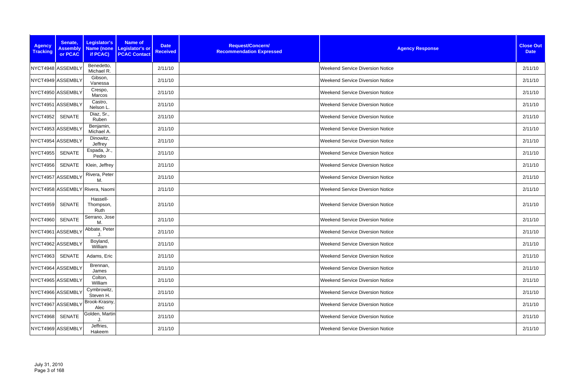| <b>Agency</b><br><b>Tracking</b> | Senate,<br><b>Assembly</b><br>or PCAC | Legislator's<br>if PCAC)        | <b>Name of</b><br>Name (none Legislator's or<br><b>PCAC Contact</b> | <b>Date</b><br><b>Received</b> | Request/Concern/<br><b>Recommendation Expressed</b> | <b>Agency Response</b>                  | <b>Close Out</b><br><b>Date</b> |
|----------------------------------|---------------------------------------|---------------------------------|---------------------------------------------------------------------|--------------------------------|-----------------------------------------------------|-----------------------------------------|---------------------------------|
|                                  | NYCT4948 ASSEMBLY                     | Benedetto,<br>Michael R.        |                                                                     | 2/11/10                        |                                                     | <b>Weekend Service Diversion Notice</b> | 2/11/10                         |
|                                  | NYCT4949 ASSEMBLY                     | Gibson,<br>Vanessa              |                                                                     | 2/11/10                        |                                                     | <b>Weekend Service Diversion Notice</b> | 2/11/10                         |
|                                  | NYCT4950 ASSEMBLY                     | Crespo,<br>Marcos               |                                                                     | 2/11/10                        |                                                     | <b>Weekend Service Diversion Notice</b> | 2/11/10                         |
|                                  | NYCT4951 ASSEMBLY                     | Castro,<br>Nelson L.            |                                                                     | 2/11/10                        |                                                     | <b>Weekend Service Diversion Notice</b> | 2/11/10                         |
| <b>NYCT4952</b>                  | SENATE                                | Diaz, Sr.,<br>Ruben             |                                                                     | 2/11/10                        |                                                     | <b>Weekend Service Diversion Notice</b> | 2/11/10                         |
|                                  | NYCT4953 ASSEMBLY                     | Benjamin,<br>Michael A.         |                                                                     | 2/11/10                        |                                                     | <b>Weekend Service Diversion Notice</b> | 2/11/10                         |
|                                  | NYCT4954 ASSEMBLY                     | Dinowitz,<br>Jeffrey            |                                                                     | 2/11/10                        |                                                     | <b>Weekend Service Diversion Notice</b> | 2/11/10                         |
| <b>NYCT4955</b>                  | <b>SENATE</b>                         | Espada, Jr.,<br>Pedro           |                                                                     | 2/11/10                        |                                                     | <b>Weekend Service Diversion Notice</b> | 2/11/10                         |
| <b>NYCT4956</b>                  | SENATE                                | Klein, Jeffrey                  |                                                                     | 2/11/10                        |                                                     | <b>Weekend Service Diversion Notice</b> | 2/11/10                         |
|                                  | NYCT4957 ASSEMBLY                     | Rivera, Peter<br>M.             |                                                                     | 2/11/10                        |                                                     | <b>Weekend Service Diversion Notice</b> | 2/11/10                         |
|                                  |                                       | NYCT4958 ASSEMBLY Rivera, Naomi |                                                                     | 2/11/10                        |                                                     | <b>Weekend Service Diversion Notice</b> | 2/11/10                         |
| <b>NYCT4959</b>                  | SENATE                                | Hassell-<br>Thompson,<br>Ruth   |                                                                     | 2/11/10                        |                                                     | <b>Weekend Service Diversion Notice</b> | 2/11/10                         |
| NYCT4960                         | <b>SENATE</b>                         | Serrano, Jose<br>M              |                                                                     | 2/11/10                        |                                                     | <b>Weekend Service Diversion Notice</b> | 2/11/10                         |
|                                  | NYCT4961 ASSEMBLY                     | Abbate, Peter                   |                                                                     | 2/11/10                        |                                                     | <b>Weekend Service Diversion Notice</b> | 2/11/10                         |
|                                  | NYCT4962 ASSEMBLY                     | Boyland,<br>William             |                                                                     | 2/11/10                        |                                                     | <b>Weekend Service Diversion Notice</b> | 2/11/10                         |
| <b>NYCT4963</b>                  | <b>SENATE</b>                         | Adams, Eric                     |                                                                     | 2/11/10                        |                                                     | <b>Weekend Service Diversion Notice</b> | 2/11/10                         |
|                                  | NYCT4964 ASSEMBLY                     | Brennan,<br>James               |                                                                     | 2/11/10                        |                                                     | <b>Weekend Service Diversion Notice</b> | 2/11/10                         |
|                                  | NYCT4965 ASSEMBLY                     | Colton,<br>William              |                                                                     | 2/11/10                        |                                                     | <b>Weekend Service Diversion Notice</b> | 2/11/10                         |
|                                  | NYCT4966 ASSEMBLY                     | Cymbrowitz,<br>Steven H.        |                                                                     | 2/11/10                        |                                                     | <b>Weekend Service Diversion Notice</b> | 2/11/10                         |
|                                  | NYCT4967 ASSEMBLY                     | Brook-Krasny,<br>Alec           |                                                                     | 2/11/10                        |                                                     | <b>Weekend Service Diversion Notice</b> | 2/11/10                         |
| <b>NYCT4968</b>                  | <b>SENATE</b>                         | Golden, Martin                  |                                                                     | 2/11/10                        |                                                     | <b>Weekend Service Diversion Notice</b> | 2/11/10                         |
|                                  | NYCT4969 ASSEMBLY                     | Jeffries,<br>Hakeem             |                                                                     | 2/11/10                        |                                                     | <b>Weekend Service Diversion Notice</b> | 2/11/10                         |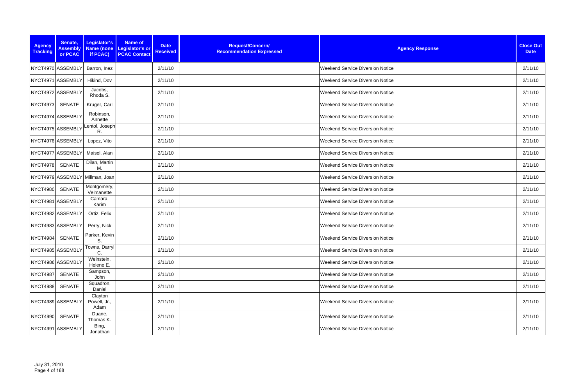| <b>Agency</b><br><b>Tracking</b> | Senate,<br><b>Assembly</b><br>or PCAC | Legislator's<br>if PCAC)        | <b>Name of</b><br>Name (none Legislator's or<br><b>PCAC Contact</b> | <b>Date</b><br><b>Received</b> | Request/Concern/<br><b>Recommendation Expressed</b> | <b>Agency Response</b>                  | <b>Close Out</b><br><b>Date</b> |
|----------------------------------|---------------------------------------|---------------------------------|---------------------------------------------------------------------|--------------------------------|-----------------------------------------------------|-----------------------------------------|---------------------------------|
|                                  | NYCT4970 ASSEMBLY                     | Barron, Inez                    |                                                                     | 2/11/10                        |                                                     | <b>Weekend Service Diversion Notice</b> | 2/11/10                         |
|                                  | NYCT4971 ASSEMBLY                     | Hikind, Dov                     |                                                                     | 2/11/10                        |                                                     | <b>Weekend Service Diversion Notice</b> | 2/11/10                         |
|                                  | NYCT4972 ASSEMBLY                     | Jacobs,<br>Rhoda S.             |                                                                     | 2/11/10                        |                                                     | <b>Weekend Service Diversion Notice</b> | 2/11/10                         |
| <b>NYCT4973</b>                  | SENATE                                | Kruger, Carl                    |                                                                     | 2/11/10                        |                                                     | <b>Weekend Service Diversion Notice</b> | 2/11/10                         |
|                                  | NYCT4974 ASSEMBLY                     | Robinson,<br>Annette            |                                                                     | 2/11/10                        |                                                     | Weekend Service Diversion Notice        | 2/11/10                         |
|                                  | NYCT4975 ASSEMBLY                     | Lentol, Joseph<br>R.            |                                                                     | 2/11/10                        |                                                     | <b>Weekend Service Diversion Notice</b> | 2/11/10                         |
|                                  | NYCT4976 ASSEMBLY                     | Lopez, Vito                     |                                                                     | 2/11/10                        |                                                     | <b>Weekend Service Diversion Notice</b> | 2/11/10                         |
|                                  | NYCT4977 ASSEMBLY                     | Maisel, Alan                    |                                                                     | 2/11/10                        |                                                     | <b>Weekend Service Diversion Notice</b> | 2/11/10                         |
| <b>NYCT4978</b>                  | <b>SENATE</b>                         | Dilan, Martin<br>M.             |                                                                     | 2/11/10                        |                                                     | <b>Weekend Service Diversion Notice</b> | 2/11/10                         |
|                                  |                                       | NYCT4979 ASSEMBLY Millman, Joan |                                                                     | 2/11/10                        |                                                     | Weekend Service Diversion Notice        | 2/11/10                         |
| <b>NYCT4980</b>                  | <b>SENATE</b>                         | Montgomery,<br>Velmanette       |                                                                     | 2/11/10                        |                                                     | <b>Weekend Service Diversion Notice</b> | 2/11/10                         |
|                                  | NYCT4981 ASSEMBLY                     | Camara,<br>Karim                |                                                                     | 2/11/10                        |                                                     | <b>Weekend Service Diversion Notice</b> | 2/11/10                         |
|                                  | NYCT4982 ASSEMBLY                     | Ortiz, Felix                    |                                                                     | 2/11/10                        |                                                     | Weekend Service Diversion Notice        | 2/11/10                         |
|                                  | NYCT4983 ASSEMBLY                     | Perry, Nick                     |                                                                     | 2/11/10                        |                                                     | <b>Weekend Service Diversion Notice</b> | 2/11/10                         |
| <b>NYCT4984</b>                  | <b>SENATE</b>                         | Parker, Kevin<br>S.             |                                                                     | 2/11/10                        |                                                     | <b>Weekend Service Diversion Notice</b> | 2/11/10                         |
|                                  | NYCT4985 ASSEMBLY                     | Towns, Darryl<br>C.             |                                                                     | 2/11/10                        |                                                     | <b>Weekend Service Diversion Notice</b> | 2/11/10                         |
|                                  | NYCT4986 ASSEMBLY                     | Weinstein,<br>Helene E.         |                                                                     | 2/11/10                        |                                                     | <b>Weekend Service Diversion Notice</b> | 2/11/10                         |
| <b>NYCT4987</b>                  | <b>SENATE</b>                         | Sampson,<br>John                |                                                                     | 2/11/10                        |                                                     | <b>Weekend Service Diversion Notice</b> | 2/11/10                         |
| <b>NYCT4988</b>                  | <b>SENATE</b>                         | Squadron,<br>Daniel             |                                                                     | 2/11/10                        |                                                     | <b>Weekend Service Diversion Notice</b> | 2/11/10                         |
|                                  | NYCT4989 ASSEMBLY                     | Clayton<br>Powell, Jr.,<br>Adam |                                                                     | 2/11/10                        |                                                     | <b>Weekend Service Diversion Notice</b> | 2/11/10                         |
| <b>NYCT4990</b>                  | SENATE                                | Duane,<br>Thomas K.             |                                                                     | 2/11/10                        |                                                     | <b>Weekend Service Diversion Notice</b> | 2/11/10                         |
|                                  | NYCT4991 ASSEMBLY                     | Bing,<br>Jonathan               |                                                                     | 2/11/10                        |                                                     | <b>Weekend Service Diversion Notice</b> | 2/11/10                         |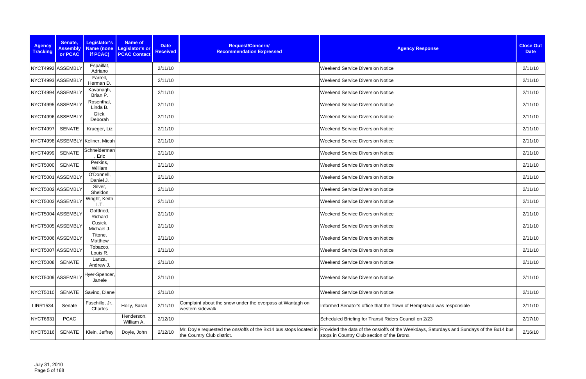| <b>Agency</b><br><b>Tracking</b> | Senate,<br><b>Assembly</b><br>or PCAC | Legislator's<br>if PCAC)         | Name of<br>Name (none   Legislator's or<br><b>PCAC Contact</b> | <b>Date</b><br><b>Received</b> | Request/Concern/<br><b>Recommendation Expressed</b>                           | <b>Agency Response</b>                                                                                                                                                                                    | <b>Close Out</b><br><b>Date</b> |
|----------------------------------|---------------------------------------|----------------------------------|----------------------------------------------------------------|--------------------------------|-------------------------------------------------------------------------------|-----------------------------------------------------------------------------------------------------------------------------------------------------------------------------------------------------------|---------------------------------|
|                                  | NYCT4992 ASSEMBLY                     | Espaillat,<br>Adriano            |                                                                | 2/11/10                        |                                                                               | <b>Weekend Service Diversion Notice</b>                                                                                                                                                                   | 2/11/10                         |
|                                  | NYCT4993 ASSEMBLY                     | Farrell,<br>Herman D.            |                                                                | 2/11/10                        |                                                                               | <b>Weekend Service Diversion Notice</b>                                                                                                                                                                   | 2/11/10                         |
|                                  | NYCT4994 ASSEMBLY                     | Kavanagh,<br>Brian P.            |                                                                | 2/11/10                        |                                                                               | <b>Weekend Service Diversion Notice</b>                                                                                                                                                                   | 2/11/10                         |
|                                  | NYCT4995 ASSEMBLY                     | Rosenthal,<br>Linda B.           |                                                                | 2/11/10                        |                                                                               | <b>Weekend Service Diversion Notice</b>                                                                                                                                                                   | 2/11/10                         |
|                                  | NYCT4996 ASSEMBLY                     | Glick,<br>Deborah                |                                                                | 2/11/10                        |                                                                               | <b>Weekend Service Diversion Notice</b>                                                                                                                                                                   | 2/11/10                         |
| NYCT4997                         | SENATE                                | Krueger, Liz                     |                                                                | 2/11/10                        |                                                                               | <b>Weekend Service Diversion Notice</b>                                                                                                                                                                   | 2/11/10                         |
|                                  |                                       | NYCT4998 ASSEMBLY Kellner, Micah |                                                                | 2/11/10                        |                                                                               | <b>Weekend Service Diversion Notice</b>                                                                                                                                                                   | 2/11/10                         |
| <b>NYCT4999</b>                  | <b>SENATE</b>                         | Schneiderman<br>, Eric           |                                                                | 2/11/10                        |                                                                               | <b>Weekend Service Diversion Notice</b>                                                                                                                                                                   | 2/11/10                         |
| <b>NYCT5000</b>                  | <b>SENATE</b>                         | Perkins,<br>William              |                                                                | 2/11/10                        |                                                                               | <b>Weekend Service Diversion Notice</b>                                                                                                                                                                   | 2/11/10                         |
|                                  | NYCT5001 ASSEMBLY                     | O'Donnell,<br>Daniel J.          |                                                                | 2/11/10                        |                                                                               | <b>Weekend Service Diversion Notice</b>                                                                                                                                                                   | 2/11/10                         |
|                                  | NYCT5002 ASSEMBLY                     | Silver,<br>Sheldon               |                                                                | 2/11/10                        |                                                                               | <b>Weekend Service Diversion Notice</b>                                                                                                                                                                   | 2/11/10                         |
|                                  | NYCT5003 ASSEMBLY                     | Wright, Keith<br>L.T.            |                                                                | 2/11/10                        |                                                                               | <b>Weekend Service Diversion Notice</b>                                                                                                                                                                   | 2/11/10                         |
|                                  | NYCT5004 ASSEMBLY                     | Gottfried,<br>Richard            |                                                                | 2/11/10                        |                                                                               | <b>Weekend Service Diversion Notice</b>                                                                                                                                                                   | 2/11/10                         |
|                                  | NYCT5005 ASSEMBLY                     | Cusick,<br>Michael J.            |                                                                | 2/11/10                        |                                                                               | <b>Weekend Service Diversion Notice</b>                                                                                                                                                                   | 2/11/10                         |
|                                  | NYCT5006 ASSEMBLY                     | Titone,<br>Matthew               |                                                                | 2/11/10                        |                                                                               | <b>Weekend Service Diversion Notice</b>                                                                                                                                                                   | 2/11/10                         |
|                                  | NYCT5007 ASSEMBLY                     | Tobacco,<br>Louis R.             |                                                                | 2/11/10                        |                                                                               | <b>Weekend Service Diversion Notice</b>                                                                                                                                                                   | 2/11/10                         |
| <b>NYCT5008</b>                  | <b>SENATE</b>                         | Lanza,<br>Andrew J.              |                                                                | 2/11/10                        |                                                                               | <b>Weekend Service Diversion Notice</b>                                                                                                                                                                   | 2/11/10                         |
|                                  | NYCT5009 ASSEMBLY                     | Hyer-Spencer,<br>Janele          |                                                                | 2/11/10                        |                                                                               | <b>Weekend Service Diversion Notice</b>                                                                                                                                                                   | 2/11/10                         |
| NYCT5010                         | <b>SENATE</b>                         | Savino, Diane                    |                                                                | 2/11/10                        |                                                                               | <b>Weekend Service Diversion Notice</b>                                                                                                                                                                   | 2/11/10                         |
| <b>LIRR1534</b>                  | Senate                                | Fuschillo, Jr.,<br>Charles       | Holly, Sarah                                                   | 2/11/10                        | Complaint about the snow under the overpass at Wantagh on<br>western sidewalk | Informed Senator's office that the Town of Hempstead was responsible                                                                                                                                      | 2/11/10                         |
| <b>NYCT6631</b>                  | <b>PCAC</b>                           |                                  | Henderson,<br>William A.                                       | 2/12/10                        |                                                                               | Scheduled Briefing for Transit Riders Council on 2/23                                                                                                                                                     | 2/17/10                         |
| <b>NYCT5016</b>                  | <b>SENATE</b>                         | Klein, Jeffrey                   | Doyle, John                                                    | 2/12/10                        | the Country Club district.                                                    | Mr. Doyle requested the ons/offs of the Bx14 bus stops located in Provided the data of the ons/offs of the Weekdays, Saturdays and Sundays of the Bx14 bus<br>stops in Country Club section of the Bronx. | 2/16/10                         |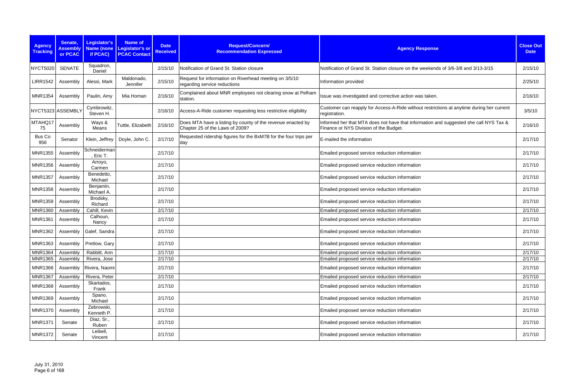| <b>Agency</b><br><b>Tracking</b> | Senate,<br><b>Assembly</b><br>or PCAC | Legislator's<br><b>Name (none</b><br>if PCAC) | <b>Name of</b><br><b>Legislator's or</b><br><b>PCAC Contact</b> | <b>Date</b><br><b>Received</b> | Request/Concern/<br><b>Recommendation Expressed</b>                                            | <b>Agency Response</b>                                                                                                          | <b>Close Out</b><br><b>Date</b> |
|----------------------------------|---------------------------------------|-----------------------------------------------|-----------------------------------------------------------------|--------------------------------|------------------------------------------------------------------------------------------------|---------------------------------------------------------------------------------------------------------------------------------|---------------------------------|
| <b>NYCT5020</b>                  | <b>SENATE</b>                         | Squadron,<br>Daniel                           |                                                                 | 2/15/10                        | Notification of Grand St. Station closure                                                      | Notification of Grand St. Station closure on the weekends of 3/6-3/8 and 3/13-3/15                                              | 2/15/10                         |
| <b>LIRR1542</b>                  | Assembly                              | Alessi, Mark                                  | Maldonado,<br>Jennifer                                          | 2/15/10                        | Request for information on Riverhead meeting on 3/5/10<br>regarding service reductions         | Information provided                                                                                                            | 2/25/10                         |
| <b>MNR1354</b>                   | Assembly                              | Paulin, Amy                                   | Mia Homan                                                       | 2/16/10                        | Complained about MNR employees not clearing snow at Pelham<br>station.                         | Issue was investigated and corrective action was taken.                                                                         | 2/16/10                         |
|                                  | NYCT5323 ASSEMBLY                     | Cymbrowitz,<br>Steven H.                      |                                                                 | 2/16/10                        | Access-A-Ride customer requesting less restrictive eligibility                                 | Customer can reapply for Access-A-Ride without restrictions at anytime during her current<br>registration.                      | 3/5/10                          |
| MTAHQ17<br>75                    | Assembly                              | Ways &<br>Means                               | Tuttle, Elizabeth                                               | 2/16/10                        | Does MTA have a listing by county of the revenue enacted by<br>Chapter 25 of the Laws of 2009? | Informed her that MTA does not have that information and suggested she call NYS Tax &<br>Finance or NYS Division of the Budget. | 2/16/10                         |
| Bus Co<br>956                    | Senator                               | Klein, Jeffrey                                | Doyle, John C.                                                  | 2/17/10                        | Requested ridership figures for the BxM7B for the four trips per<br>day                        | E-mailed the information                                                                                                        | 2/17/10                         |
| <b>MNR1355</b>                   | Assembly                              | Schneiderman<br>, Eric T.                     |                                                                 | 2/17/10                        |                                                                                                | Emailed proposed service reduction information                                                                                  | 2/17/10                         |
| <b>MNR1356</b>                   | Assembly                              | Arroyo,<br>Carmen                             |                                                                 | 2/17/10                        |                                                                                                | Emailed proposed service reduction information                                                                                  | 2/17/10                         |
| <b>MNR1357</b>                   | Assembly                              | Benedetto,<br>Michael                         |                                                                 | 2/17/10                        |                                                                                                | Emailed proposed service reduction information                                                                                  | 2/17/10                         |
| <b>MNR1358</b>                   | Assembly                              | Benjamin,<br>Michael A.                       |                                                                 | 2/17/10                        |                                                                                                | Emailed proposed service reduction information                                                                                  | 2/17/10                         |
| <b>MNR1359</b>                   | Assembly                              | Brodsky,<br>Richard                           |                                                                 | 2/17/10                        |                                                                                                | Emailed proposed service reduction information                                                                                  | 2/17/10                         |
| <b>MNR1360</b>                   | Assembly                              | Cahill, Kevin                                 |                                                                 | 2/17/10                        |                                                                                                | Emailed proposed service reduction information                                                                                  | 2/17/10                         |
| <b>MNR1361</b>                   | Assembly                              | Calhoun,<br>Nancy                             |                                                                 | 2/17/10                        |                                                                                                | Emailed proposed service reduction information                                                                                  | 2/17/10                         |
| <b>MNR1362</b>                   | Assembly                              | Galef, Sandra                                 |                                                                 | 2/17/10                        |                                                                                                | Emailed proposed service reduction information                                                                                  | 2/17/10                         |
|                                  |                                       | MNR1363   Assembly   Pretlow, Gary            |                                                                 | 2/17/10                        |                                                                                                | Emailed proposed service reduction information                                                                                  | 2/17/10                         |
| <b>MNR1364</b>                   | Assembly                              | Rabbitt, Ann                                  |                                                                 | 2/17/10                        |                                                                                                | Emailed proposed service reduction information                                                                                  | 2/17/10                         |
| <b>MNR1365</b>                   | Assembly                              | Rivera, Jose                                  |                                                                 | 2/17/10                        |                                                                                                | Emailed proposed service reduction information                                                                                  | 2/17/10                         |
| <b>MNR1366</b>                   |                                       | Assembly   Rivera, Naomi                      |                                                                 | 2/17/10                        |                                                                                                | Emailed proposed service reduction information                                                                                  | 2/17/10                         |
| <b>MNR1367</b>                   | Assembly                              | Rivera, Peter                                 |                                                                 | 2/17/10                        |                                                                                                | Emailed proposed service reduction information                                                                                  | 2/17/10                         |
| <b>MNR1368</b>                   | Assembly                              | Skartados,<br>Frank                           |                                                                 | 2/17/10                        |                                                                                                | Emailed proposed service reduction information                                                                                  | 2/17/10                         |
| <b>MNR1369</b>                   | Assembly                              | Spano,<br>Michael                             |                                                                 | 2/17/10                        |                                                                                                | Emailed proposed service reduction information                                                                                  | 2/17/10                         |
| <b>MNR1370</b>                   | Assembly                              | Zebrowski,<br>Kenneth P.                      |                                                                 | 2/17/10                        |                                                                                                | Emailed proposed service reduction information                                                                                  | 2/17/10                         |
| <b>MNR1371</b>                   | Senate                                | Diaz, Sr.,<br>Ruben                           |                                                                 | 2/17/10                        |                                                                                                | Emailed proposed service reduction information                                                                                  | 2/17/10                         |
| <b>MNR1372</b>                   | Senate                                | Leibell,<br>Vincent                           |                                                                 | 2/17/10                        |                                                                                                | Emailed proposed service reduction information                                                                                  | 2/17/10                         |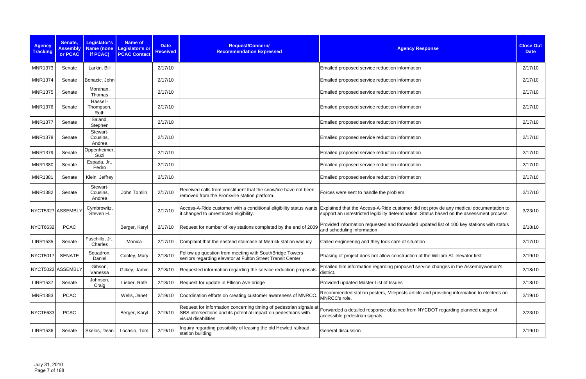| <b>Agency</b><br><b>Tracking</b> | Senate,<br><b>Assembly</b><br>or PCAC | Legislator's<br>if PCAC)       | <b>Name of</b><br>Name (none Legislator's or<br><b>PCAC Contact</b> | <b>Date</b><br><b>Received</b> | Request/Concern/<br><b>Recommendation Expressed</b>                                                                                                         | <b>Agency Response</b>                                                                                                                                                              | <b>Close Out</b><br><b>Date</b> |
|----------------------------------|---------------------------------------|--------------------------------|---------------------------------------------------------------------|--------------------------------|-------------------------------------------------------------------------------------------------------------------------------------------------------------|-------------------------------------------------------------------------------------------------------------------------------------------------------------------------------------|---------------------------------|
| <b>MNR1373</b>                   | Senate                                | Larkin, Bill                   |                                                                     | 2/17/10                        |                                                                                                                                                             | Emailed proposed service reduction information                                                                                                                                      | 2/17/10                         |
| <b>MNR1374</b>                   | Senate                                | Bonacic, John                  |                                                                     | 2/17/10                        |                                                                                                                                                             | Emailed proposed service reduction information                                                                                                                                      | 2/17/10                         |
| <b>MNR1375</b>                   | Senate                                | Morahan,<br>Thomas             |                                                                     | 2/17/10                        |                                                                                                                                                             | Emailed proposed service reduction information                                                                                                                                      | 2/17/10                         |
| <b>MNR1376</b>                   | Senate                                | Hassell-<br>Thompson,<br>Ruth  |                                                                     | 2/17/10                        |                                                                                                                                                             | Emailed proposed service reduction information                                                                                                                                      | 2/17/10                         |
| <b>MNR1377</b>                   | Senate                                | Saland,<br>Stephen             |                                                                     | 2/17/10                        |                                                                                                                                                             | Emailed proposed service reduction information                                                                                                                                      | 2/17/10                         |
| <b>MNR1378</b>                   | Senate                                | Stewart-<br>Cousins,<br>Andrea |                                                                     | 2/17/10                        |                                                                                                                                                             | Emailed proposed service reduction information                                                                                                                                      | 2/17/10                         |
| <b>MNR1379</b>                   | Senate                                | Oppenheimer,<br>Suzi           |                                                                     | 2/17/10                        |                                                                                                                                                             | Emailed proposed service reduction information                                                                                                                                      | 2/17/10                         |
| <b>MNR1380</b>                   | Senate                                | Espada, Jr.,<br>Pedro          |                                                                     | 2/17/10                        |                                                                                                                                                             | Emailed proposed service reduction information                                                                                                                                      | 2/17/10                         |
| <b>MNR1381</b>                   | Senate                                | Klein, Jeffrey                 |                                                                     | 2/17/10                        |                                                                                                                                                             | Emailed proposed service reduction information                                                                                                                                      | 2/17/10                         |
| <b>MNR1382</b>                   | Senate                                | Stewart-<br>Cousins,<br>Andrea | John Tomlin                                                         | 2/17/10                        | Received calls from constituent that the snow/ice have not been<br>removed from the Bronxville station platform.                                            | Forces were sent to handle the problem.                                                                                                                                             | 2/17/10                         |
|                                  | NYCT5327 ASSEMBLY                     | Cymbrowitz,<br>Steven H.       |                                                                     | 2/17/10                        | Access-A-Ride customer with a conditional eligibility status wants<br>t changed to unrestricted eligibility.                                                | Explained that the Access-A-Ride customer did not provide any medical documentation to<br>support an unrestricted legibility determination. Status based on the assessment process. | 3/23/10                         |
| <b>NYCT6632</b>                  | <b>PCAC</b>                           |                                | Berger, Karyl                                                       | 2/17/10                        | Request for number of key stations completed by the end of 2009                                                                                             | Provided information requested and forwarded updated list of 100 key stations with status<br>and scheduling information                                                             | 2/18/10                         |
| <b>LIRR1535</b>                  | Senate                                | Fuschillo, Jr.,<br>Charles     | Monica                                                              | 2/17/10                        | Complaint that the eastend staircase at Merrick station was icy                                                                                             | Called engineering and they took care of situation                                                                                                                                  | 2/17/10                         |
| <b>NYCT5017</b>                  | <b>SENATE</b>                         | Squadron,<br>Daniel            | Cooley, Mary                                                        | 2/18/10                        | Follow up question from meeting with SouthBridge Towers<br>seniors regarding elevator at Fulton Street Transit Center                                       | Phasing of project does not allow construction of the William St. elevator first                                                                                                    | 2/19/10                         |
|                                  | NYCT5022 ASSEMBLY                     | Gibson,<br>Vanessa             | Gilkey, Jamie                                                       | 2/18/10                        | Requested information regarding the service reduction proposals                                                                                             | Emailed him information regarding proposed service changes in the Assembywoman's<br>district.                                                                                       | 2/18/10                         |
| <b>LIRR1537</b>                  | Senate                                | Johnson,<br>Craig              | Lieber, Rafe                                                        | 2/18/10                        | Request for update in Ellison Ave bridge                                                                                                                    | Provided updated Master List of Issues                                                                                                                                              | 2/18/10                         |
| <b>MNR1383</b>                   | <b>PCAC</b>                           |                                | Wells, Janet                                                        | 2/19/10                        | Coordination efforts on creating customer awareness of MNRCC.                                                                                               | Recommended station posters, Mileposts article and providing information to electeds on<br>MNRCC's role.                                                                            | 2/19/10                         |
| <b>NYCT6633</b>                  | <b>PCAC</b>                           |                                | Berger, Karyl                                                       | 2/19/10                        | Request for information concerning timing of pedestrian signals at<br>SBS intersections and its potential impact on pedestrians with<br>visual disabilities | Forwarded a detailed response obtained from NYCDOT regarding planned usage of<br>accessible pedestrian signals                                                                      | 2/23/10                         |
| <b>LIRR1536</b>                  | Senate                                | Skelos, Dean                   | Locasio, Tom                                                        | 2/19/10                        | Inquiry regarding possibility of leasing the old Hewlett railroad<br>station building                                                                       | General discussion                                                                                                                                                                  | 2/19/10                         |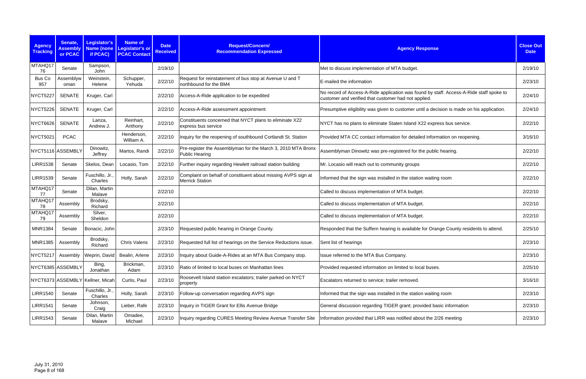| <b>Agency</b><br><b>Tracking</b> | Senate,<br><b>Assembly</b><br>or PCAC | Legislator's<br>if PCAC)         | <b>Name of</b><br>Name (none Legislator's or<br><b>PCAC Contact</b> | <b>Date</b><br><b>Received</b> | Request/Concern/<br><b>Recommendation Expressed</b>                                     | <b>Agency Response</b>                                                                                                                          | <b>Close Out</b><br><b>Date</b> |
|----------------------------------|---------------------------------------|----------------------------------|---------------------------------------------------------------------|--------------------------------|-----------------------------------------------------------------------------------------|-------------------------------------------------------------------------------------------------------------------------------------------------|---------------------------------|
| MTAHQ17<br>76                    | Senate                                | Sampson,<br>John                 |                                                                     | 2/19/10                        |                                                                                         | Met to discuss implementation of MTA budget.                                                                                                    | 2/19/10                         |
| <b>Bus Co</b><br>957             | Assemblyw<br>oman                     | Weinstein,<br>Helene             | Schupper,<br>Yehuda                                                 | 2/22/10                        | Request for reinstatement of bus stop at Avenue U and T<br>northbound for the BM4       | E-mailed the information                                                                                                                        | 2/23/10                         |
| <b>NYCT5227</b>                  | <b>SENATE</b>                         | Kruger, Carl                     |                                                                     | 2/22/10                        | Access-A-Ride application to be expedited                                               | No record of Access-A-Ride application was found by staff. Access-A-Ride staff spoke to<br>customer and verified that customer had not applied. | 2/24/10                         |
| <b>NYCT5226</b>                  | <b>SENATE</b>                         | Kruger, Carl                     |                                                                     | 2/22/10                        | Access-A-Ride assessment appointment                                                    | Presumptive eligibility was given to customer until a decision is made on his application.                                                      | 2/24/10                         |
| <b>NYCT6626</b>                  | <b>SENATE</b>                         | Lanza,<br>Andrew J.              | Reinhart,<br>Anthony                                                | 2/22/10                        | Constituents concerned that NYCT plans to eliminate X22<br>express bus service          | NYCT has no plans to eliminate Staten Island X22 express bus service.                                                                           | 2/22/10                         |
| <b>NYCT5021</b>                  | <b>PCAC</b>                           |                                  | Henderson,<br>William A.                                            | 2/22/10                        | Inquiry for the reopening of southbound Cortlandt St. Station                           | Provided MTA CC contact information for detailed information on reopening.                                                                      | 3/16/10                         |
|                                  | NYCT5116 ASSEMBLY                     | Dinowitz,<br>Jeffrey             | Martos, Randi                                                       | 2/22/10                        | Pre-register the Assemblyman for the March 3, 2010 MTA Bronx<br>Public Hearing          | Assemblyman Dinowitz was pre-registered for the public hearing.                                                                                 | 2/22/10                         |
| <b>LIRR1538</b>                  | Senate                                | Skelos, Dean                     | Locasio, Tom                                                        | 2/22/10                        | Further inquiry regarding Hewlett railroad station building                             | Mr. Locasio will reach out to community groups                                                                                                  | 2/22/10                         |
| <b>LIRR1539</b>                  | Senate                                | Fuschillo, Jr.<br>Charles        | Holly, Sarah                                                        | 2/22/10                        | Complaint on behalf of constituent about missing AVPS sign at<br><b>Merrick Station</b> | Informed that the sign was installed in the station waiting room                                                                                | 2/22/10                         |
| MTAHQ17<br>77                    | Senate                                | Dilan, Martin<br>Malave          |                                                                     | 2/22/10                        |                                                                                         | Called to discuss implementation of MTA budget.                                                                                                 | 2/22/10                         |
| MTAHQ17<br>78                    | Assembly                              | Brodsky,<br>Richard              |                                                                     | 2/22/10                        |                                                                                         | Called to discuss implementation of MTA budget.                                                                                                 | 2/22/10                         |
| MTAHQ17<br>79                    | Assembly                              | Silver,<br>Sheldon               |                                                                     | 2/22/10                        |                                                                                         | Called to discuss implementation of MTA budget.                                                                                                 | 2/22/10                         |
| <b>MNR1384</b>                   | Senate                                | Bonacic, John                    |                                                                     | 2/23/10                        | Requested public hearing in Orange County.                                              | Responded that the Suffern hearing is available for Orange County residents to attend.                                                          | 2/25/10                         |
| <b>MNR1385</b>                   | Assembly                              | Brodsky,<br>Richard              | <b>Chris Valens</b>                                                 | 2/23/10                        | Requested full list of hearings on the Service Reductions issue.                        | Sent list of hearings                                                                                                                           | 2/23/10                         |
| <b>NYCT5217</b>                  | Assembly                              | Weprin, David                    | Bealin, Arlene                                                      | 2/23/10                        | nquiry about Guide-A-Rides at an MTA Bus Company stop.                                  | Issue referred to the MTA Bus Company.                                                                                                          | 2/23/10                         |
|                                  | NYCT6385 ASSEMBLY                     | Bing,<br>Jonathan                | Brickman,<br>Adam                                                   | 2/23/10                        | Ratio of limited to local buses on Manhattan lines                                      | Provided requested information on limited to local buses.                                                                                       | 2/25/10                         |
|                                  |                                       | NYCT6373 ASSEMBLY Kellner, Micah | Curtis, Paul                                                        | 2/23/10                        | Roosevelt Island station escalators; trailer parked on NYCT<br>property                 | Escalators returned to service; trailer removed.                                                                                                | 3/16/10                         |
| <b>LIRR1540</b>                  | Senate                                | Fuschillo, Jr.<br>Charles        | Holly, Sarah                                                        | 2/23/10                        | Follow-up conversation regarding AVPS sign                                              | Informed that the sign was installed in the station waiting room                                                                                | 2/23/10                         |
| <b>LIRR1541</b>                  | Senate                                | Johnson,<br>Craig                | Lieber, Rafe                                                        | 2/23/10                        | Inquiry in TIGER Grant for Ellis Avenue Bridge                                          | General discussion regarding TIGER grant; provided basic information                                                                            | 2/23/10                         |
| <b>LIRR1543</b>                  | Senate                                | Dilan, Martin<br>Malave          | Omadee,<br>Michael                                                  | 2/23/10                        | Inquiry regarding CURES Meeting Review Avenue Transfer Site                             | Information provided that LIRR was notified about the 2/26 meeting                                                                              | 2/23/10                         |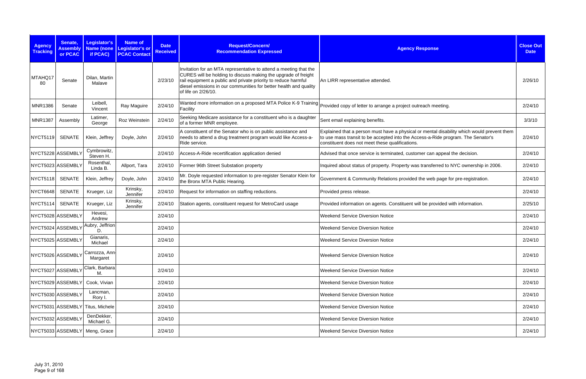| <b>Agency</b><br><b>Tracking</b> | Senate,<br><b>Assembly</b><br>or PCAC | Legislator's<br>if PCAC)         | <b>Name of</b><br>Name (none Legislator's or<br><b>PCAC Contact</b> | <b>Date</b><br><b>Received</b> | Request/Concern/<br><b>Recommendation Expressed</b>                                                                                                                                                                                                                                               | <b>Agency Response</b>                                                                                                                                                                                                            | <b>Close Out</b><br><b>Date</b> |
|----------------------------------|---------------------------------------|----------------------------------|---------------------------------------------------------------------|--------------------------------|---------------------------------------------------------------------------------------------------------------------------------------------------------------------------------------------------------------------------------------------------------------------------------------------------|-----------------------------------------------------------------------------------------------------------------------------------------------------------------------------------------------------------------------------------|---------------------------------|
| MTAHQ17<br>80                    | Senate                                | Dilan, Martin<br>Malave          |                                                                     | 2/23/10                        | Invitation for an MTA representative to attend a meeting that the<br>CURES will be holding to discuss making the upgrade of freight<br>rail equipment a public and private priority to reduce harmful<br>diesel emissions in our communities for better health and quality<br>of life on 2/26/10. | An LIRR representative attended.                                                                                                                                                                                                  | 2/26/10                         |
| <b>MNR1386</b>                   | Senate                                | Leibell.<br>Vincent              | Ray Maguire                                                         | 2/24/10                        | Wanted more information on a proposed MTA Police K-9 Training<br>Facility                                                                                                                                                                                                                         | Provided copy of letter to arrange a project outreach meeting.                                                                                                                                                                    | 2/24/10                         |
| <b>MNR1387</b>                   | Assembly                              | Latimer,<br>George               | Roz Weinstein                                                       | 2/24/10                        | Seeking Medicare assistance for a constituent who is a daughter<br>of a former MNR employee.                                                                                                                                                                                                      | Sent email explaining benefits.                                                                                                                                                                                                   | 3/3/10                          |
| NYCT5119                         | <b>SENATE</b>                         | Klein, Jeffrey                   | Doyle, John                                                         | 2/24/10                        | A constituent of the Senator who is on public assistance and<br>needs to attend a drug treatment program would like Access-a-<br>Ride service.                                                                                                                                                    | Explained that a person must have a physical or mental disability which would prevent them<br>to use mass transit to be accepted into the Access-a-Ride program. The Senator's<br>constituent does not meet these qualifications. | 2/24/10                         |
| NYCT5228 ASSEMBLY                |                                       | Cymbrowitz,<br>Steven H.         |                                                                     | 2/24/10                        | Access-A-Ride recertification application denied                                                                                                                                                                                                                                                  | Advised that once service is terminated, customer can appeal the decision.                                                                                                                                                        | 2/24/10                         |
|                                  | NYCT5023 ASSEMBLY                     | Rosenthal,<br>Linda B.           | Allport, Tara                                                       | 2/24/10                        | Former 96th Street Substation property                                                                                                                                                                                                                                                            | Inquired about status of property. Property was transferred to NYC ownership in 2006.                                                                                                                                             | 2/24/10                         |
| <b>NYCT5118</b>                  | <b>SENATE</b>                         | Klein, Jeffrey                   | Doyle, John                                                         | 2/24/10                        | Mr. Doyle requested information to pre-register Senator Klein for<br>the Bronx MTA Public Hearing.                                                                                                                                                                                                | Government & Community Relations provided the web page for pre-registration.                                                                                                                                                      | 2/24/10                         |
| NYCT6648                         | <b>SENATE</b>                         | Krueger, Liz                     | Krinsky,<br>Jennifer                                                | 2/24/10                        | Request for information on staffing reductions.                                                                                                                                                                                                                                                   | Provided press release.                                                                                                                                                                                                           | 2/24/10                         |
| NYCT5114                         | <b>SENATE</b>                         | Krueger, Liz                     | Krinsky,<br>Jennifer                                                | 2/24/10                        | Station agents, constituent request for MetroCard usage                                                                                                                                                                                                                                           | Provided information on agents. Constituent will be provided with information.                                                                                                                                                    | 2/25/10                         |
|                                  | NYCT5028 ASSEMBLY                     | Hevesi,<br>Andrew                |                                                                     | 2/24/10                        |                                                                                                                                                                                                                                                                                                   | <b>Weekend Service Diversion Notice</b>                                                                                                                                                                                           | 2/24/10                         |
| NYCT5024 ASSEMBLY                |                                       | Aubry, Jeffrion<br>D.            |                                                                     | 2/24/10                        |                                                                                                                                                                                                                                                                                                   | <b>Weekend Service Diversion Notice</b>                                                                                                                                                                                           | 2/24/10                         |
| NYCT5025 ASSEMBLY                |                                       | Gianaris,<br>Michael             |                                                                     | 2/24/10                        |                                                                                                                                                                                                                                                                                                   | <b>Weekend Service Diversion Notice</b>                                                                                                                                                                                           | 2/24/10                         |
| NYCT5026 ASSEMBLY                |                                       | Carrozza, Ann<br>Margaret        |                                                                     | 2/24/10                        |                                                                                                                                                                                                                                                                                                   | <b>Weekend Service Diversion Notice</b>                                                                                                                                                                                           | 2/24/10                         |
| NYCT5027 ASSEMBLY                |                                       | Clark, Barbara<br>М.             |                                                                     | 2/24/10                        |                                                                                                                                                                                                                                                                                                   | <b>Weekend Service Diversion Notice</b>                                                                                                                                                                                           | 2/24/10                         |
|                                  | NYCT5029 ASSEMBLY                     | Cook, Vivian                     |                                                                     | 2/24/10                        |                                                                                                                                                                                                                                                                                                   | <b>Weekend Service Diversion Notice</b>                                                                                                                                                                                           | 2/24/10                         |
|                                  | NYCT5030 ASSEMBLY                     | Lancman,<br>Rory I.              |                                                                     | 2/24/10                        |                                                                                                                                                                                                                                                                                                   | <b>Weekend Service Diversion Notice</b>                                                                                                                                                                                           | 2/24/10                         |
|                                  |                                       | NYCT5031 ASSEMBLY Titus, Michele |                                                                     | 2/24/10                        |                                                                                                                                                                                                                                                                                                   | <b>Weekend Service Diversion Notice</b>                                                                                                                                                                                           | 2/24/10                         |
|                                  | NYCT5032 ASSEMBLY                     | DenDekker,<br>Michael G.         |                                                                     | 2/24/10                        |                                                                                                                                                                                                                                                                                                   | <b>Weekend Service Diversion Notice</b>                                                                                                                                                                                           | 2/24/10                         |
|                                  | NYCT5033 ASSEMBLY                     | Meng, Grace                      |                                                                     | 2/24/10                        |                                                                                                                                                                                                                                                                                                   | <b>Weekend Service Diversion Notice</b>                                                                                                                                                                                           | 2/24/10                         |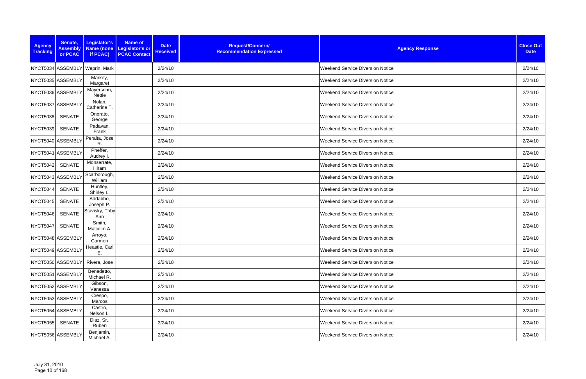| <b>Agency</b><br><b>Tracking</b> | Senate,<br><b>Assembly</b><br>or PCAC | Legislator's<br>if PCAC)       | <b>Name of</b><br>Name (none Legislator's or<br><b>PCAC Contact</b> | <b>Date</b><br><b>Received</b> | Request/Concern/<br><b>Recommendation Expressed</b> | <b>Agency Response</b>                  | <b>Close Out</b><br><b>Date</b> |
|----------------------------------|---------------------------------------|--------------------------------|---------------------------------------------------------------------|--------------------------------|-----------------------------------------------------|-----------------------------------------|---------------------------------|
|                                  |                                       | NYCT5034 ASSEMBLY Weprin, Mark |                                                                     | 2/24/10                        |                                                     | <b>Weekend Service Diversion Notice</b> | 2/24/10                         |
|                                  | NYCT5035 ASSEMBLY                     | Markey,<br>Margaret            |                                                                     | 2/24/10                        |                                                     | <b>Weekend Service Diversion Notice</b> | 2/24/10                         |
|                                  | NYCT5036 ASSEMBLY                     | Mayersohn,<br>Nettie           |                                                                     | 2/24/10                        |                                                     | <b>Weekend Service Diversion Notice</b> | 2/24/10                         |
|                                  | NYCT5037 ASSEMBLY                     | Nolan,<br>Catherine T.         |                                                                     | 2/24/10                        |                                                     | <b>Weekend Service Diversion Notice</b> | 2/24/10                         |
| <b>NYCT5038</b>                  | <b>SENATE</b>                         | Onorato,<br>George             |                                                                     | 2/24/10                        |                                                     | <b>Weekend Service Diversion Notice</b> | 2/24/10                         |
| <b>NYCT5039</b>                  | <b>SENATE</b>                         | Padavan,<br>Frank              |                                                                     | 2/24/10                        |                                                     | <b>Weekend Service Diversion Notice</b> | 2/24/10                         |
|                                  | NYCT5040 ASSEMBLY                     | Peralta, Jose<br>R.            |                                                                     | 2/24/10                        |                                                     | <b>Weekend Service Diversion Notice</b> | 2/24/10                         |
|                                  | NYCT5041 ASSEMBLY                     | Pheffer,<br>Audrey I.          |                                                                     | 2/24/10                        |                                                     | <b>Weekend Service Diversion Notice</b> | 2/24/10                         |
| <b>NYCT5042</b>                  | <b>SENATE</b>                         | Monserrate,<br>Hiram           |                                                                     | 2/24/10                        |                                                     | <b>Weekend Service Diversion Notice</b> | 2/24/10                         |
|                                  | NYCT5043 ASSEMBLY                     | Scarborough,<br>William        |                                                                     | 2/24/10                        |                                                     | <b>Weekend Service Diversion Notice</b> | 2/24/10                         |
| <b>NYCT5044</b>                  | <b>SENATE</b>                         | Huntley,<br>Shirley L.         |                                                                     | 2/24/10                        |                                                     | <b>Weekend Service Diversion Notice</b> | 2/24/10                         |
| <b>NYCT5045</b>                  | <b>SENATE</b>                         | Addabbo,<br>Joseph P.          |                                                                     | 2/24/10                        |                                                     | <b>Weekend Service Diversion Notice</b> | 2/24/10                         |
| <b>NYCT5046</b>                  | <b>SENATE</b>                         | Stavisky, Toby<br>Ann          |                                                                     | 2/24/10                        |                                                     | <b>Weekend Service Diversion Notice</b> | 2/24/10                         |
| <b>NYCT5047</b>                  | <b>SENATE</b>                         | Smith,<br>Malcolm A.           |                                                                     | 2/24/10                        |                                                     | <b>Weekend Service Diversion Notice</b> | 2/24/10                         |
|                                  | NYCT5048 ASSEMBLY                     | Arroyo,<br>Carmen              |                                                                     | 2/24/10                        |                                                     | <b>Weekend Service Diversion Notice</b> | 2/24/10                         |
|                                  | NYCT5049 ASSEMBLY                     | Heastie, Carl<br>Ε.            |                                                                     | 2/24/10                        |                                                     | Weekend Service Diversion Notice        | 2/24/10                         |
|                                  | NYCT5050 ASSEMBLY                     | Rivera, Jose                   |                                                                     | 2/24/10                        |                                                     | Weekend Service Diversion Notice        | 2/24/10                         |
|                                  | NYCT5051 ASSEMBLY                     | Benedetto,<br>Michael R.       |                                                                     | 2/24/10                        |                                                     | Weekend Service Diversion Notice        | 2/24/10                         |
|                                  | NYCT5052 ASSEMBLY                     | Gibson,<br>Vanessa             |                                                                     | 2/24/10                        |                                                     | Weekend Service Diversion Notice        | 2/24/10                         |
|                                  | NYCT5053 ASSEMBLY                     | Crespo,<br>Marcos              |                                                                     | 2/24/10                        |                                                     | <b>Weekend Service Diversion Notice</b> | 2/24/10                         |
|                                  | NYCT5054 ASSEMBLY                     | Castro,<br>Nelson L.           |                                                                     | 2/24/10                        |                                                     | <b>Weekend Service Diversion Notice</b> | 2/24/10                         |
| NYCT5055                         | <b>SENATE</b>                         | Diaz, Sr.,<br>Ruben            |                                                                     | 2/24/10                        |                                                     | <b>Weekend Service Diversion Notice</b> | 2/24/10                         |
|                                  | NYCT5056 ASSEMBLY                     | Benjamin,<br>Michael A.        |                                                                     | 2/24/10                        |                                                     | <b>Weekend Service Diversion Notice</b> | 2/24/10                         |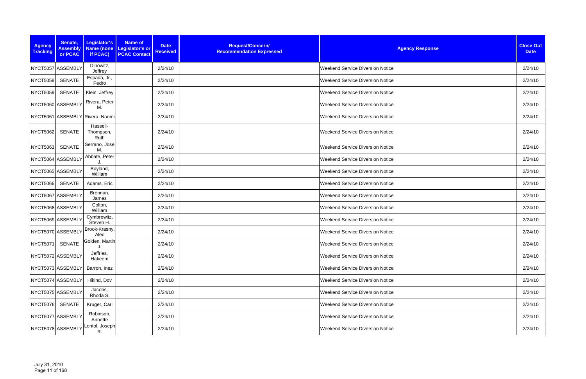| <b>Agency</b><br><b>Tracking</b> | Senate,<br><b>Assembly</b><br>or PCAC | Legislator's<br>if PCAC)        | <b>Name of</b><br>Name (none Legislator's or<br><b>PCAC Contact</b> | <b>Date</b><br><b>Received</b> | Request/Concern/<br><b>Recommendation Expressed</b> | <b>Agency Response</b>                  | <b>Close Out</b><br><b>Date</b> |
|----------------------------------|---------------------------------------|---------------------------------|---------------------------------------------------------------------|--------------------------------|-----------------------------------------------------|-----------------------------------------|---------------------------------|
|                                  | NYCT5057 ASSEMBLY                     | Dinowitz,<br>Jeffrey            |                                                                     | 2/24/10                        |                                                     | <b>Weekend Service Diversion Notice</b> | 2/24/10                         |
| <b>NYCT5058</b>                  | <b>SENATE</b>                         | Espada, Jr.,<br>Pedro           |                                                                     | 2/24/10                        |                                                     | <b>Weekend Service Diversion Notice</b> | 2/24/10                         |
| <b>NYCT5059</b>                  | <b>SENATE</b>                         | Klein, Jeffrey                  |                                                                     | 2/24/10                        |                                                     | <b>Weekend Service Diversion Notice</b> | 2/24/10                         |
|                                  | NYCT5060 ASSEMBLY                     | Rivera, Peter<br>M.             |                                                                     | 2/24/10                        |                                                     | <b>Weekend Service Diversion Notice</b> | 2/24/10                         |
|                                  |                                       | NYCT5061 ASSEMBLY Rivera, Naomi |                                                                     | 2/24/10                        |                                                     | <b>Weekend Service Diversion Notice</b> | 2/24/10                         |
| <b>NYCT5062</b>                  | <b>SENATE</b>                         | Hassell-<br>Thompson,<br>Ruth   |                                                                     | 2/24/10                        |                                                     | <b>Weekend Service Diversion Notice</b> | 2/24/10                         |
| <b>NYCT5063</b>                  | <b>SENATE</b>                         | Serrano, Jose<br>M.             |                                                                     | 2/24/10                        |                                                     | <b>Weekend Service Diversion Notice</b> | 2/24/10                         |
|                                  | NYCT5064 ASSEMBLY                     | Abbate, Peter                   |                                                                     | 2/24/10                        |                                                     | <b>Weekend Service Diversion Notice</b> | 2/24/10                         |
|                                  | NYCT5065 ASSEMBLY                     | Boyland,<br>William             |                                                                     | 2/24/10                        |                                                     | <b>Weekend Service Diversion Notice</b> | 2/24/10                         |
| <b>NYCT5066</b>                  | <b>SENATE</b>                         | Adams, Eric                     |                                                                     | 2/24/10                        |                                                     | <b>Weekend Service Diversion Notice</b> | 2/24/10                         |
|                                  | NYCT5067 ASSEMBLY                     | Brennan,<br>James               |                                                                     | 2/24/10                        |                                                     | <b>Weekend Service Diversion Notice</b> | 2/24/10                         |
|                                  | NYCT5068 ASSEMBLY                     | Colton,<br>William              |                                                                     | 2/24/10                        |                                                     | <b>Weekend Service Diversion Notice</b> | 2/24/10                         |
|                                  | NYCT5069 ASSEMBLY                     | Cymbrowitz,<br>Steven H.        |                                                                     | 2/24/10                        |                                                     | <b>Weekend Service Diversion Notice</b> | 2/24/10                         |
|                                  | NYCT5070 ASSEMBLY                     | Brook-Krasny,<br>Alec           |                                                                     | 2/24/10                        |                                                     | <b>Weekend Service Diversion Notice</b> | 2/24/10                         |
| NYCT5071 SENATE                  |                                       | Golden, Martin<br>J.            |                                                                     | 2/24/10                        |                                                     | <b>Weekend Service Diversion Notice</b> | 2/24/10                         |
|                                  | NYCT5072 ASSEMBLY                     | Jeffries,<br>Hakeem             |                                                                     | 2/24/10                        |                                                     | <b>Weekend Service Diversion Notice</b> | 2/24/10                         |
|                                  | NYCT5073 ASSEMBLY                     | Barron, Inez                    |                                                                     | 2/24/10                        |                                                     | Weekend Service Diversion Notice        | 2/24/10                         |
|                                  | NYCT5074 ASSEMBLY                     | Hikind, Dov                     |                                                                     | 2/24/10                        |                                                     | <b>Weekend Service Diversion Notice</b> | 2/24/10                         |
|                                  | NYCT5075 ASSEMBLY                     | Jacobs,<br>Rhoda S.             |                                                                     | 2/24/10                        |                                                     | Weekend Service Diversion Notice        | 2/24/10                         |
| NYCT5076                         | SENATE                                | Kruger, Carl                    |                                                                     | 2/24/10                        |                                                     | <b>Weekend Service Diversion Notice</b> | 2/24/10                         |
|                                  | NYCT5077 ASSEMBLY                     | Robinson,<br>Annette            |                                                                     | 2/24/10                        |                                                     | <b>Weekend Service Diversion Notice</b> | 2/24/10                         |
|                                  | NYCT5078 ASSEMBLY                     | Lentol, Joseph<br>R.            |                                                                     | 2/24/10                        |                                                     | <b>Weekend Service Diversion Notice</b> | 2/24/10                         |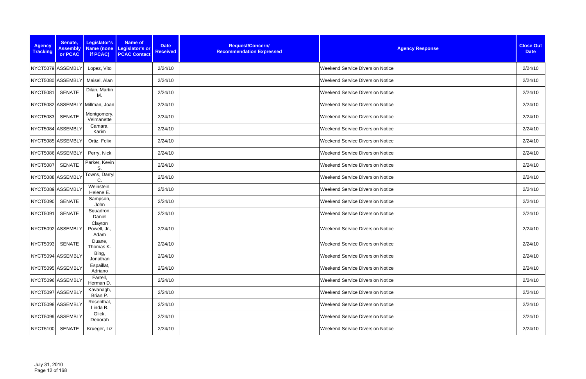| <b>Agency</b><br><b>Tracking</b> | Senate,<br><b>Assembly</b><br>or PCAC | Legislator's<br>if PCAC)        | <b>Name of</b><br>Name (none Legislator's or<br><b>PCAC Contact</b> | <b>Date</b><br><b>Received</b> | Request/Concern/<br><b>Recommendation Expressed</b> | <b>Agency Response</b>                  | <b>Close Out</b><br><b>Date</b> |
|----------------------------------|---------------------------------------|---------------------------------|---------------------------------------------------------------------|--------------------------------|-----------------------------------------------------|-----------------------------------------|---------------------------------|
|                                  | NYCT5079 ASSEMBLY                     | Lopez, Vito                     |                                                                     | 2/24/10                        |                                                     | <b>Weekend Service Diversion Notice</b> | 2/24/10                         |
|                                  | NYCT5080 ASSEMBLY                     | Maisel, Alan                    |                                                                     | 2/24/10                        |                                                     | <b>Weekend Service Diversion Notice</b> | 2/24/10                         |
| <b>NYCT5081</b>                  | <b>SENATE</b>                         | Dilan, Martin<br>M.             |                                                                     | 2/24/10                        |                                                     | <b>Weekend Service Diversion Notice</b> | 2/24/10                         |
|                                  |                                       | NYCT5082 ASSEMBLY Millman, Joan |                                                                     | 2/24/10                        |                                                     | <b>Weekend Service Diversion Notice</b> | 2/24/10                         |
| <b>NYCT5083</b>                  | <b>SENATE</b>                         | Montgomery,<br>Velmanette       |                                                                     | 2/24/10                        |                                                     | <b>Weekend Service Diversion Notice</b> | 2/24/10                         |
|                                  | NYCT5084 ASSEMBLY                     | Camara,<br>Karim                |                                                                     | 2/24/10                        |                                                     | <b>Weekend Service Diversion Notice</b> | 2/24/10                         |
|                                  | NYCT5085 ASSEMBLY                     | Ortiz, Felix                    |                                                                     | 2/24/10                        |                                                     | <b>Weekend Service Diversion Notice</b> | 2/24/10                         |
|                                  | NYCT5086 ASSEMBLY                     | Perry, Nick                     |                                                                     | 2/24/10                        |                                                     | <b>Weekend Service Diversion Notice</b> | 2/24/10                         |
| <b>NYCT5087</b>                  | <b>SENATE</b>                         | Parker, Kevin<br>S.             |                                                                     | 2/24/10                        |                                                     | <b>Weekend Service Diversion Notice</b> | 2/24/10                         |
|                                  | NYCT5088 ASSEMBLY                     | Towns, Darryl<br>C.             |                                                                     | 2/24/10                        |                                                     | <b>Weekend Service Diversion Notice</b> | 2/24/10                         |
|                                  | NYCT5089 ASSEMBLY                     | Weinstein,<br>Helene E.         |                                                                     | 2/24/10                        |                                                     | <b>Weekend Service Diversion Notice</b> | 2/24/10                         |
| <b>NYCT5090</b>                  | <b>SENATE</b>                         | Sampson,<br>John                |                                                                     | 2/24/10                        |                                                     | <b>Weekend Service Diversion Notice</b> | 2/24/10                         |
| <b>NYCT5091</b>                  | <b>SENATE</b>                         | Squadron,<br>Daniel             |                                                                     | 2/24/10                        |                                                     | <b>Weekend Service Diversion Notice</b> | 2/24/10                         |
|                                  | NYCT5092 ASSEMBLY                     | Clayton<br>Powell, Jr.,<br>Adam |                                                                     | 2/24/10                        |                                                     | <b>Weekend Service Diversion Notice</b> | 2/24/10                         |
| NYCT5093 SENATE                  |                                       | Duane,<br>Thomas K.             |                                                                     | 2/24/10                        |                                                     | <b>Weekend Service Diversion Notice</b> | 2/24/10                         |
|                                  | NYCT5094 ASSEMBLY                     | Bing,<br>Jonathan               |                                                                     | 2/24/10                        |                                                     | <b>Weekend Service Diversion Notice</b> | 2/24/10                         |
|                                  | NYCT5095 ASSEMBLY                     | Espaillat,<br>Adriano           |                                                                     | 2/24/10                        |                                                     | Weekend Service Diversion Notice        | 2/24/10                         |
|                                  | NYCT5096 ASSEMBLY                     | Farrell,<br>Herman D.           |                                                                     | 2/24/10                        |                                                     | Weekend Service Diversion Notice        | 2/24/10                         |
|                                  | NYCT5097 ASSEMBLY                     | Kavanagh,<br>Brian P.           |                                                                     | 2/24/10                        |                                                     | <b>Weekend Service Diversion Notice</b> | 2/24/10                         |
|                                  | NYCT5098 ASSEMBLY                     | Rosenthal,<br>Linda B.          |                                                                     | 2/24/10                        |                                                     | <b>Weekend Service Diversion Notice</b> | 2/24/10                         |
|                                  | NYCT5099 ASSEMBLY                     | Glick,<br>Deborah               |                                                                     | 2/24/10                        |                                                     | <b>Weekend Service Diversion Notice</b> | 2/24/10                         |
| NYCT5100                         | <b>SENATE</b>                         | Krueger, Liz                    |                                                                     | 2/24/10                        |                                                     | <b>Weekend Service Diversion Notice</b> | 2/24/10                         |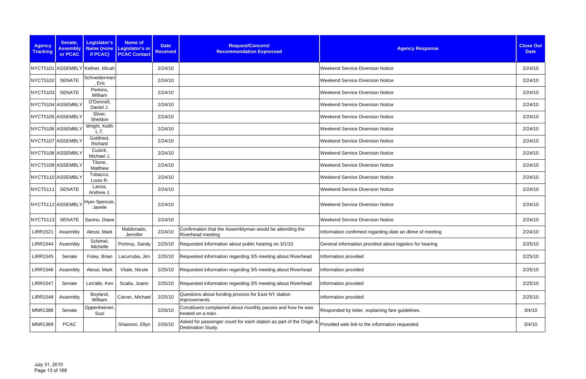| <b>Agency</b><br><b>Tracking</b> | Senate,<br><b>Assembly</b><br><b>or PCAC</b> | Legislator's<br>if PCAC)         | <b>Name of</b><br>Name (none   Legislator's or<br><b>PCAC Contact</b> | <b>Date</b><br><b>Received</b> | Request/Concern/<br><b>Recommendation Expressed</b>                                      | <b>Agency Response</b>                                   | <b>Close Out</b><br><b>Date</b> |
|----------------------------------|----------------------------------------------|----------------------------------|-----------------------------------------------------------------------|--------------------------------|------------------------------------------------------------------------------------------|----------------------------------------------------------|---------------------------------|
|                                  |                                              | NYCT5101 ASSEMBLY Kellner, Micah |                                                                       | 2/24/10                        |                                                                                          | <b>Weekend Service Diversion Notice</b>                  | 2/24/10                         |
| NYCT5102                         | <b>SENATE</b>                                | Schneiderman<br>, Eric           |                                                                       | 2/24/10                        |                                                                                          | <b>Weekend Service Diversion Notice</b>                  | 2/24/10                         |
| <b>NYCT5103</b>                  | <b>SENATE</b>                                | Perkins,<br>William              |                                                                       | 2/24/10                        |                                                                                          | <b>Weekend Service Diversion Notice</b>                  | 2/24/10                         |
|                                  | NYCT5104 ASSEMBLY                            | O'Donnell,<br>Daniel J.          |                                                                       | 2/24/10                        |                                                                                          | <b>Weekend Service Diversion Notice</b>                  | 2/24/10                         |
|                                  | NYCT5105 ASSEMBLY                            | Silver,<br>Sheldon               |                                                                       | 2/24/10                        |                                                                                          | <b>Weekend Service Diversion Notice</b>                  | 2/24/10                         |
|                                  | NYCT5106 ASSEMBLY                            | Wright, Keith<br>L.T.            |                                                                       | 2/24/10                        |                                                                                          | <b>Weekend Service Diversion Notice</b>                  | 2/24/10                         |
|                                  | NYCT5107 ASSEMBLY                            | Gottfried,<br>Richard            |                                                                       | 2/24/10                        |                                                                                          | <b>Weekend Service Diversion Notice</b>                  | 2/24/10                         |
|                                  | NYCT5108 ASSEMBLY                            | Cusick,<br>Michael J.            |                                                                       | 2/24/10                        |                                                                                          | <b>Weekend Service Diversion Notice</b>                  | 2/24/10                         |
|                                  | NYCT5109 ASSEMBLY                            | Titone,<br>Matthew               |                                                                       | 2/24/10                        |                                                                                          | <b>Weekend Service Diversion Notice</b>                  | 2/24/10                         |
|                                  | NYCT5110 ASSEMBLY                            | Tobacco,<br>Louis R.             |                                                                       | 2/24/10                        |                                                                                          | <b>Weekend Service Diversion Notice</b>                  | 2/24/10                         |
| <b>NYCT5111</b>                  | <b>SENATE</b>                                | Lanza,<br>Andrew J.              |                                                                       | 2/24/10                        |                                                                                          | <b>Weekend Service Diversion Notice</b>                  | 2/24/10                         |
|                                  | NYCT5112 ASSEMBLY                            | Hyer-Spencer,<br>Janele          |                                                                       | 2/24/10                        |                                                                                          | <b>Weekend Service Diversion Notice</b>                  | 2/24/10                         |
| <b>NYCT5113</b>                  | <b>SENATE</b>                                | Savino, Diane                    |                                                                       | 2/24/10                        |                                                                                          | <b>Weekend Service Diversion Notice</b>                  | 2/24/10                         |
| <b>LIRR1521</b>                  | Assembly                                     | Alessi, Mark                     | Maldonado,<br>Jennifer                                                | 2/24/10                        | Confirmation that the Assemblyman would be attending the<br><b>Riverhead meeting</b>     | Information confirmed regarding date an dtime of meeting | 2/24/10                         |
|                                  | LIRR1544   Assembly                          | Schimel,<br>Michelle             | Portnoy, Sandy                                                        |                                | 2/25/10 Requested information about public hearing on 3/1/10                             | General information provided about logistics for hearing | 2/25/10                         |
| <b>LIRR1545</b>                  | Senate                                       | Foley, Brian                     | Lacurruba, Jim                                                        | 2/25/10                        | Requested information regarding 3/5 meeting about Riverhead                              | Information provided                                     | 2/25/10                         |
| <b>LIRR1546</b>                  | Assembly                                     | Alessi, Mark                     | Vitale, Nicole                                                        | 2/25/10                        | Requested information regarding 3/5 meeting about Riverhead                              | Information provided                                     | 2/25/10                         |
| <b>LIRR1547</b>                  | Senate                                       | LaValle, Ken                     | Scalia, Joann                                                         | 2/25/10                        | Requested information regarding 3/5 meeting about Riverhead                              | Information provided                                     | 2/25/10                         |
| <b>LIRR1548</b>                  | Assembly                                     | Boyland,<br>William              | Carver, Michael                                                       | 2/25/10                        | Questions about funding process for East NY station<br>improvements                      | Information provided                                     | 2/25/10                         |
| <b>MNR1388</b>                   | Senate                                       | Oppenheimer,<br>Suzi             |                                                                       | 2/26/10                        | Constituent complained about monthly passes and how he was<br>treated on a train.        | Responded by letter, explaining fare guidelines.         | 3/4/10                          |
| <b>MNR1389</b>                   | <b>PCAC</b>                                  |                                  | Shannon, Ellyn                                                        | 2/26/10                        | Asked for passenger count for each station as part of the Origin &<br>Destination Study. | Provided web link to the information requested.          | 3/4/10                          |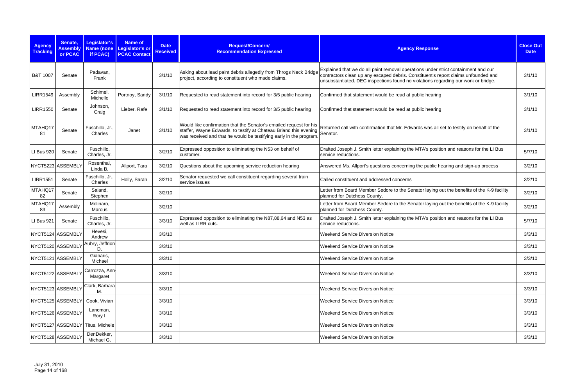| <b>Agency</b><br><b>Tracking</b> | Senate,<br><b>Assembly</b><br>or PCAC | Legislator's<br><b>Name (none</b><br>if PCAC) | <b>Name of</b><br>Legislator's or<br><b>PCAC Contact</b> | <b>Date</b><br><b>Received</b> | Request/Concern/<br><b>Recommendation Expressed</b>                                                                                                                                                                   | <b>Agency Response</b>                                                                                                                                                                                                                                         | <b>Close Out</b><br><b>Date</b> |
|----------------------------------|---------------------------------------|-----------------------------------------------|----------------------------------------------------------|--------------------------------|-----------------------------------------------------------------------------------------------------------------------------------------------------------------------------------------------------------------------|----------------------------------------------------------------------------------------------------------------------------------------------------------------------------------------------------------------------------------------------------------------|---------------------------------|
| B&T 1007                         | Senate                                | Padavan,<br>Frank                             |                                                          | 3/1/10                         | Asking about lead paint debris allegedly from Throgs Neck Bridge<br>project, according to constituent who made claims.                                                                                                | Explained that we do all paint removal operations under strict containment and our<br>contractors clean up any escaped debris. Constituent's report claims unfounded and<br>unsubstantiated. DEC inspections found no violations regarding our work or bridge. | 3/1/10                          |
| <b>LIRR1549</b>                  | Assembly                              | Schimel,<br>Michelle                          | Portnoy, Sandy                                           | 3/1/10                         | Requested to read statement into record for 3/5 public hearing                                                                                                                                                        | Confirmed that statement would be read at public hearing                                                                                                                                                                                                       | 3/1/10                          |
| <b>LIRR1550</b>                  | Senate                                | Johnson,<br>Craig                             | Lieber, Rafe                                             | 3/1/10                         | Requested to read statement into record for 3/5 public hearing                                                                                                                                                        | Confirmed that statement would be read at public hearing                                                                                                                                                                                                       | 3/1/10                          |
| MTAHQ17<br>81                    | Senate                                | Fuschillo, Jr.,<br>Charles                    | Janet                                                    | 3/1/10                         | Would like confirmation that the Senator's emailed request for his<br>staffer, Wayne Edwards, to testify at Chateau Briand this evening Senator.<br>was received and that he would be testifying early in the program | Returned call with confirmation that Mr. Edwards was all set to testify on behalf of the                                                                                                                                                                       | 3/1/10                          |
| LI Bus 920                       | Senate                                | Fuschillo,<br>Charles, Jr.                    |                                                          | 3/2/10                         | Expressed opposition to eliminating the N53 on behalf of<br>customer.                                                                                                                                                 | Drafted Joseph J. Smith letter explaining the MTA's position and reasons for the LI Bus<br>service reductions.                                                                                                                                                 | 5/7/10                          |
| NYCT5223 ASSEMBLY                |                                       | Rosenthal,<br>Linda B.                        | Allport, Tara                                            | 3/2/10                         | Questions about the upcoming service reduction hearing                                                                                                                                                                | Answered Ms. Allport's questions concerning the public hearing and sign-up process                                                                                                                                                                             | 3/2/10                          |
| <b>LIRR1551</b>                  | Senate                                | Fuschillo, Jr.<br>Charles                     | Holly, Sarah                                             | 3/2/10                         | Senator requested we call constituent regarding several train<br>service issues                                                                                                                                       | Called constituent and addressed concerns                                                                                                                                                                                                                      | 3/2/10                          |
| MTAHQ17<br>82                    | Senate                                | Saland,<br>Stephen                            |                                                          | 3/2/10                         |                                                                                                                                                                                                                       | Letter from Board Member Sedore to the Senator laying out the benefits of the K-9 facility<br>planned for Dutchess County.                                                                                                                                     | 3/2/10                          |
| MTAHQ17<br>83                    | Assembly                              | Molinaro,<br>Marcus                           |                                                          | 3/2/10                         |                                                                                                                                                                                                                       | Letter from Board Member Sedore to the Senator laying out the benefits of the K-9 facility<br>planned for Dutchess County.                                                                                                                                     | 3/2/10                          |
| LI Bus 921                       | Senate                                | Fuschillo,<br>Charles, Jr.                    |                                                          | 3/3/10                         | Expressed opposition to eliminating the N87,88,64 and N53 as<br>well as LIRR cuts.                                                                                                                                    | Drafted Joseph J. Smith letter explaining the MTA's position and reasons for the LI Bus<br>service reductions.                                                                                                                                                 | 5/7/10                          |
| NYCT5124 ASSEMBLY                |                                       | Hevesi,<br>Andrew                             |                                                          | 3/3/10                         |                                                                                                                                                                                                                       | <b>Weekend Service Diversion Notice</b>                                                                                                                                                                                                                        | 3/3/10                          |
|                                  |                                       | NYCT5120 ASSEMBLY Aubry, Jeffrion             |                                                          | 3/3/10                         |                                                                                                                                                                                                                       | <b>Weekend Service Diversion Notice</b>                                                                                                                                                                                                                        | 3/3/10                          |
| NYCT5121 ASSEMBLY                |                                       | Gianaris,<br>Michael                          |                                                          | 3/3/10                         |                                                                                                                                                                                                                       | <b>Weekend Service Diversion Notice</b>                                                                                                                                                                                                                        | 3/3/10                          |
| NYCT5122 ASSEMBLY                |                                       | Carrozza, Ann-<br>Margaret                    |                                                          | 3/3/10                         |                                                                                                                                                                                                                       | <b>Weekend Service Diversion Notice</b>                                                                                                                                                                                                                        | 3/3/10                          |
| NYCT5123 ASSEMBLY                |                                       | Clark, Barbara<br>M.                          |                                                          | 3/3/10                         |                                                                                                                                                                                                                       | <b>Weekend Service Diversion Notice</b>                                                                                                                                                                                                                        | 3/3/10                          |
| NYCT5125 ASSEMBLY                |                                       | Cook, Vivian                                  |                                                          | 3/3/10                         |                                                                                                                                                                                                                       | <b>Weekend Service Diversion Notice</b>                                                                                                                                                                                                                        | 3/3/10                          |
| NYCT5126 ASSEMBLY                |                                       | Lancman,<br>Rory I.                           |                                                          | 3/3/10                         |                                                                                                                                                                                                                       | <b>Weekend Service Diversion Notice</b>                                                                                                                                                                                                                        | 3/3/10                          |
|                                  |                                       | NYCT5127 ASSEMBLY Titus, Michele              |                                                          | 3/3/10                         |                                                                                                                                                                                                                       | <b>Weekend Service Diversion Notice</b>                                                                                                                                                                                                                        | 3/3/10                          |
| NYCT5128 ASSEMBLY                |                                       | DenDekker,<br>Michael G.                      |                                                          | 3/3/10                         |                                                                                                                                                                                                                       | <b>Weekend Service Diversion Notice</b>                                                                                                                                                                                                                        | 3/3/10                          |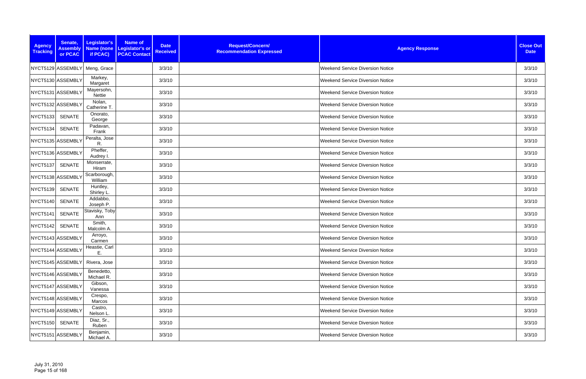| <b>Agency</b><br><b>Tracking</b> | Senate,<br><b>Assembly</b><br>or PCAC | Legislator's<br><b>Name of</b><br><b>Name (none</b><br><b>Legislator's or</b><br><b>PCAC Contact</b><br>if PCAC) | <b>Date</b><br><b>Received</b> | Request/Concern/<br><b>Recommendation Expressed</b> | <b>Agency Response</b>                  | <b>Close Out</b><br><b>Date</b> |
|----------------------------------|---------------------------------------|------------------------------------------------------------------------------------------------------------------|--------------------------------|-----------------------------------------------------|-----------------------------------------|---------------------------------|
|                                  | NYCT5129 ASSEMBLY                     | Meng, Grace                                                                                                      | 3/3/10                         |                                                     | <b>Weekend Service Diversion Notice</b> | 3/3/10                          |
|                                  | NYCT5130 ASSEMBLY                     | Markey,<br>Margaret                                                                                              | 3/3/10                         |                                                     | <b>Weekend Service Diversion Notice</b> | 3/3/10                          |
|                                  | NYCT5131 ASSEMBLY                     | Mayersohn,<br>Nettie                                                                                             | 3/3/10                         |                                                     | <b>Weekend Service Diversion Notice</b> | 3/3/10                          |
|                                  | NYCT5132 ASSEMBLY                     | Nolan,<br>Catherine T.                                                                                           | 3/3/10                         |                                                     | <b>Weekend Service Diversion Notice</b> | 3/3/10                          |
| <b>NYCT5133</b>                  | <b>SENATE</b>                         | Onorato,<br>George                                                                                               | 3/3/10                         |                                                     | <b>Weekend Service Diversion Notice</b> | 3/3/10                          |
| NYCT5134                         | <b>SENATE</b>                         | Padavan,<br>Frank                                                                                                | 3/3/10                         |                                                     | <b>Weekend Service Diversion Notice</b> | 3/3/10                          |
|                                  | NYCT5135 ASSEMBLY                     | Peralta, Jose<br>R.                                                                                              | 3/3/10                         |                                                     | <b>Weekend Service Diversion Notice</b> | 3/3/10                          |
|                                  | NYCT5136 ASSEMBLY                     | Pheffer,<br>Audrey I.                                                                                            | 3/3/10                         |                                                     | <b>Weekend Service Diversion Notice</b> | 3/3/10                          |
| NYCT5137                         | <b>SENATE</b>                         | Monserrate,<br>Hiram                                                                                             | 3/3/10                         |                                                     | <b>Weekend Service Diversion Notice</b> | 3/3/10                          |
|                                  | NYCT5138 ASSEMBLY                     | Scarborough,<br>William                                                                                          | 3/3/10                         |                                                     | <b>Weekend Service Diversion Notice</b> | 3/3/10                          |
| NYCT5139                         | <b>SENATE</b>                         | Huntley,<br>Shirley L.                                                                                           | 3/3/10                         |                                                     | <b>Weekend Service Diversion Notice</b> | 3/3/10                          |
| NYCT5140                         | <b>SENATE</b>                         | Addabbo,<br>Joseph P.                                                                                            | 3/3/10                         |                                                     | <b>Weekend Service Diversion Notice</b> | 3/3/10                          |
| NYCT5141                         | <b>SENATE</b>                         | Stavisky, Toby<br>Ann                                                                                            | 3/3/10                         |                                                     | <b>Weekend Service Diversion Notice</b> | 3/3/10                          |
| NYCT5142                         | <b>SENATE</b>                         | Smith,<br>Malcolm A.                                                                                             | 3/3/10                         |                                                     | <b>Weekend Service Diversion Notice</b> | 3/3/10                          |
|                                  | NYCT5143 ASSEMBLY                     | Arroyo,<br>Carmen                                                                                                | 3/3/10                         |                                                     | <b>Weekend Service Diversion Notice</b> | 3/3/10                          |
|                                  | NYCT5144 ASSEMBLY                     | Heastie, Carl<br>Ε.                                                                                              | 3/3/10                         |                                                     | <b>Weekend Service Diversion Notice</b> | 3/3/10                          |
|                                  | NYCT5145 ASSEMBLY                     | Rivera, Jose                                                                                                     | 3/3/10                         |                                                     | <b>Weekend Service Diversion Notice</b> | 3/3/10                          |
|                                  | NYCT5146 ASSEMBLY                     | Benedetto,<br>Michael R.                                                                                         | 3/3/10                         |                                                     | <b>Weekend Service Diversion Notice</b> | 3/3/10                          |
|                                  | NYCT5147 ASSEMBLY                     | Gibson,<br>Vanessa                                                                                               | 3/3/10                         |                                                     | <b>Weekend Service Diversion Notice</b> | 3/3/10                          |
|                                  | NYCT5148 ASSEMBLY                     | Crespo,<br>Marcos                                                                                                | 3/3/10                         |                                                     | <b>Weekend Service Diversion Notice</b> | 3/3/10                          |
|                                  | NYCT5149 ASSEMBLY                     | Castro,<br>Nelson L.                                                                                             | 3/3/10                         |                                                     | <b>Weekend Service Diversion Notice</b> | 3/3/10                          |
| NYCT5150                         | SENATE                                | Diaz, Sr.,<br>Ruben                                                                                              | 3/3/10                         |                                                     | <b>Weekend Service Diversion Notice</b> | 3/3/10                          |
|                                  | NYCT5151 ASSEMBLY                     | Benjamin,<br>Michael A.                                                                                          | 3/3/10                         |                                                     | <b>Weekend Service Diversion Notice</b> | 3/3/10                          |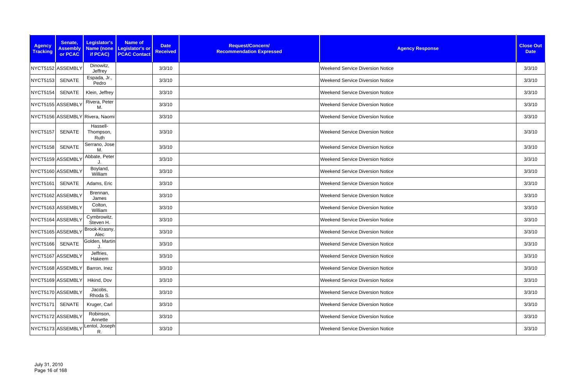| <b>Agency</b><br><b>Tracking</b> | Senate,<br><b>Assembly</b><br>or PCAC | Legislator's<br>if PCAC)        | <b>Name of</b><br>Name (none Legislator's or<br><b>PCAC Contact</b> | <b>Date</b><br><b>Received</b> | Request/Concern/<br><b>Recommendation Expressed</b> | <b>Agency Response</b>                  | <b>Close Out</b><br><b>Date</b> |
|----------------------------------|---------------------------------------|---------------------------------|---------------------------------------------------------------------|--------------------------------|-----------------------------------------------------|-----------------------------------------|---------------------------------|
| NYCT5152 ASSEMBLY                |                                       | Dinowitz,<br>Jeffrey            |                                                                     | 3/3/10                         |                                                     | <b>Weekend Service Diversion Notice</b> | 3/3/10                          |
| NYCT5153                         | SENATE                                | Espada, Jr.,<br>Pedro           |                                                                     | 3/3/10                         |                                                     | <b>Weekend Service Diversion Notice</b> | 3/3/10                          |
| NYCT5154                         | SENATE                                | Klein, Jeffrey                  |                                                                     | 3/3/10                         |                                                     | <b>Weekend Service Diversion Notice</b> | 3/3/10                          |
| NYCT5155 ASSEMBLY                |                                       | Rivera, Peter<br>М.             |                                                                     | 3/3/10                         |                                                     | <b>Weekend Service Diversion Notice</b> | 3/3/10                          |
|                                  |                                       | NYCT5156 ASSEMBLY Rivera, Naomi |                                                                     | 3/3/10                         |                                                     | <b>Weekend Service Diversion Notice</b> | 3/3/10                          |
| NYCT5157                         | <b>SENATE</b>                         | Hassell-<br>Thompson,<br>Ruth   |                                                                     | 3/3/10                         |                                                     | <b>Weekend Service Diversion Notice</b> | 3/3/10                          |
| <b>NYCT5158</b>                  | <b>SENATE</b>                         | Serrano, Jose<br>M.             |                                                                     | 3/3/10                         |                                                     | <b>Weekend Service Diversion Notice</b> | 3/3/10                          |
|                                  | NYCT5159 ASSEMBLY                     | Abbate, Peter                   |                                                                     | 3/3/10                         |                                                     | <b>Weekend Service Diversion Notice</b> | 3/3/10                          |
| NYCT5160 ASSEMBLY                |                                       | Boyland,<br>William             |                                                                     | 3/3/10                         |                                                     | <b>Weekend Service Diversion Notice</b> | 3/3/10                          |
| <b>NYCT5161</b>                  | SENATE                                | Adams, Eric                     |                                                                     | 3/3/10                         |                                                     | <b>Weekend Service Diversion Notice</b> | 3/3/10                          |
|                                  | NYCT5162 ASSEMBLY                     | Brennan,<br>James               |                                                                     | 3/3/10                         |                                                     | <b>Weekend Service Diversion Notice</b> | 3/3/10                          |
|                                  | NYCT5163 ASSEMBLY                     | Colton,<br>William              |                                                                     | 3/3/10                         |                                                     | <b>Weekend Service Diversion Notice</b> | 3/3/10                          |
|                                  | NYCT5164 ASSEMBLY                     | Cymbrowitz,<br>Steven H.        |                                                                     | 3/3/10                         |                                                     | <b>Weekend Service Diversion Notice</b> | 3/3/10                          |
| NYCT5165 ASSEMBL\                |                                       | Brook-Krasny,<br>Alec           |                                                                     | 3/3/10                         |                                                     | <b>Weekend Service Diversion Notice</b> | 3/3/10                          |
| NYCT5166 SENATE                  |                                       | Golden, Martin<br>J.            |                                                                     | 3/3/10                         |                                                     | <b>Weekend Service Diversion Notice</b> | 3/3/10                          |
|                                  | NYCT5167 ASSEMBLY                     | Jeffries,<br>Hakeem             |                                                                     | 3/3/10                         |                                                     | <b>Weekend Service Diversion Notice</b> | 3/3/10                          |
|                                  | NYCT5168 ASSEMBLY                     | Barron, Inez                    |                                                                     | 3/3/10                         |                                                     | <b>Weekend Service Diversion Notice</b> | 3/3/10                          |
|                                  | NYCT5169 ASSEMBLY                     | Hikind, Dov                     |                                                                     | 3/3/10                         |                                                     | <b>Weekend Service Diversion Notice</b> | 3/3/10                          |
|                                  | NYCT5170 ASSEMBLY                     | Jacobs,<br>Rhoda S.             |                                                                     | 3/3/10                         |                                                     | <b>Weekend Service Diversion Notice</b> | 3/3/10                          |
| <b>NYCT5171</b>                  | SENATE                                | Kruger, Carl                    |                                                                     | 3/3/10                         |                                                     | <b>Weekend Service Diversion Notice</b> | 3/3/10                          |
|                                  | NYCT5172 ASSEMBLY                     | Robinson,<br>Annette            |                                                                     | 3/3/10                         |                                                     | <b>Weekend Service Diversion Notice</b> | 3/3/10                          |
|                                  | NYCT5173 ASSEMBLY                     | Lentol, Joseph<br>R.            |                                                                     | 3/3/10                         |                                                     | <b>Weekend Service Diversion Notice</b> | 3/3/10                          |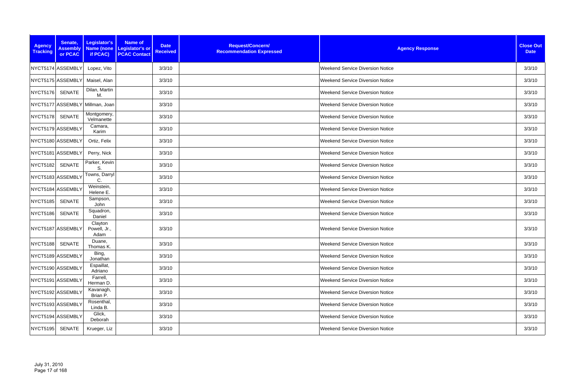| <b>Agency</b><br><b>Tracking</b> | Senate,<br><b>Assembly</b><br>or PCAC | Legislator's<br><b>Name (none</b><br>if PCAC) | Name of<br>Legislator's or<br><b>PCAC Contact</b> | <b>Date</b><br><b>Received</b> | Request/Concern/<br><b>Recommendation Expressed</b> | <b>Agency Response</b>                  | <b>Close Out</b><br><b>Date</b> |
|----------------------------------|---------------------------------------|-----------------------------------------------|---------------------------------------------------|--------------------------------|-----------------------------------------------------|-----------------------------------------|---------------------------------|
|                                  | NYCT5174 ASSEMBLY                     | Lopez, Vito                                   |                                                   | 3/3/10                         |                                                     | <b>Weekend Service Diversion Notice</b> | 3/3/10                          |
|                                  | NYCT5175 ASSEMBLY                     | Maisel, Alan                                  |                                                   | 3/3/10                         |                                                     | <b>Weekend Service Diversion Notice</b> | 3/3/10                          |
| <b>NYCT5176</b>                  | <b>SENATE</b>                         | Dilan, Martin<br>M.                           |                                                   | 3/3/10                         |                                                     | <b>Weekend Service Diversion Notice</b> | 3/3/10                          |
|                                  |                                       | NYCT5177 ASSEMBLY Millman, Joan               |                                                   | 3/3/10                         |                                                     | <b>Weekend Service Diversion Notice</b> | 3/3/10                          |
| NYCT5178                         | <b>SENATE</b>                         | Montgomery,<br>Velmanette                     |                                                   | 3/3/10                         |                                                     | <b>Weekend Service Diversion Notice</b> | 3/3/10                          |
| NYCT5179 ASSEMBLY                |                                       | Camara,<br>Karim                              |                                                   | 3/3/10                         |                                                     | <b>Weekend Service Diversion Notice</b> | 3/3/10                          |
|                                  | NYCT5180 ASSEMBLY                     | Ortiz, Felix                                  |                                                   | 3/3/10                         |                                                     | <b>Weekend Service Diversion Notice</b> | 3/3/10                          |
|                                  | NYCT5181 ASSEMBLY                     | Perry, Nick                                   |                                                   | 3/3/10                         |                                                     | <b>Weekend Service Diversion Notice</b> | 3/3/10                          |
| NYCT5182                         | <b>SENATE</b>                         | Parker, Kevin<br>S.                           |                                                   | 3/3/10                         |                                                     | <b>Weekend Service Diversion Notice</b> | 3/3/10                          |
| NYCT5183 ASSEMBLY                |                                       | Towns, Darryl<br>C.                           |                                                   | 3/3/10                         |                                                     | <b>Weekend Service Diversion Notice</b> | 3/3/10                          |
|                                  | NYCT5184 ASSEMBLY                     | Weinstein,<br>Helene E.                       |                                                   | 3/3/10                         |                                                     | <b>Weekend Service Diversion Notice</b> | 3/3/10                          |
| <b>NYCT5185</b>                  | <b>SENATE</b>                         | Sampson,<br>John                              |                                                   | 3/3/10                         |                                                     | <b>Weekend Service Diversion Notice</b> | 3/3/10                          |
| NYCT5186                         | <b>SENATE</b>                         | Squadron,<br>Daniel                           |                                                   | 3/3/10                         |                                                     | <b>Weekend Service Diversion Notice</b> | 3/3/10                          |
| NYCT5187 ASSEMBLY                |                                       | Clayton<br>Powell, Jr.,<br>Adam               |                                                   | 3/3/10                         |                                                     | <b>Weekend Service Diversion Notice</b> | 3/3/10                          |
| NYCT5188 SENATE                  |                                       | Duane,<br>Thomas K.                           |                                                   | 3/3/10                         |                                                     | <b>Weekend Service Diversion Notice</b> | 3/3/10                          |
|                                  | NYCT5189 ASSEMBLY                     | Bing,<br>Jonathan                             |                                                   | 3/3/10                         |                                                     | <b>Weekend Service Diversion Notice</b> | 3/3/10                          |
| NYCT5190 ASSEMBLY                |                                       | Espaillat,<br>Adriano                         |                                                   | 3/3/10                         |                                                     | <b>Weekend Service Diversion Notice</b> | 3/3/10                          |
|                                  | NYCT5191 ASSEMBLY                     | Farrell,<br>Herman D.                         |                                                   | 3/3/10                         |                                                     | <b>Weekend Service Diversion Notice</b> | 3/3/10                          |
| NYCT5192 ASSEMBLY                |                                       | Kavanagh,<br>Brian P.                         |                                                   | 3/3/10                         |                                                     | <b>Weekend Service Diversion Notice</b> | 3/3/10                          |
| NYCT5193 ASSEMBLY                |                                       | Rosenthal,<br>Linda B.                        |                                                   | 3/3/10                         |                                                     | <b>Weekend Service Diversion Notice</b> | 3/3/10                          |
|                                  | NYCT5194 ASSEMBLY                     | Glick,<br>Deborah                             |                                                   | 3/3/10                         |                                                     | <b>Weekend Service Diversion Notice</b> | 3/3/10                          |
| NYCT5195                         | SENATE                                | Krueger, Liz                                  |                                                   | 3/3/10                         |                                                     | <b>Weekend Service Diversion Notice</b> | 3/3/10                          |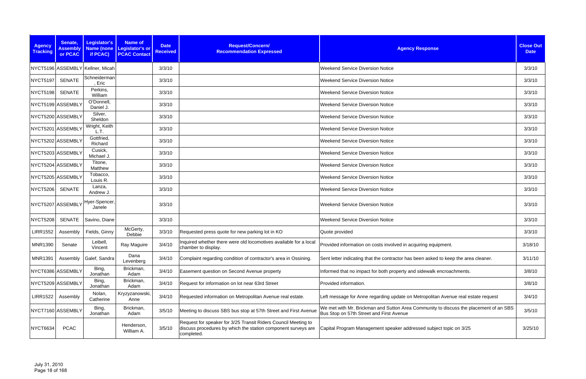| <b>Agency</b><br><b>Tracking</b> | Senate,<br><b>Assembly</b><br>or PCAC | Legislator's<br><b>Name (none</b><br>if PCAC) | <b>Name of</b><br>Legislator's or<br><b>PCAC Contact</b> | <b>Date</b><br><b>Received</b> | Request/Concern/<br><b>Recommendation Expressed</b>                                                                                           | <b>Agency Response</b>                                                                                                            | <b>Close Out</b><br><b>Date</b> |
|----------------------------------|---------------------------------------|-----------------------------------------------|----------------------------------------------------------|--------------------------------|-----------------------------------------------------------------------------------------------------------------------------------------------|-----------------------------------------------------------------------------------------------------------------------------------|---------------------------------|
|                                  |                                       | NYCT5196 ASSEMBLY Kellner, Micah              |                                                          | 3/3/10                         |                                                                                                                                               | <b>Weekend Service Diversion Notice</b>                                                                                           | 3/3/10                          |
| NYCT5197                         | <b>SENATE</b>                         | Schneiderman<br>Eric                          |                                                          | 3/3/10                         |                                                                                                                                               | <b>Weekend Service Diversion Notice</b>                                                                                           | 3/3/10                          |
| <b>NYCT5198</b>                  | <b>SENATE</b>                         | Perkins,<br>William                           |                                                          | 3/3/10                         |                                                                                                                                               | <b>Weekend Service Diversion Notice</b>                                                                                           | 3/3/10                          |
|                                  | NYCT5199 ASSEMBLY                     | O'Donnell,<br>Daniel J.                       |                                                          | 3/3/10                         |                                                                                                                                               | <b>Weekend Service Diversion Notice</b>                                                                                           | 3/3/10                          |
|                                  | NYCT5200 ASSEMBLY                     | Silver,<br>Sheldon                            |                                                          | 3/3/10                         |                                                                                                                                               | <b>Weekend Service Diversion Notice</b>                                                                                           | 3/3/10                          |
|                                  | NYCT5201 ASSEMBLY                     | Wright, Keith<br>L.T.                         |                                                          | 3/3/10                         |                                                                                                                                               | <b>Weekend Service Diversion Notice</b>                                                                                           | 3/3/10                          |
|                                  | NYCT5202 ASSEMBLY                     | Gottfried,<br>Richard                         |                                                          | 3/3/10                         |                                                                                                                                               | <b>Weekend Service Diversion Notice</b>                                                                                           | 3/3/10                          |
|                                  | NYCT5203 ASSEMBLY                     | Cusick,<br>Michael J.                         |                                                          | 3/3/10                         |                                                                                                                                               | <b>Weekend Service Diversion Notice</b>                                                                                           | 3/3/10                          |
|                                  | NYCT5204 ASSEMBLY                     | Titone,<br>Matthew                            |                                                          | 3/3/10                         |                                                                                                                                               | <b>Weekend Service Diversion Notice</b>                                                                                           | 3/3/10                          |
|                                  | NYCT5205 ASSEMBLY                     | Tobacco,<br>Louis R.                          |                                                          | 3/3/10                         |                                                                                                                                               | <b>Weekend Service Diversion Notice</b>                                                                                           | 3/3/10                          |
| <b>NYCT5206</b>                  | SENATE                                | Lanza,<br>Andrew J.                           |                                                          | 3/3/10                         |                                                                                                                                               | <b>Weekend Service Diversion Notice</b>                                                                                           | 3/3/10                          |
|                                  |                                       | INYCT5207 ASSEMBLY Hyer-Spencer,<br>Janele    |                                                          | 3/3/10                         |                                                                                                                                               | <b>Weekend Service Diversion Notice</b>                                                                                           | 3/3/10                          |
| NYCT5208                         | <b>SENATE</b>                         | Savino, Diane                                 |                                                          | 3/3/10                         |                                                                                                                                               | <b>Weekend Service Diversion Notice</b>                                                                                           | 3/3/10                          |
| <b>LIRR1552</b>                  | Assembly                              | Fields, Ginny                                 | McGerty,<br>Debbie                                       | 3/3/10                         | Requested press quote for new parking lot in KO                                                                                               | Quote provided                                                                                                                    | 3/3/10                          |
| MNR1390                          | Senate                                | Leibell,<br>Vincent                           | Ray Maguire                                              | 3/4/10                         | Inquired whether there were old locomotives available for a local<br>chamber to display.                                                      | Provided information on costs involved in acquiring equipment.                                                                    | 3/18/10                         |
| <b>MNR1391</b>                   | Assembly                              | Galef, Sandra                                 | Dana<br>Levenberg                                        | 3/4/10                         | Complaint regarding condition of contractor's area in Ossining.                                                                               | Sent letter indicating that the contractor has been asked to keep the area cleaner.                                               | 3/11/10                         |
|                                  | NYCT6386 ASSEMBLY                     | Bing,<br>Jonathan                             | Brickman,<br>Adam                                        | 3/4/10                         | Easement question on Second Avenue property                                                                                                   | Informed that no impact for both property and sidewalk encroachments.                                                             | 3/8/10                          |
|                                  | NYCT5209 ASSEMBLY                     | Bing,<br>Jonathan                             | Brickman,<br>Adam                                        | 3/4/10                         | Request for information on lot near 63rd Street                                                                                               | Provided information.                                                                                                             | 3/8/10                          |
| <b>LIRR1522</b>                  | Assembly                              | Nolan,<br>Catherine                           | Kryzyzanowski,<br>Anne                                   | 3/4/10                         | Requested information on Metropolitan Avenue real estate.                                                                                     | Left message for Anne regarding update on Metropolitan Avenue real estate request                                                 | 3/4/10                          |
|                                  | NYCT7160 ASSEMBLY                     | Bing,<br>Jonathan                             | Brickman,<br>Adam                                        | 3/5/10                         | Meeting to discuss SBS bus stop at 57th Street and First Avenue                                                                               | We met with Mr. Brickman and Sutton Area Community to discuss the placement of an SBS<br>Bus Stop on 57th Street and First Avenue | 3/5/10                          |
| <b>NYCT6634</b>                  | <b>PCAC</b>                           |                                               | Henderson,<br>William A.                                 | 3/5/10                         | Request for speaker for 3/25 Transit Riders Council Meeting to<br>discuss procedures by which the station component surveys are<br>completed. | Capital Program Management speaker addressed subject topic on 3/25                                                                | 3/25/10                         |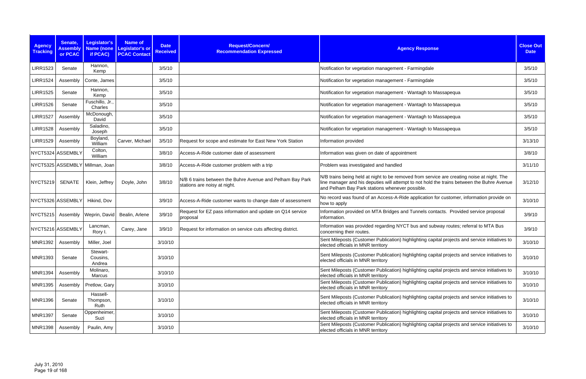| <b>Agency</b><br><b>Tracking</b> | Senate,<br><b>Assembly</b><br>or PCAC | Legislator's<br><b>Name</b> (none<br>if PCAC) | <b>Name of</b><br>Legislator's or<br><b>PCAC Contact</b> | <b>Date</b><br><b>Received</b> | Request/Concern/<br><b>Recommendation Expressed</b>                                       | <b>Agency Response</b>                                                                                                                                                                                                                      | <b>Close Out</b><br><b>Date</b> |
|----------------------------------|---------------------------------------|-----------------------------------------------|----------------------------------------------------------|--------------------------------|-------------------------------------------------------------------------------------------|---------------------------------------------------------------------------------------------------------------------------------------------------------------------------------------------------------------------------------------------|---------------------------------|
| <b>LIRR1523</b>                  | Senate                                | Hannon,<br>Kemp                               |                                                          | 3/5/10                         |                                                                                           | Notification for vegetation management - Farmingdale                                                                                                                                                                                        | 3/5/10                          |
| <b>LIRR1524</b>                  | Assembly                              | Conte, James                                  |                                                          | 3/5/10                         |                                                                                           | Notification for vegetation management - Farmingdale                                                                                                                                                                                        | 3/5/10                          |
| <b>LIRR1525</b>                  | Senate                                | Hannon,<br>Kemp                               |                                                          | 3/5/10                         |                                                                                           | Notification for vegetation management - Wantagh to Massapequa                                                                                                                                                                              | 3/5/10                          |
| <b>LIRR1526</b>                  | Senate                                | Fuschillo, Jr.,<br>Charles                    |                                                          | 3/5/10                         |                                                                                           | Notification for vegetation management - Wantagh to Massapequa                                                                                                                                                                              | 3/5/10                          |
| <b>LIRR1527</b>                  | Assembly                              | McDonough,<br>David                           |                                                          | 3/5/10                         |                                                                                           | Notification for vegetation management - Wantagh to Massapequa                                                                                                                                                                              | 3/5/10                          |
| <b>LIRR1528</b>                  | Assembly                              | Saladino,<br>Joseph                           |                                                          | 3/5/10                         |                                                                                           | Notification for vegetation management - Wantagh to Massapequa                                                                                                                                                                              | 3/5/10                          |
| <b>LIRR1529</b>                  | Assembly                              | Boyland,<br>William                           | Carver, Michael                                          | 3/5/10                         | Request for scope and estimate for East New York Station                                  | Information provided                                                                                                                                                                                                                        | 3/13/10                         |
|                                  | NYCT5324 ASSEMBLY                     | Colton,<br>William                            |                                                          | 3/8/10                         | Access-A-Ride customer date of assessment                                                 | Information was given on date of appointment                                                                                                                                                                                                | 3/8/10                          |
|                                  |                                       | NYCT5325 ASSEMBLY Millman, Joan               |                                                          | 3/8/10                         | Access-A-Ride customer problem with a trip                                                | Problem was investigated and handled                                                                                                                                                                                                        | 3/11/10                         |
| <b>NYCT5219</b>                  | <b>SENATE</b>                         | Klein, Jeffrey                                | Doyle, John                                              | 3/8/10                         | N/B 6 trains between the Buhre Avenue and Pelham Bay Park<br>stations are noisy at night. | N/B trains being held at night to be removed from service are creating noise at night. The<br>line manager and his deputies will attempt to not hold the trains between the Buhre Avenue<br>and Pelham Bay Park stations whenever possible. | 3/12/10                         |
|                                  | NYCT5326 ASSEMBLY                     | Hikind, Dov                                   |                                                          | 3/9/10                         | Access-A-Ride customer wants to change date of assessment                                 | No record was found of an Access-A-Ride application for customer, information provide on<br>how to apply                                                                                                                                    | 3/10/10                         |
| NYCT5215                         | Assembly                              | Weprin, David                                 | Bealin, Arlene                                           | 3/9/10                         | Request for EZ pass information and update on Q14 service<br>proposal                     | Information provided on MTA Bridges and Tunnels contacts. Provided service proposal<br>information.                                                                                                                                         | 3/9/10                          |
| NYCT5216 ASSEMBLY                |                                       | Lancman,<br>Rory I.                           | Carey, Jane                                              | 3/9/10                         | Request for information on service cuts affecting district.                               | Information was provided regarding NYCT bus and subway routes; referral to MTA Bus<br>concerning their routes.                                                                                                                              | 3/9/10                          |
| <b>MNR1392</b>                   | Assembly                              | Miller, Joel                                  |                                                          | 3/10/10                        |                                                                                           | Sent Mileposts (Customer Publication) highlighting capital projects and service initiatives to<br>elected officials in MNR territory                                                                                                        | 3/10/10                         |
| <b>MNR1393</b>                   | Senate                                | Stewart-<br>Cousins,<br>Andrea                |                                                          | 3/10/10                        |                                                                                           | Sent Mileposts (Customer Publication) highlighting capital projects and service initiatives to<br>elected officials in MNR territory                                                                                                        | 3/10/10                         |
| MNR1394                          | Assembly                              | Molinaro,<br>Marcus                           |                                                          | 3/10/10                        |                                                                                           | Sent Mileposts (Customer Publication) highlighting capital projects and service initiatives to<br>elected officials in MNR territory                                                                                                        | 3/10/10                         |
| <b>MNR1395</b>                   | Assembly                              | Pretlow, Gary                                 |                                                          | 3/10/10                        |                                                                                           | Sent Mileposts (Customer Publication) highlighting capital projects and service initiatives to<br>elected officials in MNR territory                                                                                                        | 3/10/10                         |
| <b>MNR1396</b>                   | Senate                                | Hassell-<br>Thompson,<br>Ruth                 |                                                          | 3/10/10                        |                                                                                           | Sent Mileposts (Customer Publication) highlighting capital projects and service initiatives to<br>elected officials in MNR territory                                                                                                        | 3/10/10                         |
| <b>MNR1397</b>                   | Senate                                | Oppenheimer,<br>Suzi                          |                                                          | 3/10/10                        |                                                                                           | Sent Mileposts (Customer Publication) highlighting capital projects and service initiatives to<br>elected officials in MNR territory                                                                                                        | 3/10/10                         |
| MNR1398                          | Assembly                              | Paulin, Amy                                   |                                                          | 3/10/10                        |                                                                                           | Sent Mileposts (Customer Publication) highlighting capital projects and service initiatives to<br>elected officials in MNR territory                                                                                                        | 3/10/10                         |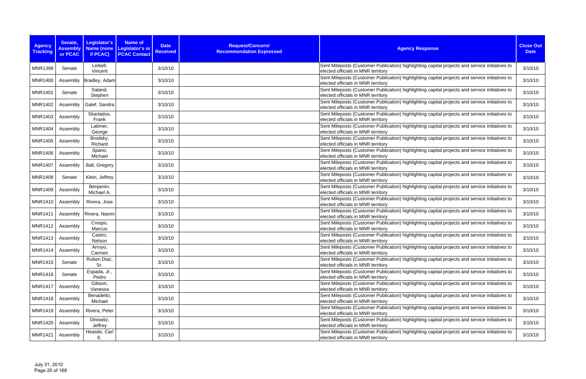| <b>Agency</b><br><b>Tracking</b> | Senate,<br><b>Assembly</b><br>or PCAC | <b>Legislator's</b><br>if PCAC) | <b>Name of</b><br><b>Date</b><br>Name (none Legislator's or<br><b>Received</b><br><b>PCAC Contact</b> | Request/Concern/<br><b>Recommendation Expressed</b> | <b>Agency Response</b>                                                                                                               | <b>Close Out</b><br><b>Date</b> |
|----------------------------------|---------------------------------------|---------------------------------|-------------------------------------------------------------------------------------------------------|-----------------------------------------------------|--------------------------------------------------------------------------------------------------------------------------------------|---------------------------------|
| <b>MNR1399</b>                   | Senate                                | Leibell,<br>Vincent             | 3/10/10                                                                                               |                                                     | Sent Mileposts (Customer Publication) highlighting capital projects and service initiatives to<br>elected officials in MNR territory | 3/10/10                         |
| <b>MNR1400</b>                   | Assembly                              | Bradley, Adam                   | 3/10/10                                                                                               |                                                     | Sent Mileposts (Customer Publication) highlighting capital projects and service initiatives to<br>elected officials in MNR territory | 3/10/10                         |
| <b>MNR1401</b>                   | Senate                                | Saland,<br>Stephen              | 3/10/10                                                                                               |                                                     | Sent Mileposts (Customer Publication) highlighting capital projects and service initiatives to<br>elected officials in MNR territory | 3/10/10                         |
| <b>MNR1402</b>                   | Assembly                              | Galef, Sandra                   | 3/10/10                                                                                               |                                                     | Sent Mileposts (Customer Publication) highlighting capital projects and service initiatives to<br>elected officials in MNR territory | 3/10/10                         |
| <b>MNR1403</b>                   | Assembly                              | Skartados,<br>Frank             | 3/10/10                                                                                               |                                                     | Sent Mileposts (Customer Publication) highlighting capital projects and service initiatives to<br>elected officials in MNR territory | 3/10/10                         |
| <b>MNR1404</b>                   | Assembly                              | Latimer,<br>George              | 3/10/10                                                                                               |                                                     | Sent Mileposts (Customer Publication) highlighting capital projects and service initiatives to<br>elected officials in MNR territory | 3/10/10                         |
| <b>MNR1405</b>                   | Assembly                              | Brodsky,<br>Richard             | 3/10/10                                                                                               |                                                     | Sent Mileposts (Customer Publication) highlighting capital projects and service initiatives to<br>elected officials in MNR territory | 3/10/10                         |
| <b>MNR1406</b>                   | Assembly                              | Spano,<br>Michael               | 3/10/10                                                                                               |                                                     | Sent Mileposts (Customer Publication) highlighting capital projects and service initiatives to<br>elected officials in MNR territory | 3/10/10                         |
| <b>MNR1407</b>                   | Assembly                              | Ball, Gregory                   | 3/10/10                                                                                               |                                                     | Sent Mileposts (Customer Publication) highlighting capital projects and service initiatives to<br>elected officials in MNR territory | 3/10/10                         |
| <b>MNR1408</b>                   | Senate                                | Klein, Jeffrey                  | 3/10/10                                                                                               |                                                     | Sent Mileposts (Customer Publication) highlighting capital projects and service initiatives to<br>elected officials in MNR territory | 3/10/10                         |
| <b>MNR1409</b>                   | Assembly                              | Benjamin,<br>Michael A.         | 3/10/10                                                                                               |                                                     | Sent Mileposts (Customer Publication) highlighting capital projects and service initiatives to<br>elected officials in MNR territory | 3/10/10                         |
| <b>MNR1410</b>                   | Assembly                              | Rivera, Jose                    | 3/10/10                                                                                               |                                                     | Sent Mileposts (Customer Publication) highlighting capital projects and service initiatives to<br>elected officials in MNR territory | 3/10/10                         |
| <b>MNR1411</b>                   | Assembly                              | Rivera, Naomi                   | 3/10/10                                                                                               |                                                     | Sent Mileposts (Customer Publication) highlighting capital projects and service initiatives to<br>elected officials in MNR territory | 3/10/10                         |
| <b>MNR1412</b>                   | Assembly                              | Crespo,<br>Marcus               | 3/10/10                                                                                               |                                                     | Sent Mileposts (Customer Publication) highlighting capital projects and service initiatives to<br>elected officials in MNR territory | 3/10/10                         |
| <b>MNR1413</b>                   | Assembly                              | Castro,<br>Nelson               | 3/10/10                                                                                               |                                                     | Sent Mileposts (Customer Publication) highlighting capital projects and service initiatives to<br>elected officials in MNR territory | 3/10/10                         |
| <b>MNR1414</b>                   | Assembly                              | Arroyo,<br>Carmen               | 3/10/10                                                                                               |                                                     | Sent Mileposts (Customer Publication) highlighting capital projects and service initiatives to<br>elected officials in MNR territory | 3/10/10                         |
| <b>MNR1415</b>                   | Senate                                | Ruben Diaz,<br>Sr.              | 3/10/10                                                                                               |                                                     | Sent Mileposts (Customer Publication) highlighting capital projects and service initiatives to<br>elected officials in MNR territory | 3/10/10                         |
| <b>MNR1416</b>                   | Senate                                | Espada, Jr.,<br>Pedro           | 3/10/10                                                                                               |                                                     | Sent Mileposts (Customer Publication) highlighting capital projects and service initiatives to<br>elected officials in MNR territory | 3/10/10                         |
| <b>MNR1417</b>                   | Assembly                              | Gibson,<br>Vanessa              | 3/10/10                                                                                               |                                                     | Sent Mileposts (Customer Publication) highlighting capital projects and service initiatives to<br>elected officials in MNR territory | 3/10/10                         |
| <b>MNR1418</b>                   | Assembly                              | Benadetto,<br>Michael           | 3/10/10                                                                                               |                                                     | Sent Mileposts (Customer Publication) highlighting capital projects and service initiatives to<br>elected officials in MNR territory | 3/10/10                         |
| <b>MNR1419</b>                   | Assembly                              | Rivera, Peter                   | 3/10/10                                                                                               |                                                     | Sent Mileposts (Customer Publication) highlighting capital projects and service initiatives to<br>elected officials in MNR territory | 3/10/10                         |
| <b>MNR1420</b>                   | Assembly                              | Dinowitz,<br>Jeffrey            | 3/10/10                                                                                               |                                                     | Sent Mileposts (Customer Publication) highlighting capital projects and service initiatives to<br>elected officials in MNR territory | 3/10/10                         |
| <b>MNR1421</b>                   | Assembly                              | Heastie, Carl<br>Ε.             | 3/10/10                                                                                               |                                                     | Sent Mileposts (Customer Publication) highlighting capital projects and service initiatives to<br>elected officials in MNR territory | 3/10/10                         |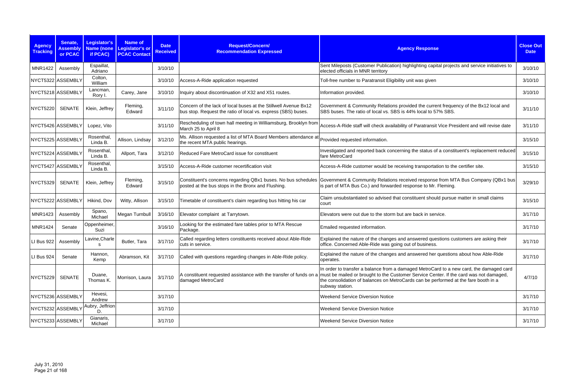| <b>Agency</b><br><b>Tracking</b> | Senate,<br><b>Assembly</b><br>or PCAC | <b>Legislator's</b><br>Name (none<br>if PCAC) | <b>Name of</b><br>Legislator's or<br><b>PCAC Contact</b> | <b>Date</b><br><b>Received</b> | Request/Concern/<br><b>Recommendation Expressed</b>                                                                              | <b>Agency Response</b>                                                                                                                                                                                                                                                                      | <b>Close Out</b><br><b>Date</b> |
|----------------------------------|---------------------------------------|-----------------------------------------------|----------------------------------------------------------|--------------------------------|----------------------------------------------------------------------------------------------------------------------------------|---------------------------------------------------------------------------------------------------------------------------------------------------------------------------------------------------------------------------------------------------------------------------------------------|---------------------------------|
| <b>MNR1422</b>                   | Assembly                              | Espaillat,<br>Adriano                         |                                                          | 3/10/10                        |                                                                                                                                  | Sent Mileposts (Customer Publication) highlighting capital projects and service initiatives to<br>elected officials in MNR territory                                                                                                                                                        | 3/10/10                         |
|                                  | NYCT5322 ASSEMBLY                     | Colton,<br>William                            |                                                          | 3/10/10                        | Access-A-Ride application requested                                                                                              | Toll-free number to Paratransit Eligibility unit was given                                                                                                                                                                                                                                  | 3/10/10                         |
|                                  | NYCT5218 ASSEMBLY                     | Lancman,<br>Rory I.                           | Carey, Jane                                              | 3/10/10                        | Inquiry about discontinuation of X32 and X51 routes.                                                                             | Information provided.                                                                                                                                                                                                                                                                       | 3/10/10                         |
| <b>NYCT5220</b>                  | <b>SENATE</b>                         | Klein, Jeffrey                                | Fleming,<br>Edward                                       | 3/11/10                        | Concern of the lack of local buses at the Stillwell Avenue Bx12<br>bus stop. Request the ratio of local vs. express (SBS) buses. | Government & Community Relations provided the current frequency of the Bx12 local and<br>SBS buses. The ratio of local vs. SBS is 44% local to 57% SBS.                                                                                                                                     | 3/11/10                         |
|                                  | NYCT5426 ASSEMBLY                     | Lopez, Vito                                   |                                                          | 3/11/10                        | Rescheduling of town hall meeting in Williamsburg, Brooklyn from<br>March 25 to April 8                                          | Access-A-Ride staff will check availability of Paratransit Vice President and will revise date                                                                                                                                                                                              | 3/11/10                         |
|                                  | NYCT5225 ASSEMBLY                     | Rosenthal<br>Linda B.                         | Allison, Lindsay                                         | 3/12/10                        | Ms. Allison requested a list of MTA Board Members attendance at<br>the recent MTA public hearings.                               | Provided requested information.                                                                                                                                                                                                                                                             | 3/15/10                         |
|                                  | NYCT5224 ASSEMBLY                     | Rosenthal,<br>Linda B.                        | Allport, Tara                                            | 3/12/10                        | Reduced Fare MetroCard issue for constituent                                                                                     | Investigated and reported back concerning the status of a constituent's replacement reduced<br>fare MetroCard                                                                                                                                                                               | 3/15/10                         |
|                                  | NYCT5427 ASSEMBLY                     | Rosenthal,<br>Linda B.                        |                                                          | 3/15/10                        | Access-A-Ride customer recertification visit                                                                                     | Access-A-Ride customer would be receiving transportation to the certifier site.                                                                                                                                                                                                             | 3/15/10                         |
| <b>NYCT5329</b>                  | <b>SENATE</b>                         | Klein, Jeffrey                                | Fleming,<br>Edward                                       | 3/15/10                        | Constituent's concerns regarding QBx1 buses. No bus schedules<br>posted at the bus stops in the Bronx and Flushing.              | Government & Community Relations received response from MTA Bus Company (QBx1 bus)<br>is part of MTA Bus Co.) and forwarded response to Mr. Fleming.                                                                                                                                        | 3/29/10                         |
|                                  | NYCT5222 ASSEMBLY                     | Hikind, Dov                                   | Witty, Allison                                           | 3/15/10                        | Timetable of constituent's claim regarding bus hitting his car                                                                   | Claim unsubstantiated so advised that constituent should pursue matter in small claims<br>court                                                                                                                                                                                             | 3/15/10                         |
| <b>MNR1423</b>                   | Assembly                              | Spano,<br>Michael                             | Megan Turnbull                                           | 3/16/10                        | Elevator complaint at Tarrytown.                                                                                                 | Elevators were out due to the storm but are back in service.                                                                                                                                                                                                                                | 3/17/10                         |
| <b>MNR1424</b>                   | Senate                                | Oppenheimer,<br>Suzi                          |                                                          | 3/16/10                        | Looking for the estimated fare tables prior to MTA Rescue<br>Package.                                                            | Emailed requested information.                                                                                                                                                                                                                                                              | 3/17/10                         |
| LI Bus 922                       | Assembly                              | Lavine,Charle                                 | Butler, Tara                                             | 3/17/10                        | Called regarding letters constituents received about Able-Ride<br>cuts in service.                                               | Explained the nature of the changes and answered questions customers are asking their<br>office. Concerned Able-Ride was going out of business.                                                                                                                                             | 3/17/10                         |
| LI Bus 924                       | Senate                                | Hannon,<br>Kemp                               | Abramson, Kit                                            | 3/17/10                        | Called with questions regarding changes in Able-Ride policy.                                                                     | Explained the nature of the changes and answered her questions about how Able-Ride<br>operates.                                                                                                                                                                                             | 3/17/10                         |
| <b>NYCT5229</b>                  | <b>SENATE</b>                         | Duane,<br>Thomas K.                           | Morrison, Laura                                          | 3/17/10                        | A constituent requested assistance with the transfer of funds on a<br>damaged MetroCard                                          | In order to transfer a balance from a damaged MetroCard to a new card, the damaged card<br>must be mailed or brought to the Customer Service Center. If the card was not damaged,<br>the consolidation of balances on MetroCards can be performed at the fare booth in a<br>subway station. | 4/7/10                          |
|                                  | NYCT5236 ASSEMBLY                     | Hevesi,<br>Andrew                             |                                                          | 3/17/10                        |                                                                                                                                  | <b>Weekend Service Diversion Notice</b>                                                                                                                                                                                                                                                     | 3/17/10                         |
|                                  | NYCT5232 ASSEMBLY                     | Aubry, Jeffrion<br>D                          |                                                          | 3/17/10                        |                                                                                                                                  | <b>Weekend Service Diversion Notice</b>                                                                                                                                                                                                                                                     | 3/17/10                         |
|                                  | NYCT5233 ASSEMBLY                     | Gianaris,<br>Michael                          |                                                          | 3/17/10                        |                                                                                                                                  | <b>Weekend Service Diversion Notice</b>                                                                                                                                                                                                                                                     | 3/17/10                         |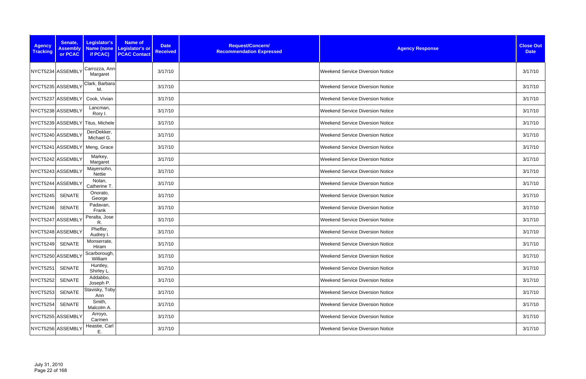| <b>Agency</b><br><b>Tracking</b> | Senate,<br><b>Assembly</b><br>or PCAC | Legislator's<br>if PCAC)         | Name of<br><b>Date</b><br>Name (none Legislator's or<br><b>Received</b><br><b>PCAC Contact</b> | Request/Concern/<br><b>Recommendation Expressed</b> | <b>Agency Response</b>                  | <b>Close Out</b><br><b>Date</b> |
|----------------------------------|---------------------------------------|----------------------------------|------------------------------------------------------------------------------------------------|-----------------------------------------------------|-----------------------------------------|---------------------------------|
|                                  | NYCT5234 ASSEMBLY                     | Carrozza, Ann<br>Margaret        | 3/17/10                                                                                        |                                                     | <b>Weekend Service Diversion Notice</b> | 3/17/10                         |
|                                  | NYCT5235 ASSEMBLY                     | Clark, Barbara<br>M.             | 3/17/10                                                                                        |                                                     | <b>Weekend Service Diversion Notice</b> | 3/17/10                         |
|                                  | NYCT5237 ASSEMBLY                     | Cook, Vivian                     | 3/17/10                                                                                        |                                                     | <b>Weekend Service Diversion Notice</b> | 3/17/10                         |
|                                  | NYCT5238 ASSEMBLY                     | Lancman,<br>Rory I.              | 3/17/10                                                                                        |                                                     | <b>Weekend Service Diversion Notice</b> | 3/17/10                         |
|                                  |                                       | NYCT5239 ASSEMBLY Titus, Michele | 3/17/10                                                                                        |                                                     | <b>Weekend Service Diversion Notice</b> | 3/17/10                         |
|                                  | NYCT5240 ASSEMBLY                     | DenDekker,<br>Michael G.         | 3/17/10                                                                                        |                                                     | Weekend Service Diversion Notice        | 3/17/10                         |
|                                  | NYCT5241 ASSEMBLY                     | Meng, Grace                      | 3/17/10                                                                                        |                                                     | <b>Weekend Service Diversion Notice</b> | 3/17/10                         |
|                                  | NYCT5242 ASSEMBLY                     | Markey,<br>Margaret              | 3/17/10                                                                                        |                                                     | Weekend Service Diversion Notice        | 3/17/10                         |
|                                  | NYCT5243 ASSEMBLY                     | Mayersohn,<br>Nettie             | 3/17/10                                                                                        |                                                     | Weekend Service Diversion Notice        | 3/17/10                         |
|                                  | NYCT5244 ASSEMBLY                     | Nolan,<br>Catherine T.           | 3/17/10                                                                                        |                                                     | <b>Weekend Service Diversion Notice</b> | 3/17/10                         |
| <b>NYCT5245</b>                  | <b>SENATE</b>                         | Onorato,<br>George               | 3/17/10                                                                                        |                                                     | <b>Weekend Service Diversion Notice</b> | 3/17/10                         |
| NYCT5246                         | <b>SENATE</b>                         | Padavan,<br>Frank                | 3/17/10                                                                                        |                                                     | <b>Weekend Service Diversion Notice</b> | 3/17/10                         |
| NYCT5247 ASSEMBLY                |                                       | Peralta, Jose<br>R.              | 3/17/10                                                                                        |                                                     | Weekend Service Diversion Notice        | 3/17/10                         |
|                                  | NYCT5248 ASSEMBLY                     | Pheffer,<br>Audrey I.            | 3/17/10                                                                                        |                                                     | Weekend Service Diversion Notice        | 3/17/10                         |
| NYCT5249 SENATE                  |                                       | Monserrate,<br>Hiram             | 3/17/10                                                                                        |                                                     | <b>Weekend Service Diversion Notice</b> | 3/17/10                         |
|                                  | NYCT5250 ASSEMBLY                     | Scarborough,<br>William          | 3/17/10                                                                                        |                                                     | <b>Weekend Service Diversion Notice</b> | 3/17/10                         |
| NYCT5251                         | <b>SENATE</b>                         | Huntley,<br>Shirley L.           | 3/17/10                                                                                        |                                                     | Weekend Service Diversion Notice        | 3/17/10                         |
| NYCT5252                         | <b>SENATE</b>                         | Addabbo,<br>Joseph P.            | 3/17/10                                                                                        |                                                     | <b>Weekend Service Diversion Notice</b> | 3/17/10                         |
| NYCT5253                         | <b>SENATE</b>                         | Stavisky, Toby<br>Ann            | 3/17/10                                                                                        |                                                     | <b>Weekend Service Diversion Notice</b> | 3/17/10                         |
| NYCT5254                         | <b>SENATE</b>                         | Smith,<br>Malcolm A.             | 3/17/10                                                                                        |                                                     | <b>Weekend Service Diversion Notice</b> | 3/17/10                         |
|                                  | NYCT5255 ASSEMBLY                     | Arroyo,<br>Carmen                | 3/17/10                                                                                        |                                                     | <b>Weekend Service Diversion Notice</b> | 3/17/10                         |
|                                  | NYCT5256 ASSEMBLY                     | Heastie, Carl<br>Ε.              | 3/17/10                                                                                        |                                                     | <b>Weekend Service Diversion Notice</b> | 3/17/10                         |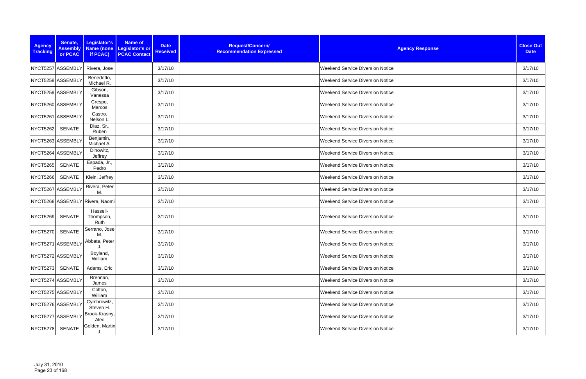| <b>Agency</b><br><b>Tracking</b> | Senate,<br><b>Assembly</b><br>or PCAC | Legislator's<br>if PCAC)        | <b>Name of</b><br>Name (none Legislator's or<br><b>PCAC Contact</b> | <b>Date</b><br><b>Received</b> | Request/Concern/<br><b>Recommendation Expressed</b> | <b>Agency Response</b>                  | <b>Close Out</b><br><b>Date</b> |
|----------------------------------|---------------------------------------|---------------------------------|---------------------------------------------------------------------|--------------------------------|-----------------------------------------------------|-----------------------------------------|---------------------------------|
|                                  | NYCT5257 ASSEMBLY                     | Rivera, Jose                    |                                                                     | 3/17/10                        |                                                     | <b>Weekend Service Diversion Notice</b> | 3/17/10                         |
|                                  | NYCT5258 ASSEMBLY                     | Benedetto,<br>Michael R.        |                                                                     | 3/17/10                        |                                                     | <b>Weekend Service Diversion Notice</b> | 3/17/10                         |
|                                  | NYCT5259 ASSEMBLY                     | Gibson,<br>Vanessa              |                                                                     | 3/17/10                        |                                                     | <b>Weekend Service Diversion Notice</b> | 3/17/10                         |
|                                  | NYCT5260 ASSEMBLY                     | Crespo,<br>Marcos               |                                                                     | 3/17/10                        |                                                     | <b>Weekend Service Diversion Notice</b> | 3/17/10                         |
|                                  | NYCT5261 ASSEMBLY                     | Castro,<br>Nelson L             |                                                                     | 3/17/10                        |                                                     | <b>Weekend Service Diversion Notice</b> | 3/17/10                         |
| <b>NYCT5262</b>                  | SENATE                                | Diaz, Sr.,<br>Ruben             |                                                                     | 3/17/10                        |                                                     | <b>Weekend Service Diversion Notice</b> | 3/17/10                         |
|                                  | NYCT5263 ASSEMBLY                     | Benjamin,<br>Michael A.         |                                                                     | 3/17/10                        |                                                     | <b>Weekend Service Diversion Notice</b> | 3/17/10                         |
|                                  | NYCT5264 ASSEMBLY                     | Dinowitz,<br>Jeffrey            |                                                                     | 3/17/10                        |                                                     | <b>Weekend Service Diversion Notice</b> | 3/17/10                         |
| <b>NYCT5265</b>                  | <b>SENATE</b>                         | Espada, Jr.,<br>Pedro           |                                                                     | 3/17/10                        |                                                     | <b>Weekend Service Diversion Notice</b> | 3/17/10                         |
| <b>NYCT5266</b>                  | SENATE                                | Klein, Jeffrey                  |                                                                     | 3/17/10                        |                                                     | <b>Weekend Service Diversion Notice</b> | 3/17/10                         |
|                                  | NYCT5267 ASSEMBLY                     | Rivera, Peter<br>M.             |                                                                     | 3/17/10                        |                                                     | <b>Weekend Service Diversion Notice</b> | 3/17/10                         |
|                                  |                                       | NYCT5268 ASSEMBLY Rivera, Naomi |                                                                     | 3/17/10                        |                                                     | <b>Weekend Service Diversion Notice</b> | 3/17/10                         |
| <b>NYCT5269</b>                  | SENATE                                | Hassell-<br>Thompson,<br>Ruth   |                                                                     | 3/17/10                        |                                                     | <b>Weekend Service Diversion Notice</b> | 3/17/10                         |
| <b>NYCT5270</b>                  | <b>SENATE</b>                         | Serrano, Jose<br>М.             |                                                                     | 3/17/10                        |                                                     | <b>Weekend Service Diversion Notice</b> | 3/17/10                         |
|                                  | NYCT5271 ASSEMBLY                     | Abbate, Peter<br>J.             |                                                                     | 3/17/10                        |                                                     | <b>Weekend Service Diversion Notice</b> | 3/17/10                         |
|                                  | NYCT5272 ASSEMBLY                     | Boyland,<br>William             |                                                                     | 3/17/10                        |                                                     | <b>Weekend Service Diversion Notice</b> | 3/17/10                         |
| <b>NYCT5273</b>                  | SENATE                                | Adams, Eric                     |                                                                     | 3/17/10                        |                                                     | <b>Weekend Service Diversion Notice</b> | 3/17/10                         |
|                                  | NYCT5274 ASSEMBLY                     | Brennan,<br>James               |                                                                     | 3/17/10                        |                                                     | <b>Weekend Service Diversion Notice</b> | 3/17/10                         |
|                                  | NYCT5275 ASSEMBLY                     | Colton,<br>William              |                                                                     | 3/17/10                        |                                                     | <b>Weekend Service Diversion Notice</b> | 3/17/10                         |
|                                  | NYCT5276 ASSEMBLY                     | Cymbrowitz,<br>Steven H.        |                                                                     | 3/17/10                        |                                                     | <b>Weekend Service Diversion Notice</b> | 3/17/10                         |
|                                  | NYCT5277 ASSEMBLY                     | Brook-Krasny,<br>Alec           |                                                                     | 3/17/10                        |                                                     | <b>Weekend Service Diversion Notice</b> | 3/17/10                         |
| <b>NYCT5278</b>                  | <b>SENATE</b>                         | Golden, Martin                  |                                                                     | 3/17/10                        |                                                     | <b>Weekend Service Diversion Notice</b> | 3/17/10                         |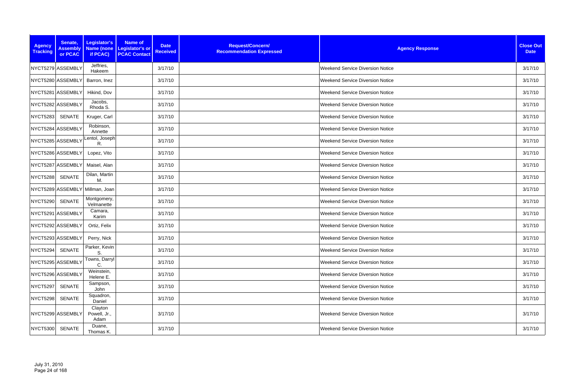| <b>Agency</b><br><b>Tracking</b> | Senate,<br><b>Assembly</b><br>or PCAC | Legislator's<br>Name (none<br>if PCAC) | Name of<br><b>Date</b><br>Legislator's or<br><b>Received</b><br><b>PCAC Contact</b> | Request/Concern/<br><b>Recommendation Expressed</b> | <b>Agency Response</b>                  | <b>Close Out</b><br><b>Date</b> |
|----------------------------------|---------------------------------------|----------------------------------------|-------------------------------------------------------------------------------------|-----------------------------------------------------|-----------------------------------------|---------------------------------|
|                                  | NYCT5279 ASSEMBLY                     | Jeffries,<br>Hakeem                    | 3/17/10                                                                             |                                                     | <b>Weekend Service Diversion Notice</b> | 3/17/10                         |
|                                  | NYCT5280 ASSEMBLY                     | Barron, Inez                           | 3/17/10                                                                             |                                                     | <b>Weekend Service Diversion Notice</b> | 3/17/10                         |
|                                  | NYCT5281 ASSEMBLY                     | Hikind, Dov                            | 3/17/10                                                                             |                                                     | <b>Weekend Service Diversion Notice</b> | 3/17/10                         |
|                                  | NYCT5282 ASSEMBLY                     | Jacobs,<br>Rhoda S.                    | 3/17/10                                                                             |                                                     | <b>Weekend Service Diversion Notice</b> | 3/17/10                         |
| <b>NYCT5283</b>                  | SENATE                                | Kruger, Carl                           | 3/17/10                                                                             |                                                     | <b>Weekend Service Diversion Notice</b> | 3/17/10                         |
|                                  | NYCT5284 ASSEMBLY                     | Robinson,<br>Annette                   | 3/17/10                                                                             |                                                     | <b>Weekend Service Diversion Notice</b> | 3/17/10                         |
|                                  | NYCT5285 ASSEMBLY                     | entol, Joseph<br>R.                    | 3/17/10                                                                             |                                                     | <b>Weekend Service Diversion Notice</b> | 3/17/10                         |
|                                  | NYCT5286 ASSEMBLY                     | Lopez, Vito                            | 3/17/10                                                                             |                                                     | <b>Weekend Service Diversion Notice</b> | 3/17/10                         |
|                                  | NYCT5287 ASSEMBLY                     | Maisel, Alan                           | 3/17/10                                                                             |                                                     | <b>Weekend Service Diversion Notice</b> | 3/17/10                         |
| <b>NYCT5288</b>                  | <b>SENATE</b>                         | Dilan, Martin<br>М.                    | 3/17/10                                                                             |                                                     | <b>Weekend Service Diversion Notice</b> | 3/17/10                         |
|                                  |                                       | NYCT5289 ASSEMBLY Millman, Joan        | 3/17/10                                                                             |                                                     | <b>Weekend Service Diversion Notice</b> | 3/17/10                         |
| <b>NYCT5290</b>                  | <b>SENATE</b>                         | Montgomery,<br>Velmanette              | 3/17/10                                                                             |                                                     | <b>Weekend Service Diversion Notice</b> | 3/17/10                         |
|                                  | NYCT5291 ASSEMBLY                     | Camara,<br>Karim                       | 3/17/10                                                                             |                                                     | Weekend Service Diversion Notice        | 3/17/10                         |
|                                  | NYCT5292 ASSEMBLY                     | Ortiz, Felix                           | 3/17/10                                                                             |                                                     | Weekend Service Diversion Notice        | 3/17/10                         |
|                                  | NYCT5293 ASSEMBLY                     | Perry, Nick                            | 3/17/10                                                                             |                                                     | <b>Weekend Service Diversion Notice</b> | 3/17/10                         |
| NYCT5294                         | <b>SENATE</b>                         | Parker, Kevin                          | 3/17/10                                                                             |                                                     | <b>Weekend Service Diversion Notice</b> | 3/17/10                         |
|                                  | NYCT5295 ASSEMBLY                     | Towns, Darryl<br>С                     | 3/17/10                                                                             |                                                     | <b>Weekend Service Diversion Notice</b> | 3/17/10                         |
|                                  | NYCT5296 ASSEMBLY                     | Weinstein,<br>Helene E.                | 3/17/10                                                                             |                                                     | Weekend Service Diversion Notice        | 3/17/10                         |
| <b>NYCT5297</b>                  | <b>SENATE</b>                         | Sampson,<br>John                       | 3/17/10                                                                             |                                                     | <b>Weekend Service Diversion Notice</b> | 3/17/10                         |
| <b>NYCT5298</b>                  | SENATE                                | Squadron,<br>Daniel                    | 3/17/10                                                                             |                                                     | <b>Weekend Service Diversion Notice</b> | 3/17/10                         |
|                                  | NYCT5299 ASSEMBLY                     | Clayton<br>Powell, Jr.,<br>Adam        | 3/17/10                                                                             |                                                     | <b>Weekend Service Diversion Notice</b> | 3/17/10                         |
| NYCT5300                         | SENATE                                | Duane,<br>Thomas K.                    | 3/17/10                                                                             |                                                     | <b>Weekend Service Diversion Notice</b> | 3/17/10                         |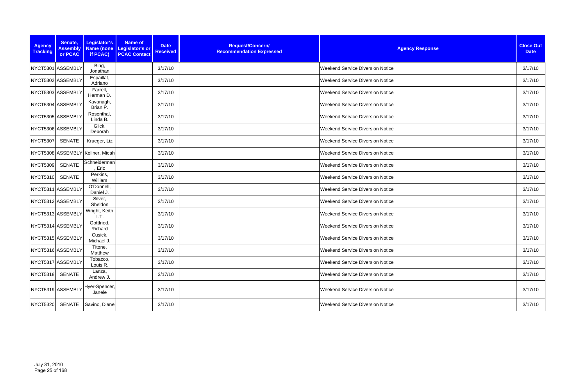| <b>Agency</b><br><b>Tracking</b> | Senate,<br><b>Assembly</b><br>or PCAC | Legislator's<br><b>Name (none</b><br>if PCAC) | Name of<br>Legislator's or<br><b>PCAC Contact</b> | <b>Date</b><br><b>Received</b> | Request/Concern/<br><b>Recommendation Expressed</b> | <b>Agency Response</b>                  | <b>Close Out</b><br><b>Date</b> |
|----------------------------------|---------------------------------------|-----------------------------------------------|---------------------------------------------------|--------------------------------|-----------------------------------------------------|-----------------------------------------|---------------------------------|
| NYCT5301 ASSEMBLY                |                                       | Bing,<br>Jonathan                             |                                                   | 3/17/10                        |                                                     | <b>Weekend Service Diversion Notice</b> | 3/17/10                         |
| NYCT5302 ASSEMBLY                |                                       | Espaillat,<br>Adriano                         |                                                   | 3/17/10                        |                                                     | <b>Weekend Service Diversion Notice</b> | 3/17/10                         |
| NYCT5303 ASSEMBLY                |                                       | Farrell,<br>Herman D.                         |                                                   | 3/17/10                        |                                                     | <b>Weekend Service Diversion Notice</b> | 3/17/10                         |
| NYCT5304 ASSEMBLY                |                                       | Kavanagh,<br>Brian P.                         |                                                   | 3/17/10                        |                                                     | <b>Weekend Service Diversion Notice</b> | 3/17/10                         |
| NYCT5305 ASSEMBLY                |                                       | Rosenthal,<br>Linda B.                        |                                                   | 3/17/10                        |                                                     | <b>Weekend Service Diversion Notice</b> | 3/17/10                         |
| NYCT5306 ASSEMBLY                |                                       | Glick,<br>Deborah                             |                                                   | 3/17/10                        |                                                     | <b>Weekend Service Diversion Notice</b> | 3/17/10                         |
| NYCT5307                         | SENATE                                | Krueger, Liz                                  |                                                   | 3/17/10                        |                                                     | <b>Weekend Service Diversion Notice</b> | 3/17/10                         |
|                                  |                                       | NYCT5308 ASSEMBLY Kellner, Micah              |                                                   | 3/17/10                        |                                                     | <b>Weekend Service Diversion Notice</b> | 3/17/10                         |
| <b>NYCT5309</b>                  | <b>SENATE</b>                         | Schneiderman<br>Eric                          |                                                   | 3/17/10                        |                                                     | <b>Weekend Service Diversion Notice</b> | 3/17/10                         |
| <b>NYCT5310</b>                  | <b>SENATE</b>                         | Perkins,<br>William                           |                                                   | 3/17/10                        |                                                     | <b>Weekend Service Diversion Notice</b> | 3/17/10                         |
| NYCT5311 ASSEMBLY                |                                       | O'Donnell,<br>Daniel J.                       |                                                   | 3/17/10                        |                                                     | <b>Weekend Service Diversion Notice</b> | 3/17/10                         |
| NYCT5312 ASSEMBLY                |                                       | Silver,<br>Sheldon                            |                                                   | 3/17/10                        |                                                     | <b>Weekend Service Diversion Notice</b> | 3/17/10                         |
| NYCT5313 ASSEMBLY                |                                       | Wright, Keith<br>L.T.                         |                                                   | 3/17/10                        |                                                     | <b>Weekend Service Diversion Notice</b> | 3/17/10                         |
| NYCT5314 ASSEMBLY                |                                       | Gottfried,<br>Richard                         |                                                   | 3/17/10                        |                                                     | <b>Weekend Service Diversion Notice</b> | 3/17/10                         |
| NYCT5315 ASSEMBLY                |                                       | Cusick,<br>Michael J.                         |                                                   | 3/17/10                        |                                                     | <b>Weekend Service Diversion Notice</b> | 3/17/10                         |
| NYCT5316 ASSEMBLY                |                                       | Titone,<br>Matthew                            |                                                   | 3/17/10                        |                                                     | Weekend Service Diversion Notice        | 3/17/10                         |
| NYCT5317 ASSEMBLY                |                                       | Tobacco,<br>Louis R.                          |                                                   | 3/17/10                        |                                                     | <b>Weekend Service Diversion Notice</b> | 3/17/10                         |
| NYCT5318 SENATE                  |                                       | Lanza,<br>Andrew J.                           |                                                   | 3/17/10                        |                                                     | <b>Weekend Service Diversion Notice</b> | 3/17/10                         |
| NYCT5319 ASSEMBLY                |                                       | Hyer-Spencer,<br>Janele                       |                                                   | 3/17/10                        |                                                     | <b>Weekend Service Diversion Notice</b> | 3/17/10                         |
| <b>NYCT5320</b>                  | SENATE                                | Savino, Diane                                 |                                                   | 3/17/10                        |                                                     | <b>Weekend Service Diversion Notice</b> | 3/17/10                         |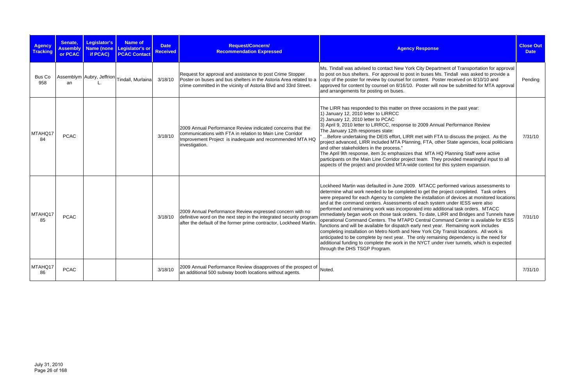| <b>Agency</b><br><b>Tracking</b> | Senate,<br><b>Assembly</b><br>or PCAC | <b>Legislator's</b><br>if PCAC) | Name of<br>Name (none Legislator's or<br><b>PCAC Contact</b> | <b>Date</b><br><b>Received</b> | Request/Concern/<br><b>Recommendation Expressed</b>                                                                                                                                                   | <b>Agency Response</b>                                                                                                                                                                                                                                                                                                                                                                                                                                                                                                                                                                                                                                                                                                                                                                                                                                                                                                                                                                                                                       | <b>Close Out</b><br><b>Date</b> |
|----------------------------------|---------------------------------------|---------------------------------|--------------------------------------------------------------|--------------------------------|-------------------------------------------------------------------------------------------------------------------------------------------------------------------------------------------------------|----------------------------------------------------------------------------------------------------------------------------------------------------------------------------------------------------------------------------------------------------------------------------------------------------------------------------------------------------------------------------------------------------------------------------------------------------------------------------------------------------------------------------------------------------------------------------------------------------------------------------------------------------------------------------------------------------------------------------------------------------------------------------------------------------------------------------------------------------------------------------------------------------------------------------------------------------------------------------------------------------------------------------------------------|---------------------------------|
| Bus Co<br>958                    | an                                    | $\mathbf{L}$                    | Assemblym Aubry, Jeffrion Tindall, Murlaina                  | 3/18/10                        | Request for approval and assistance to post Crime Stopper<br>Poster on buses and bus shelters in the Astoria Area related to a<br>crime committed in the vicinity of Astoria Blvd and 33rd Street.    | Ms. Tindall was advised to contact New York City Department of Transportation for approval<br>to post on bus shelters. For approval to post in buses Ms. Tindall was asked to provide a<br>copy of the poster for review by counsel for content. Poster received on 8/10/10 and<br>approved for content by counsel on 8/16/10. Poster will now be submitted for MTA approval<br>and arrangements for posting on buses.                                                                                                                                                                                                                                                                                                                                                                                                                                                                                                                                                                                                                       | Pending                         |
| MTAHQ17<br>84                    | <b>PCAC</b>                           |                                 |                                                              | 3/18/10                        | 2009 Annual Performance Review indicated concerns that the<br>communications with FTA in relation to Main Line Corridor<br>Improvement Project is inadequate and recommended MTA HQ<br>investigation. | The LIRR has responded to this matter on three occasions in the past year:<br>1) January 12, 2010 letter to LIRRCC<br>2) January 12, 2010 letter to PCAC<br>3) April 9, 2010 letter to LIRRCC, response to 2009 Annual Performance Review<br>The January 12th responses state:<br>Before undertaking the DEIS effort, LIRR met with FTA to discuss the project. As the<br>project advanced, LIRR included MTA Planning, FTA, other State agencies, local politicians<br>and other stakeholders in the process."<br>The April 9th response, item 3c emphasizes that MTA HQ Planning Staff were active<br>participants on the Main Line Corridor project team. They provided meaningful input to all<br>aspects of the project and provided MTA-wide context for this system expansion.                                                                                                                                                                                                                                                        | 7/31/10                         |
| MTAHQ17<br>85                    | <b>PCAC</b>                           |                                 |                                                              | 3/18/10                        | 2009 Annual Performance Review expressed concern with no<br>definitive word on the next step in the integrated security progran<br>after the default of the former prime contractor, Lockheed Martin. | Lockheed Martin was defaulted in June 2009. MTACC performed various assessments to<br>determine what work needed to be completed to get the project completed. Task orders<br>were prepared for each Agency to complete the installation of devices at monitored locations<br>and at the command centers. Assessments of each system under IESS were also<br>performed and remaining work was incorporated into additional task orders. MTACC<br>immediately began work on those task orders. To date, LIRR and Bridges and Tunnels have<br>operational Command Centers. The MTAPD Central Command Center is available for IESS<br>functions and will be available for dispatch early next year. Remaining work includes<br>completing installation on Metro North and New York City Transit locations. All work is<br>anticipated to be complete by next year. The only remaining dependency is the need for<br>additional funding to complete the work in the NYCT under river tunnels, which is expected<br>through the DHS TSGP Program. | 7/31/10                         |
| MTAHQ17<br>86                    | <b>PCAC</b>                           |                                 |                                                              | 3/18/10                        | 2009 Annual Performance Review disapproves of the prospect of<br>an additional 500 subway booth locations without agents.                                                                             | Noted.                                                                                                                                                                                                                                                                                                                                                                                                                                                                                                                                                                                                                                                                                                                                                                                                                                                                                                                                                                                                                                       | 7/31/10                         |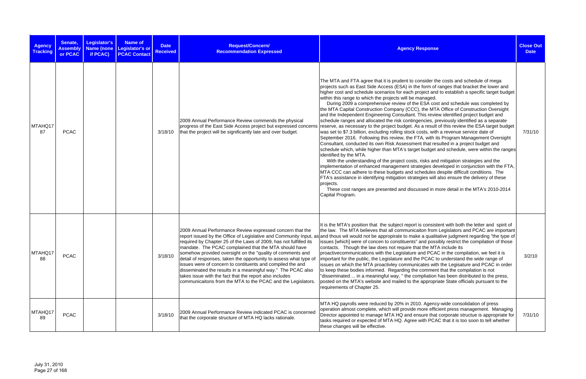| <b>Agency</b><br><b>Tracking</b> | Senate,<br><b>Assembly</b><br>or PCAC | Legislator's<br>if PCAC) | <b>Name of</b><br>Name (none Legislator's or<br><b>PCAC Contact</b> | <b>Date</b><br><b>Received</b> | Request/Concern/<br><b>Recommendation Expressed</b>                                                                                                                                                                                                                                                                                                                                                                                                                                                                                                                                 | <b>Agency Response</b>                                                                                                                                                                                                                                                                                                                                                                                                                                                                                                                                                                                                                                                                                                                                                                                                                                                                                                                                                                                                                                                                                                                                                                                                                                                                                                                                                                                                                                                                                                                                                                                                                                                                                               | <b>Close Out</b><br><b>Date</b> |
|----------------------------------|---------------------------------------|--------------------------|---------------------------------------------------------------------|--------------------------------|-------------------------------------------------------------------------------------------------------------------------------------------------------------------------------------------------------------------------------------------------------------------------------------------------------------------------------------------------------------------------------------------------------------------------------------------------------------------------------------------------------------------------------------------------------------------------------------|----------------------------------------------------------------------------------------------------------------------------------------------------------------------------------------------------------------------------------------------------------------------------------------------------------------------------------------------------------------------------------------------------------------------------------------------------------------------------------------------------------------------------------------------------------------------------------------------------------------------------------------------------------------------------------------------------------------------------------------------------------------------------------------------------------------------------------------------------------------------------------------------------------------------------------------------------------------------------------------------------------------------------------------------------------------------------------------------------------------------------------------------------------------------------------------------------------------------------------------------------------------------------------------------------------------------------------------------------------------------------------------------------------------------------------------------------------------------------------------------------------------------------------------------------------------------------------------------------------------------------------------------------------------------------------------------------------------------|---------------------------------|
| MTAHQ17<br>87                    | <b>PCAC</b>                           |                          |                                                                     | 3/18/10                        | 2009 Annual Performance Review commends the physical<br>progress of the East Side Access project but expressed concerns<br>that the project will be significantly late and over budget.                                                                                                                                                                                                                                                                                                                                                                                             | The MTA and FTA agree that it is prudent to consider the costs and schedule of mega<br>projects such as East Side Access (ESA) in the form of ranges that bracket the lower and<br>higher cost and schedule scenarios for each project and to establish a specific target budget<br>within this range to which the projects will be managed.<br>During 2009 a comprehensive review of the ESA cost and schedule was completed by<br>the MTA Capital Construction Company (CCC), the MTA Office of Construction Oversight<br>and the Independent Engineering Consultant. This review identified project budget and<br>schedule ranges and allocated the risk contingencies, previously identified as a separate<br>reserve, as necessary to the project budget. As a result of this review the ESA target budget<br>was set to \$7.3 billion, excluding rolling stock costs, with a revenue service date of<br>September 2016. Following this review, the FTA, with its Program Management Oversight<br>Consultant, conducted its own Risk Assessment that resulted in a project budget and<br>schedule which, while higher than MTA's target budget and schedule, were within the ranges<br>identified by the MTA.<br>With the understanding of the project costs, risks and mitigation strategies and the<br>implementation of enhanced management strategies developed in conjunction with the FTA,<br>MTA CCC can adhere to these budgets and schedules despite difficult conditions. The<br>FTA's assistance in identifying mitigation strategies will also ensure the delivery of these<br>projects.<br>These cost ranges are presented and discussed in more detail in the MTA's 2010-2014<br>Capital Program. | 7/31/10                         |
| MTAHQ17<br>88                    | <b>PCAC</b>                           |                          |                                                                     | 3/18/10                        | 2009 Annual Performance Review expressed concern that the<br>required by Chapter 25 of the Laws of 2009, has not fulfilled its<br>mandate. The PCAC complained that the MTA should have<br>somehow provided oversight on the "quality of comments and<br>detail of responses, taken the opportunity to assess what type of<br>issues were of concern to contituents and compiled the and<br>disseminated the results in a meaningful way." The PCAC also<br>takes issue with the fact that the report also includes<br>communicaitons from the MTA to the PCAC and the Legislators. | It is the MTA's position that the subject report is consistent with both the letter and spirit of<br>the law. The MTA believes that all communicaiton from Legislators and PCAC are important<br>report issued by the Office of Legislative and Community Input, as and thous wit would not be appropirate to make a qualitative judgment regarding "the type of<br>issues [which] were of concen to constituents" and possibly restrict the compilation of those<br>contacts. Though the law does not require that the MTA include its<br>proactivecommunications with the Legislature and PCAC in the compilation, we feel it is<br>important for the public, the Legislature and the PCAC to understand the wide range of<br>issues on which the MTA proactivley communicates with the Legisature and PCAC in order<br>to keep these bodies informed. Regarding the comment that the compilation is not<br>"disseminated  in a meaningful way, " the compliation has been distributed to the press,<br>posted on the MTA's website and mailed to the appropriate State officials pursuant to the<br>requirements of Chapter 25.                                                                                                                                                                                                                                                                                                                                                                                                                                                                                                                                                                                   | 3/2/10                          |
| MTAHQ17<br>89                    | <b>PCAC</b>                           |                          |                                                                     | 3/18/10                        | 2009 Annual Performance Review indicated PCAC is concerned<br>that the corporate structure of MTA HQ lacks rationale.                                                                                                                                                                                                                                                                                                                                                                                                                                                               | MTA HQ payrolls were reduced by 20% in 2010. Agency-wide consolidation of press<br>operation almost complete, which will provide more efficient press management. Managing<br>Director appointed to manage MTA HQ and ensure that corporate structue is appropriate for<br>tasks required or expected of MTA HQ. Agree with PCAC that it is too soon to tell whether<br>these changes will be effective.                                                                                                                                                                                                                                                                                                                                                                                                                                                                                                                                                                                                                                                                                                                                                                                                                                                                                                                                                                                                                                                                                                                                                                                                                                                                                                             | 7/31/10                         |

| nse                                                                                                                                                                                                                                                                                                                                                                                                                                                                                                                                                                                                                                                                                                       | <b>Close Out</b><br><b>Date</b> |
|-----------------------------------------------------------------------------------------------------------------------------------------------------------------------------------------------------------------------------------------------------------------------------------------------------------------------------------------------------------------------------------------------------------------------------------------------------------------------------------------------------------------------------------------------------------------------------------------------------------------------------------------------------------------------------------------------------------|---------------------------------|
| r the costs and schedule of mega<br>of ranges that bracket the lower and<br>and to establish a specific target budget<br>эd.<br>cost and schedule was completed by<br>MTA Office of Construction Oversight<br>view identified project budget and<br>s, previously identified as a separate<br>sult of this review the ESA target budget<br>with a revenue service date of<br>th its Program Management Oversight<br>resulted in a project budget and<br>jet and schedule, were within the ranges<br>and mitigation strategies and the<br>developed in conjunction with the FTA,<br>es despite difficult conditions. The<br>vill also ensure the delivery of these<br>n more detail in the MTA's 2010-2014 | 7/31/10                         |
| sistent with both the letter and spirit of<br>om Legislators and PCAC are important<br>alitative judgment regarding "the type of<br>ossibly restrict the compilation of those<br>MTA include its<br>CAC in the compilation, we feel it is<br>C to understand the wide range of<br>with the Legisature and PCAC in order<br>ent that the compilation is not<br>on has been distributed to the press,<br>opriate State officials pursuant to the                                                                                                                                                                                                                                                            | 3/2/10                          |
| ency-wide consolidation of press<br>efficient press management. Managing<br>hat corporate structue is appropriate for<br>CAC that it is too soon to tell whether                                                                                                                                                                                                                                                                                                                                                                                                                                                                                                                                          | 7/31/10                         |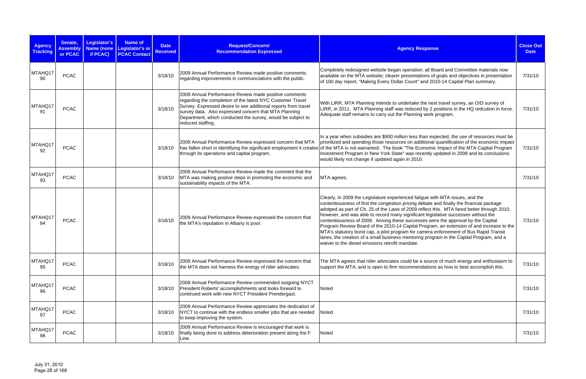| <b>Agency</b><br><b>Tracking</b> | Senate,<br><b>Assembly</b><br>or PCAC | Legislator's<br><b>Name (none</b><br>if PCAC) | <b>Name of</b><br><b>Legislator's or</b><br><b>PCAC Contact</b> | <b>Date</b><br><b>Received</b> | Request/Concern/<br><b>Recommendation Expressed</b>                                                                                                                                                                                                                                                                                | <b>Agency Response</b>                                                                                                                                                                                                                                                                                                                                                                                                                                                                                                                                                                                                                                                                                                                                                              | <b>Close Out</b><br><b>Date</b> |
|----------------------------------|---------------------------------------|-----------------------------------------------|-----------------------------------------------------------------|--------------------------------|------------------------------------------------------------------------------------------------------------------------------------------------------------------------------------------------------------------------------------------------------------------------------------------------------------------------------------|-------------------------------------------------------------------------------------------------------------------------------------------------------------------------------------------------------------------------------------------------------------------------------------------------------------------------------------------------------------------------------------------------------------------------------------------------------------------------------------------------------------------------------------------------------------------------------------------------------------------------------------------------------------------------------------------------------------------------------------------------------------------------------------|---------------------------------|
| MTAHQ17<br>90                    | <b>PCAC</b>                           |                                               |                                                                 | 3/18/10                        | 2009 Annual Performance Review made positive comments<br>regarding improvements in communciations with the public.                                                                                                                                                                                                                 | Completely redesigned website began operation; all Board and Committee materials now<br>available on the MTA website; clearer presentations of goals and objectives in presentation<br>of 100 day report, "Making Every Dollar Count" and 2010-14 Capital Plan summary.                                                                                                                                                                                                                                                                                                                                                                                                                                                                                                             | 7/31/10                         |
| MTAHQ17<br>91                    | <b>PCAC</b>                           |                                               |                                                                 | 3/18/10                        | 2009 Annual Performance Review made positive comments<br>regarding the completion of the latest NYC Customer Travel<br>Survey. Expressed desire to see additional reports from travel<br>survey data. Also expressed concern that MTA Planning<br>Department, which conducted the survey, would be subject to<br>reduced staffing. | With LIRR, MTA Planning intends to undertake the next travel survey, an O/D survey of<br>LIRR, in 2011. MTA Planning staff was reduced by 2 positions in the HQ redcution in force.<br>Adequate staff remains to carry out the Planning work program.                                                                                                                                                                                                                                                                                                                                                                                                                                                                                                                               | 7/31/10                         |
| MTAHQ17<br>92                    | <b>PCAC</b>                           |                                               |                                                                 | 3/18/10                        | 2009 Annual Performance Review expressed concern that MTA<br>through its operations and capital program.                                                                                                                                                                                                                           | In a year when subsidies are \$900 million less than expected, the use of resources must be<br>prioritized and spending those resources on additional quantification of the economic impact<br>has fallen short in identifying the significant employment it creates of the MTA is not warranted. The book "The Economic Impact of the MTA Captial Program<br>Investment Program in New York State" was recently updated in 2008 and its conclusions<br>would likely not change if updated again in 2010.                                                                                                                                                                                                                                                                           | 7/31/10                         |
| MTAHQ17<br>93                    | <b>PCAC</b>                           |                                               |                                                                 | 3/18/10                        | 2009 Annual Performance Review made the comment that the<br>MTA was making positve steps in promoting the economic and<br>sustainability impacts of the MTA.                                                                                                                                                                       | MTA agrees.                                                                                                                                                                                                                                                                                                                                                                                                                                                                                                                                                                                                                                                                                                                                                                         | 7/31/10                         |
| MTAHQ17<br>94                    | <b>PCAC</b>                           |                                               |                                                                 | 3/18/10                        | 2009 Annual Performance Review expressed the concern that<br>the MTA's reputation in Albany is poor.                                                                                                                                                                                                                               | Clearly, in 2009 the Legislature experienced fatigue with MTA issues, and the<br>contentiousness of first the congestion pricing debate and finally the financial package<br>adotped as part of Ch. 25 of the Laws of 2009 reflect this. MTA fared better through 2010,<br>however, and was able to record many significant legislative successes without the<br>contentiousness of 2009. Among these successes were the approval by the Capital<br>Program Review Board of the 2010-14 Capital Program, an extension of and increase to the<br>MTA's statutory bond cap, a pilot program for camera enforcement of Bus Rapid Transit<br>lanes, the creation of a small business mentoring program in the Capital Program, and a<br>waiver to the diesel emssions retrofit mandate. | 7/31/10                         |
| MTAHQ17<br>95                    | <b>PCAC</b>                           |                                               |                                                                 | 3/18/10                        | 2009 Annual Performance Review expressed the concern that<br>the MTA does not harness the energy of rider advocates.                                                                                                                                                                                                               | The MTA agrees that rider advocates could be a source of much energy and enthusiasm to<br>support the MTA, and is open to firm recommendations as how to best accomplish this.                                                                                                                                                                                                                                                                                                                                                                                                                                                                                                                                                                                                      | 7/31/10                         |
| MTAHQ17<br>96                    | <b>PCAC</b>                           |                                               |                                                                 | 3/18/10                        | 2009 Annual Performance Review commended outgoing NYCT<br>President Roberts' accomplishments and looks forward to<br>continued work with new NYCT President Prendergast.                                                                                                                                                           | Noted                                                                                                                                                                                                                                                                                                                                                                                                                                                                                                                                                                                                                                                                                                                                                                               | 7/31/10                         |
| MTAHQ17<br>97                    | <b>PCAC</b>                           |                                               |                                                                 | 3/18/10                        | 2009 Annual Performance Review appreciates the dedication of<br>NYCT to continue with the endless smaller jobs that are needed<br>to keep improving the system.                                                                                                                                                                    | Noted                                                                                                                                                                                                                                                                                                                                                                                                                                                                                                                                                                                                                                                                                                                                                                               | 7/31/10                         |
| MTAHQ17<br>98                    | <b>PCAC</b>                           |                                               |                                                                 | 3/18/10                        | 2009 Annual Performance Review is encouraged that work is<br>finally being done to address deterioration present along the F<br>Line.                                                                                                                                                                                              | Noted                                                                                                                                                                                                                                                                                                                                                                                                                                                                                                                                                                                                                                                                                                                                                                               | 7/31/10                         |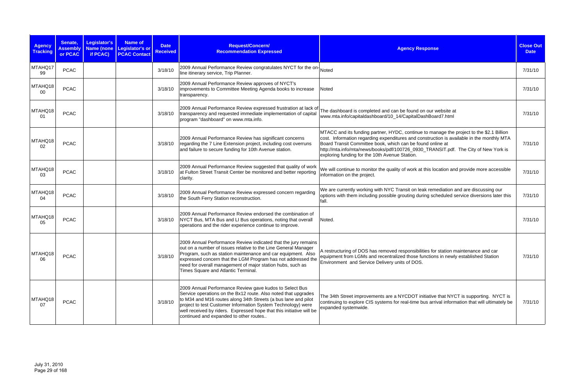| <b>Agency</b><br><b>Tracking</b> | Senate,<br><b>Assembly</b><br>or PCAC | Legislator's<br><b>Name (none</b><br>if PCAC) | <b>Name of</b><br>Legislator's or<br><b>PCAC Contact</b> | <b>Date</b><br><b>Received</b> | Request/Concern/<br><b>Recommendation Expressed</b>                                                                                                                                                                                                                                                                                                                           | <b>Agency Response</b>                                                                                                                                                                                                                                                                                                                                                                       | <b>Close Out</b><br><b>Date</b> |
|----------------------------------|---------------------------------------|-----------------------------------------------|----------------------------------------------------------|--------------------------------|-------------------------------------------------------------------------------------------------------------------------------------------------------------------------------------------------------------------------------------------------------------------------------------------------------------------------------------------------------------------------------|----------------------------------------------------------------------------------------------------------------------------------------------------------------------------------------------------------------------------------------------------------------------------------------------------------------------------------------------------------------------------------------------|---------------------------------|
| MTAHQ17<br>99                    | <b>PCAC</b>                           |                                               |                                                          | 3/18/10                        | 2009 Annual Performance Review congratulates NYCT for the on-<br>line itinerary service, Trip Planner.                                                                                                                                                                                                                                                                        |                                                                                                                                                                                                                                                                                                                                                                                              | 7/31/10                         |
| MTAHQ18<br>00                    | <b>PCAC</b>                           |                                               |                                                          | 3/18/10                        | 2009 Annual Performance Review approves of NYCT's<br>improvements to Committee Meeting Agenda books to increase<br>transparency.                                                                                                                                                                                                                                              | Noted                                                                                                                                                                                                                                                                                                                                                                                        | 7/31/10                         |
| MTAHQ18<br>01                    | <b>PCAC</b>                           |                                               |                                                          | 3/18/10                        | 2009 Annual Performance Review expressed frustration at lack of<br>transparency and requested immediate implementation of capital<br>program "dashboard" on www.mta.info.                                                                                                                                                                                                     | The dashboard is completed and can be found on our website at<br>www.mta.info/capitaldashboard/10_14/CapitalDashBoard7.html                                                                                                                                                                                                                                                                  | 7/31/10                         |
| MTAHQ18<br>02                    | <b>PCAC</b>                           |                                               |                                                          | 3/18/10                        | 2009 Annual Performance Review has significant concerns<br>regarding the 7 Line Extension project, including cost overruns<br>and failure to secure funding for 10th Avenue station.                                                                                                                                                                                          | MTACC and its funding partner, HYDC, continue to manage the project to the \$2.1 Billion<br>cost. Information regarding expenditures and construction is available in the monthly MTA<br>Board Transit Committee book, which can be found online at<br>http://mta.info/mta/news/books/pdf/100726_0930_TRANSIT.pdf. The City of New York is<br>exploring funding for the 10th Avenue Station. | 7/31/10                         |
| MTAHQ18<br>03                    | <b>PCAC</b>                           |                                               |                                                          | 3/18/10                        | 2009 Annual Performance Review suggested that quality of work<br>at Fulton Street Transit Center be monitored and better reporting<br>clarity.                                                                                                                                                                                                                                | We will continue to monitor the quality of work at this location and provide more accessible<br>information on the project.                                                                                                                                                                                                                                                                  | 7/31/10                         |
| MTAHQ18<br>04                    | <b>PCAC</b>                           |                                               |                                                          | 3/18/10                        | 2009 Annual Performance Review expressed concern regarding<br>the South Ferry Station reconstruction.                                                                                                                                                                                                                                                                         | We are currently working with NYC Transit on leak remediation and are discussing our<br>options with them including possible grouting during scheduled service diversions later this<br>fall.                                                                                                                                                                                                | 7/31/10                         |
| MTAHQ18<br>05                    | <b>PCAC</b>                           |                                               |                                                          | 3/18/10                        | 2009 Annual Performance Review endorsed the combination of<br>NYCT Bus, MTA Bus and LI Bus operations, noting that overall<br>operations and the rider experience continue to improve.                                                                                                                                                                                        | Noted.                                                                                                                                                                                                                                                                                                                                                                                       | 7/31/10                         |
| MTAHQ18<br>06                    | <b>PCAC</b>                           |                                               |                                                          | 3/18/10                        | 2009 Annual Performance Review indicated that the jury remains<br>out on a number of issues relative to the Line General Manager<br>Program, such as station maintenance and car equipment. Also<br>expressed concern that the LGM Program has not addressed the<br>need for overall management of major station hubs, such as<br>Times Square and Atlantic Terminal.         | A restructuring of DOS has removed responsibilities for station maintenance and car<br>equipment from LGMs and recentralized those functions in newly established Station<br>Environment and Service Delivery units of DOS.                                                                                                                                                                  | 7/31/10                         |
| MTAHQ18<br>07                    | <b>PCAC</b>                           |                                               |                                                          | 3/18/10                        | 2009 Annual Performance Review gave kudos to Select Bus<br>Service operations on the Bx12 route. Also noted that upgrades<br>to M34 and M16 routes along 34th Streets (a bus lane and pilot<br>project to test Customer Information System Technology) were<br>well received by riders. Expressed hope that this initiative will be<br>continued and expanded to other routes | The 34th Street improvements are a NYCDOT initiative that NYCT is supporting. NYCT is<br>continuing to explore CIS systems for real-time bus arrival information that will ultimately be<br>expanded systemwide.                                                                                                                                                                             | 7/31/10                         |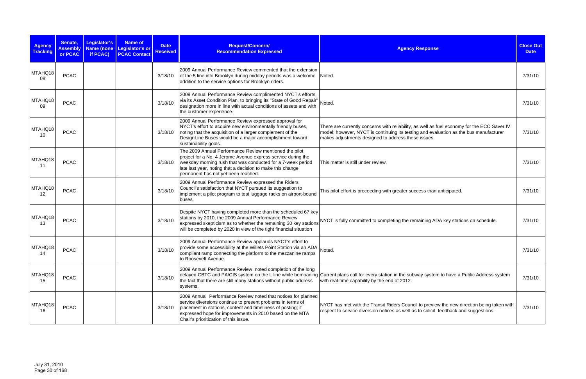| <b>Agency</b><br><b>Tracking</b> | Senate,<br><b>Assembly</b><br>or PCAC | Legislator's<br><b>Name (none</b><br>if PCAC) | <b>Name of</b><br>Legislator's or<br><b>PCAC Contact</b> | <b>Date</b><br><b>Received</b> | Request/Concern/<br><b>Recommendation Expressed</b>                                                                                                                                                                                                                                               | <b>Agency Response</b>                                                                                                                                                                                                                      | <b>Close Out</b><br><b>Date</b> |
|----------------------------------|---------------------------------------|-----------------------------------------------|----------------------------------------------------------|--------------------------------|---------------------------------------------------------------------------------------------------------------------------------------------------------------------------------------------------------------------------------------------------------------------------------------------------|---------------------------------------------------------------------------------------------------------------------------------------------------------------------------------------------------------------------------------------------|---------------------------------|
| MTAHQ18<br>08                    | <b>PCAC</b>                           |                                               |                                                          | 3/18/10                        | 2009 Annual Performance Review commented that the extension<br>of the 5 line into Brooklyn during midday periods was a welcome Noted.<br>addition to the service options for Brooklyn riders.                                                                                                     |                                                                                                                                                                                                                                             | 7/31/10                         |
| MTAHQ18<br>09                    | <b>PCAC</b>                           |                                               |                                                          | 3/18/10                        | 2009 Annual Performance Review complimented NYCT's efforts,<br>via its Asset Condition Plan, to bringing its "State of Good Repair"<br>designation more in line with actual conditions of assets and with Noted.<br>the customer experience.                                                      |                                                                                                                                                                                                                                             | 7/31/10                         |
| MTAHQ18<br>10                    | <b>PCAC</b>                           |                                               |                                                          | 3/18/10                        | 2009 Annual Performance Review expressed approval for<br>NYCT's effort to acquire new environmentally friendly buses,<br>noting that the acquisition of a larger complement of the<br>DesignLine Buses would be a major accomplishment toward<br>sustainability goals.                            | There are currently concerns with reliability, as well as fuel economy for the ECO Saver IV<br>model; however, NYCT is continuing its testing and evaluation as the bus manufacturer<br>makes adjustments designed to address these issues. | 7/31/10                         |
| MTAHQ18<br>11                    | <b>PCAC</b>                           |                                               |                                                          | 3/18/10                        | The 2009 Annual Performance Review mentioned the pilot<br>project for a No. 4 Jerome Avenue express service during the<br>weekday morning rush that was conducted for a 7-week period<br>late last year, noting that a decision to make this change<br>permanent has not yet been reached.        | This matter is still under review.                                                                                                                                                                                                          | 7/31/10                         |
| MTAHQ18<br>12                    | <b>PCAC</b>                           |                                               |                                                          | 3/18/10                        | 2009 Annual Performance Review expressed the Riders<br>Council's satisfaction that NYCT pursued its suggestion to<br>implement a pilot program to test luggage racks on airport-bound<br>buses.                                                                                                   | This pilot effort is proceeding with greater success than anticipated.                                                                                                                                                                      | 7/31/10                         |
| MTAHQ18<br>13                    | <b>PCAC</b>                           |                                               |                                                          | 3/18/10                        | Despite NYCT having completed more than the scheduled 67 key<br>stations by 2010, the 2009 Annual Performance Review<br>will be completed by 2020 in view of the tight financial situation                                                                                                        | expressed skepticism as to whether the remaining 30 key stations NYCT is fully committed to completing the remaining ADA key stations on schedule.                                                                                          | 7/31/10                         |
| MTAHQ18<br>14                    | <b>PCAC</b>                           |                                               |                                                          | 3/18/10                        | 2009 Annual Performance Review applauds NYCT's effort to<br>provide some accessibility at the Willets Point Station via an ADA Noted.<br>compliant ramp connecting the platform to the mezzanine ramps<br>to Roosevelt Avenue.                                                                    |                                                                                                                                                                                                                                             | 7/31/10                         |
| MTAHQ18<br>15                    | <b>PCAC</b>                           |                                               |                                                          | 3/18/10                        | 2009 Annual Performance Review noted completion of the long<br>the fact that there are still many stations without public address<br>systems.                                                                                                                                                     | delayed CBTC and PA/CIS system on the L line while bemoaning Current plans call for every station in the subway system to have a Public Address system<br>with real-time capability by the end of 2012.                                     | 7/31/10                         |
| MTAHQ18<br>16                    | <b>PCAC</b>                           |                                               |                                                          | 3/18/10                        | 2009 Annual Performance Review noted that notices for planned<br>service diversions continue to present problems in terms of<br>placement in stations, content and timeliness of posting; it<br>expressed hope for improvements in 2010 based on the MTA<br>Chair's prioritization of this issue. | NYCT has met with the Transit Riders Council to preview the new direction being taken with<br>respect to service diversion notices as well as to solicit feedback and suggestions.                                                          | 7/31/10                         |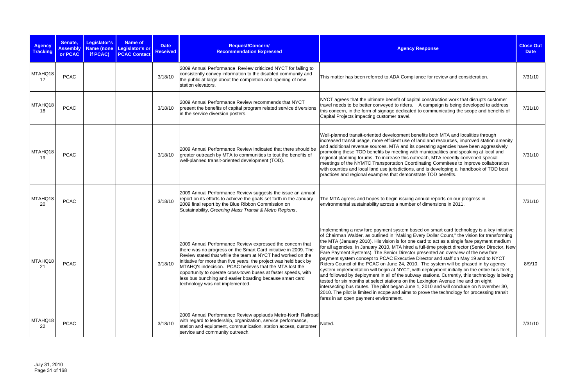| <b>Agency</b><br><b>Tracking</b> | Senate,<br><b>Assembly</b><br>or PCAC | Legislator's<br>if PCAC) | <b>Name of</b><br>Name (none Legislator's or<br><b>PCAC Contact</b> | <b>Date</b><br><b>Received</b> | Request/Concern/<br><b>Recommendation Expressed</b>                                                                                                                                                                                                                                                                                                                                                                                                                                          | <b>Agency Response</b>                                                                                                                                                                                                                                                                                                                                                                                                                                                                                                                                                                                                                                                                                                                                                                                                                                                                                                                                                                                                                                                                                                                                                              | <b>Close Out</b><br><b>Date</b> |
|----------------------------------|---------------------------------------|--------------------------|---------------------------------------------------------------------|--------------------------------|----------------------------------------------------------------------------------------------------------------------------------------------------------------------------------------------------------------------------------------------------------------------------------------------------------------------------------------------------------------------------------------------------------------------------------------------------------------------------------------------|-------------------------------------------------------------------------------------------------------------------------------------------------------------------------------------------------------------------------------------------------------------------------------------------------------------------------------------------------------------------------------------------------------------------------------------------------------------------------------------------------------------------------------------------------------------------------------------------------------------------------------------------------------------------------------------------------------------------------------------------------------------------------------------------------------------------------------------------------------------------------------------------------------------------------------------------------------------------------------------------------------------------------------------------------------------------------------------------------------------------------------------------------------------------------------------|---------------------------------|
| MTAHQ18<br>17                    | <b>PCAC</b>                           |                          |                                                                     | 3/18/10                        | 2009 Annual Performance Review criticized NYCT for failing to<br>consistently convey information to the disabled community and<br>the public at large about the completion and opening of new<br>station elevators.                                                                                                                                                                                                                                                                          | This matter has been referred to ADA Compliance for review and consideration.                                                                                                                                                                                                                                                                                                                                                                                                                                                                                                                                                                                                                                                                                                                                                                                                                                                                                                                                                                                                                                                                                                       | 7/31/10                         |
| MTAHQ18<br>18                    | <b>PCAC</b>                           |                          |                                                                     | 3/18/10                        | 2009 Annual Performance Review recommends that NYCT<br>present the benefits of capital program related service diversions<br>in the service diversion posters.                                                                                                                                                                                                                                                                                                                               | NYCT agrees that the ultimate benefit of capital construction work that disrupts customer<br>travel needs to be better conveyed to riders. A campaign is being developed to address<br>this concern, in the form of signage dedicated to communicating the scope and benefits of<br>Capital Projects impacting customer travel.                                                                                                                                                                                                                                                                                                                                                                                                                                                                                                                                                                                                                                                                                                                                                                                                                                                     | 7/31/10                         |
| MTAHQ18<br>19                    | <b>PCAC</b>                           |                          |                                                                     | 3/18/10                        | 2009 Annual Performance Review indicated that there should be<br>greater outreach by MTA to communities to tout the benefits of<br>well-planned transit-oriented development (TOD).                                                                                                                                                                                                                                                                                                          | Well-planned transit-oriented development benefits both MTA and localities through<br>increased transit usage, more efficient use of land and resources, improved station amenity<br>and additional revenue sources. MTA and its operating agencies have been aggressively<br>promoting these TOD benefits by meeting with municipalities and speaking at local and<br>regional planning forums. To increase this outreach, MTA recently convened special<br>meetings of the NYMTC Transportation Coordinating Commitees to improve collaboration<br>with counties and local land use jurisdictions, and is developing a handbook of TOD best<br>practices and regional examples that demonstrate TOD benefits.                                                                                                                                                                                                                                                                                                                                                                                                                                                                     | 7/31/10                         |
| MTAHQ18<br>20                    | <b>PCAC</b>                           |                          |                                                                     | 3/18/10                        | 2009 Annual Performance Review suggests the issue an annual<br>report on its efforts to achieve the goals set forth in the January<br>2009 final report by the Blue Ribbon Commission on<br>Sustainability, Greening Mass Transit & Metro Regions.                                                                                                                                                                                                                                           | The MTA agrees and hopes to begin issuing annual reports on our progress in<br>environmental sustainability across a number of dimensions in 2011.                                                                                                                                                                                                                                                                                                                                                                                                                                                                                                                                                                                                                                                                                                                                                                                                                                                                                                                                                                                                                                  | 7/31/10                         |
| MTAHQ18<br>21                    | <b>PCAC</b>                           |                          |                                                                     | 3/18/10                        | 2009 Annual Performance Review expressed the concern that<br>there was no progress on the Smart Card initiative in 2009. The<br>Review stated that while the team at NYCT had worked on the<br>initiative for more than five years, the project was held back by<br>MTAHQ's indecision. PCAC believes that the MTA lost the<br>opportunity to operate cross-town buses at faster speeds, with<br>less bus bunching and easier boarding because smart card<br>technology was not implemented. | Implementing a new fare payment system based on smart card technology is a key initiative<br>of Chairman Walder, as outlined in "Making Every Dollar Count," the vision for transforming<br>the MTA (January 2010). His vision is for one card to act as a single fare payment medium<br>for all agencies. In January 2010, MTA hired a full-time project director (Senior Director, New<br>Fare Payment Systems). The Senior Director presented an overview of the new fare<br>payment system concept to PCAC Executive Director and staff on May 19 and to NYCT<br>Riders Council of the PCAC on June 24, 2010. The system will be phased in by agency;<br>system implementation will begin at NYCT, with deployment initially on the entire bus fleet,<br>and followed by deployment in all of the subway stations. Currently, this technology is being<br>tested for six months at select stations on the Lexington Avenue line and on eight<br>intersecting bus routes. The pilot began June 1, 2010 and will conclude on November 30,<br>2010. The pilot is limited in scope and aims to prove the technology for processing transit<br>fares in an open payment environment. | 8/9/10                          |
| MTAHQ18<br>22                    | <b>PCAC</b>                           |                          |                                                                     | 3/18/10                        | 2009 Annual Performance Review applauds Metro-North Railroad<br>with regard to leadership, organization, service performance,<br>station and equipment, communication, station access, customer<br>service and community outreach.                                                                                                                                                                                                                                                           | Noted.                                                                                                                                                                                                                                                                                                                                                                                                                                                                                                                                                                                                                                                                                                                                                                                                                                                                                                                                                                                                                                                                                                                                                                              | 7/31/10                         |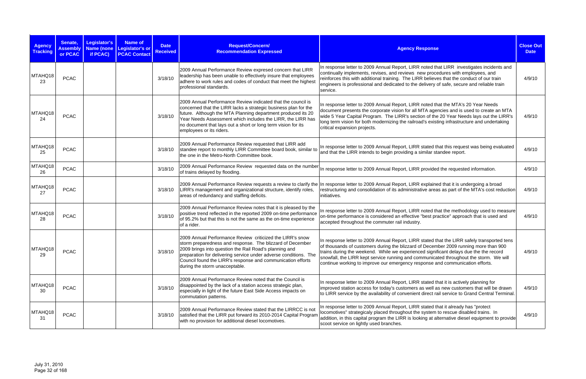| <b>Agency</b><br><b>Tracking</b> | Senate,<br><b>Assembly</b><br>or PCAC | <b>Legislator's</b><br><b>Name (none</b><br>if PCAC) | Name of<br>Legislator's or<br><b>PCAC Contact</b> | <b>Date</b><br><b>Received</b> | Request/Concern/<br><b>Recommendation Expressed</b>                                                                                                                                                                                                                                                                                                         | <b>Agency Response</b>                                                                                                                                                                                                                                                                                                                                                                                                                                  | <b>Close Out</b><br><b>Date</b> |
|----------------------------------|---------------------------------------|------------------------------------------------------|---------------------------------------------------|--------------------------------|-------------------------------------------------------------------------------------------------------------------------------------------------------------------------------------------------------------------------------------------------------------------------------------------------------------------------------------------------------------|---------------------------------------------------------------------------------------------------------------------------------------------------------------------------------------------------------------------------------------------------------------------------------------------------------------------------------------------------------------------------------------------------------------------------------------------------------|---------------------------------|
| MTAHQ18<br>23                    | <b>PCAC</b>                           |                                                      |                                                   | 3/18/10                        | 2009 Annual Performance Review expresed concern that LIRR<br>leadership has been unable to effectively insure that employees<br>adhere to work rules and codes of conduct that meet the highest<br>professional standards.                                                                                                                                  | In response letter to 2009 Annual Report, LIRR noted that LIRR investigates incidents and<br>continually implements, revises, and reviews new procedures with employees, and<br>reinforces this with additional training. The LIRR believes that the conduct of our train<br>engineers is professional and dedicated to the delivery of safe, secure and reliable train<br>service.                                                                     | 4/9/10                          |
| MTAHQ18<br>24                    | <b>PCAC</b>                           |                                                      |                                                   | 3/18/10                        | 2009 Annual Performance Review indicated that the council is<br>concerned that the LIRR lacks a strategic business plan for the<br>future. Although the MTA Planning department produced its 20<br>Year Needs Assessment which includes the LIRR, the LIRR has<br>no document that lays out a short or long term vision for its<br>employees or its riders. | In response letter to 2009 Annual Report, LIRR noted that the MTA's 20 Year Needs<br>document presents the corporate vision for all MTA agencies and is used to create an MTA<br>wide 5 Year Capital Program. The LIRR's section of the 20 Year Needs lays out the LIRR's<br>long term vision for both modernizing the railroad's existing infrastructure and undertaking<br>critical expansion projects.                                               | 4/9/10                          |
| MTAHQ18<br>25                    | <b>PCAC</b>                           |                                                      |                                                   | 3/18/10                        | 2009 Annual Performance Review requested that LIRR add<br>standee report to monthly LIRR Committee board book, similar to<br>the one in the Metro-North Committee book.                                                                                                                                                                                     | In response letter to 2009 Annual Report, LIRR stated that this request was being evaluated<br>and that the LIRR intends to begin providing a similar standee report.                                                                                                                                                                                                                                                                                   | 4/9/10                          |
| MTAHQ18<br>26                    | <b>PCAC</b>                           |                                                      |                                                   | 3/18/10                        | 2009 Annual Performance Review requested data on the number<br>of trains delayed by flooding.                                                                                                                                                                                                                                                               | In response letter to 2009 Annual Report, LIRR provided the requested information.                                                                                                                                                                                                                                                                                                                                                                      | 4/9/10                          |
| MTAHQ18<br>27                    | <b>PCAC</b>                           |                                                      |                                                   | 3/18/10                        | LIRR's management and organizational structure, identify roles,<br>areas of redundancy and staffing deficits.                                                                                                                                                                                                                                               | 2009 Annual Performance Review requests a review to clarify the In response letter to 2009 Annual Report, LIRR explained that it is undergoing a broad<br>restructuring and consolidation of its administrative areas as part of the MTA's cost reduction<br>initiatives.                                                                                                                                                                               | 4/9/10                          |
| MTAHQ18<br>28                    | <b>PCAC</b>                           |                                                      |                                                   | 3/18/10                        | 2009 Annual Performance Review notes that it is pleased by the<br>positive trend reflected in the reported 2009 on-time performance<br>of 95.2% but that this is not the same as the on-time experience<br>of a rider.                                                                                                                                      | In response letter to 2009 Annual Report, LIRR noted that the methodology used to measure<br>on-time performance is considered an effective "best practice" approach that is used and<br>accepted throughout the commuter rail industry.                                                                                                                                                                                                                | 4/9/10                          |
| MTAHQ18<br>29                    | <b>PCAC</b>                           |                                                      |                                                   | 3/18/10                        | 2009 Annual Performance Review criticized the LIRR's snow<br>storm preparedness and response. The blizzard of December<br>2009 brings into question the Rail Road's planning and<br>preparation for delivering service under adverse conditions. The<br>Council found the LIRR's response and communication efforts<br>during the storm unacceptable.       | In response letter to 2009 Annual Report, LIRR stated that the LIRR safely transported tens<br>of thousands of customers during the blizzard of December 2009 running more than 900<br>trains during the weekend. While we experienced significant delays due the the record<br>snowfall, the LIRR kept service running and communicated throughout the storm. We will<br>continue working to improve our emergency response and communication efforts. | 4/9/10                          |
| MTAHQ18<br>30                    | <b>PCAC</b>                           |                                                      |                                                   | 3/18/10                        | 2009 Annual Performance Review noted that the Council is<br>disappointed by the lack of a station access strategic plan,<br>especially in light of the future East Side Access impacts on<br>commutation patterns.                                                                                                                                          | In response letter to 2009 Annual Report, LIRR stated that it is actively planning for<br>improved station access for today's customers as well as new customers that will be drawn<br>to LIRR service by the availability of convenient direct rail service to Grand Central Terminal.                                                                                                                                                                 | 4/9/10                          |
| MTAHQ18<br>31                    | <b>PCAC</b>                           |                                                      |                                                   | 3/18/10                        | 2009 Annual Performance Review stated that the LIRRCC is not<br>satisfied that the LIRR put forward its 2010-2014 Capital Program<br>with no provision for additional diesel locomotives.                                                                                                                                                                   | In response letter to 2009 Annual Report, LIRR stated that it already has "protect<br>locomotives" strategicaly placed throughout the system to rescue disabled trains. In<br>addition, in this capital program the LIRR is looking at alternative diesel equipment to provide<br>scoot service on lightly used branches.                                                                                                                               | 4/9/10                          |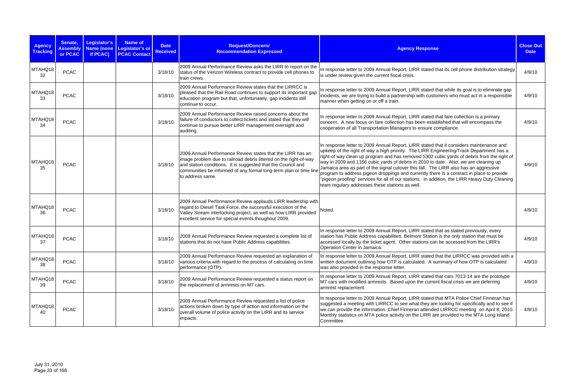| <b>Agency</b><br><b>Tracking</b> | Senate,<br><b>Assembly</b><br>or PCAC | Legislator's<br>Name (none<br>if PCAC) | <b>Name of</b><br>Legislator's or<br><b>PCAC Contact</b> | <b>Date</b><br><b>Received</b> | Request/Concern/<br><b>Recommendation Expressed</b>                                                                                                                                                                                                                                      | <b>Agency Response</b>                                                                                                                                                                                                                                                                                                                                                                                                                                                                                                                                                                                                                                                                                             | <b>Close Out</b><br><b>Date</b> |
|----------------------------------|---------------------------------------|----------------------------------------|----------------------------------------------------------|--------------------------------|------------------------------------------------------------------------------------------------------------------------------------------------------------------------------------------------------------------------------------------------------------------------------------------|--------------------------------------------------------------------------------------------------------------------------------------------------------------------------------------------------------------------------------------------------------------------------------------------------------------------------------------------------------------------------------------------------------------------------------------------------------------------------------------------------------------------------------------------------------------------------------------------------------------------------------------------------------------------------------------------------------------------|---------------------------------|
| MTAHQ18<br>32                    | <b>PCAC</b>                           |                                        |                                                          | 3/18/10                        | 2009 Annual Performance Review asks the LIRR to report on the<br>status of the Verizon Wireless contract to provide cell phones to<br>train crews.                                                                                                                                       | In response letter to 2009 Annual Report, LIRR stated that its cell phone distribution strategy<br>is under review given the current fiscal crisis.                                                                                                                                                                                                                                                                                                                                                                                                                                                                                                                                                                | 4/9/10                          |
| MTAHQ18<br>33                    | <b>PCAC</b>                           |                                        |                                                          | 3/18/10                        | 2009 Annual Performance Review states that the LIRRCC is<br>pleased that the Rail Road continues to support its important gap<br>education program but that, unfortunately, gap incidents still<br>continue to occur.                                                                    | In response letter to 2009 Annual Report, LIRR stated that while its goal is to eliminate gap<br>incidents, we are trying to build a partnership with customers who must act in a responsible<br>manner when getting on or off a train.                                                                                                                                                                                                                                                                                                                                                                                                                                                                            | 4/9/10                          |
| MTAHQ18<br>34                    | <b>PCAC</b>                           |                                        |                                                          | 3/18/10                        | 2009 Annual Performance Review raised concerns about the<br>failure of conductors to collect tickets and stated that they will<br>continue to pursue better LIRR management oversight and<br>auditing.                                                                                   | In response letter to 2009 Annual Report, LIRR stated that fare collection is a primary<br>concern. A new focus on fare collection has been established that will encompass the<br>cooperation of all Transportation Managers to ensure compliance.                                                                                                                                                                                                                                                                                                                                                                                                                                                                | 4/9/10                          |
| MTAHQ18<br>35                    | <b>PCAC</b>                           |                                        |                                                          | 3/18/10                        | 2009 Annual Performance Review states that the LIRR has an<br>image problem due to railroad debris littered on the right-of-way<br>and station conditions. It is suggested that the Council and<br>communities be informed of any formal long-term plan or time line<br>to address same. | In response letter to 2009 Annual Report, LIRR stated that it considers maintenance and<br>upkeep of the right of way a high priority. The LIRR Engineering/Track Department has a<br>right-of way clean up program and has removed 5302 cubic yards of debris from the right of<br>way in 2009 and 1166 cubic yards of debris in 2010 to date. Also, we are cleaning up<br>Jamaica area as part of the signal cutover this fall. The LIRR also has an aggressive<br>program to address pigeon droppings and currently there is a contract in place to provide<br>"pigeon proofing" services for all of our stations. In addition, the LIRR Heavy Duty Cleaning<br>team regulary addresses these stations as well. | 4/9/10                          |
| MTAHQ18<br>36                    | <b>PCAC</b>                           |                                        |                                                          | 3/18/10                        | 2009 Annual Performance Review applauds LIRR leadership with<br>regard to Diesel Task Force, the successful execution of the<br>Valley Stream interlocking project, as well as how LIRR provided<br>excellent service for special events thoughout 2009.                                 | Noted.                                                                                                                                                                                                                                                                                                                                                                                                                                                                                                                                                                                                                                                                                                             | 4/9/10                          |
| MTAHQ18<br>37                    | <b>PCAC</b>                           |                                        |                                                          | 3/18/10                        | 2009 Annual Performance Review requested a complete list of<br>stations that do not have Public Address capabilities.                                                                                                                                                                    | In response letter to 2009 Annual Report, LIRR stated that as stated previously, every<br>station has Public Address capabilities. Belmont Station is the only station that must be<br>accessed locally by the ticket agent. Other stations can be accessed from the LIRR's<br>Operation Center in Jamaica.                                                                                                                                                                                                                                                                                                                                                                                                        | 4/9/10                          |
| MTAHQ18<br>38                    | <b>PCAC</b>                           |                                        |                                                          | 3/18/10                        | 2009 Annual Performance Review requested an explanation of<br>various criteria with regard to the process of calculating on time<br>performance (OTP).                                                                                                                                   | In response letter to 2009 Annual Report, LIRR stated that the LIRRCC was provided with a<br>written document outlining how OTP is calculated. A summary of how OTP is calculated<br>was also provided in the response letter.                                                                                                                                                                                                                                                                                                                                                                                                                                                                                     | 4/9/10                          |
| MTAHQ18<br>39                    | <b>PCAC</b>                           |                                        |                                                          | 3/18/10                        | 2009 Annual Performance Review requested a status report on<br>the replacement of armrests on M7 cars.                                                                                                                                                                                   | In response letter to 2009 Annual Report, LIRR stated that cars 7013-14 are the prototype<br>M7 cars with modified armrests. Based upon the current fiscal crisis we are deferring<br>armrest replacement.                                                                                                                                                                                                                                                                                                                                                                                                                                                                                                         | 4/9/10                          |
| MTAHQ18<br>40                    | <b>PCAC</b>                           |                                        |                                                          | 3/18/10                        | 2009 Annual Performance Review requested a list of police<br>actions broken down by type of action and information on the<br>overall volume of police activity on the LIRR and its service<br>impacts.                                                                                   | In response letter to 2009 Annual Report, LIRR stated that MTA Police Chief Finneran has<br>suggested a meeting with LIRRCC to see what they are looking for specifically and to see if<br>we can provide the information. Chief Finneran attended LIRRCC meeting on April 8, 2010.<br>Monthly statistics on MTA police activity on the LIRR are provided to the MTA Long Island<br>Committee.                                                                                                                                                                                                                                                                                                                     | 4/9/10                          |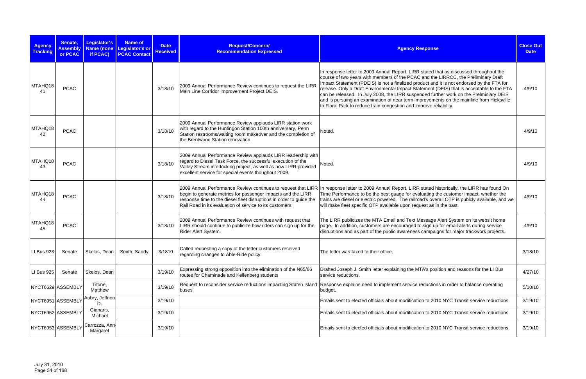| <b>Agency</b><br><b>Tracking</b> | Senate,<br><b>Assembly</b><br>or PCAC | Legislator's<br>Name (none<br>if PCAC) | <b>Name of</b><br>Legislator's or<br><b>PCAC Contact</b> | <b>Date</b><br><b>Received</b> | Request/Concern/<br><b>Recommendation Expressed</b>                                                                                                                                                                                                      | <b>Agency Response</b>                                                                                                                                                                                                                                                                                                                                                                                                                                                                                                                                                                                                             | <b>Close Out</b><br><b>Date</b> |
|----------------------------------|---------------------------------------|----------------------------------------|----------------------------------------------------------|--------------------------------|----------------------------------------------------------------------------------------------------------------------------------------------------------------------------------------------------------------------------------------------------------|------------------------------------------------------------------------------------------------------------------------------------------------------------------------------------------------------------------------------------------------------------------------------------------------------------------------------------------------------------------------------------------------------------------------------------------------------------------------------------------------------------------------------------------------------------------------------------------------------------------------------------|---------------------------------|
| MTAHQ18<br>41                    | <b>PCAC</b>                           |                                        |                                                          | 3/18/10                        | 2009 Annual Performance Review continues to request the LIRR<br>Main Line Corridor Improvement Project DEIS.                                                                                                                                             | In response letter to 2009 Annual Report, LIRR stated that as discussed throughout the<br>course of two years with members of the PCAC and the LIRRCC, the Preliminary Draft<br>Impact Statement (PDEIS) is not a finalized product and it is not endorsed by the FTA for<br>release. Only a Draft Environmental Impact Statement (DEIS) that is acceptable to the FTA<br>can be released. In July 2008, the LIRR suspended further work on the Prelminiary DEIS<br>and is pursuing an examination of near term improvements on the mainline from Hicksville<br>to Floral Park to reduce train congestion and improve reliability. | 4/9/10                          |
| MTAHQ18<br>42                    | <b>PCAC</b>                           |                                        |                                                          | 3/18/10                        | 2009 Annual Performance Review applauds LIRR station work<br>with regard to the Huntingon Station 100th anniversary, Penn<br>Station restrooms/waiting room makeover and the completion of<br>the Brentwood Station renovation.                          | Noted.                                                                                                                                                                                                                                                                                                                                                                                                                                                                                                                                                                                                                             | 4/9/10                          |
| MTAHQ18<br>43                    | <b>PCAC</b>                           |                                        |                                                          | 3/18/10                        | 2009 Annual Performance Review applauds LIRR leadership with<br>regard to Diesel Task Force, the successful execution of the<br>Valley Stream interlocking project, as well as how LIRR provided<br>excellent service for special events thoughout 2009. | Noted.                                                                                                                                                                                                                                                                                                                                                                                                                                                                                                                                                                                                                             | 4/9/10                          |
| MTAHQ18<br>-44                   | <b>PCAC</b>                           |                                        |                                                          | 3/18/10                        | begin to generate metrics for passenger impacts and the LIRR<br>response time to the diesel fleet disruptions in order to guide the<br>Rail Road in its evaluation of service to its customers.                                                          | 2009 Annual Performance Review continues to request that LIRR In response letter to 2009 Annual Report, LIRR stated historically, the LIRR has found On<br>Time Performance to be the best guage for evaluating the customer impact, whether the<br>trains are diesel or electric powered. The railroad's overall OTP is pubicly available, and we<br>will make fleet specific OTP available upon request as in the past.                                                                                                                                                                                                          | 4/9/10                          |
| MTAHQ18<br>45                    | <b>PCAC</b>                           |                                        |                                                          | 3/18/10                        | 2009 Annual Performance Review continues with request that<br>LIRR should continue to publicize how riders can sign up for the<br>Rider Alert System.                                                                                                    | The LIRR publicizes the MTA Email and Text Message Alert System on its websit home<br>page. In addition, customers are encouraged to sign up for email alerts during service<br>disruptions and as part of the public awareness campaigns for major trackwork projects.                                                                                                                                                                                                                                                                                                                                                            | 4/9/10                          |
| LI Bus 923                       | Senate                                | Skelos, Dean                           | Smith, Sandy                                             | 3/1810                         | Called requesting a copy of the letter customers received<br>regarding changes to Able-Ride policy.                                                                                                                                                      | The letter was faxed to their office.                                                                                                                                                                                                                                                                                                                                                                                                                                                                                                                                                                                              | 3/18/10                         |
| LI Bus 925                       | Senate                                | Skelos, Dean                           |                                                          | 3/19/10                        | Expressing strong opposition into the elimination of the N65/66<br>routes for Chaminade and Kellenberg students                                                                                                                                          | Drafted Joseph J. Smith letter explaining the MTA's position and reasons for the LI Bus<br>service reductions.                                                                                                                                                                                                                                                                                                                                                                                                                                                                                                                     | 4/27/10                         |
|                                  | NYCT6629 ASSEMBLY                     | Titone,<br>Matthew                     |                                                          | 3/19/10                        | buses                                                                                                                                                                                                                                                    | Request to reconsider service reductions impacting Staten Island Response explains need to implement service reductions in order to balance operating<br>budget.                                                                                                                                                                                                                                                                                                                                                                                                                                                                   | 5/10/10                         |
| NYCT6951 ASSEMBLY                |                                       | Aubry, Jeffrion<br>D.                  |                                                          | 3/19/10                        |                                                                                                                                                                                                                                                          | Emails sent to elected officials about modification to 2010 NYC Transit service reductions.                                                                                                                                                                                                                                                                                                                                                                                                                                                                                                                                        | 3/19/10                         |
|                                  | NYCT6952 ASSEMBLY                     | Gianaris,<br>Michael                   |                                                          | 3/19/10                        |                                                                                                                                                                                                                                                          | Emails sent to elected officials about modification to 2010 NYC Transit service reductions.                                                                                                                                                                                                                                                                                                                                                                                                                                                                                                                                        | 3/19/10                         |
|                                  | NYCT6953 ASSEMBLY                     | Carrozza, Ann-<br>Margaret             |                                                          | 3/19/10                        |                                                                                                                                                                                                                                                          | Emails sent to elected officials about modification to 2010 NYC Transit service reductions.                                                                                                                                                                                                                                                                                                                                                                                                                                                                                                                                        | 3/19/10                         |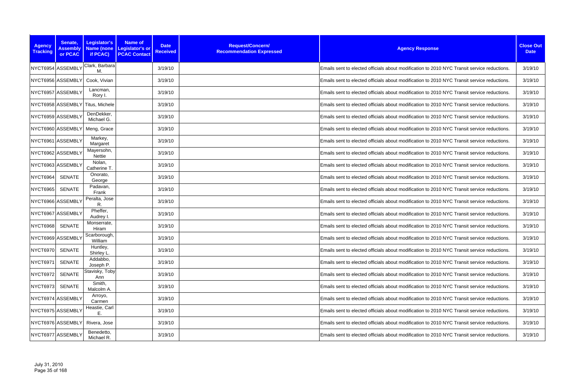| <b>Agency</b><br><b>Tracking</b> | Senate,<br><b>Assembly</b><br>or PCAC | Legislator's<br>if PCAC)         | <b>Name of</b><br>Name (none Legislator's or<br><b>PCAC Contact</b> | <b>Date</b><br><b>Received</b> | Request/Concern/<br><b>Recommendation Expressed</b> | <b>Agency Response</b>                                                                      | <b>Close Out</b><br><b>Date</b> |
|----------------------------------|---------------------------------------|----------------------------------|---------------------------------------------------------------------|--------------------------------|-----------------------------------------------------|---------------------------------------------------------------------------------------------|---------------------------------|
|                                  | NYCT6954 ASSEMBLY                     | Clark, Barbara<br>M.             |                                                                     | 3/19/10                        |                                                     | Emails sent to elected officials about modification to 2010 NYC Transit service reductions. | 3/19/10                         |
|                                  | NYCT6956 ASSEMBLY                     | Cook, Vivian                     |                                                                     | 3/19/10                        |                                                     | Emails sent to elected officials about modification to 2010 NYC Transit service reductions. | 3/19/10                         |
|                                  | NYCT6957 ASSEMBLY                     | Lancman,<br>Rory I.              |                                                                     | 3/19/10                        |                                                     | Emails sent to elected officials about modification to 2010 NYC Transit service reductions. | 3/19/10                         |
|                                  |                                       | NYCT6958 ASSEMBLY Titus, Michele |                                                                     | 3/19/10                        |                                                     | Emails sent to elected officials about modification to 2010 NYC Transit service reductions. | 3/19/10                         |
|                                  | NYCT6959 ASSEMBLY                     | DenDekker,<br>Michael G.         |                                                                     | 3/19/10                        |                                                     | Emails sent to elected officials about modification to 2010 NYC Transit service reductions. | 3/19/10                         |
|                                  |                                       | NYCT6960 ASSEMBLY Meng, Grace    |                                                                     | 3/19/10                        |                                                     | Emails sent to elected officials about modification to 2010 NYC Transit service reductions. | 3/19/10                         |
|                                  | NYCT6961 ASSEMBLY                     | Markey,<br>Margaret              |                                                                     | 3/19/10                        |                                                     | Emails sent to elected officials about modification to 2010 NYC Transit service reductions. | 3/19/10                         |
|                                  | NYCT6962 ASSEMBLY                     | Mayersohn,<br><b>Nettie</b>      |                                                                     | 3/19/10                        |                                                     | Emails sent to elected officials about modification to 2010 NYC Transit service reductions. | 3/19/10                         |
|                                  | NYCT6963 ASSEMBLY                     | Nolan,<br>Catherine T            |                                                                     | 3/19/10                        |                                                     | Emails sent to elected officials about modification to 2010 NYC Transit service reductions. | 3/19/10                         |
| NYCT6964                         | <b>SENATE</b>                         | Onorato,<br>George               |                                                                     | 3/19/10                        |                                                     | Emails sent to elected officials about modification to 2010 NYC Transit service reductions. | 3/19/10                         |
| <b>NYCT6965</b>                  | <b>SENATE</b>                         | Padavan,<br>Frank                |                                                                     | 3/19/10                        |                                                     | Emails sent to elected officials about modification to 2010 NYC Transit service reductions. | 3/19/10                         |
|                                  | NYCT6966 ASSEMBLY                     | Peralta, Jose<br>R.              |                                                                     | 3/19/10                        |                                                     | Emails sent to elected officials about modification to 2010 NYC Transit service reductions. | 3/19/10                         |
|                                  | NYCT6967 ASSEMBLY                     | Pheffer,<br>Audrey I.            |                                                                     | 3/19/10                        |                                                     | Emails sent to elected officials about modification to 2010 NYC Transit service reductions. | 3/19/10                         |
| <b>NYCT6968</b>                  | <b>SENATE</b>                         | Monserrate,<br>Hiram             |                                                                     | 3/19/10                        |                                                     | Emails sent to elected officials about modification to 2010 NYC Transit service reductions. | 3/19/10                         |
|                                  | NYCT6969 ASSEMBLY                     | Scarborough,<br>William          |                                                                     | 3/19/10                        |                                                     | Emails sent to elected officials about modification to 2010 NYC Transit service reductions. | 3/19/10                         |
| <b>NYCT6970</b>                  | <b>SENATE</b>                         | Huntley,<br>Shirley L.           |                                                                     | 3/19/10                        |                                                     | Emails sent to elected officials about modification to 2010 NYC Transit service reductions. | 3/19/10                         |
| <b>NYCT6971</b>                  | <b>SENATE</b>                         | Addabbo,<br>Joseph P.            |                                                                     | 3/19/10                        |                                                     | Emails sent to elected officials about modification to 2010 NYC Transit service reductions. | 3/19/10                         |
| <b>NYCT6972</b>                  | <b>SENATE</b>                         | Stavisky, Toby<br>Ann            |                                                                     | 3/19/10                        |                                                     | Emails sent to elected officials about modification to 2010 NYC Transit service reductions. | 3/19/10                         |
| <b>NYCT6973</b>                  | <b>SENATE</b>                         | Smith,<br>Malcolm A.             |                                                                     | 3/19/10                        |                                                     | Emails sent to elected officials about modification to 2010 NYC Transit service reductions. | 3/19/10                         |
|                                  | NYCT6974 ASSEMBLY                     | Arroyo,<br>Carmen                |                                                                     | 3/19/10                        |                                                     | Emails sent to elected officials about modification to 2010 NYC Transit service reductions. | 3/19/10                         |
|                                  | NYCT6975 ASSEMBLY                     | Heastie, Carl<br>Ε.              |                                                                     | 3/19/10                        |                                                     | Emails sent to elected officials about modification to 2010 NYC Transit service reductions. | 3/19/10                         |
|                                  | NYCT6976 ASSEMBLY                     | Rivera, Jose                     |                                                                     | 3/19/10                        |                                                     | Emails sent to elected officials about modification to 2010 NYC Transit service reductions. | 3/19/10                         |
|                                  | NYCT6977 ASSEMBLY                     | Benedetto,<br>Michael R.         |                                                                     | 3/19/10                        |                                                     | Emails sent to elected officials about modification to 2010 NYC Transit service reductions. | 3/19/10                         |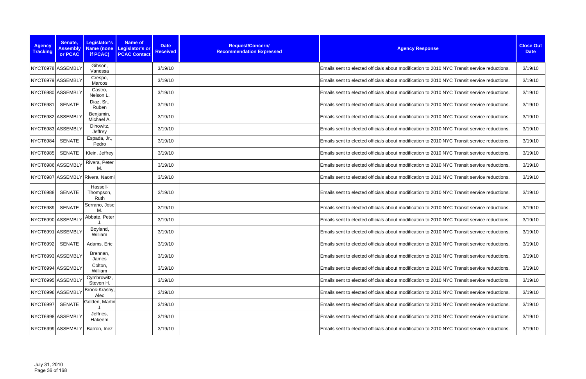| <b>Agency</b><br><b>Tracking</b> | Senate,<br><b>Assembly</b><br>or PCAC | Legislator's<br>if PCAC)        | <b>Name of</b><br>Name (none Legislator's or<br><b>PCAC Contact</b> | <b>Date</b><br><b>Received</b> | Request/Concern/<br><b>Recommendation Expressed</b> | <b>Agency Response</b>                                                                      | <b>Close Out</b><br><b>Date</b> |
|----------------------------------|---------------------------------------|---------------------------------|---------------------------------------------------------------------|--------------------------------|-----------------------------------------------------|---------------------------------------------------------------------------------------------|---------------------------------|
|                                  | NYCT6978 ASSEMBLY                     | Gibson,<br>Vanessa              |                                                                     | 3/19/10                        |                                                     | Emails sent to elected officials about modification to 2010 NYC Transit service reductions. | 3/19/10                         |
|                                  | NYCT6979 ASSEMBLY                     | Crespo,<br>Marcos               |                                                                     | 3/19/10                        |                                                     | Emails sent to elected officials about modification to 2010 NYC Transit service reductions. | 3/19/10                         |
|                                  | NYCT6980 ASSEMBLY                     | Castro,<br>Nelson L             |                                                                     | 3/19/10                        |                                                     | Emails sent to elected officials about modification to 2010 NYC Transit service reductions. | 3/19/10                         |
| NYCT6981                         | <b>SENATE</b>                         | Diaz, Sr.,<br>Ruben             |                                                                     | 3/19/10                        |                                                     | Emails sent to elected officials about modification to 2010 NYC Transit service reductions. | 3/19/10                         |
|                                  | NYCT6982 ASSEMBLY                     | Benjamin,<br>Michael A.         |                                                                     | 3/19/10                        |                                                     | Emails sent to elected officials about modification to 2010 NYC Transit service reductions. | 3/19/10                         |
|                                  | NYCT6983 ASSEMBLY                     | Dinowitz,<br>Jeffrey            |                                                                     | 3/19/10                        |                                                     | Emails sent to elected officials about modification to 2010 NYC Transit service reductions. | 3/19/10                         |
| NYCT6984                         | <b>SENATE</b>                         | Espada, Jr.,<br>Pedro           |                                                                     | 3/19/10                        |                                                     | Emails sent to elected officials about modification to 2010 NYC Transit service reductions. | 3/19/10                         |
| <b>NYCT6985</b>                  | <b>SENATE</b>                         | Klein, Jeffrey                  |                                                                     | 3/19/10                        |                                                     | Emails sent to elected officials about modification to 2010 NYC Transit service reductions. | 3/19/10                         |
|                                  | NYCT6986 ASSEMBLY                     | Rivera, Peter<br>M.             |                                                                     | 3/19/10                        |                                                     | Emails sent to elected officials about modification to 2010 NYC Transit service reductions. | 3/19/10                         |
|                                  |                                       | NYCT6987 ASSEMBLY Rivera, Naomi |                                                                     | 3/19/10                        |                                                     | Emails sent to elected officials about modification to 2010 NYC Transit service reductions. | 3/19/10                         |
| <b>NYCT6988</b>                  | <b>SENATE</b>                         | Hassell-<br>Thompson,<br>Ruth   |                                                                     | 3/19/10                        |                                                     | Emails sent to elected officials about modification to 2010 NYC Transit service reductions  | 3/19/10                         |
| NYCT6989                         | <b>SENATE</b>                         | Serrano, Jose<br>М.             |                                                                     | 3/19/10                        |                                                     | Emails sent to elected officials about modification to 2010 NYC Transit service reductions. | 3/19/10                         |
|                                  | NYCT6990 ASSEMBLY                     | Abbate, Peter                   |                                                                     | 3/19/10                        |                                                     | Emails sent to elected officials about modification to 2010 NYC Transit service reductions. | 3/19/10                         |
|                                  | NYCT6991 ASSEMBLY                     | Boyland,<br>William             |                                                                     | 3/19/10                        |                                                     | Emails sent to elected officials about modification to 2010 NYC Transit service reductions. | 3/19/10                         |
| NYCT6992 SENATE                  |                                       | Adams, Eric                     |                                                                     | 3/19/10                        |                                                     | Emails sent to elected officials about modification to 2010 NYC Transit service reductions. | 3/19/10                         |
|                                  | NYCT6993 ASSEMBLY                     | Brennan,<br>James               |                                                                     | 3/19/10                        |                                                     | Emails sent to elected officials about modification to 2010 NYC Transit service reductions. | 3/19/10                         |
|                                  | NYCT6994 ASSEMBLY                     | Colton,<br>William              |                                                                     | 3/19/10                        |                                                     | Emails sent to elected officials about modification to 2010 NYC Transit service reductions. | 3/19/10                         |
|                                  | NYCT6995 ASSEMBLY                     | Cymbrowitz,<br>Steven H.        |                                                                     | 3/19/10                        |                                                     | Emails sent to elected officials about modification to 2010 NYC Transit service reductions. | 3/19/10                         |
|                                  | NYCT6996 ASSEMBLY                     | Brook-Krasny,<br>Alec           |                                                                     | 3/19/10                        |                                                     | Emails sent to elected officials about modification to 2010 NYC Transit service reductions. | 3/19/10                         |
| <b>NYCT6997</b>                  | <b>SENATE</b>                         | Golden, Martin                  |                                                                     | 3/19/10                        |                                                     | Emails sent to elected officials about modification to 2010 NYC Transit service reductions. | 3/19/10                         |
|                                  | NYCT6998 ASSEMBLY                     | Jeffries,<br>Hakeem             |                                                                     | 3/19/10                        |                                                     | Emails sent to elected officials about modification to 2010 NYC Transit service reductions. | 3/19/10                         |
|                                  | NYCT6999 ASSEMBLY                     | Barron, Inez                    |                                                                     | 3/19/10                        |                                                     | Emails sent to elected officials about modification to 2010 NYC Transit service reductions. | 3/19/10                         |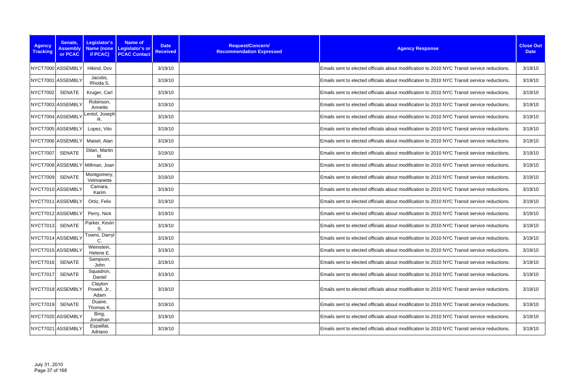| <b>Agency</b><br><b>Tracking</b> | Senate,<br><b>Assembly</b><br>or PCAC | Legislator's<br>if PCAC)        | <b>Name of</b><br>Name (none Legislator's or<br><b>PCAC Contact</b> | <b>Date</b><br><b>Received</b> | Request/Concern/<br><b>Recommendation Expressed</b> | <b>Agency Response</b>                                                                      | <b>Close Out</b><br><b>Date</b> |
|----------------------------------|---------------------------------------|---------------------------------|---------------------------------------------------------------------|--------------------------------|-----------------------------------------------------|---------------------------------------------------------------------------------------------|---------------------------------|
|                                  | NYCT7000 ASSEMBLY                     | Hikind, Dov                     |                                                                     | 3/19/10                        |                                                     | Emails sent to elected officials about modification to 2010 NYC Transit service reductions. | 3/19/10                         |
|                                  | NYCT7001 ASSEMBLY                     | Jacobs,<br>Rhoda S.             |                                                                     | 3/19/10                        |                                                     | Emails sent to elected officials about modification to 2010 NYC Transit service reductions. | 3/19/10                         |
| <b>NYCT7002</b>                  | <b>SENATE</b>                         | Kruger, Carl                    |                                                                     | 3/19/10                        |                                                     | Emails sent to elected officials about modification to 2010 NYC Transit service reductions. | 3/19/10                         |
|                                  | NYCT7003 ASSEMBLY                     | Robinson,<br>Annette            |                                                                     | 3/19/10                        |                                                     | Emails sent to elected officials about modification to 2010 NYC Transit service reductions. | 3/19/10                         |
|                                  | NYCT7004 ASSEMBLY                     | Lentol, Joseph<br>R.            |                                                                     | 3/19/10                        |                                                     | Emails sent to elected officials about modification to 2010 NYC Transit service reductions. | 3/19/10                         |
|                                  | NYCT7005 ASSEMBLY                     | Lopez, Vito                     |                                                                     | 3/19/10                        |                                                     | Emails sent to elected officials about modification to 2010 NYC Transit service reductions. | 3/19/10                         |
|                                  | NYCT7006 ASSEMBLY                     | Maisel, Alan                    |                                                                     | 3/19/10                        |                                                     | Emails sent to elected officials about modification to 2010 NYC Transit service reductions. | 3/19/10                         |
| <b>NYCT7007</b>                  | <b>SENATE</b>                         | Dilan, Martin<br>M.             |                                                                     | 3/19/10                        |                                                     | Emails sent to elected officials about modification to 2010 NYC Transit service reductions. | 3/19/10                         |
|                                  |                                       | NYCT7008 ASSEMBLY Millman, Joan |                                                                     | 3/19/10                        |                                                     | Emails sent to elected officials about modification to 2010 NYC Transit service reductions. | 3/19/10                         |
| <b>NYCT7009</b>                  | <b>SENATE</b>                         | Montgomery,<br>Velmanette       |                                                                     | 3/19/10                        |                                                     | Emails sent to elected officials about modification to 2010 NYC Transit service reductions. | 3/19/10                         |
|                                  | NYCT7010 ASSEMBLY                     | Camara,<br>Karim                |                                                                     | 3/19/10                        |                                                     | Emails sent to elected officials about modification to 2010 NYC Transit service reductions. | 3/19/10                         |
|                                  | NYCT7011 ASSEMBLY                     | Ortiz, Felix                    |                                                                     | 3/19/10                        |                                                     | Emails sent to elected officials about modification to 2010 NYC Transit service reductions. | 3/19/10                         |
|                                  | NYCT7012 ASSEMBLY                     | Perry, Nick                     |                                                                     | 3/19/10                        |                                                     | Emails sent to elected officials about modification to 2010 NYC Transit service reductions. | 3/19/10                         |
| <b>NYCT7013</b>                  | <b>SENATE</b>                         | Parker, Kevin<br>S.             |                                                                     | 3/19/10                        |                                                     | Emails sent to elected officials about modification to 2010 NYC Transit service reductions. | 3/19/10                         |
|                                  | NYCT7014 ASSEMBLY                     | Towns, Darryl<br>C.             |                                                                     | 3/19/10                        |                                                     | Emails sent to elected officials about modification to 2010 NYC Transit service reductions. | 3/19/10                         |
|                                  | NYCT7015 ASSEMBLY                     | Weinstein,<br>Helene E.         |                                                                     | 3/19/10                        |                                                     | Emails sent to elected officials about modification to 2010 NYC Transit service reductions. | 3/19/10                         |
| <b>NYCT7016</b>                  | <b>SENATE</b>                         | Sampson,<br>John                |                                                                     | 3/19/10                        |                                                     | Emails sent to elected officials about modification to 2010 NYC Transit service reductions. | 3/19/10                         |
| <b>NYCT7017</b>                  | <b>SENATE</b>                         | Squadron,<br>Daniel             |                                                                     | 3/19/10                        |                                                     | Emails sent to elected officials about modification to 2010 NYC Transit service reductions. | 3/19/10                         |
|                                  | NYCT7018 ASSEMBLY                     | Clayton<br>Powell, Jr.,<br>Adam |                                                                     | 3/19/10                        |                                                     | Emails sent to elected officials about modification to 2010 NYC Transit service reductions. | 3/19/10                         |
| <b>NYCT7019</b>                  | <b>SENATE</b>                         | Duane,<br>Thomas K.             |                                                                     | 3/19/10                        |                                                     | Emails sent to elected officials about modification to 2010 NYC Transit service reductions. | 3/19/10                         |
|                                  | NYCT7020 ASSEMBLY                     | Bing,<br>Jonathan               |                                                                     | 3/19/10                        |                                                     | Emails sent to elected officials about modification to 2010 NYC Transit service reductions. | 3/19/10                         |
|                                  | NYCT7021 ASSEMBLY                     | Espaillat,<br>Adriano           |                                                                     | 3/19/10                        |                                                     | Emails sent to elected officials about modification to 2010 NYC Transit service reductions. | 3/19/10                         |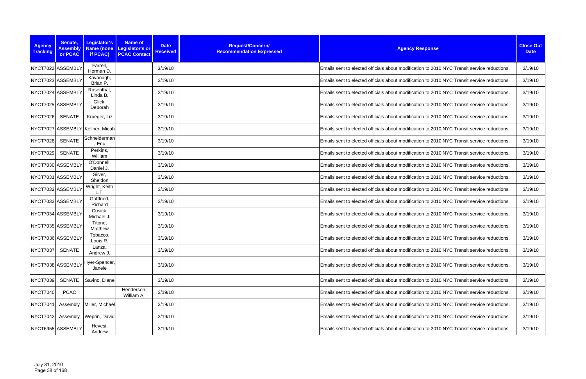| <b>Agency</b><br><b>Tracking</b> | Senate,<br><b>Assembly</b><br>or PCAC | Legislator's<br>if PCAC)         | <b>Name of</b><br>Name (none Legislator's or<br><b>PCAC Contact</b> | <b>Date</b><br><b>Received</b> | Request/Concern/<br><b>Recommendation Expressed</b> | <b>Agency Response</b>                                                                      | <b>Close Out</b><br><b>Date</b> |
|----------------------------------|---------------------------------------|----------------------------------|---------------------------------------------------------------------|--------------------------------|-----------------------------------------------------|---------------------------------------------------------------------------------------------|---------------------------------|
|                                  | NYCT7022 ASSEMBLY                     | Farrell,<br>Herman D.            |                                                                     | 3/19/10                        |                                                     | Emails sent to elected officials about modification to 2010 NYC Transit service reductions. | 3/19/10                         |
|                                  | NYCT7023 ASSEMBLY                     | Kavanagh,<br>Brian P.            |                                                                     | 3/19/10                        |                                                     | Emails sent to elected officials about modification to 2010 NYC Transit service reductions. | 3/19/10                         |
|                                  | NYCT7024 ASSEMBLY                     | Rosenthal,<br>Linda B.           |                                                                     | 3/19/10                        |                                                     | Emails sent to elected officials about modification to 2010 NYC Transit service reductions. | 3/19/10                         |
|                                  | NYCT7025 ASSEMBLY                     | Glick,<br>Deborah                |                                                                     | 3/19/10                        |                                                     | Emails sent to elected officials about modification to 2010 NYC Transit service reductions. | 3/19/10                         |
| <b>NYCT7026</b>                  | <b>SENATE</b>                         | Krueger, Liz                     |                                                                     | 3/19/10                        |                                                     | Emails sent to elected officials about modification to 2010 NYC Transit service reductions. | 3/19/10                         |
|                                  |                                       | NYCT7027 ASSEMBLY Kellner, Micah |                                                                     | 3/19/10                        |                                                     | Emails sent to elected officials about modification to 2010 NYC Transit service reductions. | 3/19/10                         |
| <b>NYCT7028</b>                  | <b>SENATE</b>                         | Schneiderman<br>, Eric           |                                                                     | 3/19/10                        |                                                     | Emails sent to elected officials about modification to 2010 NYC Transit service reductions. | 3/19/10                         |
| <b>NYCT7029</b>                  | <b>SENATE</b>                         | Perkins,<br>William              |                                                                     | 3/19/10                        |                                                     | Emails sent to elected officials about modification to 2010 NYC Transit service reductions. | 3/19/10                         |
|                                  | NYCT7030 ASSEMBLY                     | O'Donnell,<br>Daniel J.          |                                                                     | 3/19/10                        |                                                     | Emails sent to elected officials about modification to 2010 NYC Transit service reductions. | 3/19/10                         |
|                                  | NYCT7031 ASSEMBLY                     | Silver,<br>Sheldon               |                                                                     | 3/19/10                        |                                                     | Emails sent to elected officials about modification to 2010 NYC Transit service reductions. | 3/19/10                         |
|                                  | NYCT7032 ASSEMBLY                     | Wright, Keith<br>L.T.            |                                                                     | 3/19/10                        |                                                     | Emails sent to elected officials about modification to 2010 NYC Transit service reductions. | 3/19/10                         |
|                                  | NYCT7033 ASSEMBLY                     | Gottfried,<br>Richard            |                                                                     | 3/19/10                        |                                                     | Emails sent to elected officials about modification to 2010 NYC Transit service reductions. | 3/19/10                         |
|                                  | NYCT7034 ASSEMBLY                     | Cusick,<br>Michael J             |                                                                     | 3/19/10                        |                                                     | Emails sent to elected officials about modification to 2010 NYC Transit service reductions. | 3/19/10                         |
|                                  | NYCT7035 ASSEMBLY                     | Titone,<br>Matthew               |                                                                     | 3/19/10                        |                                                     | Emails sent to elected officials about modification to 2010 NYC Transit service reductions. | 3/19/10                         |
|                                  | NYCT7036 ASSEMBLY                     | Tobacco,<br>Louis R.             |                                                                     | 3/19/10                        |                                                     | Emails sent to elected officials about modification to 2010 NYC Transit service reductions. | 3/19/10                         |
| <b>NYCT7037</b>                  | <b>SENATE</b>                         | Lanza,<br>Andrew J.              |                                                                     | 3/19/10                        |                                                     | Emails sent to elected officials about modification to 2010 NYC Transit service reductions. | 3/19/10                         |
|                                  | NYCT7038 ASSEMBLY                     | Hyer-Spencer,<br>Janele          |                                                                     | 3/19/10                        |                                                     | Emails sent to elected officials about modification to 2010 NYC Transit service reductions. | 3/19/10                         |
| <b>NYCT7039</b>                  | SENATE                                | Savino, Diane                    |                                                                     | 3/19/10                        |                                                     | Emails sent to elected officials about modification to 2010 NYC Transit service reductions. | 3/19/10                         |
| <b>NYCT7040</b>                  | <b>PCAC</b>                           |                                  | Henderson,<br>William A.                                            | 3/19/10                        |                                                     | Emails sent to elected officials about modification to 2010 NYC Transit service reductions. | 3/19/10                         |
| <b>NYCT7041</b>                  | Assembly                              | Miller, Michael                  |                                                                     | 3/19/10                        |                                                     | Emails sent to elected officials about modification to 2010 NYC Transit service reductions. | 3/19/10                         |
| <b>NYCT7042</b>                  | Assembly                              | Weprin, David                    |                                                                     | 3/19/10                        |                                                     | Emails sent to elected officials about modification to 2010 NYC Transit service reductions. | 3/19/10                         |
|                                  | NYCT6955 ASSEMBLY                     | Hevesi,<br>Andrew                |                                                                     | 3/19/10                        |                                                     | Emails sent to elected officials about modification to 2010 NYC Transit service reductions. | 3/19/10                         |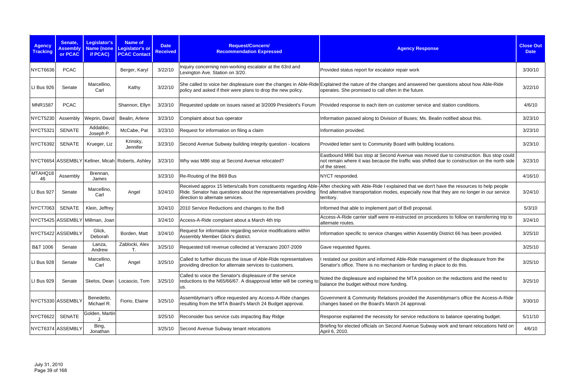| <b>Agency</b><br><b>Tracking</b> | Senate,<br><b>Assembly</b><br>or PCAC | Legislator's<br>if PCAC)        | <b>Name of</b><br>Name (none Legislator's or<br><b>PCAC Contact</b> | <b>Date</b><br><b>Received</b> | Request/Concern/<br><b>Recommendation Expressed</b>                                                                                                                       | <b>Agency Response</b>                                                                                                                                                                                      | <b>Close Out</b><br><b>Date</b> |
|----------------------------------|---------------------------------------|---------------------------------|---------------------------------------------------------------------|--------------------------------|---------------------------------------------------------------------------------------------------------------------------------------------------------------------------|-------------------------------------------------------------------------------------------------------------------------------------------------------------------------------------------------------------|---------------------------------|
| NYCT6636                         | <b>PCAC</b>                           |                                 | Berger, Karyl                                                       | 3/22/10                        | Inquiry concerning non-working escalator at the 63rd and<br>Lexington Ave. Station on 3/20.                                                                               | Provided status report for escalator repair work                                                                                                                                                            | 3/30/10                         |
| LI Bus 926                       | Senate                                | Marcellino,<br>Carl             | Kathy                                                               | 3/22/10                        | policy and asked if their were plans to drop the new policy.                                                                                                              | She called to voice her displeasure over the changes in Able-Ride Explained the nature of the changes and answered her questions about how Able-Ride<br>operates. She promised to call often in the future. | 3/22/10                         |
| <b>MNR1587</b>                   | <b>PCAC</b>                           |                                 | Shannon, Ellyn                                                      | 3/23/10                        | Requested update on issues raised at 3/2009 President's Forum                                                                                                             | Provided response to each item on customer service and station conditions.                                                                                                                                  | 4/6/10                          |
| <b>NYCT5230</b>                  | Assembly                              | Weprin, David                   | Bealin, Arlene                                                      | 3/23/10                        | Complaint about bus operator                                                                                                                                              | Information passed along to Division of Buses; Ms. Bealin notified about this.                                                                                                                              | 3/23/10                         |
| <b>NYCT5321</b>                  | <b>SENATE</b>                         | Addabbo,<br>Joseph P.           | McCabe, Pat                                                         | 3/23/10                        | Request for information on filing a claim                                                                                                                                 | Information provided.                                                                                                                                                                                       | 3/23/10                         |
| <b>NYCT6392</b>                  | <b>SENATE</b>                         | Krueger, Liz                    | Krinsky,<br>Jennifer                                                | 3/23/10                        | Second Avenue Subway building integrity question - locations                                                                                                              | Provided letter sent to Community Board with building locations.                                                                                                                                            | 3/23/10                         |
|                                  |                                       |                                 | NYCT6654 ASSEMBLY Kellner, Micah Roberts, Ashley                    | 3/23/10                        | Why was M86 stop at Second Avenue relocated?                                                                                                                              | Eastbound M86 bus stop at Second Avenue was moved due to construction. Bus stop could<br>not remain where it was because the traffic was shifted due to construction on the north side<br>of the street.    | 3/23/10                         |
| MTAHQ18<br>46                    | Assembly                              | Brennan,<br>James               |                                                                     | 3/23/10                        | Re-Routing of the B69 Bus                                                                                                                                                 | NYCT responded.                                                                                                                                                                                             | 4/16/10                         |
| LI Bus 927                       | Senate                                | Marcellino,<br>Carl             | Angel                                                               | 3/24/10                        | Received approx 15 letters/calls from constituents regarding Able-<br>Ride. Senator has questions about the representatives providing<br>direction to alternate services. | After checking with Able-Ride I explained that we don't have the resources to help people<br>find alternative transportation modes, especially now that they are no longer in our service<br>territory.     | 3/24/10                         |
| <b>NYCT7063</b>                  | <b>SENATE</b>                         | Klein, Jeffrey                  |                                                                     | 3/24/10                        | 2010 Service Reductions and changes to the Bx8                                                                                                                            | Informed that able to implement part of Bx8 proposal.                                                                                                                                                       | 5/3/10                          |
|                                  |                                       | NYCT5425 ASSEMBLY Millman, Joan |                                                                     | 3/24/10                        | Access-A-Ride complaint about a March 4th trip                                                                                                                            | Access-A-Ride carrier staff were re-instructed on procedures to follow on transferring trip to<br>alternate routes.                                                                                         | 3/24/10                         |
|                                  | NYCT5422 ASSEMBLY                     | Glick,<br>Deborah               | Borden, Matt                                                        | 3/24/10                        | Request for information regarding service modifications within<br>Assembly Member Glick's district.                                                                       | Information specific to service changes within Assembly District 66 has been provided.                                                                                                                      | 3/25/10                         |
| B&T 1006                         | Senate                                | Lanza,<br>Andrew                | Zablocki, Alex<br>T.                                                |                                | 3/25/10 Requested toll revenue collected at Verrazano 2007-2009                                                                                                           | Gave requested figures.                                                                                                                                                                                     | 3/25/10                         |
| LI Bus 928                       | Senate                                | Marcellino,<br>Carl             | Angel                                                               | 3/25/10                        | Called to further discuss the issue of Able-Ride representatives<br>providing direction for alternate services to customers.                                              | restated our position and informed Able-Ride management of the displeasure from the<br>Senator's office. There is no mechanism or funding in place to do this.                                              | 3/25/10                         |
| LI Bus 929                       | Senate                                | Skelos, Dean                    | Locascio, Tom                                                       | 3/25/10                        | Called to voice the Senator's displeasure of the service<br>reductions to the N65/66/67. A disapproval letter will be coming to<br>us.                                    | Noted the displeasure and explained the MTA position on the reductions and the need to<br>balance the budget without more funding.                                                                          | 3/25/10                         |
|                                  | NYCT5330 ASSEMBLY                     | Benedetto,<br>Michael R.        | Fiorio, Elaine                                                      | 3/25/10                        | Assemblyman's office requested any Access-A-Ride changes<br>resulting from the MTA Board's March 24 Budget approval.                                                      | Government & Community Relations provided the Assemblyman's office the Access-A-Ride<br>changes based on the Board's March 24 approval.                                                                     | 3/30/10                         |
| <b>NYCT6622</b>                  | <b>SENATE</b>                         | Golden, Martin                  |                                                                     | 3/25/10                        | Reconsider bus service cuts impacting Bay Ridge                                                                                                                           | Response explained the necessity for service reductions to balance operating budget.                                                                                                                        | 5/11/10                         |
|                                  | NYCT6374 ASSEMBLY                     | Bing,<br>Jonathan               |                                                                     | 3/25/10                        | Second Avenue Subway tenant relocations                                                                                                                                   | Briefing for elected officials on Second Avenue Subway work and tenant relocations held on<br>April 6, 2010.                                                                                                | 4/6/10                          |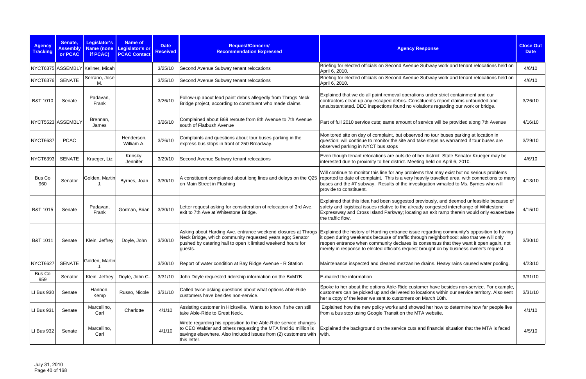| <b>Agency</b><br><b>Tracking</b> | Senate,<br><b>Assembly</b><br>or PCAC | Legislator's<br><b>Name (none</b><br>if PCAC) | <b>Name of</b><br>Legislator's or<br><b>PCAC Contact</b> | <b>Date</b><br><b>Received</b> | Request/Concern/<br><b>Recommendation Expressed</b>                                                                                                                                                                         | <b>Agency Response</b>                                                                                                                                                                                                                                                                                                                                                          | <b>Close Out</b><br><b>Date</b> |
|----------------------------------|---------------------------------------|-----------------------------------------------|----------------------------------------------------------|--------------------------------|-----------------------------------------------------------------------------------------------------------------------------------------------------------------------------------------------------------------------------|---------------------------------------------------------------------------------------------------------------------------------------------------------------------------------------------------------------------------------------------------------------------------------------------------------------------------------------------------------------------------------|---------------------------------|
|                                  |                                       | NYCT6375 ASSEMBLY Kellner, Micah              |                                                          | 3/25/10                        | Second Avenue Subway tenant relocations                                                                                                                                                                                     | Briefing for elected officials on Second Avenue Subway work and tenant relocations held on<br>April 6, 2010.                                                                                                                                                                                                                                                                    | 4/6/10                          |
| <b>NYCT6376</b>                  | <b>SENATE</b>                         | Serrano, Jose<br>M.                           |                                                          | 3/25/10                        | Second Avenue Subway tenant relocations                                                                                                                                                                                     | Briefing for elected officials on Second Avenue Subway work and tenant relocations held on<br>April 6, 2010.                                                                                                                                                                                                                                                                    | 4/6/10                          |
| <b>B&amp;T 1010</b>              | Senate                                | Padavan,<br>Frank                             |                                                          | 3/26/10                        | Follow-up about lead paint debris allegedly from Throgs Neck<br>Bridge project, according to constituent who made claims.                                                                                                   | Explained that we do all paint removal operations under strict containment and our<br>contractors clean up any escaped debris. Constituent's report claims unfounded and<br>unsubstantiated. DEC inspections found no violations regarding our work or bridge.                                                                                                                  | 3/26/10                         |
|                                  | NYCT5523 ASSEMBLY                     | Brennan,<br>James                             |                                                          | 3/26/10                        | Complained about B69 reroute from 8th Avenue to 7th Avenue<br>south of Flatbush Avenue                                                                                                                                      | Part of full 2010 service cuts; same amount of service will be provided along 7th Avenue                                                                                                                                                                                                                                                                                        | 4/16/10                         |
| NYCT6637                         | <b>PCAC</b>                           |                                               | Henderson,<br>William A.                                 | 3/26/10                        | Complaints and questions about tour buses parking in the<br>express bus stops in front of 250 Broadway.                                                                                                                     | Monitored site on day of complaint, but observed no tour buses parking at location in<br>question; will continue to monitor the site and take steps as warranted if tour buses are<br>observed parking in NYCT bus stops                                                                                                                                                        | 3/29/10                         |
| NYCT6393                         | <b>SENATE</b>                         | Krueger, Liz                                  | Krinsky,<br>Jennifer                                     | 3/29/10                        | Second Avenue Subway tenant relocations                                                                                                                                                                                     | Even though tenant relocations are outside of her district, State Senator Krueger may be<br>interested due to proximity to her district. Meeting held on April 6, 2010.                                                                                                                                                                                                         | 4/6/10                          |
| Bus Co<br>960                    | Senator                               | Golden, Martin                                | Byrnes, Joan                                             | 3/30/10                        | on Main Street in Flushing                                                                                                                                                                                                  | Will continue to monitor this line for any problems that may exist but no serious problems<br>A constituent complained about long lines and delays on the Q25 reported to date of complaint. This is a very heavily travelled area, with connections to many<br>buses and the #7 subway. Results of the investigation wmailed to Ms. Byrnes who will<br>provide to constituent. | 4/13/10                         |
| <b>B&amp;T 1015</b>              | Senate                                | Padavan,<br>Frank                             | Gorman, Brian                                            | 3/30/10                        | Letter request asking for consideration of relocation of 3rd Ave.<br>exit to 7th Ave at Whitestone Bridge.                                                                                                                  | Explained that this idea had been suggested previously, and deemed unfeasible because of<br>safety and logistical issues relative to the already congested interchange of Whitestone<br>Expressway and Cross Island Parkway; locating an exit ramp therein would only exacerbate<br>the traffic flow.                                                                           | 4/15/10                         |
| B&T 1011                         | Senate                                | Klein, Jeffrey                                | Doyle, John                                              | 3/30/10                        | Asking about Harding Ave. entrance weekend closures at Throgs<br>Neck Bridge, which community requested years ago; Senator<br>pushed by catering hall to open it limited weekend hours for<br>guests.                       | Explained the history of Harding entrance issue regarding community's opposition to having<br>it open during weekends because of traffic through neighborhood; also that we will only<br>reopen entrance when community declares its consensus that they want it open again, not<br>merely in response to elected official's request brought on by business owner's request.    | 3/30/10                         |
| NYCT6627                         | <b>SENATE</b>                         | Golden, Martin                                |                                                          | 3/30/10                        | Report of water condition at Bay Ridge Avenue - R Station                                                                                                                                                                   | Maintenance inspected and cleared mezzanine drains. Heavy rains caused water pooling.                                                                                                                                                                                                                                                                                           | 4/23/10                         |
| Bus Co<br>959                    | Senator                               | Klein, Jeffrey                                | Doyle, John C.                                           | 3/31/10                        | John Doyle requested ridership information on the BxM7B                                                                                                                                                                     | E-mailed the information                                                                                                                                                                                                                                                                                                                                                        | 3/31/10                         |
| LI Bus 930                       | Senate                                | Hannon,<br>Kemp                               | Russo, Nicole                                            | 3/31/10                        | Called twice asking questions about what options Able-Ride<br>customers have besides non-service.                                                                                                                           | Spoke to her about the options Able-Ride customer have besides non-service. For example,<br>customers can be picked up and delivered to locations within our service territory. Also sent<br>her a copy of the letter we sent to customers on March 10th.                                                                                                                       | 3/31/10                         |
| <b>LI Bus 931</b>                | Senate                                | Marcellino,<br>Carl                           | Charlotte                                                | 4/1/10                         | Assisting customer in Hicksville. Wants to know if she can still<br>take Able-Ride to Great Neck.                                                                                                                           | Explained how the new policy works and showed her how to determine how far people live<br>from a bus stop using Google Transit on the MTA website.                                                                                                                                                                                                                              | 4/1/10                          |
| LI Bus 932                       | Senate                                | Marcellino,<br>Carl                           |                                                          | 4/1/10                         | Wrote regarding his opposition to the Able-Ride service changes<br>to CEO Walder and others requesting the MTA find \$1 million is<br>savings elsewhere. Also included issues from (2) customers with with.<br>this letter. | Explained the background on the service cuts and financial situation that the MTA is faced                                                                                                                                                                                                                                                                                      | 4/5/10                          |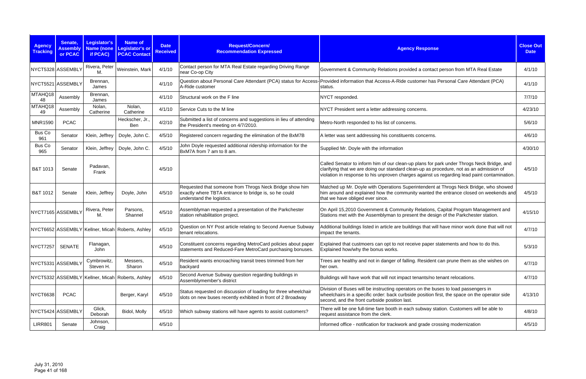| <b>Agency</b><br><b>Tracking</b> | Senate,<br><b>Assembly</b><br>or PCAC | <b>Legislator's</b><br><b>Name (none</b><br>if PCAC) | <b>Name of</b><br>Legislator's or<br><b>PCAC Contact</b> | <b>Date</b><br><b>Received</b> | Request/Concern/<br><b>Recommendation Expressed</b>                                                                                           | <b>Agency Response</b>                                                                                                                                                                                                                                                               | <b>Close Out</b><br><b>Date</b> |
|----------------------------------|---------------------------------------|------------------------------------------------------|----------------------------------------------------------|--------------------------------|-----------------------------------------------------------------------------------------------------------------------------------------------|--------------------------------------------------------------------------------------------------------------------------------------------------------------------------------------------------------------------------------------------------------------------------------------|---------------------------------|
| NYCT5328 ASSEMBLY                |                                       | Rivera, Peter<br>M.                                  | Weinstein, Mark                                          | 4/1/10                         | Contact person for MTA Real Estate regarding Driving Range<br>near Co-op City                                                                 | Government & Community Relations provided a contact person from MTA Real Estate                                                                                                                                                                                                      | 4/1/10                          |
| NYCT5521 ASSEMBLY                |                                       | Brennan,<br>James                                    |                                                          | 4/1/10                         | A-Ride customer                                                                                                                               | Question about Personal Care Attendant (PCA) status for Access- Provided information that Access-A-Ride customer has Personal Care Attendant (PCA)<br>status.                                                                                                                        | 4/1/10                          |
| MTAHQ18<br>48                    | Assembly                              | Brennan,<br>James                                    |                                                          | 4/1/10                         | Structural work on the F line                                                                                                                 | NYCT responded.                                                                                                                                                                                                                                                                      | 7/7/10                          |
| MTAHQ18<br>49                    | Assembly                              | Nolan,<br>Catherine                                  | Nolan,<br>Catherine                                      | 4/1/10                         | Service Cuts to the M line                                                                                                                    | NYCT President sent a letter addressing concerns.                                                                                                                                                                                                                                    | 4/23/10                         |
| <b>MNR1590</b>                   | <b>PCAC</b>                           |                                                      | Heckscher, Jr.,<br>Ben                                   | 4/2/10                         | Submitted a list of concerns and suggestions in lieu of attending<br>the President's meeting on 4/7/2010.                                     | Metro-North responded to his list of concerns.                                                                                                                                                                                                                                       | 5/6/10                          |
| Bus Co<br>961                    | Senator                               | Klein, Jeffrey                                       | Doyle, John C.                                           | 4/5/10                         | Registered concern regarding the elimination of the BxM7B                                                                                     | A letter was sent addressing his constituents concerns.                                                                                                                                                                                                                              | 4/6/10                          |
| Bus Co<br>965                    | Senator                               | Klein, Jeffrey                                       | Doyle, John C.                                           | 4/5/10                         | John Doyle requested additional ridership information for the<br>BxM7A from 7 am to 8 am.                                                     | Supplied Mr. Doyle with the information                                                                                                                                                                                                                                              | 4/30/10                         |
| B&T 1013                         | Senate                                | Padavan,<br>Frank                                    |                                                          | 4/5/10                         |                                                                                                                                               | Called Senator to inform him of our clean-up plans for park under Throgs Neck Bridge, and<br>clarifying that we are doing our standard clean-up as procedure, not as an admission of<br>violation in response to his unproven charges against us regarding lead paint contamination. | 4/5/10                          |
| B&T 1012                         | Senate                                | Klein, Jeffrey                                       | Doyle, John                                              | 4/5/10                         | Requested that someone from Throgs Neck Bridge show him<br>exactly where TBTA entrance to bridge is, so he could<br>understand the logistics. | Matched up Mr. Doyle with Operations Superintendent at Throgs Neck Bridge, who showed<br>him around and explained how the community wanted the entrance closed on weekends and<br>that we have obliged ever since.                                                                   | 4/5/10                          |
| NYCT7165 ASSEMBLY                |                                       | Rivera, Peter<br>М.                                  | Parsons,<br>Shannel                                      | 4/5/10                         | Assemblyman requested a presentation of the Parkchester<br>station rehabilitation project.                                                    | On April 15,2010 Government & Community Relations, Capital Program Management and<br>Stations met with the Assemblyman to present the design of the Parkchester station.                                                                                                             | 4/15/10                         |
|                                  |                                       |                                                      | NYCT6652 ASSEMBLY Kellner, Micah Roberts, Ashley         | 4/5/10                         | Question on NY Post article relating to Second Avenue Subway<br>tenant relocations.                                                           | Additional buildings listed in article are buildings that will have minor work done that will not<br>impact the tenants.                                                                                                                                                             | 4/7/10                          |
| NYCT7257 SENATE                  |                                       | Flanagan,<br>John                                    |                                                          | 4/5/10                         | Constituent concerns regarding MetroCard policies about paper<br>statements and Reduced-Fare MetroCard purchasing bonuses.                    | Explained that custmoers can opt to not receive paper statements and how to do this.<br>Explained how/why the bonus works.                                                                                                                                                           | 5/3/10                          |
| NYCT5331 ASSEMBLY                |                                       | Cymbrowitz,<br>Steven H.                             | Messers,<br>Sharon                                       | 4/5/10                         | Resident wants encroaching transit trees trimmed from her<br>backyard                                                                         | Trees are healthy and not in danger of falling. Resident can prune them as she wishes on<br>her own.                                                                                                                                                                                 | 4/7/10                          |
|                                  |                                       |                                                      | NYCT5332 ASSEMBLY Kellner, Micah Roberts, Ashley         | 4/5/10                         | Second Avenue Subway question regarding buildings in<br>Assemblymember's district                                                             | Buildings will have work that will not impact tenants/no tenant relocations.                                                                                                                                                                                                         | 4/7/10                          |
| NYCT6638                         | <b>PCAC</b>                           |                                                      | Berger, Karyl                                            | 4/5/10                         | Status requested on discussion of loading for three wheelchair<br>slots on new buses recently exhibited in front of 2 Broadway                | Division of Buses will be instructing operators on the buses to load passengers in<br>wheelchairs in a specific order: back curbside position first, the space on the operator side<br>second, and the front curbside position last.                                                 | 4/13/10                         |
| NYCT5424 ASSEMBLY                |                                       | Glick,<br>Deborah                                    | Bidol, Molly                                             | 4/5/10                         | Which subway stations will have agents to assist customers?                                                                                   | There will be one full-time fare booth in each subway station. Customers will be able to<br>request assistance from the clerk.                                                                                                                                                       | 4/8/10                          |
| <b>LIRR801</b>                   | Senate                                | Johnson,<br>Craig                                    |                                                          | 4/5/10                         |                                                                                                                                               | Informed office - notification for trackwork and grade crossing modernization                                                                                                                                                                                                        | 4/5/10                          |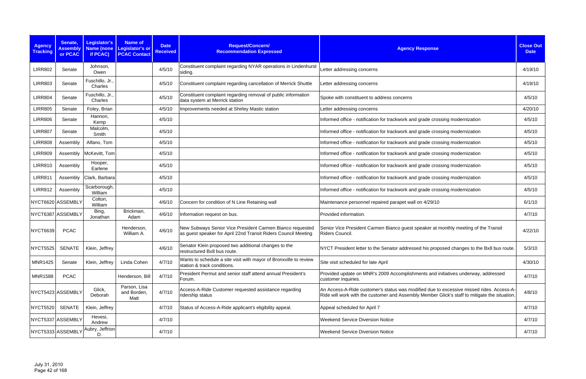| <b>Agency</b><br><b>Tracking</b> | Senate,<br><b>Assembly</b><br>or PCAC | Legislator's<br>if PCAC)   | <b>Name of</b><br>Name (none Legislator's or<br><b>PCAC Contact</b> | <b>Date</b><br><b>Received</b> | Request/Concern/<br><b>Recommendation Expressed</b>                                                                         | <b>Agency Response</b>                                                                                                                                                                    | <b>Close Out</b><br><b>Date</b> |
|----------------------------------|---------------------------------------|----------------------------|---------------------------------------------------------------------|--------------------------------|-----------------------------------------------------------------------------------------------------------------------------|-------------------------------------------------------------------------------------------------------------------------------------------------------------------------------------------|---------------------------------|
| <b>LIRR802</b>                   | Senate                                | Johnson,<br>Owen           |                                                                     | 4/5/10                         | Constituent complaint regarding NYAR operations in Lindenhurst<br>siding.                                                   | Letter addressing concerns                                                                                                                                                                | 4/19/10                         |
| <b>LIRR803</b>                   | Senate                                | Fuschillo, Jr.,<br>Charles |                                                                     | 4/5/10                         | Constituent complaint regarding cancellation of Merrick Shuttle                                                             | Letter addressing concerns                                                                                                                                                                | 4/19/10                         |
| <b>LIRR804</b>                   | Senate                                | Fuschillo, Jr.,<br>Charles |                                                                     | 4/5/10                         | Constituent complaint regarding removal of public information<br>data system at Merrick station                             | Spoke with constituent to address concerns                                                                                                                                                | 4/5/10                          |
| <b>LIRR805</b>                   | Senate                                | Foley, Brian               |                                                                     | 4/5/10                         | Improvements needed at Shirley Mastic station                                                                               | Letter addressing concerns                                                                                                                                                                | 4/20/10                         |
| <b>LIRR806</b>                   | Senate                                | Hannon,<br>Kemp            |                                                                     | 4/5/10                         |                                                                                                                             | Informed office - notification for trackwork and grade crossing modernization                                                                                                             | 4/5/10                          |
| <b>LIRR807</b>                   | Senate                                | Malcolm,<br>Smith          |                                                                     | 4/5/10                         |                                                                                                                             | Informed office - notification for trackwork and grade crossing modernization                                                                                                             | 4/5/10                          |
| <b>LIRR808</b>                   | Assembly                              | Alfano, Tom                |                                                                     | 4/5/10                         |                                                                                                                             | Informed office - notification for trackwork and grade crossing modernization                                                                                                             | 4/5/10                          |
| <b>LIRR809</b>                   | Assembly                              | McKevitt, Tom              |                                                                     | 4/5/10                         |                                                                                                                             | Informed office - notification for trackwork and grade crossing modernization                                                                                                             | 4/5/10                          |
| <b>LIRR810</b>                   | Assembly                              | Hooper,<br>Earlene         |                                                                     | 4/5/10                         |                                                                                                                             | Informed office - notification for trackwork and grade crossing modernization                                                                                                             | 4/5/10                          |
| <b>LIRR811</b>                   | Assembly                              | Clark, Barbara             |                                                                     | 4/5/10                         |                                                                                                                             | Informed office - notification for trackwork and grade crossing modernization                                                                                                             | 4/5/10                          |
| <b>LIRR812</b>                   | Assembly                              | Scarborough,<br>William    |                                                                     | 4/5/10                         |                                                                                                                             | Informed office - notification for trackwork and grade crossing modernization                                                                                                             | 4/5/10                          |
|                                  | NYCT6620 ASSEMBLY                     | Colton,<br>William         |                                                                     | 4/6/10                         | Concern for condition of N Line Retaining wall                                                                              | Maintenance personnel repaired parapet wall on 4/29/10                                                                                                                                    | 6/1/10                          |
|                                  | NYCT6387 ASSEMBLY                     | Bing,<br>Jonathan          | Brickman,<br>Adam                                                   | 4/6/10                         | Information request on bus.                                                                                                 | Provided information.                                                                                                                                                                     | 4/7/10                          |
| <b>NYCT6639</b>                  | <b>PCAC</b>                           |                            | Henderson,<br>William A.                                            | 4/6/10                         | New Subways Senior Vice President Carmen Bianco requested<br>as guest speaker for April 22nd Transit Riders Council Meeting | Senior Vice President Carmen Bianco guest speaker at monthly meeting of the Transit<br>Riders Council.                                                                                    | 4/22/10                         |
| <b>NYCT5525</b>                  | <b>SENATE</b>                         | Klein, Jeffrey             |                                                                     | 4/6/10                         | Senator Klein proposed two additional changes to the<br>restructured Bx8 bus route.                                         | NYCT President letter to the Senator addressed his proposed changes to the Bx8 bus route.                                                                                                 | 5/3/10                          |
| <b>MNR1425</b>                   | Senate                                | Klein, Jeffrey             | Linda Cohen                                                         | 4/7/10                         | Wants to schedule a site visit with mayor of Bronxville to review<br>station & track conditions.                            | Site visit scheduled for late April                                                                                                                                                       | 4/30/10                         |
| <b>MNR1588</b>                   | <b>PCAC</b>                           |                            | Henderson, Bill                                                     | 4/7/10                         | President Permut and senior staff attend annual President's<br>Forum.                                                       | Provided update on MNR's 2009 Accomplishments and initiatives underway, addressed<br>customer inquiries.                                                                                  | 4/7/10                          |
|                                  | NYCT5423 ASSEMBLY                     | Glick,<br>Deborah          | Parson, Lisa<br>and Borden,<br>Matt                                 | 4/7/10                         | Access-A-Ride Customer requested assistance regarding<br>ridership status                                                   | An Access-A-Ride customer's status was modified due to excessive missed rides. Access-A-<br>Ride will work with the customer and Assembly Member Glick's staff to mitigate the situation. | 4/8/10                          |
| <b>NYCT5520</b>                  | SENATE                                | Klein, Jeffrey             |                                                                     | 4/7/10                         | Status of Access-A-Ride applicant's eligibility appeal.                                                                     | Appeal scheduled for April 7                                                                                                                                                              | 4/7/10                          |
|                                  | NYCT5337 ASSEMBLY                     | Hevesi,<br>Andrew          |                                                                     | 4/7/10                         |                                                                                                                             | <b>Weekend Service Diversion Notice</b>                                                                                                                                                   | 4/7/10                          |
|                                  | NYCT5333 ASSEMBLY                     | Aubry, Jeffrion<br>D.      |                                                                     | 4/7/10                         |                                                                                                                             | <b>Weekend Service Diversion Notice</b>                                                                                                                                                   | 4/7/10                          |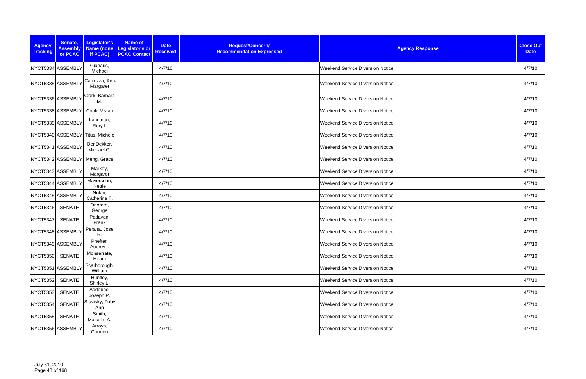| <b>Agency</b><br><b>Tracking</b> | Senate,<br><b>Assembly</b><br>or PCAC | Legislator's<br>Name (none<br>if PCAC) | Name of<br><b>Date</b><br>Legislator's or<br><b>Received</b><br><b>PCAC Contact</b> | Request/Concern/<br><b>Recommendation Expressed</b> | <b>Agency Response</b>                  | <b>Close Out</b><br><b>Date</b> |
|----------------------------------|---------------------------------------|----------------------------------------|-------------------------------------------------------------------------------------|-----------------------------------------------------|-----------------------------------------|---------------------------------|
|                                  | NYCT5334 ASSEMBLY                     | Gianaris,<br>Michael                   | 4/7/10                                                                              |                                                     | <b>Weekend Service Diversion Notice</b> | 4/7/10                          |
|                                  | NYCT5335 ASSEMBLY                     | Carrozza, Ann<br>Margaret              | 4/7/10                                                                              |                                                     | <b>Weekend Service Diversion Notice</b> | 4/7/10                          |
|                                  | NYCT5336 ASSEMBLY                     | Clark, Barbara<br>M.                   | 4/7/10                                                                              |                                                     | <b>Weekend Service Diversion Notice</b> | 4/7/10                          |
|                                  | NYCT5338 ASSEMBLY                     | Cook, Vivian                           | 4/7/10                                                                              |                                                     | <b>Weekend Service Diversion Notice</b> | 4/7/10                          |
|                                  | NYCT5339 ASSEMBLY                     | Lancman,<br>Rory I.                    | 4/7/10                                                                              |                                                     | <b>Weekend Service Diversion Notice</b> | 4/7/10                          |
|                                  |                                       | NYCT5340 ASSEMBLY Titus, Michele       | 4/7/10                                                                              |                                                     | <b>Weekend Service Diversion Notice</b> | 4/7/10                          |
|                                  | NYCT5341 ASSEMBLY                     | DenDekker,<br>Michael G.               | 4/7/10                                                                              |                                                     | <b>Weekend Service Diversion Notice</b> | 4/7/10                          |
|                                  | NYCT5342 ASSEMBLY                     | Meng, Grace                            | 4/7/10                                                                              |                                                     | <b>Weekend Service Diversion Notice</b> | 4/7/10                          |
|                                  | NYCT5343 ASSEMBLY                     | Markey,<br>Margaret                    | 4/7/10                                                                              |                                                     | <b>Weekend Service Diversion Notice</b> | 4/7/10                          |
|                                  | NYCT5344 ASSEMBLY                     | Mayersohn,<br>Nettie                   | 4/7/10                                                                              |                                                     | <b>Weekend Service Diversion Notice</b> | 4/7/10                          |
|                                  | NYCT5345 ASSEMBLY                     | Nolan,<br>Catherine T.                 | 4/7/10                                                                              |                                                     | <b>Weekend Service Diversion Notice</b> | 4/7/10                          |
| <b>NYCT5346</b>                  | <b>SENATE</b>                         | Onorato,<br>George                     | 4/7/10                                                                              |                                                     | <b>Weekend Service Diversion Notice</b> | 4/7/10                          |
| NYCT5347                         | <b>SENATE</b>                         | Padavan,<br>Frank                      | 4/7/10                                                                              |                                                     | <b>Weekend Service Diversion Notice</b> | 4/7/10                          |
|                                  | NYCT5348 ASSEMBLY                     | Peralta, Jose<br>R.                    | 4/7/10                                                                              |                                                     | <b>Weekend Service Diversion Notice</b> | 4/7/10                          |
|                                  | NYCT5349 ASSEMBLY                     | Pheffer,<br>Audrey I.                  | 4/7/10                                                                              |                                                     | <b>Weekend Service Diversion Notice</b> | 4/7/10                          |
| NYCT5350                         | SENATE                                | Monserrate,<br>Hiram                   | 4/7/10                                                                              |                                                     | <b>Weekend Service Diversion Notice</b> | 4/7/10                          |
|                                  | NYCT5351 ASSEMBLY                     | Scarborough,<br>William                | 4/7/10                                                                              |                                                     | <b>Weekend Service Diversion Notice</b> | 4/7/10                          |
| <b>NYCT5352</b>                  | SENATE                                | Huntley,<br>Shirley L.                 | 4/7/10                                                                              |                                                     | <b>Weekend Service Diversion Notice</b> | 4/7/10                          |
| <b>NYCT5353</b>                  | SENATE                                | Addabbo,<br>Joseph P.                  | 4/7/10                                                                              |                                                     | <b>Weekend Service Diversion Notice</b> | 4/7/10                          |
| NYCT5354                         | <b>SENATE</b>                         | Stavisky, Toby<br>Ann                  | 4/7/10                                                                              |                                                     | <b>Weekend Service Diversion Notice</b> | 4/7/10                          |
| NYCT5355                         | SENATE                                | Smith,<br>Malcolm A.                   | 4/7/10                                                                              |                                                     | <b>Weekend Service Diversion Notice</b> | 4/7/10                          |
|                                  | NYCT5356 ASSEMBLY                     | Arroyo,<br>Carmen                      | 4/7/10                                                                              |                                                     | <b>Weekend Service Diversion Notice</b> | 4/7/10                          |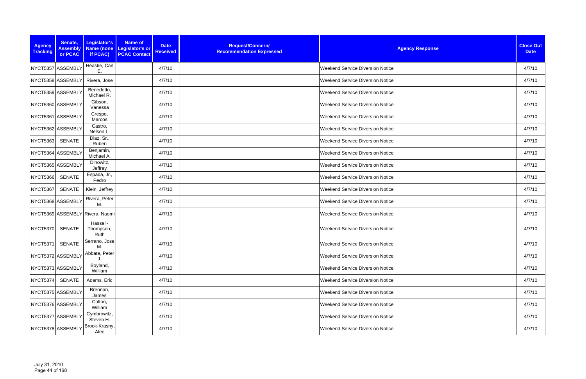| <b>Agency</b><br><b>Tracking</b> | Senate,<br><b>Assembly</b><br>or PCAC | Legislator's<br><b>Name (none</b><br>if PCAC) | Name of<br>Legislator's or<br><b>PCAC Contact</b> | <b>Date</b><br><b>Received</b> | Request/Concern/<br><b>Recommendation Expressed</b> | <b>Agency Response</b>                  | <b>Close Out</b><br><b>Date</b> |
|----------------------------------|---------------------------------------|-----------------------------------------------|---------------------------------------------------|--------------------------------|-----------------------------------------------------|-----------------------------------------|---------------------------------|
| NYCT5357 ASSEMBLY                |                                       | Heastie, Carl<br>Ε.                           |                                                   | 4/7/10                         |                                                     | <b>Weekend Service Diversion Notice</b> | 4/7/10                          |
|                                  | NYCT5358 ASSEMBLY                     | Rivera, Jose                                  |                                                   | 4/7/10                         |                                                     | <b>Weekend Service Diversion Notice</b> | 4/7/10                          |
|                                  | NYCT5359 ASSEMBLY                     | Benedetto,<br>Michael R.                      |                                                   | 4/7/10                         |                                                     | <b>Weekend Service Diversion Notice</b> | 4/7/10                          |
|                                  | NYCT5360 ASSEMBLY                     | Gibson,<br>Vanessa                            |                                                   | 4/7/10                         |                                                     | <b>Weekend Service Diversion Notice</b> | 4/7/10                          |
|                                  | NYCT5361 ASSEMBLY                     | Crespo,<br>Marcos                             |                                                   | 4/7/10                         |                                                     | <b>Weekend Service Diversion Notice</b> | 4/7/10                          |
| NYCT5362 ASSEMBLY                |                                       | Castro,<br>Nelson L.                          |                                                   | 4/7/10                         |                                                     | <b>Weekend Service Diversion Notice</b> | 4/7/10                          |
| <b>NYCT5363</b>                  | SENATE                                | Diaz, Sr.,<br>Ruben                           |                                                   | 4/7/10                         |                                                     | <b>Weekend Service Diversion Notice</b> | 4/7/10                          |
|                                  | NYCT5364 ASSEMBLY                     | Benjamin,<br>Michael A.                       |                                                   | 4/7/10                         |                                                     | <b>Weekend Service Diversion Notice</b> | 4/7/10                          |
|                                  | NYCT5365 ASSEMBLY                     | Dinowitz,<br>Jeffrey                          |                                                   | 4/7/10                         |                                                     | <b>Weekend Service Diversion Notice</b> | 4/7/10                          |
| <b>NYCT5366</b>                  | <b>SENATE</b>                         | Espada, Jr.,<br>Pedro                         |                                                   | 4/7/10                         |                                                     | <b>Weekend Service Diversion Notice</b> | 4/7/10                          |
| NYCT5367                         | SENATE                                | Klein, Jeffrey                                |                                                   | 4/7/10                         |                                                     | <b>Weekend Service Diversion Notice</b> | 4/7/10                          |
|                                  | NYCT5368 ASSEMBLY                     | Rivera, Peter<br>M.                           |                                                   | 4/7/10                         |                                                     | Weekend Service Diversion Notice        | 4/7/10                          |
|                                  |                                       | NYCT5369 ASSEMBLY Rivera, Naomi               |                                                   | 4/7/10                         |                                                     | <b>Weekend Service Diversion Notice</b> | 4/7/10                          |
| NYCT5370                         | <b>SENATE</b>                         | Hassell-<br>Thompson,<br>Ruth                 |                                                   | 4/7/10                         |                                                     | <b>Weekend Service Diversion Notice</b> | 4/7/10                          |
| NYCT5371                         | SENATE                                | Serrano, Jose<br>M.                           |                                                   | 4/7/10                         |                                                     | <b>Weekend Service Diversion Notice</b> | 4/7/10                          |
|                                  | NYCT5372 ASSEMBLY                     | Abbate, Peter                                 |                                                   | 4/7/10                         |                                                     | <b>Weekend Service Diversion Notice</b> | 4/7/10                          |
|                                  | NYCT5373 ASSEMBLY                     | Boyland,<br>William                           |                                                   | 4/7/10                         |                                                     | <b>Weekend Service Diversion Notice</b> | 4/7/10                          |
| NYCT5374                         | SENATE                                | Adams, Eric                                   |                                                   | 4/7/10                         |                                                     | <b>Weekend Service Diversion Notice</b> | 4/7/10                          |
|                                  | NYCT5375 ASSEMBLY                     | Brennan,<br>James                             |                                                   | 4/7/10                         |                                                     | <b>Weekend Service Diversion Notice</b> | 4/7/10                          |
|                                  | NYCT5376 ASSEMBLY                     | Colton,<br>William                            |                                                   | 4/7/10                         |                                                     | <b>Weekend Service Diversion Notice</b> | 4/7/10                          |
|                                  | NYCT5377 ASSEMBLY                     | Cymbrowitz,<br>Steven H.                      |                                                   | 4/7/10                         |                                                     | <b>Weekend Service Diversion Notice</b> | 4/7/10                          |
|                                  | NYCT5378 ASSEMBLY                     | Brook-Krasny,<br>Alec                         |                                                   | 4/7/10                         |                                                     | <b>Weekend Service Diversion Notice</b> | 4/7/10                          |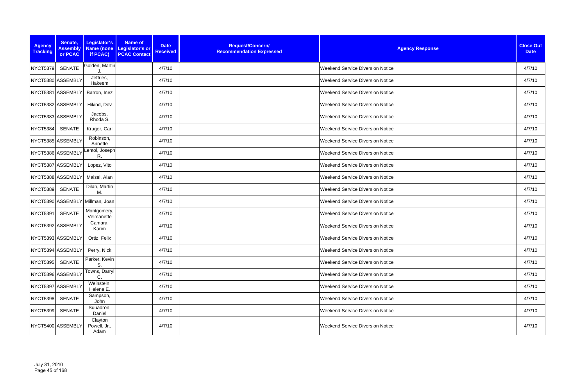| <b>Agency</b><br><b>Tracking</b> | Senate,<br><b>Assembly</b><br>or PCAC | Legislator's<br>Name (none<br>if PCAC) | <b>Name of</b><br>Legislator's or<br><b>PCAC Contact</b> | <b>Date</b><br><b>Received</b> | Request/Concern/<br><b>Recommendation Expressed</b> | <b>Agency Response</b>                  | <b>Close Out</b><br><b>Date</b> |
|----------------------------------|---------------------------------------|----------------------------------------|----------------------------------------------------------|--------------------------------|-----------------------------------------------------|-----------------------------------------|---------------------------------|
| NYCT5379                         | <b>SENATE</b>                         | Golden, Martin                         |                                                          | 4/7/10                         |                                                     | <b>Weekend Service Diversion Notice</b> | 4/7/10                          |
|                                  | NYCT5380 ASSEMBLY                     | Jeffries,<br>Hakeem                    |                                                          | 4/7/10                         |                                                     | <b>Weekend Service Diversion Notice</b> | 4/7/10                          |
|                                  | NYCT5381 ASSEMBLY                     | Barron, Inez                           |                                                          | 4/7/10                         |                                                     | <b>Weekend Service Diversion Notice</b> | 4/7/10                          |
|                                  | NYCT5382 ASSEMBLY                     | Hikind, Dov                            |                                                          | 4/7/10                         |                                                     | <b>Weekend Service Diversion Notice</b> | 4/7/10                          |
|                                  | NYCT5383 ASSEMBLY                     | Jacobs,<br>Rhoda S.                    |                                                          | 4/7/10                         |                                                     | <b>Weekend Service Diversion Notice</b> | 4/7/10                          |
| NYCT5384                         | SENATE                                | Kruger, Carl                           |                                                          | 4/7/10                         |                                                     | <b>Weekend Service Diversion Notice</b> | 4/7/10                          |
|                                  | NYCT5385 ASSEMBLY                     | Robinson,<br>Annette                   |                                                          | 4/7/10                         |                                                     | <b>Weekend Service Diversion Notice</b> | 4/7/10                          |
| NYCT5386 ASSEMBLY                |                                       | Lentol, Joseph<br>R.                   |                                                          | 4/7/10                         |                                                     | <b>Weekend Service Diversion Notice</b> | 4/7/10                          |
|                                  | NYCT5387 ASSEMBLY                     | Lopez, Vito                            |                                                          | 4/7/10                         |                                                     | <b>Weekend Service Diversion Notice</b> | 4/7/10                          |
|                                  | NYCT5388 ASSEMBLY                     | Maisel, Alan                           |                                                          | 4/7/10                         |                                                     | <b>Weekend Service Diversion Notice</b> | 4/7/10                          |
| <b>NYCT5389</b>                  | <b>SENATE</b>                         | Dilan, Martin<br>М.                    |                                                          | 4/7/10                         |                                                     | <b>Weekend Service Diversion Notice</b> | 4/7/10                          |
|                                  |                                       | NYCT5390 ASSEMBLY Millman, Joan        |                                                          | 4/7/10                         |                                                     | <b>Weekend Service Diversion Notice</b> | 4/7/10                          |
| NYCT5391                         | <b>SENATE</b>                         | Montgomery,<br>Velmanette              |                                                          | 4/7/10                         |                                                     | <b>Weekend Service Diversion Notice</b> | 4/7/10                          |
|                                  | NYCT5392 ASSEMBLY                     | Camara,<br>Karim                       |                                                          | 4/7/10                         |                                                     | <b>Weekend Service Diversion Notice</b> | 4/7/10                          |
|                                  | NYCT5393 ASSEMBLY                     | Ortiz, Felix                           |                                                          | 4/7/10                         |                                                     | <b>Weekend Service Diversion Notice</b> | 4/7/10                          |
|                                  | NYCT5394 ASSEMBLY                     | Perry, Nick                            |                                                          | 4/7/10                         |                                                     | <b>Weekend Service Diversion Notice</b> | 4/7/10                          |
| NYCT5395                         | <b>SENATE</b>                         | Parker, Kevin<br>S.                    |                                                          | 4/7/10                         |                                                     | <b>Weekend Service Diversion Notice</b> | 4/7/10                          |
|                                  | NYCT5396 ASSEMBLY                     | Towns, Darryl<br>C.                    |                                                          | 4/7/10                         |                                                     | <b>Weekend Service Diversion Notice</b> | 4/7/10                          |
|                                  | NYCT5397 ASSEMBLY                     | Weinstein,<br>Helene E.                |                                                          | 4/7/10                         |                                                     | <b>Weekend Service Diversion Notice</b> | 4/7/10                          |
| NYCT5398                         | SENATE                                | Sampson,<br>John                       |                                                          | 4/7/10                         |                                                     | <b>Weekend Service Diversion Notice</b> | 4/7/10                          |
| NYCT5399                         | <b>SENATE</b>                         | Squadron,<br>Daniel                    |                                                          | 4/7/10                         |                                                     | <b>Weekend Service Diversion Notice</b> | 4/7/10                          |
|                                  | NYCT5400 ASSEMBLY                     | Clayton<br>Powell, Jr.,<br>Adam        |                                                          | 4/7/10                         |                                                     | <b>Weekend Service Diversion Notice</b> | 4/7/10                          |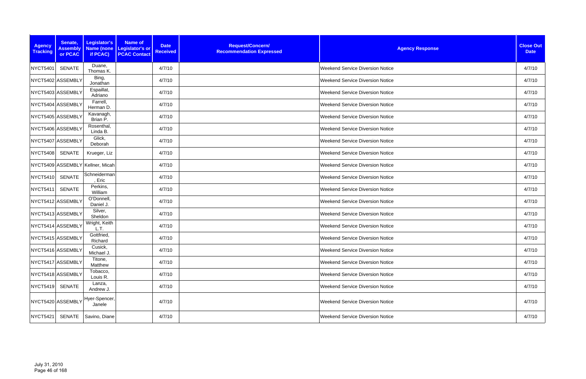| <b>Agency</b><br><b>Tracking</b> | Senate,<br><b>Assembly</b><br>or PCAC | Legislator's<br>Name (none<br>if PCAC)                                                                   | <b>Name of</b><br>Legislator's or<br><b>PCAC Contact</b> | <b>Date</b><br><b>Received</b> | Request/Concern/<br><b>Recommendation Expressed</b> | <b>Agency Response</b>                  | <b>Close Out</b><br><b>Date</b> |
|----------------------------------|---------------------------------------|----------------------------------------------------------------------------------------------------------|----------------------------------------------------------|--------------------------------|-----------------------------------------------------|-----------------------------------------|---------------------------------|
| NYCT5401                         | <b>SENATE</b>                         | Duane,<br>Thomas K.                                                                                      |                                                          | 4/7/10                         |                                                     | <b>Weekend Service Diversion Notice</b> | 4/7/10                          |
|                                  | NYCT5402 ASSEMBLY                     | Bing,<br>Jonathan                                                                                        |                                                          | 4/7/10                         |                                                     | <b>Weekend Service Diversion Notice</b> | 4/7/10                          |
|                                  | NYCT5403 ASSEMBLY                     | Espaillat,<br>Adriano                                                                                    |                                                          | 4/7/10                         |                                                     | <b>Weekend Service Diversion Notice</b> | 4/7/10                          |
|                                  | NYCT5404 ASSEMBLY                     | Farrell,<br>Herman D.                                                                                    |                                                          | 4/7/10                         |                                                     | <b>Weekend Service Diversion Notice</b> | 4/7/10                          |
|                                  | NYCT5405 ASSEMBLY                     | Kavanagh,<br>Brian P.                                                                                    |                                                          | 4/7/10                         |                                                     | <b>Weekend Service Diversion Notice</b> | 4/7/10                          |
|                                  | NYCT5406 ASSEMBLY                     | Rosenthal,<br>Linda B.                                                                                   |                                                          | 4/7/10                         |                                                     | <b>Weekend Service Diversion Notice</b> | 4/7/10                          |
|                                  | NYCT5407 ASSEMBLY                     | Glick,<br>Deborah                                                                                        |                                                          | 4/7/10                         |                                                     | <b>Weekend Service Diversion Notice</b> | 4/7/10                          |
| <b>NYCT5408</b>                  | SENATE                                | Krueger, Liz                                                                                             |                                                          | 4/7/10                         |                                                     | <b>Weekend Service Diversion Notice</b> | 4/7/10                          |
|                                  |                                       | NYCT5409 ASSEMBLY Kellner, Micah                                                                         |                                                          | 4/7/10                         |                                                     | <b>Weekend Service Diversion Notice</b> | 4/7/10                          |
| NYCT5410                         | <b>SENATE</b>                         | Schneiderman<br>, Eric                                                                                   |                                                          | 4/7/10                         |                                                     | <b>Weekend Service Diversion Notice</b> | 4/7/10                          |
| NYCT5411                         | <b>SENATE</b>                         | Perkins,<br>William                                                                                      |                                                          | 4/7/10                         |                                                     | <b>Weekend Service Diversion Notice</b> | 4/7/10                          |
| NYCT5412 ASSEMBLY                |                                       | O'Donnell,<br>Daniel J.                                                                                  |                                                          | 4/7/10                         |                                                     | <b>Weekend Service Diversion Notice</b> | 4/7/10                          |
|                                  | NYCT5413 ASSEMBLY                     | Silver,<br>Sheldon                                                                                       |                                                          | 4/7/10                         |                                                     | <b>Weekend Service Diversion Notice</b> | 4/7/10                          |
| NYCT5414 ASSEMBL\                |                                       | Wright, Keith<br>L.T.                                                                                    |                                                          | 4/7/10                         |                                                     | <b>Weekend Service Diversion Notice</b> | 4/7/10                          |
|                                  | NYCT5415 ASSEMBLY                     | Gottfried,<br>Richard                                                                                    |                                                          | 4/7/10                         |                                                     | <b>Weekend Service Diversion Notice</b> | 4/7/10                          |
|                                  | NYCT5416 ASSEMBLY                     | Cusick,<br>Michael J.                                                                                    |                                                          | 4/7/10                         |                                                     | <b>Weekend Service Diversion Notice</b> | 4/7/10                          |
|                                  | NYCT5417 ASSEMBLY                     | Titone,<br>Matthew                                                                                       |                                                          | 4/7/10                         |                                                     | <b>Weekend Service Diversion Notice</b> | 4/7/10                          |
|                                  | NYCT5418 ASSEMBLY                     | Tobacco,<br>Louis R.                                                                                     |                                                          | 4/7/10                         |                                                     | <b>Weekend Service Diversion Notice</b> | 4/7/10                          |
| NYCT5419 SENATE                  |                                       | Lanza,<br>Andrew J.                                                                                      |                                                          | 4/7/10                         |                                                     | <b>Weekend Service Diversion Notice</b> | 4/7/10                          |
|                                  |                                       | $\left\vert \text{NYCT5420}\right\vert$ ASSEMBLY $\left\vert \text{Hyper-Spencer.}\right\vert$<br>Janele |                                                          | 4/7/10                         |                                                     | <b>Weekend Service Diversion Notice</b> | 4/7/10                          |
| <b>NYCT5421</b>                  |                                       | SENATE   Savino, Diane                                                                                   |                                                          | 4/7/10                         |                                                     | <b>Weekend Service Diversion Notice</b> | 4/7/10                          |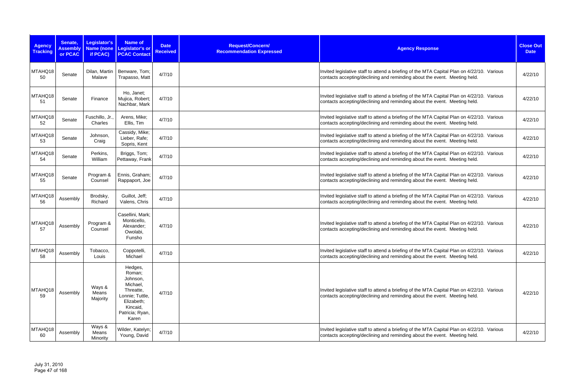| <b>Agency</b><br><b>Tracking</b> | Senate,<br><b>Assembly</b><br>or PCAC | Legislator's<br>Name (none<br>if PCAC) | <b>Name of</b><br><b>Legislator's or</b><br><b>PCAC Contact</b>                                                                 | <b>Date</b><br><b>Received</b> | Request/Concern/<br><b>Recommendation Expressed</b> | <b>Agency Response</b>                                                                                                                                                  | <b>Close Out</b><br><b>Date</b> |
|----------------------------------|---------------------------------------|----------------------------------------|---------------------------------------------------------------------------------------------------------------------------------|--------------------------------|-----------------------------------------------------|-------------------------------------------------------------------------------------------------------------------------------------------------------------------------|---------------------------------|
| MTAHQ18<br>50                    | Senate                                | Dilan, Martin<br>Malave                | Benware, Tom;<br>Trapasso, Matt                                                                                                 | 4/7/10                         |                                                     | Invited legislative staff to attend a briefing of the MTA Capital Plan on 4/22/10. Various<br>contacts accepting/declining and reminding about the event. Meeting held. | 4/22/10                         |
| MTAHQ18<br>51                    | Senate                                | Finance                                | Ho, Janet;<br>Mujica, Robert;<br>Nachbar, Mark                                                                                  | 4/7/10                         |                                                     | Invited legislative staff to attend a briefing of the MTA Capital Plan on 4/22/10. Various<br>contacts accepting/declining and reminding about the event. Meeting held. | 4/22/10                         |
| MTAHQ18<br>52                    | Senate                                | Fuschillo, Jr.,<br>Charles             | Arens, Mike;<br>Ellis, Tim                                                                                                      | 4/7/10                         |                                                     | Invited legislative staff to attend a briefing of the MTA Capital Plan on 4/22/10. Various<br>contacts accepting/declining and reminding about the event. Meeting held. | 4/22/10                         |
| MTAHQ18<br>53                    | Senate                                | Johnson,<br>Craig                      | Cassidy, Mike;<br>Lieber, Rafe;<br>Sopris, Kent                                                                                 | 4/7/10                         |                                                     | Invited legislative staff to attend a briefing of the MTA Capital Plan on 4/22/10. Various<br>contacts accepting/declining and reminding about the event. Meeting held. | 4/22/10                         |
| MTAHQ18<br>54                    | Senate                                | Perkins,<br>William                    | Briggs, Tom;<br>Pettaway, Frank                                                                                                 | 4/7/10                         |                                                     | Invited legislative staff to attend a briefing of the MTA Capital Plan on 4/22/10. Various<br>contacts accepting/declining and reminding about the event. Meeting held. | 4/22/10                         |
| MTAHQ18<br>55                    | Senate                                | Program &<br>Counsel                   | Ennis, Graham;<br>Rappaport, Joe                                                                                                | 4/7/10                         |                                                     | Invited legislative staff to attend a briefing of the MTA Capital Plan on 4/22/10. Various<br>contacts accepting/declining and reminding about the event. Meeting held. | 4/22/10                         |
| MTAHQ18<br>56                    | Assembly                              | Brodsky,<br>Richard                    | Guillot, Jeff;<br>Valens, Chris                                                                                                 | 4/7/10                         |                                                     | Invited legislative staff to attend a briefing of the MTA Capital Plan on 4/22/10. Various<br>contacts accepting/declining and reminding about the event. Meeting held. | 4/22/10                         |
| MTAHQ18<br>57                    | Assembly                              | Program &<br>Counsel                   | Casellini, Mark;<br>Monticello,<br>Alexander;<br>Owolabi,<br>Funsho                                                             | 4/7/10                         |                                                     | Invited legislative staff to attend a briefing of the MTA Capital Plan on 4/22/10. Various<br>contacts accepting/declining and reminding about the event. Meeting held. | 4/22/10                         |
| MTAHQ18<br>58                    | Assembly                              | Tobacco,<br>Louis                      | Coppotelli,<br>Michael                                                                                                          | 4/7/10                         |                                                     | Invited legislative staff to attend a briefing of the MTA Capital Plan on 4/22/10. Various<br>contacts accepting/declining and reminding about the event. Meeting held. | 4/22/10                         |
| MTAHQ18<br>59                    | Assembly                              | Ways &<br>Means<br>Majority            | Hedges,<br>Roman;<br>Johnson,<br>Michael,<br>Threatte,<br>Lonnie; Tuttle,<br>Elizabeth;<br>Kincaid,<br>Patricia; Ryan,<br>Karen | 4/7/10                         |                                                     | Invited legislative staff to attend a briefing of the MTA Capital Plan on 4/22/10. Various<br>contacts accepting/declining and reminding about the event. Meeting held. | 4/22/10                         |
| MTAHQ18<br>60                    | Assembly                              | Ways &<br>Means<br>Minority            | Wilder, Katelyn;<br>Young, David                                                                                                | 4/7/10                         |                                                     | Invited legislative staff to attend a briefing of the MTA Capital Plan on 4/22/10. Various<br>contacts accepting/declining and reminding about the event. Meeting held. | 4/22/10                         |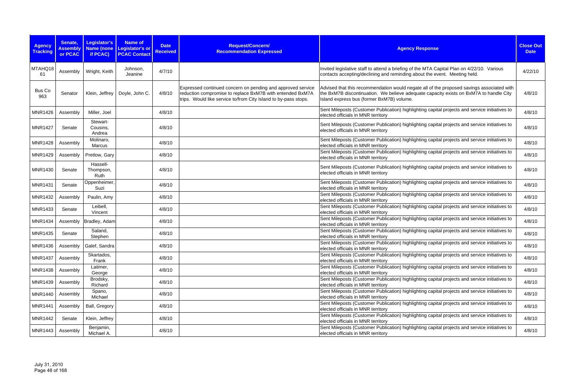| <b>Agency</b><br><b>Tracking</b> | Senate,<br><b>Assembly</b><br>or PCAC | Legislator's<br><b>Name (none</b><br>if PCAC) | <b>Name of</b><br>Legislator's or<br><b>PCAC Contact</b> | <b>Date</b><br><b>Received</b> | Request/Concern/<br><b>Recommendation Expressed</b>                                                                                                                                         | <b>Agency Response</b>                                                                                                                                                                                                           | <b>Close Out</b><br><b>Date</b> |
|----------------------------------|---------------------------------------|-----------------------------------------------|----------------------------------------------------------|--------------------------------|---------------------------------------------------------------------------------------------------------------------------------------------------------------------------------------------|----------------------------------------------------------------------------------------------------------------------------------------------------------------------------------------------------------------------------------|---------------------------------|
| MTAHQ18<br>61                    | Assembly                              | Wright, Keith                                 | Johnson,<br>Jeanine                                      | 4/7/10                         |                                                                                                                                                                                             | Invited legislative staff to attend a briefing of the MTA Capital Plan on 4/22/10. Various<br>contacts accepting/declining and reminding about the event. Meeting held.                                                          | 4/22/10                         |
| Bus Co<br>963                    | Senator                               | Klein, Jeffrey                                | Doyle, John C.                                           | 4/8/10                         | Expressed continued concern on pending and approved service<br>reduction compromise to replace BxM7B with entended BxM7A<br>trips. Would like service to/from City Island to by-pass stops. | Advised that this recommendation would negate all of the proposed savings associated with<br>the BxM7B discontinuation. We believe adequate capacity exists on BxM7A to handle City<br>Island express bus (former BxM7B) volume. | 4/8/10                          |
| <b>MNR1426</b>                   | Assembly                              | Miller, Joel                                  |                                                          | 4/8/10                         |                                                                                                                                                                                             | Sent Mileposts (Customer Publication) highlighting capital projects and service initiatives to<br>elected officials in MNR territory                                                                                             | 4/8/10                          |
| <b>MNR1427</b>                   | Senate                                | Stewart-<br>Cousins,<br>Andrea                |                                                          | 4/8/10                         |                                                                                                                                                                                             | Sent Mileposts (Customer Publication) highlighting capital projects and service initiatives to<br>elected officials in MNR territory                                                                                             | 4/8/10                          |
| <b>MNR1428</b>                   | Assembly                              | Molinaro,<br>Marcus                           |                                                          | 4/8/10                         |                                                                                                                                                                                             | Sent Mileposts (Customer Publication) highlighting capital projects and service initiatives to<br>elected officials in MNR territory                                                                                             | 4/8/10                          |
| <b>MNR1429</b>                   | Assembly                              | Pretlow, Gary                                 |                                                          | 4/8/10                         |                                                                                                                                                                                             | Sent Mileposts (Customer Publication) highlighting capital projects and service initiatives to<br>elected officials in MNR territory                                                                                             | 4/8/10                          |
| <b>MNR1430</b>                   | Senate                                | Hassell-<br>Thompson,<br>Ruth                 |                                                          | 4/8/10                         |                                                                                                                                                                                             | Sent Mileposts (Customer Publication) highlighting capital projects and service initiatives to<br>elected officials in MNR territory                                                                                             | 4/8/10                          |
| <b>MNR1431</b>                   | Senate                                | Oppenheimer,<br>Suzi                          |                                                          | 4/8/10                         |                                                                                                                                                                                             | Sent Mileposts (Customer Publication) highlighting capital projects and service initiatives to<br>elected officials in MNR territory                                                                                             | 4/8/10                          |
| <b>MNR1432</b>                   | Assembly                              | Paulin, Amy                                   |                                                          | 4/8/10                         |                                                                                                                                                                                             | Sent Mileposts (Customer Publication) highlighting capital projects and service initiatives to<br>elected officials in MNR territory                                                                                             | 4/8/10                          |
| <b>MNR1433</b>                   | Senate                                | Leibell,<br>Vincent                           |                                                          | 4/8/10                         |                                                                                                                                                                                             | Sent Mileposts (Customer Publication) highlighting capital projects and service initiatives to<br>elected officials in MNR territory                                                                                             | 4/8/10                          |
| <b>MNR1434</b>                   |                                       | Assembly   Bradley, Adam                      |                                                          | 4/8/10                         |                                                                                                                                                                                             | Sent Mileposts (Customer Publication) highlighting capital projects and service initiatives to<br>elected officials in MNR territory                                                                                             | 4/8/10                          |
| <b>MNR1435</b>                   | Senate                                | Saland,<br>Stephen                            |                                                          | 4/8/10                         |                                                                                                                                                                                             | Sent Mileposts (Customer Publication) highlighting capital projects and service initiatives to<br>elected officials in MNR territory                                                                                             | 4/8/10                          |
| MNR1436                          |                                       | Assembly   Galef, Sandra                      |                                                          | 4/8/10                         |                                                                                                                                                                                             | Sent Mileposts (Customer Publication) highlighting capital projects and service initiatives to<br>elected officials in MNR territory                                                                                             | 4/8/10                          |
| <b>MNR1437</b>                   | Assembly                              | Skartados,<br>Frank                           |                                                          | 4/8/10                         |                                                                                                                                                                                             | Sent Mileposts (Customer Publication) highlighting capital projects and service initiatives to<br>elected officials in MNR territory                                                                                             | 4/8/10                          |
| <b>MNR1438</b>                   | Assembly                              | Latimer,<br>George                            |                                                          | 4/8/10                         |                                                                                                                                                                                             | Sent Mileposts (Customer Publication) highlighting capital projects and service initiatives to<br>elected officials in MNR territory                                                                                             | 4/8/10                          |
| <b>MNR1439</b>                   | Assembly                              | Brodsky,<br>Richard                           |                                                          | 4/8/10                         |                                                                                                                                                                                             | Sent Mileposts (Customer Publication) highlighting capital projects and service initiatives to<br>elected officials in MNR territory                                                                                             | 4/8/10                          |
| <b>MNR1440</b>                   | Assembly                              | Spano,<br>Michael                             |                                                          | 4/8/10                         |                                                                                                                                                                                             | Sent Mileposts (Customer Publication) highlighting capital projects and service initiatives to<br>elected officials in MNR territory                                                                                             | 4/8/10                          |
| <b>MNR1441</b>                   | Assembly                              | Ball, Gregory                                 |                                                          | 4/8/10                         |                                                                                                                                                                                             | Sent Mileposts (Customer Publication) highlighting capital projects and service initiatives to<br>elected officials in MNR territory                                                                                             | 4/8/10                          |
| <b>MNR1442</b>                   | Senate                                | Klein, Jeffrey                                |                                                          | 4/8/10                         |                                                                                                                                                                                             | Sent Mileposts (Customer Publication) highlighting capital projects and service initiatives to<br>elected officials in MNR territory                                                                                             | 4/8/10                          |
| MNR1443                          | Assembly                              | Benjamin,<br>Michael A.                       |                                                          | 4/8/10                         |                                                                                                                                                                                             | Sent Mileposts (Customer Publication) highlighting capital projects and service initiatives to<br>elected officials in MNR territory                                                                                             | 4/8/10                          |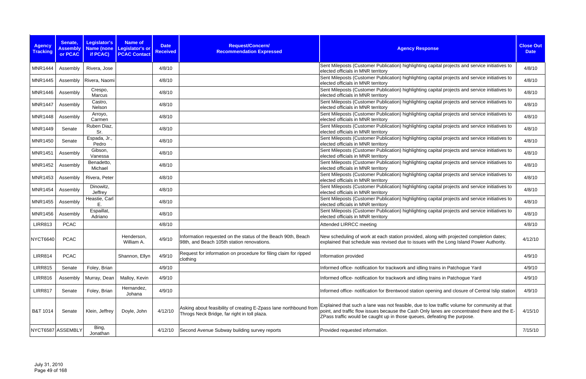| <b>Agency</b><br><b>Tracking</b> | Senate,<br><b>Assembly</b><br>or PCAC | Legislator's<br><b>Name (none</b><br>if PCAC) | <b>Name of</b><br>Legislator's or<br><b>PCAC Contact</b> | <b>Date</b><br><b>Received</b> | Request/Concern/<br><b>Recommendation Expressed</b>                                                               | <b>Agency Response</b>                                                                                                                                                                                                                                                   | <b>Close Out</b><br><b>Date</b> |
|----------------------------------|---------------------------------------|-----------------------------------------------|----------------------------------------------------------|--------------------------------|-------------------------------------------------------------------------------------------------------------------|--------------------------------------------------------------------------------------------------------------------------------------------------------------------------------------------------------------------------------------------------------------------------|---------------------------------|
| <b>MNR1444</b>                   | Assembly                              | Rivera, Jose                                  |                                                          | 4/8/10                         |                                                                                                                   | Sent Mileposts (Customer Publication) highlighting capital projects and service initiatives to<br>elected officials in MNR territory                                                                                                                                     | 4/8/10                          |
| <b>MNR1445</b>                   |                                       | Assembly   Rivera, Naomi                      |                                                          | 4/8/10                         |                                                                                                                   | Sent Mileposts (Customer Publication) highlighting capital projects and service initiatives to<br>elected officials in MNR territory                                                                                                                                     | 4/8/10                          |
| MNR1446                          | Assembly                              | Crespo,<br>Marcus                             |                                                          | 4/8/10                         |                                                                                                                   | Sent Mileposts (Customer Publication) highlighting capital projects and service initiatives to<br>elected officials in MNR territory                                                                                                                                     | 4/8/10                          |
| <b>MNR1447</b>                   | Assembly                              | Castro,<br>Nelson                             |                                                          | 4/8/10                         |                                                                                                                   | Sent Mileposts (Customer Publication) highlighting capital projects and service initiatives to<br>elected officials in MNR territory                                                                                                                                     | 4/8/10                          |
| <b>MNR1448</b>                   | Assembly                              | Arroyo,<br>Carmen                             |                                                          | 4/8/10                         |                                                                                                                   | Sent Mileposts (Customer Publication) highlighting capital projects and service initiatives to<br>elected officials in MNR territory                                                                                                                                     | 4/8/10                          |
| <b>MNR1449</b>                   | Senate                                | Ruben Diaz,<br>Sr.                            |                                                          | 4/8/10                         |                                                                                                                   | Sent Mileposts (Customer Publication) highlighting capital projects and service initiatives to<br>elected officials in MNR territory                                                                                                                                     | 4/8/10                          |
| <b>MNR1450</b>                   | Senate                                | Espada, Jr.,<br>Pedro                         |                                                          | 4/8/10                         |                                                                                                                   | Sent Mileposts (Customer Publication) highlighting capital projects and service initiatives to<br>elected officials in MNR territory                                                                                                                                     | 4/8/10                          |
| <b>MNR1451</b>                   | Assembly                              | Gibson,<br>Vanessa                            |                                                          | 4/8/10                         |                                                                                                                   | Sent Mileposts (Customer Publication) highlighting capital projects and service initiatives to<br>elected officials in MNR territory                                                                                                                                     | 4/8/10                          |
| <b>MNR1452</b>                   | Assembly                              | Benadetto,<br>Michael                         |                                                          | 4/8/10                         |                                                                                                                   | Sent Mileposts (Customer Publication) highlighting capital projects and service initiatives to<br>elected officials in MNR territory                                                                                                                                     | 4/8/10                          |
| <b>MNR1453</b>                   | Assembly                              | Rivera, Peter                                 |                                                          | 4/8/10                         |                                                                                                                   | Sent Mileposts (Customer Publication) highlighting capital projects and service initiatives to<br>elected officials in MNR territory                                                                                                                                     | 4/8/10                          |
| <b>MNR1454</b>                   | Assembly                              | Dinowitz,<br>Jeffrey                          |                                                          | 4/8/10                         |                                                                                                                   | Sent Mileposts (Customer Publication) highlighting capital projects and service initiatives to<br>elected officials in MNR territory                                                                                                                                     | 4/8/10                          |
| <b>MNR1455</b>                   | Assembly                              | Heastie, Carl<br>E.                           |                                                          | 4/8/10                         |                                                                                                                   | Sent Mileposts (Customer Publication) highlighting capital projects and service initiatives to<br>elected officials in MNR territory                                                                                                                                     | 4/8/10                          |
| <b>MNR1456</b>                   | Assembly                              | Espaillat,<br>Adriano                         |                                                          | 4/8/10                         |                                                                                                                   | Sent Mileposts (Customer Publication) highlighting capital projects and service initiatives to<br>elected officials in MNR territory                                                                                                                                     | 4/8/10                          |
| <b>LIRR813</b>                   | <b>PCAC</b>                           |                                               |                                                          | 4/8/10                         |                                                                                                                   | Attended LIRRCC meeting                                                                                                                                                                                                                                                  | 4/8/10                          |
| NYCT6640                         | <b>PCAC</b>                           |                                               | Henderson,<br>William A.                                 | 4/9/10                         | Information requested on the status of the Beach 90th, Beach<br>98th, and Beach 105th station renovations.        | New scheduling of work at each station provided, along with projected completion dates;<br>explained that schedule was revised due to issues with the Long Island Power Authority.                                                                                       | 4/12/10                         |
| <b>LIRR814</b>                   | <b>PCAC</b>                           |                                               | Shannon, Ellyn                                           | 4/9/10                         | Request for information on procedure for filing claim for ripped<br>clothing                                      | Information provided                                                                                                                                                                                                                                                     | 4/9/10                          |
| <b>LIRR815</b>                   | Senate                                | Foley, Brian                                  |                                                          | 4/9/10                         |                                                                                                                   | Informed office- notification for trackwork and idling trains in Patchogue Yard                                                                                                                                                                                          | 4/9/10                          |
| <b>LIRR816</b>                   | Assembly                              | Murray, Dean                                  | Malloy, Kevin                                            | 4/9/10                         |                                                                                                                   | Informed office- notification for trackwork and idling trains in Patchogue Yard                                                                                                                                                                                          | 4/9/10                          |
| <b>LIRR817</b>                   | Senate                                | Foley, Brian                                  | Hernandez,<br>Johana                                     | 4/9/10                         |                                                                                                                   | Informed office- notification for Brentwood station opening and closure of Central Islip station                                                                                                                                                                         | 4/9/10                          |
| B&T 1014                         | Senate                                | Klein, Jeffrey                                | Doyle, John                                              | 4/12/10                        | Asking about feasibility of creating E-Zpass lane northbound from<br>Throgs Neck Bridge, far right in toll plaza. | Explained that such a lane was not feasible, due to low traffic volume for community at that<br>point, and traffic flow issues because the Cash Only lanes are concentrated there and the E-<br>ZPass traffic would be caught up in those queues, defeating the purpose. | 4/15/10                         |
| NYCT6587 ASSEMBLY                |                                       | Bing,<br>Jonathan                             |                                                          | 4/12/10                        | Second Avenue Subway building survey reports                                                                      | Provided requested information.                                                                                                                                                                                                                                          | 7/15/10                         |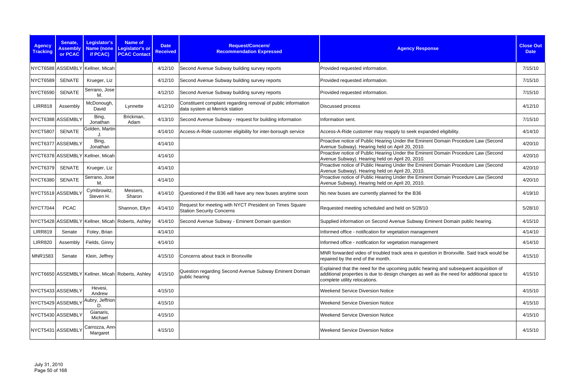| <b>Agency</b><br><b>Tracking</b> | Senate,<br><b>Assembly</b><br>or PCAC | <b>Legislator's</b><br>if PCAC)  | <b>Name of</b><br>Name (none Legislator's or<br><b>PCAC Contact</b> | <b>Date</b><br><b>Received</b> | Request/Concern/<br><b>Recommendation Expressed</b>                                             | <b>Agency Response</b>                                                                                                                                                                                               | <b>Close Out</b><br><b>Date</b> |
|----------------------------------|---------------------------------------|----------------------------------|---------------------------------------------------------------------|--------------------------------|-------------------------------------------------------------------------------------------------|----------------------------------------------------------------------------------------------------------------------------------------------------------------------------------------------------------------------|---------------------------------|
|                                  |                                       | NYCT6588 ASSEMBLY Kellner, Micah |                                                                     | 4/12/10                        | Second Avenue Subway building survey reports                                                    | Provided requested information.                                                                                                                                                                                      | 7/15/10                         |
| <b>NYCT6589</b>                  | <b>SENATE</b>                         | Krueger, Liz                     |                                                                     | 4/12/10                        | Second Avenue Subway building survey reports                                                    | Provided requested information.                                                                                                                                                                                      | 7/15/10                         |
| <b>NYCT6590</b>                  | <b>SENATE</b>                         | Serrano, Jose<br>М.              |                                                                     | 4/12/10                        | Second Avenue Subway building survey reports                                                    | Provided requested information.                                                                                                                                                                                      | 7/15/10                         |
| <b>LIRR818</b>                   | Assembly                              | McDonough,<br>David              | Lynnette                                                            | 4/12/10                        | Constituent complaint regarding removal of public information<br>data system at Merrick station | Discussed process                                                                                                                                                                                                    | 4/12/10                         |
| NYCT6388 ASSEMBLY                |                                       | Bing,<br>Jonathan                | Brickman,<br>Adam                                                   | 4/13/10                        | Second Avenue Subway - request for building information                                         | Information sent.                                                                                                                                                                                                    | 7/15/10                         |
| <b>NYCT5807</b>                  | <b>SENATE</b>                         | Golden, Martin                   |                                                                     | 4/14/10                        | Access-A-Ride customer eligibility for inter-borough service                                    | Access-A-Ride customer may reapply to seek expanded eligibility.                                                                                                                                                     | 4/14/10                         |
| NYCT6377 ASSEMBLY                |                                       | Bing,<br>Jonathan                |                                                                     | 4/14/10                        |                                                                                                 | Proactive notice of Public Hearing Under the Eminent Domain Procedure Law (Second<br>Avenue Subway). Hearing held on April 20, 2010.                                                                                 | 4/20/10                         |
|                                  |                                       | NYCT6378 ASSEMBLY Kellner, Micah |                                                                     | 4/14/10                        |                                                                                                 | Proactive notice of Public Hearing Under the Eminent Domain Procedure Law (Second<br>Avenue Subway). Hearing held on April 20, 2010.                                                                                 | 4/20/10                         |
| <b>NYCT6379</b>                  | <b>SENATE</b>                         | Krueger, Liz                     |                                                                     | 4/14/10                        |                                                                                                 | Proactive notice of Public Hearing Under the Eminent Domain Procedure Law (Second<br>Avenue Subway). Hearing held on April 20, 2010.                                                                                 | 4/20/10                         |
| NYCT6380                         | <b>SENATE</b>                         | Serrano, Jose<br>М.              |                                                                     | 4/14/10                        |                                                                                                 | Proactive notice of Public Hearing Under the Eminent Domain Procedure Law (Second<br>Avenue Subway). Hearing held on April 20, 2010.                                                                                 | 4/20/10                         |
| NYCT5518 ASSEMBLY                |                                       | Cymbrowitz,<br>Steven H.         | Messers,<br>Sharon                                                  | 4/14/10                        | Questioned if the B36 will have any new buses anytime soon                                      | No new buses are currently planned for the B36                                                                                                                                                                       | 4/19/10                         |
| <b>NYCT7044</b>                  | <b>PCAC</b>                           |                                  | Shannon, Ellyn                                                      | 4/14/10                        | Request for meeting with NYCT President on Times Square<br><b>Station Security Concerns</b>     | Requested meeting scheduled and held on 5/28/10                                                                                                                                                                      | 5/28/10                         |
|                                  |                                       |                                  | NYCT5428 ASSEMBLY Kellner, Micah Roberts, Ashley                    | 4/14/10                        | Second Avenue Subway - Eminent Domain question                                                  | Supplied information on Second Avenue Subway Eminent Domain public hearing.                                                                                                                                          | 4/15/10                         |
| <b>LIRR819</b>                   | Senate                                | Foley, Brian                     |                                                                     | 4/14/10                        |                                                                                                 | Informed office - notification for vegetation management                                                                                                                                                             | 4/14/10                         |
| <b>LIRR820</b>                   | Assembly                              | Fields, Ginny                    |                                                                     | 4/14/10                        |                                                                                                 | Informed office - notification for vegetation management                                                                                                                                                             | 4/14/10                         |
| <b>MNR1583</b>                   | Senate                                | Klein, Jeffrey                   |                                                                     | 4/15/10                        | Concerns about track in Bronxville                                                              | MNR forwarded video of troubled track area in question in Bronxville. Said track would be<br>repaired by the end of the month.                                                                                       | 4/15/10                         |
|                                  |                                       |                                  | NYCT6650 ASSEMBLY Kellner, Micah Roberts, Ashley                    | 4/15/10                        | Question regarding Second Avenue Subway Eminent Domain<br>public hearing                        | Explained that the need for the upcoming public hearing and subsequent acquisition of<br>additional properties is due to design changes as well as the need for additional space to<br>complete utility relocations. | 4/15/10                         |
| NYCT5433 ASSEMBLY                |                                       | Hevesi,<br>Andrew                |                                                                     | 4/15/10                        |                                                                                                 | <b>Weekend Service Diversion Notice</b>                                                                                                                                                                              | 4/15/10                         |
| NYCT5429 ASSEMBLY                |                                       | Aubry, Jeffrion<br>D.            |                                                                     | 4/15/10                        |                                                                                                 | <b>Weekend Service Diversion Notice</b>                                                                                                                                                                              | 4/15/10                         |
| NYCT5430 ASSEMBLY                |                                       | Gianaris,<br>Michael             |                                                                     | 4/15/10                        |                                                                                                 | <b>Weekend Service Diversion Notice</b>                                                                                                                                                                              | 4/15/10                         |
| NYCT5431 ASSEMBLY                |                                       | Carrozza, Ann-<br>Margaret       |                                                                     | 4/15/10                        |                                                                                                 | <b>Weekend Service Diversion Notice</b>                                                                                                                                                                              | 4/15/10                         |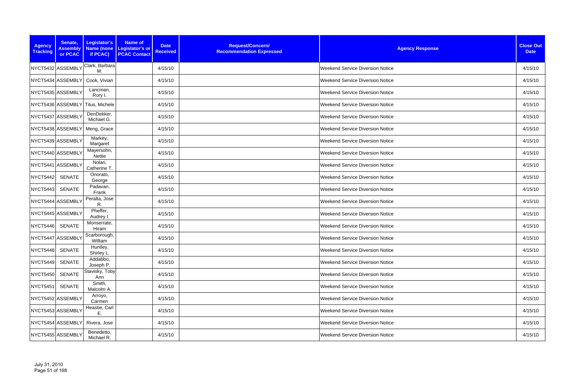| <b>Agency</b><br><b>Tracking</b> | Senate,<br><b>Assembly</b><br>or PCAC | Legislator's<br>if PCAC) | <b>Name of</b><br><b>Date</b><br>Name (none Legislator's or<br><b>Received</b><br><b>PCAC Contact</b> | Request/Concern/<br><b>Recommendation Expressed</b> | <b>Agency Response</b>                  | <b>Close Out</b><br><b>Date</b> |
|----------------------------------|---------------------------------------|--------------------------|-------------------------------------------------------------------------------------------------------|-----------------------------------------------------|-----------------------------------------|---------------------------------|
|                                  | NYCT5432 ASSEMBLY                     | Clark, Barbara<br>M.     | 4/15/10                                                                                               |                                                     | <b>Weekend Service Diversion Notice</b> | 4/15/10                         |
|                                  | NYCT5434 ASSEMBLY                     | Cook, Vivian             | 4/15/10                                                                                               |                                                     | <b>Weekend Service Diversion Notice</b> | 4/15/10                         |
|                                  | NYCT5435 ASSEMBLY                     | Lancman,<br>Rory I.      | 4/15/10                                                                                               |                                                     | <b>Weekend Service Diversion Notice</b> | 4/15/10                         |
|                                  | NYCT5436 ASSEMBLY                     | Titus, Michele           | 4/15/10                                                                                               |                                                     | <b>Weekend Service Diversion Notice</b> | 4/15/10                         |
|                                  | NYCT5437 ASSEMBLY                     | DenDekker,<br>Michael G. | 4/15/10                                                                                               |                                                     | <b>Weekend Service Diversion Notice</b> | 4/15/10                         |
|                                  | NYCT5438 ASSEMBLY                     | Meng, Grace              | 4/15/10                                                                                               |                                                     | <b>Weekend Service Diversion Notice</b> | 4/15/10                         |
|                                  | NYCT5439 ASSEMBLY                     | Markey,<br>Margaret      | 4/15/10                                                                                               |                                                     | <b>Weekend Service Diversion Notice</b> | 4/15/10                         |
|                                  | NYCT5440 ASSEMBLY                     | Mayersohn,<br>Nettie     | 4/15/10                                                                                               |                                                     | <b>Weekend Service Diversion Notice</b> | 4/15/10                         |
|                                  | NYCT5441 ASSEMBLY                     | Nolan,<br>Catherine T.   | 4/15/10                                                                                               |                                                     | <b>Weekend Service Diversion Notice</b> | 4/15/10                         |
| NYCT5442                         | <b>SENATE</b>                         | Onorato,<br>George       | 4/15/10                                                                                               |                                                     | <b>Weekend Service Diversion Notice</b> | 4/15/10                         |
| NYCT5443                         | <b>SENATE</b>                         | Padavan,<br>Frank        | 4/15/10                                                                                               |                                                     | <b>Weekend Service Diversion Notice</b> | 4/15/10                         |
|                                  | NYCT5444 ASSEMBLY                     | Peralta, Jose<br>R.      | 4/15/10                                                                                               |                                                     | <b>Weekend Service Diversion Notice</b> | 4/15/10                         |
|                                  | NYCT5445 ASSEMBLY                     | Pheffer,<br>Audrey I.    | 4/15/10                                                                                               |                                                     | Weekend Service Diversion Notice        | 4/15/10                         |
| NYCT5446                         | SENATE                                | Monserrate,<br>Hiram     | 4/15/10                                                                                               |                                                     | Weekend Service Diversion Notice        | 4/15/10                         |
|                                  | NYCT5447 ASSEMBLY                     | Scarborough,<br>William  | 4/15/10                                                                                               |                                                     | <b>Weekend Service Diversion Notice</b> | 4/15/10                         |
| NYCT5448                         | <b>SENATE</b>                         | Huntley,<br>Shirley L.   | 4/15/10                                                                                               |                                                     | <b>Weekend Service Diversion Notice</b> | 4/15/10                         |
| NYCT5449                         | <b>SENATE</b>                         | Addabbo,<br>Joseph P.    | 4/15/10                                                                                               |                                                     | <b>Weekend Service Diversion Notice</b> | 4/15/10                         |
| <b>NYCT5450</b>                  | <b>SENATE</b>                         | Stavisky, Toby<br>Ann    | 4/15/10                                                                                               |                                                     | <b>Weekend Service Diversion Notice</b> | 4/15/10                         |
| NYCT5451                         | <b>SENATE</b>                         | Smith,<br>Malcolm A.     | 4/15/10                                                                                               |                                                     | <b>Weekend Service Diversion Notice</b> | 4/15/10                         |
|                                  | NYCT5452 ASSEMBLY                     | Arroyo,<br>Carmen        | 4/15/10                                                                                               |                                                     | <b>Weekend Service Diversion Notice</b> | 4/15/10                         |
|                                  | NYCT5453 ASSEMBLY                     | Heastie, Carl<br>Ε.      | 4/15/10                                                                                               |                                                     | <b>Weekend Service Diversion Notice</b> | 4/15/10                         |
|                                  | NYCT5454 ASSEMBLY                     | Rivera, Jose             | 4/15/10                                                                                               |                                                     | <b>Weekend Service Diversion Notice</b> | 4/15/10                         |
|                                  | NYCT5455 ASSEMBLY                     | Benedetto,<br>Michael R. | 4/15/10                                                                                               |                                                     | <b>Weekend Service Diversion Notice</b> | 4/15/10                         |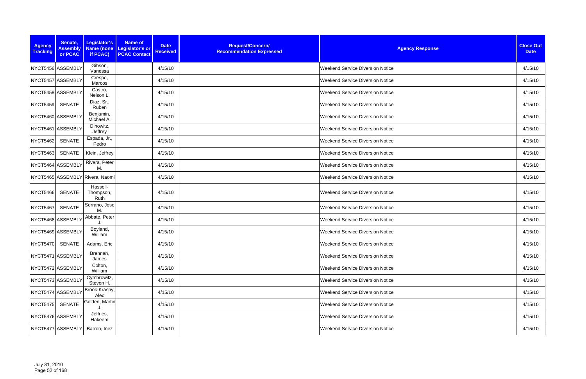| <b>Agency</b><br><b>Tracking</b> | Senate,<br><b>Assembly</b><br>or PCAC | Legislator's<br>if PCAC)        | Name of<br><b>Date</b><br>Name (none Legislator's or<br><b>Received</b><br><b>PCAC Contact</b> | Request/Concern/<br><b>Recommendation Expressed</b> | <b>Agency Response</b>                  | <b>Close Out</b><br><b>Date</b> |
|----------------------------------|---------------------------------------|---------------------------------|------------------------------------------------------------------------------------------------|-----------------------------------------------------|-----------------------------------------|---------------------------------|
|                                  | NYCT5456 ASSEMBLY                     | Gibson,<br>Vanessa              | 4/15/10                                                                                        |                                                     | <b>Weekend Service Diversion Notice</b> | 4/15/10                         |
|                                  | NYCT5457 ASSEMBLY                     | Crespo,<br>Marcos               | 4/15/10                                                                                        |                                                     | <b>Weekend Service Diversion Notice</b> | 4/15/10                         |
|                                  | NYCT5458 ASSEMBLY                     | Castro,<br>Nelson L.            | 4/15/10                                                                                        |                                                     | <b>Weekend Service Diversion Notice</b> | 4/15/10                         |
| <b>NYCT5459</b>                  | <b>SENATE</b>                         | Diaz, Sr.,<br>Ruben             | 4/15/10                                                                                        |                                                     | <b>Weekend Service Diversion Notice</b> | 4/15/10                         |
|                                  | NYCT5460 ASSEMBLY                     | Benjamin,<br>Michael A.         | 4/15/10                                                                                        |                                                     | <b>Weekend Service Diversion Notice</b> | 4/15/10                         |
|                                  | NYCT5461 ASSEMBLY                     | Dinowitz,<br>Jeffrey            | 4/15/10                                                                                        |                                                     | <b>Weekend Service Diversion Notice</b> | 4/15/10                         |
| NYCT5462                         | <b>SENATE</b>                         | Espada, Jr.,<br>Pedro           | 4/15/10                                                                                        |                                                     | <b>Weekend Service Diversion Notice</b> | 4/15/10                         |
| <b>NYCT5463</b>                  | SENATE                                | Klein, Jeffrey                  | 4/15/10                                                                                        |                                                     | <b>Weekend Service Diversion Notice</b> | 4/15/10                         |
|                                  | NYCT5464 ASSEMBLY                     | Rivera, Peter<br>M              | 4/15/10                                                                                        |                                                     | <b>Weekend Service Diversion Notice</b> | 4/15/10                         |
|                                  |                                       | NYCT5465 ASSEMBLY Rivera, Naomi | 4/15/10                                                                                        |                                                     | <b>Weekend Service Diversion Notice</b> | 4/15/10                         |
| <b>NYCT5466</b>                  | <b>SENATE</b>                         | Hassell-<br>Thompson,<br>Ruth   | 4/15/10                                                                                        |                                                     | <b>Weekend Service Diversion Notice</b> | 4/15/10                         |
| NYCT5467                         | <b>SENATE</b>                         | Serrano, Jose<br>М.             | 4/15/10                                                                                        |                                                     | <b>Weekend Service Diversion Notice</b> | 4/15/10                         |
|                                  | NYCT5468 ASSEMBLY                     | Abbate, Peter                   | 4/15/10                                                                                        |                                                     | <b>Weekend Service Diversion Notice</b> | 4/15/10                         |
|                                  | NYCT5469 ASSEMBLY                     | Boyland,<br>William             | 4/15/10                                                                                        |                                                     | <b>Weekend Service Diversion Notice</b> | 4/15/10                         |
| NYCT5470 SENATE                  |                                       | Adams, Eric                     | 4/15/10                                                                                        |                                                     | <b>Weekend Service Diversion Notice</b> | 4/15/10                         |
|                                  | NYCT5471 ASSEMBLY                     | Brennan,<br>James               | 4/15/10                                                                                        |                                                     | <b>Weekend Service Diversion Notice</b> | 4/15/10                         |
|                                  | NYCT5472 ASSEMBLY                     | Colton,<br>William              | 4/15/10                                                                                        |                                                     | Weekend Service Diversion Notice        | 4/15/10                         |
|                                  | NYCT5473 ASSEMBLY                     | Cymbrowitz,<br>Steven H.        | 4/15/10                                                                                        |                                                     | <b>Weekend Service Diversion Notice</b> | 4/15/10                         |
|                                  | NYCT5474 ASSEMBLY                     | Brook-Krasny,<br>Alec           | 4/15/10                                                                                        |                                                     | <b>Weekend Service Diversion Notice</b> | 4/15/10                         |
| NYCT5475                         | <b>SENATE</b>                         | Golden, Martin                  | 4/15/10                                                                                        |                                                     | <b>Weekend Service Diversion Notice</b> | 4/15/10                         |
|                                  | NYCT5476 ASSEMBLY                     | Jeffries,<br>Hakeem             | 4/15/10                                                                                        |                                                     | <b>Weekend Service Diversion Notice</b> | 4/15/10                         |
|                                  | NYCT5477 ASSEMBLY                     | Barron, Inez                    | 4/15/10                                                                                        |                                                     | <b>Weekend Service Diversion Notice</b> | 4/15/10                         |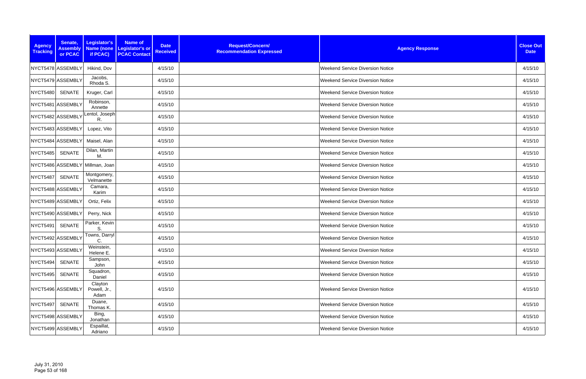| <b>Agency</b><br><b>Tracking</b> | Senate,<br><b>Assembly</b><br>or PCAC | Legislator's<br>if PCAC)        | Name of<br><b>Date</b><br>Name (none Legislator's or<br><b>Received</b><br><b>PCAC Contact</b> | Request/Concern/<br><b>Recommendation Expressed</b> | <b>Agency Response</b>                  | <b>Close Out</b><br><b>Date</b> |
|----------------------------------|---------------------------------------|---------------------------------|------------------------------------------------------------------------------------------------|-----------------------------------------------------|-----------------------------------------|---------------------------------|
|                                  | NYCT5478 ASSEMBLY                     | Hikind, Dov                     | 4/15/10                                                                                        |                                                     | <b>Weekend Service Diversion Notice</b> | 4/15/10                         |
|                                  | NYCT5479 ASSEMBLY                     | Jacobs,<br>Rhoda S.             | 4/15/10                                                                                        |                                                     | <b>Weekend Service Diversion Notice</b> | 4/15/10                         |
| <b>NYCT5480</b>                  | SENATE                                | Kruger, Carl                    | 4/15/10                                                                                        |                                                     | <b>Weekend Service Diversion Notice</b> | 4/15/10                         |
|                                  | NYCT5481 ASSEMBLY                     | Robinson,<br>Annette            | 4/15/10                                                                                        |                                                     | <b>Weekend Service Diversion Notice</b> | 4/15/10                         |
|                                  | NYCT5482 ASSEMBLY                     | entol, Joseph<br>R.             | 4/15/10                                                                                        |                                                     | <b>Weekend Service Diversion Notice</b> | 4/15/10                         |
|                                  | NYCT5483 ASSEMBLY                     | Lopez, Vito                     | 4/15/10                                                                                        |                                                     | <b>Weekend Service Diversion Notice</b> | 4/15/10                         |
|                                  | NYCT5484 ASSEMBLY                     | Maisel, Alan                    | 4/15/10                                                                                        |                                                     | <b>Weekend Service Diversion Notice</b> | 4/15/10                         |
| NYCT5485                         | <b>SENATE</b>                         | Dilan, Martin<br>М.             | 4/15/10                                                                                        |                                                     | <b>Weekend Service Diversion Notice</b> | 4/15/10                         |
|                                  |                                       | NYCT5486 ASSEMBLY Millman, Joan | 4/15/10                                                                                        |                                                     | <b>Weekend Service Diversion Notice</b> | 4/15/10                         |
| <b>NYCT5487</b>                  | <b>SENATE</b>                         | Montgomery,<br>Velmanette       | 4/15/10                                                                                        |                                                     | <b>Weekend Service Diversion Notice</b> | 4/15/10                         |
|                                  | NYCT5488 ASSEMBLY                     | Camara,<br>Karim                | 4/15/10                                                                                        |                                                     | <b>Weekend Service Diversion Notice</b> | 4/15/10                         |
|                                  | NYCT5489 ASSEMBLY                     | Ortiz, Felix                    | 4/15/10                                                                                        |                                                     | <b>Weekend Service Diversion Notice</b> | 4/15/10                         |
|                                  | NYCT5490 ASSEMBLY                     | Perry, Nick                     | 4/15/10                                                                                        |                                                     | Weekend Service Diversion Notice        | 4/15/10                         |
| NYCT5491                         | <b>SENATE</b>                         | Parker, Kevin<br>S.             | 4/15/10                                                                                        |                                                     | Weekend Service Diversion Notice        | 4/15/10                         |
|                                  | NYCT5492 ASSEMBLY                     | Towns, Darryl<br>С.             | 4/15/10                                                                                        |                                                     | <b>Weekend Service Diversion Notice</b> | 4/15/10                         |
|                                  | NYCT5493 ASSEMBLY                     | Weinstein,<br>Helene E.         | 4/15/10                                                                                        |                                                     | <b>Weekend Service Diversion Notice</b> | 4/15/10                         |
| NYCT5494                         | <b>SENATE</b>                         | Sampson,<br>John                | 4/15/10                                                                                        |                                                     | <b>Weekend Service Diversion Notice</b> | 4/15/10                         |
| <b>NYCT5495</b>                  | <b>SENATE</b>                         | Squadron,<br>Daniel             | 4/15/10                                                                                        |                                                     | <b>Weekend Service Diversion Notice</b> | 4/15/10                         |
|                                  | NYCT5496 ASSEMBLY                     | Clayton<br>Powell, Jr.,<br>Adam | 4/15/10                                                                                        |                                                     | <b>Weekend Service Diversion Notice</b> | 4/15/10                         |
| <b>NYCT5497</b>                  | SENATE                                | Duane,<br>Thomas K.             | 4/15/10                                                                                        |                                                     | <b>Weekend Service Diversion Notice</b> | 4/15/10                         |
|                                  | NYCT5498 ASSEMBLY                     | Bing,<br>Jonathan               | 4/15/10                                                                                        |                                                     | <b>Weekend Service Diversion Notice</b> | 4/15/10                         |
|                                  | NYCT5499 ASSEMBLY                     | Espaillat,<br>Adriano           | 4/15/10                                                                                        |                                                     | <b>Weekend Service Diversion Notice</b> | 4/15/10                         |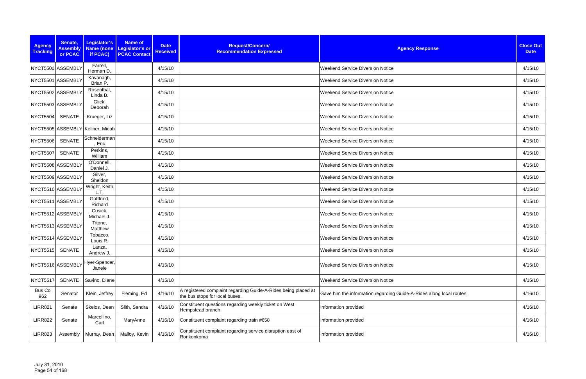| <b>Agency</b><br><b>Tracking</b> | Senate,<br><b>Assembly</b><br>or PCAC | Legislator's<br>if PCAC)         | <b>Name of</b><br>Name (none Legislator's or<br><b>PCAC Contact</b> | <b>Date</b><br><b>Received</b> | Request/Concern/<br><b>Recommendation Expressed</b>                                              | <b>Agency Response</b>                                               | <b>Close Out</b><br><b>Date</b> |
|----------------------------------|---------------------------------------|----------------------------------|---------------------------------------------------------------------|--------------------------------|--------------------------------------------------------------------------------------------------|----------------------------------------------------------------------|---------------------------------|
|                                  | NYCT5500 ASSEMBLY                     | Farrell,<br>Herman D.            |                                                                     | 4/15/10                        |                                                                                                  | <b>Weekend Service Diversion Notice</b>                              | 4/15/10                         |
|                                  | NYCT5501 ASSEMBLY                     | Kavanagh,<br>Brian P.            |                                                                     | 4/15/10                        |                                                                                                  | <b>Weekend Service Diversion Notice</b>                              | 4/15/10                         |
|                                  | NYCT5502 ASSEMBLY                     | Rosenthal,<br>Linda B.           |                                                                     | 4/15/10                        |                                                                                                  | <b>Weekend Service Diversion Notice</b>                              | 4/15/10                         |
|                                  | NYCT5503 ASSEMBLY                     | Glick,<br>Deborah                |                                                                     | 4/15/10                        |                                                                                                  | <b>Weekend Service Diversion Notice</b>                              | 4/15/10                         |
| <b>NYCT5504</b>                  | <b>SENATE</b>                         | Krueger, Liz                     |                                                                     | 4/15/10                        |                                                                                                  | <b>Weekend Service Diversion Notice</b>                              | 4/15/10                         |
|                                  |                                       | NYCT5505 ASSEMBLY Kellner, Micah |                                                                     | 4/15/10                        |                                                                                                  | <b>Weekend Service Diversion Notice</b>                              | 4/15/10                         |
| <b>NYCT5506</b>                  | <b>SENATE</b>                         | Schneiderman<br>Eric             |                                                                     | 4/15/10                        |                                                                                                  | <b>Weekend Service Diversion Notice</b>                              | 4/15/10                         |
| <b>NYCT5507</b>                  | <b>SENATE</b>                         | Perkins,<br>William              |                                                                     | 4/15/10                        |                                                                                                  | <b>Weekend Service Diversion Notice</b>                              | 4/15/10                         |
|                                  | NYCT5508 ASSEMBLY                     | O'Donnell,<br>Daniel J.          |                                                                     | 4/15/10                        |                                                                                                  | <b>Weekend Service Diversion Notice</b>                              | 4/15/10                         |
|                                  | NYCT5509 ASSEMBLY                     | Silver,<br>Sheldon               |                                                                     | 4/15/10                        |                                                                                                  | <b>Weekend Service Diversion Notice</b>                              | 4/15/10                         |
|                                  | NYCT5510 ASSEMBLY                     | Wright, Keith<br>L.T.            |                                                                     | 4/15/10                        |                                                                                                  | <b>Weekend Service Diversion Notice</b>                              | 4/15/10                         |
|                                  | NYCT5511 ASSEMBLY                     | Gottfried,<br>Richard            |                                                                     | 4/15/10                        |                                                                                                  | <b>Weekend Service Diversion Notice</b>                              | 4/15/10                         |
|                                  | NYCT5512 ASSEMBLY                     | Cusick,<br>Michael J             |                                                                     | 4/15/10                        |                                                                                                  | <b>Weekend Service Diversion Notice</b>                              | 4/15/10                         |
|                                  | NYCT5513 ASSEMBLY                     | Titone,<br>Matthew               |                                                                     | 4/15/10                        |                                                                                                  | <b>Weekend Service Diversion Notice</b>                              | 4/15/10                         |
|                                  | NYCT5514 ASSEMBLY                     | Tobacco,<br>Louis R.             |                                                                     | 4/15/10                        |                                                                                                  | <b>Weekend Service Diversion Notice</b>                              | 4/15/10                         |
| <b>NYCT5515</b>                  | <b>SENATE</b>                         | Lanza,<br>Andrew J.              |                                                                     | 4/15/10                        |                                                                                                  | <b>Weekend Service Diversion Notice</b>                              | 4/15/10                         |
|                                  | NYCT5516 ASSEMBLY                     | Hyer-Spencer,<br>Janele          |                                                                     | 4/15/10                        |                                                                                                  | <b>Weekend Service Diversion Notice</b>                              | 4/15/10                         |
| <b>NYCT5517</b>                  | SENATE                                | Savino, Diane                    |                                                                     | 4/15/10                        |                                                                                                  | <b>Weekend Service Diversion Notice</b>                              | 4/15/10                         |
| Bus Co<br>962                    | Senator                               | Klein, Jeffrey                   | Fleming, Ed                                                         | 4/16/10                        | A registered complaint regarding Guide-A-Rides being placed at<br>the bus stops for local buses. | Gave him the information regarding Guide-A-Rides along local routes. | 4/16/10                         |
| <b>LIRR821</b>                   | Senate                                | Skelos, Dean                     | Slith, Sandra                                                       | 4/16/10                        | Constituent questions regarding weekly ticket on West<br>Hempstead branch                        | Information provided                                                 | 4/16/10                         |
| <b>LIRR822</b>                   | Senate                                | Marcellino,<br>Carl              | MaryAnne                                                            | 4/16/10                        | Constituent complaint regarding train #658                                                       | Information provided                                                 | 4/16/10                         |
| <b>LIRR823</b>                   | Assembly                              | Murray, Dean                     | Malloy, Kevin                                                       | 4/16/10                        | Constituent complaint regarding service disruption east of<br>Ronkonkoma                         | Information provided                                                 | 4/16/10                         |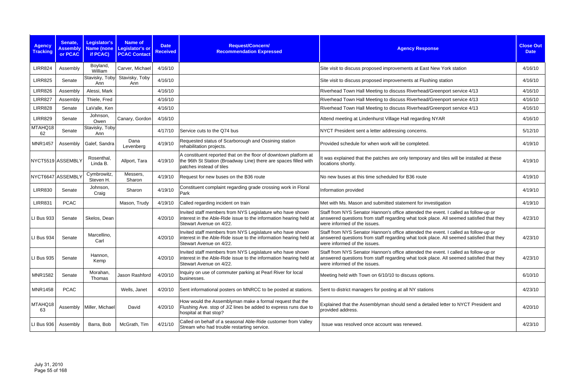| <b>Agency</b><br><b>Tracking</b> | Senate,<br><b>Assembly</b><br>or PCAC | Legislator's<br><b>Name (none</b><br>if PCAC) | <b>Name of</b><br>Legislator's or<br><b>PCAC Contact</b> | <b>Date</b><br><b>Received</b> | Request/Concern/<br><b>Recommendation Expressed</b>                                                                                                              | <b>Agency Response</b>                                                                                                                                                                                         | <b>Close Out</b><br><b>Date</b> |
|----------------------------------|---------------------------------------|-----------------------------------------------|----------------------------------------------------------|--------------------------------|------------------------------------------------------------------------------------------------------------------------------------------------------------------|----------------------------------------------------------------------------------------------------------------------------------------------------------------------------------------------------------------|---------------------------------|
| <b>LIRR824</b>                   | Assembly                              | Boyland,<br>William                           | Carver, Michael                                          | 4/16/10                        |                                                                                                                                                                  | Site visit to discuss proposed improvements at East New York station                                                                                                                                           | 4/16/10                         |
| <b>LIRR825</b>                   | Senate                                | Stavisky, Toby<br>Ann                         | Stavisky, Toby<br>Ann                                    | 4/16/10                        |                                                                                                                                                                  | Site visit to discuss proposed improvements at Flushing station                                                                                                                                                | 4/16/10                         |
| <b>LIRR826</b>                   | Assembly                              | Alessi, Mark                                  |                                                          | 4/16/10                        |                                                                                                                                                                  | Riverhead Town Hall Meeting to discuss Riverhead/Greenport service 4/13                                                                                                                                        | 4/16/10                         |
| <b>LIRR827</b>                   | Assembly                              | Thiele, Fred                                  |                                                          | 4/16/10                        |                                                                                                                                                                  | Riverhead Town Hall Meeting to discuss Riverhead/Greenport service 4/13                                                                                                                                        | 4/16/10                         |
| <b>LIRR828</b>                   | Senate                                | LaValle, Ken                                  |                                                          | 4/16/10                        |                                                                                                                                                                  | Riverhead Town Hall Meeting to discuss Riverhead/Greenport service 4/13                                                                                                                                        | 4/16/10                         |
| <b>LIRR829</b>                   | Senate                                | Johnson,<br>Owen                              | Canary, Gordon                                           | 4/16/10                        |                                                                                                                                                                  | Attend meeting at Lindenhurst Village Hall regarding NYAR                                                                                                                                                      | 4/16/10                         |
| MTAHQ18<br>62                    | Senate                                | Stavisky, Toby<br>Ann                         |                                                          | 4/17/10                        | Service cuts to the Q74 bus                                                                                                                                      | NYCT President sent a letter addressing concerns.                                                                                                                                                              | 5/12/10                         |
| <b>MNR1457</b>                   | Assembly                              | Galef, Sandra                                 | Dana<br>Levenberg                                        | 4/19/10                        | Requested status of Scarborough and Ossining station<br>rehabilitation projects.                                                                                 | Provided schedule for when work will be completed.                                                                                                                                                             | 4/19/10                         |
|                                  | NYCT5519 ASSEMBLY                     | Rosenthal,<br>Linda B.                        | Allport, Tara                                            | 4/19/10                        | A constituent reported that on the floor of downtown platform at<br>the 96th St Station (Broadway Line) there are spaces filled with<br>patches instead of tiles | It was explained that the patches are only temporary and tiles will be installed at these<br>locations shortly.                                                                                                | 4/19/10                         |
|                                  | NYCT6647 ASSEMBLY                     | Cymbrowitz,<br>Steven H                       | Messers,<br>Sharon                                       | 4/19/10                        | Request for new buses on the B36 route                                                                                                                           | No new buses at this time scheduled for B36 route                                                                                                                                                              | 4/19/10                         |
| <b>LIRR830</b>                   | Senate                                | Johnson,<br>Craig                             | Sharon                                                   | 4/19/10                        | Constituent complaint regarding grade crossing work in Floral<br>Park                                                                                            | Information provided                                                                                                                                                                                           | 4/19/10                         |
| <b>LIRR831</b>                   | <b>PCAC</b>                           |                                               | Mason, Trudy                                             | 4/19/10                        | Called regarding incident on train                                                                                                                               | Met with Ms. Mason and submitted statement for investigation                                                                                                                                                   | 4/19/10                         |
| LI Bus 933                       | Senate                                | Skelos, Dean                                  |                                                          | 4/20/10                        | Invited staff members from NYS Legislature who have shown<br>interest in the Able-Ride issue to the information hearing held at<br>Stewart Avenue on 4/22.       | Staff from NYS Senator Hannon's office attended the event. I called as follow-up or<br>answered questions from staff regarding what took place. All seemed satisfied that they<br>were informed of the issues. | 4/23/10                         |
| LI Bus 934                       | Senate                                | Marcellino,<br>Carl                           |                                                          | 4/20/10                        | Invited staff members from NYS Legislature who have shown<br>interest in the Able-Ride issue to the information hearing held at<br>Stewart Avenue on 4/22.       | Staff from NYS Senator Hannon's office attended the event. I called as follow-up or<br>answered questions from staff regarding what took place. All seemed satisfied that they<br>were informed of the issues. | 4/23/10                         |
| LI Bus 935                       | Senate                                | Hannon,<br>Kemp                               |                                                          | 4/20/10                        | Invited staff members from NYS Legislature who have shown<br>interest in the Able-Ride issue to the information hearing held at<br>Stewart Avenue on 4/22.       | Staff from NYS Senator Hannon's office attended the event. I called as follow-up or<br>answered questions from staff regarding what took place. All seemed satisfied that they<br>were informed of the issues. | 4/23/10                         |
| <b>MNR1582</b>                   | Senate                                | Morahan,<br>Thomas                            | Jason Rashford                                           | 4/20/10                        | Inquiry on use of commuter parking at Pearl River for local<br>businesses.                                                                                       | Meeting held with Town on 6/10/10 to discuss options.                                                                                                                                                          | 6/10/10                         |
| <b>MNR1458</b>                   | <b>PCAC</b>                           |                                               | Wells, Janet                                             | 4/20/10                        | Sent informational posters on MNRCC to be posted at stations.                                                                                                    | Sent to district managers for posting at all NY stations                                                                                                                                                       | 4/23/10                         |
| MTAHQ18<br>63                    |                                       | Assembly   Miller, Michael                    | David                                                    | 4/20/10                        | How would the Assemblyman make a formal request that the<br>Flushing Ave. stop of J/Z lines be added to express runs due to<br>hospital at that stop?            | Explained that the Assemblyman should send a detailed letter to NYCT President and<br>provided address.                                                                                                        | 4/20/10                         |
| LI Bus 936                       | Assembly                              | Barra, Bob                                    | McGrath, Tim                                             | 4/21/10                        | Called on behalf of a seasonal Able-Ride customer from Valley<br>Stream who had trouble restarting service.                                                      | Issue was resolved once account was renewed.                                                                                                                                                                   | 4/23/10                         |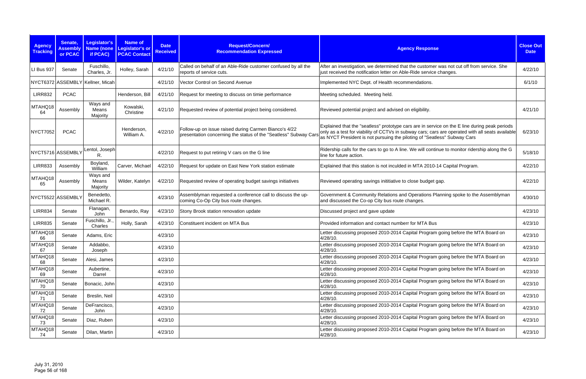| <b>Agency</b><br><b>Tracking</b> | Senate,<br><b>Assembly</b><br>or PCAC | Legislator's<br>if PCAC)         | <b>Name of</b><br>Name (none Legislator's or<br><b>PCAC Contact</b> | <b>Date</b><br><b>Received</b> | Request/Concern/<br><b>Recommendation Expressed</b>                                                                       | <b>Agency Response</b>                                                                                                                                                                                                                                                        | <b>Close Out</b><br><b>Date</b> |
|----------------------------------|---------------------------------------|----------------------------------|---------------------------------------------------------------------|--------------------------------|---------------------------------------------------------------------------------------------------------------------------|-------------------------------------------------------------------------------------------------------------------------------------------------------------------------------------------------------------------------------------------------------------------------------|---------------------------------|
| LI Bus 937                       | Senate                                | Fuschillo,<br>Charles, Jr.       | Holley, Sarah                                                       | 4/21/10                        | Called on behalf of an Able-Ride customer confused by all the<br>reports of service cuts.                                 | After an investigation, we determined that the customer was not cut off from service. She<br>just received the notification letter on Able-Ride service changes.                                                                                                              | 4/22/10                         |
|                                  |                                       | NYCT6372 ASSEMBLY Kellner, Micah |                                                                     | 4/21/10                        | Vector Control on Second Avenue                                                                                           | Implemented NYC Dept. of Health recommendations.                                                                                                                                                                                                                              | 6/1/10                          |
| <b>LIRR832</b>                   | <b>PCAC</b>                           |                                  | Henderson, Bill                                                     | 4/21/10                        | Request for meeting to discuss on timie performance                                                                       | Meeting scheduled. Meeting held.                                                                                                                                                                                                                                              |                                 |
| MTAHQ18<br>64                    | Assembly                              | Ways and<br>Means<br>Majority    | Kowalski,<br>Christine                                              | 4/21/10                        | Requested review of potential project being considered.                                                                   | Reviewed potential project and advised on eligibility.                                                                                                                                                                                                                        | 4/21/10                         |
| <b>NYCT7052</b>                  | <b>PCAC</b>                           |                                  | Henderson,<br>William A.                                            | 4/22/10                        | Follow-up on issue raised during Carmen Bianco's 4/22<br>presentation concerning the status of the "Seatless" Subway Cars | Explained that the "seatless" prototype cars are in service on the E line during peak periods<br>only as a test for viability of CCTVs in subway cars; cars are operated with all seats available<br>as NYCT President is not pursuing the piloting of "Seatless" Subway Cars | 6/23/10                         |
|                                  | NYCT5716 ASSEMBLY                     | Lentol, Joseph<br>R.             |                                                                     | 4/22/10                        | Request to put retiring V cars on the G line                                                                              | Ridership calls for the cars to go to A line. We will continue to monitor ridership along the G<br>line for future action.                                                                                                                                                    | 5/18/10                         |
| <b>LIRR833</b>                   | Assembly                              | Boyland,<br>William              | Carver, Michael                                                     | 4/22/10                        | Request for update on East New York station estimate                                                                      | Explained that this station is not inculded in MTA 2010-14 Capital Program.                                                                                                                                                                                                   | 4/22/10                         |
| MTAHQ18<br>65                    | Assembly                              | Ways and<br>Means<br>Majority    | Wilder, Katelyn                                                     | 4/22/10                        | Requested review of operating budget savings initiatives                                                                  | Reviewed operating savings inititiative to close budget gap.                                                                                                                                                                                                                  | 4/22/10                         |
|                                  | NYCT5522 ASSEMBLY                     | Benedetto,<br>Michael R.         |                                                                     | 4/23/10                        | Assemblyman requested a conference call to discuss the up-<br>coming Co-Op City bus route changes.                        | Government & Community Relations and Operations Planning spoke to the Assemblyman<br>and discussed the Co-op City bus route changes.                                                                                                                                          | 4/30/10                         |
| <b>LIRR834</b>                   | Senate                                | Flanagan,<br>John                | Benardo, Ray                                                        | 4/23/10                        | Stony Brook station renovation update                                                                                     | Discussed project and gave update                                                                                                                                                                                                                                             | 4/23/10                         |
| <b>LIRR835</b>                   | Senate                                | Fuschillo, Jr<br>Charles         | Holly, Sarah                                                        | 4/23/10                        | Constituent incident on MTA Bus                                                                                           | Provided information and contact numberr for MTA Bus                                                                                                                                                                                                                          | 4/23/10                         |
| MTAHQ18<br>66                    | Senate                                | Adams, Eric                      |                                                                     | 4/23/10                        |                                                                                                                           | Letter discussing proposed 2010-2014 Capital Program going before the MTA Board on<br>4/28/10.                                                                                                                                                                                | 4/23/10                         |
| MTAHQ18<br>67                    | Senate                                | Addabbo,<br>Joseph               |                                                                     | 4/23/10                        |                                                                                                                           | Letter discussing proposed 2010-2014 Capital Program going before the MTA Board on<br>4/28/10.                                                                                                                                                                                | 4/23/10                         |
| MTAHQ18<br>68                    | Senate                                | Alesi, James                     |                                                                     | 4/23/10                        |                                                                                                                           | Letter discussing proposed 2010-2014 Capital Program going before the MTA Board on<br>4/28/10.                                                                                                                                                                                | 4/23/10                         |
| MTAHQ18<br>69                    | Senate                                | Aubertine,<br>Darrel             |                                                                     | 4/23/10                        |                                                                                                                           | Letter discussing proposed 2010-2014 Capital Program going before the MTA Board on<br>4/28/10.                                                                                                                                                                                | 4/23/10                         |
| MTAHQ18<br>70                    | Senate                                | Bonacic, John                    |                                                                     | 4/23/10                        |                                                                                                                           | Letter discussing proposed 2010-2014 Capital Program going before the MTA Board on<br>4/28/10.                                                                                                                                                                                | 4/23/10                         |
| MTAHQ18<br>71                    | Senate                                | Breslin, Neil                    |                                                                     | 4/23/10                        |                                                                                                                           | Letter discussing proposed 2010-2014 Capital Program going before the MTA Board on<br>4/28/10.                                                                                                                                                                                | 4/23/10                         |
| MTAHQ18<br>72                    | Senate                                | DeFrancisco,<br>John             |                                                                     | 4/23/10                        |                                                                                                                           | Letter discussing proposed 2010-2014 Capital Program going before the MTA Board on<br>4/28/10.                                                                                                                                                                                | 4/23/10                         |
| MTAHQ18<br>73                    | Senate                                | Diaz, Ruben                      |                                                                     | 4/23/10                        |                                                                                                                           | Letter discussing proposed 2010-2014 Capital Program going before the MTA Board on<br>4/28/10.                                                                                                                                                                                | 4/23/10                         |
| MTAHQ18<br>74                    | Senate                                | Dilan, Martin                    |                                                                     | 4/23/10                        |                                                                                                                           | Letter discussing proposed 2010-2014 Capital Program going before the MTA Board on<br>4/28/10.                                                                                                                                                                                | 4/23/10                         |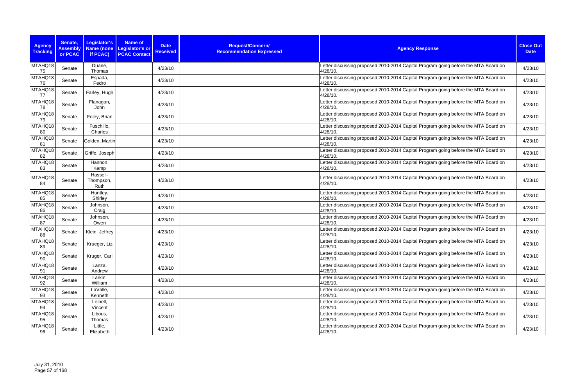| <b>Agency</b><br><b>Tracking</b> | Senate,<br><b>Assembly</b><br>or PCAC | <b>Legislator's</b><br><b>Name (none</b><br>if PCAC) | <b>Name of</b><br><b>Legislator's or</b><br><b>PCAC Contact</b> | <b>Date</b><br><b>Received</b> | Request/Concern/<br><b>Recommendation Expressed</b> | <b>Agency Response</b>                                                                         | <b>Close Out</b><br><b>Date</b> |
|----------------------------------|---------------------------------------|------------------------------------------------------|-----------------------------------------------------------------|--------------------------------|-----------------------------------------------------|------------------------------------------------------------------------------------------------|---------------------------------|
| MTAHQ18<br>75                    | Senate                                | Duane,<br>Thomas                                     |                                                                 | 4/23/10                        |                                                     | Letter discussing proposed 2010-2014 Capital Program going before the MTA Board on<br>4/28/10. | 4/23/10                         |
| MTAHQ18<br>76                    | Senate                                | Espada,<br>Pedro                                     |                                                                 | 4/23/10                        |                                                     | Letter discussing proposed 2010-2014 Capital Program going before the MTA Board on<br>4/28/10. | 4/23/10                         |
| MTAHQ18<br>77                    | Senate                                | Farley, Hugh                                         |                                                                 | 4/23/10                        |                                                     | Letter discussing proposed 2010-2014 Capital Program going before the MTA Board on<br>4/28/10. | 4/23/10                         |
| MTAHQ18<br>78                    | Senate                                | Flanagan,<br>John                                    |                                                                 | 4/23/10                        |                                                     | Letter discussing proposed 2010-2014 Capital Program going before the MTA Board on<br>4/28/10. | 4/23/10                         |
| MTAHQ18<br>79                    | Senate                                | Foley, Brian                                         |                                                                 | 4/23/10                        |                                                     | Letter discussing proposed 2010-2014 Capital Program going before the MTA Board on<br>4/28/10. | 4/23/10                         |
| MTAHQ18<br>80                    | Senate                                | Fuschillo,<br>Charles                                |                                                                 | 4/23/10                        |                                                     | Letter discussing proposed 2010-2014 Capital Program going before the MTA Board on<br>4/28/10. | 4/23/10                         |
| MTAHQ18<br>81                    | Senate                                | Golden, Martin                                       |                                                                 | 4/23/10                        |                                                     | Letter discussing proposed 2010-2014 Capital Program going before the MTA Board on<br>4/28/10. | 4/23/10                         |
| MTAHQ18<br>82                    | Senate                                | Griffo, Joseph                                       |                                                                 | 4/23/10                        |                                                     | Letter discussing proposed 2010-2014 Capital Program going before the MTA Board on<br>4/28/10. | 4/23/10                         |
| MTAHQ18<br>83                    | Senate                                | Hannon,<br>Kemp                                      |                                                                 | 4/23/10                        |                                                     | Letter discussing proposed 2010-2014 Capital Program going before the MTA Board on<br>4/28/10. | 4/23/10                         |
| MTAHQ18<br>84                    | Senate                                | Hassell-<br>Thompson,<br>Ruth                        |                                                                 | 4/23/10                        |                                                     | Letter discussing proposed 2010-2014 Capital Program going before the MTA Board on<br>4/28/10. | 4/23/10                         |
| MTAHQ18<br>85                    | Senate                                | Huntley,<br>Shirley                                  |                                                                 | 4/23/10                        |                                                     | Letter discussing proposed 2010-2014 Capital Program going before the MTA Board on<br>4/28/10. | 4/23/10                         |
| MTAHQ18<br>86                    | Senate                                | Johnson,<br>Craig                                    |                                                                 | 4/23/10                        |                                                     | Letter discussing proposed 2010-2014 Capital Program going before the MTA Board on<br>4/28/10. | 4/23/10                         |
| MTAHQ18<br>87                    | Senate                                | Johnson,<br>Owen                                     |                                                                 | 4/23/10                        |                                                     | Letter discussing proposed 2010-2014 Capital Program going before the MTA Board on<br>4/28/10. | 4/23/10                         |
| MTAHQ18<br>88                    | Senate                                | Klein, Jeffrey                                       |                                                                 | 4/23/10                        |                                                     | Letter discussing proposed 2010-2014 Capital Program going before the MTA Board on<br>4/28/10. | 4/23/10                         |
| MTAHQ18<br>89                    | Senate                                | Krueger, Liz                                         |                                                                 | 4/23/10                        |                                                     | Letter discussing proposed 2010-2014 Capital Program going before the MTA Board on<br>4/28/10. | 4/23/10                         |
| MTAHQ18<br>90                    | Senate                                | Kruger, Carl                                         |                                                                 | 4/23/10                        |                                                     | Letter discussing proposed 2010-2014 Capital Program going before the MTA Board on<br>4/28/10. | 4/23/10                         |
| MTAHQ18<br>91                    | Senate                                | Lanza,<br>Andrew                                     |                                                                 | 4/23/10                        |                                                     | Letter discussing proposed 2010-2014 Capital Program going before the MTA Board on<br>4/28/10. | 4/23/10                         |
| MTAHQ18<br>92                    | Senate                                | Larkin,<br>William                                   |                                                                 | 4/23/10                        |                                                     | Letter discussing proposed 2010-2014 Capital Program going before the MTA Board on<br>4/28/10. | 4/23/10                         |
| MTAHQ18<br>93                    | Senate                                | LaValle,<br>Kenneth                                  |                                                                 | 4/23/10                        |                                                     | Letter discussing proposed 2010-2014 Capital Program going before the MTA Board on<br>4/28/10. | 4/23/10                         |
| MTAHQ18<br>94                    | Senate                                | Leibell,<br>Vincent                                  |                                                                 | 4/23/10                        |                                                     | Letter discussing proposed 2010-2014 Capital Program going before the MTA Board on<br>4/28/10. | 4/23/10                         |
| MTAHQ18<br>95                    | Senate                                | Libous,<br>Thomas                                    |                                                                 | 4/23/10                        |                                                     | Letter discussing proposed 2010-2014 Capital Program going before the MTA Board on<br>4/28/10. | 4/23/10                         |
| MTAHQ18<br>96                    | Senate                                | Little,<br>Elizabeth                                 |                                                                 | 4/23/10                        |                                                     | Letter discussing proposed 2010-2014 Capital Program going before the MTA Board on<br>4/28/10. | 4/23/10                         |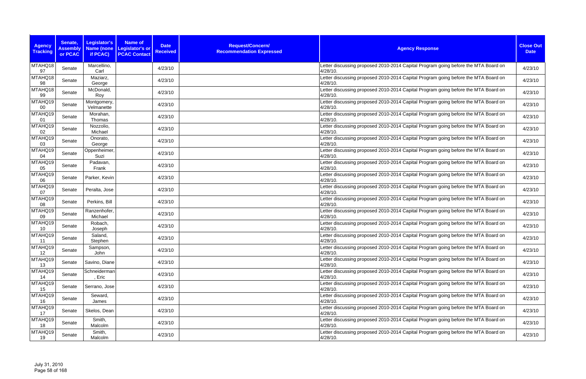| <b>Agency</b><br><b>Tracking</b> | Senate,<br><b>Assembly</b><br>or PCAC | Legislator's<br><b>Name (none</b><br>if PCAC) | <b>Name of</b><br><b>Date</b><br><b>Legislator's or</b><br><b>Received</b><br><b>PCAC Contact</b> | Request/Concern/<br><b>Recommendation Expressed</b> | <b>Agency Response</b>                                                                            | <b>Close Out</b><br><b>Date</b> |
|----------------------------------|---------------------------------------|-----------------------------------------------|---------------------------------------------------------------------------------------------------|-----------------------------------------------------|---------------------------------------------------------------------------------------------------|---------------------------------|
| MTAHQ18<br>97                    | Senate                                | Marcellino,<br>Carl                           | 4/23/10                                                                                           |                                                     | Letter discussing proposed 2010-2014 Capital Program going before the MTA Board on<br>4/28/10.    | 4/23/10                         |
| MTAHQ18<br>98                    | Senate                                | Maziarz,<br>George                            | 4/23/10                                                                                           |                                                     | Letter discussing proposed 2010-2014 Capital Program going before the MTA Board on<br>4/28/10.    | 4/23/10                         |
| MTAHQ18<br>99                    | Senate                                | McDonald,<br>Roy                              | 4/23/10                                                                                           |                                                     | Letter discussing proposed 2010-2014 Capital Program going before the MTA Board on<br>4/28/10.    | 4/23/10                         |
| MTAHQ19<br>00                    | Senate                                | Montgomery,<br>Velmanette                     | 4/23/10                                                                                           |                                                     | Letter discussing proposed 2010-2014 Capital Program going before the MTA Board on<br>4/28/10.    | 4/23/10                         |
| MTAHQ19<br>01                    | Senate                                | Morahan,<br>Thomas                            | 4/23/10                                                                                           |                                                     | Letter discussing proposed 2010-2014 Capital Program going before the MTA Board on<br>4/28/10.    | 4/23/10                         |
| MTAHQ19<br>02                    | Senate                                | Nozzolio,<br>Michael                          | 4/23/10                                                                                           |                                                     | Letter discussing proposed 2010-2014 Capital Program going before the MTA Board on<br>4/28/10.    | 4/23/10                         |
| MTAHQ19<br>03                    | Senate                                | Onorato,<br>George                            | 4/23/10                                                                                           |                                                     | Letter discussing proposed 2010-2014 Capital Program going before the MTA Board on<br>4/28/10.    | 4/23/10                         |
| MTAHQ19<br>04                    | Senate                                | Oppenheimer<br>Suzi                           | 4/23/10                                                                                           |                                                     | Letter discussing proposed 2010-2014 Capital Program going before the MTA Board on<br>$4/28/10$ . | 4/23/10                         |
| MTAHQ19<br>05                    | Senate                                | Padavan,<br>Frank                             | 4/23/10                                                                                           |                                                     | Letter discussing proposed 2010-2014 Capital Program going before the MTA Board on<br>4/28/10.    | 4/23/10                         |
| MTAHQ19<br>06                    | Senate                                | Parker, Kevin                                 | 4/23/10                                                                                           |                                                     | Letter discussing proposed 2010-2014 Capital Program going before the MTA Board on<br>4/28/10.    | 4/23/10                         |
| MTAHQ19<br>07                    | Senate                                | Peralta, Jose                                 | 4/23/10                                                                                           |                                                     | Letter discussing proposed 2010-2014 Capital Program going before the MTA Board on<br>4/28/10.    | 4/23/10                         |
| MTAHQ19<br>08                    | Senate                                | Perkins, Bill                                 | 4/23/10                                                                                           |                                                     | Letter discussing proposed 2010-2014 Capital Program going before the MTA Board on<br>4/28/10.    | 4/23/10                         |
| MTAHQ19<br>09                    | Senate                                | Ranzenhofer,<br>Michael                       | 4/23/10                                                                                           |                                                     | Letter discussing proposed 2010-2014 Capital Program going before the MTA Board on<br>4/28/10.    | 4/23/10                         |
| MTAHQ19<br>10                    | Senate                                | Robach,<br>Joseph                             | 4/23/10                                                                                           |                                                     | Letter discussing proposed 2010-2014 Capital Program going before the MTA Board on<br>4/28/10.    | 4/23/10                         |
| MTAHQ19<br>11                    | Senate                                | Saland,<br>Stephen                            | 4/23/10                                                                                           |                                                     | Letter discussing proposed 2010-2014 Capital Program going before the MTA Board on<br>4/28/10.    | 4/23/10                         |
| MTAHQ19<br>12                    | Senate                                | Sampson,<br>John                              | 4/23/10                                                                                           |                                                     | Letter discussing proposed 2010-2014 Capital Program going before the MTA Board on<br>4/28/10.    | 4/23/10                         |
| MTAHQ19<br>13                    | Senate                                | Savino, Diane                                 | 4/23/10                                                                                           |                                                     | Letter discussing proposed 2010-2014 Capital Program going before the MTA Board on<br>4/28/10.    | 4/23/10                         |
| MTAHQ19<br>14                    | Senate                                | Schneiderman<br>, Eric                        | 4/23/10                                                                                           |                                                     | Letter discussing proposed 2010-2014 Capital Program going before the MTA Board on<br>4/28/10.    | 4/23/10                         |
| MTAHQ19<br>15 <sub>15</sub>      | Senate                                | Serrano, Jose                                 | 4/23/10                                                                                           |                                                     | Letter discussing proposed 2010-2014 Capital Program going before the MTA Board on<br>4/28/10.    | 4/23/10                         |
| MTAHQ19<br>16                    | Senate                                | Seward,<br>James                              | 4/23/10                                                                                           |                                                     | Letter discussing proposed 2010-2014 Capital Program going before the MTA Board on<br>4/28/10.    | 4/23/10                         |
| MTAHQ19<br>17                    | Senate                                | Skelos, Dean                                  | 4/23/10                                                                                           |                                                     | Letter discussing proposed 2010-2014 Capital Program going before the MTA Board on<br>4/28/10.    | 4/23/10                         |
| MTAHQ19<br>18                    | Senate                                | Smith,<br>Malcolm                             | 4/23/10                                                                                           |                                                     | Letter discussing proposed 2010-2014 Capital Program going before the MTA Board on<br>4/28/10.    | 4/23/10                         |
| MTAHQ19<br>19                    | Senate                                | Smith,<br>Malcolm                             | 4/23/10                                                                                           |                                                     | Letter discussing proposed 2010-2014 Capital Program going before the MTA Board on<br>4/28/10.    | 4/23/10                         |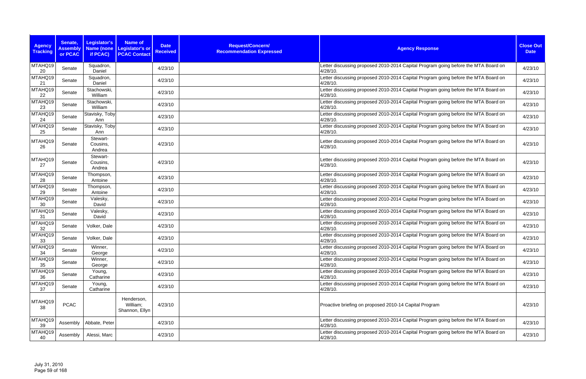| <b>Agency</b><br><b>Tracking</b> | Senate,<br><b>Assembly</b><br>or PCAC | <b>Legislator's</b><br>if PCAC) | <b>Name of</b><br>Name (none Legislator's or<br><b>PCAC Contact</b> | <b>Date</b><br><b>Received</b> | Request/Concern/<br><b>Recommendation Expressed</b> | <b>Agency Response</b>                                                                         | <b>Close Out</b><br><b>Date</b> |
|----------------------------------|---------------------------------------|---------------------------------|---------------------------------------------------------------------|--------------------------------|-----------------------------------------------------|------------------------------------------------------------------------------------------------|---------------------------------|
| MTAHQ19<br>20                    | Senate                                | Squadron,<br>Daniel             |                                                                     | 4/23/10                        |                                                     | Letter discussing proposed 2010-2014 Capital Program going before the MTA Board on<br>4/28/10. | 4/23/10                         |
| MTAHQ19<br>21                    | Senate                                | Squadron,<br>Daniel             |                                                                     | 4/23/10                        |                                                     | Letter discussing proposed 2010-2014 Capital Program going before the MTA Board on<br>4/28/10. | 4/23/10                         |
| MTAHQ19<br>22                    | Senate                                | Stachowski,<br>William          |                                                                     | 4/23/10                        |                                                     | Letter discussing proposed 2010-2014 Capital Program going before the MTA Board on<br>4/28/10. | 4/23/10                         |
| MTAHQ19<br>23                    | Senate                                | Stachowski,<br>William          |                                                                     | 4/23/10                        |                                                     | Letter discussing proposed 2010-2014 Capital Program going before the MTA Board on<br>4/28/10. | 4/23/10                         |
| MTAHQ19<br>24                    | Senate                                | Stavisky, Toby<br>Ann           |                                                                     | 4/23/10                        |                                                     | Letter discussing proposed 2010-2014 Capital Program going before the MTA Board on<br>4/28/10. | 4/23/10                         |
| MTAHQ19<br>25                    | Senate                                | Stavisky, Toby<br>Ann           |                                                                     | 4/23/10                        |                                                     | Letter discussing proposed 2010-2014 Capital Program going before the MTA Board on<br>4/28/10. | 4/23/10                         |
| MTAHQ19<br>26                    | Senate                                | Stewart-<br>Cousins,<br>Andrea  |                                                                     | 4/23/10                        |                                                     | Letter discussing proposed 2010-2014 Capital Program going before the MTA Board on<br>4/28/10. | 4/23/10                         |
| MTAHQ19<br>27                    | Senate                                | Stewart-<br>Cousins,<br>Andrea  |                                                                     | 4/23/10                        |                                                     | Letter discussing proposed 2010-2014 Capital Program going before the MTA Board on<br>4/28/10. | 4/23/10                         |
| MTAHQ19<br>28                    | Senate                                | Thompson,<br>Antoine            |                                                                     | 4/23/10                        |                                                     | Letter discussing proposed 2010-2014 Capital Program going before the MTA Board on<br>4/28/10. | 4/23/10                         |
| MTAHQ19<br>29                    | Senate                                | Thompson,<br>Antoine            |                                                                     | 4/23/10                        |                                                     | Letter discussing proposed 2010-2014 Capital Program going before the MTA Board on<br>4/28/10. | 4/23/10                         |
| MTAHQ19<br>30                    | Senate                                | Valesky,<br>David               |                                                                     | 4/23/10                        |                                                     | Letter discussing proposed 2010-2014 Capital Program going before the MTA Board on<br>4/28/10. | 4/23/10                         |
| MTAHQ19<br>31                    | Senate                                | Valesky,<br>David               |                                                                     | 4/23/10                        |                                                     | Letter discussing proposed 2010-2014 Capital Program going before the MTA Board on<br>4/28/10. | 4/23/10                         |
| MTAHQ19<br>32                    | Senate                                | Volker, Dale                    |                                                                     | 4/23/10                        |                                                     | Letter discussing proposed 2010-2014 Capital Program going before the MTA Board on<br>4/28/10. | 4/23/10                         |
| MTAHQ19<br>33                    | Senate                                | Volker, Dale                    |                                                                     | 4/23/10                        |                                                     | Letter discussing proposed 2010-2014 Capital Program going before the MTA Board on<br>4/28/10. | 4/23/10                         |
| MTAHQ19<br>34                    | Senate                                | Winner,<br>George               |                                                                     | 4/23/10                        |                                                     | Letter discussing proposed 2010-2014 Capital Program going before the MTA Board on<br>4/28/10. | 4/23/10                         |
| MTAHQ19<br>35                    | Senate                                | Winner,<br>George               |                                                                     | 4/23/10                        |                                                     | Letter discussing proposed 2010-2014 Capital Program going before the MTA Board on<br>4/28/10. | 4/23/10                         |
| MTAHQ19<br>36                    | Senate                                | Young,<br>Catharine             |                                                                     | 4/23/10                        |                                                     | Letter discussing proposed 2010-2014 Capital Program going before the MTA Board on<br>4/28/10. | 4/23/10                         |
| MTAHQ19<br>37                    | Senate                                | Young,<br>Catharine             |                                                                     | 4/23/10                        |                                                     | Letter discussing proposed 2010-2014 Capital Program going before the MTA Board on<br>4/28/10. | 4/23/10                         |
| MTAHQ19<br>38                    | <b>PCAC</b>                           |                                 | Henderson,<br>William;<br>Shannon, Ellyn                            | 4/23/10                        |                                                     | Proactive briefing on proposed 2010-14 Capital Program                                         | 4/23/10                         |
| MTAHQ19<br>39                    | Assembly                              | Abbate, Peter                   |                                                                     | 4/23/10                        |                                                     | Letter discussing proposed 2010-2014 Capital Program going before the MTA Board on<br>4/28/10. | 4/23/10                         |
| MTAHQ19<br>40                    | Assembly                              | Alessi, Marc                    |                                                                     | 4/23/10                        |                                                     | Letter discussing proposed 2010-2014 Capital Program going before the MTA Board on<br>4/28/10. | 4/23/10                         |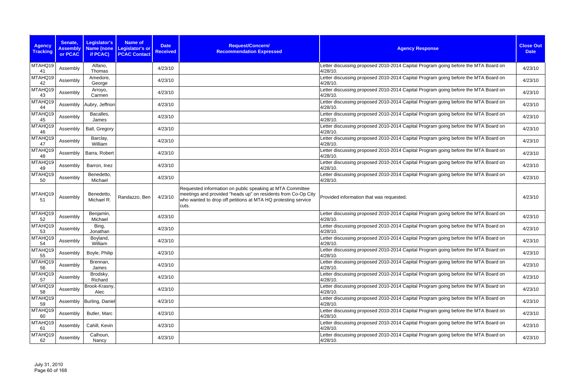| <b>Agency</b><br><b>Tracking</b> | Senate,<br><b>Assembly</b><br>or PCAC | Legislator's<br><b>Name (none</b><br>if PCAC) | <b>Name of</b><br><b>Legislator's or</b><br><b>PCAC Contact</b> | <b>Date</b><br><b>Received</b> | Request/Concern/<br><b>Recommendation Expressed</b>                                                                                                                                                  | <b>Agency Response</b>                                                                         | <b>Close Out</b><br><b>Date</b> |
|----------------------------------|---------------------------------------|-----------------------------------------------|-----------------------------------------------------------------|--------------------------------|------------------------------------------------------------------------------------------------------------------------------------------------------------------------------------------------------|------------------------------------------------------------------------------------------------|---------------------------------|
| MTAHQ19<br>41                    | Assembly                              | Alfano,<br>Thomas                             |                                                                 | 4/23/10                        |                                                                                                                                                                                                      | Letter discussing proposed 2010-2014 Capital Program going before the MTA Board on<br>4/28/10. | 4/23/10                         |
| MTAHQ19<br>42                    | Assembly                              | Amedore,<br>George                            |                                                                 | 4/23/10                        |                                                                                                                                                                                                      | Letter discussing proposed 2010-2014 Capital Program going before the MTA Board on<br>4/28/10. | 4/23/10                         |
| MTAHQ19<br>43                    | Assembly                              | Arroyo,<br>Carmen                             |                                                                 | 4/23/10                        |                                                                                                                                                                                                      | Letter discussing proposed 2010-2014 Capital Program going before the MTA Board on<br>4/28/10. | 4/23/10                         |
| MTAHQ19<br>44                    | Assembly                              | Aubry, Jeffrion                               |                                                                 | 4/23/10                        |                                                                                                                                                                                                      | Letter discussing proposed 2010-2014 Capital Program going before the MTA Board on<br>4/28/10. | 4/23/10                         |
| MTAHQ19<br>45                    | Assembly                              | Bacalles,<br>James                            |                                                                 | 4/23/10                        |                                                                                                                                                                                                      | Letter discussing proposed 2010-2014 Capital Program going before the MTA Board on<br>4/28/10. | 4/23/10                         |
| MTAHQ19<br>46                    | Assembly                              | Ball, Gregory                                 |                                                                 | 4/23/10                        |                                                                                                                                                                                                      | Letter discussing proposed 2010-2014 Capital Program going before the MTA Board on<br>4/28/10. | 4/23/10                         |
| MTAHQ19<br>47                    | Assembly                              | Barclay,<br>William                           |                                                                 | 4/23/10                        |                                                                                                                                                                                                      | Letter discussing proposed 2010-2014 Capital Program going before the MTA Board on<br>4/28/10. | 4/23/10                         |
| MTAHQ19<br>48                    | Assembly                              | Barra, Robert                                 |                                                                 | 4/23/10                        |                                                                                                                                                                                                      | Letter discussing proposed 2010-2014 Capital Program going before the MTA Board on<br>4/28/10. | 4/23/10                         |
| MTAHQ19<br>49                    | Assembly                              | Barron, Inez                                  |                                                                 | 4/23/10                        |                                                                                                                                                                                                      | Letter discussing proposed 2010-2014 Capital Program going before the MTA Board on<br>4/28/10. | 4/23/10                         |
| MTAHQ19<br>50                    | Assembly                              | Benedetto,<br>Michael                         |                                                                 | 4/23/10                        |                                                                                                                                                                                                      | Letter discussing proposed 2010-2014 Capital Program going before the MTA Board on<br>4/28/10. | 4/23/10                         |
| MTAHQ19<br>51                    | Assembly                              | Benedetto,<br>Michael R.                      | Randazzo, Ben                                                   | 4/23/10                        | Requested information on public speaking at MTA Committee<br>meetings and provided "heads up" on residents from Co-Op City<br>who wanted to drop off petitions at MTA HQ protesting service<br>cuts. | Provided information that was requested.                                                       | 4/23/10                         |
| MTAHQ19<br>52                    | Assembly                              | Benjamin,<br>Michael                          |                                                                 | 4/23/10                        |                                                                                                                                                                                                      | Letter discussing proposed 2010-2014 Capital Program going before the MTA Board on<br>4/28/10. | 4/23/10                         |
| MTAHQ19<br>53                    | Assembly                              | Bing,<br>Jonathan                             |                                                                 | 4/23/10                        |                                                                                                                                                                                                      | Letter discussing proposed 2010-2014 Capital Program going before the MTA Board on<br>4/28/10. | 4/23/10                         |
| MTAHQ19<br>54                    | Assembly                              | Boyland,<br>William                           |                                                                 | 4/23/10                        |                                                                                                                                                                                                      | Letter discussing proposed 2010-2014 Capital Program going before the MTA Board on<br>4/28/10. | 4/23/10                         |
| MTAHQ19<br>55                    | Assembly                              | Boyle, Philip                                 |                                                                 | 4/23/10                        |                                                                                                                                                                                                      | Letter discussing proposed 2010-2014 Capital Program going before the MTA Board on<br>4/28/10. | 4/23/10                         |
| MTAHQ19<br>56                    | Assembly                              | Brennan,<br>James                             |                                                                 | 4/23/10                        |                                                                                                                                                                                                      | Letter discussing proposed 2010-2014 Capital Program going before the MTA Board on<br>4/28/10. | 4/23/10                         |
| MTAHQ19<br>57                    | Assembly                              | Brodsky,<br>Richard                           |                                                                 | 4/23/10                        |                                                                                                                                                                                                      | Letter discussing proposed 2010-2014 Capital Program going before the MTA Board on<br>4/28/10. | 4/23/10                         |
| MTAHQ19<br>58                    | Assembly                              | Brook-Krasny,<br>Alec                         |                                                                 | 4/23/10                        |                                                                                                                                                                                                      | Letter discussing proposed 2010-2014 Capital Program going before the MTA Board on<br>4/28/10. | 4/23/10                         |
| MTAHQ19<br>59                    |                                       | Assembly   Burling, Daniel                    |                                                                 | 4/23/10                        |                                                                                                                                                                                                      | Letter discussing proposed 2010-2014 Capital Program going before the MTA Board on<br>4/28/10. | 4/23/10                         |
| MTAHQ19<br>60                    | Assembly                              | Butler, Marc                                  |                                                                 | 4/23/10                        |                                                                                                                                                                                                      | Letter discussing proposed 2010-2014 Capital Program going before the MTA Board on<br>4/28/10. | 4/23/10                         |
| MTAHQ19<br>61                    | Assembly                              | Cahill, Kevin                                 |                                                                 | 4/23/10                        |                                                                                                                                                                                                      | Letter discussing proposed 2010-2014 Capital Program going before the MTA Board on<br>4/28/10. | 4/23/10                         |
| MTAHQ19<br>62                    | Assembly                              | Calhoun,<br>Nancy                             |                                                                 | 4/23/10                        |                                                                                                                                                                                                      | Letter discussing proposed 2010-2014 Capital Program going before the MTA Board on<br>4/28/10. | 4/23/10                         |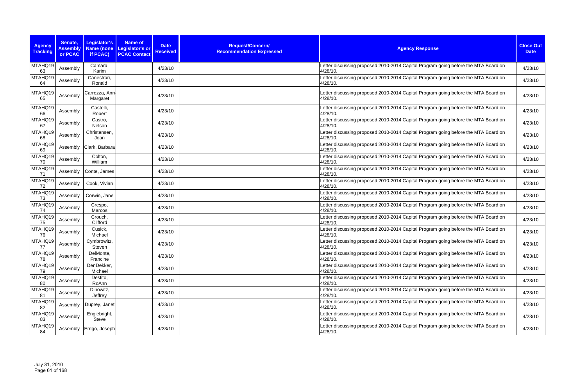| <b>Agency</b><br><b>Tracking</b> | Senate,<br><b>Assembly</b><br>or PCAC | Legislator's<br><b>Name (none</b><br>if PCAC) | <b>Name of</b><br><b>Date</b><br><b>Legislator's or</b><br><b>Received</b><br><b>PCAC Contact</b> | Request/Concern/<br><b>Recommendation Expressed</b> | <b>Agency Response</b>                                                                            | <b>Close Out</b><br><b>Date</b> |
|----------------------------------|---------------------------------------|-----------------------------------------------|---------------------------------------------------------------------------------------------------|-----------------------------------------------------|---------------------------------------------------------------------------------------------------|---------------------------------|
| MTAHQ19<br>63                    | Assembly                              | Camara,<br>Karim                              | 4/23/10                                                                                           |                                                     | Letter discussing proposed 2010-2014 Capital Program going before the MTA Board on<br>4/28/10.    | 4/23/10                         |
| MTAHQ19<br>64                    | Assembly                              | Canestrari,<br>Ronald                         | 4/23/10                                                                                           |                                                     | Letter discussing proposed 2010-2014 Capital Program going before the MTA Board on<br>4/28/10.    | 4/23/10                         |
| MTAHQ19<br>65                    | Assembly                              | Carrozza, Ann<br>Margaret                     | 4/23/10                                                                                           |                                                     | Letter discussing proposed 2010-2014 Capital Program going before the MTA Board on<br>4/28/10.    | 4/23/10                         |
| MTAHQ19<br>66                    | Assembly                              | Castelli,<br>Robert                           | 4/23/10                                                                                           |                                                     | Letter discussing proposed 2010-2014 Capital Program going before the MTA Board on<br>4/28/10.    | 4/23/10                         |
| MTAHQ19<br>67                    | Assembly                              | Castro,<br>Nelson                             | 4/23/10                                                                                           |                                                     | Letter discussing proposed 2010-2014 Capital Program going before the MTA Board on<br>4/28/10.    | 4/23/10                         |
| MTAHQ19<br>68                    | Assembly                              | Christensen,<br>Joan                          | 4/23/10                                                                                           |                                                     | Letter discussing proposed 2010-2014 Capital Program going before the MTA Board on<br>4/28/10.    | 4/23/10                         |
| MTAHQ19<br>69                    | Assembly                              | Clark, Barbara                                | 4/23/10                                                                                           |                                                     | Letter discussing proposed 2010-2014 Capital Program going before the MTA Board on<br>4/28/10.    | 4/23/10                         |
| MTAHQ19<br>70                    | Assembly                              | Colton,<br>William                            | 4/23/10                                                                                           |                                                     | Letter discussing proposed 2010-2014 Capital Program going before the MTA Board on<br>$4/28/10$ . | 4/23/10                         |
| MTAHQ19<br>71                    | Assembly                              | Conte, James                                  | 4/23/10                                                                                           |                                                     | Letter discussing proposed 2010-2014 Capital Program going before the MTA Board on<br>4/28/10.    | 4/23/10                         |
| MTAHQ19<br>72                    | Assembly                              | Cook, Vivian                                  | 4/23/10                                                                                           |                                                     | Letter discussing proposed 2010-2014 Capital Program going before the MTA Board on<br>4/28/10.    | 4/23/10                         |
| MTAHQ19<br>73                    | Assembly                              | Corwin, Jane                                  | 4/23/10                                                                                           |                                                     | Letter discussing proposed 2010-2014 Capital Program going before the MTA Board on<br>4/28/10.    | 4/23/10                         |
| MTAHQ19<br>74                    | Assembly                              | Crespo,<br>Marcos                             | 4/23/10                                                                                           |                                                     | Letter discussing proposed 2010-2014 Capital Program going before the MTA Board on<br>4/28/10.    | 4/23/10                         |
| MTAHQ19<br>75                    | Assembly                              | Crouch,<br>Clifford                           | 4/23/10                                                                                           |                                                     | Letter discussing proposed 2010-2014 Capital Program going before the MTA Board on<br>4/28/10.    | 4/23/10                         |
| MTAHQ19<br>76                    | Assembly                              | Cusick,<br>Michael                            | 4/23/10                                                                                           |                                                     | Letter discussing proposed 2010-2014 Capital Program going before the MTA Board on<br>4/28/10.    | 4/23/10                         |
| MTAHQ19<br>77                    | Assembly                              | Cymbrowitz,<br>Steven                         | 4/23/10                                                                                           |                                                     | Letter discussing proposed 2010-2014 Capital Program going before the MTA Board on<br>4/28/10.    | 4/23/10                         |
| MTAHQ19<br>78                    | Assembly                              | DelMonte,<br>Francine                         | 4/23/10                                                                                           |                                                     | Letter discussing proposed 2010-2014 Capital Program going before the MTA Board on<br>4/28/10.    | 4/23/10                         |
| MTAHQ19<br>79                    | Assembly                              | DenDekker,<br>Michael                         | 4/23/10                                                                                           |                                                     | Letter discussing proposed 2010-2014 Capital Program going before the MTA Board on<br>4/28/10.    | 4/23/10                         |
| MTAHQ19<br>80                    | Assembly                              | Destito,<br>RoAnn                             | 4/23/10                                                                                           |                                                     | Letter discussing proposed 2010-2014 Capital Program going before the MTA Board on<br>4/28/10.    | 4/23/10                         |
| MTAHQ19<br>81                    | Assembly                              | Dinowitz,<br>Jeffrey                          | 4/23/10                                                                                           |                                                     | Letter discussing proposed 2010-2014 Capital Program going before the MTA Board on<br>4/28/10.    | 4/23/10                         |
| MTAHQ19<br>82                    | Assembly                              | Duprey, Janet                                 | 4/23/10                                                                                           |                                                     | Letter discussing proposed 2010-2014 Capital Program going before the MTA Board on<br>4/28/10.    | 4/23/10                         |
| MTAHQ19<br>83                    | Assembly                              | Englebright,<br>Steve                         | 4/23/10                                                                                           |                                                     | Letter discussing proposed 2010-2014 Capital Program going before the MTA Board on<br>4/28/10.    | 4/23/10                         |
| MTAHQ19<br>84                    | Assembly                              | Errigo, Joseph                                | 4/23/10                                                                                           |                                                     | Letter discussing proposed 2010-2014 Capital Program going before the MTA Board on<br>4/28/10.    | 4/23/10                         |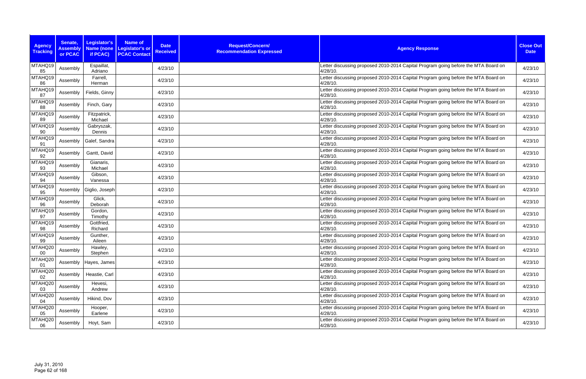| <b>Agency</b>     | Senate,                    | Legislator's            | <b>Name of</b>                                | <b>Date</b>     | Request/Concern/                |                                                                                                | <b>Close Out</b> |
|-------------------|----------------------------|-------------------------|-----------------------------------------------|-----------------|---------------------------------|------------------------------------------------------------------------------------------------|------------------|
| <b>Tracking</b>   | <b>Assembly</b><br>or PCAC | Name (none<br>if PCAC)  | <b>Legislator's or</b><br><b>PCAC Contact</b> | <b>Received</b> | <b>Recommendation Expressed</b> | <b>Agency Response</b>                                                                         | <b>Date</b>      |
| MTAHQ19<br>85     | Assembly                   | Espaillat,<br>Adriano   |                                               | 4/23/10         |                                 | Letter discussing proposed 2010-2014 Capital Program going before the MTA Board on<br>4/28/10. | 4/23/10          |
| MTAHQ19<br>86     | Assembly                   | Farrell,<br>Herman      |                                               | 4/23/10         |                                 | Letter discussing proposed 2010-2014 Capital Program going before the MTA Board on<br>4/28/10. | 4/23/10          |
| MTAHQ19<br>87     | Assembly                   | Fields, Ginny           |                                               | 4/23/10         |                                 | Letter discussing proposed 2010-2014 Capital Program going before the MTA Board on<br>4/28/10. | 4/23/10          |
| MTAHQ19<br>88     | Assembly                   | Finch, Gary             |                                               | 4/23/10         |                                 | Letter discussing proposed 2010-2014 Capital Program going before the MTA Board on<br>4/28/10. | 4/23/10          |
| MTAHQ19<br>89     | Assembly                   | Fitzpatrick,<br>Michael |                                               | 4/23/10         |                                 | Letter discussing proposed 2010-2014 Capital Program going before the MTA Board on<br>4/28/10. | 4/23/10          |
| MTAHQ19<br>90     | Assembly                   | Gabryszak,<br>Dennis    |                                               | 4/23/10         |                                 | Letter discussing proposed 2010-2014 Capital Program going before the MTA Board on<br>4/28/10. | 4/23/10          |
| MTAHQ19<br>91     | Assembly                   | Galef, Sandra           |                                               | 4/23/10         |                                 | Letter discussing proposed 2010-2014 Capital Program going before the MTA Board on<br>4/28/10. | 4/23/10          |
| MTAHQ19<br>92     | Assembly                   | Gantt, David            |                                               | 4/23/10         |                                 | Letter discussing proposed 2010-2014 Capital Program going before the MTA Board on<br>4/28/10. | 4/23/10          |
| MTAHQ19<br>93     | Assembly                   | Gianaris,<br>Michael    |                                               | 4/23/10         |                                 | Letter discussing proposed 2010-2014 Capital Program going before the MTA Board on<br>4/28/10. | 4/23/10          |
| MTAHQ19<br>94     | Assembly                   | Gibson,<br>Vanessa      |                                               | 4/23/10         |                                 | Letter discussing proposed 2010-2014 Capital Program going before the MTA Board on<br>4/28/10. | 4/23/10          |
| MTAHQ19<br>95     | Assembly                   | Giglio, Joseph          |                                               | 4/23/10         |                                 | Letter discussing proposed 2010-2014 Capital Program going before the MTA Board on<br>4/28/10. | 4/23/10          |
| MTAHQ19<br>96     | Assembly                   | Glick,<br>Deborah       |                                               | 4/23/10         |                                 | Letter discussing proposed 2010-2014 Capital Program going before the MTA Board on<br>4/28/10. | 4/23/10          |
| MTAHQ19<br>97     | Assembly                   | Gordon,<br>Timothy      |                                               | 4/23/10         |                                 | Letter discussing proposed 2010-2014 Capital Program going before the MTA Board on<br>4/28/10. | 4/23/10          |
| MTAHQ19<br>98     | Assembly                   | Gottfried,<br>Richard   |                                               | 4/23/10         |                                 | Letter discussing proposed 2010-2014 Capital Program going before the MTA Board on<br>4/28/10. | 4/23/10          |
| MTAHQ19<br>99     | Assembly                   | Gunther,<br>Aileen      |                                               | 4/23/10         |                                 | Letter discussing proposed 2010-2014 Capital Program going before the MTA Board on<br>4/28/10. | 4/23/10          |
| MTAHQ20<br>$00\,$ | Assembly                   | Hawley,<br>Stephen      |                                               | 4/23/10         |                                 | Letter discussing proposed 2010-2014 Capital Program going before the MTA Board on<br>4/28/10. | 4/23/10          |
| MTAHQ20<br>01     | Assembly                   | Hayes, James            |                                               | 4/23/10         |                                 | Letter discussing proposed 2010-2014 Capital Program going before the MTA Board on<br>4/28/10. | 4/23/10          |
| MTAHQ20<br>02     | Assembly                   | Heastie, Carl           |                                               | 4/23/10         |                                 | Letter discussing proposed 2010-2014 Capital Program going before the MTA Board on<br>4/28/10. | 4/23/10          |
| MTAHQ20<br>03     | Assembly                   | Hevesi,<br>Andrew       |                                               | 4/23/10         |                                 | Letter discussing proposed 2010-2014 Capital Program going before the MTA Board on<br>4/28/10. | 4/23/10          |
| MTAHQ20<br>04     | Assembly                   | Hikind, Dov             |                                               | 4/23/10         |                                 | Letter discussing proposed 2010-2014 Capital Program going before the MTA Board on<br>4/28/10. | 4/23/10          |
| MTAHQ20<br>05     | Assembly                   | Hooper,<br>Earlene      |                                               | 4/23/10         |                                 | Letter discussing proposed 2010-2014 Capital Program going before the MTA Board on<br>4/28/10. | 4/23/10          |
| MTAHQ20<br>06     | Assembly                   | Hoyt, Sam               |                                               | 4/23/10         |                                 | Letter discussing proposed 2010-2014 Capital Program going before the MTA Board on<br>4/28/10. | 4/23/10          |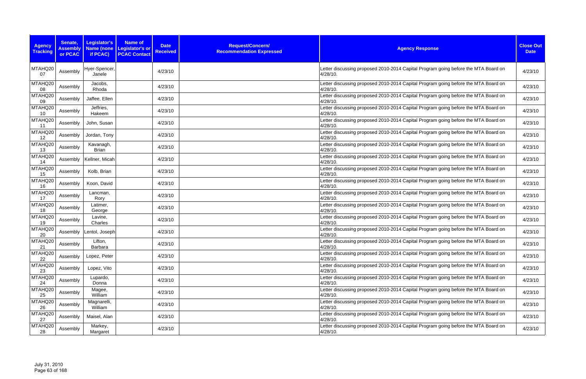| <b>Agency</b><br><b>Tracking</b> | Senate,<br><b>Assembly</b><br>or PCAC | Legislator's<br><b>Name (none</b><br>if PCAC) | <b>Name of</b><br><b>Legislator's or</b><br><b>PCAC Contact</b> | <b>Date</b><br><b>Received</b> | Request/Concern/<br><b>Recommendation Expressed</b> | <b>Agency Response</b>                                                                         | <b>Close Out</b><br><b>Date</b> |
|----------------------------------|---------------------------------------|-----------------------------------------------|-----------------------------------------------------------------|--------------------------------|-----------------------------------------------------|------------------------------------------------------------------------------------------------|---------------------------------|
| MTAHQ20<br>07                    | Assembly                              | Hyer-Spencer,<br>Janele                       |                                                                 | 4/23/10                        |                                                     | Letter discussing proposed 2010-2014 Capital Program going before the MTA Board on<br>4/28/10. | 4/23/10                         |
| MTAHQ20<br>08                    | Assembly                              | Jacobs,<br>Rhoda                              |                                                                 | 4/23/10                        |                                                     | Letter discussing proposed 2010-2014 Capital Program going before the MTA Board on<br>4/28/10. | 4/23/10                         |
| MTAHQ20<br>09                    | Assembly                              | Jaffee, Ellen                                 |                                                                 | 4/23/10                        |                                                     | Letter discussing proposed 2010-2014 Capital Program going before the MTA Board on<br>4/28/10. | 4/23/10                         |
| MTAHQ20<br>10                    | Assembly                              | Jeffries,<br>Hakeem                           |                                                                 | 4/23/10                        |                                                     | Letter discussing proposed 2010-2014 Capital Program going before the MTA Board on<br>4/28/10. | 4/23/10                         |
| MTAHQ20<br>11                    | Assembly                              | John, Susan                                   |                                                                 | 4/23/10                        |                                                     | Letter discussing proposed 2010-2014 Capital Program going before the MTA Board on<br>4/28/10. | 4/23/10                         |
| MTAHQ20<br>12                    | Assembly                              | Jordan, Tony                                  |                                                                 | 4/23/10                        |                                                     | Letter discussing proposed 2010-2014 Capital Program going before the MTA Board on<br>4/28/10. | 4/23/10                         |
| MTAHQ20<br>13                    | Assembly                              | Kavanagh,<br><b>Brian</b>                     |                                                                 | 4/23/10                        |                                                     | Letter discussing proposed 2010-2014 Capital Program going before the MTA Board on<br>4/28/10. | 4/23/10                         |
| MTAHQ20<br>14                    | Assembly                              | Kellner, Micah                                |                                                                 | 4/23/10                        |                                                     | Letter discussing proposed 2010-2014 Capital Program going before the MTA Board on<br>4/28/10. | 4/23/10                         |
| MTAHQ20<br>15                    | Assembly                              | Kolb, Brian                                   |                                                                 | 4/23/10                        |                                                     | Letter discussing proposed 2010-2014 Capital Program going before the MTA Board on<br>4/28/10. | 4/23/10                         |
| MTAHQ20<br>16                    | Assembly                              | Koon, David                                   |                                                                 | 4/23/10                        |                                                     | Letter discussing proposed 2010-2014 Capital Program going before the MTA Board on<br>4/28/10. | 4/23/10                         |
| MTAHQ20<br>17                    | Assembly                              | Lancman,<br>Rory                              |                                                                 | 4/23/10                        |                                                     | Letter discussing proposed 2010-2014 Capital Program going before the MTA Board on<br>4/28/10. | 4/23/10                         |
| MTAHQ20<br>18                    | Assembly                              | Latimer,<br>George                            |                                                                 | 4/23/10                        |                                                     | Letter discussing proposed 2010-2014 Capital Program going before the MTA Board on<br>4/28/10. | 4/23/10                         |
| MTAHQ20<br>19                    | Assembly                              | Lavine,<br>Charles                            |                                                                 | 4/23/10                        |                                                     | Letter discussing proposed 2010-2014 Capital Program going before the MTA Board on<br>4/28/10. | 4/23/10                         |
| MTAHQ20<br>20                    | Assembly                              | Lentol, Joseph                                |                                                                 | 4/23/10                        |                                                     | Letter discussing proposed 2010-2014 Capital Program going before the MTA Board on<br>4/28/10. | 4/23/10                         |
| MTAHQ20<br>21                    | Assembly                              | Lifton,<br>Barbara                            |                                                                 | 4/23/10                        |                                                     | Letter discussing proposed 2010-2014 Capital Program going before the MTA Board on<br>4/28/10. | 4/23/10                         |
| MTAHQ20<br>22                    | Assembly                              | Lopez, Peter                                  |                                                                 | 4/23/10                        |                                                     | Letter discussing proposed 2010-2014 Capital Program going before the MTA Board on<br>4/28/10. | 4/23/10                         |
| MTAHQ20<br>23                    | Assembly                              | Lopez, Vito                                   |                                                                 | 4/23/10                        |                                                     | Letter discussing proposed 2010-2014 Capital Program going before the MTA Board on<br>4/28/10. | 4/23/10                         |
| MTAHQ20<br>24                    | Assembly                              | Lupardo,<br>Donna                             |                                                                 | 4/23/10                        |                                                     | Letter discussing proposed 2010-2014 Capital Program going before the MTA Board on<br>4/28/10. | 4/23/10                         |
| MTAHQ20<br>25                    | Assembly                              | Magee,<br>William                             |                                                                 | 4/23/10                        |                                                     | Letter discussing proposed 2010-2014 Capital Program going before the MTA Board on<br>4/28/10. | 4/23/10                         |
| MTAHQ20<br>26                    | Assembly                              | Magnarelli,<br>William                        |                                                                 | 4/23/10                        |                                                     | Letter discussing proposed 2010-2014 Capital Program going before the MTA Board on<br>4/28/10. | 4/23/10                         |
| MTAHQ20<br>27                    | Assembly                              | Maisel, Alan                                  |                                                                 | 4/23/10                        |                                                     | Letter discussing proposed 2010-2014 Capital Program going before the MTA Board on<br>4/28/10. | 4/23/10                         |
| MTAHQ20<br>28                    | Assembly                              | Markey,<br>Margaret                           |                                                                 | 4/23/10                        |                                                     | Letter discussing proposed 2010-2014 Capital Program going before the MTA Board on<br>4/28/10. | 4/23/10                         |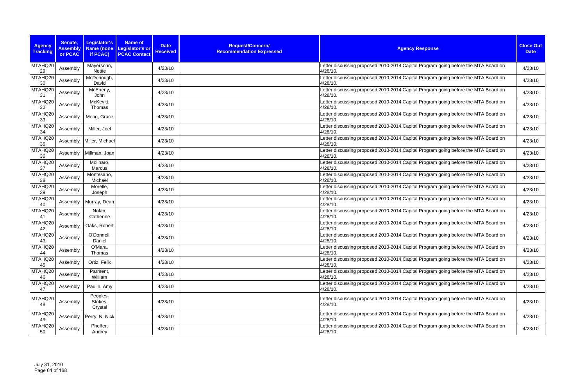| <b>Agency</b><br><b>Tracking</b> | Senate,<br><b>Assembly</b><br>or PCAC | Legislator's<br><b>Name (none</b><br>if PCAC) | <b>Name of</b><br><b>Legislator's or</b><br><b>PCAC Contact</b> | <b>Date</b><br><b>Received</b> | Request/Concern/<br><b>Recommendation Expressed</b> | <b>Agency Response</b>                                                                         | <b>Close Out</b><br><b>Date</b> |
|----------------------------------|---------------------------------------|-----------------------------------------------|-----------------------------------------------------------------|--------------------------------|-----------------------------------------------------|------------------------------------------------------------------------------------------------|---------------------------------|
| MTAHQ20<br>29                    | Assembly                              | Mayersohn,<br>Nettie                          |                                                                 | 4/23/10                        |                                                     | Letter discussing proposed 2010-2014 Capital Program going before the MTA Board on<br>4/28/10. | 4/23/10                         |
| MTAHQ20<br>30                    | Assembly                              | McDonough,<br>David                           |                                                                 | 4/23/10                        |                                                     | Letter discussing proposed 2010-2014 Capital Program going before the MTA Board on<br>4/28/10. | 4/23/10                         |
| MTAHQ20<br>31                    | Assembly                              | McEneny,<br>John                              |                                                                 | 4/23/10                        |                                                     | Letter discussing proposed 2010-2014 Capital Program going before the MTA Board on<br>4/28/10. | 4/23/10                         |
| MTAHQ20<br>32                    | Assembly                              | McKevitt,<br>Thomas                           |                                                                 | 4/23/10                        |                                                     | Letter discussing proposed 2010-2014 Capital Program going before the MTA Board on<br>4/28/10. | 4/23/10                         |
| MTAHQ20<br>33                    | Assembly                              | Meng, Grace                                   |                                                                 | 4/23/10                        |                                                     | Letter discussing proposed 2010-2014 Capital Program going before the MTA Board on<br>4/28/10. | 4/23/10                         |
| MTAHQ20<br>34                    | Assembly                              | Miller, Joel                                  |                                                                 | 4/23/10                        |                                                     | Letter discussing proposed 2010-2014 Capital Program going before the MTA Board on<br>4/28/10. | 4/23/10                         |
| MTAHQ20<br>35                    | Assembly                              | Miller, Michael                               |                                                                 | 4/23/10                        |                                                     | Letter discussing proposed 2010-2014 Capital Program going before the MTA Board on<br>4/28/10. | 4/23/10                         |
| MTAHQ20<br>36                    | Assembly                              | Millman, Joan                                 |                                                                 | 4/23/10                        |                                                     | Letter discussing proposed 2010-2014 Capital Program going before the MTA Board on<br>4/28/10. | 4/23/10                         |
| MTAHQ20<br>37                    | Assembly                              | Molinaro,<br>Marcus                           |                                                                 | 4/23/10                        |                                                     | Letter discussing proposed 2010-2014 Capital Program going before the MTA Board on<br>4/28/10. | 4/23/10                         |
| MTAHQ20<br>38                    | Assembly                              | Montesano,<br>Michael                         |                                                                 | 4/23/10                        |                                                     | Letter discussing proposed 2010-2014 Capital Program going before the MTA Board on<br>4/28/10. | 4/23/10                         |
| MTAHQ20<br>39                    | Assembly                              | Morelle,<br>Joseph                            |                                                                 | 4/23/10                        |                                                     | Letter discussing proposed 2010-2014 Capital Program going before the MTA Board on<br>4/28/10. | 4/23/10                         |
| MTAHQ20<br>40                    | Assembly                              | Murray, Dean                                  |                                                                 | 4/23/10                        |                                                     | Letter discussing proposed 2010-2014 Capital Program going before the MTA Board on<br>4/28/10. | 4/23/10                         |
| MTAHQ20<br>41                    | Assembly                              | Nolan,<br>Catherine                           |                                                                 | 4/23/10                        |                                                     | Letter discussing proposed 2010-2014 Capital Program going before the MTA Board on<br>4/28/10. | 4/23/10                         |
| MTAHQ20<br>42                    | Assembly                              | Oaks, Robert                                  |                                                                 | 4/23/10                        |                                                     | Letter discussing proposed 2010-2014 Capital Program going before the MTA Board on<br>4/28/10. | 4/23/10                         |
| MTAHQ20<br>43                    | Assembly                              | O'Donnell,<br>Daniel                          |                                                                 | 4/23/10                        |                                                     | Letter discussing proposed 2010-2014 Capital Program going before the MTA Board on<br>4/28/10. | 4/23/10                         |
| MTAHQ20<br>44                    | Assembly                              | O'Mara,<br>Thomas                             |                                                                 | 4/23/10                        |                                                     | Letter discussing proposed 2010-2014 Capital Program going before the MTA Board on<br>4/28/10. | 4/23/10                         |
| MTAHQ20<br>45                    | Assembly                              | Ortiz, Felix                                  |                                                                 | 4/23/10                        |                                                     | Letter discussing proposed 2010-2014 Capital Program going before the MTA Board on<br>4/28/10. | 4/23/10                         |
| MTAHQ20<br>46                    | Assembly                              | Parment,<br>William                           |                                                                 | 4/23/10                        |                                                     | Letter discussing proposed 2010-2014 Capital Program going before the MTA Board on<br>4/28/10. | 4/23/10                         |
| MTAHQ20<br>47                    | Assembly                              | Paulin, Amy                                   |                                                                 | 4/23/10                        |                                                     | Letter discussing proposed 2010-2014 Capital Program going before the MTA Board on<br>4/28/10. | 4/23/10                         |
| MTAHQ20<br>48                    | Assembly                              | Peoples-<br>Stokes,<br>Crystal                |                                                                 | 4/23/10                        |                                                     | Letter discussing proposed 2010-2014 Capital Program going before the MTA Board on<br>4/28/10. | 4/23/10                         |
| MTAHQ20<br>49                    | Assembly                              | Perry, N. Nick                                |                                                                 | 4/23/10                        |                                                     | Letter discussing proposed 2010-2014 Capital Program going before the MTA Board on<br>4/28/10. | 4/23/10                         |
| MTAHQ20<br>50                    | Assembly                              | Pheffer,<br>Audrey                            |                                                                 | 4/23/10                        |                                                     | Letter discussing proposed 2010-2014 Capital Program going before the MTA Board on<br>4/28/10. | 4/23/10                         |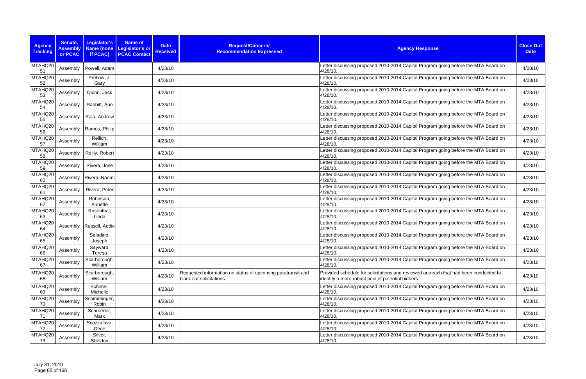| <b>Agency</b><br><b>Tracking</b> | Senate,<br><b>Assembly</b><br>or PCAC | Legislator's<br><b>Name (none</b><br>if PCAC) | <b>Name of</b><br><b>Date</b><br><b>Legislator's or</b><br><b>Received</b><br><b>PCAC Contact</b> | Request/Concern/<br><b>Recommendation Expressed</b>                                     | <b>Agency Response</b>                                                                                                                    | <b>Close Out</b><br><b>Date</b> |
|----------------------------------|---------------------------------------|-----------------------------------------------|---------------------------------------------------------------------------------------------------|-----------------------------------------------------------------------------------------|-------------------------------------------------------------------------------------------------------------------------------------------|---------------------------------|
| MTAHQ20<br>51                    | Assembly                              | Powell, Adam                                  | 4/23/10                                                                                           |                                                                                         | Letter discussing proposed 2010-2014 Capital Program going before the MTA Board on<br>4/28/10.                                            | 4/23/10                         |
| MTAHQ20<br>52                    | Assembly                              | Pretlow, J.<br>Gary                           | 4/23/10                                                                                           |                                                                                         | Letter discussing proposed 2010-2014 Capital Program going before the MTA Board on<br>4/28/10.                                            | 4/23/10                         |
| MTAHQ20<br>53                    | Assembly                              | Quinn, Jack                                   | 4/23/10                                                                                           |                                                                                         | Letter discussing proposed 2010-2014 Capital Program going before the MTA Board on<br>4/28/10.                                            | 4/23/10                         |
| MTAHQ20<br>54                    | Assembly                              | Rabbitt, Ann                                  | 4/23/10                                                                                           |                                                                                         | Letter discussing proposed 2010-2014 Capital Program going before the MTA Board on<br>4/28/10.                                            | 4/23/10                         |
| MTAHQ20<br>55                    | Assembly                              | Raia, Andrew                                  | 4/23/10                                                                                           |                                                                                         | Letter discussing proposed 2010-2014 Capital Program going before the MTA Board on<br>4/28/10.                                            | 4/23/10                         |
| MTAHQ20<br>56                    | Assembly                              | Ramos, Philip                                 | 4/23/10                                                                                           |                                                                                         | Letter discussing proposed 2010-2014 Capital Program going before the MTA Board on<br>4/28/10.                                            | 4/23/10                         |
| MTAHQ20<br>57                    | Assembly                              | Reilich,<br>William                           | 4/23/10                                                                                           |                                                                                         | Letter discussing proposed 2010-2014 Capital Program going before the MTA Board on<br>4/28/10.                                            | 4/23/10                         |
| MTAHQ20<br>58                    | Assembly                              | Reilly, Robert                                | 4/23/10                                                                                           |                                                                                         | Letter discussing proposed 2010-2014 Capital Program going before the MTA Board on<br>$4/28/10$ .                                         | 4/23/10                         |
| MTAHQ20<br>59                    | Assembly                              | Rivera, Jose                                  | 4/23/10                                                                                           |                                                                                         | Letter discussing proposed 2010-2014 Capital Program going before the MTA Board on<br>4/28/10.                                            | 4/23/10                         |
| MTAHQ20<br>60                    | Assembly                              | Rivera, Naomi                                 | 4/23/10                                                                                           |                                                                                         | Letter discussing proposed 2010-2014 Capital Program going before the MTA Board on<br>4/28/10.                                            | 4/23/10                         |
| MTAHQ20<br>61                    | Assembly                              | Rivera, Peter                                 | 4/23/10                                                                                           |                                                                                         | Letter discussing proposed 2010-2014 Capital Program going before the MTA Board on<br>4/28/10.                                            | 4/23/10                         |
| MTAHQ20<br>62                    | Assembly                              | Robinson,<br>Annette                          | 4/23/10                                                                                           |                                                                                         | Letter discussing proposed 2010-2014 Capital Program going before the MTA Board on<br>4/28/10.                                            | 4/23/10                         |
| MTAHQ20<br>63                    | Assembly                              | Rosenthal,<br>Linda                           | 4/23/10                                                                                           |                                                                                         | Letter discussing proposed 2010-2014 Capital Program going before the MTA Board on<br>4/28/10.                                            | 4/23/10                         |
| MTAHQ20<br>64                    | Assembly                              | Russell, Addie                                | 4/23/10                                                                                           |                                                                                         | Letter discussing proposed 2010-2014 Capital Program going before the MTA Board on<br>4/28/10.                                            | 4/23/10                         |
| MTAHQ20<br>65                    | Assembly                              | Saladino,<br>Joseph                           | 4/23/10                                                                                           |                                                                                         | Letter discussing proposed 2010-2014 Capital Program going before the MTA Board on<br>4/28/10.                                            | 4/23/10                         |
| MTAHQ20<br>66                    | Assembly                              | Sayward,<br>Teresa                            | 4/23/10                                                                                           |                                                                                         | Letter discussing proposed 2010-2014 Capital Program going before the MTA Board on<br>4/28/10.                                            | 4/23/10                         |
| MTAHQ20<br>67                    | Assembly                              | Scarborough,<br>William                       | 4/23/10                                                                                           |                                                                                         | Letter discussing proposed 2010-2014 Capital Program going before the MTA Board on<br>4/28/10.                                            | 4/23/10                         |
| MTAHQ20<br>68                    | Assembly                              | Scarborough,<br>William                       | 4/23/10                                                                                           | Requested information on status of upcoming paratransit and<br>black car solicitations. | Provided schedule for solicitations and reviewed outreach that had been conducted to<br>identify a more robust pool of potential bidders. | 4/23/10                         |
| MTAHQ20<br>69                    | Assembly                              | Schimel,<br>Michelle                          | 4/23/10                                                                                           |                                                                                         | Letter discussing proposed 2010-2014 Capital Program going before the MTA Board on<br>4/28/10.                                            | 4/23/10                         |
| MTAHQ20<br>70                    | Assembly                              | Schimminger,<br>Robin                         | 4/23/10                                                                                           |                                                                                         | Letter discussing proposed 2010-2014 Capital Program going before the MTA Board on<br>4/28/10.                                            | 4/23/10                         |
| MTAHQ20<br>71                    | Assembly                              | Schroeder,<br>Mark                            | 4/23/10                                                                                           |                                                                                         | Letter discussing proposed 2010-2014 Capital Program going before the MTA Board on<br>4/28/10.                                            | 4/23/10                         |
| MTAHQ20<br>72                    | Assembly                              | Scozzafava,<br>Dede                           | 4/23/10                                                                                           |                                                                                         | Letter discussing proposed 2010-2014 Capital Program going before the MTA Board on<br>4/28/10.                                            | 4/23/10                         |
| MTAHQ20<br>73                    | Assembly                              | Silver,<br>Sheldon                            | 4/23/10                                                                                           |                                                                                         | Letter discussing proposed 2010-2014 Capital Program going before the MTA Board on<br>4/28/10.                                            | 4/23/10                         |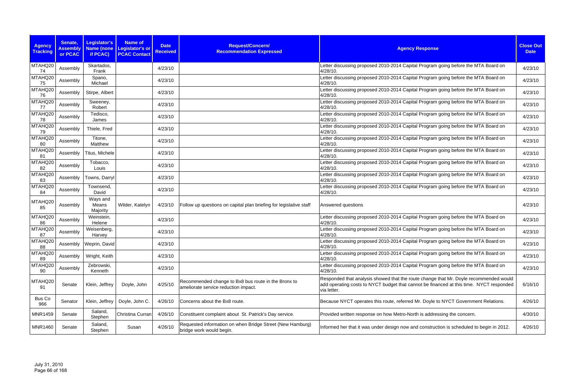| <b>Agency</b><br><b>Tracking</b> | Senate,<br><b>Assembly</b><br>or PCAC | Legislator's<br><b>Name (none</b><br>if PCAC) | <b>Name of</b><br><b>Legislator's or</b><br><b>PCAC Contact</b> | <b>Date</b><br><b>Received</b> | Request/Concern/<br><b>Recommendation Expressed</b>                                         | <b>Agency Response</b>                                                                                                                                                                          | <b>Close Out</b><br><b>Date</b> |
|----------------------------------|---------------------------------------|-----------------------------------------------|-----------------------------------------------------------------|--------------------------------|---------------------------------------------------------------------------------------------|-------------------------------------------------------------------------------------------------------------------------------------------------------------------------------------------------|---------------------------------|
| MTAHQ20<br>74                    | Assembly                              | Skartados,<br>Frank                           |                                                                 | 4/23/10                        |                                                                                             | Letter discussing proposed 2010-2014 Capital Program going before the MTA Board on<br>4/28/10.                                                                                                  | 4/23/10                         |
| MTAHQ20<br>75                    | Assembly                              | Spano,<br>Michael                             |                                                                 | 4/23/10                        |                                                                                             | Letter discussing proposed 2010-2014 Capital Program going before the MTA Board on<br>4/28/10.                                                                                                  | 4/23/10                         |
| MTAHQ20<br>76                    | Assembly                              | Stirpe, Albert                                |                                                                 | 4/23/10                        |                                                                                             | Letter discussing proposed 2010-2014 Capital Program going before the MTA Board on<br>4/28/10.                                                                                                  | 4/23/10                         |
| MTAHQ20<br>77                    | Assembly                              | Sweeney,<br>Robert                            |                                                                 | 4/23/10                        |                                                                                             | Letter discussing proposed 2010-2014 Capital Program going before the MTA Board on<br>4/28/10.                                                                                                  | 4/23/10                         |
| MTAHQ20<br>78                    | Assembly                              | Tedisco,<br>James                             |                                                                 | 4/23/10                        |                                                                                             | Letter discussing proposed 2010-2014 Capital Program going before the MTA Board on<br>4/28/10.                                                                                                  | 4/23/10                         |
| MTAHQ20<br>79                    | Assembly                              | Thiele, Fred                                  |                                                                 | 4/23/10                        |                                                                                             | Letter discussing proposed 2010-2014 Capital Program going before the MTA Board on<br>4/28/10.                                                                                                  | 4/23/10                         |
| MTAHQ20<br>80                    | Assembly                              | Titone,<br>Matthew                            |                                                                 | 4/23/10                        |                                                                                             | Letter discussing proposed 2010-2014 Capital Program going before the MTA Board on<br>4/28/10.                                                                                                  | 4/23/10                         |
| MTAHQ20<br>81                    | Assembly                              | Titus, Michele                                |                                                                 | 4/23/10                        |                                                                                             | Letter discussing proposed 2010-2014 Capital Program going before the MTA Board on<br>4/28/10.                                                                                                  | 4/23/10                         |
| MTAHQ20<br>82                    | Assembly                              | Tobacco,<br>Louis                             |                                                                 | 4/23/10                        |                                                                                             | Letter discussing proposed 2010-2014 Capital Program going before the MTA Board on<br>4/28/10.                                                                                                  | 4/23/10                         |
| MTAHQ20<br>83                    | Assembly                              | Towns, Darryl                                 |                                                                 | 4/23/10                        |                                                                                             | Letter discussing proposed 2010-2014 Capital Program going before the MTA Board on<br>4/28/10.                                                                                                  | 4/23/10                         |
| MTAHQ20<br>84                    | Assembly                              | Townsend,<br>David                            |                                                                 | 4/23/10                        |                                                                                             | Letter discussing proposed 2010-2014 Capital Program going before the MTA Board on<br>4/28/10.                                                                                                  | 4/23/10                         |
| MTAHQ20<br>85                    | Assembly                              | Ways and<br>Means<br>Majority                 | Wilder, Katelyn                                                 | 4/23/10                        | Follow up questions on capital plan briefing for legislative staff                          | Answered questions                                                                                                                                                                              | 4/23/10                         |
| MTAHQ20<br>86                    | Assembly                              | Weinstein,<br>Helene                          |                                                                 | 4/23/10                        |                                                                                             | Letter discussing proposed 2010-2014 Capital Program going before the MTA Board on<br>4/28/10.                                                                                                  | 4/23/10                         |
| MTAHQ20<br>87                    | Assembly                              | Weisenberg,<br>Harvey                         |                                                                 | 4/23/10                        |                                                                                             | Letter discussing proposed 2010-2014 Capital Program going before the MTA Board on<br>4/28/10.                                                                                                  | 4/23/10                         |
| MTAHQ20<br>88                    |                                       | Assembly   Weprin, David                      |                                                                 | 4/23/10                        |                                                                                             | Letter discussing proposed 2010-2014 Capital Program going before the MTA Board on<br>4/28/10.                                                                                                  | 4/23/10                         |
| MTAHQ20<br>89                    | Assembly                              | Wright, Keith                                 |                                                                 | 4/23/10                        |                                                                                             | Letter discussing proposed 2010-2014 Capital Program going before the MTA Board on<br>4/28/10.                                                                                                  | 4/23/10                         |
| MTAHQ20<br>90                    | Assembly                              | Zebrowski,<br>Kenneth                         |                                                                 | 4/23/10                        |                                                                                             | Letter discussing proposed 2010-2014 Capital Program going before the MTA Board on<br>4/28/10.                                                                                                  | 4/23/10                         |
| MTAHQ20<br>91                    | Senate                                | Klein, Jeffrey                                | Doyle, John                                                     | 4/25/10                        | Recommended change to Bx8 bus route in the Bronx to<br>ameliorate service reduction impact. | Responded that analysis showed that the route change that Mr. Doyle recommended would<br>add operating costs to NYCT budget that cannot be financed at this time. NYCT responded<br>via letter. | 6/16/10                         |
| Bus Co<br>966                    | Senator                               | Klein, Jeffrey                                | Doyle, John C.                                                  | 4/26/10                        | Concerns about the Bx8 route.                                                               | Because NYCT operates this route, referred Mr. Doyle to NYCT Government Relations.                                                                                                              | 4/26/10                         |
| <b>MNR1459</b>                   | Senate                                | Saland,<br>Stephen                            | Christina Curran                                                | 4/26/10                        | Constituent complaint about St. Patrick's Day service.                                      | Provided written response on how Metro-North is addressing the concern.                                                                                                                         | 4/30/10                         |
| <b>MNR1460</b>                   | Senate                                | Saland,<br>Stephen                            | Susan                                                           | 4/26/10                        | Requested information on when Bridge Street (New Hamburg)<br>bridge work would begin.       | Informed her that it was under design now and construction is scheduled to begin in 2012.                                                                                                       | 4/26/10                         |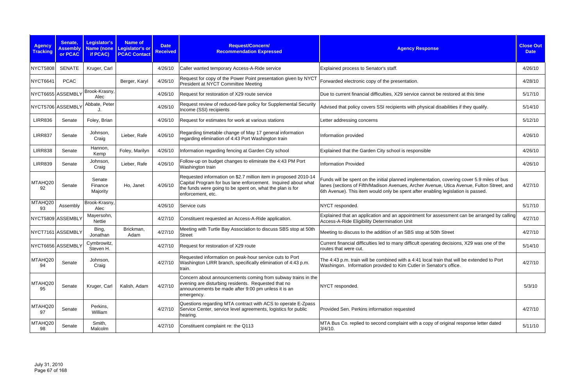| <b>Agency</b><br><b>Tracking</b> | Senate,<br><b>Assembly</b><br>or PCAC | <b>Legislator's</b><br>if PCAC) | <b>Name of</b><br>Name (none Legislator's or<br><b>PCAC Contact</b> | <b>Date</b><br><b>Received</b> | Request/Concern/<br><b>Recommendation Expressed</b>                                                                                                                                                                | <b>Agency Response</b>                                                                                                                                                                                                                                                      | <b>Close Out</b><br><b>Date</b> |
|----------------------------------|---------------------------------------|---------------------------------|---------------------------------------------------------------------|--------------------------------|--------------------------------------------------------------------------------------------------------------------------------------------------------------------------------------------------------------------|-----------------------------------------------------------------------------------------------------------------------------------------------------------------------------------------------------------------------------------------------------------------------------|---------------------------------|
| <b>NYCT5808</b>                  | <b>SENATE</b>                         | Kruger, Carl                    |                                                                     | 4/26/10                        | Caller wanted temporary Access-A-Ride service                                                                                                                                                                      | Explained process to Senator's staff.                                                                                                                                                                                                                                       | 4/26/10                         |
| <b>NYCT6641</b>                  | <b>PCAC</b>                           |                                 | Berger, Karyl                                                       | 4/26/10                        | Request for copy of the Power Point presentation given by NYCT<br>President at NYCT Committee Meeting                                                                                                              | Forwarded electronic copy of the presentation.                                                                                                                                                                                                                              | 4/28/10                         |
|                                  | NYCT6655 ASSEMBLY                     | Brook-Krasny,<br>Alec           |                                                                     | 4/26/10                        | Request for restoration of X29 route service                                                                                                                                                                       | Due to current financial difficulties, X29 service cannot be restored at this time                                                                                                                                                                                          | 5/17/10                         |
|                                  | NYCT5706 ASSEMBLY                     | Abbate, Peter                   |                                                                     | 4/26/10                        | Request review of reduced-fare policy for Supplemental Security<br>Income (SSI) recipients                                                                                                                         | Advised that policy covers SSI recipients with physical disabilities if they qualify.                                                                                                                                                                                       | 5/14/10                         |
| <b>LIRR836</b>                   | Senate                                | Foley, Brian                    |                                                                     | 4/26/10                        | Request for estimates for work at various stations                                                                                                                                                                 | Letter addressing concerns                                                                                                                                                                                                                                                  | 5/12/10                         |
| <b>LIRR837</b>                   | Senate                                | Johnson,<br>Craig               | Lieber, Rafe                                                        | 4/26/10                        | Regarding timetable change of May 17 general information<br>regarding elimination of 4:43 Port Washington train                                                                                                    | Information provided                                                                                                                                                                                                                                                        | 4/26/10                         |
| <b>LIRR838</b>                   | Senate                                | Hannon,<br>Kemp                 | Foley, Marilyn                                                      | 4/26/10                        | Information regarding fencing at Garden City school                                                                                                                                                                | Explained that the Garden City school is responsible                                                                                                                                                                                                                        | 4/26/10                         |
| <b>LIRR839</b>                   | Senate                                | Johnson,<br>Craig               | Lieber, Rafe                                                        | 4/26/10                        | Follow-up on budget changes to eliminate the 4:43 PM Port<br>Washington train                                                                                                                                      | <b>Information Provided</b>                                                                                                                                                                                                                                                 | 4/26/10                         |
| MTAHQ20<br>92                    | Senate                                | Senate<br>Finance<br>Majority   | Ho, Janet                                                           | 4/26/10                        | Requested information on \$2.7 million item in proposed 2010-14<br>Capital Program for bus lane enforcement. Inquired about what<br>the funds were going to be spent on, what the plan is for<br>enforcement, etc. | Funds will be spent on the initial planned implementation, covering cover 5.9 miles of bus<br>Ianes (sections of Fifth/Madison Avenues, Archer Avenue, Utica Avenue, Fulton Street, and<br>6th Avenue). This item would only be spent after enabling legislation is passed. | 4/27/10                         |
| MTAHQ20<br>93                    | Assembly                              | Brook-Krasny,<br>Alec           |                                                                     | 4/26/10                        | Service cuts                                                                                                                                                                                                       | NYCT responded.                                                                                                                                                                                                                                                             | 5/17/10                         |
|                                  | NYCT5809 ASSEMBLY                     | Mayersohn,<br><b>Nettie</b>     |                                                                     | 4/27/10                        | Constituent requested an Access-A-Ride application.                                                                                                                                                                | Explained that an application and an appointment for assessment can be arranged by calling<br>Access-A-Ride Eligibility Determination Unit                                                                                                                                  | 4/27/10                         |
|                                  | NYCT7161 ASSEMBLY                     | Bing,<br>Jonathan               | Brickman,<br>Adam                                                   | 4/27/10                        | Meeting with Turtle Bay Association to discuss SBS stop at 50th<br><b>Street</b>                                                                                                                                   | Meeting to discuss to the addition of an SBS stop at 50th Street                                                                                                                                                                                                            | 4/27/10                         |
|                                  | NYCT6656 ASSEMBLY                     | Cymbrowitz,<br>Steven H.        |                                                                     |                                | 4/27/10   Request for restoration of X29 route                                                                                                                                                                     | Current financial difficulties led to many difficult operating decisions, X29 was one of the<br>routes that were cut.                                                                                                                                                       | 5/14/10                         |
| MTAHQ20<br>94                    | Senate                                | Johnson,<br>Craig               |                                                                     | 4/27/10                        | Requested information on peak-hour service cuts to Port<br>Washington LIRR branch, specifically elimination of 4:43 p.m.<br>train.                                                                                 | The 4:43 p.m. train will be combined with a 4:41 local train that will be extended to Port<br>Washingon. Information provided to Kim Cutler in Senator's office.                                                                                                            | 4/27/10                         |
| MTAHQ20<br>95                    | Senate                                | Kruger, Carl                    | Kalish, Adam                                                        | 4/27/10                        | Concern about announcements coming from subway trains in the<br>evening are disturbing residents. Requested that no<br>announcements be made after 9:00 pm unless it is an<br>emergency.                           | NYCT responded.                                                                                                                                                                                                                                                             | 5/3/10                          |
| MTAHQ20<br>97                    | Senate                                | Perkins,<br>William             |                                                                     | 4/27/10                        | Questions regarding MTA contract with ACS to operate E-Zpass<br>Service Center, service level agreements, logistics for public<br>hearing.                                                                         | Provided Sen. Perkins information requested                                                                                                                                                                                                                                 | 4/27/10                         |
| MTAHQ20<br>98                    | Senate                                | Smith,<br>Malcolm               |                                                                     | 4/27/10                        | Constituent complaint re: the Q113                                                                                                                                                                                 | MTA Bus Co. replied to second complaint with a copy of original response letter dated<br>$3/4/10$ .                                                                                                                                                                         | 5/11/10                         |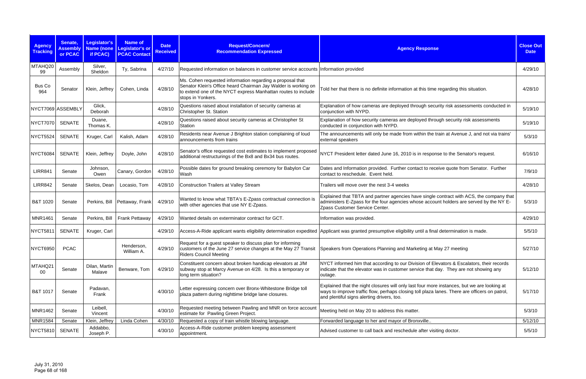| <b>Agency</b><br><b>Tracking</b> | Senate,<br><b>Assembly</b><br>or PCAC | Legislator's<br><b>Name (none</b><br>if PCAC) | <b>Name of</b><br>Legislator's or<br><b>PCAC Contact</b> | <b>Date</b><br><b>Received</b> | Request/Concern/<br><b>Recommendation Expressed</b>                                                                                                                                                               | <b>Agency Response</b>                                                                                                                                                                                                                     | <b>Close Out</b><br><b>Date</b> |
|----------------------------------|---------------------------------------|-----------------------------------------------|----------------------------------------------------------|--------------------------------|-------------------------------------------------------------------------------------------------------------------------------------------------------------------------------------------------------------------|--------------------------------------------------------------------------------------------------------------------------------------------------------------------------------------------------------------------------------------------|---------------------------------|
| MTAHQ20<br>99                    | Assembly                              | Silver,<br>Sheldon                            | Ty, Sabrina                                              | 4/27/10                        | Requested information on balances in customer service accounts                                                                                                                                                    | Information provided                                                                                                                                                                                                                       | 4/29/10                         |
| Bus Co<br>964                    | Senator                               | Klein, Jeffrey                                | Cohen, Linda                                             | 4/28/10                        | Ms. Cohen requested information regarding a proposal that<br>Senator Klein's Office heard Chairman Jay Walder is working on<br>to extend one of the NYCT express Manhattan routes to include<br>stops in Yonkers. | Told her that there is no definite information at this time regarding this situation.                                                                                                                                                      | 4/28/10                         |
| NYCT7069 ASSEMBLY                |                                       | Glick,<br>Deborah                             |                                                          | 4/28/10                        | Questions raised about installation of security cameras at<br>Christopher St. Station                                                                                                                             | Explanation of how cameras are deployed through security risk assessments conducted in<br>conjunction with NYPD.                                                                                                                           | 5/19/10                         |
| <b>NYCT7070</b>                  | <b>SENATE</b>                         | Duane,<br>Thomas K.                           |                                                          | 4/28/10                        | Questions raised about security cameras at Christopher St<br>Station                                                                                                                                              | Explanation of how security cameras are deployed through security risk assessments<br>conducted in conjunction with NYPD.                                                                                                                  | 5/19/10                         |
| NYCT5524                         | <b>SENATE</b>                         | Kruger, Carl                                  | Kalish, Adam                                             | 4/28/10                        | Residents near Avenue J Brighton station complaining of loud<br>announcements from trains                                                                                                                         | The announcements will only be made from within the train at Avenue J, and not via trains'<br>external speakers                                                                                                                            | 5/3/10                          |
| NYCT6084                         | <b>SENATE</b>                         | Klein, Jeffrey                                | Doyle, John                                              | 4/28/10                        | Senator's office requested cost estimates to implement proposed<br>additional restructurings of the Bx8 and Bx34 bus routes.                                                                                      | NYCT President letter dated June 16, 2010 is in response to the Senator's request.                                                                                                                                                         | 6/16/10                         |
| <b>LIRR841</b>                   | Senate                                | Johnson,<br>Owen                              | Canary, Gordon                                           | 4/28/10                        | Possible dates for ground breaking ceremony for Babylon Car<br>Wash                                                                                                                                               | Dates and Information provided. Further contact to receive quote from Senator. Further<br>contact to reschedule. Event held.                                                                                                               | 7/9/10                          |
| <b>LIRR842</b>                   | Senate                                | Skelos, Dean                                  | Locasio, Tom                                             | 4/28/10                        | Construction Trailers at Valley Stream                                                                                                                                                                            | Trailers will move over the nest 3-4 weeks                                                                                                                                                                                                 | 4/28/10                         |
| B&T 1020                         | Senate                                | Perkins, Bill                                 | Pettaway, Frank                                          | 4/29/10                        | Wanted to know what TBTA's E-Zpass contractual connection is<br>with other agencies that use NY E-Zpass.                                                                                                          | Explained that TBTA and partner agencies have single contract with ACS, the company that<br>administers E-Zpass for the four agencies whose account holders are served by the NY E-<br>Zpass Customer Service Center.                      | 5/3/10                          |
| <b>MNR1461</b>                   | Senate                                | Perkins, Bill                                 | <b>Frank Pettaway</b>                                    | 4/29/10                        | Wanted details on exterminator contract for GCT.                                                                                                                                                                  | Information was provided.                                                                                                                                                                                                                  | 4/29/10                         |
| NYCT5811                         | <b>SENATE</b>                         | Kruger, Carl                                  |                                                          | 4/29/10                        |                                                                                                                                                                                                                   | Access-A-Ride applicant wants eligibility determination expedited Applicant was granted presumptive eligibility until a final determination is made.                                                                                       | 5/5/10                          |
| <b>NYCT6950</b>                  | <b>PCAC</b>                           |                                               | Henderson,<br>William A.                                 | 4/29/10                        | Request for a guest speaker to discuss plan for informing<br>customers of the June 27 service changes at the May 27 Transit<br><b>Riders Council Meeting</b>                                                      | Speakers from Operations Planning and Marketing at May 27 meeting                                                                                                                                                                          | 5/27/10                         |
| MTAHQ21<br>00                    | Senate                                | Dilan, Martin<br>Malave                       | Benware, Tom                                             | 4/29/10                        | Constituent concern about broken handicap elevators at J/M<br>subway stop at Marcy Avenue on 4/28. Is this a temporary or<br>long term situation?                                                                 | NYCT informed him that according to our Division of Elevators & Escalators, their records<br>indicate that the elevator was in customer service that day. They are not showing any<br>outage.                                              | 5/12/10                         |
| B&T 1017                         | Senate                                | Padavan,<br>Frank                             |                                                          | 4/30/10                        | Letter expressing concern over Bronx-Whitestone Bridge toll<br>plaza pattern during nighttime bridge lane closures.                                                                                               | Explained that the night closures will only last four more instances, but we are looking at<br>ways to improve traffic flow, perhaps closing toll plaza lanes. There are officers on patrol,<br>and plentiful signs alerting drivers, too. | 5/17/10                         |
| <b>MNR1462</b>                   | Senate                                | Leibell,<br>Vincent                           |                                                          | 4/30/10                        | Requested meeting between Pawling and MNR on force account<br>estimate for Pawling Green Project.                                                                                                                 | Meeting held on May 20 to address this matter.                                                                                                                                                                                             | 5/3/10                          |
| <b>MNR1584</b>                   | Senate                                | Klein, Jeffrey                                | Linda Cohen                                              | 4/30/10                        | Requested a copy of train whistle blowing language.                                                                                                                                                               | Forwarded language to her and mayor of Bronxville                                                                                                                                                                                          | 5/12/10                         |
| NYCT5810                         | SENATE                                | Addabbo,<br>Joseph P.                         |                                                          | 4/30/10                        | Access-A-Ride customer problem keeping assessment<br>appointment.                                                                                                                                                 | Advised customer to call back and reschedule after visiting doctor.                                                                                                                                                                        | 5/5/10                          |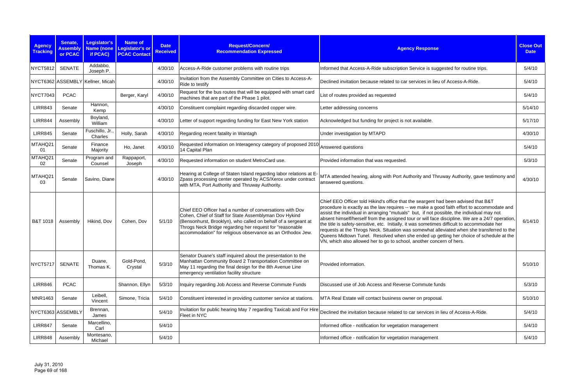| <b>Agency</b><br><b>Tracking</b> | Senate,<br><b>Assembly</b><br>or PCAC | Legislator's<br>if PCAC)         | <b>Name of</b><br>Name (none Legislator's or<br><b>PCAC Contact</b> | <b>Date</b><br><b>Received</b> | Request/Concern/<br><b>Recommendation Expressed</b>                                                                                                                                                                                                                                                             | <b>Agency Response</b>                                                                                                                                                                                                                                                                                                                                                                                                                                                                                                                                                                                                                                                                                                                           | <b>Close Out</b><br><b>Date</b> |
|----------------------------------|---------------------------------------|----------------------------------|---------------------------------------------------------------------|--------------------------------|-----------------------------------------------------------------------------------------------------------------------------------------------------------------------------------------------------------------------------------------------------------------------------------------------------------------|--------------------------------------------------------------------------------------------------------------------------------------------------------------------------------------------------------------------------------------------------------------------------------------------------------------------------------------------------------------------------------------------------------------------------------------------------------------------------------------------------------------------------------------------------------------------------------------------------------------------------------------------------------------------------------------------------------------------------------------------------|---------------------------------|
| <b>NYCT5812</b>                  | <b>SENATE</b>                         | Addabbo,<br>Joseph P.            |                                                                     | 4/30/10                        | Access-A-Ride customer problems with routine trips                                                                                                                                                                                                                                                              | Informed that Access-A-Ride subscription Service is suggested for routine trips.                                                                                                                                                                                                                                                                                                                                                                                                                                                                                                                                                                                                                                                                 | 5/4/10                          |
|                                  |                                       | NYCT6362 ASSEMBLY Kellner, Micah |                                                                     | 4/30/10                        | Invitation from the Assembly Committee on Cities to Access-A-<br>Ride to testify                                                                                                                                                                                                                                | Declined invitation because related to car services in lieu of Access-A-Ride.                                                                                                                                                                                                                                                                                                                                                                                                                                                                                                                                                                                                                                                                    | 5/4/10                          |
| <b>NYCT7043</b>                  | <b>PCAC</b>                           |                                  | Berger, Karyl                                                       | 4/30/10                        | Request for the bus routes that will be equipped with smart card<br>machines that are part of the Phase 1 pilot.                                                                                                                                                                                                | List of routes provided as requested                                                                                                                                                                                                                                                                                                                                                                                                                                                                                                                                                                                                                                                                                                             | 5/4/10                          |
| <b>LIRR843</b>                   | Senate                                | Hannon,<br>Kemp                  |                                                                     | 4/30/10                        | Constituent complaint regarding discarded copper wire.                                                                                                                                                                                                                                                          | Letter addressing concerns                                                                                                                                                                                                                                                                                                                                                                                                                                                                                                                                                                                                                                                                                                                       | 5/14/10                         |
| <b>LIRR844</b>                   | Assembly                              | Boyland,<br>William              |                                                                     | 4/30/10                        | Letter of support regarding funding for East New York station                                                                                                                                                                                                                                                   | Acknowledged but funding for project is not available.                                                                                                                                                                                                                                                                                                                                                                                                                                                                                                                                                                                                                                                                                           | 5/17/10                         |
| <b>LIRR845</b>                   | Senate                                | Fuschillo, Jr.,<br>Charles       | Holly, Sarah                                                        | 4/30/10                        | Regarding recent fatality in Wantagh                                                                                                                                                                                                                                                                            | Under investigation by MTAPD                                                                                                                                                                                                                                                                                                                                                                                                                                                                                                                                                                                                                                                                                                                     | 4/30/10                         |
| MTAHQ21<br>01                    | Senate                                | Finance<br>Majority              | Ho, Janet                                                           | 4/30/10                        | Requested information on Interagency category of proposed 2010<br>14 Capital Plan                                                                                                                                                                                                                               | Answered questions                                                                                                                                                                                                                                                                                                                                                                                                                                                                                                                                                                                                                                                                                                                               | 5/4/10                          |
| MTAHQ21<br>02                    | Senate                                | Program and<br>Counsel           | Rappaport,<br>Joseph                                                | 4/30/10                        | Requested information on student MetroCard use.                                                                                                                                                                                                                                                                 | Provided information that was requested.                                                                                                                                                                                                                                                                                                                                                                                                                                                                                                                                                                                                                                                                                                         | 5/3/10                          |
| MTAHQ21<br>03                    | Senate                                | Savino, Diane                    |                                                                     | 4/30/10                        | Hearing at College of Staten Island regarding labor relations at E-<br>Zpass processing center operated by ACS/Xerox under contract<br>with MTA, Port Authority and Thruway Authority.                                                                                                                          | MTA attended hearing, along with Port Authority and Thruway Authority, gave testimony and<br>answered questions.                                                                                                                                                                                                                                                                                                                                                                                                                                                                                                                                                                                                                                 | 4/30/10                         |
| <b>B&amp;T 1018</b>              | Assembly                              | Hikind, Dov                      | Cohen, Dov                                                          | 5/1/10                         | Chief EEO Officer had a number of conversations with Dov<br>Cohen, Chief of Staff for State Assemblyman Dov Hykind<br>(Bensonhurst, Brooklyn), who called on behalf of a sergeant at<br>Throgs Neck Bridge regarding her request for "reasonable<br>accommodation" for religious observance as an Orthodox Jew. | Chief EEO Officer told Hikind's office that the seargent had been advised that B&T<br>procedure is exactly as the law requires -- we make a good faith effort to accommodate and<br>assist the individual in arranging "mutuals" but, if not possible, the individual may not<br>absent himself/herself from the assigned tour or will face discipline. We are a 24/7 operation,<br>the title is safety-sensitive, etc. Initially, it was sometimes difficult to accommodate her<br>requests at the Throgs Neck. Situation was somewhat alleviated when she transferred to the<br>Queens Midtown Tunel. Resolved when she ended up getting her choice of schedule at the<br>VN, which also allowed her to go to school, another concern of hers. | 6/14/10                         |
| <b>NYCT5717</b>                  | <b>SENATE</b>                         | Duane,<br>Thomas K.              | Gold-Pond,<br>Crystal                                               | 5/3/10                         | Senator Duane's staff inquired about the presentation to the<br>Manhattan Community Board 2 Transportation Committee on<br>May 11 regarding the final design for the 8th Avenue Line<br>emergency ventilation facility structure                                                                                | Provided information.                                                                                                                                                                                                                                                                                                                                                                                                                                                                                                                                                                                                                                                                                                                            | 5/10/10                         |
| <b>LIRR846</b>                   | <b>PCAC</b>                           |                                  | Shannon, Ellyn                                                      | 5/3/10                         | Inquiry regarding Job Access and Reverse Commute Funds                                                                                                                                                                                                                                                          | Discussed use of Job Access and Reverse Commute funds                                                                                                                                                                                                                                                                                                                                                                                                                                                                                                                                                                                                                                                                                            | 5/3/10                          |
| <b>MNR1463</b>                   | Senate                                | Leibell,<br>Vincent              | Simone, Tricia                                                      | 5/4/10                         | Constituent interested in providing customer service at stations.                                                                                                                                                                                                                                               | MTA Real Estate will contact business owner on proposal.                                                                                                                                                                                                                                                                                                                                                                                                                                                                                                                                                                                                                                                                                         | 5/10/10                         |
|                                  | NYCT6363 ASSEMBLY                     | Brennan,<br>James                |                                                                     | 5/4/10                         | Invitation for public hearing May 7 regarding Taxicab and For Hire<br>Fleet in NYC                                                                                                                                                                                                                              | Declined the invitation because related to car services in lieu of Access-A-Ride.                                                                                                                                                                                                                                                                                                                                                                                                                                                                                                                                                                                                                                                                | 5/4/10                          |
| <b>LIRR847</b>                   | Senate                                | Marcellino,<br>Carl              |                                                                     | 5/4/10                         |                                                                                                                                                                                                                                                                                                                 | Informed office - notification for vegetation management                                                                                                                                                                                                                                                                                                                                                                                                                                                                                                                                                                                                                                                                                         | 5/4/10                          |
| <b>LIRR848</b>                   | Assembly                              | Montesano,<br>Michael            |                                                                     | 5/4/10                         |                                                                                                                                                                                                                                                                                                                 | Informed office - notification for vegetation management                                                                                                                                                                                                                                                                                                                                                                                                                                                                                                                                                                                                                                                                                         | 5/4/10                          |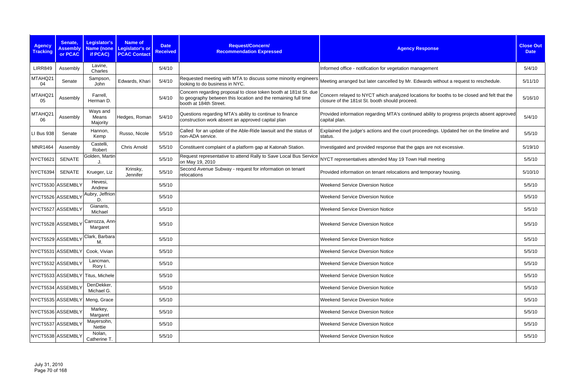| <b>Agency</b><br><b>Tracking</b> | Senate,<br><b>Assembly</b><br>or PCAC | Legislator's<br>if PCAC)         | <b>Name of</b><br>Name (none Legislator's or<br><b>PCAC Contact</b> | <b>Date</b><br><b>Received</b> | Request/Concern/<br><b>Recommendation Expressed</b>                                                                                                          | <b>Agency Response</b>                                                                                                                       | <b>Close Out</b><br><b>Date</b> |
|----------------------------------|---------------------------------------|----------------------------------|---------------------------------------------------------------------|--------------------------------|--------------------------------------------------------------------------------------------------------------------------------------------------------------|----------------------------------------------------------------------------------------------------------------------------------------------|---------------------------------|
| <b>LIRR849</b>                   | Assembly                              | Lavine,<br>Charles               |                                                                     | 5/4/10                         |                                                                                                                                                              | Informed office - notification for vegetation management                                                                                     | 5/4/10                          |
| MTAHQ21<br>04                    | Senate                                | Sampson<br>John                  | Edwards, Khari                                                      | 5/4/10                         | Requested meeting with MTA to discuss some minority engineers<br>looking to do business in NYC.                                                              | Meeting arranged but later cancelled by Mr. Edwards without a request to reschedule.                                                         | 5/11/10                         |
| MTAHQ21<br>05                    | Assembly                              | Farrell,<br>Herman D.            |                                                                     | 5/4/10                         | Concern regarding proposal to close token booth at 181st St. due<br>to geography between this location and the remaining full time<br>booth at 184th Street. | Concern relayed to NYCT which analyzed locations for booths to be closed and felt that the<br>closure of the 181st St. booth should proceed. | 5/16/10                         |
| MTAHQ21<br>06                    | Assembly                              | Ways and<br>Means<br>Majority    | Hedges, Roman                                                       | 5/4/10                         | Questions regarding MTA's ability to continue to finance<br>construction work absent an approved capital plan                                                | Provided information regarding MTA's continued ability to progress projects absent approved<br>capital plan.                                 | 5/4/10                          |
| LI Bus 938                       | Senate                                | Hannon,<br>Kemp                  | Russo, Nicole                                                       | 5/5/10                         | Called for an update of the Able-Ride lawsuit and the status of<br>non-ADA service.                                                                          | Explained the judge's actions and the court proceedings. Updated her on the timeline and<br>status.                                          | 5/5/10                          |
| <b>MNR1464</b>                   | Assembly                              | Castelli,<br>Robert              | Chris Arnold                                                        | 5/5/10                         | Constituent complaint of a platform gap at Katonah Station.                                                                                                  | Investigated and provided response that the gaps are not excessive.                                                                          | 5/19/10                         |
| <b>NYCT6621</b>                  | <b>SENATE</b>                         | Golden, Martin                   |                                                                     | 5/5/10                         | Request representative to attend Rally to Save Local Bus Service<br>on May 19, 2010                                                                          | NYCT representatives attended May 19 Town Hall meeting                                                                                       | 5/5/10                          |
| <b>NYCT6394</b>                  | <b>SENATE</b>                         | Krueger, Liz                     | Krinsky,<br>Jennifer                                                | 5/5/10                         | Second Avenue Subway - request for information on tenant<br>relocations                                                                                      | Provided information on tenant relocations and temporary housing.                                                                            | 5/10/10                         |
|                                  | NYCT5530 ASSEMBLY                     | Hevesi,<br>Andrew                |                                                                     | 5/5/10                         |                                                                                                                                                              | <b>Weekend Service Diversion Notice</b>                                                                                                      | 5/5/10                          |
|                                  | NYCT5526 ASSEMBLY                     | Aubry, Jeffrion<br>D.            |                                                                     | 5/5/10                         |                                                                                                                                                              | <b>Weekend Service Diversion Notice</b>                                                                                                      | 5/5/10                          |
|                                  | NYCT5527 ASSEMBLY                     | Gianaris,<br>Michael             |                                                                     | 5/5/10                         |                                                                                                                                                              | <b>Weekend Service Diversion Notice</b>                                                                                                      | 5/5/10                          |
|                                  | NYCT5528 ASSEMBLY                     | Carrozza, Ann-<br>Margaret       |                                                                     | 5/5/10                         |                                                                                                                                                              | <b>Weekend Service Diversion Notice</b>                                                                                                      | 5/5/10                          |
|                                  | NYCT5529 ASSEMBLY                     | Clark, Barbara<br>М.             |                                                                     | 5/5/10                         |                                                                                                                                                              | <b>Weekend Service Diversion Notice</b>                                                                                                      | 5/5/10                          |
|                                  |                                       | NYCT5531 ASSEMBLY Cook, Vivian   |                                                                     | 5/5/10                         |                                                                                                                                                              | <b>Weekend Service Diversion Notice</b>                                                                                                      | 5/5/10                          |
|                                  | NYCT5532 ASSEMBLY                     | Lancman,<br>Rory I.              |                                                                     | 5/5/10                         |                                                                                                                                                              | <b>Weekend Service Diversion Notice</b>                                                                                                      | 5/5/10                          |
|                                  |                                       | NYCT5533 ASSEMBLY Titus, Michele |                                                                     | 5/5/10                         |                                                                                                                                                              | <b>Weekend Service Diversion Notice</b>                                                                                                      | 5/5/10                          |
|                                  | NYCT5534 ASSEMBLY                     | DenDekker,<br>Michael G.         |                                                                     | 5/5/10                         |                                                                                                                                                              | <b>Weekend Service Diversion Notice</b>                                                                                                      | 5/5/10                          |
|                                  | NYCT5535 ASSEMBLY                     | Meng, Grace                      |                                                                     | 5/5/10                         |                                                                                                                                                              | <b>Weekend Service Diversion Notice</b>                                                                                                      | 5/5/10                          |
|                                  | NYCT5536 ASSEMBLY                     | Markey,<br>Margaret              |                                                                     | 5/5/10                         |                                                                                                                                                              | <b>Weekend Service Diversion Notice</b>                                                                                                      | 5/5/10                          |
|                                  | NYCT5537 ASSEMBLY                     | Mayersohn,<br>Nettie             |                                                                     | 5/5/10                         |                                                                                                                                                              | <b>Weekend Service Diversion Notice</b>                                                                                                      | 5/5/10                          |
|                                  | NYCT5538 ASSEMBLY                     | Nolan,<br>Catherine T.           |                                                                     | 5/5/10                         |                                                                                                                                                              | <b>Weekend Service Diversion Notice</b>                                                                                                      | 5/5/10                          |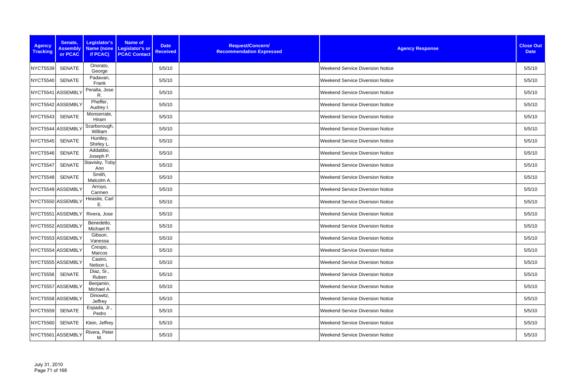| <b>Agency</b><br><b>Tracking</b> | Senate,<br><b>Assembly</b><br>or PCAC | Legislator's<br><b>Name (none</b><br>if PCAC) | Name of<br><b>Legislator's or</b><br><b>PCAC Contact</b> | <b>Date</b><br><b>Received</b> | Request/Concern/<br><b>Recommendation Expressed</b> | <b>Agency Response</b>                  | <b>Close Out</b><br><b>Date</b> |
|----------------------------------|---------------------------------------|-----------------------------------------------|----------------------------------------------------------|--------------------------------|-----------------------------------------------------|-----------------------------------------|---------------------------------|
| NYCT5539                         | <b>SENATE</b>                         | Onorato,<br>George                            |                                                          | 5/5/10                         |                                                     | <b>Weekend Service Diversion Notice</b> | 5/5/10                          |
| NYCT5540                         | <b>SENATE</b>                         | Padavan,<br>Frank                             |                                                          | 5/5/10                         |                                                     | <b>Weekend Service Diversion Notice</b> | 5/5/10                          |
| NYCT5541 ASSEMBLY                |                                       | Peralta, Jose<br>R.                           |                                                          | 5/5/10                         |                                                     | <b>Weekend Service Diversion Notice</b> | 5/5/10                          |
| NYCT5542 ASSEMBLY                |                                       | Pheffer,<br>Audrey I.                         |                                                          | 5/5/10                         |                                                     | <b>Weekend Service Diversion Notice</b> | 5/5/10                          |
| NYCT5543                         | <b>SENATE</b>                         | Monserrate,<br>Hiram                          |                                                          | 5/5/10                         |                                                     | <b>Weekend Service Diversion Notice</b> | 5/5/10                          |
| NYCT5544 ASSEMBLY                |                                       | Scarborough,<br>William                       |                                                          | 5/5/10                         |                                                     | <b>Weekend Service Diversion Notice</b> | 5/5/10                          |
| NYCT5545                         | SENATE                                | Huntley,<br>Shirley L.                        |                                                          | 5/5/10                         |                                                     | <b>Weekend Service Diversion Notice</b> | 5/5/10                          |
| NYCT5546                         | <b>SENATE</b>                         | Addabbo,<br>Joseph P.                         |                                                          | 5/5/10                         |                                                     | <b>Weekend Service Diversion Notice</b> | 5/5/10                          |
| NYCT5547                         | <b>SENATE</b>                         | Stavisky, Toby<br>Ann                         |                                                          | 5/5/10                         |                                                     | <b>Weekend Service Diversion Notice</b> | 5/5/10                          |
| NYCT5548                         | <b>SENATE</b>                         | Smith,<br>Malcolm A.                          |                                                          | 5/5/10                         |                                                     | <b>Weekend Service Diversion Notice</b> | 5/5/10                          |
| NYCT5549 ASSEMBLY                |                                       | Arroyo,<br>Carmen                             |                                                          | 5/5/10                         |                                                     | <b>Weekend Service Diversion Notice</b> | 5/5/10                          |
| NYCT5550 ASSEMBLY                |                                       | Heastie, Carl<br>Ε.                           |                                                          | 5/5/10                         |                                                     | Weekend Service Diversion Notice        | 5/5/10                          |
|                                  | NYCT5551 ASSEMBLY                     | Rivera, Jose                                  |                                                          | 5/5/10                         |                                                     | <b>Weekend Service Diversion Notice</b> | 5/5/10                          |
| NYCT5552 ASSEMBLY                |                                       | Benedetto,<br>Michael R.                      |                                                          | 5/5/10                         |                                                     | <b>Weekend Service Diversion Notice</b> | 5/5/10                          |
| NYCT5553 ASSEMBLY                |                                       | Gibson,<br>Vanessa                            |                                                          | 5/5/10                         |                                                     | <b>Weekend Service Diversion Notice</b> | 5/5/10                          |
|                                  | NYCT5554 ASSEMBLY                     | Crespo,<br>Marcos                             |                                                          | 5/5/10                         |                                                     | <b>Weekend Service Diversion Notice</b> | 5/5/10                          |
| NYCT5555 ASSEMBLY                |                                       | Castro,<br>Nelson L.                          |                                                          | 5/5/10                         |                                                     | <b>Weekend Service Diversion Notice</b> | 5/5/10                          |
| <b>NYCT5556</b>                  | <b>SENATE</b>                         | Diaz, Sr.,<br>Ruben                           |                                                          | 5/5/10                         |                                                     | <b>Weekend Service Diversion Notice</b> | 5/5/10                          |
| NYCT5557 ASSEMBLY                |                                       | Benjamin,<br>Michael A.                       |                                                          | 5/5/10                         |                                                     | <b>Weekend Service Diversion Notice</b> | 5/5/10                          |
|                                  | NYCT5558 ASSEMBLY                     | Dinowitz,<br>Jeffrey                          |                                                          | 5/5/10                         |                                                     | <b>Weekend Service Diversion Notice</b> | 5/5/10                          |
| <b>NYCT5559</b>                  | <b>SENATE</b>                         | Espada, Jr.,<br>Pedro                         |                                                          | 5/5/10                         |                                                     | <b>Weekend Service Diversion Notice</b> | 5/5/10                          |
| <b>NYCT5560</b>                  | SENATE                                | Klein, Jeffrey                                |                                                          | 5/5/10                         |                                                     | <b>Weekend Service Diversion Notice</b> | 5/5/10                          |
| NYCT5561 ASSEMBLY                |                                       | Rivera, Peter<br>M.                           |                                                          | 5/5/10                         |                                                     | <b>Weekend Service Diversion Notice</b> | 5/5/10                          |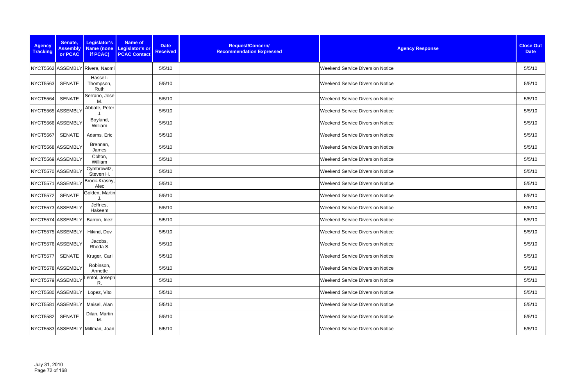| <b>Agency</b><br><b>Tracking</b> | Senate,<br><b>Assembly</b><br>or PCAC | Legislator's<br>Name (none<br>if PCAC) | Name of<br>Legislator's or<br><b>PCAC Contact</b> | <b>Date</b><br><b>Received</b> | Request/Concern/<br><b>Recommendation Expressed</b> | <b>Agency Response</b>                  | <b>Close Out</b><br><b>Date</b> |
|----------------------------------|---------------------------------------|----------------------------------------|---------------------------------------------------|--------------------------------|-----------------------------------------------------|-----------------------------------------|---------------------------------|
|                                  |                                       | NYCT5562 ASSEMBLY Rivera, Naomi        |                                                   | 5/5/10                         |                                                     | <b>Weekend Service Diversion Notice</b> | 5/5/10                          |
| <b>NYCT5563</b>                  | <b>SENATE</b>                         | Hassell-<br>Thompson,<br>Ruth          |                                                   | 5/5/10                         |                                                     | <b>Weekend Service Diversion Notice</b> | 5/5/10                          |
| NYCT5564                         | <b>SENATE</b>                         | Serrano, Jose<br>M.                    |                                                   | 5/5/10                         |                                                     | <b>Weekend Service Diversion Notice</b> | 5/5/10                          |
|                                  | NYCT5565 ASSEMBLY                     | Abbate, Peter                          |                                                   | 5/5/10                         |                                                     | <b>Weekend Service Diversion Notice</b> | 5/5/10                          |
| NYCT5566 ASSEMBLY                |                                       | Boyland,<br>William                    |                                                   | 5/5/10                         |                                                     | <b>Weekend Service Diversion Notice</b> | 5/5/10                          |
| NYCT5567                         | <b>SENATE</b>                         | Adams, Eric                            |                                                   | 5/5/10                         |                                                     | <b>Weekend Service Diversion Notice</b> | 5/5/10                          |
|                                  | NYCT5568 ASSEMBLY                     | Brennan,<br>James                      |                                                   | 5/5/10                         |                                                     | <b>Weekend Service Diversion Notice</b> | 5/5/10                          |
|                                  | NYCT5569 ASSEMBLY                     | Colton,<br>William                     |                                                   | 5/5/10                         |                                                     | <b>Weekend Service Diversion Notice</b> | 5/5/10                          |
|                                  | NYCT5570 ASSEMBLY                     | Cymbrowitz,<br>Steven H.               |                                                   | 5/5/10                         |                                                     | <b>Weekend Service Diversion Notice</b> | 5/5/10                          |
| NYCT5571 ASSEMBLY                |                                       | Brook-Krasny,<br>Alec                  |                                                   | 5/5/10                         |                                                     | <b>Weekend Service Diversion Notice</b> | 5/5/10                          |
| <b>NYCT5572</b>                  | <b>SENATE</b>                         | Golden, Martin                         |                                                   | 5/5/10                         |                                                     | <b>Weekend Service Diversion Notice</b> | 5/5/10                          |
|                                  | NYCT5573 ASSEMBLY                     | Jeffries,<br>Hakeem                    |                                                   | 5/5/10                         |                                                     | <b>Weekend Service Diversion Notice</b> | 5/5/10                          |
|                                  | NYCT5574 ASSEMBLY                     | Barron, Inez                           |                                                   | 5/5/10                         |                                                     | <b>Weekend Service Diversion Notice</b> | 5/5/10                          |
|                                  | NYCT5575 ASSEMBLY                     | Hikind, Dov                            |                                                   | 5/5/10                         |                                                     | <b>Weekend Service Diversion Notice</b> | 5/5/10                          |
|                                  | NYCT5576 ASSEMBLY                     | Jacobs,<br>Rhoda S.                    |                                                   | 5/5/10                         |                                                     | <b>Weekend Service Diversion Notice</b> | 5/5/10                          |
| NYCT5577                         | SENATE                                | Kruger, Carl                           |                                                   | 5/5/10                         |                                                     | <b>Weekend Service Diversion Notice</b> | 5/5/10                          |
|                                  | NYCT5578 ASSEMBLY                     | Robinson,<br>Annette                   |                                                   | 5/5/10                         |                                                     | <b>Weekend Service Diversion Notice</b> | 5/5/10                          |
|                                  | NYCT5579 ASSEMBLY                     | Lentol, Joseph<br>R.                   |                                                   | 5/5/10                         |                                                     | <b>Weekend Service Diversion Notice</b> | 5/5/10                          |
|                                  | NYCT5580 ASSEMBLY                     | Lopez, Vito                            |                                                   | 5/5/10                         |                                                     | <b>Weekend Service Diversion Notice</b> | 5/5/10                          |
|                                  | NYCT5581 ASSEMBLY                     | Maisel, Alan                           |                                                   | 5/5/10                         |                                                     | <b>Weekend Service Diversion Notice</b> | 5/5/10                          |
| <b>NYCT5582</b>                  | <b>SENATE</b>                         | Dilan, Martin<br>M.                    |                                                   | 5/5/10                         |                                                     | <b>Weekend Service Diversion Notice</b> | 5/5/10                          |
|                                  |                                       | NYCT5583 ASSEMBLY Millman, Joan        |                                                   | 5/5/10                         |                                                     | <b>Weekend Service Diversion Notice</b> | 5/5/10                          |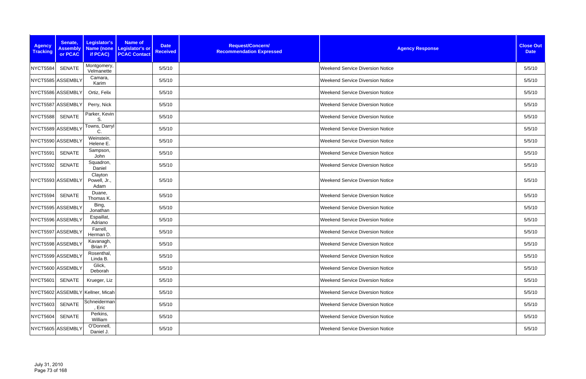| <b>Agency</b><br><b>Tracking</b> | Senate,<br><b>Assembly</b><br>or PCAC | Legislator's<br>Name (none<br>if PCAC) | Name of<br>Legislator's or<br><b>PCAC Contact</b> | <b>Date</b><br><b>Received</b> | Request/Concern/<br><b>Recommendation Expressed</b> | <b>Agency Response</b>                  | <b>Close Out</b><br><b>Date</b> |
|----------------------------------|---------------------------------------|----------------------------------------|---------------------------------------------------|--------------------------------|-----------------------------------------------------|-----------------------------------------|---------------------------------|
| NYCT5584                         | <b>SENATE</b>                         | Montgomery,<br>Velmanette              |                                                   | 5/5/10                         |                                                     | <b>Weekend Service Diversion Notice</b> | 5/5/10                          |
| NYCT5585 ASSEMBLY                |                                       | Camara,<br>Karim                       |                                                   | 5/5/10                         |                                                     | <b>Weekend Service Diversion Notice</b> | 5/5/10                          |
| NYCT5586 ASSEMBLY                |                                       | Ortiz, Felix                           |                                                   | 5/5/10                         |                                                     | <b>Weekend Service Diversion Notice</b> | 5/5/10                          |
| NYCT5587 ASSEMBLY                |                                       | Perry, Nick                            |                                                   | 5/5/10                         |                                                     | <b>Weekend Service Diversion Notice</b> | 5/5/10                          |
| <b>NYCT5588</b>                  | <b>SENATE</b>                         | Parker, Kevin<br>S.                    |                                                   | 5/5/10                         |                                                     | <b>Weekend Service Diversion Notice</b> | 5/5/10                          |
| NYCT5589 ASSEMBLY                |                                       | Towns, Darryl<br>C.                    |                                                   | 5/5/10                         |                                                     | <b>Weekend Service Diversion Notice</b> | 5/5/10                          |
| NYCT5590 ASSEMBLY                |                                       | Weinstein,<br>Helene E.                |                                                   | 5/5/10                         |                                                     | <b>Weekend Service Diversion Notice</b> | 5/5/10                          |
| NYCT5591                         | <b>SENATE</b>                         | Sampson,<br>John                       |                                                   | 5/5/10                         |                                                     | <b>Weekend Service Diversion Notice</b> | 5/5/10                          |
| NYCT5592                         | <b>SENATE</b>                         | Squadron,<br>Daniel                    |                                                   | 5/5/10                         |                                                     | <b>Weekend Service Diversion Notice</b> | 5/5/10                          |
| NYCT5593 ASSEMBLY                |                                       | Clayton<br>Powell, Jr.,<br>Adam        |                                                   | 5/5/10                         |                                                     | <b>Weekend Service Diversion Notice</b> | 5/5/10                          |
| NYCT5594                         | <b>SENATE</b>                         | Duane,<br>Thomas K.                    |                                                   | 5/5/10                         |                                                     | <b>Weekend Service Diversion Notice</b> | 5/5/10                          |
| NYCT5595 ASSEMBLY                |                                       | Bing,<br>Jonathan                      |                                                   | 5/5/10                         |                                                     | <b>Weekend Service Diversion Notice</b> | 5/5/10                          |
| NYCT5596 ASSEMBLY                |                                       | Espaillat,<br>Adriano                  |                                                   | 5/5/10                         |                                                     | <b>Weekend Service Diversion Notice</b> | 5/5/10                          |
| NYCT5597 ASSEMBLY                |                                       | Farrell,<br>Herman D.                  |                                                   | 5/5/10                         |                                                     | <b>Weekend Service Diversion Notice</b> | 5/5/10                          |
| NYCT5598 ASSEMBLY                |                                       | Kavanagh,<br>Brian P.                  |                                                   | 5/5/10                         |                                                     | <b>Weekend Service Diversion Notice</b> | 5/5/10                          |
| NYCT5599 ASSEMBLY                |                                       | Rosenthal,<br>Linda B.                 |                                                   | 5/5/10                         |                                                     | <b>Weekend Service Diversion Notice</b> | 5/5/10                          |
| NYCT5600 ASSEMBLY                |                                       | Glick,<br>Deborah                      |                                                   | 5/5/10                         |                                                     | <b>Weekend Service Diversion Notice</b> | 5/5/10                          |
| NYCT5601                         | SENATE                                | Krueger, Liz                           |                                                   | 5/5/10                         |                                                     | <b>Weekend Service Diversion Notice</b> | 5/5/10                          |
|                                  |                                       | NYCT5602 ASSEMBLY Kellner, Micah       |                                                   | 5/5/10                         |                                                     | <b>Weekend Service Diversion Notice</b> | 5/5/10                          |
| <b>NYCT5603</b>                  | <b>SENATE</b>                         | Schneiderman<br>, Eric                 |                                                   | 5/5/10                         |                                                     | <b>Weekend Service Diversion Notice</b> | 5/5/10                          |
| NYCT5604                         | SENATE                                | Perkins,<br>William                    |                                                   | 5/5/10                         |                                                     | <b>Weekend Service Diversion Notice</b> | 5/5/10                          |
| NYCT5605 ASSEMBLY                |                                       | O'Donnell,<br>Daniel J.                |                                                   | 5/5/10                         |                                                     | <b>Weekend Service Diversion Notice</b> | 5/5/10                          |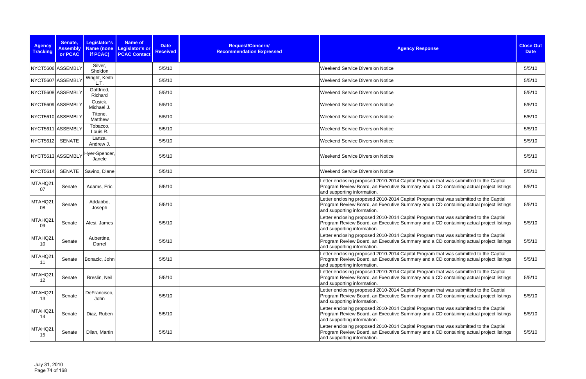| <b>Agency</b><br><b>Tracking</b> | Senate,<br><b>Assembly</b><br>or PCAC | Legislator's<br><b>Name (none</b><br>if PCAC) | Name of<br><b>Legislator's or</b><br><b>PCAC Contact</b> | <b>Date</b><br><b>Received</b> | Request/Concern/<br><b>Recommendation Expressed</b> | <b>Agency Response</b>                                                                                                                                                                                         | <b>Close Out</b><br><b>Date</b> |
|----------------------------------|---------------------------------------|-----------------------------------------------|----------------------------------------------------------|--------------------------------|-----------------------------------------------------|----------------------------------------------------------------------------------------------------------------------------------------------------------------------------------------------------------------|---------------------------------|
|                                  | NYCT5606 ASSEMBLY                     | Silver,<br>Sheldon                            |                                                          | 5/5/10                         |                                                     | <b>Weekend Service Diversion Notice</b>                                                                                                                                                                        | 5/5/10                          |
|                                  | NYCT5607 ASSEMBLY                     | Wright, Keith<br>L.T.                         |                                                          | 5/5/10                         |                                                     | <b>Weekend Service Diversion Notice</b>                                                                                                                                                                        | 5/5/10                          |
|                                  | NYCT5608 ASSEMBLY                     | Gottfried,<br>Richard                         |                                                          | 5/5/10                         |                                                     | <b>Weekend Service Diversion Notice</b>                                                                                                                                                                        | 5/5/10                          |
|                                  | NYCT5609 ASSEMBLY                     | Cusick,<br>Michael J.                         |                                                          | 5/5/10                         |                                                     | <b>Weekend Service Diversion Notice</b>                                                                                                                                                                        | 5/5/10                          |
|                                  | NYCT5610 ASSEMBLY                     | Titone,<br>Matthew                            |                                                          | 5/5/10                         |                                                     | <b>Weekend Service Diversion Notice</b>                                                                                                                                                                        | 5/5/10                          |
|                                  | NYCT5611 ASSEMBLY                     | Tobacco,<br>Louis R.                          |                                                          | 5/5/10                         |                                                     | <b>Weekend Service Diversion Notice</b>                                                                                                                                                                        | 5/5/10                          |
| <b>NYCT5612</b>                  | <b>SENATE</b>                         | Lanza,<br>Andrew J.                           |                                                          | 5/5/10                         |                                                     | <b>Weekend Service Diversion Notice</b>                                                                                                                                                                        | 5/5/10                          |
|                                  |                                       | INYCT5613 ASSEMBLY Hyer-Spencer,<br>Janele    |                                                          | 5/5/10                         |                                                     | <b>Weekend Service Diversion Notice</b>                                                                                                                                                                        | 5/5/10                          |
| NYCT5614                         | <b>SENATE</b>                         | Savino, Diane                                 |                                                          | 5/5/10                         |                                                     | <b>Weekend Service Diversion Notice</b>                                                                                                                                                                        | 5/5/10                          |
| MTAHQ21<br>07                    | Senate                                | Adams, Eric                                   |                                                          | 5/5/10                         |                                                     | Letter enclosing proposed 2010-2014 Capital Program that was submitted to the Captial<br>Program Review Board, an Executive Summary and a CD containing actual project listings<br>and supporting information. | 5/5/10                          |
| MTAHQ21<br>08                    | Senate                                | Addabbo,<br>Joseph                            |                                                          | 5/5/10                         |                                                     | Letter enclosing proposed 2010-2014 Capital Program that was submitted to the Captial<br>Program Review Board, an Executive Summary and a CD containing actual project listings<br>and supporting information. | 5/5/10                          |
| MTAHQ21<br>09                    | Senate                                | Alesi, James                                  |                                                          | 5/5/10                         |                                                     | Letter enclosing proposed 2010-2014 Capital Program that was submitted to the Captial<br>Program Review Board, an Executive Summary and a CD containing actual project listings<br>and supporting information. | 5/5/10                          |
| MTAHQ21<br>10                    | Senate                                | Aubertine,<br>Darrel                          |                                                          | 5/5/10                         |                                                     | Letter enclosing proposed 2010-2014 Capital Program that was submitted to the Captial<br>Program Review Board, an Executive Summary and a CD containing actual project listings<br>and supporting information. | 5/5/10                          |
| MTAHQ21<br>11                    | Senate                                | Bonacic, John                                 |                                                          | 5/5/10                         |                                                     | Letter enclosing proposed 2010-2014 Capital Program that was submitted to the Captial<br>Program Review Board, an Executive Summary and a CD containing actual project listings<br>and supporting information. | 5/5/10                          |
| MTAHQ21<br>12                    | Senate                                | Breslin, Neil                                 |                                                          | 5/5/10                         |                                                     | Letter enclosing proposed 2010-2014 Capital Program that was submitted to the Captial<br>Program Review Board, an Executive Summary and a CD containing actual project listings<br>and supporting information. | 5/5/10                          |
| MTAHQ21<br>13                    | Senate                                | DeFrancisco,<br>John                          |                                                          | 5/5/10                         |                                                     | Letter enclosing proposed 2010-2014 Capital Program that was submitted to the Captial<br>Program Review Board, an Executive Summary and a CD containing actual project listings<br>and supporting information. | 5/5/10                          |
| MTAHQ21<br>14                    | Senate                                | Diaz, Ruben                                   |                                                          | 5/5/10                         |                                                     | Letter enclosing proposed 2010-2014 Capital Program that was submitted to the Captial<br>Program Review Board, an Executive Summary and a CD containing actual project listings<br>and supporting information. | 5/5/10                          |
| MTAHQ21<br>15                    | Senate                                | Dilan, Martin                                 |                                                          | 5/5/10                         |                                                     | Letter enclosing proposed 2010-2014 Capital Program that was submitted to the Captial<br>Program Review Board, an Executive Summary and a CD containing actual project listings<br>and supporting information. | 5/5/10                          |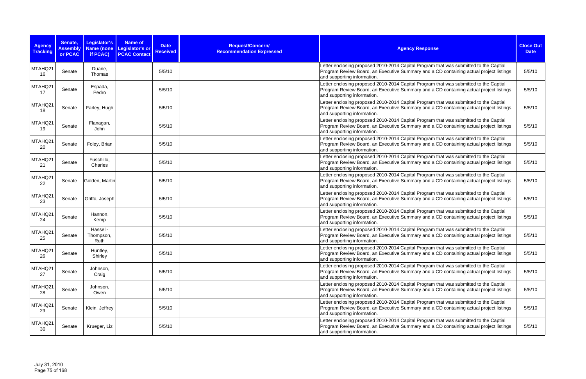| <b>Agency</b><br><b>Tracking</b> | Senate,<br><b>Assembly</b><br>or PCAC | Legislator's<br>Name (none<br>if PCAC) | Name of<br>Legislator's or<br><b>PCAC Contact</b> | <b>Date</b><br><b>Received</b> | Request/Concern/<br><b>Recommendation Expressed</b> | <b>Agency Response</b>                                                                                                                                                                                         | <b>Close Out</b><br><b>Date</b> |
|----------------------------------|---------------------------------------|----------------------------------------|---------------------------------------------------|--------------------------------|-----------------------------------------------------|----------------------------------------------------------------------------------------------------------------------------------------------------------------------------------------------------------------|---------------------------------|
| MTAHQ21<br>16                    | Senate                                | Duane,<br>Thomas                       |                                                   | 5/5/10                         |                                                     | Letter enclosing proposed 2010-2014 Capital Program that was submitted to the Captial<br>Program Review Board, an Executive Summary and a CD containing actual project listings<br>and supporting information. | 5/5/10                          |
| MTAHQ21<br>17                    | Senate                                | Espada,<br>Pedro                       |                                                   | 5/5/10                         |                                                     | Letter enclosing proposed 2010-2014 Capital Program that was submitted to the Captial<br>Program Review Board, an Executive Summary and a CD containing actual project listings<br>and supporting information. | 5/5/10                          |
| MTAHQ21<br>18                    | Senate                                | Farley, Hugh                           |                                                   | 5/5/10                         |                                                     | Letter enclosing proposed 2010-2014 Capital Program that was submitted to the Captial<br>Program Review Board, an Executive Summary and a CD containing actual project listings<br>and supporting information. | 5/5/10                          |
| MTAHQ21<br>19                    | Senate                                | Flanagan,<br>John                      |                                                   | 5/5/10                         |                                                     | Letter enclosing proposed 2010-2014 Capital Program that was submitted to the Captial<br>Program Review Board, an Executive Summary and a CD containing actual project listings<br>and supporting information. | 5/5/10                          |
| MTAHQ21<br>20                    | Senate                                | Foley, Brian                           |                                                   | 5/5/10                         |                                                     | Letter enclosing proposed 2010-2014 Capital Program that was submitted to the Captial<br>Program Review Board, an Executive Summary and a CD containing actual project listings<br>and supporting information. | 5/5/10                          |
| MTAHQ21<br>21                    | Senate                                | Fuschillo,<br>Charles                  |                                                   | 5/5/10                         |                                                     | Letter enclosing proposed 2010-2014 Capital Program that was submitted to the Captial<br>Program Review Board, an Executive Summary and a CD containing actual project listings<br>and supporting information. | 5/5/10                          |
| MTAHQ21<br>22                    | Senate                                | Golden, Martin                         |                                                   | 5/5/10                         |                                                     | Letter enclosing proposed 2010-2014 Capital Program that was submitted to the Captial<br>Program Review Board, an Executive Summary and a CD containing actual project listings<br>and supporting information. | 5/5/10                          |
| MTAHQ21<br>23                    | Senate                                | Griffo, Joseph                         |                                                   | 5/5/10                         |                                                     | Letter enclosing proposed 2010-2014 Capital Program that was submitted to the Captial<br>Program Review Board, an Executive Summary and a CD containing actual project listings<br>and supporting information. | 5/5/10                          |
| MTAHQ21<br>24                    | Senate                                | Hannon,<br>Kemp                        |                                                   | 5/5/10                         |                                                     | Letter enclosing proposed 2010-2014 Capital Program that was submitted to the Captial<br>Program Review Board, an Executive Summary and a CD containing actual project listings<br>and supporting information. | 5/5/10                          |
| MTAHQ21<br>25                    | Senate                                | Hassell-<br>Thompson,<br>Ruth          |                                                   | 5/5/10                         |                                                     | Letter enclosing proposed 2010-2014 Capital Program that was submitted to the Captial<br>Program Review Board, an Executive Summary and a CD containing actual project listings<br>and supporting information. | 5/5/10                          |
| MTAHQ21<br>26                    | Senate                                | Huntley,<br>Shirley                    |                                                   | 5/5/10                         |                                                     | Letter enclosing proposed 2010-2014 Capital Program that was submitted to the Captial<br>Program Review Board, an Executive Summary and a CD containing actual project listings<br>and supporting information. | 5/5/10                          |
| MTAHQ21<br>27                    | Senate                                | Johnson,<br>Craig                      |                                                   | 5/5/10                         |                                                     | Letter enclosing proposed 2010-2014 Capital Program that was submitted to the Captial<br>Program Review Board, an Executive Summary and a CD containing actual project listings<br>and supporting information. | 5/5/10                          |
| MTAHQ21<br>28                    | Senate                                | Johnson,<br>Owen                       |                                                   | 5/5/10                         |                                                     | Letter enclosing proposed 2010-2014 Capital Program that was submitted to the Captial<br>Program Review Board, an Executive Summary and a CD containing actual project listings<br>and supporting information. | 5/5/10                          |
| MTAHQ21<br>29                    | Senate                                | Klein, Jeffrey                         |                                                   | 5/5/10                         |                                                     | Letter enclosing proposed 2010-2014 Capital Program that was submitted to the Captial<br>Program Review Board, an Executive Summary and a CD containing actual project listings<br>and supporting information. | 5/5/10                          |
| MTAHQ21<br>30                    | Senate                                | Krueger, Liz                           |                                                   | 5/5/10                         |                                                     | Letter enclosing proposed 2010-2014 Capital Program that was submitted to the Captial<br>Program Review Board, an Executive Summary and a CD containing actual project listings<br>and supporting information. | 5/5/10                          |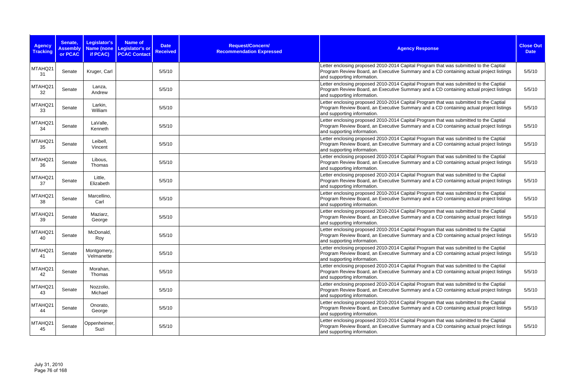| <b>Agency</b><br><b>Tracking</b> | Senate,<br><b>Assembly</b><br>or PCAC | Legislator's<br>Name (none<br>if PCAC) | Name of<br>Legislator's or<br><b>PCAC Contact</b> | <b>Date</b><br><b>Received</b> | Request/Concern/<br><b>Recommendation Expressed</b> | <b>Agency Response</b>                                                                                                                                                                                         | <b>Close Out</b><br><b>Date</b> |
|----------------------------------|---------------------------------------|----------------------------------------|---------------------------------------------------|--------------------------------|-----------------------------------------------------|----------------------------------------------------------------------------------------------------------------------------------------------------------------------------------------------------------------|---------------------------------|
| MTAHQ21<br>31                    | Senate                                | Kruger, Carl                           |                                                   | 5/5/10                         |                                                     | Letter enclosing proposed 2010-2014 Capital Program that was submitted to the Captial<br>Program Review Board, an Executive Summary and a CD containing actual project listings<br>and supporting information. | 5/5/10                          |
| MTAHQ21<br>32                    | Senate                                | Lanza,<br>Andrew                       |                                                   | 5/5/10                         |                                                     | Letter enclosing proposed 2010-2014 Capital Program that was submitted to the Captial<br>Program Review Board, an Executive Summary and a CD containing actual project listings<br>and supporting information. | 5/5/10                          |
| MTAHQ21<br>33                    | Senate                                | Larkin,<br>William                     |                                                   | 5/5/10                         |                                                     | Letter enclosing proposed 2010-2014 Capital Program that was submitted to the Captial<br>Program Review Board, an Executive Summary and a CD containing actual project listings<br>and supporting information. | 5/5/10                          |
| MTAHQ21<br>34                    | Senate                                | LaValle,<br>Kenneth                    |                                                   | 5/5/10                         |                                                     | Letter enclosing proposed 2010-2014 Capital Program that was submitted to the Captial<br>Program Review Board, an Executive Summary and a CD containing actual project listings<br>and supporting information. | 5/5/10                          |
| MTAHQ21<br>35                    | Senate                                | Leibell,<br>Vincent                    |                                                   | 5/5/10                         |                                                     | Letter enclosing proposed 2010-2014 Capital Program that was submitted to the Captial<br>Program Review Board, an Executive Summary and a CD containing actual project listings<br>and supporting information. | 5/5/10                          |
| MTAHQ21<br>36                    | Senate                                | Libous,<br>Thomas                      |                                                   | 5/5/10                         |                                                     | Letter enclosing proposed 2010-2014 Capital Program that was submitted to the Captial<br>Program Review Board, an Executive Summary and a CD containing actual project listings<br>and supporting information. | 5/5/10                          |
| MTAHQ21<br>37                    | Senate                                | Little,<br>Elizabeth                   |                                                   | 5/5/10                         |                                                     | Letter enclosing proposed 2010-2014 Capital Program that was submitted to the Captial<br>Program Review Board, an Executive Summary and a CD containing actual project listings<br>and supporting information. | 5/5/10                          |
| MTAHQ21<br>38                    | Senate                                | Marcellino,<br>Carl                    |                                                   | 5/5/10                         |                                                     | Letter enclosing proposed 2010-2014 Capital Program that was submitted to the Captial<br>Program Review Board, an Executive Summary and a CD containing actual project listings<br>and supporting information. | 5/5/10                          |
| MTAHQ21<br>39                    | Senate                                | Maziarz,<br>George                     |                                                   | 5/5/10                         |                                                     | Letter enclosing proposed 2010-2014 Capital Program that was submitted to the Captial<br>Program Review Board, an Executive Summary and a CD containing actual project listings<br>and supporting information. | 5/5/10                          |
| MTAHQ21<br>40                    | Senate                                | McDonald,<br>Roy                       |                                                   | 5/5/10                         |                                                     | Letter enclosing proposed 2010-2014 Capital Program that was submitted to the Captial<br>Program Review Board, an Executive Summary and a CD containing actual project listings<br>and supporting information. | 5/5/10                          |
| MTAHQ21<br>41                    | Senate                                | Montgomery,<br>Velmanette              |                                                   | 5/5/10                         |                                                     | Letter enclosing proposed 2010-2014 Capital Program that was submitted to the Captial<br>Program Review Board, an Executive Summary and a CD containing actual project listings<br>and supporting information. | 5/5/10                          |
| MTAHQ21<br>42                    | Senate                                | Morahan,<br>Thomas                     |                                                   | 5/5/10                         |                                                     | Letter enclosing proposed 2010-2014 Capital Program that was submitted to the Captial<br>Program Review Board, an Executive Summary and a CD containing actual project listings<br>and supporting information. | 5/5/10                          |
| MTAHQ21<br>43                    | Senate                                | Nozzolio,<br>Michael                   |                                                   | 5/5/10                         |                                                     | Letter enclosing proposed 2010-2014 Capital Program that was submitted to the Captial<br>Program Review Board, an Executive Summary and a CD containing actual project listings<br>and supporting information. | 5/5/10                          |
| MTAHQ21<br>44                    | Senate                                | Onorato,<br>George                     |                                                   | 5/5/10                         |                                                     | Letter enclosing proposed 2010-2014 Capital Program that was submitted to the Captial<br>Program Review Board, an Executive Summary and a CD containing actual project listings<br>and supporting information. | 5/5/10                          |
| MTAHQ21<br>45                    | Senate                                | Oppenheimer,<br>Suzi                   |                                                   | 5/5/10                         |                                                     | Letter enclosing proposed 2010-2014 Capital Program that was submitted to the Captial<br>Program Review Board, an Executive Summary and a CD containing actual project listings<br>and supporting information. | 5/5/10                          |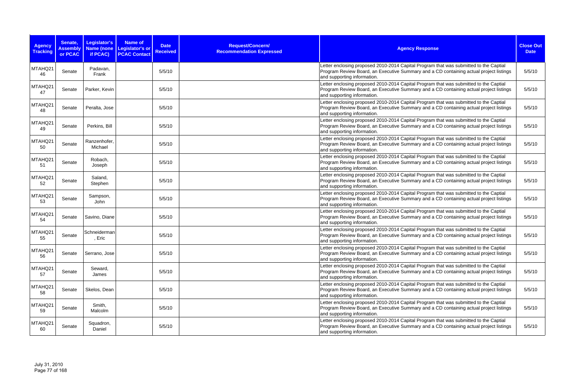| <b>Agency</b><br><b>Tracking</b> | Senate,<br><b>Assembly</b><br>or PCAC | Legislator's<br>Name (none<br>if PCAC) | Name of<br>Legislator's or<br><b>PCAC Contact</b> | <b>Date</b><br><b>Received</b> | Request/Concern/<br><b>Recommendation Expressed</b> | <b>Agency Response</b>                                                                                                                                                                                         | <b>Close Out</b><br><b>Date</b> |
|----------------------------------|---------------------------------------|----------------------------------------|---------------------------------------------------|--------------------------------|-----------------------------------------------------|----------------------------------------------------------------------------------------------------------------------------------------------------------------------------------------------------------------|---------------------------------|
| MTAHQ21<br>46                    | Senate                                | Padavan,<br>Frank                      |                                                   | 5/5/10                         |                                                     | Letter enclosing proposed 2010-2014 Capital Program that was submitted to the Captial<br>Program Review Board, an Executive Summary and a CD containing actual project listings<br>and supporting information. | 5/5/10                          |
| MTAHQ21<br>47                    | Senate                                | Parker, Kevin                          |                                                   | 5/5/10                         |                                                     | Letter enclosing proposed 2010-2014 Capital Program that was submitted to the Captial<br>Program Review Board, an Executive Summary and a CD containing actual project listings<br>and supporting information. | 5/5/10                          |
| MTAHQ21<br>48                    | Senate                                | Peralta, Jose                          |                                                   | 5/5/10                         |                                                     | Letter enclosing proposed 2010-2014 Capital Program that was submitted to the Captial<br>Program Review Board, an Executive Summary and a CD containing actual project listings<br>and supporting information. | 5/5/10                          |
| MTAHQ21<br>49                    | Senate                                | Perkins, Bill                          |                                                   | 5/5/10                         |                                                     | Letter enclosing proposed 2010-2014 Capital Program that was submitted to the Captial<br>Program Review Board, an Executive Summary and a CD containing actual project listings<br>and supporting information. | 5/5/10                          |
| MTAHQ21<br>50                    | Senate                                | Ranzenhofer,<br>Michael                |                                                   | 5/5/10                         |                                                     | Letter enclosing proposed 2010-2014 Capital Program that was submitted to the Captial<br>Program Review Board, an Executive Summary and a CD containing actual project listings<br>and supporting information. | 5/5/10                          |
| MTAHQ21<br>51                    | Senate                                | Robach,<br>Joseph                      |                                                   | 5/5/10                         |                                                     | Letter enclosing proposed 2010-2014 Capital Program that was submitted to the Captial<br>Program Review Board, an Executive Summary and a CD containing actual project listings<br>and supporting information. | 5/5/10                          |
| MTAHQ21<br>52                    | Senate                                | Saland,<br>Stephen                     |                                                   | 5/5/10                         |                                                     | Letter enclosing proposed 2010-2014 Capital Program that was submitted to the Captial<br>Program Review Board, an Executive Summary and a CD containing actual project listings<br>and supporting information. | 5/5/10                          |
| MTAHQ21<br>53                    | Senate                                | Sampson,<br>John                       |                                                   | 5/5/10                         |                                                     | Letter enclosing proposed 2010-2014 Capital Program that was submitted to the Captial<br>Program Review Board, an Executive Summary and a CD containing actual project listings<br>and supporting information. | 5/5/10                          |
| MTAHQ21<br>54                    | Senate                                | Savino, Diane                          |                                                   | 5/5/10                         |                                                     | Letter enclosing proposed 2010-2014 Capital Program that was submitted to the Captial<br>Program Review Board, an Executive Summary and a CD containing actual project listings<br>and supporting information. | 5/5/10                          |
| MTAHQ21<br>55                    | Senate                                | Schneiderman<br>, Eric                 |                                                   | 5/5/10                         |                                                     | Letter enclosing proposed 2010-2014 Capital Program that was submitted to the Captial<br>Program Review Board, an Executive Summary and a CD containing actual project listings<br>and supporting information. | 5/5/10                          |
| MTAHQ21<br>56                    | Senate                                | Serrano, Jose                          |                                                   | 5/5/10                         |                                                     | Letter enclosing proposed 2010-2014 Capital Program that was submitted to the Captial<br>Program Review Board, an Executive Summary and a CD containing actual project listings<br>and supporting information. | 5/5/10                          |
| MTAHQ21<br>57                    | Senate                                | Seward,<br>James                       |                                                   | 5/5/10                         |                                                     | Letter enclosing proposed 2010-2014 Capital Program that was submitted to the Captial<br>Program Review Board, an Executive Summary and a CD containing actual project listings<br>and supporting information. | 5/5/10                          |
| MTAHQ21<br>58                    | Senate                                | Skelos, Dean                           |                                                   | 5/5/10                         |                                                     | Letter enclosing proposed 2010-2014 Capital Program that was submitted to the Captial<br>Program Review Board, an Executive Summary and a CD containing actual project listings<br>and supporting information. | 5/5/10                          |
| MTAHQ21<br>59                    | Senate                                | Smith,<br>Malcolm                      |                                                   | 5/5/10                         |                                                     | Letter enclosing proposed 2010-2014 Capital Program that was submitted to the Captial<br>Program Review Board, an Executive Summary and a CD containing actual project listings<br>and supporting information. | 5/5/10                          |
| MTAHQ21<br>60                    | Senate                                | Squadron,<br>Daniel                    |                                                   | 5/5/10                         |                                                     | Letter enclosing proposed 2010-2014 Capital Program that was submitted to the Captial<br>Program Review Board, an Executive Summary and a CD containing actual project listings<br>and supporting information. | 5/5/10                          |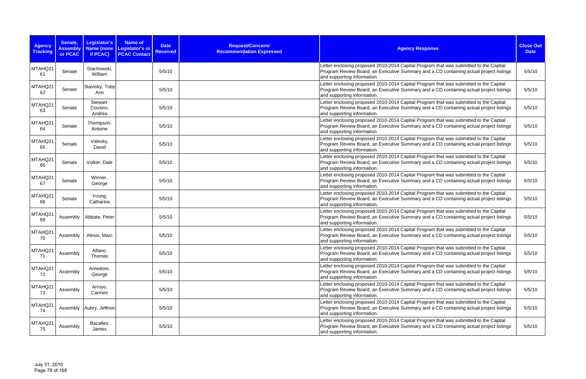| <b>Agency</b><br><b>Tracking</b> | Senate,<br><b>Assembly</b><br>or PCAC | Legislator's<br>Name (none<br>if PCAC) | Name of<br>Legislator's or<br><b>PCAC Contact</b> | <b>Date</b><br><b>Received</b> | Request/Concern/<br><b>Recommendation Expressed</b> | <b>Agency Response</b>                                                                                                                                                                                         | <b>Close Out</b><br><b>Date</b> |
|----------------------------------|---------------------------------------|----------------------------------------|---------------------------------------------------|--------------------------------|-----------------------------------------------------|----------------------------------------------------------------------------------------------------------------------------------------------------------------------------------------------------------------|---------------------------------|
| MTAHQ21<br>61                    | Senate                                | Stachowski,<br>William                 |                                                   | 5/5/10                         |                                                     | Letter enclosing proposed 2010-2014 Capital Program that was submitted to the Captial<br>Program Review Board, an Executive Summary and a CD containing actual project listings<br>and supporting information. | 5/5/10                          |
| MTAHQ21<br>62                    | Senate                                | Stavisky, Toby<br>Ann                  |                                                   | 5/5/10                         |                                                     | Letter enclosing proposed 2010-2014 Capital Program that was submitted to the Captial<br>Program Review Board, an Executive Summary and a CD containing actual project listings<br>and supporting information. | 5/5/10                          |
| MTAHQ21<br>63                    | Senate                                | Stewart-<br>Cousins,<br>Andrea         |                                                   | 5/5/10                         |                                                     | Letter enclosing proposed 2010-2014 Capital Program that was submitted to the Captial<br>Program Review Board, an Executive Summary and a CD containing actual project listings<br>and supporting information. | 5/5/10                          |
| MTAHQ21<br>64                    | Senate                                | Thompson,<br>Antoine                   |                                                   | 5/5/10                         |                                                     | Letter enclosing proposed 2010-2014 Capital Program that was submitted to the Captial<br>Program Review Board, an Executive Summary and a CD containing actual project listings<br>and supporting information. | 5/5/10                          |
| MTAHQ21<br>65                    | Senate                                | Valesky,<br>David                      |                                                   | 5/5/10                         |                                                     | Letter enclosing proposed 2010-2014 Capital Program that was submitted to the Captial<br>Program Review Board, an Executive Summary and a CD containing actual project listings<br>and supporting information. | 5/5/10                          |
| MTAHQ21<br>66                    | Senate                                | Volker, Dale                           |                                                   | 5/5/10                         |                                                     | Letter enclosing proposed 2010-2014 Capital Program that was submitted to the Captial<br>Program Review Board, an Executive Summary and a CD containing actual project listings<br>and supporting information. | 5/5/10                          |
| MTAHQ21<br>67                    | Senate                                | Winner,<br>George                      |                                                   | 5/5/10                         |                                                     | Letter enclosing proposed 2010-2014 Capital Program that was submitted to the Captial<br>Program Review Board, an Executive Summary and a CD containing actual project listings<br>and supporting information. | 5/5/10                          |
| MTAHQ21<br>68                    | Senate                                | Young,<br>Catharine                    |                                                   | 5/5/10                         |                                                     | Letter enclosing proposed 2010-2014 Capital Program that was submitted to the Captial<br>Program Review Board, an Executive Summary and a CD containing actual project listings<br>and supporting information. | 5/5/10                          |
| MTAHQ21<br>69                    | Assembly                              | Abbate, Peter                          |                                                   | 5/5/10                         |                                                     | Letter enclosing proposed 2010-2014 Capital Program that was submitted to the Captial<br>Program Review Board, an Executive Summary and a CD containing actual project listings<br>and supporting information. | 5/5/10                          |
| MTAHQ21<br>70                    | Assembly                              | Alessi, Marc                           |                                                   | 5/5/10                         |                                                     | Letter enclosing proposed 2010-2014 Capital Program that was submitted to the Captial<br>Program Review Board, an Executive Summary and a CD containing actual project listings<br>and supporting information. | 5/5/10                          |
| MTAHQ21<br>71                    | Assembly                              | Alfano,<br>Thomas                      |                                                   | 5/5/10                         |                                                     | Letter enclosing proposed 2010-2014 Capital Program that was submitted to the Captial<br>Program Review Board, an Executive Summary and a CD containing actual project listings<br>and supporting information. | 5/5/10                          |
| MTAHQ21<br>72                    | Assembly                              | Amedore,<br>George                     |                                                   | 5/5/10                         |                                                     | Letter enclosing proposed 2010-2014 Capital Program that was submitted to the Captial<br>Program Review Board, an Executive Summary and a CD containing actual project listings<br>and supporting information. | 5/5/10                          |
| MTAHQ21<br>73                    | Assembly                              | Arroyo,<br>Carmen                      |                                                   | 5/5/10                         |                                                     | Letter enclosing proposed 2010-2014 Capital Program that was submitted to the Captial<br>Program Review Board, an Executive Summary and a CD containing actual project listings<br>and supporting information. | 5/5/10                          |
| MTAHQ21<br>74                    |                                       | Assembly   Aubry, Jeffrion             |                                                   | 5/5/10                         |                                                     | Letter enclosing proposed 2010-2014 Capital Program that was submitted to the Captial<br>Program Review Board, an Executive Summary and a CD containing actual project listings<br>and supporting information. | 5/5/10                          |
| MTAHQ21<br>75                    | Assembly                              | Bacalles,<br>James                     |                                                   | 5/5/10                         |                                                     | Letter enclosing proposed 2010-2014 Capital Program that was submitted to the Captial<br>Program Review Board, an Executive Summary and a CD containing actual project listings<br>and supporting information. | 5/5/10                          |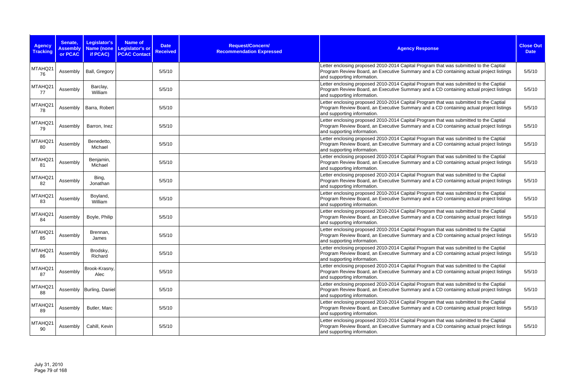| <b>Agency</b><br><b>Tracking</b> | Senate,<br><b>Assembly</b><br>or PCAC | Legislator's<br>Name (none<br>if PCAC) | Name of<br>Legislator's or<br><b>PCAC Contact</b> | <b>Date</b><br><b>Received</b> | Request/Concern/<br><b>Recommendation Expressed</b> | <b>Agency Response</b>                                                                                                                                                                                         | <b>Close Out</b><br><b>Date</b> |
|----------------------------------|---------------------------------------|----------------------------------------|---------------------------------------------------|--------------------------------|-----------------------------------------------------|----------------------------------------------------------------------------------------------------------------------------------------------------------------------------------------------------------------|---------------------------------|
| MTAHQ21<br>76                    | Assembly                              | Ball, Gregory                          |                                                   | 5/5/10                         |                                                     | Letter enclosing proposed 2010-2014 Capital Program that was submitted to the Captial<br>Program Review Board, an Executive Summary and a CD containing actual project listings<br>and supporting information. | 5/5/10                          |
| MTAHQ21<br>77                    | Assembly                              | Barclay,<br>William                    |                                                   | 5/5/10                         |                                                     | Letter enclosing proposed 2010-2014 Capital Program that was submitted to the Captial<br>Program Review Board, an Executive Summary and a CD containing actual project listings<br>and supporting information. | 5/5/10                          |
| MTAHQ21<br>78                    | Assembly                              | Barra, Robert                          |                                                   | 5/5/10                         |                                                     | Letter enclosing proposed 2010-2014 Capital Program that was submitted to the Captial<br>Program Review Board, an Executive Summary and a CD containing actual project listings<br>and supporting information. | 5/5/10                          |
| MTAHQ21<br>79                    | Assembly                              | Barron, Inez                           |                                                   | 5/5/10                         |                                                     | Letter enclosing proposed 2010-2014 Capital Program that was submitted to the Captial<br>Program Review Board, an Executive Summary and a CD containing actual project listings<br>and supporting information. | 5/5/10                          |
| MTAHQ21<br>80                    | Assembly                              | Benedetto,<br>Michael                  |                                                   | 5/5/10                         |                                                     | Letter enclosing proposed 2010-2014 Capital Program that was submitted to the Captial<br>Program Review Board, an Executive Summary and a CD containing actual project listings<br>and supporting information. | 5/5/10                          |
| MTAHQ21<br>81                    | Assembly                              | Benjamin,<br>Michael                   |                                                   | 5/5/10                         |                                                     | Letter enclosing proposed 2010-2014 Capital Program that was submitted to the Captial<br>Program Review Board, an Executive Summary and a CD containing actual project listings<br>and supporting information. | 5/5/10                          |
| MTAHQ21<br>82                    | Assembly                              | Bing,<br>Jonathan                      |                                                   | 5/5/10                         |                                                     | Letter enclosing proposed 2010-2014 Capital Program that was submitted to the Captial<br>Program Review Board, an Executive Summary and a CD containing actual project listings<br>and supporting information. | 5/5/10                          |
| MTAHQ21<br>83                    | Assembly                              | Boyland,<br>William                    |                                                   | 5/5/10                         |                                                     | Letter enclosing proposed 2010-2014 Capital Program that was submitted to the Captial<br>Program Review Board, an Executive Summary and a CD containing actual project listings<br>and supporting information. | 5/5/10                          |
| MTAHQ21<br>84                    | Assembly                              | Boyle, Philip                          |                                                   | 5/5/10                         |                                                     | Letter enclosing proposed 2010-2014 Capital Program that was submitted to the Captial<br>Program Review Board, an Executive Summary and a CD containing actual project listings<br>and supporting information. | 5/5/10                          |
| MTAHQ21<br>85                    | Assembly                              | Brennan,<br>James                      |                                                   | 5/5/10                         |                                                     | Letter enclosing proposed 2010-2014 Capital Program that was submitted to the Captial<br>Program Review Board, an Executive Summary and a CD containing actual project listings<br>and supporting information. | 5/5/10                          |
| MTAHQ21<br>86                    | Assembly                              | Brodsky,<br>Richard                    |                                                   | 5/5/10                         |                                                     | Letter enclosing proposed 2010-2014 Capital Program that was submitted to the Captial<br>Program Review Board, an Executive Summary and a CD containing actual project listings<br>and supporting information. | 5/5/10                          |
| MTAHQ21<br>87                    | Assembly                              | Brook-Krasny,<br>Alec                  |                                                   | 5/5/10                         |                                                     | Letter enclosing proposed 2010-2014 Capital Program that was submitted to the Captial<br>Program Review Board, an Executive Summary and a CD containing actual project listings<br>and supporting information. | 5/5/10                          |
| MTAHQ21<br>88                    |                                       | Assembly Burling, Daniel               |                                                   | 5/5/10                         |                                                     | Letter enclosing proposed 2010-2014 Capital Program that was submitted to the Captial<br>Program Review Board, an Executive Summary and a CD containing actual project listings<br>and supporting information. | 5/5/10                          |
| MTAHQ21<br>89                    | Assembly                              | Butler, Marc                           |                                                   | 5/5/10                         |                                                     | Letter enclosing proposed 2010-2014 Capital Program that was submitted to the Captial<br>Program Review Board, an Executive Summary and a CD containing actual project listings<br>and supporting information. | 5/5/10                          |
| MTAHQ21<br>90                    | Assembly                              | Cahill, Kevin                          |                                                   | 5/5/10                         |                                                     | Letter enclosing proposed 2010-2014 Capital Program that was submitted to the Captial<br>Program Review Board, an Executive Summary and a CD containing actual project listings<br>and supporting information. | 5/5/10                          |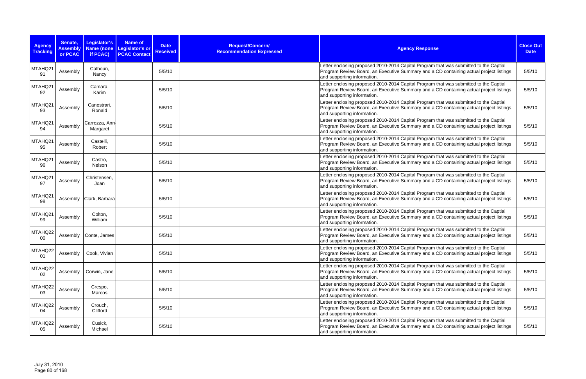| <b>Agency</b><br><b>Tracking</b> | Senate,<br><b>Assembly</b><br>or PCAC | Legislator's<br>Name (none<br>if PCAC) | Name of<br>Legislator's or<br><b>PCAC Contact</b> | <b>Date</b><br><b>Received</b> | Request/Concern/<br><b>Recommendation Expressed</b> | <b>Agency Response</b>                                                                                                                                                                                         | <b>Close Out</b><br><b>Date</b> |
|----------------------------------|---------------------------------------|----------------------------------------|---------------------------------------------------|--------------------------------|-----------------------------------------------------|----------------------------------------------------------------------------------------------------------------------------------------------------------------------------------------------------------------|---------------------------------|
| MTAHQ21<br>91                    | Assembly                              | Calhoun,<br>Nancy                      |                                                   | 5/5/10                         |                                                     | Letter enclosing proposed 2010-2014 Capital Program that was submitted to the Captial<br>Program Review Board, an Executive Summary and a CD containing actual project listings<br>and supporting information. | 5/5/10                          |
| MTAHQ21<br>92                    | Assembly                              | Camara,<br>Karim                       |                                                   | 5/5/10                         |                                                     | Letter enclosing proposed 2010-2014 Capital Program that was submitted to the Captial<br>Program Review Board, an Executive Summary and a CD containing actual project listings<br>and supporting information. | 5/5/10                          |
| MTAHQ21<br>93                    | Assembly                              | Canestrari,<br>Ronald                  |                                                   | 5/5/10                         |                                                     | Letter enclosing proposed 2010-2014 Capital Program that was submitted to the Captial<br>Program Review Board, an Executive Summary and a CD containing actual project listings<br>and supporting information. | 5/5/10                          |
| MTAHQ21<br>94                    | Assembly                              | Carrozza, Ann<br>Margaret              |                                                   | 5/5/10                         |                                                     | Letter enclosing proposed 2010-2014 Capital Program that was submitted to the Captial<br>Program Review Board, an Executive Summary and a CD containing actual project listings<br>and supporting information. | 5/5/10                          |
| MTAHQ21<br>95                    | Assembly                              | Castelli,<br>Robert                    |                                                   | 5/5/10                         |                                                     | Letter enclosing proposed 2010-2014 Capital Program that was submitted to the Captial<br>Program Review Board, an Executive Summary and a CD containing actual project listings<br>and supporting information. | 5/5/10                          |
| MTAHQ21<br>96                    | Assembly                              | Castro,<br>Nelson                      |                                                   | 5/5/10                         |                                                     | Letter enclosing proposed 2010-2014 Capital Program that was submitted to the Captial<br>Program Review Board, an Executive Summary and a CD containing actual project listings<br>and supporting information. | 5/5/10                          |
| MTAHQ21<br>97                    | Assembly                              | Christensen,<br>Joan                   |                                                   | 5/5/10                         |                                                     | Letter enclosing proposed 2010-2014 Capital Program that was submitted to the Captial<br>Program Review Board, an Executive Summary and a CD containing actual project listings<br>and supporting information. | 5/5/10                          |
| MTAHQ21<br>98                    |                                       | Assembly   Clark, Barbara              |                                                   | 5/5/10                         |                                                     | Letter enclosing proposed 2010-2014 Capital Program that was submitted to the Captial<br>Program Review Board, an Executive Summary and a CD containing actual project listings<br>and supporting information. | 5/5/10                          |
| MTAHQ21<br>99                    | Assembly                              | Colton,<br>William                     |                                                   | 5/5/10                         |                                                     | Letter enclosing proposed 2010-2014 Capital Program that was submitted to the Captial<br>Program Review Board, an Executive Summary and a CD containing actual project listings<br>and supporting information. | 5/5/10                          |
| MTAHQ22<br>00                    | Assembly                              | Conte, James                           |                                                   | 5/5/10                         |                                                     | Letter enclosing proposed 2010-2014 Capital Program that was submitted to the Captial<br>Program Review Board, an Executive Summary and a CD containing actual project listings<br>and supporting information. | 5/5/10                          |
| MTAHQ22<br>01                    | Assembly                              | Cook, Vivian                           |                                                   | 5/5/10                         |                                                     | Letter enclosing proposed 2010-2014 Capital Program that was submitted to the Captial<br>Program Review Board, an Executive Summary and a CD containing actual project listings<br>and supporting information. | 5/5/10                          |
| MTAHQ22<br>02                    | Assembly                              | Corwin, Jane                           |                                                   | 5/5/10                         |                                                     | Letter enclosing proposed 2010-2014 Capital Program that was submitted to the Captial<br>Program Review Board, an Executive Summary and a CD containing actual project listings<br>and supporting information. | 5/5/10                          |
| MTAHQ22<br>03                    | Assembly                              | Crespo,<br>Marcos                      |                                                   | 5/5/10                         |                                                     | Letter enclosing proposed 2010-2014 Capital Program that was submitted to the Captial<br>Program Review Board, an Executive Summary and a CD containing actual project listings<br>and supporting information. | 5/5/10                          |
| MTAHQ22<br>04                    | Assembly                              | Crouch,<br>Clifford                    |                                                   | 5/5/10                         |                                                     | Letter enclosing proposed 2010-2014 Capital Program that was submitted to the Captial<br>Program Review Board, an Executive Summary and a CD containing actual project listings<br>and supporting information. | 5/5/10                          |
| MTAHQ22<br>05                    | Assembly                              | Cusick,<br>Michael                     |                                                   | 5/5/10                         |                                                     | Letter enclosing proposed 2010-2014 Capital Program that was submitted to the Captial<br>Program Review Board, an Executive Summary and a CD containing actual project listings<br>and supporting information. | 5/5/10                          |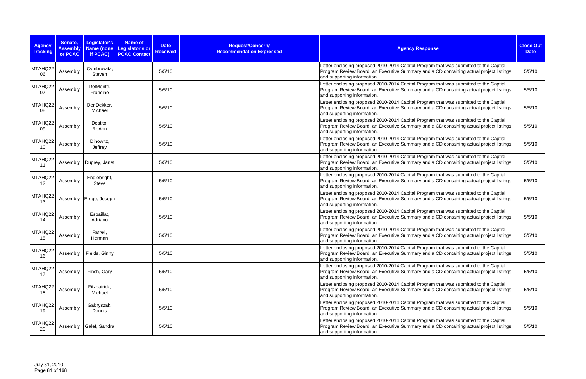| <b>Agency</b><br><b>Tracking</b> | Senate,<br><b>Assembly</b><br>or PCAC | Legislator's<br>Name (none<br>if PCAC) | Name of<br>Legislator's or<br><b>PCAC Contact</b> | <b>Date</b><br><b>Received</b> | Request/Concern/<br><b>Recommendation Expressed</b> | <b>Agency Response</b>                                                                                                                                                                                         | <b>Close Out</b><br><b>Date</b> |
|----------------------------------|---------------------------------------|----------------------------------------|---------------------------------------------------|--------------------------------|-----------------------------------------------------|----------------------------------------------------------------------------------------------------------------------------------------------------------------------------------------------------------------|---------------------------------|
| MTAHQ22<br>06                    | Assembly                              | Cymbrowitz,<br>Steven                  |                                                   | 5/5/10                         |                                                     | Letter enclosing proposed 2010-2014 Capital Program that was submitted to the Captial<br>Program Review Board, an Executive Summary and a CD containing actual project listings<br>and supporting information. | 5/5/10                          |
| MTAHQ22<br>07                    | Assembly                              | DelMonte,<br>Francine                  |                                                   | 5/5/10                         |                                                     | Letter enclosing proposed 2010-2014 Capital Program that was submitted to the Captial<br>Program Review Board, an Executive Summary and a CD containing actual project listings<br>and supporting information. | 5/5/10                          |
| MTAHQ22<br>08                    | Assembly                              | DenDekker,<br>Michael                  |                                                   | 5/5/10                         |                                                     | Letter enclosing proposed 2010-2014 Capital Program that was submitted to the Captial<br>Program Review Board, an Executive Summary and a CD containing actual project listings<br>and supporting information. | 5/5/10                          |
| MTAHQ22<br>09                    | Assembly                              | Destito,<br>RoAnn                      |                                                   | 5/5/10                         |                                                     | Letter enclosing proposed 2010-2014 Capital Program that was submitted to the Captial<br>Program Review Board, an Executive Summary and a CD containing actual project listings<br>and supporting information. | 5/5/10                          |
| MTAHQ22<br>10                    | Assembly                              | Dinowitz,<br>Jeffrey                   |                                                   | 5/5/10                         |                                                     | Letter enclosing proposed 2010-2014 Capital Program that was submitted to the Captial<br>Program Review Board, an Executive Summary and a CD containing actual project listings<br>and supporting information. | 5/5/10                          |
| MTAHQ22<br>11                    | Assembly                              | Duprey, Janet                          |                                                   | 5/5/10                         |                                                     | Letter enclosing proposed 2010-2014 Capital Program that was submitted to the Captial<br>Program Review Board, an Executive Summary and a CD containing actual project listings<br>and supporting information. | 5/5/10                          |
| MTAHQ22<br>12                    | Assembly                              | Englebright,<br><b>Steve</b>           |                                                   | 5/5/10                         |                                                     | Letter enclosing proposed 2010-2014 Capital Program that was submitted to the Captial<br>Program Review Board, an Executive Summary and a CD containing actual project listings<br>and supporting information. | 5/5/10                          |
| MTAHQ22<br>13                    |                                       | Assembly   Errigo, Joseph              |                                                   | 5/5/10                         |                                                     | Letter enclosing proposed 2010-2014 Capital Program that was submitted to the Captial<br>Program Review Board, an Executive Summary and a CD containing actual project listings<br>and supporting information. | 5/5/10                          |
| MTAHQ22<br>14                    | Assembly                              | Espaillat,<br>Adriano                  |                                                   | 5/5/10                         |                                                     | Letter enclosing proposed 2010-2014 Capital Program that was submitted to the Captial<br>Program Review Board, an Executive Summary and a CD containing actual project listings<br>and supporting information. | 5/5/10                          |
| MTAHQ22<br>15                    | Assembly                              | Farrell,<br>Herman                     |                                                   | 5/5/10                         |                                                     | Letter enclosing proposed 2010-2014 Capital Program that was submitted to the Captial<br>Program Review Board, an Executive Summary and a CD containing actual project listings<br>and supporting information. | 5/5/10                          |
| MTAHQ22<br>16                    | Assembly                              | Fields, Ginny                          |                                                   | 5/5/10                         |                                                     | Letter enclosing proposed 2010-2014 Capital Program that was submitted to the Captial<br>Program Review Board, an Executive Summary and a CD containing actual project listings<br>and supporting information. | 5/5/10                          |
| MTAHQ22<br>17                    | Assembly                              | Finch, Gary                            |                                                   | 5/5/10                         |                                                     | Letter enclosing proposed 2010-2014 Capital Program that was submitted to the Captial<br>Program Review Board, an Executive Summary and a CD containing actual project listings<br>and supporting information. | 5/5/10                          |
| MTAHQ22<br>18                    | Assembly                              | Fitzpatrick,<br>Michael                |                                                   | 5/5/10                         |                                                     | Letter enclosing proposed 2010-2014 Capital Program that was submitted to the Captial<br>Program Review Board, an Executive Summary and a CD containing actual project listings<br>and supporting information. | 5/5/10                          |
| MTAHQ22<br>19                    | Assembly                              | Gabryszak,<br>Dennis                   |                                                   | 5/5/10                         |                                                     | Letter enclosing proposed 2010-2014 Capital Program that was submitted to the Captial<br>Program Review Board, an Executive Summary and a CD containing actual project listings<br>and supporting information. | 5/5/10                          |
| MTAHQ22<br>20                    |                                       | Assembly   Galef, Sandra               |                                                   | 5/5/10                         |                                                     | Letter enclosing proposed 2010-2014 Capital Program that was submitted to the Captial<br>Program Review Board, an Executive Summary and a CD containing actual project listings<br>and supporting information. | 5/5/10                          |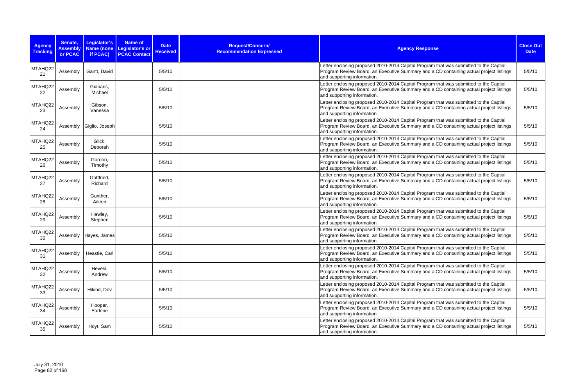| <b>Agency</b><br><b>Tracking</b> | Senate,<br><b>Assembly</b><br>or PCAC | Legislator's<br>Name (none<br>if PCAC) | Name of<br>Legislator's or<br><b>PCAC Contact</b> | <b>Date</b><br><b>Received</b> | Request/Concern/<br><b>Recommendation Expressed</b> | <b>Agency Response</b>                                                                                                                                                                                         | <b>Close Out</b><br><b>Date</b> |
|----------------------------------|---------------------------------------|----------------------------------------|---------------------------------------------------|--------------------------------|-----------------------------------------------------|----------------------------------------------------------------------------------------------------------------------------------------------------------------------------------------------------------------|---------------------------------|
| MTAHQ22<br>21                    | Assembly                              | Gantt, David                           |                                                   | 5/5/10                         |                                                     | Letter enclosing proposed 2010-2014 Capital Program that was submitted to the Captial<br>Program Review Board, an Executive Summary and a CD containing actual project listings<br>and supporting information. | 5/5/10                          |
| MTAHQ22<br>22                    | Assembly                              | Gianaris,<br>Michael                   |                                                   | 5/5/10                         |                                                     | Letter enclosing proposed 2010-2014 Capital Program that was submitted to the Captial<br>Program Review Board, an Executive Summary and a CD containing actual project listings<br>and supporting information. | 5/5/10                          |
| MTAHQ22<br>23                    | Assembly                              | Gibson,<br>Vanessa                     |                                                   | 5/5/10                         |                                                     | Letter enclosing proposed 2010-2014 Capital Program that was submitted to the Captial<br>Program Review Board, an Executive Summary and a CD containing actual project listings<br>and supporting information. | 5/5/10                          |
| MTAHQ22<br>24                    |                                       | Assembly   Giglio, Joseph              |                                                   | 5/5/10                         |                                                     | Letter enclosing proposed 2010-2014 Capital Program that was submitted to the Captial<br>Program Review Board, an Executive Summary and a CD containing actual project listings<br>and supporting information. | 5/5/10                          |
| MTAHQ22<br>25                    | Assembly                              | Glick,<br>Deborah                      |                                                   | 5/5/10                         |                                                     | Letter enclosing proposed 2010-2014 Capital Program that was submitted to the Captial<br>Program Review Board, an Executive Summary and a CD containing actual project listings<br>and supporting information. | 5/5/10                          |
| MTAHQ22<br>26                    | Assembly                              | Gordon,<br>Timothy                     |                                                   | 5/5/10                         |                                                     | Letter enclosing proposed 2010-2014 Capital Program that was submitted to the Captial<br>Program Review Board, an Executive Summary and a CD containing actual project listings<br>and supporting information. | 5/5/10                          |
| MTAHQ22<br>27                    | Assembly                              | Gottfried,<br>Richard                  |                                                   | 5/5/10                         |                                                     | Letter enclosing proposed 2010-2014 Capital Program that was submitted to the Captial<br>Program Review Board, an Executive Summary and a CD containing actual project listings<br>and supporting information. | 5/5/10                          |
| MTAHQ22<br>28                    | Assembly                              | Gunther,<br>Aileen                     |                                                   | 5/5/10                         |                                                     | Letter enclosing proposed 2010-2014 Capital Program that was submitted to the Captial<br>Program Review Board, an Executive Summary and a CD containing actual project listings<br>and supporting information. | 5/5/10                          |
| MTAHQ22<br>29                    | Assembly                              | Hawley,<br>Stephen                     |                                                   | 5/5/10                         |                                                     | Letter enclosing proposed 2010-2014 Capital Program that was submitted to the Captial<br>Program Review Board, an Executive Summary and a CD containing actual project listings<br>and supporting information. | 5/5/10                          |
| MTAHQ22<br>30                    |                                       | Assembly   Hayes, James                |                                                   | 5/5/10                         |                                                     | Letter enclosing proposed 2010-2014 Capital Program that was submitted to the Captial<br>Program Review Board, an Executive Summary and a CD containing actual project listings<br>and supporting information. | 5/5/10                          |
| MTAHQ22<br>31                    | Assembly                              | Heastie, Carl                          |                                                   | 5/5/10                         |                                                     | Letter enclosing proposed 2010-2014 Capital Program that was submitted to the Captial<br>Program Review Board, an Executive Summary and a CD containing actual project listings<br>and supporting information. | 5/5/10                          |
| MTAHQ22<br>32                    | Assembly                              | Hevesi,<br>Andrew                      |                                                   | 5/5/10                         |                                                     | Letter enclosing proposed 2010-2014 Capital Program that was submitted to the Captial<br>Program Review Board, an Executive Summary and a CD containing actual project listings<br>and supporting information. | 5/5/10                          |
| MTAHQ22<br>33                    | Assembly                              | Hikind, Dov                            |                                                   | 5/5/10                         |                                                     | Letter enclosing proposed 2010-2014 Capital Program that was submitted to the Captial<br>Program Review Board, an Executive Summary and a CD containing actual project listings<br>and supporting information. | 5/5/10                          |
| MTAHQ22<br>34                    | Assembly                              | Hooper,<br>Earlene                     |                                                   | 5/5/10                         |                                                     | Letter enclosing proposed 2010-2014 Capital Program that was submitted to the Captial<br>Program Review Board, an Executive Summary and a CD containing actual project listings<br>and supporting information. | 5/5/10                          |
| MTAHQ22<br>35                    | Assembly                              | Hoyt, Sam                              |                                                   | 5/5/10                         |                                                     | Letter enclosing proposed 2010-2014 Capital Program that was submitted to the Captial<br>Program Review Board, an Executive Summary and a CD containing actual project listings<br>and supporting information. | 5/5/10                          |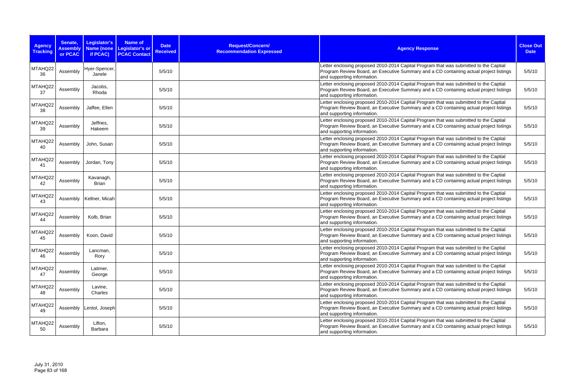| <b>Agency</b><br><b>Tracking</b> | Senate,<br><b>Assembly</b><br>or PCAC | Legislator's<br>Name (none<br>if PCAC) | Name of<br>Legislator's or<br><b>PCAC Contact</b> | <b>Date</b><br><b>Received</b> | Request/Concern/<br><b>Recommendation Expressed</b> | <b>Agency Response</b>                                                                                                                                                                                         | <b>Close Out</b><br><b>Date</b> |
|----------------------------------|---------------------------------------|----------------------------------------|---------------------------------------------------|--------------------------------|-----------------------------------------------------|----------------------------------------------------------------------------------------------------------------------------------------------------------------------------------------------------------------|---------------------------------|
| MTAHQ22<br>36                    | Assembly                              | Hyer-Spencer,<br>Janele                |                                                   | 5/5/10                         |                                                     | Letter enclosing proposed 2010-2014 Capital Program that was submitted to the Captial<br>Program Review Board, an Executive Summary and a CD containing actual project listings<br>and supporting information. | 5/5/10                          |
| MTAHQ22<br>37                    | Assembly                              | Jacobs,<br>Rhoda                       |                                                   | 5/5/10                         |                                                     | Letter enclosing proposed 2010-2014 Capital Program that was submitted to the Captial<br>Program Review Board, an Executive Summary and a CD containing actual project listings<br>and supporting information. | 5/5/10                          |
| MTAHQ22<br>38                    | Assembly                              | Jaffee, Ellen                          |                                                   | 5/5/10                         |                                                     | Letter enclosing proposed 2010-2014 Capital Program that was submitted to the Captial<br>Program Review Board, an Executive Summary and a CD containing actual project listings<br>and supporting information. | 5/5/10                          |
| MTAHQ22<br>39                    | Assembly                              | Jeffries,<br>Hakeem                    |                                                   | 5/5/10                         |                                                     | Letter enclosing proposed 2010-2014 Capital Program that was submitted to the Captial<br>Program Review Board, an Executive Summary and a CD containing actual project listings<br>and supporting information. | 5/5/10                          |
| MTAHQ22<br>40                    | Assembly                              | John, Susan                            |                                                   | 5/5/10                         |                                                     | Letter enclosing proposed 2010-2014 Capital Program that was submitted to the Captial<br>Program Review Board, an Executive Summary and a CD containing actual project listings<br>and supporting information. | 5/5/10                          |
| MTAHQ22<br>41                    | Assembly                              | Jordan, Tony                           |                                                   | 5/5/10                         |                                                     | Letter enclosing proposed 2010-2014 Capital Program that was submitted to the Captial<br>Program Review Board, an Executive Summary and a CD containing actual project listings<br>and supporting information. | 5/5/10                          |
| MTAHQ22<br>42                    | Assembly                              | Kavanagh,<br><b>Brian</b>              |                                                   | 5/5/10                         |                                                     | Letter enclosing proposed 2010-2014 Capital Program that was submitted to the Captial<br>Program Review Board, an Executive Summary and a CD containing actual project listings<br>and supporting information. | 5/5/10                          |
| MTAHQ22<br>43                    |                                       | Assembly   Kellner, Micah              |                                                   | 5/5/10                         |                                                     | Letter enclosing proposed 2010-2014 Capital Program that was submitted to the Captial<br>Program Review Board, an Executive Summary and a CD containing actual project listings<br>and supporting information. | 5/5/10                          |
| MTAHQ22<br>44                    | Assembly                              | Kolb, Brian                            |                                                   | 5/5/10                         |                                                     | Letter enclosing proposed 2010-2014 Capital Program that was submitted to the Captial<br>Program Review Board, an Executive Summary and a CD containing actual project listings<br>and supporting information. | 5/5/10                          |
| MTAHQ22<br>45                    | Assembly                              | Koon, David                            |                                                   | 5/5/10                         |                                                     | Letter enclosing proposed 2010-2014 Capital Program that was submitted to the Captial<br>Program Review Board, an Executive Summary and a CD containing actual project listings<br>and supporting information. | 5/5/10                          |
| MTAHQ22<br>46                    | Assembly                              | Lancman,<br>Rory                       |                                                   | 5/5/10                         |                                                     | Letter enclosing proposed 2010-2014 Capital Program that was submitted to the Captial<br>Program Review Board, an Executive Summary and a CD containing actual project listings<br>and supporting information. | 5/5/10                          |
| MTAHQ22<br>47                    | Assembly                              | Latimer,<br>George                     |                                                   | 5/5/10                         |                                                     | Letter enclosing proposed 2010-2014 Capital Program that was submitted to the Captial<br>Program Review Board, an Executive Summary and a CD containing actual project listings<br>and supporting information. | 5/5/10                          |
| MTAHQ22<br>48                    | Assembly                              | Lavine,<br>Charles                     |                                                   | 5/5/10                         |                                                     | Letter enclosing proposed 2010-2014 Capital Program that was submitted to the Captial<br>Program Review Board, an Executive Summary and a CD containing actual project listings<br>and supporting information. | 5/5/10                          |
| MTAHQ22<br>49                    |                                       | Assembly   Lentol, Joseph              |                                                   | 5/5/10                         |                                                     | Letter enclosing proposed 2010-2014 Capital Program that was submitted to the Captial<br>Program Review Board, an Executive Summary and a CD containing actual project listings<br>and supporting information. | 5/5/10                          |
| MTAHQ22<br>50                    | Assembly                              | Lifton,<br>Barbara                     |                                                   | 5/5/10                         |                                                     | Letter enclosing proposed 2010-2014 Capital Program that was submitted to the Captial<br>Program Review Board, an Executive Summary and a CD containing actual project listings<br>and supporting information. | 5/5/10                          |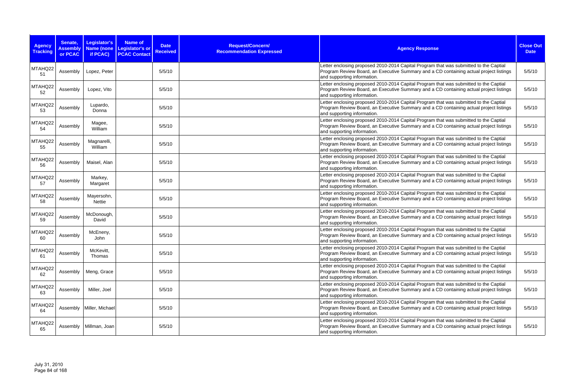| <b>Agency</b><br><b>Tracking</b> | Senate,<br><b>Assembly</b><br>or PCAC | Legislator's<br>Name (none<br>if PCAC) | Name of<br>Legislator's or<br><b>PCAC Contact</b> | <b>Date</b><br><b>Received</b> | Request/Concern/<br><b>Recommendation Expressed</b> | <b>Agency Response</b>                                                                                                                                                                                         | <b>Close Out</b><br><b>Date</b> |
|----------------------------------|---------------------------------------|----------------------------------------|---------------------------------------------------|--------------------------------|-----------------------------------------------------|----------------------------------------------------------------------------------------------------------------------------------------------------------------------------------------------------------------|---------------------------------|
| MTAHQ22<br>51                    | Assembly                              | Lopez, Peter                           |                                                   | 5/5/10                         |                                                     | Letter enclosing proposed 2010-2014 Capital Program that was submitted to the Captial<br>Program Review Board, an Executive Summary and a CD containing actual project listings<br>and supporting information. | 5/5/10                          |
| MTAHQ22<br>52                    | Assembly                              | Lopez, Vito                            |                                                   | 5/5/10                         |                                                     | Letter enclosing proposed 2010-2014 Capital Program that was submitted to the Captial<br>Program Review Board, an Executive Summary and a CD containing actual project listings<br>and supporting information. | 5/5/10                          |
| MTAHQ22<br>53                    | Assembly                              | Lupardo,<br>Donna                      |                                                   | 5/5/10                         |                                                     | Letter enclosing proposed 2010-2014 Capital Program that was submitted to the Captial<br>Program Review Board, an Executive Summary and a CD containing actual project listings<br>and supporting information. | 5/5/10                          |
| MTAHQ22<br>54                    | Assembly                              | Magee,<br>William                      |                                                   | 5/5/10                         |                                                     | Letter enclosing proposed 2010-2014 Capital Program that was submitted to the Captial<br>Program Review Board, an Executive Summary and a CD containing actual project listings<br>and supporting information. | 5/5/10                          |
| MTAHQ22<br>55                    | Assembly                              | Magnarelli,<br>William                 |                                                   | 5/5/10                         |                                                     | Letter enclosing proposed 2010-2014 Capital Program that was submitted to the Captial<br>Program Review Board, an Executive Summary and a CD containing actual project listings<br>and supporting information. | 5/5/10                          |
| MTAHQ22<br>56                    | Assembly                              | Maisel, Alan                           |                                                   | 5/5/10                         |                                                     | Letter enclosing proposed 2010-2014 Capital Program that was submitted to the Captial<br>Program Review Board, an Executive Summary and a CD containing actual project listings<br>and supporting information. | 5/5/10                          |
| MTAHQ22<br>57                    | Assembly                              | Markey,<br>Margaret                    |                                                   | 5/5/10                         |                                                     | Letter enclosing proposed 2010-2014 Capital Program that was submitted to the Captial<br>Program Review Board, an Executive Summary and a CD containing actual project listings<br>and supporting information. | 5/5/10                          |
| MTAHQ22<br>58                    | Assembly                              | Mayersohn,<br>Nettie                   |                                                   | 5/5/10                         |                                                     | Letter enclosing proposed 2010-2014 Capital Program that was submitted to the Captial<br>Program Review Board, an Executive Summary and a CD containing actual project listings<br>and supporting information. | 5/5/10                          |
| MTAHQ22<br>59                    | Assembly                              | McDonough,<br>David                    |                                                   | 5/5/10                         |                                                     | Letter enclosing proposed 2010-2014 Capital Program that was submitted to the Captial<br>Program Review Board, an Executive Summary and a CD containing actual project listings<br>and supporting information. | 5/5/10                          |
| MTAHQ22<br>60                    | Assembly                              | McEneny,<br>John                       |                                                   | 5/5/10                         |                                                     | Letter enclosing proposed 2010-2014 Capital Program that was submitted to the Captial<br>Program Review Board, an Executive Summary and a CD containing actual project listings<br>and supporting information. | 5/5/10                          |
| MTAHQ22<br>61                    | Assembly                              | McKevitt,<br>Thomas                    |                                                   | 5/5/10                         |                                                     | Letter enclosing proposed 2010-2014 Capital Program that was submitted to the Captial<br>Program Review Board, an Executive Summary and a CD containing actual project listings<br>and supporting information. | 5/5/10                          |
| MTAHQ22<br>62                    | Assembly                              | Meng, Grace                            |                                                   | 5/5/10                         |                                                     | Letter enclosing proposed 2010-2014 Capital Program that was submitted to the Captial<br>Program Review Board, an Executive Summary and a CD containing actual project listings<br>and supporting information. | 5/5/10                          |
| MTAHQ22<br>63                    | Assembly                              | Miller, Joel                           |                                                   | 5/5/10                         |                                                     | Letter enclosing proposed 2010-2014 Capital Program that was submitted to the Captial<br>Program Review Board, an Executive Summary and a CD containing actual project listings<br>and supporting information. | 5/5/10                          |
| MTAHQ22<br>64                    |                                       | Assembly   Miller, Michael             |                                                   | 5/5/10                         |                                                     | Letter enclosing proposed 2010-2014 Capital Program that was submitted to the Captial<br>Program Review Board, an Executive Summary and a CD containing actual project listings<br>and supporting information. | 5/5/10                          |
| MTAHQ22<br>65                    |                                       | Assembly   Millman, Joan               |                                                   | 5/5/10                         |                                                     | Letter enclosing proposed 2010-2014 Capital Program that was submitted to the Captial<br>Program Review Board, an Executive Summary and a CD containing actual project listings<br>and supporting information. | 5/5/10                          |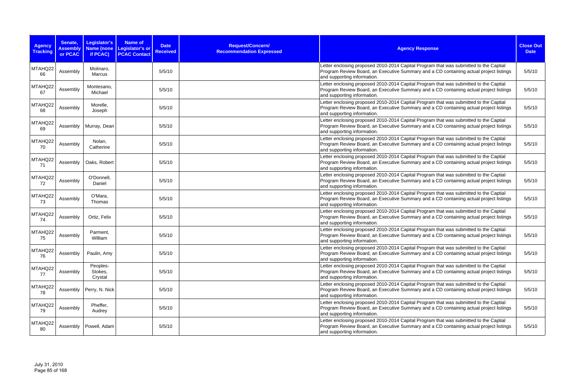| <b>Agency</b><br><b>Tracking</b> | Senate,<br><b>Assembly</b><br>or PCAC | Legislator's<br>Name (none<br>if PCAC) | Name of<br>Legislator's or<br><b>PCAC Contact</b> | <b>Date</b><br><b>Received</b> | Request/Concern/<br><b>Recommendation Expressed</b> | <b>Agency Response</b>                                                                                                                                                                                         | <b>Close Out</b><br><b>Date</b> |
|----------------------------------|---------------------------------------|----------------------------------------|---------------------------------------------------|--------------------------------|-----------------------------------------------------|----------------------------------------------------------------------------------------------------------------------------------------------------------------------------------------------------------------|---------------------------------|
| MTAHQ22<br>66                    | Assembly                              | Molinaro,<br><b>Marcus</b>             |                                                   | 5/5/10                         |                                                     | Letter enclosing proposed 2010-2014 Capital Program that was submitted to the Captial<br>Program Review Board, an Executive Summary and a CD containing actual project listings<br>and supporting information. | 5/5/10                          |
| MTAHQ22<br>67                    | Assembly                              | Montesano,<br>Michael                  |                                                   | 5/5/10                         |                                                     | Letter enclosing proposed 2010-2014 Capital Program that was submitted to the Captial<br>Program Review Board, an Executive Summary and a CD containing actual project listings<br>and supporting information. | 5/5/10                          |
| MTAHQ22<br>68                    | Assembly                              | Morelle,<br>Joseph                     |                                                   | 5/5/10                         |                                                     | Letter enclosing proposed 2010-2014 Capital Program that was submitted to the Captial<br>Program Review Board, an Executive Summary and a CD containing actual project listings<br>and supporting information. | 5/5/10                          |
| MTAHQ22<br>69                    | Assembly                              | Murray, Dean                           |                                                   | 5/5/10                         |                                                     | Letter enclosing proposed 2010-2014 Capital Program that was submitted to the Captial<br>Program Review Board, an Executive Summary and a CD containing actual project listings<br>and supporting information. | 5/5/10                          |
| MTAHQ22<br>70                    | Assembly                              | Nolan,<br>Catherine                    |                                                   | 5/5/10                         |                                                     | Letter enclosing proposed 2010-2014 Capital Program that was submitted to the Captial<br>Program Review Board, an Executive Summary and a CD containing actual project listings<br>and supporting information. | 5/5/10                          |
| MTAHQ22<br>71                    | Assembly                              | Oaks, Robert                           |                                                   | 5/5/10                         |                                                     | Letter enclosing proposed 2010-2014 Capital Program that was submitted to the Captial<br>Program Review Board, an Executive Summary and a CD containing actual project listings<br>and supporting information. | 5/5/10                          |
| MTAHQ22<br>72                    | Assembly                              | O'Donnell,<br>Daniel                   |                                                   | 5/5/10                         |                                                     | Letter enclosing proposed 2010-2014 Capital Program that was submitted to the Captial<br>Program Review Board, an Executive Summary and a CD containing actual project listings<br>and supporting information. | 5/5/10                          |
| MTAHQ22<br>73                    | Assembly                              | O'Mara,<br>Thomas                      |                                                   | 5/5/10                         |                                                     | Letter enclosing proposed 2010-2014 Capital Program that was submitted to the Captial<br>Program Review Board, an Executive Summary and a CD containing actual project listings<br>and supporting information. | 5/5/10                          |
| MTAHQ22<br>74                    | Assembly                              | Ortiz, Felix                           |                                                   | 5/5/10                         |                                                     | Letter enclosing proposed 2010-2014 Capital Program that was submitted to the Captial<br>Program Review Board, an Executive Summary and a CD containing actual project listings<br>and supporting information. | 5/5/10                          |
| MTAHQ22<br>75                    | Assembly                              | Parment,<br>William                    |                                                   | 5/5/10                         |                                                     | Letter enclosing proposed 2010-2014 Capital Program that was submitted to the Captial<br>Program Review Board, an Executive Summary and a CD containing actual project listings<br>and supporting information. | 5/5/10                          |
| MTAHQ22<br>76                    | Assembly                              | Paulin, Amy                            |                                                   | 5/5/10                         |                                                     | Letter enclosing proposed 2010-2014 Capital Program that was submitted to the Captial<br>Program Review Board, an Executive Summary and a CD containing actual project listings<br>and supporting information. | 5/5/10                          |
| MTAHQ22<br>77                    | Assembly                              | Peoples-<br>Stokes,<br>Crystal         |                                                   | 5/5/10                         |                                                     | Letter enclosing proposed 2010-2014 Capital Program that was submitted to the Captial<br>Program Review Board, an Executive Summary and a CD containing actual project listings<br>and supporting information. | 5/5/10                          |
| MTAHQ22<br>78                    |                                       | Assembly   Perry, N. Nick              |                                                   | 5/5/10                         |                                                     | Letter enclosing proposed 2010-2014 Capital Program that was submitted to the Captial<br>Program Review Board, an Executive Summary and a CD containing actual project listings<br>and supporting information. | 5/5/10                          |
| MTAHQ22<br>79                    | Assembly                              | Pheffer,<br>Audrey                     |                                                   | 5/5/10                         |                                                     | Letter enclosing proposed 2010-2014 Capital Program that was submitted to the Captial<br>Program Review Board, an Executive Summary and a CD containing actual project listings<br>and supporting information. | 5/5/10                          |
| MTAHQ22<br>80                    |                                       | Assembly   Powell, Adam                |                                                   | 5/5/10                         |                                                     | Letter enclosing proposed 2010-2014 Capital Program that was submitted to the Captial<br>Program Review Board, an Executive Summary and a CD containing actual project listings<br>and supporting information. | 5/5/10                          |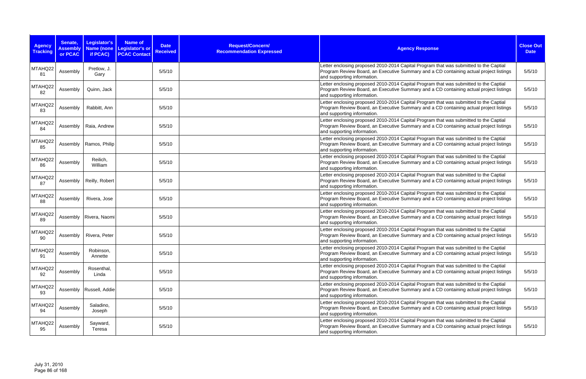| <b>Agency</b><br><b>Tracking</b> | Senate,<br><b>Assembly</b><br>or PCAC | Legislator's<br>Name (none<br>if PCAC) | Name of<br>Legislator's or<br><b>PCAC Contact</b> | <b>Date</b><br><b>Received</b> | Request/Concern/<br><b>Recommendation Expressed</b> | <b>Agency Response</b>                                                                                                                                                                                         | <b>Close Out</b><br><b>Date</b> |
|----------------------------------|---------------------------------------|----------------------------------------|---------------------------------------------------|--------------------------------|-----------------------------------------------------|----------------------------------------------------------------------------------------------------------------------------------------------------------------------------------------------------------------|---------------------------------|
| MTAHQ22<br>81                    | Assembly                              | Pretlow, J.<br>Gary                    |                                                   | 5/5/10                         |                                                     | Letter enclosing proposed 2010-2014 Capital Program that was submitted to the Captial<br>Program Review Board, an Executive Summary and a CD containing actual project listings<br>and supporting information. | 5/5/10                          |
| MTAHQ22<br>82                    | Assembly                              | Quinn, Jack                            |                                                   | 5/5/10                         |                                                     | Letter enclosing proposed 2010-2014 Capital Program that was submitted to the Captial<br>Program Review Board, an Executive Summary and a CD containing actual project listings<br>and supporting information. | 5/5/10                          |
| MTAHQ22<br>83                    | Assembly                              | Rabbitt, Ann                           |                                                   | 5/5/10                         |                                                     | Letter enclosing proposed 2010-2014 Capital Program that was submitted to the Captial<br>Program Review Board, an Executive Summary and a CD containing actual project listings<br>and supporting information. | 5/5/10                          |
| MTAHQ22<br>84                    | Assembly                              | Raia, Andrew                           |                                                   | 5/5/10                         |                                                     | Letter enclosing proposed 2010-2014 Capital Program that was submitted to the Captial<br>Program Review Board, an Executive Summary and a CD containing actual project listings<br>and supporting information. | 5/5/10                          |
| MTAHQ22<br>85                    |                                       | Assembly   Ramos, Philip               |                                                   | 5/5/10                         |                                                     | Letter enclosing proposed 2010-2014 Capital Program that was submitted to the Captial<br>Program Review Board, an Executive Summary and a CD containing actual project listings<br>and supporting information. | 5/5/10                          |
| MTAHQ22<br>86                    | Assembly                              | Reilich,<br>William                    |                                                   | 5/5/10                         |                                                     | Letter enclosing proposed 2010-2014 Capital Program that was submitted to the Captial<br>Program Review Board, an Executive Summary and a CD containing actual project listings<br>and supporting information. | 5/5/10                          |
| MTAHQ22<br>87                    | Assembly                              | Reilly, Robert                         |                                                   | 5/5/10                         |                                                     | Letter enclosing proposed 2010-2014 Capital Program that was submitted to the Captial<br>Program Review Board, an Executive Summary and a CD containing actual project listings<br>and supporting information. | 5/5/10                          |
| MTAHQ22<br>88                    | Assembly                              | Rivera, Jose                           |                                                   | 5/5/10                         |                                                     | Letter enclosing proposed 2010-2014 Capital Program that was submitted to the Captial<br>Program Review Board, an Executive Summary and a CD containing actual project listings<br>and supporting information. | 5/5/10                          |
| MTAHQ22<br>89                    |                                       | Assembly   Rivera, Naomi               |                                                   | 5/5/10                         |                                                     | Letter enclosing proposed 2010-2014 Capital Program that was submitted to the Captial<br>Program Review Board, an Executive Summary and a CD containing actual project listings<br>and supporting information. | 5/5/10                          |
| MTAHQ22<br>90                    | Assembly                              | Rivera, Peter                          |                                                   | 5/5/10                         |                                                     | Letter enclosing proposed 2010-2014 Capital Program that was submitted to the Captial<br>Program Review Board, an Executive Summary and a CD containing actual project listings<br>and supporting information. | 5/5/10                          |
| MTAHQ22<br>91                    | Assembly                              | Robinson,<br>Annette                   |                                                   | 5/5/10                         |                                                     | Letter enclosing proposed 2010-2014 Capital Program that was submitted to the Captial<br>Program Review Board, an Executive Summary and a CD containing actual project listings<br>and supporting information. | 5/5/10                          |
| MTAHQ22<br>92                    | Assembly                              | Rosenthal,<br>Linda                    |                                                   | 5/5/10                         |                                                     | Letter enclosing proposed 2010-2014 Capital Program that was submitted to the Captial<br>Program Review Board, an Executive Summary and a CD containing actual project listings<br>and supporting information. | 5/5/10                          |
| MTAHQ22<br>93                    |                                       | Assembly   Russell, Addie              |                                                   | 5/5/10                         |                                                     | Letter enclosing proposed 2010-2014 Capital Program that was submitted to the Captial<br>Program Review Board, an Executive Summary and a CD containing actual project listings<br>and supporting information. | 5/5/10                          |
| MTAHQ22<br>94                    | Assembly                              | Saladino,<br>Joseph                    |                                                   | 5/5/10                         |                                                     | Letter enclosing proposed 2010-2014 Capital Program that was submitted to the Captial<br>Program Review Board, an Executive Summary and a CD containing actual project listings<br>and supporting information. | 5/5/10                          |
| MTAHQ22<br>95                    | Assembly                              | Sayward,<br>Teresa                     |                                                   | 5/5/10                         |                                                     | Letter enclosing proposed 2010-2014 Capital Program that was submitted to the Captial<br>Program Review Board, an Executive Summary and a CD containing actual project listings<br>and supporting information. | 5/5/10                          |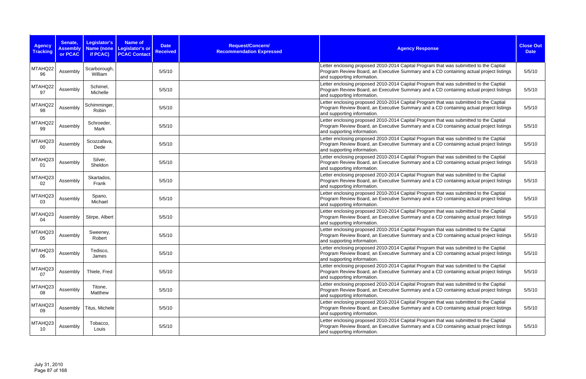| <b>Agency</b><br><b>Tracking</b> | Senate,<br><b>Assembly</b><br>or PCAC | Legislator's<br>Name (none<br>if PCAC) | Name of<br>Legislator's or<br><b>PCAC Contact</b> | <b>Date</b><br><b>Received</b> | Request/Concern/<br><b>Recommendation Expressed</b> | <b>Agency Response</b>                                                                                                                                                                                         | <b>Close Out</b><br><b>Date</b> |
|----------------------------------|---------------------------------------|----------------------------------------|---------------------------------------------------|--------------------------------|-----------------------------------------------------|----------------------------------------------------------------------------------------------------------------------------------------------------------------------------------------------------------------|---------------------------------|
| MTAHQ22<br>96                    | Assembly                              | Scarborough,<br>William                |                                                   | 5/5/10                         |                                                     | Letter enclosing proposed 2010-2014 Capital Program that was submitted to the Captial<br>Program Review Board, an Executive Summary and a CD containing actual project listings<br>and supporting information. | 5/5/10                          |
| MTAHQ22<br>97                    | Assembly                              | Schimel,<br>Michelle                   |                                                   | 5/5/10                         |                                                     | Letter enclosing proposed 2010-2014 Capital Program that was submitted to the Captial<br>Program Review Board, an Executive Summary and a CD containing actual project listings<br>and supporting information. | 5/5/10                          |
| MTAHQ22<br>98                    | Assembly                              | Schimminger,<br>Robin                  |                                                   | 5/5/10                         |                                                     | Letter enclosing proposed 2010-2014 Capital Program that was submitted to the Captial<br>Program Review Board, an Executive Summary and a CD containing actual project listings<br>and supporting information. | 5/5/10                          |
| MTAHQ22<br>99                    | Assembly                              | Schroeder,<br>Mark                     |                                                   | 5/5/10                         |                                                     | Letter enclosing proposed 2010-2014 Capital Program that was submitted to the Captial<br>Program Review Board, an Executive Summary and a CD containing actual project listings<br>and supporting information. | 5/5/10                          |
| MTAHQ23<br>00                    | Assembly                              | Scozzafava,<br>Dede                    |                                                   | 5/5/10                         |                                                     | Letter enclosing proposed 2010-2014 Capital Program that was submitted to the Captial<br>Program Review Board, an Executive Summary and a CD containing actual project listings<br>and supporting information. | 5/5/10                          |
| MTAHQ23<br>01                    | Assembly                              | Silver,<br>Sheldon                     |                                                   | 5/5/10                         |                                                     | Letter enclosing proposed 2010-2014 Capital Program that was submitted to the Captial<br>Program Review Board, an Executive Summary and a CD containing actual project listings<br>and supporting information. | 5/5/10                          |
| MTAHQ23<br>02                    | Assembly                              | Skartados,<br>Frank                    |                                                   | 5/5/10                         |                                                     | Letter enclosing proposed 2010-2014 Capital Program that was submitted to the Captial<br>Program Review Board, an Executive Summary and a CD containing actual project listings<br>and supporting information. | 5/5/10                          |
| MTAHQ23<br>03                    | Assembly                              | Spano,<br>Michael                      |                                                   | 5/5/10                         |                                                     | Letter enclosing proposed 2010-2014 Capital Program that was submitted to the Captial<br>Program Review Board, an Executive Summary and a CD containing actual project listings<br>and supporting information. | 5/5/10                          |
| MTAHQ23<br>04                    | Assembly                              | Stirpe, Albert                         |                                                   | 5/5/10                         |                                                     | Letter enclosing proposed 2010-2014 Capital Program that was submitted to the Captial<br>Program Review Board, an Executive Summary and a CD containing actual project listings<br>and supporting information. | 5/5/10                          |
| MTAHQ23<br>05                    | Assembly                              | Sweeney,<br>Robert                     |                                                   | 5/5/10                         |                                                     | Letter enclosing proposed 2010-2014 Capital Program that was submitted to the Captial<br>Program Review Board, an Executive Summary and a CD containing actual project listings<br>and supporting information. | 5/5/10                          |
| MTAHQ23<br>06                    | Assembly                              | Tedisco,<br>James                      |                                                   | 5/5/10                         |                                                     | Letter enclosing proposed 2010-2014 Capital Program that was submitted to the Captial<br>Program Review Board, an Executive Summary and a CD containing actual project listings<br>and supporting information. | 5/5/10                          |
| MTAHQ23<br>07                    | Assembly                              | Thiele, Fred                           |                                                   | 5/5/10                         |                                                     | Letter enclosing proposed 2010-2014 Capital Program that was submitted to the Captial<br>Program Review Board, an Executive Summary and a CD containing actual project listings<br>and supporting information. | 5/5/10                          |
| MTAHQ23<br>08                    | Assembly                              | Titone,<br>Matthew                     |                                                   | 5/5/10                         |                                                     | Letter enclosing proposed 2010-2014 Capital Program that was submitted to the Captial<br>Program Review Board, an Executive Summary and a CD containing actual project listings<br>and supporting information. | 5/5/10                          |
| MTAHQ23<br>09                    | Assembly                              | Titus, Michele                         |                                                   | 5/5/10                         |                                                     | Letter enclosing proposed 2010-2014 Capital Program that was submitted to the Captial<br>Program Review Board, an Executive Summary and a CD containing actual project listings<br>and supporting information. | 5/5/10                          |
| MTAHQ23<br>10                    | Assembly                              | Tobacco,<br>Louis                      |                                                   | 5/5/10                         |                                                     | Letter enclosing proposed 2010-2014 Capital Program that was submitted to the Captial<br>Program Review Board, an Executive Summary and a CD containing actual project listings<br>and supporting information. | 5/5/10                          |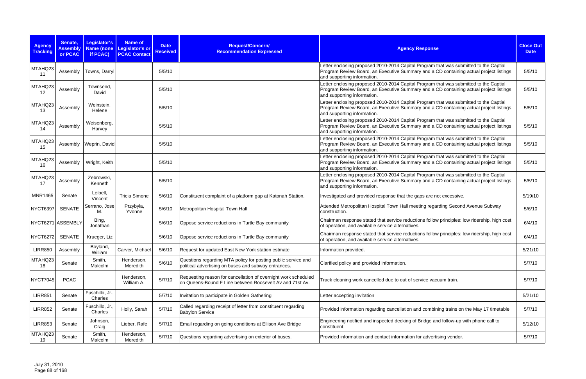| <b>Agency</b><br><b>Tracking</b> | Senate,<br><b>Assembly</b><br>or PCAC | Legislator's<br><b>Name (none</b><br>if PCAC) | <b>Name of</b><br>Legislator's or<br><b>PCAC Contact</b> | <b>Date</b><br><b>Received</b> | Request/Concern/<br><b>Recommendation Expressed</b>                                                                        | <b>Agency Response</b>                                                                                                                                                                                         | <b>Close Out</b><br><b>Date</b> |
|----------------------------------|---------------------------------------|-----------------------------------------------|----------------------------------------------------------|--------------------------------|----------------------------------------------------------------------------------------------------------------------------|----------------------------------------------------------------------------------------------------------------------------------------------------------------------------------------------------------------|---------------------------------|
| MTAHQ23<br>11                    | Assembly                              | Towns, Darryl                                 |                                                          | 5/5/10                         |                                                                                                                            | Letter enclosing proposed 2010-2014 Capital Program that was submitted to the Captial<br>Program Review Board, an Executive Summary and a CD containing actual project listings<br>and supporting information. | 5/5/10                          |
| MTAHQ23<br>12                    | Assembly                              | Townsend,<br>David                            |                                                          | 5/5/10                         |                                                                                                                            | Letter enclosing proposed 2010-2014 Capital Program that was submitted to the Captial<br>Program Review Board, an Executive Summary and a CD containing actual project listings<br>and supporting information. | 5/5/10                          |
| MTAHQ23<br>13                    | Assembly                              | Weinstein,<br>Helene                          |                                                          | 5/5/10                         |                                                                                                                            | Letter enclosing proposed 2010-2014 Capital Program that was submitted to the Captial<br>Program Review Board, an Executive Summary and a CD containing actual project listings<br>and supporting information. | 5/5/10                          |
| MTAHQ23<br>14                    | Assembly                              | Weisenberg,<br>Harvey                         |                                                          | 5/5/10                         |                                                                                                                            | Letter enclosing proposed 2010-2014 Capital Program that was submitted to the Captial<br>Program Review Board, an Executive Summary and a CD containing actual project listings<br>and supporting information. | 5/5/10                          |
| MTAHQ23<br>15                    | Assembly                              | Weprin, David                                 |                                                          | 5/5/10                         |                                                                                                                            | Letter enclosing proposed 2010-2014 Capital Program that was submitted to the Captial<br>Program Review Board, an Executive Summary and a CD containing actual project listings<br>and supporting information. | 5/5/10                          |
| MTAHQ23<br>16                    | Assembly                              | Wright, Keith                                 |                                                          | 5/5/10                         |                                                                                                                            | Letter enclosing proposed 2010-2014 Capital Program that was submitted to the Captial<br>Program Review Board, an Executive Summary and a CD containing actual project listings<br>and supporting information. | 5/5/10                          |
| MTAHQ23<br>17                    | Assembly                              | Zebrowski,<br>Kenneth                         |                                                          | 5/5/10                         |                                                                                                                            | Letter enclosing proposed 2010-2014 Capital Program that was submitted to the Captial<br>Program Review Board, an Executive Summary and a CD containing actual project listings<br>and supporting information. | 5/5/10                          |
| <b>MNR1465</b>                   | Senate                                | Leibell,<br>Vincent                           | <b>Tricia Simone</b>                                     | 5/6/10                         | Constituent complaint of a platform gap at Katonah Station.                                                                | Investigated and provided response that the gaps are not excessive.                                                                                                                                            | 5/19/10                         |
| NYCT6397                         | <b>SENATE</b>                         | Serrano, Jose<br>M.                           | Przybyla,<br>Yvonne                                      | 5/6/10                         | Metropolitan Hospital Town Hall                                                                                            | Attended Metropolitan Hospital Town Hall meeting regarding Second Avenue Subway<br>construction.                                                                                                               | 5/6/10                          |
| NYCT6271 ASSEMBLY                |                                       | Bing,<br>Jonathan                             |                                                          | 5/6/10                         | Oppose service reductions in Turtle Bay community                                                                          | Chairman response stated that service reductions follow principles: low ridership, high cost<br>of operation, and available service alternatives.                                                              | 6/4/10                          |
| <b>NYCT6272</b>                  | <b>SENATE</b>                         | Krueger, Liz                                  |                                                          | 5/6/10                         | Oppose service reductions in Turtle Bay community                                                                          | Chairman response stated that service reductions follow principles: low ridership, high cost<br>of operation, and available service alternatives.                                                              | 6/4/10                          |
| <b>LIRR850</b>                   | Assembly                              | Boyland,<br>William                           | Carver, Michael                                          | 5/6/10                         | Request for updated East New York station estmate                                                                          | Information provided.                                                                                                                                                                                          | 5/21/10                         |
| MTAHQ23<br>18                    | Senate                                | Smith,<br>Malcolm                             | Henderson,<br>Meredith                                   | 5/6/10                         | Questions regarding MTA policy for posting public service and<br>political advertising on buses and subway entrances.      | Clarified policy and provided information.                                                                                                                                                                     | 5/7/10                          |
| NYCT7045                         | <b>PCAC</b>                           |                                               | Henderson,<br>William A.                                 | 5/7/10                         | Requesting reason for cancellation of overnight work scheduled<br>on Queens-Bound F Line between Roosevelt Av and 71st Av. | Track cleaning work cancelled due to out of service vacuum train.                                                                                                                                              | 5/7/10                          |
| <b>LIRR851</b>                   | Senate                                | Fuschillo, Jr.,<br>Charles                    |                                                          | 5/7/10                         | Invitation to participate in Golden Gathering                                                                              | Letter accepting invitation                                                                                                                                                                                    | 5/21/10                         |
| <b>LIRR852</b>                   | Senate                                | Fuschillo, Jr.,<br>Charles                    | Holly, Sarah                                             | 5/7/10                         | Called regarding receipt of letter from constituent regarding<br><b>Babylon Service</b>                                    | Provided information regarding cancellation and combining trains on the May 17 timetable                                                                                                                       | 5/7/10                          |
| <b>LIRR853</b>                   | Senate                                | Johnson,<br>Craig                             | Lieber, Rafe                                             | 5/7/10                         | Email regarding on going conditions at Ellison Ave Bridge                                                                  | Engineering notified and inspected decking of Bridge and follow-up with phone call to<br>constituent.                                                                                                          | 5/12/10                         |
| MTAHQ23<br>19                    | Senate                                | Smith,<br>Malcolm                             | Henderson,<br>Meredith                                   | 5/7/10                         | Questions regarding advertising on exterior of buses.                                                                      | Provided information and contact information for advertising vendor.                                                                                                                                           | 5/7/10                          |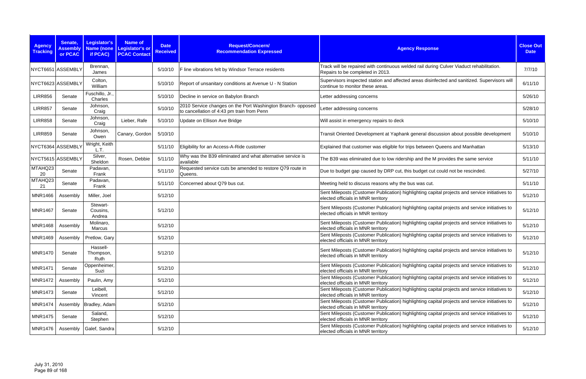| <b>Agency</b><br><b>Tracking</b> | Senate,<br><b>Assembly</b><br>or PCAC | Legislator's<br><b>Name</b> (none<br>if PCAC) | <b>Name of</b><br><b>Legislator's or</b><br><b>PCAC Contact</b> | <b>Date</b><br><b>Received</b> | Request/Concern/<br><b>Recommendation Expressed</b>                                                       | <b>Agency Response</b>                                                                                                               | <b>Close Out</b><br><b>Date</b> |
|----------------------------------|---------------------------------------|-----------------------------------------------|-----------------------------------------------------------------|--------------------------------|-----------------------------------------------------------------------------------------------------------|--------------------------------------------------------------------------------------------------------------------------------------|---------------------------------|
|                                  | NYCT6651 ASSEMBLY                     | Brennan,<br>James                             |                                                                 | 5/10/10                        | F line vibrations felt by Windsor Terrace residents                                                       | Track will be repaired with continuous welded rail during Culver Viaduct rehabilitation.<br>Repairs to be completed in 2013.         | 7/7/10                          |
|                                  | NYCT6623 ASSEMBLY                     | Colton,<br>William                            |                                                                 | 5/10/10                        | Report of unsanitary conditions at Avenue U - N Station                                                   | Supervisors inspected station and affected areas disinfected and sanitized. Supervisors will<br>continue to monitor these areas.     | 6/11/10                         |
| <b>LIRR856</b>                   | Senate                                | Fuschillo, Jr.,<br>Charles                    |                                                                 | 5/10/10                        | Decline in service on Babylon Branch                                                                      | Letter addressing concerns                                                                                                           | 5/26/10                         |
| <b>LIRR857</b>                   | Senate                                | Johnson,<br>Craig                             |                                                                 | 5/10/10                        | 2010 Service changes on the Port Washington Branch- opposed<br>to cancellation of 4:43 pm train from Penn | Letter addressing concerns                                                                                                           | 5/28/10                         |
| <b>LIRR858</b>                   | Senate                                | Johnson,<br>Craig                             | Lieber, Rafe                                                    | 5/10/10                        | Update on Ellison Ave Bridge                                                                              | Will assist in emergency repairs to deck                                                                                             | 5/10/10                         |
| <b>LIRR859</b>                   | Senate                                | Johnson,<br>Owen                              | Canary, Gordon                                                  | 5/10/10                        |                                                                                                           | Transit Oriented Development at Yaphank general discussion about possible development                                                | 5/10/10                         |
|                                  | NYCT6364 ASSEMBLY                     | Wright, Keith<br>L.T.                         |                                                                 | 5/11/10                        | Eligibility for an Access-A-Ride customer                                                                 | Explained that customer was eligible for trips between Queens and Manhattan                                                          | 5/13/10                         |
| NYCT5615 ASSEMBLY                |                                       | Silver,<br>Sheldon                            | Rosen, Debbie                                                   | 5/11/10                        | Why was the B39 eliminated and what alternative service is<br>available                                   | The B39 was eliminated due to low ridership and the M provides the same service                                                      | 5/11/10                         |
| MTAHQ23<br>20                    | Senate                                | Padavan,<br>Frank                             |                                                                 | 5/11/10                        | Requested service cuts be amended to restore Q79 route in<br>Queens.                                      | Due to budget gap caused by DRP cut, this budget cut could not be rescinded.                                                         | 5/27/10                         |
| MTAHQ23<br>21                    | Senate                                | Padavan,<br>Frank                             |                                                                 | 5/11/10                        | Concerned about Q79 bus cut.                                                                              | Meeting held to discuss reasons why the bus was cut.                                                                                 | 5/11/10                         |
| <b>MNR1466</b>                   | Assembly                              | Miller, Joel                                  |                                                                 | 5/12/10                        |                                                                                                           | Sent Mileposts (Customer Publication) highlighting capital projects and service initiatives to<br>elected officials in MNR territory | 5/12/10                         |
| <b>MNR1467</b>                   | Senate                                | Stewart-<br>Cousins,<br>Andrea                |                                                                 | 5/12/10                        |                                                                                                           | Sent Mileposts (Customer Publication) highlighting capital projects and service initiatives to<br>elected officials in MNR territory | 5/12/10                         |
| <b>MNR1468</b>                   | Assembly                              | Molinaro,<br>Marcus                           |                                                                 | 5/12/10                        |                                                                                                           | Sent Mileposts (Customer Publication) highlighting capital projects and service initiatives to<br>elected officials in MNR territory | 5/12/10                         |
| <b>MNR1469</b>                   | Assembly                              | Pretlow, Gary                                 |                                                                 | 5/12/10                        |                                                                                                           | Sent Mileposts (Customer Publication) highlighting capital projects and service initiatives to<br>elected officials in MNR territory | 5/12/10                         |
| <b>MNR1470</b>                   | Senate                                | Hassell-<br>Thompson,<br>Ruth                 |                                                                 | 5/12/10                        |                                                                                                           | Sent Mileposts (Customer Publication) highlighting capital projects and service initiatives to<br>elected officials in MNR territory | 5/12/10                         |
| <b>MNR1471</b>                   | Senate                                | Oppenheimer,<br>Suzi                          |                                                                 | 5/12/10                        |                                                                                                           | Sent Mileposts (Customer Publication) highlighting capital projects and service initiatives to<br>elected officials in MNR territory | 5/12/10                         |
| <b>MNR1472</b>                   | Assembly                              | Paulin, Amy                                   |                                                                 | 5/12/10                        |                                                                                                           | Sent Mileposts (Customer Publication) highlighting capital projects and service initiatives to<br>elected officials in MNR territory | 5/12/10                         |
| <b>MNR1473</b>                   | Senate                                | Leibell,<br>Vincent                           |                                                                 | 5/12/10                        |                                                                                                           | Sent Mileposts (Customer Publication) highlighting capital projects and service initiatives to<br>elected officials in MNR territory | 5/12/10                         |
| <b>MNR1474</b>                   |                                       | Assembly   Bradley, Adam                      |                                                                 | 5/12/10                        |                                                                                                           | Sent Mileposts (Customer Publication) highlighting capital projects and service initiatives to<br>elected officials in MNR territory | 5/12/10                         |
| <b>MNR1475</b>                   | Senate                                | Saland,<br>Stephen                            |                                                                 | 5/12/10                        |                                                                                                           | Sent Mileposts (Customer Publication) highlighting capital projects and service initiatives to<br>elected officials in MNR territory | 5/12/10                         |
| MNR1476                          |                                       | Assembly   Galef, Sandra                      |                                                                 | 5/12/10                        |                                                                                                           | Sent Mileposts (Customer Publication) highlighting capital projects and service initiatives to<br>elected officials in MNR territory | 5/12/10                         |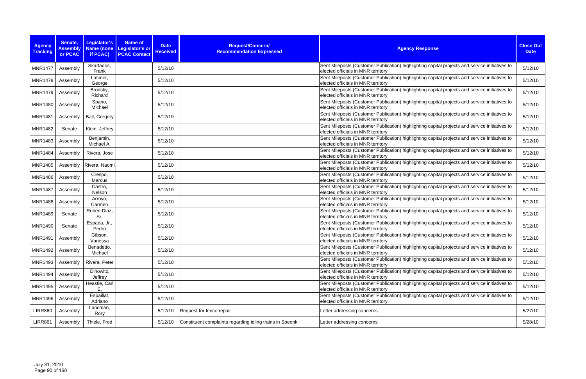| <b>Agency</b><br><b>Tracking</b> | Senate,<br><b>Assembly</b><br>or PCAC | <b>Legislator's</b><br>Name (none<br>if PCAC) | <b>Name of</b><br><b>Date</b><br>Legislator's or<br><b>Received</b><br><b>PCAC Contact</b> | Request/Concern/<br><b>Recommendation Expressed</b>      | <b>Agency Response</b>                                                                                                               | <b>Close Out</b><br><b>Date</b> |
|----------------------------------|---------------------------------------|-----------------------------------------------|--------------------------------------------------------------------------------------------|----------------------------------------------------------|--------------------------------------------------------------------------------------------------------------------------------------|---------------------------------|
| <b>MNR1477</b>                   | Assembly                              | Skartados,<br>Frank                           | 5/12/10                                                                                    |                                                          | Sent Mileposts (Customer Publication) highlighting capital projects and service initiatives to<br>elected officials in MNR territory | 5/12/10                         |
| <b>MNR1478</b>                   | Assembly                              | Latimer,<br>George                            | 5/12/10                                                                                    |                                                          | Sent Mileposts (Customer Publication) highlighting capital projects and service initiatives to<br>elected officials in MNR territory | 5/12/10                         |
| <b>MNR1479</b>                   | Assembly                              | Brodsky,<br>Richard                           | 5/12/10                                                                                    |                                                          | Sent Mileposts (Customer Publication) highlighting capital projects and service initiatives to<br>elected officials in MNR territory | 5/12/10                         |
| <b>MNR1480</b>                   | Assembly                              | Spano,<br>Michael                             | 5/12/10                                                                                    |                                                          | Sent Mileposts (Customer Publication) highlighting capital projects and service initiatives to<br>elected officials in MNR territory | 5/12/10                         |
| <b>MNR1481</b>                   | Assembly                              | Ball, Gregory                                 | 5/12/10                                                                                    |                                                          | Sent Mileposts (Customer Publication) highlighting capital projects and service initiatives to<br>elected officials in MNR territory | 5/12/10                         |
| <b>MNR1482</b>                   | Senate                                | Klein, Jeffrey                                | 5/12/10                                                                                    |                                                          | Sent Mileposts (Customer Publication) highlighting capital projects and service initiatives to<br>elected officials in MNR territory | 5/12/10                         |
| <b>MNR1483</b>                   | Assembly                              | Benjamin,<br>Michael A.                       | 5/12/10                                                                                    |                                                          | Sent Mileposts (Customer Publication) highlighting capital projects and service initiatives to<br>elected officials in MNR territory | 5/12/10                         |
| <b>MNR1484</b>                   | Assembly                              | Rivera, Jose                                  | 5/12/10                                                                                    |                                                          | Sent Mileposts (Customer Publication) highlighting capital projects and service initiatives to<br>elected officials in MNR territory | 5/12/10                         |
| <b>MNR1485</b>                   | Assembly                              | Rivera, Naomi                                 | 5/12/10                                                                                    |                                                          | Sent Mileposts (Customer Publication) highlighting capital projects and service initiatives to<br>elected officials in MNR territory | 5/12/10                         |
| <b>MNR1486</b>                   | Assembly                              | Crespo,<br><b>Marcus</b>                      | 5/12/10                                                                                    |                                                          | Sent Mileposts (Customer Publication) highlighting capital projects and service initiatives to<br>elected officials in MNR territory | 5/12/10                         |
| <b>MNR1487</b>                   | Assembly                              | Castro,<br>Nelson                             | 5/12/10                                                                                    |                                                          | Sent Mileposts (Customer Publication) highlighting capital projects and service initiatives to<br>elected officials in MNR territory | 5/12/10                         |
| <b>MNR1488</b>                   | Assembly                              | Arroyo,<br>Carmen                             | 5/12/10                                                                                    |                                                          | Sent Mileposts (Customer Publication) highlighting capital projects and service initiatives to<br>elected officials in MNR territory | 5/12/10                         |
| <b>MNR1489</b>                   | Senate                                | Ruben Diaz,<br>Sr.                            | 5/12/10                                                                                    |                                                          | Sent Mileposts (Customer Publication) highlighting capital projects and service initiatives to<br>elected officials in MNR territory | 5/12/10                         |
| <b>MNR1490</b>                   | Senate                                | Espada, Jr.,<br>Pedro                         | 5/12/10                                                                                    |                                                          | Sent Mileposts (Customer Publication) highlighting capital projects and service initiatives to<br>elected officials in MNR territory | 5/12/10                         |
| <b>MNR1491</b>                   | Assembly                              | Gibson,<br>Vanessa                            | 5/12/10                                                                                    |                                                          | Sent Mileposts (Customer Publication) highlighting capital projects and service initiatives to<br>elected officials in MNR territory | 5/12/10                         |
| <b>MNR1492</b>                   | Assembly                              | Benadetto,<br>Michael                         | 5/12/10                                                                                    |                                                          | Sent Mileposts (Customer Publication) highlighting capital projects and service initiatives to<br>elected officials in MNR territory | 5/12/10                         |
| <b>MNR1493</b>                   | Assembly                              | Rivera, Peter                                 | 5/12/10                                                                                    |                                                          | Sent Mileposts (Customer Publication) highlighting capital projects and service initiatives to<br>elected officials in MNR territory | 5/12/10                         |
| <b>MNR1494</b>                   | Assembly                              | Dinowitz,<br>Jeffrey                          | 5/12/10                                                                                    |                                                          | Sent Mileposts (Customer Publication) highlighting capital projects and service initiatives to<br>elected officials in MNR territory | 5/12/10                         |
| <b>MNR1495</b>                   | Assembly                              | Heastie, Carl                                 | 5/12/10                                                                                    |                                                          | Sent Mileposts (Customer Publication) highlighting capital projects and service initiatives to<br>elected officials in MNR territory | 5/12/10                         |
| <b>MNR1496</b>                   | Assembly                              | Espaillat,<br>Adriano                         | 5/12/10                                                                                    |                                                          | Sent Mileposts (Customer Publication) highlighting capital projects and service initiatives to<br>elected officials in MNR territory | 5/12/10                         |
| <b>LIRR860</b>                   | Assembly                              | Lancman,<br>Rory                              | 5/12/10                                                                                    | Request for fence repair                                 | Letter addressing concerns                                                                                                           | 5/27/10                         |
| <b>LIRR861</b>                   | Assembly                              | Thiele, Fred                                  | 5/12/10                                                                                    | Constituent complaints regarding idling trains in Speonk | Letter addressing concerns                                                                                                           | 5/28/10                         |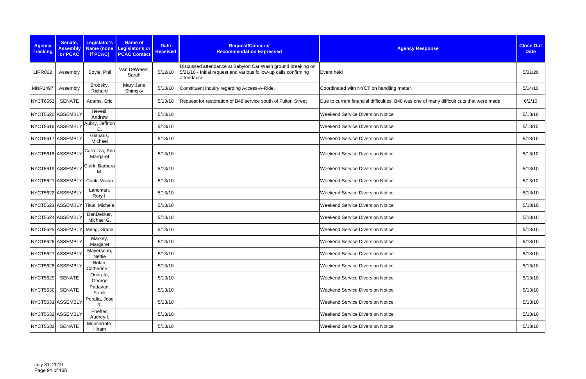| <b>Agency</b><br><b>Tracking</b> | Senate,<br><b>Assembly</b><br>or PCAC | Legislator's<br>if PCAC)         | <b>Name of</b><br>Name (none Legislator's or<br><b>PCAC Contact</b> | <b>Date</b><br><b>Received</b> | Request/Concern/<br><b>Recommendation Expressed</b>                                                                                           | <b>Agency Response</b>                                                                    | <b>Close Out</b><br><b>Date</b> |
|----------------------------------|---------------------------------------|----------------------------------|---------------------------------------------------------------------|--------------------------------|-----------------------------------------------------------------------------------------------------------------------------------------------|-------------------------------------------------------------------------------------------|---------------------------------|
| <b>LIRR862</b>                   | Assembly                              | Boyle, Phil                      | Van DeWeert,<br>Sarah                                               | 5/12/10                        | Discussed attendance at Babylon Car Wash ground breaking on<br>5/21/10 - Initial request and various follow-up calls confirming<br>attendance | Event held                                                                                | 5/21/20                         |
| <b>MNR1497</b>                   | Assembly                              | Brodsky,<br>Richard              | Mary Jane<br>Shimsky                                                | 5/13/10                        | Constituent inquiry regarding Access-A-Ride.                                                                                                  | Coordinated with NYCT on handling matter.                                                 | 5/14/10                         |
| <b>NYCT6653</b>                  | <b>SENATE</b>                         | Adams, Eric                      |                                                                     | 5/13/10                        | Request for restoration of B48 service south of Fulton Street                                                                                 | Due to current financial difficulties, B48 was one of many difficult cuts that were made. | 6/2/10                          |
|                                  | NYCT5620 ASSEMBLY                     | Hevesi,<br>Andrew                |                                                                     | 5/13/10                        |                                                                                                                                               | <b>Weekend Service Diversion Notice</b>                                                   | 5/13/10                         |
|                                  | NYCT5616 ASSEMBLY                     | Aubry, Jeffrion<br>D.            |                                                                     | 5/13/10                        |                                                                                                                                               | <b>Weekend Service Diversion Notice</b>                                                   | 5/13/10                         |
|                                  | NYCT5617 ASSEMBLY                     | Gianaris,<br>Michael             |                                                                     | 5/13/10                        |                                                                                                                                               | <b>Weekend Service Diversion Notice</b>                                                   | 5/13/10                         |
|                                  | NYCT5618 ASSEMBLY                     | Carrozza, Ann-<br>Margaret       |                                                                     | 5/13/10                        |                                                                                                                                               | <b>Weekend Service Diversion Notice</b>                                                   | 5/13/10                         |
|                                  | NYCT5619 ASSEMBLY                     | Clark, Barbara<br>M.             |                                                                     | 5/13/10                        |                                                                                                                                               | <b>Weekend Service Diversion Notice</b>                                                   | 5/13/10                         |
|                                  | NYCT5621 ASSEMBLY                     | Cook, Vivian                     |                                                                     | 5/13/10                        |                                                                                                                                               | <b>Weekend Service Diversion Notice</b>                                                   | 5/13/10                         |
|                                  | NYCT5622 ASSEMBLY                     | Lancman,<br>Rory I.              |                                                                     | 5/13/10                        |                                                                                                                                               | <b>Weekend Service Diversion Notice</b>                                                   | 5/13/10                         |
|                                  |                                       | NYCT5623 ASSEMBLY Titus, Michele |                                                                     | 5/13/10                        |                                                                                                                                               | <b>Weekend Service Diversion Notice</b>                                                   | 5/13/10                         |
|                                  | NYCT5624 ASSEMBLY                     | DenDekker,<br>Michael G.         |                                                                     | 5/13/10                        |                                                                                                                                               | <b>Weekend Service Diversion Notice</b>                                                   | 5/13/10                         |
|                                  |                                       | NYCT5625 ASSEMBLY Meng, Grace    |                                                                     | 5/13/10                        |                                                                                                                                               | <b>Weekend Service Diversion Notice</b>                                                   | 5/13/10                         |
|                                  | NYCT5626 ASSEMBLY                     | Markey,<br>Margaret              |                                                                     | 5/13/10                        |                                                                                                                                               | <b>Weekend Service Diversion Notice</b>                                                   | 5/13/10                         |
|                                  | NYCT5627 ASSEMBLY                     | Mayersohn,<br>Nettie             |                                                                     | 5/13/10                        |                                                                                                                                               | <b>Weekend Service Diversion Notice</b>                                                   | 5/13/10                         |
|                                  | NYCT5628 ASSEMBLY                     | Nolan,<br>Catherine T.           |                                                                     | 5/13/10                        |                                                                                                                                               | <b>Weekend Service Diversion Notice</b>                                                   | 5/13/10                         |
| <b>NYCT5629</b>                  | <b>SENATE</b>                         | Onorato,<br>George               |                                                                     | 5/13/10                        |                                                                                                                                               | <b>Weekend Service Diversion Notice</b>                                                   | 5/13/10                         |
| <b>NYCT5630</b>                  | <b>SENATE</b>                         | Padavan,<br>Frank                |                                                                     | 5/13/10                        |                                                                                                                                               | <b>Weekend Service Diversion Notice</b>                                                   | 5/13/10                         |
|                                  | NYCT5631 ASSEMBLY                     | Peralta, Jose<br>R.              |                                                                     | 5/13/10                        |                                                                                                                                               | <b>Weekend Service Diversion Notice</b>                                                   | 5/13/10                         |
|                                  | NYCT5632 ASSEMBLY                     | Pheffer,<br>Audrey I.            |                                                                     | 5/13/10                        |                                                                                                                                               | <b>Weekend Service Diversion Notice</b>                                                   | 5/13/10                         |
| <b>NYCT5633</b>                  | <b>SENATE</b>                         | Monserrate,<br>Hiram             |                                                                     | 5/13/10                        |                                                                                                                                               | <b>Weekend Service Diversion Notice</b>                                                   | 5/13/10                         |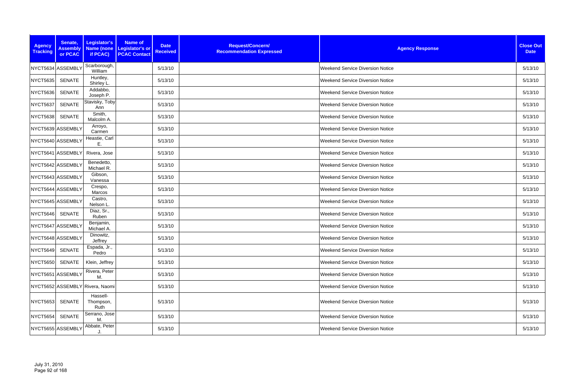| <b>Agency</b><br><b>Tracking</b> | Senate,<br><b>Assembly</b><br>or PCAC | Legislator's<br>if PCAC)        | <b>Name of</b><br>Name (none Legislator's or<br><b>PCAC Contact</b> | <b>Date</b><br><b>Received</b> | Request/Concern/<br><b>Recommendation Expressed</b> | <b>Agency Response</b>                  | <b>Close Out</b><br><b>Date</b> |
|----------------------------------|---------------------------------------|---------------------------------|---------------------------------------------------------------------|--------------------------------|-----------------------------------------------------|-----------------------------------------|---------------------------------|
|                                  | NYCT5634 ASSEMBLY                     | Scarborough,<br>William         |                                                                     | 5/13/10                        |                                                     | <b>Weekend Service Diversion Notice</b> | 5/13/10                         |
| <b>NYCT5635</b>                  | <b>SENATE</b>                         | Huntley,<br>Shirley L.          |                                                                     | 5/13/10                        |                                                     | <b>Weekend Service Diversion Notice</b> | 5/13/10                         |
| <b>NYCT5636</b>                  | <b>SENATE</b>                         | Addabbo,<br>Joseph P.           |                                                                     | 5/13/10                        |                                                     | <b>Weekend Service Diversion Notice</b> | 5/13/10                         |
| <b>NYCT5637</b>                  | SENATE                                | Stavisky, Toby<br>Ann           |                                                                     | 5/13/10                        |                                                     | Weekend Service Diversion Notice        | 5/13/10                         |
| <b>NYCT5638</b>                  | SENATE                                | Smith,<br>Malcolm A.            |                                                                     | 5/13/10                        |                                                     | <b>Weekend Service Diversion Notice</b> | 5/13/10                         |
|                                  | NYCT5639 ASSEMBLY                     | Arroyo,<br>Carmen               |                                                                     | 5/13/10                        |                                                     | Weekend Service Diversion Notice        | 5/13/10                         |
|                                  | NYCT5640 ASSEMBLY                     | Heastie, Carl<br>Ε.             |                                                                     | 5/13/10                        |                                                     | <b>Weekend Service Diversion Notice</b> | 5/13/10                         |
|                                  | NYCT5641 ASSEMBLY                     | Rivera, Jose                    |                                                                     | 5/13/10                        |                                                     | <b>Weekend Service Diversion Notice</b> | 5/13/10                         |
|                                  | NYCT5642 ASSEMBLY                     | Benedetto,<br>Michael R.        |                                                                     | 5/13/10                        |                                                     | <b>Weekend Service Diversion Notice</b> | 5/13/10                         |
|                                  | NYCT5643 ASSEMBLY                     | Gibson,<br>Vanessa              |                                                                     | 5/13/10                        |                                                     | <b>Weekend Service Diversion Notice</b> | 5/13/10                         |
|                                  | NYCT5644 ASSEMBLY                     | Crespo,<br>Marcos               |                                                                     | 5/13/10                        |                                                     | Weekend Service Diversion Notice        | 5/13/10                         |
|                                  | NYCT5645 ASSEMBLY                     | Castro,<br>Nelson L             |                                                                     | 5/13/10                        |                                                     | <b>Weekend Service Diversion Notice</b> | 5/13/10                         |
| <b>NYCT5646</b>                  | SENATE                                | Diaz, Sr.,<br>Ruben             |                                                                     | 5/13/10                        |                                                     | Weekend Service Diversion Notice        | 5/13/10                         |
|                                  | NYCT5647 ASSEMBLY                     | Benjamin,<br>Michael A.         |                                                                     | 5/13/10                        |                                                     | <b>Weekend Service Diversion Notice</b> | 5/13/10                         |
|                                  | NYCT5648 ASSEMBLY                     | Dinowitz,<br>Jeffrey            |                                                                     | 5/13/10                        |                                                     | <b>Weekend Service Diversion Notice</b> | 5/13/10                         |
| <b>NYCT5649</b>                  | SENATE                                | Espada, Jr.,<br>Pedro           |                                                                     | 5/13/10                        |                                                     | <b>Weekend Service Diversion Notice</b> | 5/13/10                         |
| <b>NYCT5650</b>                  | SENATE                                | Klein, Jeffrey                  |                                                                     | 5/13/10                        |                                                     | <b>Weekend Service Diversion Notice</b> | 5/13/10                         |
|                                  | NYCT5651 ASSEMBLY                     | Rivera, Peter<br>M.             |                                                                     | 5/13/10                        |                                                     | <b>Weekend Service Diversion Notice</b> | 5/13/10                         |
|                                  |                                       | NYCT5652 ASSEMBLY Rivera, Naomi |                                                                     | 5/13/10                        |                                                     | <b>Weekend Service Diversion Notice</b> | 5/13/10                         |
| <b>NYCT5653</b>                  | <b>SENATE</b>                         | Hassell-<br>Thompson,<br>Ruth   |                                                                     | 5/13/10                        |                                                     | <b>Weekend Service Diversion Notice</b> | 5/13/10                         |
| <b>NYCT5654</b>                  | <b>SENATE</b>                         | Serrano, Jose<br>М.             |                                                                     | 5/13/10                        |                                                     | <b>Weekend Service Diversion Notice</b> | 5/13/10                         |
|                                  | NYCT5655 ASSEMBLY                     | Abbate, Peter                   |                                                                     | 5/13/10                        |                                                     | <b>Weekend Service Diversion Notice</b> | 5/13/10                         |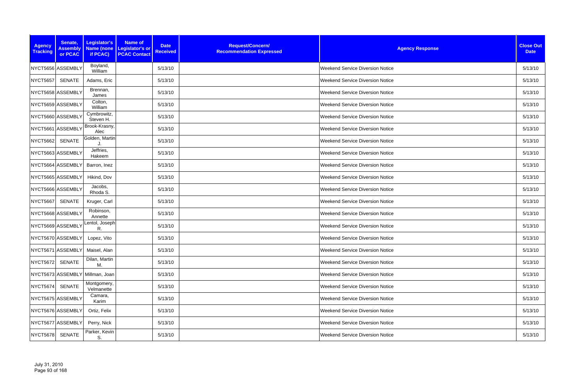| <b>Agency</b><br><b>Tracking</b> | Senate,<br><b>Assembly</b><br>or PCAC | Legislator's<br>Name (none<br>if PCAC) | <b>Name of</b><br><b>Date</b><br><b>Legislator's or</b><br><b>Received</b><br><b>PCAC Contact</b> | Request/Concern/<br><b>Recommendation Expressed</b> | <b>Agency Response</b>                  | <b>Close Out</b><br><b>Date</b> |
|----------------------------------|---------------------------------------|----------------------------------------|---------------------------------------------------------------------------------------------------|-----------------------------------------------------|-----------------------------------------|---------------------------------|
|                                  | NYCT5656 ASSEMBLY                     | Boyland,<br>William                    | 5/13/10                                                                                           |                                                     | <b>Weekend Service Diversion Notice</b> | 5/13/10                         |
| <b>NYCT5657</b>                  | SENATE                                | Adams, Eric                            | 5/13/10                                                                                           |                                                     | <b>Weekend Service Diversion Notice</b> | 5/13/10                         |
|                                  | NYCT5658 ASSEMBLY                     | Brennan,<br>James                      | 5/13/10                                                                                           |                                                     | <b>Weekend Service Diversion Notice</b> | 5/13/10                         |
|                                  | NYCT5659 ASSEMBLY                     | Colton,<br>William                     | 5/13/10                                                                                           |                                                     | <b>Weekend Service Diversion Notice</b> | 5/13/10                         |
|                                  | NYCT5660 ASSEMBLY                     | Cymbrowitz,<br>Steven H.               | 5/13/10                                                                                           |                                                     | <b>Weekend Service Diversion Notice</b> | 5/13/10                         |
|                                  | NYCT5661 ASSEMBLY                     | Brook-Krasny,<br>Alec                  | 5/13/10                                                                                           |                                                     | <b>Weekend Service Diversion Notice</b> | 5/13/10                         |
| <b>NYCT5662</b>                  | SENATE                                | Golden, Martin                         | 5/13/10                                                                                           |                                                     | <b>Weekend Service Diversion Notice</b> | 5/13/10                         |
|                                  | NYCT5663 ASSEMBLY                     | Jeffries,<br>Hakeem                    | 5/13/10                                                                                           |                                                     | <b>Weekend Service Diversion Notice</b> | 5/13/10                         |
|                                  | NYCT5664 ASSEMBLY                     | Barron, Inez                           | 5/13/10                                                                                           |                                                     | <b>Weekend Service Diversion Notice</b> | 5/13/10                         |
|                                  | NYCT5665 ASSEMBLY                     | Hikind, Dov                            | 5/13/10                                                                                           |                                                     | <b>Weekend Service Diversion Notice</b> | 5/13/10                         |
|                                  | NYCT5666 ASSEMBLY                     | Jacobs,<br>Rhoda S.                    | 5/13/10                                                                                           |                                                     | <b>Weekend Service Diversion Notice</b> | 5/13/10                         |
| <b>NYCT5667</b>                  | SENATE                                | Kruger, Carl                           | 5/13/10                                                                                           |                                                     | <b>Weekend Service Diversion Notice</b> | 5/13/10                         |
|                                  | NYCT5668 ASSEMBLY                     | Robinson,<br>Annette                   | 5/13/10                                                                                           |                                                     | <b>Weekend Service Diversion Notice</b> | 5/13/10                         |
|                                  | NYCT5669 ASSEMBLY                     | entol, Joseph<br>R.                    | 5/13/10                                                                                           |                                                     | Weekend Service Diversion Notice        | 5/13/10                         |
|                                  | NYCT5670 ASSEMBLY                     | Lopez, Vito                            | 5/13/10                                                                                           |                                                     | <b>Weekend Service Diversion Notice</b> | 5/13/10                         |
|                                  | NYCT5671 ASSEMBLY                     | Maisel, Alan                           | 5/13/10                                                                                           |                                                     | <b>Weekend Service Diversion Notice</b> | 5/13/10                         |
| NYCT5672                         | <b>SENATE</b>                         | Dilan, Martin<br>М.                    | 5/13/10                                                                                           |                                                     | <b>Weekend Service Diversion Notice</b> | 5/13/10                         |
|                                  |                                       | NYCT5673 ASSEMBLY Millman, Joan        | 5/13/10                                                                                           |                                                     | <b>Weekend Service Diversion Notice</b> | 5/13/10                         |
| <b>NYCT5674</b>                  | SENATE                                | Montgomery,<br>Velmanette              | 5/13/10                                                                                           |                                                     | <b>Weekend Service Diversion Notice</b> | 5/13/10                         |
|                                  | NYCT5675 ASSEMBLY                     | Camara,<br>Karim                       | 5/13/10                                                                                           |                                                     | <b>Weekend Service Diversion Notice</b> | 5/13/10                         |
|                                  | NYCT5676 ASSEMBLY                     | Ortiz, Felix                           | 5/13/10                                                                                           |                                                     | <b>Weekend Service Diversion Notice</b> | 5/13/10                         |
|                                  | NYCT5677 ASSEMBLY                     | Perry, Nick                            | 5/13/10                                                                                           |                                                     | <b>Weekend Service Diversion Notice</b> | 5/13/10                         |
| <b>NYCT5678</b>                  | <b>SENATE</b>                         | Parker, Kevin<br>S.                    | 5/13/10                                                                                           |                                                     | <b>Weekend Service Diversion Notice</b> | 5/13/10                         |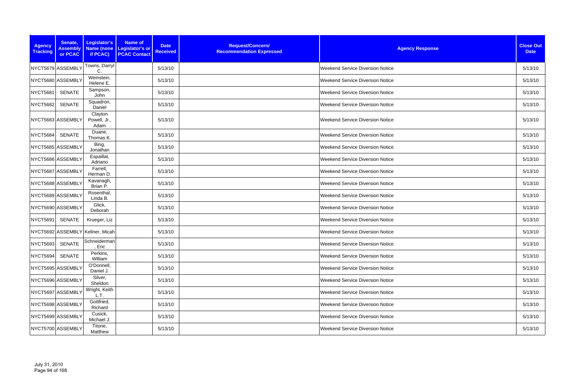| <b>Agency</b><br><b>Tracking</b> | Senate,<br><b>Assembly</b><br>or PCAC | Legislator's<br>if PCAC)         | <b>Name of</b><br>Name (none Legislator's or<br><b>PCAC Contact</b> | <b>Date</b><br><b>Received</b> | Request/Concern/<br><b>Recommendation Expressed</b> | <b>Agency Response</b>                  | <b>Close Out</b><br><b>Date</b> |
|----------------------------------|---------------------------------------|----------------------------------|---------------------------------------------------------------------|--------------------------------|-----------------------------------------------------|-----------------------------------------|---------------------------------|
|                                  | NYCT5679 ASSEMBLY                     | Towns, Darryl<br>C.              |                                                                     | 5/13/10                        |                                                     | <b>Weekend Service Diversion Notice</b> | 5/13/10                         |
|                                  | NYCT5680 ASSEMBLY                     | Weinstein,<br>Helene E.          |                                                                     | 5/13/10                        |                                                     | <b>Weekend Service Diversion Notice</b> | 5/13/10                         |
| <b>NYCT5681</b>                  | <b>SENATE</b>                         | Sampson,<br>John                 |                                                                     | 5/13/10                        |                                                     | <b>Weekend Service Diversion Notice</b> | 5/13/10                         |
| <b>NYCT5682</b>                  | <b>SENATE</b>                         | Squadron,<br>Daniel              |                                                                     | 5/13/10                        |                                                     | Weekend Service Diversion Notice        | 5/13/10                         |
|                                  | NYCT5683 ASSEMBLY                     | Clayton<br>Powell, Jr.,<br>Adam  |                                                                     | 5/13/10                        |                                                     | <b>Weekend Service Diversion Notice</b> | 5/13/10                         |
| <b>NYCT5684</b>                  | <b>SENATE</b>                         | Duane,<br>Thomas K.              |                                                                     | 5/13/10                        |                                                     | <b>Weekend Service Diversion Notice</b> | 5/13/10                         |
|                                  | NYCT5685 ASSEMBLY                     | Bing,<br>Jonathan                |                                                                     | 5/13/10                        |                                                     | <b>Weekend Service Diversion Notice</b> | 5/13/10                         |
|                                  | NYCT5686 ASSEMBLY                     | Espaillat,<br>Adriano            |                                                                     | 5/13/10                        |                                                     | Weekend Service Diversion Notice        | 5/13/10                         |
|                                  | NYCT5687 ASSEMBLY                     | Farrell,<br>Herman D.            |                                                                     | 5/13/10                        |                                                     | <b>Weekend Service Diversion Notice</b> | 5/13/10                         |
|                                  | NYCT5688 ASSEMBLY                     | Kavanagh,<br>Brian P.            |                                                                     | 5/13/10                        |                                                     | <b>Weekend Service Diversion Notice</b> | 5/13/10                         |
|                                  | NYCT5689 ASSEMBLY                     | Rosenthal,<br>Linda B.           |                                                                     | 5/13/10                        |                                                     | <b>Weekend Service Diversion Notice</b> | 5/13/10                         |
|                                  | NYCT5690 ASSEMBLY                     | Glick,<br>Deborah                |                                                                     | 5/13/10                        |                                                     | <b>Weekend Service Diversion Notice</b> | 5/13/10                         |
| <b>NYCT5691</b>                  | <b>SENATE</b>                         | Krueger, Liz                     |                                                                     | 5/13/10                        |                                                     | <b>Weekend Service Diversion Notice</b> | 5/13/10                         |
|                                  |                                       | NYCT5692 ASSEMBLY Kellner, Micah |                                                                     | 5/13/10                        |                                                     | <b>Weekend Service Diversion Notice</b> | 5/13/10                         |
|                                  | NYCT5693 SENATE                       | Schneiderman<br>, Eric           |                                                                     | 5/13/10                        |                                                     | <b>Weekend Service Diversion Notice</b> | 5/13/10                         |
| NYCT5694                         | <b>SENATE</b>                         | Perkins,<br>William              |                                                                     | 5/13/10                        |                                                     | <b>Weekend Service Diversion Notice</b> | 5/13/10                         |
|                                  | NYCT5695 ASSEMBLY                     | O'Donnell,<br>Daniel J.          |                                                                     | 5/13/10                        |                                                     | <b>Weekend Service Diversion Notice</b> | 5/13/10                         |
|                                  | NYCT5696 ASSEMBLY                     | Silver,<br>Sheldon               |                                                                     | 5/13/10                        |                                                     | <b>Weekend Service Diversion Notice</b> | 5/13/10                         |
|                                  | NYCT5697 ASSEMBLY                     | Wright, Keith<br>L.T.            |                                                                     | 5/13/10                        |                                                     | <b>Weekend Service Diversion Notice</b> | 5/13/10                         |
|                                  | NYCT5698 ASSEMBLY                     | Gottfried,<br>Richard            |                                                                     | 5/13/10                        |                                                     | <b>Weekend Service Diversion Notice</b> | 5/13/10                         |
|                                  | NYCT5699 ASSEMBLY                     | Cusick,<br>Michael J.            |                                                                     | 5/13/10                        |                                                     | <b>Weekend Service Diversion Notice</b> | 5/13/10                         |
|                                  | NYCT5700 ASSEMBLY                     | Titone,<br>Matthew               |                                                                     | 5/13/10                        |                                                     | <b>Weekend Service Diversion Notice</b> | 5/13/10                         |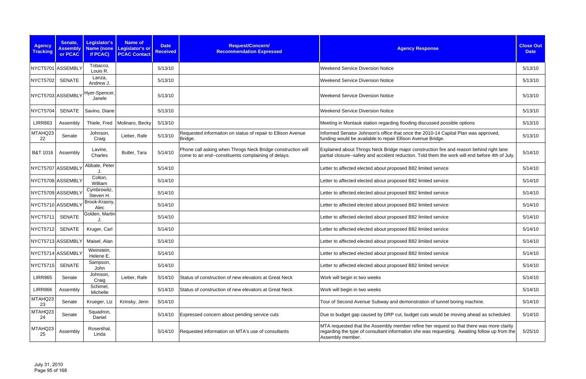| <b>Agency</b><br><b>Tracking</b> | Senate,<br><b>Assembly</b><br>or PCAC | Legislator's<br>if PCAC) | <b>Name of</b><br>Name (none Legislator's or<br><b>PCAC Contact</b> | <b>Date</b><br><b>Received</b> | Request/Concern/<br><b>Recommendation Expressed</b>                                                                | <b>Agency Response</b>                                                                                                                                                                                       | <b>Close Out</b><br><b>Date</b> |
|----------------------------------|---------------------------------------|--------------------------|---------------------------------------------------------------------|--------------------------------|--------------------------------------------------------------------------------------------------------------------|--------------------------------------------------------------------------------------------------------------------------------------------------------------------------------------------------------------|---------------------------------|
|                                  | NYCT5701 ASSEMBLY                     | Tobacco,<br>Louis R.     |                                                                     | 5/13/10                        |                                                                                                                    | <b>Weekend Service Diversion Notice</b>                                                                                                                                                                      | 5/13/10                         |
| <b>NYCT5702</b>                  | <b>SENATE</b>                         | Lanza,<br>Andrew J.      |                                                                     | 5/13/10                        |                                                                                                                    | <b>Weekend Service Diversion Notice</b>                                                                                                                                                                      | 5/13/10                         |
|                                  | NYCT5703 ASSEMBLY                     | Hyer-Spencer,<br>Janele  |                                                                     | 5/13/10                        |                                                                                                                    | <b>Weekend Service Diversion Notice</b>                                                                                                                                                                      | 5/13/10                         |
| <b>NYCT5704</b>                  | <b>SENATE</b>                         | Savino, Diane            |                                                                     | 5/13/10                        |                                                                                                                    | <b>Weekend Service Diversion Notice</b>                                                                                                                                                                      | 5/13/10                         |
| <b>LIRR863</b>                   | Assembly                              | Thiele, Fred             | Molinaro, Becky                                                     | 5/13/10                        |                                                                                                                    | Meeting in Montauk station regarding flooding discussed possible options                                                                                                                                     | 5/13/10                         |
| MTAHQ23<br>22                    | Senate                                | Johnson,<br>Craig        | Lieber, Rafe                                                        | 5/13/10                        | Requested informaiton on status of repair to Ellison Avenue<br>Bridge.                                             | Informed Senator Johnson's office that once the 2010-14 Capital Plan was approved,<br>funding would be available to repair Ellison Avenue Bridge.                                                            | 5/13/10                         |
| <b>B&amp;T 1016</b>              | Assembly                              | Lavine,<br>Charles       | Butler, Tara                                                        | 5/14/10                        | Phone call asking when Throgs Neck Bridge construction will<br>come to an end--constituents complaining of delays. | Explained about Throgs Neck Bridge major construction fire and reason behind right lane<br>partial closure--safety and accident reduction. Told them the work will end before 4th of July.                   | 5/14/10                         |
|                                  | NYCT5707 ASSEMBLY                     | Abbate, Peter            |                                                                     | 5/14/10                        |                                                                                                                    | Letter to affected elected about proposed B82 limited service                                                                                                                                                | 5/14/10                         |
|                                  | NYCT5708 ASSEMBLY                     | Colton,<br>William       |                                                                     | 5/14/10                        |                                                                                                                    | Letter to affected elected about proposed B82 limited service                                                                                                                                                | 5/14/10                         |
|                                  | NYCT5709 ASSEMBLY                     | Cymbrowitz,<br>Steven H. |                                                                     | 5/14/10                        |                                                                                                                    | Letter to affected elected about proposed B82 limited service                                                                                                                                                | 5/14/10                         |
|                                  | NYCT5710 ASSEMBLY                     | Brook-Krasny,<br>Alec    |                                                                     | 5/14/10                        |                                                                                                                    | Letter to affected elected about proposed B82 limited service                                                                                                                                                | 5/14/10                         |
| <b>NYCT5711</b>                  | <b>SENATE</b>                         | Golden, Martin           |                                                                     | 5/14/10                        |                                                                                                                    | Letter to affected elected about proposed B82 limited service                                                                                                                                                | 5/14/10                         |
| <b>NYCT5712</b>                  | <b>SENATE</b>                         | Kruger, Carl             |                                                                     | 5/14/10                        |                                                                                                                    | Letter to affected elected about proposed B82 limited service                                                                                                                                                | 5/14/10                         |
|                                  | NYCT5713 ASSEMBLY                     | Maisel, Alan             |                                                                     | 5/14/10                        |                                                                                                                    | Letter to affected elected about proposed B82 limited service                                                                                                                                                | 5/14/10                         |
|                                  | NYCT5714 ASSEMBLY                     | Weinstein,<br>Helene E.  |                                                                     | 5/14/10                        |                                                                                                                    | Letter to affected elected about proposed B82 limited service                                                                                                                                                | 5/14/10                         |
| <b>NYCT5715</b>                  | <b>SENATE</b>                         | Sampson,<br>John         |                                                                     | 5/14/10                        |                                                                                                                    | Letter to affected elected about proposed B82 limited service                                                                                                                                                | 5/14/10                         |
| <b>LIRR865</b>                   | Senate                                | Johnson,<br>Craig        | Lieber, Rafe                                                        | 5/14/10                        | Status of construction of new elevators at Great Neck                                                              | Work will begin in two weeks                                                                                                                                                                                 | 5/14/10                         |
| <b>LIRR866</b>                   | Assembly                              | Schimel,<br>Michelle     |                                                                     | 5/14/10                        | Status of construction of new elevators at Great Neck                                                              | Work will begin in two weeks                                                                                                                                                                                 | 5/14/10                         |
| MTAHQ23<br>23                    | Senate                                | Krueger, Liz             | Krinsky, Jenn                                                       | 5/14/10                        |                                                                                                                    | Tour of Second Avenue Subway and demonstration of tunnel boring machine.                                                                                                                                     | 5/14/10                         |
| MTAHQ23<br>24                    | Senate                                | Squadron,<br>Daniel      |                                                                     | 5/14/10                        | Expressed concern about pending service cuts                                                                       | Due to budget gap caused by DRP cut, budget cuts would be moving ahead as scheduled.                                                                                                                         | 5/14/10                         |
| MTAHQ23<br>25                    | Assembly                              | Rosenthal,<br>Linda      |                                                                     | 5/14/10                        | Requested information on MTA's use of consultants                                                                  | MTA requested that the Assembly member refine her request so that there was more clarity<br>regarding the type of consultant information she was requesting. Awaiting follow up from the<br>Assembly member. | 5/25/10                         |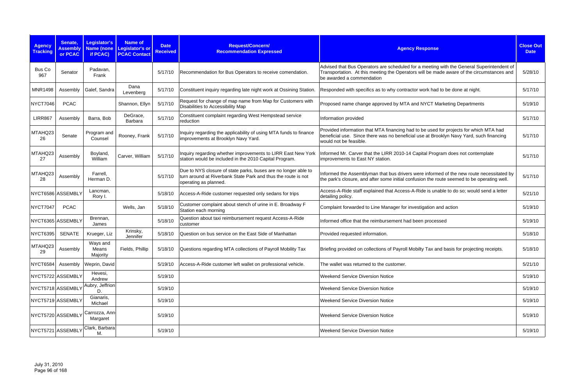| <b>Agency</b><br><b>Tracking</b> | Senate,<br><b>Assembly</b><br>or PCAC | Legislator's<br><b>Name (none</b><br>if PCAC) | <b>Name of</b><br>Legislator's or<br><b>PCAC Contact</b> | <b>Date</b><br><b>Received</b> | Request/Concern/<br><b>Recommendation Expressed</b>                                                                                                      | <b>Agency Response</b>                                                                                                                                                                                              | <b>Close Out</b><br><b>Date</b> |
|----------------------------------|---------------------------------------|-----------------------------------------------|----------------------------------------------------------|--------------------------------|----------------------------------------------------------------------------------------------------------------------------------------------------------|---------------------------------------------------------------------------------------------------------------------------------------------------------------------------------------------------------------------|---------------------------------|
| Bus Co<br>967                    | Senator                               | Padavan,<br>Frank                             |                                                          | 5/17/10                        | Recommendation for Bus Operators to receive comendation.                                                                                                 | Advised that Bus Operators are scheduled for a meeting with the General Superintendent of<br>Transportation. At this meeting the Operators will be made aware of the circumstances and<br>be awarded a commendation | 5/28/10                         |
| <b>MNR1498</b>                   | Assembly                              | Galef, Sandra                                 | Dana<br>Levenberg                                        | 5/17/10                        | Constituent inquiry regarding late night work at Ossining Station.                                                                                       | Responded with specifics as to why contractor work had to be done at night.                                                                                                                                         | 5/17/10                         |
| NYCT7046                         | <b>PCAC</b>                           |                                               | Shannon, Ellyn                                           | 5/17/10                        | Request for change of map name from Map for Customers with<br>Disabilities to Accessibility Map                                                          | Proposed name change approved by MTA and NYCT Marketing Departments                                                                                                                                                 | 5/19/10                         |
| <b>LIRR867</b>                   | Assembly                              | Barra, Bob                                    | DeGrace,<br>Barbara                                      | 5/17/10                        | Constituent complaint regarding West Hempstead service<br>reduction                                                                                      | Information provided                                                                                                                                                                                                | 5/17/10                         |
| MTAHQ23<br>26                    | Senate                                | Program and<br>Counsel                        | Rooney, Frank                                            | 5/17/10                        | Inquiry regarding the applicability of using MTA funds to finance<br>improvements at Brooklyn Navy Yard.                                                 | Provided information that MTA financing had to be used for projects for which MTA had<br>beneficial use. Since there was no beneficial use at Brooklyn Navy Yard, such financing<br>would not be feasible.          | 5/17/10                         |
| MTAHQ23<br>27                    | Assembly                              | Boyland,<br>William                           | Carver, William                                          | 5/17/10                        | Inquiry regarding whether improvements to LIRR East New York<br>station would be included in the 2010 Capital Program.                                   | Informed Mr. Carver that the LIRR 2010-14 Capital Program does not contemplate<br>improvements to East NY station.                                                                                                  | 5/17/10                         |
| MTAHQ23<br>28                    | Assembly                              | Farrell,<br>Herman D.                         |                                                          | 5/17/10                        | Due to NYS closure of state parks, buses are no longer able to<br>turn around at Riverbank State Park and thus the route is not<br>operating as planned. | Informed the Assemblyman that bus drivers were informed of the new route necessitated by<br>the park's closure, and after some initial confusion the route seemed to be operating well.                             | 5/17/10                         |
| NYCT6586 ASSEMBLY                |                                       | Lancman,<br>Rory I.                           |                                                          | 5/18/10                        | Access-A-Ride customer requested only sedans for trips                                                                                                   | Access-A-Ride staff explained that Access-A-Ride is unable to do so; would send a letter<br>detailing policy.                                                                                                       | 5/21/10                         |
| NYCT7047                         | <b>PCAC</b>                           |                                               | Wells, Jan                                               | 5/18/10                        | Customer complaint about stench of urine in E. Broadway F<br>Station each morning                                                                        | Complaint forwarded to Line Manager for investigation and action                                                                                                                                                    | 5/19/10                         |
| NYCT6365 ASSEMBLY                |                                       | Brennan,<br>James                             |                                                          | 5/18/10                        | Question about taxi reimbursement request Access-A-Ride<br>customer                                                                                      | Informed office that the reimbursement had been processed                                                                                                                                                           | 5/19/10                         |
| NYCT6395                         | <b>SENATE</b>                         | Krueger, Liz                                  | Krinsky,<br>Jennifer                                     | 5/18/10                        | Question on bus service on the East Side of Manhattan                                                                                                    | Provided requested information.                                                                                                                                                                                     | 5/18/10                         |
| MTAHQ23<br>29                    | Assembly                              | Ways and<br>Means<br>Majority                 | Fields, Phillip                                          |                                | 5/18/10 Questions regarding MTA collections of Payroll Mobility Tax                                                                                      | Briefing provided on collections of Payroll Mobilty Tax and basis for projecting receipts.                                                                                                                          | 5/18/10                         |
| NYCT6584                         | Assembly                              | Weprin, David                                 |                                                          | 5/19/10                        | Access-A-Ride customer left wallet on professional vehicle.                                                                                              | The wallet was returned to the customer.                                                                                                                                                                            | 5/21/10                         |
|                                  | NYCT5722 ASSEMBLY                     | Hevesi,<br>Andrew                             |                                                          | 5/19/10                        |                                                                                                                                                          | <b>Weekend Service Diversion Notice</b>                                                                                                                                                                             | 5/19/10                         |
|                                  | NYCT5718 ASSEMBLY                     | Aubry, Jeffrion<br>D.                         |                                                          | 5/19/10                        |                                                                                                                                                          | <b>Weekend Service Diversion Notice</b>                                                                                                                                                                             | 5/19/10                         |
|                                  | NYCT5719 ASSEMBLY                     | Gianaris,<br>Michael                          |                                                          | 5/19/10                        |                                                                                                                                                          | <b>Weekend Service Diversion Notice</b>                                                                                                                                                                             | 5/19/10                         |
|                                  | NYCT5720 ASSEMBLY                     | Carrozza, Ann-<br>Margaret                    |                                                          | 5/19/10                        |                                                                                                                                                          | <b>Weekend Service Diversion Notice</b>                                                                                                                                                                             | 5/19/10                         |
|                                  | NYCT5721 ASSEMBLY                     | Clark, Barbara<br>М.                          |                                                          | 5/19/10                        |                                                                                                                                                          | <b>Weekend Service Diversion Notice</b>                                                                                                                                                                             | 5/19/10                         |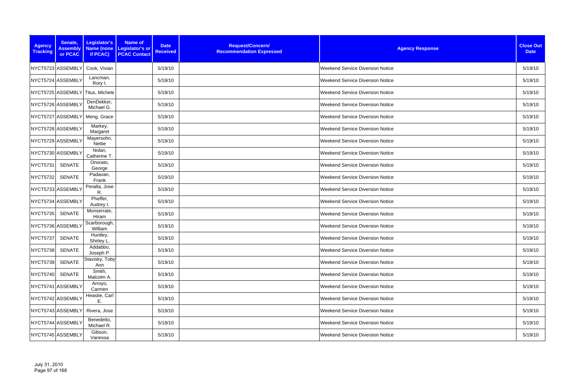| <b>Agency</b><br><b>Tracking</b> | Senate,<br><b>Assembly</b><br>or PCAC | Legislator's<br>if PCAC)         | Name of<br><b>Date</b><br>Name (none Legislator's or<br><b>Received</b><br><b>PCAC Contact</b> | Request/Concern/<br><b>Recommendation Expressed</b> | <b>Agency Response</b>                  | <b>Close Out</b><br><b>Date</b> |
|----------------------------------|---------------------------------------|----------------------------------|------------------------------------------------------------------------------------------------|-----------------------------------------------------|-----------------------------------------|---------------------------------|
|                                  | NYCT5723 ASSEMBLY                     | Cook, Vivian                     | 5/19/10                                                                                        |                                                     | <b>Weekend Service Diversion Notice</b> | 5/19/10                         |
|                                  | NYCT5724 ASSEMBLY                     | Lancman,<br>Rory I.              | 5/19/10                                                                                        |                                                     | Weekend Service Diversion Notice        | 5/19/10                         |
|                                  |                                       | NYCT5725 ASSEMBLY Titus, Michele | 5/19/10                                                                                        |                                                     | <b>Weekend Service Diversion Notice</b> | 5/19/10                         |
|                                  | NYCT5726 ASSEMBLY                     | DenDekker,<br>Michael G.         | 5/19/10                                                                                        |                                                     | <b>Weekend Service Diversion Notice</b> | 5/19/10                         |
|                                  | NYCT5727 ASSEMBLY                     | Meng, Grace                      | 5/19/10                                                                                        |                                                     | <b>Weekend Service Diversion Notice</b> | 5/19/10                         |
|                                  | NYCT5728 ASSEMBLY                     | Markey,<br>Margaret              | 5/19/10                                                                                        |                                                     | <b>Weekend Service Diversion Notice</b> | 5/19/10                         |
|                                  | NYCT5729 ASSEMBLY                     | Mayersohn,<br>Nettie             | 5/19/10                                                                                        |                                                     | <b>Weekend Service Diversion Notice</b> | 5/19/10                         |
|                                  | NYCT5730 ASSEMBLY                     | Nolan,<br>Catherine T.           | 5/19/10                                                                                        |                                                     | <b>Weekend Service Diversion Notice</b> | 5/19/10                         |
| NYCT5731                         | <b>SENATE</b>                         | Onorato,<br>George               | 5/19/10                                                                                        |                                                     | <b>Weekend Service Diversion Notice</b> | 5/19/10                         |
| <b>NYCT5732</b>                  | <b>SENATE</b>                         | Padavan,<br>Frank                | 5/19/10                                                                                        |                                                     | <b>Weekend Service Diversion Notice</b> | 5/19/10                         |
|                                  | NYCT5733 ASSEMBLY                     | Peralta, Jose<br>R.              | 5/19/10                                                                                        |                                                     | <b>Weekend Service Diversion Notice</b> | 5/19/10                         |
|                                  | NYCT5734 ASSEMBLY                     | Pheffer,<br>Audrey I.            | 5/19/10                                                                                        |                                                     | <b>Weekend Service Diversion Notice</b> | 5/19/10                         |
| <b>NYCT5735</b>                  | <b>SENATE</b>                         | Monserrate,<br>Hiram             | 5/19/10                                                                                        |                                                     | Weekend Service Diversion Notice        | 5/19/10                         |
|                                  | NYCT5736 ASSEMBLY                     | Scarborough,<br>William          | 5/19/10                                                                                        |                                                     | Weekend Service Diversion Notice        | 5/19/10                         |
| NYCT5737                         | <b>SENATE</b>                         | Huntley,<br>Shirley L.           | 5/19/10                                                                                        |                                                     | <b>Weekend Service Diversion Notice</b> | 5/19/10                         |
| NYCT5738                         | SENATE                                | Addabbo,<br>Joseph P.            | 5/19/10                                                                                        |                                                     | Weekend Service Diversion Notice        | 5/19/10                         |
| NYCT5739                         | <b>SENATE</b>                         | Stavisky, Toby<br>Ann            | 5/19/10                                                                                        |                                                     | <b>Weekend Service Diversion Notice</b> | 5/19/10                         |
| <b>NYCT5740</b>                  | <b>SENATE</b>                         | Smith,<br>Malcolm A.             | 5/19/10                                                                                        |                                                     | <b>Weekend Service Diversion Notice</b> | 5/19/10                         |
|                                  | NYCT5741 ASSEMBLY                     | Arroyo,<br>Carmen                | 5/19/10                                                                                        |                                                     | <b>Weekend Service Diversion Notice</b> | 5/19/10                         |
|                                  | NYCT5742 ASSEMBLY                     | Heastie, Carl<br>Е.              | 5/19/10                                                                                        |                                                     | <b>Weekend Service Diversion Notice</b> | 5/19/10                         |
|                                  | NYCT5743 ASSEMBLY                     | Rivera, Jose                     | 5/19/10                                                                                        |                                                     | <b>Weekend Service Diversion Notice</b> | 5/19/10                         |
|                                  | NYCT5744 ASSEMBLY                     | Benedetto,<br>Michael R.         | 5/19/10                                                                                        |                                                     | <b>Weekend Service Diversion Notice</b> | 5/19/10                         |
|                                  | NYCT5745 ASSEMBLY                     | Gibson,<br>Vanessa               | 5/19/10                                                                                        |                                                     | <b>Weekend Service Diversion Notice</b> | 5/19/10                         |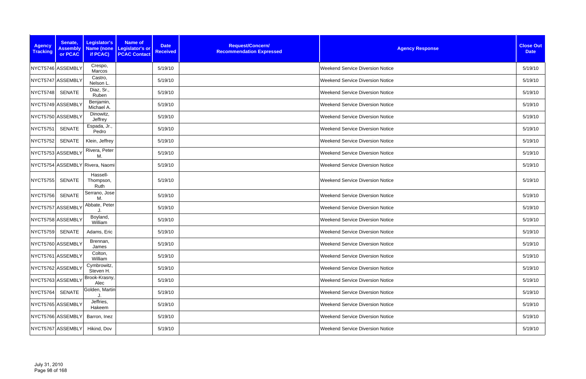| <b>Agency</b><br><b>Tracking</b> | Senate,<br><b>Assembly</b><br>or PCAC | Legislator's<br>if PCAC)        | <b>Name of</b><br>Name (none Legislator's or<br><b>PCAC Contact</b> | <b>Date</b><br><b>Received</b> | Request/Concern/<br><b>Recommendation Expressed</b> | <b>Agency Response</b>                  | <b>Close Out</b><br><b>Date</b> |
|----------------------------------|---------------------------------------|---------------------------------|---------------------------------------------------------------------|--------------------------------|-----------------------------------------------------|-----------------------------------------|---------------------------------|
|                                  | NYCT5746 ASSEMBLY                     | Crespo,<br>Marcos               |                                                                     | 5/19/10                        |                                                     | <b>Weekend Service Diversion Notice</b> | 5/19/10                         |
|                                  | NYCT5747 ASSEMBLY                     | Castro,<br>Nelson L.            |                                                                     | 5/19/10                        |                                                     | <b>Weekend Service Diversion Notice</b> | 5/19/10                         |
| <b>NYCT5748</b>                  | <b>SENATE</b>                         | Diaz, Sr.,<br>Ruben             |                                                                     | 5/19/10                        |                                                     | <b>Weekend Service Diversion Notice</b> | 5/19/10                         |
|                                  | NYCT5749 ASSEMBLY                     | Benjamin,<br>Michael A.         |                                                                     | 5/19/10                        |                                                     | Weekend Service Diversion Notice        | 5/19/10                         |
|                                  | NYCT5750 ASSEMBLY                     | Dinowitz,<br>Jeffrey            |                                                                     | 5/19/10                        |                                                     | <b>Weekend Service Diversion Notice</b> | 5/19/10                         |
| <b>NYCT5751</b>                  | <b>SENATE</b>                         | Espada, Jr.,<br>Pedro           |                                                                     | 5/19/10                        |                                                     | <b>Weekend Service Diversion Notice</b> | 5/19/10                         |
| <b>NYCT5752</b>                  | <b>SENATE</b>                         | Klein, Jeffrey                  |                                                                     | 5/19/10                        |                                                     | <b>Weekend Service Diversion Notice</b> | 5/19/10                         |
|                                  | NYCT5753 ASSEMBLY                     | Rivera, Peter<br>М.             |                                                                     | 5/19/10                        |                                                     | <b>Weekend Service Diversion Notice</b> | 5/19/10                         |
|                                  |                                       | NYCT5754 ASSEMBLY Rivera, Naomi |                                                                     | 5/19/10                        |                                                     | <b>Weekend Service Diversion Notice</b> | 5/19/10                         |
| <b>NYCT5755</b>                  | <b>SENATE</b>                         | Hassell-<br>Thompson,<br>Ruth   |                                                                     | 5/19/10                        |                                                     | <b>Weekend Service Diversion Notice</b> | 5/19/10                         |
| <b>NYCT5756</b>                  | <b>SENATE</b>                         | Serrano, Jose<br>M.             |                                                                     | 5/19/10                        |                                                     | <b>Weekend Service Diversion Notice</b> | 5/19/10                         |
|                                  | NYCT5757 ASSEMBLY                     | Abbate, Peter                   |                                                                     | 5/19/10                        |                                                     | <b>Weekend Service Diversion Notice</b> | 5/19/10                         |
|                                  | NYCT5758 ASSEMBLY                     | Boyland,<br>William             |                                                                     | 5/19/10                        |                                                     | <b>Weekend Service Diversion Notice</b> | 5/19/10                         |
| NYCT5759                         | SENATE                                | Adams, Eric                     |                                                                     | 5/19/10                        |                                                     | <b>Weekend Service Diversion Notice</b> | 5/19/10                         |
|                                  | NYCT5760 ASSEMBLY                     | Brennan,<br>James               |                                                                     | 5/19/10                        |                                                     | <b>Weekend Service Diversion Notice</b> | 5/19/10                         |
|                                  | NYCT5761 ASSEMBLY                     | Colton,<br>William              |                                                                     | 5/19/10                        |                                                     | Weekend Service Diversion Notice        | 5/19/10                         |
|                                  | NYCT5762 ASSEMBLY                     | Cymbrowitz,<br>Steven H.        |                                                                     | 5/19/10                        |                                                     | <b>Weekend Service Diversion Notice</b> | 5/19/10                         |
|                                  | NYCT5763 ASSEMBLY                     | Brook-Krasny,<br>Alec           |                                                                     | 5/19/10                        |                                                     | <b>Weekend Service Diversion Notice</b> | 5/19/10                         |
| NYCT5764                         | <b>SENATE</b>                         | Golden, Martin                  |                                                                     | 5/19/10                        |                                                     | <b>Weekend Service Diversion Notice</b> | 5/19/10                         |
|                                  | NYCT5765 ASSEMBLY                     | Jeffries,<br>Hakeem             |                                                                     | 5/19/10                        |                                                     | <b>Weekend Service Diversion Notice</b> | 5/19/10                         |
|                                  | NYCT5766 ASSEMBLY                     | Barron, Inez                    |                                                                     | 5/19/10                        |                                                     | <b>Weekend Service Diversion Notice</b> | 5/19/10                         |
|                                  | NYCT5767 ASSEMBLY                     | Hikind, Dov                     |                                                                     | 5/19/10                        |                                                     | <b>Weekend Service Diversion Notice</b> | 5/19/10                         |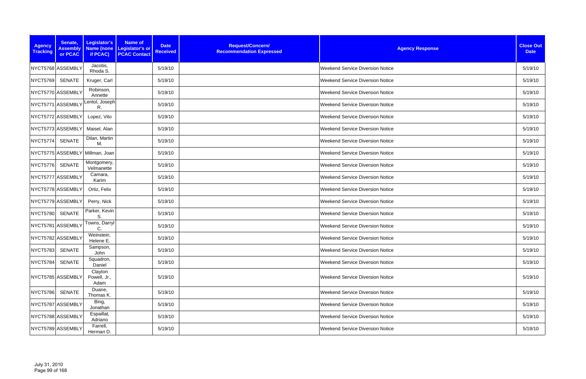| <b>Agency</b><br><b>Tracking</b> | Senate,<br><b>Assembly</b><br>or PCAC | Legislator's<br>if PCAC)        | <b>Name of</b><br>Name (none   Legislator's or<br><b>PCAC Contact</b> | <b>Date</b><br><b>Received</b> | Request/Concern/<br><b>Recommendation Expressed</b> | <b>Agency Response</b>                  | <b>Close Out</b><br><b>Date</b> |
|----------------------------------|---------------------------------------|---------------------------------|-----------------------------------------------------------------------|--------------------------------|-----------------------------------------------------|-----------------------------------------|---------------------------------|
|                                  | NYCT5768 ASSEMBLY                     | Jacobs,<br>Rhoda S.             |                                                                       | 5/19/10                        |                                                     | <b>Weekend Service Diversion Notice</b> | 5/19/10                         |
| <b>NYCT5769</b>                  | SENATE                                | Kruger, Carl                    |                                                                       | 5/19/10                        |                                                     | <b>Weekend Service Diversion Notice</b> | 5/19/10                         |
|                                  | NYCT5770 ASSEMBLY                     | Robinson,<br>Annette            |                                                                       | 5/19/10                        |                                                     | <b>Weekend Service Diversion Notice</b> | 5/19/10                         |
|                                  | NYCT5771 ASSEMBLY                     | Lentol, Joseph<br>R.            |                                                                       | 5/19/10                        |                                                     | Weekend Service Diversion Notice        | 5/19/10                         |
|                                  | NYCT5772 ASSEMBLY                     | Lopez, Vito                     |                                                                       | 5/19/10                        |                                                     | <b>Weekend Service Diversion Notice</b> | 5/19/10                         |
|                                  | NYCT5773 ASSEMBLY                     | Maisel, Alan                    |                                                                       | 5/19/10                        |                                                     | <b>Weekend Service Diversion Notice</b> | 5/19/10                         |
| <b>NYCT5774</b>                  | <b>SENATE</b>                         | Dilan, Martin<br>M.             |                                                                       | 5/19/10                        |                                                     | <b>Weekend Service Diversion Notice</b> | 5/19/10                         |
|                                  | NYCT5775 ASSEMBLY                     | Millman, Joan                   |                                                                       | 5/19/10                        |                                                     | <b>Weekend Service Diversion Notice</b> | 5/19/10                         |
| <b>NYCT5776</b>                  | <b>SENATE</b>                         | Montgomery,<br>Velmanette       |                                                                       | 5/19/10                        |                                                     | <b>Weekend Service Diversion Notice</b> | 5/19/10                         |
|                                  | NYCT5777 ASSEMBLY                     | Camara,<br>Karim                |                                                                       | 5/19/10                        |                                                     | <b>Weekend Service Diversion Notice</b> | 5/19/10                         |
|                                  | NYCT5778 ASSEMBLY                     | Ortiz, Felix                    |                                                                       | 5/19/10                        |                                                     | Weekend Service Diversion Notice        | 5/19/10                         |
|                                  | NYCT5779 ASSEMBLY                     | Perry, Nick                     |                                                                       | 5/19/10                        |                                                     | <b>Weekend Service Diversion Notice</b> | 5/19/10                         |
| <b>NYCT5780</b>                  | <b>SENATE</b>                         | Parker, Kevin<br>S.             |                                                                       | 5/19/10                        |                                                     | Weekend Service Diversion Notice        | 5/19/10                         |
|                                  | NYCT5781 ASSEMBLY                     | Towns, Darryl<br>С.             |                                                                       | 5/19/10                        |                                                     | <b>Weekend Service Diversion Notice</b> | 5/19/10                         |
|                                  | NYCT5782 ASSEMBLY                     | Weinstein,<br>Helene E.         |                                                                       | 5/19/10                        |                                                     | <b>Weekend Service Diversion Notice</b> | 5/19/10                         |
| <b>NYCT5783</b>                  | SENATE                                | Sampson,<br>John                |                                                                       | 5/19/10                        |                                                     | <b>Weekend Service Diversion Notice</b> | 5/19/10                         |
| <b>NYCT5784</b>                  | <b>SENATE</b>                         | Squadron,<br>Daniel             |                                                                       | 5/19/10                        |                                                     | <b>Weekend Service Diversion Notice</b> | 5/19/10                         |
|                                  | NYCT5785 ASSEMBLY                     | Clayton<br>Powell, Jr.,<br>Adam |                                                                       | 5/19/10                        |                                                     | <b>Weekend Service Diversion Notice</b> | 5/19/10                         |
| <b>NYCT5786</b>                  | SENATE                                | Duane,<br>Thomas K.             |                                                                       | 5/19/10                        |                                                     | <b>Weekend Service Diversion Notice</b> | 5/19/10                         |
|                                  | NYCT5787 ASSEMBLY                     | Bing,<br>Jonathan               |                                                                       | 5/19/10                        |                                                     | <b>Weekend Service Diversion Notice</b> | 5/19/10                         |
|                                  | NYCT5788 ASSEMBLY                     | Espaillat,<br>Adriano           |                                                                       | 5/19/10                        |                                                     | <b>Weekend Service Diversion Notice</b> | 5/19/10                         |
|                                  | NYCT5789 ASSEMBLY                     | Farrell,<br>Herman D.           |                                                                       | 5/19/10                        |                                                     | <b>Weekend Service Diversion Notice</b> | 5/19/10                         |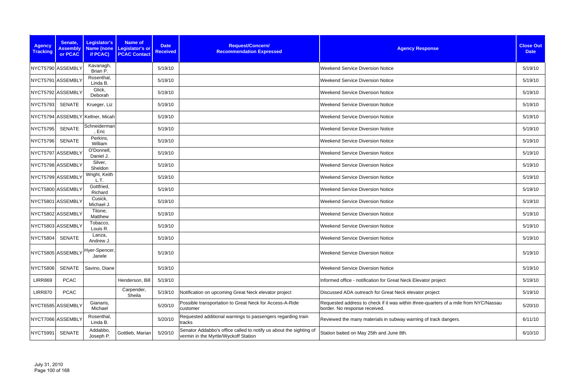| <b>Agency</b><br><b>Tracking</b> | Senate,<br><b>Assembly</b><br>or PCAC | Legislator's<br>if PCAC)         | Name of<br>Name (none   Legislator's or<br><b>PCAC Contact</b> | <b>Date</b><br><b>Received</b> | Request/Concern/<br><b>Recommendation Expressed</b>                                                        | <b>Agency Response</b>                                                                                                | <b>Close Out</b><br><b>Date</b> |
|----------------------------------|---------------------------------------|----------------------------------|----------------------------------------------------------------|--------------------------------|------------------------------------------------------------------------------------------------------------|-----------------------------------------------------------------------------------------------------------------------|---------------------------------|
|                                  | NYCT5790 ASSEMBLY                     | Kavanagh,<br>Brian P.            |                                                                | 5/19/10                        |                                                                                                            | <b>Weekend Service Diversion Notice</b>                                                                               | 5/19/10                         |
|                                  | NYCT5791 ASSEMBLY                     | Rosenthal,<br>Linda B.           |                                                                | 5/19/10                        |                                                                                                            | <b>Weekend Service Diversion Notice</b>                                                                               | 5/19/10                         |
|                                  | NYCT5792 ASSEMBLY                     | Glick,<br>Deborah                |                                                                | 5/19/10                        |                                                                                                            | <b>Weekend Service Diversion Notice</b>                                                                               | 5/19/10                         |
| <b>NYCT5793</b>                  | SENATE                                | Krueger, Liz                     |                                                                | 5/19/10                        |                                                                                                            | <b>Weekend Service Diversion Notice</b>                                                                               | 5/19/10                         |
|                                  |                                       | NYCT5794 ASSEMBLY Kellner, Micah |                                                                | 5/19/10                        |                                                                                                            | <b>Weekend Service Diversion Notice</b>                                                                               | 5/19/10                         |
| <b>NYCT5795</b>                  | <b>SENATE</b>                         | Schneiderman<br>, Eric           |                                                                | 5/19/10                        |                                                                                                            | <b>Weekend Service Diversion Notice</b>                                                                               | 5/19/10                         |
| <b>NYCT5796</b>                  | SENATE                                | Perkins,<br>William              |                                                                | 5/19/10                        |                                                                                                            | <b>Weekend Service Diversion Notice</b>                                                                               | 5/19/10                         |
|                                  | NYCT5797 ASSEMBLY                     | O'Donnell,<br>Daniel J.          |                                                                | 5/19/10                        |                                                                                                            | <b>Weekend Service Diversion Notice</b>                                                                               | 5/19/10                         |
|                                  | NYCT5798 ASSEMBLY                     | Silver,<br>Sheldon               |                                                                | 5/19/10                        |                                                                                                            | <b>Weekend Service Diversion Notice</b>                                                                               | 5/19/10                         |
|                                  | NYCT5799 ASSEMBLY                     | Wright, Keith<br>L.T.            |                                                                | 5/19/10                        |                                                                                                            | <b>Weekend Service Diversion Notice</b>                                                                               | 5/19/10                         |
|                                  | NYCT5800 ASSEMBLY                     | Gottfried,<br>Richard            |                                                                | 5/19/10                        |                                                                                                            | <b>Weekend Service Diversion Notice</b>                                                                               | 5/19/10                         |
|                                  | NYCT5801 ASSEMBLY                     | Cusick,<br>Michael J.            |                                                                | 5/19/10                        |                                                                                                            | <b>Weekend Service Diversion Notice</b>                                                                               | 5/19/10                         |
|                                  | NYCT5802 ASSEMBLY                     | Titone,<br>Matthew               |                                                                | 5/19/10                        |                                                                                                            | <b>Weekend Service Diversion Notice</b>                                                                               | 5/19/10                         |
|                                  | NYCT5803 ASSEMBLY                     | Tobacco,<br>Louis R.             |                                                                | 5/19/10                        |                                                                                                            | <b>Weekend Service Diversion Notice</b>                                                                               | 5/19/10                         |
| <b>NYCT5804</b>                  | <b>SENATE</b>                         | Lanza,<br>Andrew J.              |                                                                | 5/19/10                        |                                                                                                            | <b>Weekend Service Diversion Notice</b>                                                                               | 5/19/10                         |
|                                  | NYCT5805 ASSEMBLY                     | Hyer-Spencer,<br>Janele          |                                                                | 5/19/10                        |                                                                                                            | <b>Weekend Service Diversion Notice</b>                                                                               | 5/19/10                         |
| <b>NYCT5806</b>                  | <b>SENATE</b>                         | Savino, Diane                    |                                                                | 5/19/10                        |                                                                                                            | <b>Weekend Service Diversion Notice</b>                                                                               | 5/19/10                         |
| <b>LIRR869</b>                   | <b>PCAC</b>                           |                                  | Henderson, Bill                                                | 5/19/10                        |                                                                                                            | Informed office - notification for Great Neck Elevator project                                                        | 5/19/10                         |
| <b>LIRR870</b>                   | <b>PCAC</b>                           |                                  | Carpender,<br>Sheila                                           | 5/19/10                        | Notification on upcoming Great Neck elevator project                                                       | Discussed ADA outreach for Great Neck elevator project                                                                | 5/19/10                         |
|                                  | NYCT6585 ASSEMBLY                     | Gianaris,<br>Michael             |                                                                | 5/20/10                        | Possible transportation to Great Neck for Access-A-Ride<br>customer                                        | Requested address to check if it was within three-quarters of a mile from NYC/Nassau<br>border. No response received. | 5/20/10                         |
|                                  | NYCT7066 ASSEMBLY                     | Rosenthal,<br>Linda B.           |                                                                | 5/20/10                        | Requested additional warnings to passengers regarding train<br>tracks                                      | Reviewed the many materials in subway warning of track dangers.                                                       | 6/11/10                         |
| NYCT5991                         | SENATE                                | Addabbo,<br>Joseph P.            | Gottlieb, Marian                                               | 5/20/10                        | Senator Addabbo's office called to notify us about the sighting of<br>vermin in the Myrtle/Wyckoff Station | Station baited on May 25th and June 8th.                                                                              | 6/10/10                         |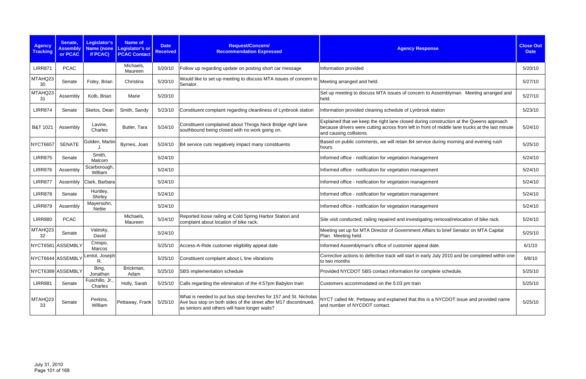| <b>Agency</b><br><b>Tracking</b> | Senate,<br><b>Assembly</b><br>or PCAC | <b>Legislator's</b><br>Name (none<br>if PCAC) | <b>Name of</b><br><b>Legislator's or</b><br><b>PCAC Contact</b> | <b>Date</b><br><b>Received</b> | Request/Concern/<br><b>Recommendation Expressed</b>                                                                                                                                  | <b>Agency Response</b>                                                                                                                                                                                                | <b>Close Out</b><br><b>Date</b> |
|----------------------------------|---------------------------------------|-----------------------------------------------|-----------------------------------------------------------------|--------------------------------|--------------------------------------------------------------------------------------------------------------------------------------------------------------------------------------|-----------------------------------------------------------------------------------------------------------------------------------------------------------------------------------------------------------------------|---------------------------------|
| <b>LIRR871</b>                   | <b>PCAC</b>                           |                                               | Michaels,<br>Maureen                                            | 5/20/10                        | Follow up regarding update on posting short car message                                                                                                                              | Information provided                                                                                                                                                                                                  | 5/20/10                         |
| MTAHQ23<br>30                    | Senate                                | Foley, Brian                                  | Christina                                                       | 5/20/10                        | Would like to set up meeting to discuss MTA issues of concern to<br>Senator.                                                                                                         | Meeting arranged and held.                                                                                                                                                                                            | 5/27/10                         |
| MTAHQ23<br>31                    | Assembly                              | Kolb, Brian                                   | Marie                                                           | 5/20/10                        |                                                                                                                                                                                      | Set up meeting to discuss MTA issues of concern to Assemblyman. Meeting arranged and<br>held.                                                                                                                         | 5/27/10                         |
| <b>LIRR874</b>                   | Senate                                | Skelos, Dean                                  | Smith, Sandy                                                    | 5/23/10                        | Constituent complaint regarding cleanliness of Lynbrook station                                                                                                                      | Information provided cleaning schedule of Lynbrook station                                                                                                                                                            | 5/23/10                         |
| B&T 1021                         | Assembly                              | Lavine,<br>Charles                            | Butler, Tara                                                    | 5/24/10                        | Constituent complained about Throgs Neck Bridge right lane<br>southbound being closed with no work going on.                                                                         | Explained that we keep the right lane closed during construction at the Queens approach<br>because drivers were cutting across from left in front of middle lane trucks at the last minute<br>and causing collisions. | 5/24/10                         |
| <b>NYCT6657</b>                  | <b>SENATE</b>                         | Golden, Martin                                | Byrnes, Joan                                                    | 5/24/10                        | B4 service cuts negatively impact many constituents                                                                                                                                  | Based on public comments, we will retain B4 service during morning and evening rush<br>hours.                                                                                                                         | 5/25/10                         |
| <b>LIRR875</b>                   | Senate                                | Smith,<br>Malcom                              |                                                                 | 5/24/10                        |                                                                                                                                                                                      | Informed office - notification for vegetation management                                                                                                                                                              | 5/24/10                         |
| <b>LIRR876</b>                   | Assembly                              | Scarborough,<br>William                       |                                                                 | 5/24/10                        |                                                                                                                                                                                      | Informed office - notification for vegetation management                                                                                                                                                              | 5/24/10                         |
| <b>LIRR877</b>                   | Assembly                              | Clark, Barbara                                |                                                                 | 5/24/10                        |                                                                                                                                                                                      | Informed office - notification for vegetation management                                                                                                                                                              | 5/24/10                         |
| <b>LIRR878</b>                   | Senate                                | Huntley,<br>Shirley                           |                                                                 | 5/24/10                        |                                                                                                                                                                                      | Informed office - notification for vegetation management                                                                                                                                                              | 5/24/10                         |
| <b>LIRR879</b>                   | Assembly                              | Mayersohn,<br>Nettie                          |                                                                 | 5/24/10                        |                                                                                                                                                                                      | Informed office - notification for vegetation management                                                                                                                                                              | 5/24/10                         |
| <b>LIRR880</b>                   | <b>PCAC</b>                           |                                               | Michaels,<br>Maureen                                            | 5/24/10                        | Reported loose railing at Cold Spring Harbor Station and<br>complaint about location of bike rack.                                                                                   | Site visit conducted; railing repaired and investigating removal/relocation of bike rack.                                                                                                                             | 5/24/10                         |
| MTAHQ23<br>32                    | Senate                                | Valesky,<br>David                             |                                                                 | 5/24/10                        |                                                                                                                                                                                      | Meeting set up for MTA Director of Government Affairs to brief Senator on MTA Capital<br>Plan. Meeting held.                                                                                                          | 5/25/10                         |
|                                  | NYCT6581 ASSEMBLY                     | Crespo,<br>Marcos                             |                                                                 | 5/25/10                        | Access-A-Ride customer eligibility appeal date                                                                                                                                       | Informed Assemblyman's office of customer appeal date.                                                                                                                                                                | 6/1/10                          |
|                                  | NYCT6644 ASSEMBLY                     | Lentol, Joseph<br>R.                          |                                                                 | 5/25/10                        | Constituent complaint about L line vibrations                                                                                                                                        | Corrective actions to defective track will start in early July 2010 and be completed within one<br>to two months                                                                                                      | 6/8/10                          |
|                                  | NYCT6389 ASSEMBLY                     | Bing,<br>Jonathan                             | Brickman,<br>Adam                                               | 5/25/10                        | SBS implementation schedule                                                                                                                                                          | Provided NYCDOT SBS contact information for complete schedule.                                                                                                                                                        | 5/25/10                         |
| <b>LIRR881</b>                   | Senate                                | Fuschillo, Jr.,<br>Charles                    | Holly, Sarah                                                    | 5/25/10                        | Calls regarding the eliminaiton of the 4:57pm Babylon train                                                                                                                          | Customers accommodated on the 5:03 pm train                                                                                                                                                                           | 5/25/10                         |
| MTAHQ23<br>33                    | Senate                                | Perkins,<br>William                           | Pettaway, Frank                                                 | 5/25/10                        | What is needed to put bus stop benches for 157 and St. Nicholas<br>Ave bus stop on both sides of the street after M17 discontinued,<br>as seniors and others will have longer waits? | NYCT called Mr. Pettaway and explained that this is a NYCDOT issue and provided name<br>and number of NYCDOT contact.                                                                                                 | 5/25/10                         |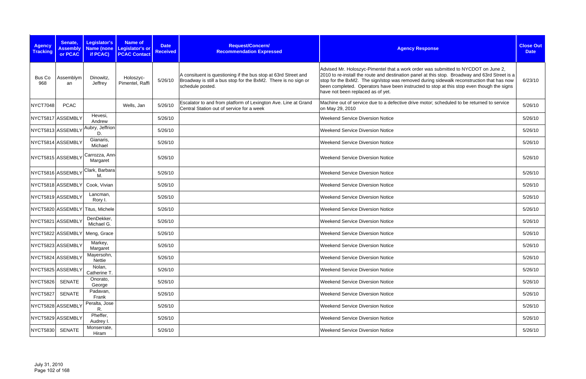| <b>Agency</b><br><b>Tracking</b> | Senate,<br><b>Assembly</b><br>or PCAC | Legislator's<br>if PCAC)         | <b>Name of</b><br>Name (none Legislator's or<br><b>PCAC Contact</b> | <b>Date</b><br><b>Received</b> | Request/Concern/<br><b>Recommendation Expressed</b>                                                                                                  | <b>Agency Response</b>                                                                                                                                                                                                                                                                                                                                                                                             | <b>Close Out</b><br><b>Date</b> |
|----------------------------------|---------------------------------------|----------------------------------|---------------------------------------------------------------------|--------------------------------|------------------------------------------------------------------------------------------------------------------------------------------------------|--------------------------------------------------------------------------------------------------------------------------------------------------------------------------------------------------------------------------------------------------------------------------------------------------------------------------------------------------------------------------------------------------------------------|---------------------------------|
| <b>Bus Co</b><br>968             | Assemblym<br>an                       | Dinowitz,<br>Jeffrey             | Holoszyc-<br>Pimentel, Raffi                                        | 5/26/10                        | A consituent is questioning if the bus stop at 63rd Street and<br>Broadway is still a bus stop for the BxM2. There is no sign or<br>schedule posted. | Advised Mr. Holoszyc-Pimentel that a work order was submitted to NYCDOT on June 2,<br>2010 to re-install the route and destination panel at this stop. Broadway and 63rd Street is a<br>stop for the BxM2. The sign/stop was removed during sidewalk reconstruction that has now<br>been completed. Operators have been instructed to stop at this stop even though the signs<br>have not been replaced as of yet. | 6/23/10                         |
| NYCT7048                         | <b>PCAC</b>                           |                                  | Wells, Jan                                                          | 5/26/10                        | Escalator to and from platform of Lexington Ave. Line at Grand<br>Central Station out of service for a week                                          | Machine out of service due to a defective drive motor; scheduled to be returned to service<br>on May 29, 2010                                                                                                                                                                                                                                                                                                      | 5/26/10                         |
|                                  | NYCT5817 ASSEMBLY                     | Hevesi,<br>Andrew                |                                                                     | 5/26/10                        |                                                                                                                                                      | <b>Weekend Service Diversion Notice</b>                                                                                                                                                                                                                                                                                                                                                                            | 5/26/10                         |
|                                  | NYCT5813 ASSEMBLY                     | Aubry, Jeffrion<br>D.            |                                                                     | 5/26/10                        |                                                                                                                                                      | Weekend Service Diversion Notice                                                                                                                                                                                                                                                                                                                                                                                   | 5/26/10                         |
|                                  | NYCT5814 ASSEMBLY                     | Gianaris,<br>Michael             |                                                                     | 5/26/10                        |                                                                                                                                                      | <b>Weekend Service Diversion Notice</b>                                                                                                                                                                                                                                                                                                                                                                            | 5/26/10                         |
|                                  | NYCT5815 ASSEMBLY                     | Carrozza, Ann<br>Margaret        |                                                                     | 5/26/10                        |                                                                                                                                                      | <b>Weekend Service Diversion Notice</b>                                                                                                                                                                                                                                                                                                                                                                            | 5/26/10                         |
|                                  | NYCT5816 ASSEMBLY                     | Clark, Barbara<br>М.             |                                                                     | 5/26/10                        |                                                                                                                                                      | <b>Weekend Service Diversion Notice</b>                                                                                                                                                                                                                                                                                                                                                                            | 5/26/10                         |
|                                  | NYCT5818 ASSEMBLY                     | Cook, Vivian                     |                                                                     | 5/26/10                        |                                                                                                                                                      | <b>Weekend Service Diversion Notice</b>                                                                                                                                                                                                                                                                                                                                                                            | 5/26/10                         |
|                                  | NYCT5819 ASSEMBLY                     | Lancman,<br>Rory I.              |                                                                     | 5/26/10                        |                                                                                                                                                      | <b>Weekend Service Diversion Notice</b>                                                                                                                                                                                                                                                                                                                                                                            | 5/26/10                         |
|                                  |                                       | NYCT5820 ASSEMBLY Titus, Michele |                                                                     | 5/26/10                        |                                                                                                                                                      | <b>Weekend Service Diversion Notice</b>                                                                                                                                                                                                                                                                                                                                                                            | 5/26/10                         |
|                                  | NYCT5821 ASSEMBLY                     | DenDekker,<br>Michael G.         |                                                                     | 5/26/10                        |                                                                                                                                                      | <b>Weekend Service Diversion Notice</b>                                                                                                                                                                                                                                                                                                                                                                            | 5/26/10                         |
|                                  | NYCT5822 ASSEMBLY                     | Meng, Grace                      |                                                                     | 5/26/10                        |                                                                                                                                                      | <b>Weekend Service Diversion Notice</b>                                                                                                                                                                                                                                                                                                                                                                            | 5/26/10                         |
|                                  | NYCT5823 ASSEMBLY                     | Markey,<br>Margaret              |                                                                     | 5/26/10                        |                                                                                                                                                      | <b>Weekend Service Diversion Notice</b>                                                                                                                                                                                                                                                                                                                                                                            | 5/26/10                         |
|                                  | NYCT5824 ASSEMBLY                     | Mayersohn,<br>Nettie             |                                                                     | 5/26/10                        |                                                                                                                                                      | <b>Weekend Service Diversion Notice</b>                                                                                                                                                                                                                                                                                                                                                                            | 5/26/10                         |
|                                  | NYCT5825 ASSEMBLY                     | Nolan,<br>Catherine T.           |                                                                     | 5/26/10                        |                                                                                                                                                      | <b>Weekend Service Diversion Notice</b>                                                                                                                                                                                                                                                                                                                                                                            | 5/26/10                         |
| <b>NYCT5826</b>                  | <b>SENATE</b>                         | Onorato,<br>George               |                                                                     | 5/26/10                        |                                                                                                                                                      | <b>Weekend Service Diversion Notice</b>                                                                                                                                                                                                                                                                                                                                                                            | 5/26/10                         |
| <b>NYCT5827</b>                  | <b>SENATE</b>                         | Padavan,<br>Frank                |                                                                     | 5/26/10                        |                                                                                                                                                      | <b>Weekend Service Diversion Notice</b>                                                                                                                                                                                                                                                                                                                                                                            | 5/26/10                         |
|                                  | NYCT5828 ASSEMBLY                     | Peralta, Jose<br>R.              |                                                                     | 5/26/10                        |                                                                                                                                                      | <b>Weekend Service Diversion Notice</b>                                                                                                                                                                                                                                                                                                                                                                            | 5/26/10                         |
|                                  | NYCT5829 ASSEMBLY                     | Pheffer,<br>Audrey I.            |                                                                     | 5/26/10                        |                                                                                                                                                      | <b>Weekend Service Diversion Notice</b>                                                                                                                                                                                                                                                                                                                                                                            | 5/26/10                         |
| NYCT5830                         | SENATE                                | Monserrate,<br>Hiram             |                                                                     | 5/26/10                        |                                                                                                                                                      | <b>Weekend Service Diversion Notice</b>                                                                                                                                                                                                                                                                                                                                                                            | 5/26/10                         |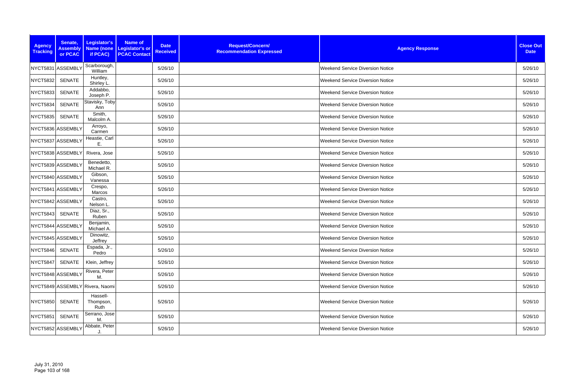| <b>Agency</b><br><b>Tracking</b> | Senate,<br><b>Assembly</b><br>or PCAC | Legislator's<br>if PCAC)        | <b>Name of</b><br>Name (none Legislator's or<br><b>PCAC Contact</b> | <b>Date</b><br><b>Received</b> | Request/Concern/<br><b>Recommendation Expressed</b> | <b>Agency Response</b>                  | <b>Close Out</b><br><b>Date</b> |
|----------------------------------|---------------------------------------|---------------------------------|---------------------------------------------------------------------|--------------------------------|-----------------------------------------------------|-----------------------------------------|---------------------------------|
|                                  | NYCT5831 ASSEMBLY                     | Scarborough,<br>William         |                                                                     | 5/26/10                        |                                                     | <b>Weekend Service Diversion Notice</b> | 5/26/10                         |
| <b>NYCT5832</b>                  | <b>SENATE</b>                         | Huntley,<br>Shirley L.          |                                                                     | 5/26/10                        |                                                     | <b>Weekend Service Diversion Notice</b> | 5/26/10                         |
| <b>NYCT5833</b>                  | <b>SENATE</b>                         | Addabbo,<br>Joseph P.           |                                                                     | 5/26/10                        |                                                     | <b>Weekend Service Diversion Notice</b> | 5/26/10                         |
| <b>NYCT5834</b>                  | <b>SENATE</b>                         | Stavisky, Toby<br>Ann           |                                                                     | 5/26/10                        |                                                     | <b>Weekend Service Diversion Notice</b> | 5/26/10                         |
| <b>NYCT5835</b>                  | <b>SENATE</b>                         | Smith,<br>Malcolm A.            |                                                                     | 5/26/10                        |                                                     | <b>Weekend Service Diversion Notice</b> | 5/26/10                         |
|                                  | NYCT5836 ASSEMBLY                     | Arroyo,<br>Carmen               |                                                                     | 5/26/10                        |                                                     | <b>Weekend Service Diversion Notice</b> | 5/26/10                         |
|                                  | NYCT5837 ASSEMBLY                     | Heastie, Carl<br>Ε.             |                                                                     | 5/26/10                        |                                                     | <b>Weekend Service Diversion Notice</b> | 5/26/10                         |
|                                  | NYCT5838 ASSEMBLY                     | Rivera, Jose                    |                                                                     | 5/26/10                        |                                                     | <b>Weekend Service Diversion Notice</b> | 5/26/10                         |
|                                  | NYCT5839 ASSEMBLY                     | Benedetto,<br>Michael R.        |                                                                     | 5/26/10                        |                                                     | <b>Weekend Service Diversion Notice</b> | 5/26/10                         |
|                                  | NYCT5840 ASSEMBLY                     | Gibson,<br>Vanessa              |                                                                     | 5/26/10                        |                                                     | <b>Weekend Service Diversion Notice</b> | 5/26/10                         |
|                                  | NYCT5841 ASSEMBLY                     | Crespo,<br>Marcos               |                                                                     | 5/26/10                        |                                                     | <b>Weekend Service Diversion Notice</b> | 5/26/10                         |
|                                  | NYCT5842 ASSEMBLY                     | Castro,<br>Nelson L.            |                                                                     | 5/26/10                        |                                                     | <b>Weekend Service Diversion Notice</b> | 5/26/10                         |
| <b>NYCT5843</b>                  | <b>SENATE</b>                         | Diaz, Sr.,<br>Ruben             |                                                                     | 5/26/10                        |                                                     | <b>Weekend Service Diversion Notice</b> | 5/26/10                         |
|                                  | NYCT5844 ASSEMBLY                     | Benjamin,<br>Michael A.         |                                                                     | 5/26/10                        |                                                     | <b>Weekend Service Diversion Notice</b> | 5/26/10                         |
|                                  | NYCT5845 ASSEMBLY                     | Dinowitz,<br>Jeffrey            |                                                                     | 5/26/10                        |                                                     | <b>Weekend Service Diversion Notice</b> | 5/26/10                         |
| <b>NYCT5846</b>                  | SENATE                                | Espada, Jr.,<br>Pedro           |                                                                     | 5/26/10                        |                                                     | Weekend Service Diversion Notice        | 5/26/10                         |
| <b>NYCT5847</b>                  | SENATE                                | Klein, Jeffrey                  |                                                                     | 5/26/10                        |                                                     | Weekend Service Diversion Notice        | 5/26/10                         |
|                                  | NYCT5848 ASSEMBLY                     | Rivera, Peter<br>M.             |                                                                     | 5/26/10                        |                                                     | Weekend Service Diversion Notice        | 5/26/10                         |
|                                  |                                       | NYCT5849 ASSEMBLY Rivera, Naomi |                                                                     | 5/26/10                        |                                                     | <b>Weekend Service Diversion Notice</b> | 5/26/10                         |
| NYCT5850 SENATE                  |                                       | Hassell-<br>Thompson,<br>Ruth   |                                                                     | 5/26/10                        |                                                     | <b>Weekend Service Diversion Notice</b> | 5/26/10                         |
| <b>NYCT5851</b>                  | <b>SENATE</b>                         | Serrano, Jose<br>M.             |                                                                     | 5/26/10                        |                                                     | <b>Weekend Service Diversion Notice</b> | 5/26/10                         |
|                                  | NYCT5852 ASSEMBLY                     | Abbate, Peter                   |                                                                     | 5/26/10                        |                                                     | <b>Weekend Service Diversion Notice</b> | 5/26/10                         |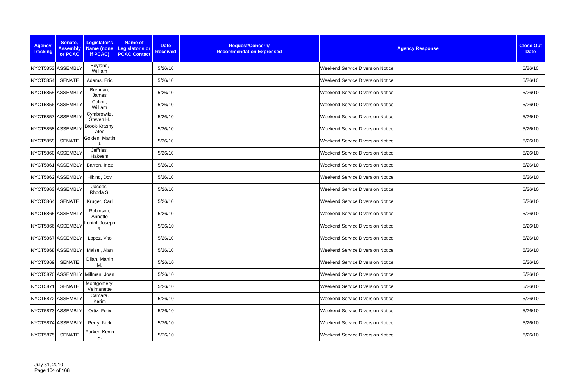| <b>Agency</b><br><b>Tracking</b> | Senate,<br><b>Assembly</b><br>or PCAC | Legislator's<br>if PCAC)        | <b>Name of</b><br>Name (none   Legislator's or<br><b>PCAC Contact</b> | <b>Date</b><br><b>Received</b> | Request/Concern/<br><b>Recommendation Expressed</b> | <b>Agency Response</b>                  | <b>Close Out</b><br><b>Date</b> |
|----------------------------------|---------------------------------------|---------------------------------|-----------------------------------------------------------------------|--------------------------------|-----------------------------------------------------|-----------------------------------------|---------------------------------|
|                                  | NYCT5853 ASSEMBLY                     | Boyland,<br>William             |                                                                       | 5/26/10                        |                                                     | <b>Weekend Service Diversion Notice</b> | 5/26/10                         |
| <b>NYCT5854</b>                  | SENATE                                | Adams, Eric                     |                                                                       | 5/26/10                        |                                                     | <b>Weekend Service Diversion Notice</b> | 5/26/10                         |
|                                  | NYCT5855 ASSEMBLY                     | Brennan,<br>James               |                                                                       | 5/26/10                        |                                                     | <b>Weekend Service Diversion Notice</b> | 5/26/10                         |
|                                  | NYCT5856 ASSEMBLY                     | Colton,<br>William              |                                                                       | 5/26/10                        |                                                     | <b>Weekend Service Diversion Notice</b> | 5/26/10                         |
|                                  | NYCT5857 ASSEMBLY                     | Cymbrowitz,<br>Steven H.        |                                                                       | 5/26/10                        |                                                     | <b>Weekend Service Diversion Notice</b> | 5/26/10                         |
|                                  | NYCT5858 ASSEMBLY                     | Brook-Krasny,<br>Alec           |                                                                       | 5/26/10                        |                                                     | <b>Weekend Service Diversion Notice</b> | 5/26/10                         |
| <b>NYCT5859</b>                  | <b>SENATE</b>                         | Golden, Martin                  |                                                                       | 5/26/10                        |                                                     | <b>Weekend Service Diversion Notice</b> | 5/26/10                         |
|                                  | NYCT5860 ASSEMBLY                     | Jeffries,<br>Hakeem             |                                                                       | 5/26/10                        |                                                     | <b>Weekend Service Diversion Notice</b> | 5/26/10                         |
|                                  | NYCT5861 ASSEMBLY                     | Barron, Inez                    |                                                                       | 5/26/10                        |                                                     | <b>Weekend Service Diversion Notice</b> | 5/26/10                         |
|                                  | NYCT5862 ASSEMBLY                     | Hikind, Dov                     |                                                                       | 5/26/10                        |                                                     | <b>Weekend Service Diversion Notice</b> | 5/26/10                         |
|                                  | NYCT5863 ASSEMBLY                     | Jacobs,<br>Rhoda S.             |                                                                       | 5/26/10                        |                                                     | <b>Weekend Service Diversion Notice</b> | 5/26/10                         |
| <b>NYCT5864</b>                  | <b>SENATE</b>                         | Kruger, Carl                    |                                                                       | 5/26/10                        |                                                     | <b>Weekend Service Diversion Notice</b> | 5/26/10                         |
|                                  | NYCT5865 ASSEMBLY                     | Robinson,<br>Annette            |                                                                       | 5/26/10                        |                                                     | <b>Weekend Service Diversion Notice</b> | 5/26/10                         |
|                                  | NYCT5866 ASSEMBLY                     | Lentol, Joseph<br>R.            |                                                                       | 5/26/10                        |                                                     | <b>Weekend Service Diversion Notice</b> | 5/26/10                         |
|                                  | NYCT5867 ASSEMBLY                     | Lopez, Vito                     |                                                                       | 5/26/10                        |                                                     | <b>Weekend Service Diversion Notice</b> | 5/26/10                         |
|                                  | NYCT5868 ASSEMBLY                     | Maisel, Alan                    |                                                                       | 5/26/10                        |                                                     | <b>Weekend Service Diversion Notice</b> | 5/26/10                         |
| <b>NYCT5869</b>                  | <b>SENATE</b>                         | Dilan, Martin<br>М.             |                                                                       | 5/26/10                        |                                                     | <b>Weekend Service Diversion Notice</b> | 5/26/10                         |
|                                  |                                       | NYCT5870 ASSEMBLY Millman, Joan |                                                                       | 5/26/10                        |                                                     | <b>Weekend Service Diversion Notice</b> | 5/26/10                         |
| <b>NYCT5871</b>                  | <b>SENATE</b>                         | Montgomery,<br>Velmanette       |                                                                       | 5/26/10                        |                                                     | <b>Weekend Service Diversion Notice</b> | 5/26/10                         |
|                                  | NYCT5872 ASSEMBLY                     | Camara,<br>Karim                |                                                                       | 5/26/10                        |                                                     | <b>Weekend Service Diversion Notice</b> | 5/26/10                         |
|                                  | NYCT5873 ASSEMBLY                     | Ortiz, Felix                    |                                                                       | 5/26/10                        |                                                     | <b>Weekend Service Diversion Notice</b> | 5/26/10                         |
|                                  | NYCT5874 ASSEMBLY                     | Perry, Nick                     |                                                                       | 5/26/10                        |                                                     | <b>Weekend Service Diversion Notice</b> | 5/26/10                         |
| <b>NYCT5875</b>                  | <b>SENATE</b>                         | Parker, Kevin<br>S.             |                                                                       | 5/26/10                        |                                                     | <b>Weekend Service Diversion Notice</b> | 5/26/10                         |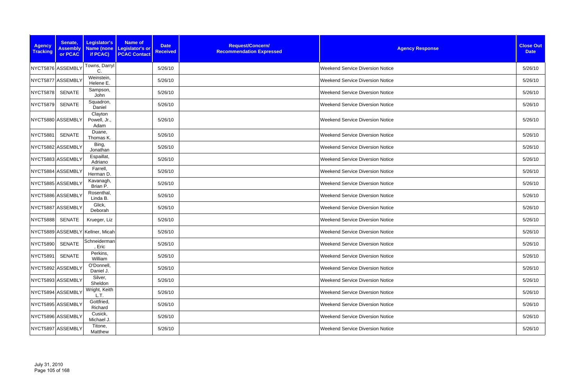| <b>Agency</b><br><b>Tracking</b> | Senate,<br><b>Assembly</b><br>or PCAC | Legislator's<br>if PCAC)         | <b>Name of</b><br>Name (none Legislator's or<br><b>PCAC Contact</b> | <b>Date</b><br><b>Received</b> | Request/Concern/<br><b>Recommendation Expressed</b> | <b>Agency Response</b>                  | <b>Close Out</b><br><b>Date</b> |
|----------------------------------|---------------------------------------|----------------------------------|---------------------------------------------------------------------|--------------------------------|-----------------------------------------------------|-----------------------------------------|---------------------------------|
|                                  | NYCT5876 ASSEMBLY                     | Towns, Darryl<br>C.              |                                                                     | 5/26/10                        |                                                     | <b>Weekend Service Diversion Notice</b> | 5/26/10                         |
|                                  | NYCT5877 ASSEMBLY                     | Weinstein,<br>Helene E.          |                                                                     | 5/26/10                        |                                                     | <b>Weekend Service Diversion Notice</b> | 5/26/10                         |
| <b>NYCT5878</b>                  | <b>SENATE</b>                         | Sampson,<br>John                 |                                                                     | 5/26/10                        |                                                     | <b>Weekend Service Diversion Notice</b> | 5/26/10                         |
| <b>NYCT5879</b>                  | <b>SENATE</b>                         | Squadron,<br>Daniel              |                                                                     | 5/26/10                        |                                                     | <b>Weekend Service Diversion Notice</b> | 5/26/10                         |
|                                  | NYCT5880 ASSEMBLY                     | Clayton<br>Powell, Jr.,<br>Adam  |                                                                     | 5/26/10                        |                                                     | <b>Weekend Service Diversion Notice</b> | 5/26/10                         |
| <b>NYCT5881</b>                  | <b>SENATE</b>                         | Duane,<br>Thomas K.              |                                                                     | 5/26/10                        |                                                     | <b>Weekend Service Diversion Notice</b> | 5/26/10                         |
|                                  | NYCT5882 ASSEMBLY                     | Bing,<br>Jonathan                |                                                                     | 5/26/10                        |                                                     | <b>Weekend Service Diversion Notice</b> | 5/26/10                         |
|                                  | NYCT5883 ASSEMBLY                     | Espaillat,<br>Adriano            |                                                                     | 5/26/10                        |                                                     | <b>Weekend Service Diversion Notice</b> | 5/26/10                         |
|                                  | NYCT5884 ASSEMBLY                     | Farrell,<br>Herman D.            |                                                                     | 5/26/10                        |                                                     | <b>Weekend Service Diversion Notice</b> | 5/26/10                         |
|                                  | NYCT5885 ASSEMBLY                     | Kavanagh,<br>Brian P.            |                                                                     | 5/26/10                        |                                                     | <b>Weekend Service Diversion Notice</b> | 5/26/10                         |
|                                  | NYCT5886 ASSEMBLY                     | Rosenthal,<br>Linda B.           |                                                                     | 5/26/10                        |                                                     | <b>Weekend Service Diversion Notice</b> | 5/26/10                         |
|                                  | NYCT5887 ASSEMBLY                     | Glick,<br>Deborah                |                                                                     | 5/26/10                        |                                                     | <b>Weekend Service Diversion Notice</b> | 5/26/10                         |
| <b>NYCT5888</b>                  | <b>SENATE</b>                         | Krueger, Liz                     |                                                                     | 5/26/10                        |                                                     | <b>Weekend Service Diversion Notice</b> | 5/26/10                         |
|                                  |                                       | NYCT5889 ASSEMBLY Kellner, Micah |                                                                     | 5/26/10                        |                                                     | <b>Weekend Service Diversion Notice</b> | 5/26/10                         |
| NYCT5890 SENATE                  |                                       | Schneiderman<br>, Eric           |                                                                     | 5/26/10                        |                                                     | <b>Weekend Service Diversion Notice</b> | 5/26/10                         |
| <b>NYCT5891</b>                  | <b>SENATE</b>                         | Perkins,<br>William              |                                                                     | 5/26/10                        |                                                     | <b>Weekend Service Diversion Notice</b> | 5/26/10                         |
|                                  | NYCT5892 ASSEMBLY                     | O'Donnell,<br>Daniel J.          |                                                                     | 5/26/10                        |                                                     | <b>Weekend Service Diversion Notice</b> | 5/26/10                         |
|                                  | NYCT5893 ASSEMBLY                     | Silver,<br>Sheldon               |                                                                     | 5/26/10                        |                                                     | <b>Weekend Service Diversion Notice</b> | 5/26/10                         |
|                                  | NYCT5894 ASSEMBLY                     | Wright, Keith<br>L.T.            |                                                                     | 5/26/10                        |                                                     | <b>Weekend Service Diversion Notice</b> | 5/26/10                         |
|                                  | NYCT5895 ASSEMBLY                     | Gottfried,<br>Richard            |                                                                     | 5/26/10                        |                                                     | <b>Weekend Service Diversion Notice</b> | 5/26/10                         |
|                                  | NYCT5896 ASSEMBLY                     | Cusick,<br>Michael J.            |                                                                     | 5/26/10                        |                                                     | <b>Weekend Service Diversion Notice</b> | 5/26/10                         |
|                                  | NYCT5897 ASSEMBLY                     | Titone,<br>Matthew               |                                                                     | 5/26/10                        |                                                     | <b>Weekend Service Diversion Notice</b> | 5/26/10                         |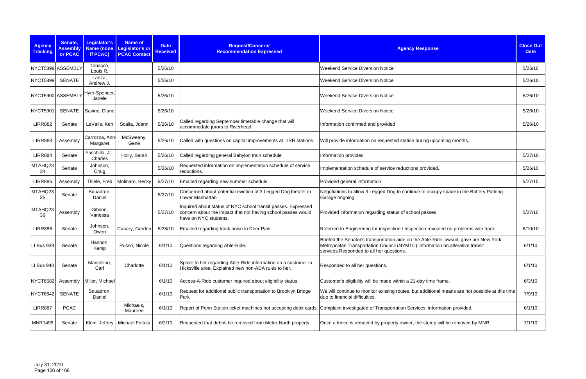| <b>Agency</b><br><b>Tracking</b> | Senate,<br><b>Assembly</b><br>or PCAC | <b>Legislator's</b><br><b>Name (none</b><br>if PCAC) | <b>Name of</b><br>Legislator's or<br><b>PCAC Contact</b> | <b>Date</b><br><b>Received</b> | <b>Request/Concern/</b><br><b>Recommendation Expressed</b>                                                                                             | <b>Agency Response</b>                                                                                                                                                                                             | <b>Close Out</b><br><b>Date</b> |
|----------------------------------|---------------------------------------|------------------------------------------------------|----------------------------------------------------------|--------------------------------|--------------------------------------------------------------------------------------------------------------------------------------------------------|--------------------------------------------------------------------------------------------------------------------------------------------------------------------------------------------------------------------|---------------------------------|
|                                  | NYCT5898 ASSEMBLY                     | Tobacco,<br>Louis R.                                 |                                                          | 5/26/10                        |                                                                                                                                                        | <b>Weekend Service Diversion Notice</b>                                                                                                                                                                            | 5/26/10                         |
| <b>NYCT5899</b>                  | <b>SENATE</b>                         | Lanza,<br>Andrew J.                                  |                                                          | 5/26/10                        |                                                                                                                                                        | <b>Weekend Service Diversion Notice</b>                                                                                                                                                                            | 5/26/10                         |
|                                  | NYCT5900 ASSEMBLY                     | Hyer-Spencer,<br>Janele                              |                                                          | 5/26/10                        |                                                                                                                                                        | <b>Weekend Service Diversion Notice</b>                                                                                                                                                                            | 5/26/10                         |
| <b>NYCT5901</b>                  | <b>SENATE</b>                         | Savino, Diane                                        |                                                          | 5/26/10                        |                                                                                                                                                        | <b>Weekend Service Diversion Notice</b>                                                                                                                                                                            | 5/26/10                         |
| <b>LIRR882</b>                   | Senate                                | LaValle, Ken                                         | Scalia, Joann                                            | 5/26/10                        | Called regarding September timetable change that will<br>accommodate jurors to Riverhead                                                               | Information confirmed and provided                                                                                                                                                                                 | 5/26/10                         |
| <b>LIRR883</b>                   | Assembly                              | Carrozza, Ann-<br>Margaret                           | McSweeny,<br>Gene                                        | 5/26/10                        | Called with questions on capital improvements at LIRR stations.                                                                                        | Will provide information on requested station during upcoming months.                                                                                                                                              |                                 |
| <b>LIRR884</b>                   | Senate                                | Fuschillo, Jr.<br>Charles                            | Holly, Sarah                                             | 5/26/10                        | Called regarding general Babylon train schedule                                                                                                        | Information provided                                                                                                                                                                                               | 5/27/10                         |
| MTAHQ23<br>34                    | Senate                                | Johnson,<br>Craig                                    |                                                          | 5/26/10                        | Requested information on implementation schedule of service<br>reductions.                                                                             | Implementation schedule of service reductions provided.                                                                                                                                                            | 5/26/10                         |
| <b>LIRR885</b>                   | Assembly                              | Thiele, Fred                                         | Molinaro, Becky                                          | 5/27/10                        | Emailed regarding new summer schedule                                                                                                                  | Provided general information                                                                                                                                                                                       | 5/27/10                         |
| MTAHQ23<br>35                    | Senate                                | Squadron,<br>Daniel                                  |                                                          | 5/27/10                        | Concerned about potential eviction of 3 Legged Dog theater in<br>Lower Manhattan                                                                       | Negotiations to allow 3 Legged Dog to continue to occupy space in the Battery Parking<br>Garage ongoing                                                                                                            |                                 |
| MTAHQ23<br>36                    | Assembly                              | Gibson,<br>Vanessa                                   |                                                          | 5/27/10                        | Inquired about status of NYC school transit passes. Expressed<br>concern about the impact that not having school passes would<br>have on NYC students. | Provided information regarding status of school passes.                                                                                                                                                            | 5/27/10                         |
| <b>LIRR886</b>                   | Senate                                | Johnson,<br>Owen                                     | Canary, Gordon                                           | 5/28/10                        | Emailed regarding track noise in Deer Park                                                                                                             | Referred to Engineering for inspection / Inspection revealed no problems with track                                                                                                                                | 6/10/10                         |
| LI Bus 939                       | Senate                                | Hannon,<br>Kemp                                      | Russo, Nicole                                            |                                | 6/1/10 Questions regarding Able-Ride.                                                                                                                  | Briefed the Senator's transportation aide on the Able-Ride lawsuit, gave her New York<br>Metropolitan Transportation Council (NYMTC) information on alterative transit<br>services.Responded to all her questions. | 6/1/10                          |
| LI Bus 940                       | Senate                                | Marcellino,<br>Carl                                  | Charlotte                                                | 6/1/10                         | Spoke to her regarding Able-Ride information on a customer in<br>Hicksville area. Explained new non-ADA rules to her.                                  | Responded to all her questions.                                                                                                                                                                                    | 6/1/10                          |
| <b>NYCT6582</b>                  | Assembly                              | Miller, Michael                                      |                                                          | 6/1/10                         | Access-A-Ride customer inquired about eligibility status.                                                                                              | Customer's eligibility will be made within a 21-day time frame.                                                                                                                                                    | 6/3/10                          |
| <b>NYCT6642</b>                  | <b>SENATE</b>                         | Squadron,<br>Daniel                                  |                                                          | 6/1/10                         | Request for additional public transportation to Brooklyn Bridge<br>Park                                                                                | We will continue to monitor existing routes, but additional means are not possible at this time<br>due to financial difficulties.                                                                                  | 7/9/10                          |
| <b>LIRR887</b>                   | <b>PCAC</b>                           |                                                      | Michaels,<br>Maureen                                     | 6/1/10                         |                                                                                                                                                        | Report of Penn Station ticket machines not accepting debit cards. Complaint investigated of Transportation Services; information provided.                                                                         | 6/1/10                          |
| <b>MNR1499</b>                   | Senate                                | Klein, Jeffrey                                       | Michael Frittola                                         | 6/2/10                         | Requested that debris be removed from Metro-North property.                                                                                            | Once a fence is removed by property owner, the stump will be removed by MNR.                                                                                                                                       | 7/1/10                          |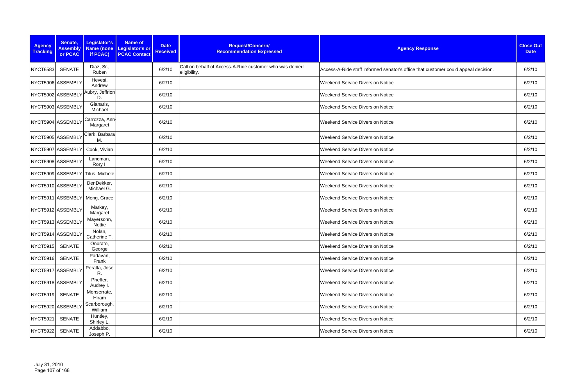| <b>Agency</b><br><b>Tracking</b> | Senate,<br><b>Assembly</b><br>or PCAC | Legislator's<br>if PCAC)         | <b>Name of</b><br>Name (none Legislator's or<br><b>PCAC Contact</b> | <b>Date</b><br><b>Received</b> | Request/Concern/<br><b>Recommendation Expressed</b>                     | <b>Agency Response</b>                                                             | <b>Close Out</b><br><b>Date</b> |
|----------------------------------|---------------------------------------|----------------------------------|---------------------------------------------------------------------|--------------------------------|-------------------------------------------------------------------------|------------------------------------------------------------------------------------|---------------------------------|
| <b>NYCT6583</b>                  | <b>SENATE</b>                         | Diaz, Sr.,<br>Ruben              |                                                                     | 6/2/10                         | Call on behalf of Access-A-Ride customer who was denied<br>eligibility. | Access-A-Ride staff informed senator's office that customer could appeal decision. | 6/2/10                          |
|                                  | NYCT5906 ASSEMBLY                     | Hevesi,<br>Andrew                |                                                                     | 6/2/10                         |                                                                         | <b>Weekend Service Diversion Notice</b>                                            | 6/2/10                          |
|                                  | NYCT5902 ASSEMBLY                     | Aubry, Jeffrion<br>D.            |                                                                     | 6/2/10                         |                                                                         | <b>Weekend Service Diversion Notice</b>                                            | 6/2/10                          |
|                                  | NYCT5903 ASSEMBLY                     | Gianaris,<br>Michael             |                                                                     | 6/2/10                         |                                                                         | <b>Weekend Service Diversion Notice</b>                                            | 6/2/10                          |
|                                  | NYCT5904 ASSEMBLY                     | Carrozza, Ann-<br>Margaret       |                                                                     | 6/2/10                         |                                                                         | <b>Weekend Service Diversion Notice</b>                                            | 6/2/10                          |
|                                  | NYCT5905 ASSEMBLY                     | Clark, Barbara<br>М.             |                                                                     | 6/2/10                         |                                                                         | <b>Weekend Service Diversion Notice</b>                                            | 6/2/10                          |
|                                  | NYCT5907 ASSEMBLY                     | Cook, Vivian                     |                                                                     | 6/2/10                         |                                                                         | <b>Weekend Service Diversion Notice</b>                                            | 6/2/10                          |
|                                  | NYCT5908 ASSEMBLY                     | Lancman,<br>Rory I.              |                                                                     | 6/2/10                         |                                                                         | <b>Weekend Service Diversion Notice</b>                                            | 6/2/10                          |
|                                  |                                       | NYCT5909 ASSEMBLY Titus, Michele |                                                                     | 6/2/10                         |                                                                         | <b>Weekend Service Diversion Notice</b>                                            | 6/2/10                          |
|                                  | NYCT5910 ASSEMBLY                     | DenDekker,<br>Michael G.         |                                                                     | 6/2/10                         |                                                                         | <b>Weekend Service Diversion Notice</b>                                            | 6/2/10                          |
|                                  |                                       | NYCT5911 ASSEMBLY Meng, Grace    |                                                                     | 6/2/10                         |                                                                         | <b>Weekend Service Diversion Notice</b>                                            | 6/2/10                          |
|                                  | NYCT5912 ASSEMBLY                     | Markey,<br>Margaret              |                                                                     | 6/2/10                         |                                                                         | <b>Weekend Service Diversion Notice</b>                                            | 6/2/10                          |
|                                  | NYCT5913 ASSEMBLY                     | Mayersohn,<br>Nettie             |                                                                     | 6/2/10                         |                                                                         | <b>Weekend Service Diversion Notice</b>                                            | 6/2/10                          |
|                                  | NYCT5914 ASSEMBLY                     | Nolan,<br>Catherine T.           |                                                                     | 6/2/10                         |                                                                         | <b>Weekend Service Diversion Notice</b>                                            | 6/2/10                          |
| NYCT5915 SENATE                  |                                       | Onorato,<br>George               |                                                                     | 6/2/10                         |                                                                         | <b>Weekend Service Diversion Notice</b>                                            | 6/2/10                          |
| NYCT5916 SENATE                  |                                       | Padavan,<br>Frank                |                                                                     | 6/2/10                         |                                                                         | <b>Weekend Service Diversion Notice</b>                                            | 6/2/10                          |
|                                  | NYCT5917 ASSEMBLY                     | Peralta, Jose<br>R.              |                                                                     | 6/2/10                         |                                                                         | <b>Weekend Service Diversion Notice</b>                                            | 6/2/10                          |
|                                  | NYCT5918 ASSEMBLY                     | Pheffer,<br>Audrey I.            |                                                                     | 6/2/10                         |                                                                         | <b>Weekend Service Diversion Notice</b>                                            | 6/2/10                          |
| NYCT5919 SENATE                  |                                       | Monserrate,<br>Hiram             |                                                                     | 6/2/10                         |                                                                         | <b>Weekend Service Diversion Notice</b>                                            | 6/2/10                          |
|                                  | NYCT5920 ASSEMBLY                     | Scarborough,<br>William          |                                                                     | 6/2/10                         |                                                                         | <b>Weekend Service Diversion Notice</b>                                            | 6/2/10                          |
| NYCT5921                         | SENATE                                | Huntley,<br>Shirley L.           |                                                                     | 6/2/10                         |                                                                         | <b>Weekend Service Diversion Notice</b>                                            | 6/2/10                          |
| NYCT5922                         | SENATE                                | Addabbo,<br>Joseph P.            |                                                                     | 6/2/10                         |                                                                         | <b>Weekend Service Diversion Notice</b>                                            | 6/2/10                          |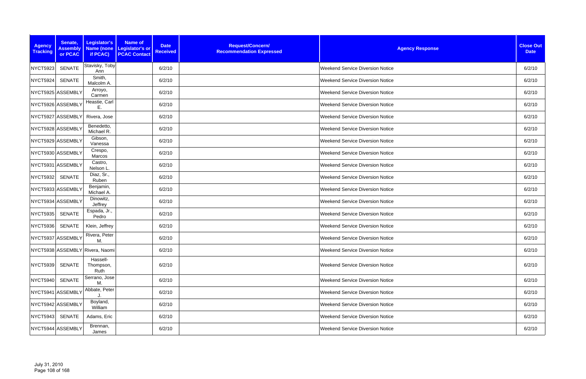| <b>Agency</b><br><b>Tracking</b> | Senate,<br><b>Assembly</b><br>or PCAC | Legislator's<br><b>Name (none)</b><br>if PCAC) | <b>Name of</b><br>Legislator's or<br><b>PCAC Contact</b> | <b>Date</b><br><b>Received</b> | Request/Concern/<br><b>Recommendation Expressed</b> | <b>Agency Response</b>                  | <b>Close Out</b><br><b>Date</b> |
|----------------------------------|---------------------------------------|------------------------------------------------|----------------------------------------------------------|--------------------------------|-----------------------------------------------------|-----------------------------------------|---------------------------------|
| NYCT5923                         | <b>SENATE</b>                         | Stavisky, Toby<br>Ann                          |                                                          | 6/2/10                         |                                                     | <b>Weekend Service Diversion Notice</b> | 6/2/10                          |
| NYCT5924                         | <b>SENATE</b>                         | Smith,<br>Malcolm A.                           |                                                          | 6/2/10                         |                                                     | <b>Weekend Service Diversion Notice</b> | 6/2/10                          |
|                                  | NYCT5925 ASSEMBLY                     | Arroyo,<br>Carmen                              |                                                          | 6/2/10                         |                                                     | <b>Weekend Service Diversion Notice</b> | 6/2/10                          |
| NYCT5926 ASSEMBLY                |                                       | Heastie, Carl<br>Ε.                            |                                                          | 6/2/10                         |                                                     | <b>Weekend Service Diversion Notice</b> | 6/2/10                          |
|                                  | NYCT5927 ASSEMBLY                     | Rivera, Jose                                   |                                                          | 6/2/10                         |                                                     | <b>Weekend Service Diversion Notice</b> | 6/2/10                          |
| NYCT5928 ASSEMBLY                |                                       | Benedetto,<br>Michael R.                       |                                                          | 6/2/10                         |                                                     | <b>Weekend Service Diversion Notice</b> | 6/2/10                          |
|                                  | NYCT5929 ASSEMBLY                     | Gibson,<br>Vanessa                             |                                                          | 6/2/10                         |                                                     | <b>Weekend Service Diversion Notice</b> | 6/2/10                          |
|                                  | NYCT5930 ASSEMBLY                     | Crespo,<br>Marcos                              |                                                          | 6/2/10                         |                                                     | <b>Weekend Service Diversion Notice</b> | 6/2/10                          |
|                                  | NYCT5931 ASSEMBLY                     | Castro,<br>Nelson L.                           |                                                          | 6/2/10                         |                                                     | <b>Weekend Service Diversion Notice</b> | 6/2/10                          |
| <b>NYCT5932</b>                  | <b>SENATE</b>                         | Diaz, Sr.,<br>Ruben                            |                                                          | 6/2/10                         |                                                     | <b>Weekend Service Diversion Notice</b> | 6/2/10                          |
|                                  | NYCT5933 ASSEMBLY                     | Benjamin,<br>Michael A.                        |                                                          | 6/2/10                         |                                                     | <b>Weekend Service Diversion Notice</b> | 6/2/10                          |
|                                  | NYCT5934 ASSEMBLY                     | Dinowitz,<br>Jeffrey                           |                                                          | 6/2/10                         |                                                     | <b>Weekend Service Diversion Notice</b> | 6/2/10                          |
| <b>NYCT5935</b>                  | <b>SENATE</b>                         | Espada, Jr.,<br>Pedro                          |                                                          | 6/2/10                         |                                                     | <b>Weekend Service Diversion Notice</b> | 6/2/10                          |
| <b>NYCT5936</b>                  | <b>SENATE</b>                         | Klein, Jeffrey                                 |                                                          | 6/2/10                         |                                                     | <b>Weekend Service Diversion Notice</b> | 6/2/10                          |
| NYCT5937 ASSEMBLY                |                                       | Rivera, Peter<br>М.                            |                                                          | 6/2/10                         |                                                     | <b>Weekend Service Diversion Notice</b> | 6/2/10                          |
|                                  |                                       | NYCT5938 ASSEMBLY Rivera, Naomi                |                                                          | 6/2/10                         |                                                     | <b>Weekend Service Diversion Notice</b> | 6/2/10                          |
| NYCT5939                         | SENATE                                | Hassell-<br>Thompson,<br>Ruth                  |                                                          | 6/2/10                         |                                                     | <b>Weekend Service Diversion Notice</b> | 6/2/10                          |
| NYCT5940                         | <b>SENATE</b>                         | Serrano, Jose<br>М.                            |                                                          | 6/2/10                         |                                                     | <b>Weekend Service Diversion Notice</b> | 6/2/10                          |
|                                  | NYCT5941 ASSEMBLY                     | Abbate, Peter                                  |                                                          | 6/2/10                         |                                                     | <b>Weekend Service Diversion Notice</b> | 6/2/10                          |
|                                  | NYCT5942 ASSEMBLY                     | Boyland,<br>William                            |                                                          | 6/2/10                         |                                                     | <b>Weekend Service Diversion Notice</b> | 6/2/10                          |
| NYCT5943                         | SENATE                                | Adams, Eric                                    |                                                          | 6/2/10                         |                                                     | <b>Weekend Service Diversion Notice</b> | 6/2/10                          |
|                                  | NYCT5944 ASSEMBLY                     | Brennan,<br>James                              |                                                          | 6/2/10                         |                                                     | <b>Weekend Service Diversion Notice</b> | 6/2/10                          |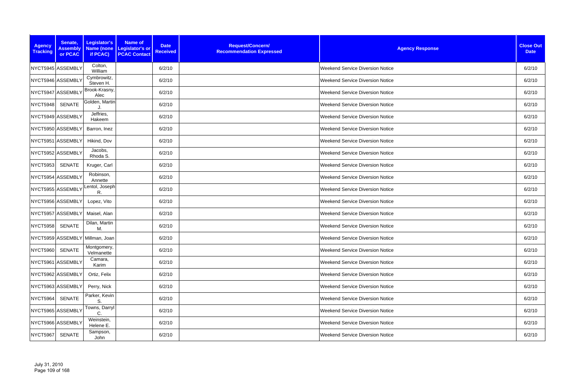| <b>Agency</b><br><b>Tracking</b> | Senate,<br><b>Assembly</b><br>or PCAC | Legislator's<br>Name (none<br>if PCAC) | <b>Name of</b><br>Legislator's or<br><b>PCAC Contact</b> | <b>Date</b><br><b>Received</b> | Request/Concern/<br><b>Recommendation Expressed</b> | <b>Agency Response</b>                  | <b>Close Out</b><br><b>Date</b> |
|----------------------------------|---------------------------------------|----------------------------------------|----------------------------------------------------------|--------------------------------|-----------------------------------------------------|-----------------------------------------|---------------------------------|
| NYCT5945 ASSEMBLY                |                                       | Colton,<br>William                     |                                                          | 6/2/10                         |                                                     | <b>Weekend Service Diversion Notice</b> | 6/2/10                          |
| NYCT5946 ASSEMBLY                |                                       | Cymbrowitz,<br>Steven H.               |                                                          | 6/2/10                         |                                                     | <b>Weekend Service Diversion Notice</b> | 6/2/10                          |
| NYCT5947 ASSEMBLY                |                                       | Brook-Krasny,<br>Alec                  |                                                          | 6/2/10                         |                                                     | <b>Weekend Service Diversion Notice</b> | 6/2/10                          |
| NYCT5948                         | <b>SENATE</b>                         | Golden, Martin                         |                                                          | 6/2/10                         |                                                     | <b>Weekend Service Diversion Notice</b> | 6/2/10                          |
| NYCT5949 ASSEMBLY                |                                       | Jeffries,<br>Hakeem                    |                                                          | 6/2/10                         |                                                     | <b>Weekend Service Diversion Notice</b> | 6/2/10                          |
| NYCT5950 ASSEMBLY                |                                       | Barron, Inez                           |                                                          | 6/2/10                         |                                                     | <b>Weekend Service Diversion Notice</b> | 6/2/10                          |
| NYCT5951 ASSEMBLY                |                                       | Hikind, Dov                            |                                                          | 6/2/10                         |                                                     | <b>Weekend Service Diversion Notice</b> | 6/2/10                          |
| NYCT5952 ASSEMBLY                |                                       | Jacobs,<br>Rhoda S.                    |                                                          | 6/2/10                         |                                                     | <b>Weekend Service Diversion Notice</b> | 6/2/10                          |
| <b>NYCT5953</b>                  | SENATE                                | Kruger, Carl                           |                                                          | 6/2/10                         |                                                     | <b>Weekend Service Diversion Notice</b> | 6/2/10                          |
| NYCT5954 ASSEMBLY                |                                       | Robinson,<br>Annette                   |                                                          | 6/2/10                         |                                                     | <b>Weekend Service Diversion Notice</b> | 6/2/10                          |
| NYCT5955 ASSEMBLY                |                                       | Lentol, Joseph<br>R.                   |                                                          | 6/2/10                         |                                                     | <b>Weekend Service Diversion Notice</b> | 6/2/10                          |
| NYCT5956 ASSEMBLY                |                                       | Lopez, Vito                            |                                                          | 6/2/10                         |                                                     | <b>Weekend Service Diversion Notice</b> | 6/2/10                          |
| NYCT5957 ASSEMBLY                |                                       | Maisel, Alan                           |                                                          | 6/2/10                         |                                                     | <b>Weekend Service Diversion Notice</b> | 6/2/10                          |
| <b>NYCT5958</b>                  | <b>SENATE</b>                         | Dilan, Martin<br>M.                    |                                                          | 6/2/10                         |                                                     | <b>Weekend Service Diversion Notice</b> | 6/2/10                          |
|                                  |                                       | NYCT5959 ASSEMBLY Millman, Joan        |                                                          | 6/2/10                         |                                                     | <b>Weekend Service Diversion Notice</b> | 6/2/10                          |
| NYCT5960                         | SENATE                                | Montgomery,<br>Velmanette              |                                                          | 6/2/10                         |                                                     | <b>Weekend Service Diversion Notice</b> | 6/2/10                          |
| NYCT5961 ASSEMBLY                |                                       | Camara,<br>Karim                       |                                                          | 6/2/10                         |                                                     | <b>Weekend Service Diversion Notice</b> | 6/2/10                          |
| NYCT5962 ASSEMBLY                |                                       | Ortiz, Felix                           |                                                          | 6/2/10                         |                                                     | <b>Weekend Service Diversion Notice</b> | 6/2/10                          |
| NYCT5963 ASSEMBLY                |                                       | Perry, Nick                            |                                                          | 6/2/10                         |                                                     | <b>Weekend Service Diversion Notice</b> | 6/2/10                          |
| <b>NYCT5964</b>                  | SENATE                                | Parker, Kevin<br>S.                    |                                                          | 6/2/10                         |                                                     | <b>Weekend Service Diversion Notice</b> | 6/2/10                          |
| NYCT5965 ASSEMBLY                |                                       | Towns, Darryl<br>C.                    |                                                          | 6/2/10                         |                                                     | <b>Weekend Service Diversion Notice</b> | 6/2/10                          |
| NYCT5966 ASSEMBLY                |                                       | Weinstein,<br>Helene E.                |                                                          | 6/2/10                         |                                                     | <b>Weekend Service Diversion Notice</b> | 6/2/10                          |
| NYCT5967                         | SENATE                                | Sampson,<br>John                       |                                                          | 6/2/10                         |                                                     | <b>Weekend Service Diversion Notice</b> | 6/2/10                          |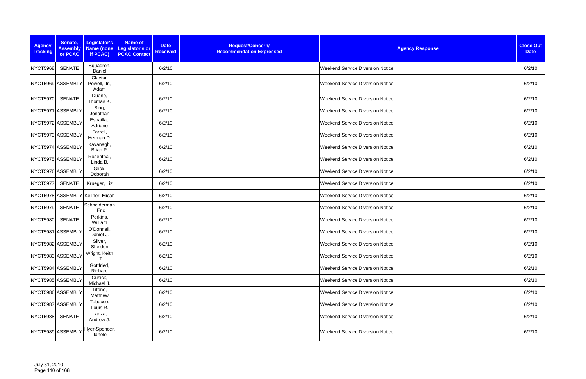| <b>Agency</b><br><b>Tracking</b> | Senate,<br><b>Assembly</b><br>or PCAC | Legislator's<br><b>Name (none</b><br>if PCAC) | Name of<br>Legislator's or<br><b>PCAC Contact</b> | <b>Date</b><br><b>Received</b> | Request/Concern/<br><b>Recommendation Expressed</b> | <b>Agency Response</b>                  | <b>Close Out</b><br><b>Date</b> |
|----------------------------------|---------------------------------------|-----------------------------------------------|---------------------------------------------------|--------------------------------|-----------------------------------------------------|-----------------------------------------|---------------------------------|
| NYCT5968                         | <b>SENATE</b>                         | Squadron,<br>Daniel                           |                                                   | 6/2/10                         |                                                     | <b>Weekend Service Diversion Notice</b> | 6/2/10                          |
|                                  | NYCT5969 ASSEMBLY                     | Clayton<br>Powell, Jr.,<br>Adam               |                                                   | 6/2/10                         |                                                     | <b>Weekend Service Diversion Notice</b> | 6/2/10                          |
| <b>NYCT5970</b>                  | <b>SENATE</b>                         | Duane,<br>Thomas K.                           |                                                   | 6/2/10                         |                                                     | <b>Weekend Service Diversion Notice</b> | 6/2/10                          |
|                                  | NYCT5971 ASSEMBLY                     | Bing,<br>Jonathan                             |                                                   | 6/2/10                         |                                                     | <b>Weekend Service Diversion Notice</b> | 6/2/10                          |
| NYCT5972 ASSEMBLY                |                                       | Espaillat,<br>Adriano                         |                                                   | 6/2/10                         |                                                     | <b>Weekend Service Diversion Notice</b> | 6/2/10                          |
|                                  | NYCT5973 ASSEMBLY                     | Farrell,<br>Herman D.                         |                                                   | 6/2/10                         |                                                     | <b>Weekend Service Diversion Notice</b> | 6/2/10                          |
|                                  | NYCT5974 ASSEMBLY                     | Kavanagh,<br>Brian P.                         |                                                   | 6/2/10                         |                                                     | <b>Weekend Service Diversion Notice</b> | 6/2/10                          |
| NYCT5975 ASSEMBLY                |                                       | Rosenthal,<br>Linda B.                        |                                                   | 6/2/10                         |                                                     | <b>Weekend Service Diversion Notice</b> | 6/2/10                          |
|                                  | NYCT5976 ASSEMBLY                     | Glick,<br>Deborah                             |                                                   | 6/2/10                         |                                                     | <b>Weekend Service Diversion Notice</b> | 6/2/10                          |
| NYCT5977                         | SENATE                                | Krueger, Liz                                  |                                                   | 6/2/10                         |                                                     | <b>Weekend Service Diversion Notice</b> | 6/2/10                          |
|                                  |                                       | NYCT5978 ASSEMBLY Kellner, Micah              |                                                   | 6/2/10                         |                                                     | <b>Weekend Service Diversion Notice</b> | 6/2/10                          |
| NYCT5979                         | <b>SENATE</b>                         | Schneiderman<br>Eric                          |                                                   | 6/2/10                         |                                                     | <b>Weekend Service Diversion Notice</b> | 6/2/10                          |
| NYCT5980                         | <b>SENATE</b>                         | Perkins,<br>William                           |                                                   | 6/2/10                         |                                                     | <b>Weekend Service Diversion Notice</b> | 6/2/10                          |
| NYCT5981 ASSEMBLY                |                                       | O'Donnell,<br>Daniel J.                       |                                                   | 6/2/10                         |                                                     | <b>Weekend Service Diversion Notice</b> | 6/2/10                          |
|                                  | NYCT5982 ASSEMBLY                     | Silver,<br>Sheldon                            |                                                   | 6/2/10                         |                                                     | <b>Weekend Service Diversion Notice</b> | 6/2/10                          |
|                                  | NYCT5983 ASSEMBLY                     | Wright, Keith<br>L.T.                         |                                                   | 6/2/10                         |                                                     | <b>Weekend Service Diversion Notice</b> | 6/2/10                          |
|                                  | NYCT5984 ASSEMBLY                     | Gottfried,<br>Richard                         |                                                   | 6/2/10                         |                                                     | <b>Weekend Service Diversion Notice</b> | 6/2/10                          |
|                                  | NYCT5985 ASSEMBLY                     | Cusick,<br>Michael J.                         |                                                   | 6/2/10                         |                                                     | <b>Weekend Service Diversion Notice</b> | 6/2/10                          |
|                                  | NYCT5986 ASSEMBLY                     | Titone,<br>Matthew                            |                                                   | 6/2/10                         |                                                     | <b>Weekend Service Diversion Notice</b> | 6/2/10                          |
|                                  | NYCT5987 ASSEMBLY                     | Tobacco,<br>Louis R.                          |                                                   | 6/2/10                         |                                                     | <b>Weekend Service Diversion Notice</b> | 6/2/10                          |
| <b>NYCT5988</b>                  | SENATE                                | Lanza,<br>Andrew J.                           |                                                   | 6/2/10                         |                                                     | <b>Weekend Service Diversion Notice</b> | 6/2/10                          |
|                                  |                                       | NYCT5989 ASSEMBLY Hyer-Spencer,<br>Janele     |                                                   | 6/2/10                         |                                                     | <b>Weekend Service Diversion Notice</b> | 6/2/10                          |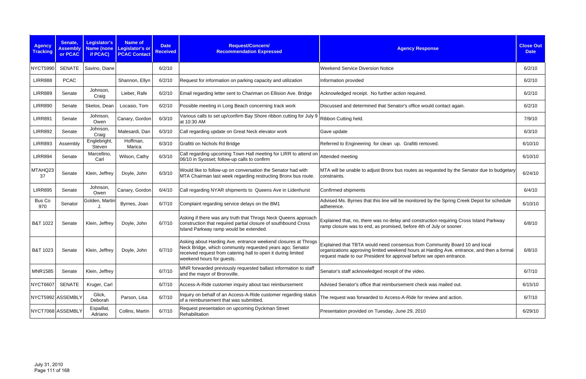| <b>Agency</b><br><b>Tracking</b> | Senate,<br><b>Assembly</b><br>or PCAC | Legislator's<br><b>Name (none</b><br>if PCAC) | <b>Name of</b><br>Legislator's or<br><b>PCAC Contact</b> | <b>Date</b><br><b>Received</b> | Request/Concern/<br><b>Recommendation Expressed</b>                                                                                                                                                                      | <b>Agency Response</b>                                                                                                                                                                                                                         | <b>Close Out</b><br><b>Date</b> |
|----------------------------------|---------------------------------------|-----------------------------------------------|----------------------------------------------------------|--------------------------------|--------------------------------------------------------------------------------------------------------------------------------------------------------------------------------------------------------------------------|------------------------------------------------------------------------------------------------------------------------------------------------------------------------------------------------------------------------------------------------|---------------------------------|
| <b>NYCT5990</b>                  | <b>SENATE</b>                         | Savino, Diane                                 |                                                          | 6/2/10                         |                                                                                                                                                                                                                          | <b>Weekend Service Diversion Notice</b>                                                                                                                                                                                                        | 6/2/10                          |
| <b>LIRR888</b>                   | <b>PCAC</b>                           |                                               | Shannon, Ellyn                                           | 6/2/10                         | Request for information on parking capacity and utilization                                                                                                                                                              | Information provided                                                                                                                                                                                                                           | 6/2/10                          |
| <b>LIRR889</b>                   | Senate                                | Johnson,<br>Craig                             | Lieber, Rafe                                             | 6/2/10                         | Email regarding letter sent to Chariman on Ellision Ave. Bridge                                                                                                                                                          | Acknowledged receipt. No further action required.                                                                                                                                                                                              | 6/2/10                          |
| <b>LIRR890</b>                   | Senate                                | Skelos, Dean                                  | Locasio, Tom                                             | 6/2/10                         | Possible meeting in Long Beach concerning track work                                                                                                                                                                     | Discussed and determined that Senator's office would contact again.                                                                                                                                                                            | 6/2/10                          |
| <b>LIRR891</b>                   | Senate                                | Johnson,<br>Owen                              | Canary, Gordon                                           | 6/3/10                         | Various calls to set up/confirm Bay Shore ribbon cutting for July 9<br>at 10:30 AM                                                                                                                                       | Ribbon Cutting held.                                                                                                                                                                                                                           | 7/9/10                          |
| <b>LIRR892</b>                   | Senate                                | Johnson,<br>Craig                             | Malesardi, Dan                                           | 6/3/10                         | Call regarding update on Great Neck elevator work                                                                                                                                                                        | Gave update                                                                                                                                                                                                                                    | 6/3/10                          |
| <b>LIRR893</b>                   | Assembly                              | Englebright,<br>Steven                        | Hoffman,<br>Marica                                       | 6/3/10                         | Grafitti on Nichols Rd Bridge                                                                                                                                                                                            | Referred to Engineering for clean up. Grafitti removed.                                                                                                                                                                                        | 6/10/10                         |
| <b>LIRR894</b>                   | Senate                                | Marcellino,<br>Carl                           | Wilson, Cathy                                            | 6/3/10                         | Call regarding upcoming Town Hall meeting for LIRR to attend on<br>06/10 in Syosset; follow-up calls to confirm                                                                                                          | Attended meeting                                                                                                                                                                                                                               | 6/10/10                         |
| MTAHQ23<br>37                    | Senate                                | Klein, Jeffrey                                | Doyle, John                                              | 6/3/10                         | Would like to follow-up on conversation the Senator had with<br>MTA Chairman last week regarding restructing Bronx bus route.                                                                                            | MTA will be unable to adjust Bronx bus routes as requested by the Senator due to budgetary<br>constraints.                                                                                                                                     | 6/24/10                         |
| <b>LIRR895</b>                   | Senate                                | Johnson,<br>Owen                              | Canary, Gordon                                           | 6/4/10                         | Call regarding NYAR shipments to Queens Ave in Lidenhurst                                                                                                                                                                | Confirmed shipments                                                                                                                                                                                                                            | 6/4/10                          |
| Bus Co<br>970                    | Senator                               | Golden, Martin                                | Byrnes, Joan                                             | 6/7/10                         | Complaint regarding service delays on the BM1                                                                                                                                                                            | Advised Ms. Byrnes that this line will be monitored by the Spring Creek Depot for schedule<br>adherence.                                                                                                                                       | 6/10/10                         |
| B&T 1022                         | Senate                                | Klein, Jeffrey                                | Doyle, John                                              | 6/7/10                         | Asking if there was any truth that Throgs Neck Queens approach<br>construction that required partial closure of southbound Cross<br>Island Parkway ramp would be extended.                                               | Explained that, no, there was no delay and construction requiring Cross Island Parkway<br>ramp closure was to end, as promised, before 4th of July or sooner.                                                                                  | 6/8/10                          |
| B&T 1023                         | Senate                                | Klein, Jeffrey                                | Doyle, John                                              | 6/7/10                         | Asking about Harding Ave. entrance weekend closures at Throgs<br>Neck Bridge, which community requested years ago; Senator<br>received request from catering hall to open it during limited<br>weekend hours for guests. | Explained that TBTA would need consensus from Community Board 10 and local<br>organizations approving limited weekend hours at Harding Ave. entrance, and then a formal<br>request made to our President for approval before we open entrance. | 6/8/10                          |
| <b>MNR1585</b>                   | Senate                                | Klein, Jeffrey                                |                                                          | 6/7/10                         | MNR forwarded previously requested ballast information to staff<br>and the mayor of Bronxville.                                                                                                                          | Senator's staff acknowledged recepit of the video.                                                                                                                                                                                             | 6/7/10                          |
| <b>NYCT6607</b>                  | SENATE                                | Kruger, Carl                                  |                                                          | 6/7/10                         | Access-A-Ride customer inquiry about taxi reimbursement                                                                                                                                                                  | Advised Senator's office that reimbursement check was mailed out.                                                                                                                                                                              | 6/15/10                         |
|                                  | NYCT5992 ASSEMBLY                     | Glick,<br>Deborah                             | Parson, Lisa                                             | 6/7/10                         | Inquiry on behalf of an Access-A-Ride customer regarding status<br>of a reimbursement that was submitted.                                                                                                                | The request was forwarded to Access-A-Ride for review and action.                                                                                                                                                                              | 6/7/10                          |
|                                  | NYCT7068 ASSEMBLY                     | Espaillat,<br>Adriano                         | Collins, Martin                                          | 6/7/10                         | Request presentation on upcoming Dyckman Street<br>Rehabilitation                                                                                                                                                        | Presentation provided on Tuesday, June 29, 2010                                                                                                                                                                                                | 6/29/10                         |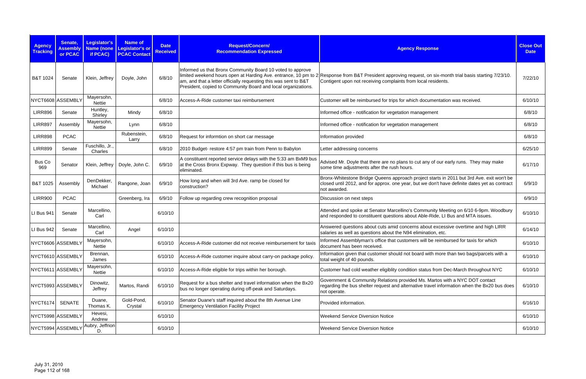| <b>Agency</b><br><b>Tracking</b> | Senate,<br><b>Assembly</b><br>or PCAC | Legislator's<br>if PCAC)    | <b>Name of</b><br>Name (none Legislator's or<br><b>PCAC Contact</b> | <b>Date</b><br><b>Received</b> | Request/Concern/<br><b>Recommendation Expressed</b>                                                                                                                                                                                                                | <b>Agency Response</b>                                                                                                                                                                                     | <b>Close Out</b><br><b>Date</b> |
|----------------------------------|---------------------------------------|-----------------------------|---------------------------------------------------------------------|--------------------------------|--------------------------------------------------------------------------------------------------------------------------------------------------------------------------------------------------------------------------------------------------------------------|------------------------------------------------------------------------------------------------------------------------------------------------------------------------------------------------------------|---------------------------------|
| B&T 1024                         | Senate                                | Klein, Jeffrey              | Doyle, John                                                         | 6/8/10                         | Informed us that Bronx Community Board 10 voted to approve<br>limited weekend hours open at Harding Ave. entrance, 10 pm to 2<br>am, and that a letter officially requesting this was sent to B&T<br>President, copied to Community Board and local organizations. | Response from B&T President approving request, on six-month trial basis starting 7/23/10.<br>Contigent upon not receiving complaints from local residents.                                                 | 7/22/10                         |
|                                  | NYCT6608 ASSEMBLY                     | Mayersohn,<br><b>Nettie</b> |                                                                     | 6/8/10                         | Access-A-Ride customer taxi reimbursement                                                                                                                                                                                                                          | Customer will be reimbursed for trips for which documentation was received.                                                                                                                                | 6/10/10                         |
| <b>LIRR896</b>                   | Senate                                | Huntley,<br>Shirley         | Mindy                                                               | 6/8/10                         |                                                                                                                                                                                                                                                                    | Informed office - notification for vegetation management                                                                                                                                                   | 6/8/10                          |
| <b>LIRR897</b>                   | Assembly                              | Mayersohn,<br><b>Nettie</b> | Lynn                                                                | 6/8/10                         |                                                                                                                                                                                                                                                                    | Informed office - notification for vegetation management                                                                                                                                                   | 6/8/10                          |
| <b>LIRR898</b>                   | <b>PCAC</b>                           |                             | Rubenstein,<br>Larry                                                | 6/8/10                         | Request for informtion on short car message                                                                                                                                                                                                                        | Information provided                                                                                                                                                                                       | 6/8/10                          |
| <b>LIRR899</b>                   | Senate                                | Fuschillo, Jr.,<br>Charles  |                                                                     | 6/8/10                         | 2010 Budget-restore 4:57 pm train from Penn to Babylon                                                                                                                                                                                                             | Letter addressing concerns                                                                                                                                                                                 | 6/25/10                         |
| Bus Co<br>969                    | Senator                               | Klein, Jeffrey              | Doyle, John C.                                                      | 6/9/10                         | A constituent reported service delays with the 5:33 am BxM9 bus<br>at the Cross Bronx Expway. They question if this bus is being<br>eliminated.                                                                                                                    | Advised Mr. Doyle that there are no plans to cut any of our early runs. They may make<br>some time adjustments after the rush hours.                                                                       | 6/17/10                         |
| B&T 1025                         | Assembly                              | DenDekker<br>Michael        | Rangone, Joan                                                       | 6/9/10                         | How long and when will 3rd Ave. ramp be closed for<br>construction?                                                                                                                                                                                                | Bronx-Whitestone Bridge Queens approach project starts in 2011 but 3rd Ave. exit won't be<br>closed until 2012, and for approx. one year, but we don't have definite dates yet as contract<br>not awarded. | 6/9/10                          |
| <b>LIRR900</b>                   | <b>PCAC</b>                           |                             | Greenberg, Ira                                                      | 6/9/10                         | Follow up regarding crew recognition proposal                                                                                                                                                                                                                      | Discussion on next steps                                                                                                                                                                                   | 6/9/10                          |
| LI Bus 941                       | Senate                                | Marcellino,<br>Carl         |                                                                     | 6/10/10                        |                                                                                                                                                                                                                                                                    | Attended and spoke at Senator Marcellino's Community Meeting on 6/10 6-9pm. Woodbury<br>and responded to constituent questions about Able-Ride, LI Bus and MTA issues.                                     | 6/10/10                         |
| LI Bus 942                       | Senate                                | Marcellino,<br>Carl         | Angel                                                               | 6/10/10                        |                                                                                                                                                                                                                                                                    | Answered questions about cuts amid concerns about excessive overtime and high LIRR<br>salaries as well as questions about the N94 elimination, etc.                                                        | 6/14/10                         |
|                                  | NYCT6606 ASSEMBLY                     | Mayersohn,<br>Nettie        |                                                                     | 6/10/10                        | Access-A-Ride customer did not receive reimbursement for taxis                                                                                                                                                                                                     | Informed Assemblyman's office that customers will be reimbursed for taxis for which<br>document has been received.                                                                                         | 6/10/10                         |
|                                  | NYCT6610 ASSEMBLY                     | Brennan,<br>James           |                                                                     | 6/10/10                        | Access-A-Ride customer inquire about carry-on package policy.                                                                                                                                                                                                      | Information given that customer should not board with more than two bags/parcels with a<br>total weight of 40 pounds.                                                                                      | 6/10/10                         |
|                                  | NYCT6611 ASSEMBLY                     | Mayersohn,<br><b>Nettie</b> |                                                                     | 6/10/10                        | Access-A-Ride eligible for trips within her borough.                                                                                                                                                                                                               | Customer had cold weather eligiblity condition status from Dec-March throughout NYC                                                                                                                        | 6/10/10                         |
|                                  | NYCT5993 ASSEMBLY                     | Dinowitz,<br>Jeffrey        | Martos, Randi                                                       | 6/10/10                        | Request for a bus shelter and travel information when the Bx20<br>bus no longer operating during off-peak and Saturdays.                                                                                                                                           | Government & Community Relations provided Ms. Martos with a NYC DOT contact<br>regarding the bus shelter request and alternative travel information when the Bx20 bus does<br>not operate.                 | 6/10/10                         |
| <b>NYCT6174</b>                  | <b>SENATE</b>                         | Duane,<br>Thomas K.         | Gold-Pond,<br>Crystal                                               | 6/10/10                        | Senator Duane's staff inquired about the 8th Avenue Line<br><b>Emergency Ventilation Facility Project</b>                                                                                                                                                          | Provided information.                                                                                                                                                                                      | 6/16/10                         |
|                                  | NYCT5998 ASSEMBLY                     | Hevesi,<br>Andrew           |                                                                     | 6/10/10                        |                                                                                                                                                                                                                                                                    | <b>Weekend Service Diversion Notice</b>                                                                                                                                                                    | 6/10/10                         |
|                                  | NYCT5994 ASSEMBLY                     | Aubry, Jeffrion<br>D.       |                                                                     | 6/10/10                        |                                                                                                                                                                                                                                                                    | <b>Weekend Service Diversion Notice</b>                                                                                                                                                                    | 6/10/10                         |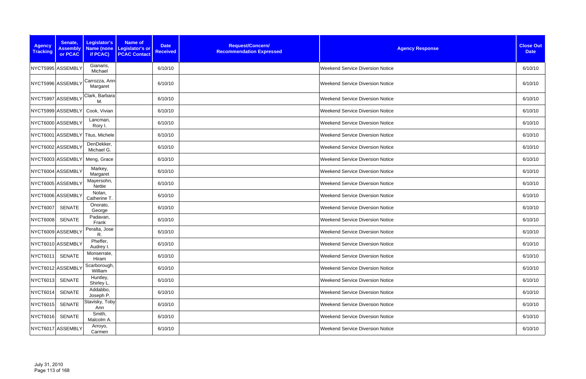| <b>Agency</b><br><b>Tracking</b> | Senate,<br><b>Assembly</b><br>or PCAC | Legislator's<br>if PCAC)         | <b>Name of</b><br><b>Date</b><br>Name (none Legislator's or<br><b>Received</b><br><b>PCAC Contact</b> | Request/Concern/<br><b>Recommendation Expressed</b> | <b>Agency Response</b>                  | <b>Close Out</b><br><b>Date</b> |
|----------------------------------|---------------------------------------|----------------------------------|-------------------------------------------------------------------------------------------------------|-----------------------------------------------------|-----------------------------------------|---------------------------------|
|                                  | NYCT5995 ASSEMBLY                     | Gianaris,<br>Michael             | 6/10/10                                                                                               |                                                     | <b>Weekend Service Diversion Notice</b> | 6/10/10                         |
|                                  | NYCT5996 ASSEMBLY                     | Carrozza, Ann<br>Margaret        | 6/10/10                                                                                               |                                                     | <b>Weekend Service Diversion Notice</b> | 6/10/10                         |
|                                  | NYCT5997 ASSEMBLY                     | Clark, Barbara<br>М.             | 6/10/10                                                                                               |                                                     | <b>Weekend Service Diversion Notice</b> | 6/10/10                         |
|                                  | NYCT5999 ASSEMBLY                     | Cook, Vivian                     | 6/10/10                                                                                               |                                                     | <b>Weekend Service Diversion Notice</b> | 6/10/10                         |
|                                  | NYCT6000 ASSEMBLY                     | Lancman,<br>Rory I.              | 6/10/10                                                                                               |                                                     | <b>Weekend Service Diversion Notice</b> | 6/10/10                         |
|                                  |                                       | NYCT6001 ASSEMBLY Titus, Michele | 6/10/10                                                                                               |                                                     | <b>Weekend Service Diversion Notice</b> | 6/10/10                         |
|                                  | NYCT6002 ASSEMBLY                     | DenDekker,<br>Michael G.         | 6/10/10                                                                                               |                                                     | <b>Weekend Service Diversion Notice</b> | 6/10/10                         |
|                                  | NYCT6003 ASSEMBLY                     | Meng, Grace                      | 6/10/10                                                                                               |                                                     | <b>Weekend Service Diversion Notice</b> | 6/10/10                         |
|                                  | NYCT6004 ASSEMBLY                     | Markey,<br>Margaret              | 6/10/10                                                                                               |                                                     | <b>Weekend Service Diversion Notice</b> | 6/10/10                         |
|                                  | NYCT6005 ASSEMBLY                     | Mayersohn,<br>Nettie             | 6/10/10                                                                                               |                                                     | <b>Weekend Service Diversion Notice</b> | 6/10/10                         |
|                                  | NYCT6006 ASSEMBLY                     | Nolan,<br>Catherine T.           | 6/10/10                                                                                               |                                                     | <b>Weekend Service Diversion Notice</b> | 6/10/10                         |
| NYCT6007                         | <b>SENATE</b>                         | Onorato,<br>George               | 6/10/10                                                                                               |                                                     | <b>Weekend Service Diversion Notice</b> | 6/10/10                         |
| NYCT6008                         | <b>SENATE</b>                         | Padavan,<br>Frank                | 6/10/10                                                                                               |                                                     | <b>Weekend Service Diversion Notice</b> | 6/10/10                         |
|                                  | NYCT6009 ASSEMBLY                     | Peralta, Jose<br>R.              | 6/10/10                                                                                               |                                                     | <b>Weekend Service Diversion Notice</b> | 6/10/10                         |
|                                  | NYCT6010 ASSEMBLY                     | Pheffer,<br>Audrey I.            | 6/10/10                                                                                               |                                                     | <b>Weekend Service Diversion Notice</b> | 6/10/10                         |
| NYCT6011                         | <b>SENATE</b>                         | Monserrate,<br>Hiram             | 6/10/10                                                                                               |                                                     | <b>Weekend Service Diversion Notice</b> | 6/10/10                         |
|                                  | NYCT6012 ASSEMBLY                     | Scarborough,<br>William          | 6/10/10                                                                                               |                                                     | <b>Weekend Service Diversion Notice</b> | 6/10/10                         |
| NYCT6013                         | <b>SENATE</b>                         | Huntley,<br>Shirley L.           | 6/10/10                                                                                               |                                                     | <b>Weekend Service Diversion Notice</b> | 6/10/10                         |
| NYCT6014                         | <b>SENATE</b>                         | Addabbo,<br>Joseph P.            | 6/10/10                                                                                               |                                                     | <b>Weekend Service Diversion Notice</b> | 6/10/10                         |
| NYCT6015                         | <b>SENATE</b>                         | Stavisky, Toby<br>Ann            | 6/10/10                                                                                               |                                                     | <b>Weekend Service Diversion Notice</b> | 6/10/10                         |
| NYCT6016                         | <b>SENATE</b>                         | Smith,<br>Malcolm A.             | 6/10/10                                                                                               |                                                     | <b>Weekend Service Diversion Notice</b> | 6/10/10                         |
|                                  | NYCT6017 ASSEMBLY                     | Arroyo,<br>Carmen                | 6/10/10                                                                                               |                                                     | <b>Weekend Service Diversion Notice</b> | 6/10/10                         |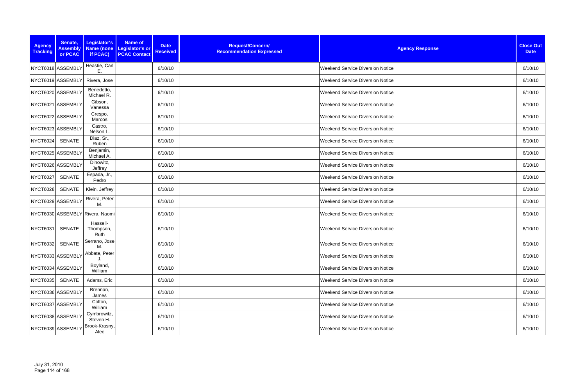| <b>Agency</b><br><b>Tracking</b> | Senate,<br><b>Assembly</b><br>or PCAC | Legislator's<br>Name (none<br>if PCAC) | <b>Name of</b><br><b>Date</b><br>Legislator's or<br><b>Received</b><br><b>PCAC Contact</b> | Request/Concern/<br><b>Recommendation Expressed</b> | <b>Agency Response</b>                  | <b>Close Out</b><br><b>Date</b> |
|----------------------------------|---------------------------------------|----------------------------------------|--------------------------------------------------------------------------------------------|-----------------------------------------------------|-----------------------------------------|---------------------------------|
|                                  | NYCT6018 ASSEMBLY                     | Heastie, Carl<br>Е.                    | 6/10/10                                                                                    |                                                     | <b>Weekend Service Diversion Notice</b> | 6/10/10                         |
|                                  | NYCT6019 ASSEMBLY                     | Rivera, Jose                           | 6/10/10                                                                                    |                                                     | <b>Weekend Service Diversion Notice</b> | 6/10/10                         |
|                                  | NYCT6020 ASSEMBLY                     | Benedetto,<br>Michael R.               | 6/10/10                                                                                    |                                                     | <b>Weekend Service Diversion Notice</b> | 6/10/10                         |
|                                  | NYCT6021 ASSEMBLY                     | Gibson,<br>Vanessa                     | 6/10/10                                                                                    |                                                     | <b>Weekend Service Diversion Notice</b> | 6/10/10                         |
|                                  | NYCT6022 ASSEMBLY                     | Crespo,<br>Marcos                      | 6/10/10                                                                                    |                                                     | <b>Weekend Service Diversion Notice</b> | 6/10/10                         |
|                                  | NYCT6023 ASSEMBLY                     | Castro,<br>Nelson L                    | 6/10/10                                                                                    |                                                     | <b>Weekend Service Diversion Notice</b> | 6/10/10                         |
| NYCT6024                         | <b>SENATE</b>                         | Diaz, Sr.,<br>Ruben                    | 6/10/10                                                                                    |                                                     | <b>Weekend Service Diversion Notice</b> | 6/10/10                         |
|                                  | NYCT6025 ASSEMBLY                     | Benjamin,<br>Michael A.                | 6/10/10                                                                                    |                                                     | <b>Weekend Service Diversion Notice</b> | 6/10/10                         |
|                                  | NYCT6026 ASSEMBLY                     | Dinowitz,<br>Jeffrey                   | 6/10/10                                                                                    |                                                     | <b>Weekend Service Diversion Notice</b> | 6/10/10                         |
| <b>NYCT6027</b>                  | SENATE                                | Espada, Jr.,<br>Pedro                  | 6/10/10                                                                                    |                                                     | <b>Weekend Service Diversion Notice</b> | 6/10/10                         |
| <b>NYCT6028</b>                  | SENATE                                | Klein, Jeffrey                         | 6/10/10                                                                                    |                                                     | <b>Weekend Service Diversion Notice</b> | 6/10/10                         |
|                                  | NYCT6029 ASSEMBLY                     | Rivera, Peter<br>M.                    | 6/10/10                                                                                    |                                                     | <b>Weekend Service Diversion Notice</b> | 6/10/10                         |
|                                  |                                       | NYCT6030 ASSEMBLY Rivera, Naomi        | 6/10/10                                                                                    |                                                     | <b>Weekend Service Diversion Notice</b> | 6/10/10                         |
| <b>NYCT6031</b>                  | SENATE                                | Hassell-<br>Thompson,<br>Ruth          | 6/10/10                                                                                    |                                                     | <b>Weekend Service Diversion Notice</b> | 6/10/10                         |
| NYCT6032                         | <b>SENATE</b>                         | Serrano, Jose<br>M.                    | 6/10/10                                                                                    |                                                     | <b>Weekend Service Diversion Notice</b> | 6/10/10                         |
|                                  | NYCT6033 ASSEMBLY                     | Abbate, Peter<br>J.                    | 6/10/10                                                                                    |                                                     | <b>Weekend Service Diversion Notice</b> | 6/10/10                         |
|                                  | NYCT6034 ASSEMBLY                     | Boyland,<br>William                    | 6/10/10                                                                                    |                                                     | <b>Weekend Service Diversion Notice</b> | 6/10/10                         |
| <b>NYCT6035</b>                  | SENATE                                | Adams, Eric                            | 6/10/10                                                                                    |                                                     | <b>Weekend Service Diversion Notice</b> | 6/10/10                         |
|                                  | NYCT6036 ASSEMBLY                     | Brennan,<br>James                      | 6/10/10                                                                                    |                                                     | <b>Weekend Service Diversion Notice</b> | 6/10/10                         |
|                                  | NYCT6037 ASSEMBLY                     | Colton,<br>William                     | 6/10/10                                                                                    |                                                     | <b>Weekend Service Diversion Notice</b> | 6/10/10                         |
|                                  | NYCT6038 ASSEMBLY                     | Cymbrowitz,<br>Steven H.               | 6/10/10                                                                                    |                                                     | <b>Weekend Service Diversion Notice</b> | 6/10/10                         |
|                                  | NYCT6039 ASSEMBLY                     | Brook-Krasny,<br>Alec                  | 6/10/10                                                                                    |                                                     | <b>Weekend Service Diversion Notice</b> | 6/10/10                         |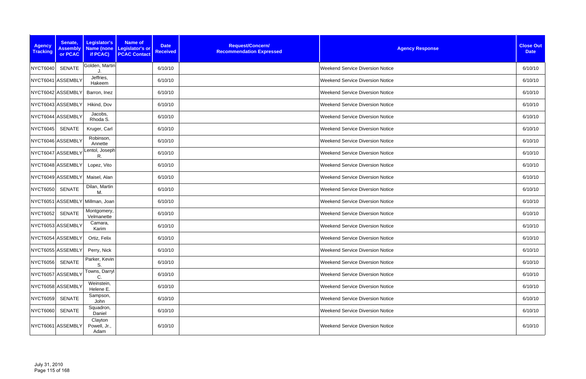| <b>Agency</b><br><b>Tracking</b> | Senate,<br><b>Assembly</b><br>or PCAC | Legislator's<br>if PCAC)        | <b>Name of</b><br>Name (none Legislator's or<br><b>PCAC Contact</b> | <b>Date</b><br><b>Received</b> | Request/Concern/<br><b>Recommendation Expressed</b> | <b>Agency Response</b>                  | <b>Close Out</b><br><b>Date</b> |
|----------------------------------|---------------------------------------|---------------------------------|---------------------------------------------------------------------|--------------------------------|-----------------------------------------------------|-----------------------------------------|---------------------------------|
| <b>NYCT6040</b>                  | <b>SENATE</b>                         | Golden, Martin                  |                                                                     | 6/10/10                        |                                                     | <b>Weekend Service Diversion Notice</b> | 6/10/10                         |
|                                  | NYCT6041 ASSEMBLY                     | Jeffries,<br>Hakeem             |                                                                     | 6/10/10                        |                                                     | <b>Weekend Service Diversion Notice</b> | 6/10/10                         |
|                                  | NYCT6042 ASSEMBLY                     | Barron, Inez                    |                                                                     | 6/10/10                        |                                                     | <b>Weekend Service Diversion Notice</b> | 6/10/10                         |
|                                  | NYCT6043 ASSEMBLY                     | Hikind, Dov                     |                                                                     | 6/10/10                        |                                                     | Weekend Service Diversion Notice        | 6/10/10                         |
|                                  | NYCT6044 ASSEMBLY                     | Jacobs,<br>Rhoda S.             |                                                                     | 6/10/10                        |                                                     | <b>Weekend Service Diversion Notice</b> | 6/10/10                         |
| <b>NYCT6045</b>                  | SENATE                                | Kruger, Carl                    |                                                                     | 6/10/10                        |                                                     | Weekend Service Diversion Notice        | 6/10/10                         |
|                                  | NYCT6046 ASSEMBLY                     | Robinson,<br>Annette            |                                                                     | 6/10/10                        |                                                     | <b>Weekend Service Diversion Notice</b> | 6/10/10                         |
|                                  | NYCT6047 ASSEMBLY                     | Lentol, Joseph<br>R.            |                                                                     | 6/10/10                        |                                                     | <b>Weekend Service Diversion Notice</b> | 6/10/10                         |
|                                  | NYCT6048 ASSEMBLY                     | Lopez, Vito                     |                                                                     | 6/10/10                        |                                                     | <b>Weekend Service Diversion Notice</b> | 6/10/10                         |
|                                  | NYCT6049 ASSEMBLY                     | Maisel, Alan                    |                                                                     | 6/10/10                        |                                                     | Weekend Service Diversion Notice        | 6/10/10                         |
| <b>NYCT6050</b>                  | <b>SENATE</b>                         | Dilan, Martin<br>M.             |                                                                     | 6/10/10                        |                                                     | Weekend Service Diversion Notice        | 6/10/10                         |
|                                  |                                       | NYCT6051 ASSEMBLY Millman, Joan |                                                                     | 6/10/10                        |                                                     | <b>Weekend Service Diversion Notice</b> | 6/10/10                         |
| <b>NYCT6052</b>                  | <b>SENATE</b>                         | Montgomery,<br>Velmanette       |                                                                     | 6/10/10                        |                                                     | Weekend Service Diversion Notice        | 6/10/10                         |
|                                  | NYCT6053 ASSEMBLY                     | Camara,<br>Karim                |                                                                     | 6/10/10                        |                                                     | <b>Weekend Service Diversion Notice</b> | 6/10/10                         |
|                                  | NYCT6054 ASSEMBLY                     | Ortiz, Felix                    |                                                                     | 6/10/10                        |                                                     | <b>Weekend Service Diversion Notice</b> | 6/10/10                         |
|                                  | NYCT6055 ASSEMBLY                     | Perry, Nick                     |                                                                     | 6/10/10                        |                                                     | <b>Weekend Service Diversion Notice</b> | 6/10/10                         |
| NYCT6056                         | <b>SENATE</b>                         | Parker, Kevin<br>S              |                                                                     | 6/10/10                        |                                                     | <b>Weekend Service Diversion Notice</b> | 6/10/10                         |
|                                  | NYCT6057 ASSEMBLY                     | Towns, Darryl<br>С              |                                                                     | 6/10/10                        |                                                     | <b>Weekend Service Diversion Notice</b> | 6/10/10                         |
|                                  | NYCT6058 ASSEMBLY                     | Weinstein,<br>Helene E.         |                                                                     | 6/10/10                        |                                                     | Weekend Service Diversion Notice        | 6/10/10                         |
| <b>NYCT6059</b>                  | <b>SENATE</b>                         | Sampson,<br>John                |                                                                     | 6/10/10                        |                                                     | <b>Weekend Service Diversion Notice</b> | 6/10/10                         |
| <b>NYCT6060</b>                  | <b>SENATE</b>                         | Squadron,<br>Daniel             |                                                                     | 6/10/10                        |                                                     | <b>Weekend Service Diversion Notice</b> | 6/10/10                         |
|                                  | NYCT6061 ASSEMBLY                     | Clayton<br>Powell, Jr.,<br>Adam |                                                                     | 6/10/10                        |                                                     | <b>Weekend Service Diversion Notice</b> | 6/10/10                         |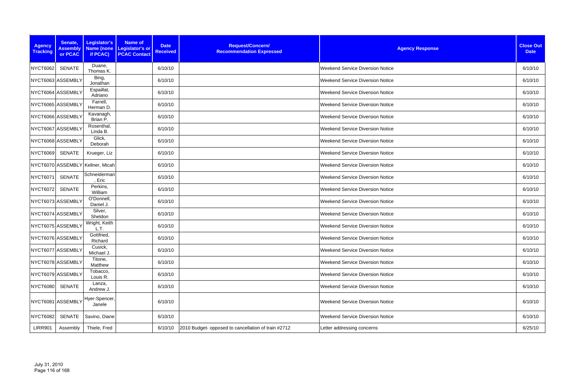| <b>Agency</b><br><b>Tracking</b> | Senate,<br><b>Assembly</b><br>or PCAC | Legislator's<br>if PCAC)         | <b>Name of</b><br>Name (none   Legislator's or<br><b>PCAC Contact</b> | <b>Date</b><br><b>Received</b> | Request/Concern/<br><b>Recommendation Expressed</b> | <b>Agency Response</b>                  | <b>Close Out</b><br><b>Date</b> |
|----------------------------------|---------------------------------------|----------------------------------|-----------------------------------------------------------------------|--------------------------------|-----------------------------------------------------|-----------------------------------------|---------------------------------|
| <b>NYCT6062</b>                  | SENATE                                | Duane,<br>Thomas K.              |                                                                       | 6/10/10                        |                                                     | <b>Weekend Service Diversion Notice</b> | 6/10/10                         |
|                                  | NYCT6063 ASSEMBLY                     | Bing,<br>Jonathan                |                                                                       | 6/10/10                        |                                                     | <b>Weekend Service Diversion Notice</b> | 6/10/10                         |
|                                  | NYCT6064 ASSEMBLY                     | Espaillat,<br>Adriano            |                                                                       | 6/10/10                        |                                                     | <b>Weekend Service Diversion Notice</b> | 6/10/10                         |
|                                  | NYCT6065 ASSEMBLY                     | Farrell,<br>Herman D.            |                                                                       | 6/10/10                        |                                                     | Weekend Service Diversion Notice        | 6/10/10                         |
|                                  | NYCT6066 ASSEMBLY                     | Kavanagh,<br>Brian P.            |                                                                       | 6/10/10                        |                                                     | <b>Weekend Service Diversion Notice</b> | 6/10/10                         |
|                                  | NYCT6067 ASSEMBLY                     | Rosenthal,<br>Linda B.           |                                                                       | 6/10/10                        |                                                     | Weekend Service Diversion Notice        | 6/10/10                         |
|                                  | NYCT6068 ASSEMBLY                     | Glick,<br>Deborah                |                                                                       | 6/10/10                        |                                                     | <b>Weekend Service Diversion Notice</b> | 6/10/10                         |
| <b>NYCT6069</b>                  | <b>SENATE</b>                         | Krueger, Liz                     |                                                                       | 6/10/10                        |                                                     | <b>Weekend Service Diversion Notice</b> | 6/10/10                         |
|                                  |                                       | NYCT6070 ASSEMBLY Kellner, Micah |                                                                       | 6/10/10                        |                                                     | <b>Weekend Service Diversion Notice</b> | 6/10/10                         |
| <b>NYCT6071</b>                  | <b>SENATE</b>                         | Schneiderman<br>, Eric           |                                                                       | 6/10/10                        |                                                     | <b>Weekend Service Diversion Notice</b> | 6/10/10                         |
| <b>NYCT6072</b>                  | <b>SENATE</b>                         | Perkins,<br>William              |                                                                       | 6/10/10                        |                                                     | Weekend Service Diversion Notice        | 6/10/10                         |
|                                  | NYCT6073 ASSEMBLY                     | O'Donnell,<br>Daniel J.          |                                                                       | 6/10/10                        |                                                     | <b>Weekend Service Diversion Notice</b> | 6/10/10                         |
|                                  | NYCT6074 ASSEMBLY                     | Silver,<br>Sheldon               |                                                                       | 6/10/10                        |                                                     | Weekend Service Diversion Notice        | 6/10/10                         |
|                                  | NYCT6075 ASSEMBLY                     | Wright, Keith<br>L.T.            |                                                                       | 6/10/10                        |                                                     | Weekend Service Diversion Notice        | 6/10/10                         |
|                                  | NYCT6076 ASSEMBLY                     | Gottfried,<br>Richard            |                                                                       | 6/10/10                        |                                                     | <b>Weekend Service Diversion Notice</b> | 6/10/10                         |
|                                  | NYCT6077 ASSEMBLY                     | Cusick,<br>Michael J.            |                                                                       | 6/10/10                        |                                                     | <b>Weekend Service Diversion Notice</b> | 6/10/10                         |
|                                  | NYCT6078 ASSEMBLY                     | Titone,<br>Matthew               |                                                                       | 6/10/10                        |                                                     | Weekend Service Diversion Notice        | 6/10/10                         |
|                                  | NYCT6079 ASSEMBLY                     | Tobacco,<br>Louis R.             |                                                                       | 6/10/10                        |                                                     | Weekend Service Diversion Notice        | 6/10/10                         |
| <b>NYCT6080</b>                  | SENATE                                | Lanza,<br>Andrew J.              |                                                                       | 6/10/10                        |                                                     | <b>Weekend Service Diversion Notice</b> | 6/10/10                         |
|                                  | NYCT6081 ASSEMBLY                     | Hyer-Spencer,<br>Janele          |                                                                       | 6/10/10                        |                                                     | <b>Weekend Service Diversion Notice</b> | 6/10/10                         |
| <b>NYCT6082</b>                  | SENATE                                | Savino, Diane                    |                                                                       | 6/10/10                        |                                                     | <b>Weekend Service Diversion Notice</b> | 6/10/10                         |
| <b>LIRR901</b>                   | Assembly                              | Thiele, Fred                     |                                                                       | 6/10/10                        | 2010 Budget- opposed to cancellation of train #2712 | Letter addressing concerns              | 6/25/10                         |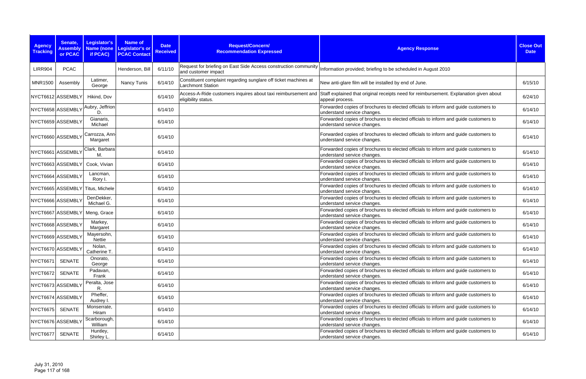| <b>Agency</b><br><b>Tracking</b> | Senate,<br><b>Assembly</b><br>or PCAC | <b>Legislator's</b><br>Name (none<br>if PCAC) | Name of<br>Legislator's or<br><b>PCAC Contact</b> | <b>Date</b><br><b>Received</b> | Request/Concern/<br><b>Recommendation Expressed</b>                                         | <b>Agency Response</b>                                                                                             | <b>Close Out</b><br><b>Date</b> |
|----------------------------------|---------------------------------------|-----------------------------------------------|---------------------------------------------------|--------------------------------|---------------------------------------------------------------------------------------------|--------------------------------------------------------------------------------------------------------------------|---------------------------------|
| <b>LIRR904</b>                   | <b>PCAC</b>                           |                                               | Henderson, Bill                                   | 6/11/10                        | Request for briefing on East Side Access construction community<br>and customer impact      | Information provided; briefing to be scheduled in August 2010                                                      |                                 |
| <b>MNR1500</b>                   | Assembly                              | Latimer,<br>George                            | Nancy Tunis                                       | 6/14/10                        | Constituent complaint regarding sunglare off ticket machines at<br><b>Larchmont Station</b> | New anti-glare film will be installed by end of June.                                                              | 6/15/10                         |
|                                  | NYCT6612 ASSEMBLY                     | Hikind, Dov                                   |                                                   | 6/14/10                        | Access-A-Ride customers inquires about taxi reimbursement and<br>eligibility status.        | Staff explained that original receipts need for reimbursement. Explanation given about<br>appeal process.          | 6/24/10                         |
|                                  | NYCT6658 ASSEMBLY                     | Aubry, Jeffrion<br>D.                         |                                                   | 6/14/10                        |                                                                                             | Forwarded copies of brochures to elected officials to inform and guide customers to<br>understand service changes. | 6/14/10                         |
|                                  | NYCT6659 ASSEMBLY                     | Gianaris,<br>Michael                          |                                                   | 6/14/10                        |                                                                                             | Forwarded copies of brochures to elected officials to inform and guide customers to<br>understand service changes. | 6/14/10                         |
|                                  | NYCT6660 ASSEMBLY                     | Carrozza, Ann-<br>Margaret                    |                                                   | 6/14/10                        |                                                                                             | Forwarded copies of brochures to elected officials to inform and guide customers to<br>understand service changes. | 6/14/10                         |
|                                  | NYCT6661 ASSEMBLY                     | Clark, Barbara<br>M.                          |                                                   | 6/14/10                        |                                                                                             | Forwarded copies of brochures to elected officials to inform and guide customers to<br>understand service changes. | 6/14/10                         |
|                                  | NYCT6663 ASSEMBLY                     | Cook, Vivian                                  |                                                   | 6/14/10                        |                                                                                             | Forwarded copies of brochures to elected officials to inform and guide customers to<br>understand service changes. | 6/14/10                         |
|                                  | NYCT6664 ASSEMBLY                     | Lancman,<br>Rory I.                           |                                                   | 6/14/10                        |                                                                                             | Forwarded copies of brochures to elected officials to inform and guide customers to<br>understand service changes. | 6/14/10                         |
|                                  |                                       | NYCT6665 ASSEMBLY Titus, Michele              |                                                   | 6/14/10                        |                                                                                             | Forwarded copies of brochures to elected officials to inform and guide customers to<br>understand service changes. | 6/14/10                         |
|                                  | NYCT6666 ASSEMBLY                     | DenDekker,<br>Michael G.                      |                                                   | 6/14/10                        |                                                                                             | Forwarded copies of brochures to elected officials to inform and guide customers to<br>understand service changes. | 6/14/10                         |
|                                  |                                       | NYCT6667 ASSEMBLY Meng, Grace                 |                                                   | 6/14/10                        |                                                                                             | Forwarded copies of brochures to elected officials to inform and guide customers to<br>understand service changes. | 6/14/10                         |
|                                  | NYCT6668 ASSEMBLY                     | Markey,<br>Margaret                           |                                                   | 6/14/10                        |                                                                                             | Forwarded copies of brochures to elected officials to inform and guide customers to<br>understand service changes. | 6/14/10                         |
|                                  | NYCT6669 ASSEMBLY                     | Mayersohn,<br>Nettie                          |                                                   | 6/14/10                        |                                                                                             | Forwarded copies of brochures to elected officials to inform and guide customers to<br>understand service changes. | 6/14/10                         |
|                                  | NYCT6670 ASSEMBLY                     | Nolan,<br>Catherine T.                        |                                                   | 6/14/10                        |                                                                                             | Forwarded copies of brochures to elected officials to inform and guide customers to<br>understand service changes. | 6/14/10                         |
| NYCT6671                         | <b>SENATE</b>                         | Onorato,<br>George                            |                                                   | 6/14/10                        |                                                                                             | Forwarded copies of brochures to elected officials to inform and guide customers to<br>understand service changes. | 6/14/10                         |
| NYCT6672                         | SENATE                                | Padavan,<br>Frank                             |                                                   | 6/14/10                        |                                                                                             | Forwarded copies of brochures to elected officials to inform and guide customers to<br>understand service changes. | 6/14/10                         |
|                                  | NYCT6673 ASSEMBLY                     | Peralta, Jose<br>R.                           |                                                   | 6/14/10                        |                                                                                             | Forwarded copies of brochures to elected officials to inform and guide customers to<br>understand service changes. | 6/14/10                         |
|                                  | NYCT6674 ASSEMBLY                     | Pheffer,<br>Audrey I.                         |                                                   | 6/14/10                        |                                                                                             | Forwarded copies of brochures to elected officials to inform and guide customers to<br>understand service changes. | 6/14/10                         |
| NYCT6675 SENATE                  |                                       | Monserrate,<br>Hiram                          |                                                   | 6/14/10                        |                                                                                             | Forwarded copies of brochures to elected officials to inform and guide customers to<br>understand service changes. | 6/14/10                         |
|                                  | NYCT6676 ASSEMBLY                     | Scarborough,<br>William                       |                                                   | 6/14/10                        |                                                                                             | Forwarded copies of brochures to elected officials to inform and guide customers to<br>understand service changes. | 6/14/10                         |
| NYCT6677                         | SENATE                                | Huntley,<br>Shirley L.                        |                                                   | 6/14/10                        |                                                                                             | Forwarded copies of brochures to elected officials to inform and guide customers to<br>understand service changes. | 6/14/10                         |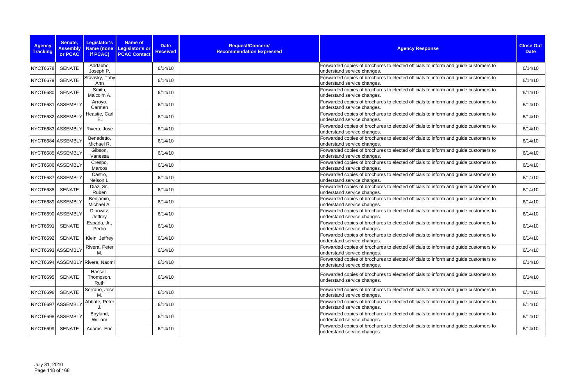| <b>Agency</b><br><b>Tracking</b> | Senate,<br><b>Assembly</b><br>or PCAC | Legislator's<br><b>Name (none</b><br>if PCAC) | Name of<br>Legislator's or<br><b>PCAC Contact</b> | <b>Date</b><br><b>Received</b> | Request/Concern/<br><b>Recommendation Expressed</b> | <b>Agency Response</b>                                                                                             | <b>Close Out</b><br><b>Date</b> |
|----------------------------------|---------------------------------------|-----------------------------------------------|---------------------------------------------------|--------------------------------|-----------------------------------------------------|--------------------------------------------------------------------------------------------------------------------|---------------------------------|
| <b>NYCT6678</b>                  | <b>SENATE</b>                         | Addabbo,<br>Joseph P.                         |                                                   | 6/14/10                        |                                                     | Forwarded copies of brochures to elected officials to inform and guide customers to<br>understand service changes. | 6/14/10                         |
| <b>NYCT6679</b>                  | <b>SENATE</b>                         | Stavisky, Toby<br>Ann                         |                                                   | 6/14/10                        |                                                     | Forwarded copies of brochures to elected officials to inform and guide customers to<br>understand service changes. | 6/14/10                         |
| <b>NYCT6680</b>                  | <b>SENATE</b>                         | Smith,<br>Malcolm A.                          |                                                   | 6/14/10                        |                                                     | Forwarded copies of brochures to elected officials to inform and guide customers to<br>understand service changes. | 6/14/10                         |
|                                  | NYCT6681 ASSEMBLY                     | Arroyo,<br>Carmen                             |                                                   | 6/14/10                        |                                                     | Forwarded copies of brochures to elected officials to inform and guide customers to<br>understand service changes. | 6/14/10                         |
|                                  | NYCT6682 ASSEMBLY                     | Heastie, Carl<br>Е.                           |                                                   | 6/14/10                        |                                                     | Forwarded copies of brochures to elected officials to inform and guide customers to<br>understand service changes. | 6/14/10                         |
|                                  | NYCT6683 ASSEMBLY                     | Rivera, Jose                                  |                                                   | 6/14/10                        |                                                     | Forwarded copies of brochures to elected officials to inform and guide customers to<br>understand service changes. | 6/14/10                         |
|                                  | NYCT6684 ASSEMBLY                     | Benedetto,<br>Michael R.                      |                                                   | 6/14/10                        |                                                     | Forwarded copies of brochures to elected officials to inform and guide customers to<br>understand service changes. | 6/14/10                         |
|                                  | NYCT6685 ASSEMBLY                     | Gibson,<br>Vanessa                            |                                                   | 6/14/10                        |                                                     | Forwarded copies of brochures to elected officials to inform and guide customers to<br>understand service changes. | 6/14/10                         |
|                                  | NYCT6686 ASSEMBLY                     | Crespo,<br>Marcos                             |                                                   | 6/14/10                        |                                                     | Forwarded copies of brochures to elected officials to inform and guide customers to<br>understand service changes. | 6/14/10                         |
| NYCT6687 ASSEMBLY                |                                       | Castro,<br>Nelson L.                          |                                                   | 6/14/10                        |                                                     | Forwarded copies of brochures to elected officials to inform and guide customers to<br>understand service changes. | 6/14/10                         |
| <b>NYCT6688</b>                  | <b>SENATE</b>                         | Diaz, Sr.,<br>Ruben                           |                                                   | 6/14/10                        |                                                     | Forwarded copies of brochures to elected officials to inform and guide customers to<br>understand service changes. | 6/14/10                         |
|                                  | NYCT6689 ASSEMBLY                     | Benjamin,<br>Michael A.                       |                                                   | 6/14/10                        |                                                     | Forwarded copies of brochures to elected officials to inform and guide customers to<br>understand service changes. | 6/14/10                         |
|                                  | NYCT6690 ASSEMBLY                     | Dinowitz,<br>Jeffrey                          |                                                   | 6/14/10                        |                                                     | Forwarded copies of brochures to elected officials to inform and guide customers to<br>understand service changes. | 6/14/10                         |
| <b>NYCT6691</b>                  | <b>SENATE</b>                         | Espada, Jr.,<br>Pedro                         |                                                   | 6/14/10                        |                                                     | Forwarded copies of brochures to elected officials to inform and guide customers to<br>understand service changes. | 6/14/10                         |
| NYCT6692                         | SENATE                                | Klein, Jeffrey                                |                                                   | 6/14/10                        |                                                     | Forwarded copies of brochures to elected officials to inform and guide customers to<br>understand service changes. | 6/14/10                         |
|                                  | NYCT6693 ASSEMBLY                     | Rivera, Peter<br>М.                           |                                                   | 6/14/10                        |                                                     | Forwarded copies of brochures to elected officials to inform and guide customers to<br>understand service changes. | 6/14/10                         |
|                                  |                                       | NYCT6694 ASSEMBLY Rivera, Naomi               |                                                   | 6/14/10                        |                                                     | Forwarded copies of brochures to elected officials to inform and guide customers to<br>understand service changes. | 6/14/10                         |
| NYCT6695                         | SENATE                                | Hassell-<br>Thompson,<br>Ruth                 |                                                   | 6/14/10                        |                                                     | Forwarded copies of brochures to elected officials to inform and guide customers to<br>understand service changes. | 6/14/10                         |
| <b>NYCT6696</b>                  | <b>SENATE</b>                         | Serrano, Jose<br>М.                           |                                                   | 6/14/10                        |                                                     | Forwarded copies of brochures to elected officials to inform and guide customers to<br>understand service changes. | 6/14/10                         |
|                                  | NYCT6697 ASSEMBLY                     | Abbate, Peter                                 |                                                   | 6/14/10                        |                                                     | Forwarded copies of brochures to elected officials to inform and guide customers to<br>understand service changes. | 6/14/10                         |
|                                  | NYCT6698 ASSEMBLY                     | Boyland,<br>William                           |                                                   | 6/14/10                        |                                                     | Forwarded copies of brochures to elected officials to inform and guide customers to<br>understand service changes. | 6/14/10                         |
| <b>NYCT6699</b>                  | SENATE                                | Adams, Eric                                   |                                                   | 6/14/10                        |                                                     | Forwarded copies of brochures to elected officials to inform and guide customers to<br>understand service changes. | 6/14/10                         |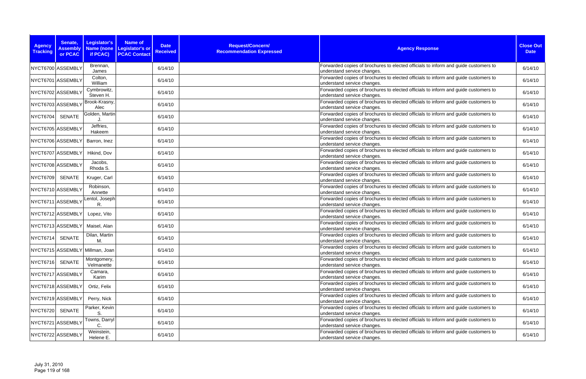| <b>Agency</b><br><b>Tracking</b> | Senate,<br><b>Assembly</b><br>or PCAC | Legislator's<br>if PCAC)        | Name of<br>Name (none Legislator's or<br><b>PCAC Contact</b> | <b>Date</b><br><b>Received</b> | Request/Concern/<br><b>Recommendation Expressed</b> | <b>Agency Response</b>                                                                                             | <b>Close Out</b><br><b>Date</b> |
|----------------------------------|---------------------------------------|---------------------------------|--------------------------------------------------------------|--------------------------------|-----------------------------------------------------|--------------------------------------------------------------------------------------------------------------------|---------------------------------|
|                                  | NYCT6700 ASSEMBLY                     | Brennan,<br>James               |                                                              | 6/14/10                        |                                                     | Forwarded copies of brochures to elected officials to inform and guide customers to<br>understand service changes. | 6/14/10                         |
|                                  | NYCT6701 ASSEMBLY                     | Colton,<br>William              |                                                              | 6/14/10                        |                                                     | Forwarded copies of brochures to elected officials to inform and guide customers to<br>understand service changes. | 6/14/10                         |
|                                  | NYCT6702 ASSEMBLY                     | Cymbrowitz,<br>Steven H.        |                                                              | 6/14/10                        |                                                     | Forwarded copies of brochures to elected officials to inform and guide customers to<br>understand service changes. | 6/14/10                         |
|                                  | NYCT6703 ASSEMBLY                     | Brook-Krasny,<br>Alec           |                                                              | 6/14/10                        |                                                     | Forwarded copies of brochures to elected officials to inform and guide customers to<br>understand service changes. | 6/14/10                         |
| <b>NYCT6704</b>                  | <b>SENATE</b>                         | Golden, Martin                  |                                                              | 6/14/10                        |                                                     | Forwarded copies of brochures to elected officials to inform and guide customers to<br>understand service changes. | 6/14/10                         |
|                                  | NYCT6705 ASSEMBLY                     | Jeffries,<br>Hakeem             |                                                              | 6/14/10                        |                                                     | Forwarded copies of brochures to elected officials to inform and guide customers to<br>understand service changes. | 6/14/10                         |
|                                  | NYCT6706 ASSEMBLY                     | Barron, Inez                    |                                                              | 6/14/10                        |                                                     | Forwarded copies of brochures to elected officials to inform and guide customers to<br>understand service changes. | 6/14/10                         |
|                                  | NYCT6707 ASSEMBLY                     | Hikind, Dov                     |                                                              | 6/14/10                        |                                                     | Forwarded copies of brochures to elected officials to inform and guide customers to<br>understand service changes. | 6/14/10                         |
|                                  | NYCT6708 ASSEMBLY                     | Jacobs,<br>Rhoda S.             |                                                              | 6/14/10                        |                                                     | Forwarded copies of brochures to elected officials to inform and guide customers to<br>understand service changes. | 6/14/10                         |
| <b>NYCT6709</b>                  | SENATE                                | Kruger, Carl                    |                                                              | 6/14/10                        |                                                     | Forwarded copies of brochures to elected officials to inform and guide customers to<br>understand service changes. | 6/14/10                         |
|                                  | NYCT6710 ASSEMBLY                     | Robinson,<br>Annette            |                                                              | 6/14/10                        |                                                     | Forwarded copies of brochures to elected officials to inform and guide customers to<br>understand service changes. | 6/14/10                         |
|                                  | NYCT6711 ASSEMBLY                     | Lentol, Joseph<br>R.            |                                                              | 6/14/10                        |                                                     | Forwarded copies of brochures to elected officials to inform and guide customers to<br>understand service changes. | 6/14/10                         |
|                                  | NYCT6712 ASSEMBLY                     | Lopez, Vito                     |                                                              | 6/14/10                        |                                                     | Forwarded copies of brochures to elected officials to inform and guide customers to<br>understand service changes. | 6/14/10                         |
|                                  | NYCT6713 ASSEMBLY                     | Maisel, Alan                    |                                                              | 6/14/10                        |                                                     | Forwarded copies of brochures to elected officials to inform and guide customers to<br>understand service changes. | 6/14/10                         |
| <b>NYCT6714</b>                  | SENATE                                | Dilan, Martin<br>М.             |                                                              | 6/14/10                        |                                                     | Forwarded copies of brochures to elected officials to inform and guide customers to<br>understand service changes. | 6/14/10                         |
|                                  |                                       | NYCT6715 ASSEMBLY Millman, Joan |                                                              | 6/14/10                        |                                                     | Forwarded copies of brochures to elected officials to inform and guide customers to<br>understand service changes. | 6/14/10                         |
| <b>NYCT6716</b>                  | <b>SENATE</b>                         | Montgomery,<br>Velmanette       |                                                              | 6/14/10                        |                                                     | Forwarded copies of brochures to elected officials to inform and guide customers to<br>understand service changes. | 6/14/10                         |
|                                  | NYCT6717 ASSEMBLY                     | Camara,<br>Karim                |                                                              | 6/14/10                        |                                                     | Forwarded copies of brochures to elected officials to inform and guide customers to<br>understand service changes. | 6/14/10                         |
|                                  | NYCT6718 ASSEMBLY                     | Ortiz, Felix                    |                                                              | 6/14/10                        |                                                     | Forwarded copies of brochures to elected officials to inform and guide customers to<br>understand service changes. | 6/14/10                         |
|                                  | NYCT6719 ASSEMBLY                     | Perry, Nick                     |                                                              | 6/14/10                        |                                                     | Forwarded copies of brochures to elected officials to inform and guide customers to<br>understand service changes. | 6/14/10                         |
| <b>NYCT6720</b>                  | <b>SENATE</b>                         | Parker, Kevin<br>S              |                                                              | 6/14/10                        |                                                     | Forwarded copies of brochures to elected officials to inform and guide customers to<br>understand service changes. | 6/14/10                         |
|                                  | NYCT6721 ASSEMBLY                     | Towns, Darryl                   |                                                              | 6/14/10                        |                                                     | Forwarded copies of brochures to elected officials to inform and guide customers to<br>understand service changes. | 6/14/10                         |
|                                  | NYCT6722 ASSEMBLY                     | Weinstein,<br>Helene E.         |                                                              | 6/14/10                        |                                                     | Forwarded copies of brochures to elected officials to inform and guide customers to<br>understand service changes. | 6/14/10                         |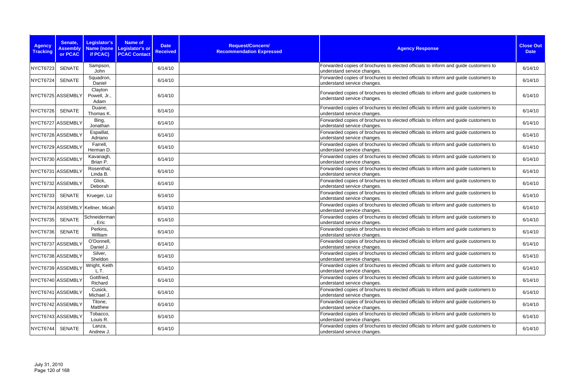| <b>Agency</b><br><b>Tracking</b> | Senate,<br><b>Assembly</b><br>or PCAC | Legislator's<br>if PCAC)         | <b>Name of</b><br>Name (none   Legislator's or<br><b>PCAC Contact</b> | <b>Date</b><br><b>Received</b> | Request/Concern/<br><b>Recommendation Expressed</b> | <b>Agency Response</b>                                                                                             | <b>Close Out</b><br><b>Date</b> |
|----------------------------------|---------------------------------------|----------------------------------|-----------------------------------------------------------------------|--------------------------------|-----------------------------------------------------|--------------------------------------------------------------------------------------------------------------------|---------------------------------|
| <b>NYCT6723</b>                  | <b>SENATE</b>                         | Sampson,<br>John                 |                                                                       | 6/14/10                        |                                                     | Forwarded copies of brochures to elected officials to inform and guide customers to<br>understand service changes. | 6/14/10                         |
| <b>NYCT6724</b>                  | <b>SENATE</b>                         | Squadron,<br>Daniel              |                                                                       | 6/14/10                        |                                                     | Forwarded copies of brochures to elected officials to inform and guide customers to<br>understand service changes. | 6/14/10                         |
|                                  | NYCT6725 ASSEMBLY                     | Clayton<br>Powell, Jr.,<br>Adam  |                                                                       | 6/14/10                        |                                                     | Forwarded copies of brochures to elected officials to inform and guide customers to<br>understand service changes. | 6/14/10                         |
| <b>NYCT6726</b>                  | <b>SENATE</b>                         | Duane,<br>Thomas K.              |                                                                       | 6/14/10                        |                                                     | Forwarded copies of brochures to elected officials to inform and guide customers to<br>understand service changes. | 6/14/10                         |
|                                  | NYCT6727 ASSEMBLY                     | Bing,<br>Jonathan                |                                                                       | 6/14/10                        |                                                     | Forwarded copies of brochures to elected officials to inform and guide customers to<br>understand service changes. | 6/14/10                         |
|                                  | NYCT6728 ASSEMBLY                     | Espaillat,<br>Adriano            |                                                                       | 6/14/10                        |                                                     | Forwarded copies of brochures to elected officials to inform and guide customers to<br>understand service changes. | 6/14/10                         |
|                                  | NYCT6729 ASSEMBLY                     | Farrell,<br>Herman D.            |                                                                       | 6/14/10                        |                                                     | Forwarded copies of brochures to elected officials to inform and guide customers to<br>understand service changes. | 6/14/10                         |
|                                  | NYCT6730 ASSEMBLY                     | Kavanagh,<br>Brian P.            |                                                                       | 6/14/10                        |                                                     | Forwarded copies of brochures to elected officials to inform and guide customers to<br>understand service changes. | 6/14/10                         |
|                                  | NYCT6731 ASSEMBLY                     | Rosenthal,<br>Linda B.           |                                                                       | 6/14/10                        |                                                     | Forwarded copies of brochures to elected officials to inform and guide customers to<br>understand service changes. | 6/14/10                         |
|                                  | NYCT6732 ASSEMBLY                     | Glick,<br>Deborah                |                                                                       | 6/14/10                        |                                                     | Forwarded copies of brochures to elected officials to inform and guide customers to<br>understand service changes. | 6/14/10                         |
| <b>NYCT6733</b>                  | SENATE                                | Krueger, Liz                     |                                                                       | 6/14/10                        |                                                     | Forwarded copies of brochures to elected officials to inform and guide customers to<br>understand service changes. | 6/14/10                         |
|                                  |                                       | NYCT6734 ASSEMBLY Kellner, Micah |                                                                       | 6/14/10                        |                                                     | Forwarded copies of brochures to elected officials to inform and guide customers to<br>understand service changes. | 6/14/10                         |
| <b>NYCT6735</b>                  | <b>SENATE</b>                         | Schneiderman<br>, Eric           |                                                                       | 6/14/10                        |                                                     | Forwarded copies of brochures to elected officials to inform and guide customers to<br>understand service changes. | 6/14/10                         |
| <b>NYCT6736</b>                  | <b>SENATE</b>                         | Perkins,<br>William              |                                                                       | 6/14/10                        |                                                     | Forwarded copies of brochures to elected officials to inform and guide customers to<br>understand service changes. | 6/14/10                         |
|                                  | NYCT6737 ASSEMBLY                     | O'Donnell,<br>Daniel J.          |                                                                       | 6/14/10                        |                                                     | Forwarded copies of brochures to elected officials to inform and guide customers to<br>understand service changes. | 6/14/10                         |
|                                  | NYCT6738 ASSEMBLY                     | Silver,<br>Sheldon               |                                                                       | 6/14/10                        |                                                     | Forwarded copies of brochures to elected officials to inform and guide customers to<br>understand service changes. | 6/14/10                         |
|                                  | NYCT6739 ASSEMBLY                     | Wright, Keith<br>L.T.            |                                                                       | 6/14/10                        |                                                     | Forwarded copies of brochures to elected officials to inform and guide customers to<br>understand service changes. | 6/14/10                         |
|                                  | NYCT6740 ASSEMBLY                     | Gottfried,<br>Richard            |                                                                       | 6/14/10                        |                                                     | Forwarded copies of brochures to elected officials to inform and guide customers to<br>understand service changes. | 6/14/10                         |
|                                  | NYCT6741 ASSEMBLY                     | Cusick,<br>Michael J.            |                                                                       | 6/14/10                        |                                                     | Forwarded copies of brochures to elected officials to inform and guide customers to<br>understand service changes. | 6/14/10                         |
|                                  | NYCT6742 ASSEMBLY                     | Titone,<br>Matthew               |                                                                       | 6/14/10                        |                                                     | Forwarded copies of brochures to elected officials to inform and guide customers to<br>understand service changes. | 6/14/10                         |
|                                  | NYCT6743 ASSEMBLY                     | Tobacco,<br>Louis R.             |                                                                       | 6/14/10                        |                                                     | Forwarded copies of brochures to elected officials to inform and guide customers to<br>understand service changes. | 6/14/10                         |
| <b>NYCT6744</b>                  | SENATE                                | Lanza,<br>Andrew J.              |                                                                       | 6/14/10                        |                                                     | Forwarded copies of brochures to elected officials to inform and guide customers to<br>understand service changes. | 6/14/10                         |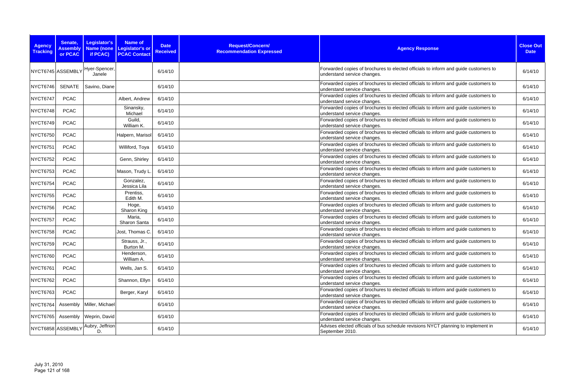| <b>Agency</b><br><b>Tracking</b> | Senate,<br><b>Assembly</b><br>or PCAC | Legislator's<br>if PCAC) | <b>Name of</b><br>Name (none Legislator's or<br><b>PCAC Contact</b> | <b>Date</b><br><b>Received</b> | Request/Concern/<br><b>Recommendation Expressed</b> | <b>Agency Response</b>                                                                                             | <b>Close Out</b><br><b>Date</b> |
|----------------------------------|---------------------------------------|--------------------------|---------------------------------------------------------------------|--------------------------------|-----------------------------------------------------|--------------------------------------------------------------------------------------------------------------------|---------------------------------|
|                                  | NYCT6745 ASSEMBLY                     | Hyer-Spencer,<br>Janele  |                                                                     | 6/14/10                        |                                                     | Forwarded copies of brochures to elected officials to inform and guide customers to<br>understand service changes. | 6/14/10                         |
| <b>NYCT6746</b>                  | SENATE                                | Savino, Diane            |                                                                     | 6/14/10                        |                                                     | Forwarded copies of brochures to elected officials to inform and guide customers to<br>understand service changes. | 6/14/10                         |
| NYCT6747                         | <b>PCAC</b>                           |                          | Albert, Andrew                                                      | 6/14/10                        |                                                     | Forwarded copies of brochures to elected officials to inform and guide customers to<br>understand service changes. | 6/14/10                         |
| NYCT6748                         | <b>PCAC</b>                           |                          | Sinansky,<br>Michael                                                | 6/14/10                        |                                                     | Forwarded copies of brochures to elected officials to inform and guide customers to<br>understand service changes. | 6/14/10                         |
| <b>NYCT6749</b>                  | <b>PCAC</b>                           |                          | Guild,<br>William K.                                                | 6/14/10                        |                                                     | Forwarded copies of brochures to elected officials to inform and guide customers to<br>understand service changes. | 6/14/10                         |
| <b>NYCT6750</b>                  | <b>PCAC</b>                           |                          | Halpern, Marisol                                                    | 6/14/10                        |                                                     | Forwarded copies of brochures to elected officials to inform and guide customers to<br>understand service changes. | 6/14/10                         |
| <b>NYCT6751</b>                  | <b>PCAC</b>                           |                          | Williford, Toya                                                     | 6/14/10                        |                                                     | Forwarded copies of brochures to elected officials to inform and guide customers to<br>understand service changes. | 6/14/10                         |
| <b>NYCT6752</b>                  | <b>PCAC</b>                           |                          | Genn, Shirley                                                       | 6/14/10                        |                                                     | Forwarded copies of brochures to elected officials to inform and guide customers to<br>understand service changes. | 6/14/10                         |
| <b>NYCT6753</b>                  | <b>PCAC</b>                           |                          | Mason, Trudy L                                                      | 6/14/10                        |                                                     | Forwarded copies of brochures to elected officials to inform and guide customers to<br>understand service changes. | 6/14/10                         |
| <b>NYCT6754</b>                  | <b>PCAC</b>                           |                          | Gonzalez,<br>Jessica Lila                                           | 6/14/10                        |                                                     | Forwarded copies of brochures to elected officials to inform and guide customers to<br>understand service changes. | 6/14/10                         |
| <b>NYCT6755</b>                  | <b>PCAC</b>                           |                          | Prentiss,<br>Edith M.                                               | 6/14/10                        |                                                     | Forwarded copies of brochures to elected officials to inform and guide customers to<br>understand service changes. | 6/14/10                         |
| <b>NYCT6756</b>                  | <b>PCAC</b>                           |                          | Hoge,<br>Sharon King                                                | 6/14/10                        |                                                     | Forwarded copies of brochures to elected officials to inform and guide customers to<br>understand service changes. | 6/14/10                         |
| NYCT6757                         | <b>PCAC</b>                           |                          | Maria,<br>Sharon Santa                                              | 6/14/10                        |                                                     | Forwarded copies of brochures to elected officials to inform and guide customers to<br>understand service changes. | 6/14/10                         |
| <b>NYCT6758</b>                  | <b>PCAC</b>                           |                          | Jost, Thomas C.                                                     | 6/14/10                        |                                                     | Forwarded copies of brochures to elected officials to inform and guide customers to<br>understand service changes. | 6/14/10                         |
| NYCT6759                         | <b>PCAC</b>                           |                          | Strauss, Jr.,<br>Burton M.                                          | 6/14/10                        |                                                     | Forwarded copies of brochures to elected officials to inform and guide customers to<br>understand service changes. | 6/14/10                         |
| <b>NYCT6760</b>                  | <b>PCAC</b>                           |                          | Henderson,<br>William A.                                            | 6/14/10                        |                                                     | Forwarded copies of brochures to elected officials to inform and guide customers to<br>understand service changes. | 6/14/10                         |
| NYCT6761                         | <b>PCAC</b>                           |                          | Wells, Jan S.                                                       | 6/14/10                        |                                                     | Forwarded copies of brochures to elected officials to inform and guide customers to<br>understand service changes. | 6/14/10                         |
| NYCT6762                         | <b>PCAC</b>                           |                          | Shannon, Ellyn                                                      | 6/14/10                        |                                                     | Forwarded copies of brochures to elected officials to inform and guide customers to<br>understand service changes. | 6/14/10                         |
| NYCT6763                         | <b>PCAC</b>                           |                          | Berger, Karyl                                                       | 6/14/10                        |                                                     | Forwarded copies of brochures to elected officials to inform and guide customers to<br>understand service changes. | 6/14/10                         |
| <b>NYCT6764</b>                  | Assembly                              | Miller, Michael          |                                                                     | 6/14/10                        |                                                     | Forwarded copies of brochures to elected officials to inform and guide customers to<br>understand service changes. | 6/14/10                         |
| <b>NYCT6765</b>                  | Assembly                              | Weprin, David            |                                                                     | 6/14/10                        |                                                     | Forwarded copies of brochures to elected officials to inform and guide customers to<br>understand service changes. | 6/14/10                         |
|                                  | NYCT6858 ASSEMBLY                     | Aubry, Jeffrion<br>D.    |                                                                     | 6/14/10                        |                                                     | Advises elected officials of bus schedule revisions NYCT planning to implement in<br>September 2010.               | 6/14/10                         |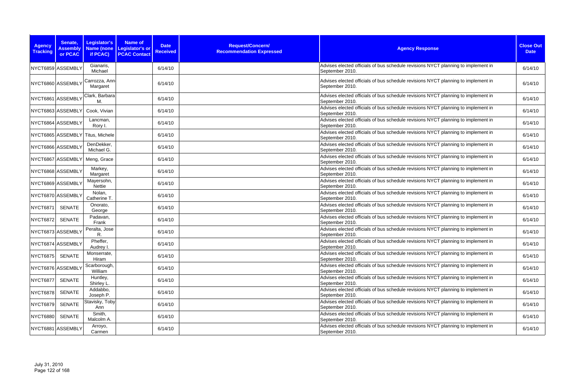| <b>Agency</b><br><b>Tracking</b> | Senate,<br><b>Assembly</b><br>or PCAC | Legislator's<br>if PCAC)         | <b>Name of</b><br>Name (none   Legislator's or<br><b>PCAC Contact</b> | <b>Date</b><br><b>Received</b> | Request/Concern/<br><b>Recommendation Expressed</b> | <b>Agency Response</b>                                                                               | <b>Close Out</b><br><b>Date</b> |
|----------------------------------|---------------------------------------|----------------------------------|-----------------------------------------------------------------------|--------------------------------|-----------------------------------------------------|------------------------------------------------------------------------------------------------------|---------------------------------|
|                                  | NYCT6859 ASSEMBLY                     | Gianaris,<br>Michael             |                                                                       | 6/14/10                        |                                                     | Advises elected officials of bus schedule revisions NYCT planning to implement in<br>September 2010. | 6/14/10                         |
|                                  | NYCT6860 ASSEMBLY                     | Carrozza, Ann<br>Margaret        |                                                                       | 6/14/10                        |                                                     | Advises elected officials of bus schedule revisions NYCT planning to implement in<br>September 2010. | 6/14/10                         |
|                                  | NYCT6861 ASSEMBLY                     | Clark, Barbara<br>M.             |                                                                       | 6/14/10                        |                                                     | Advises elected officials of bus schedule revisions NYCT planning to implement in<br>September 2010. | 6/14/10                         |
|                                  | NYCT6863 ASSEMBLY                     | Cook, Vivian                     |                                                                       | 6/14/10                        |                                                     | Advises elected officials of bus schedule revisions NYCT planning to implement in<br>September 2010. | 6/14/10                         |
|                                  | NYCT6864 ASSEMBLY                     | Lancman,<br>Rory I.              |                                                                       | 6/14/10                        |                                                     | Advises elected officials of bus schedule revisions NYCT planning to implement in<br>September 2010. | 6/14/10                         |
|                                  |                                       | NYCT6865 ASSEMBLY Titus, Michele |                                                                       | 6/14/10                        |                                                     | Advises elected officials of bus schedule revisions NYCT planning to implement in<br>September 2010. | 6/14/10                         |
|                                  | NYCT6866 ASSEMBLY                     | DenDekker,<br>Michael G.         |                                                                       | 6/14/10                        |                                                     | Advises elected officials of bus schedule revisions NYCT planning to implement in<br>September 2010. | 6/14/10                         |
|                                  | NYCT6867 ASSEMBLY                     | Meng, Grace                      |                                                                       | 6/14/10                        |                                                     | Advises elected officials of bus schedule revisions NYCT planning to implement in<br>September 2010. | 6/14/10                         |
|                                  | NYCT6868 ASSEMBLY                     | Markey,<br>Margaret              |                                                                       | 6/14/10                        |                                                     | Advises elected officials of bus schedule revisions NYCT planning to implement in<br>September 2010. | 6/14/10                         |
|                                  | NYCT6869 ASSEMBLY                     | Mayersohn,<br>Nettie             |                                                                       | 6/14/10                        |                                                     | Advises elected officials of bus schedule revisions NYCT planning to implement in<br>September 2010. | 6/14/10                         |
|                                  | NYCT6870 ASSEMBLY                     | Nolan,<br>Catherine T.           |                                                                       | 6/14/10                        |                                                     | Advises elected officials of bus schedule revisions NYCT planning to implement in<br>September 2010. | 6/14/10                         |
| <b>NYCT6871</b>                  | <b>SENATE</b>                         | Onorato,<br>George               |                                                                       | 6/14/10                        |                                                     | Advises elected officials of bus schedule revisions NYCT planning to implement in<br>September 2010. | 6/14/10                         |
| <b>NYCT6872</b>                  | <b>SENATE</b>                         | Padavan,<br>Frank                |                                                                       | 6/14/10                        |                                                     | Advises elected officials of bus schedule revisions NYCT planning to implement in<br>September 2010. | 6/14/10                         |
|                                  | NYCT6873 ASSEMBLY                     | Peralta, Jose<br>R.              |                                                                       | 6/14/10                        |                                                     | Advises elected officials of bus schedule revisions NYCT planning to implement in<br>September 2010. | 6/14/10                         |
|                                  | NYCT6874 ASSEMBLY                     | Pheffer,<br>Audrey I.            |                                                                       | 6/14/10                        |                                                     | Advises elected officials of bus schedule revisions NYCT planning to implement in<br>September 2010. | 6/14/10                         |
| <b>NYCT6875</b>                  | <b>SENATE</b>                         | Monserrate,<br>Hiram             |                                                                       | 6/14/10                        |                                                     | Advises elected officials of bus schedule revisions NYCT planning to implement in<br>September 2010. | 6/14/10                         |
|                                  | NYCT6876 ASSEMBLY                     | Scarborough,<br>William          |                                                                       | 6/14/10                        |                                                     | Advises elected officials of bus schedule revisions NYCT planning to implement in<br>September 2010. | 6/14/10                         |
| <b>NYCT6877</b>                  | SENATE                                | Huntley,<br>Shirley L.           |                                                                       | 6/14/10                        |                                                     | Advises elected officials of bus schedule revisions NYCT planning to implement in<br>September 2010. | 6/14/10                         |
| <b>NYCT6878</b>                  | <b>SENATE</b>                         | Addabbo,<br>Joseph P.            |                                                                       | 6/14/10                        |                                                     | Advises elected officials of bus schedule revisions NYCT planning to implement in<br>September 2010. | 6/14/10                         |
| <b>NYCT6879</b>                  | SENATE                                | Stavisky, Toby<br>Ann            |                                                                       | 6/14/10                        |                                                     | Advises elected officials of bus schedule revisions NYCT planning to implement in<br>September 2010. | 6/14/10                         |
| <b>NYCT6880</b>                  | SENATE                                | Smith,<br>Malcolm A.             |                                                                       | 6/14/10                        |                                                     | Advises elected officials of bus schedule revisions NYCT planning to implement in<br>September 2010. | 6/14/10                         |
|                                  | NYCT6881 ASSEMBLY                     | Arroyo,<br>Carmen                |                                                                       | 6/14/10                        |                                                     | Advises elected officials of bus schedule revisions NYCT planning to implement in<br>September 2010. | 6/14/10                         |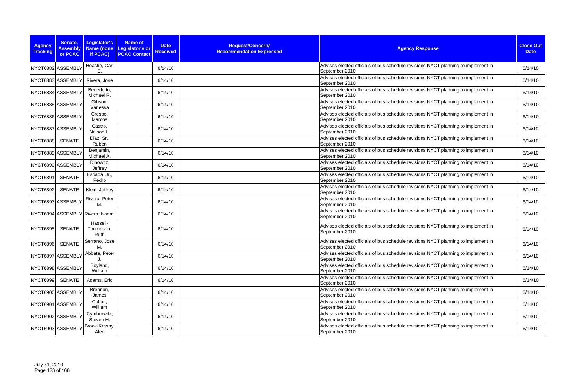| <b>Agency</b><br><b>Tracking</b> | Senate,<br><b>Assembly</b><br>or PCAC | <b>Legislator's</b><br><b>Name (none</b><br>if PCAC) | <b>Name of</b><br>Legislator's or<br><b>PCAC Contact</b> | <b>Date</b><br><b>Received</b> | Request/Concern/<br><b>Recommendation Expressed</b> | <b>Agency Response</b>                                                                               | <b>Close Out</b><br><b>Date</b> |
|----------------------------------|---------------------------------------|------------------------------------------------------|----------------------------------------------------------|--------------------------------|-----------------------------------------------------|------------------------------------------------------------------------------------------------------|---------------------------------|
| NYCT6882 ASSEMBLY                |                                       | Heastie, Carl<br>Е.                                  |                                                          | 6/14/10                        |                                                     | Advises elected officials of bus schedule revisions NYCT planning to implement in<br>September 2010. | 6/14/10                         |
|                                  | NYCT6883 ASSEMBLY                     | Rivera, Jose                                         |                                                          | 6/14/10                        |                                                     | Advises elected officials of bus schedule revisions NYCT planning to implement in<br>September 2010. | 6/14/10                         |
|                                  | NYCT6884 ASSEMBLY                     | Benedetto,<br>Michael R.                             |                                                          | 6/14/10                        |                                                     | Advises elected officials of bus schedule revisions NYCT planning to implement in<br>September 2010. | 6/14/10                         |
|                                  | NYCT6885 ASSEMBLY                     | Gibson,<br>Vanessa                                   |                                                          | 6/14/10                        |                                                     | Advises elected officials of bus schedule revisions NYCT planning to implement in<br>September 2010. | 6/14/10                         |
|                                  | NYCT6886 ASSEMBLY                     | Crespo,<br>Marcos                                    |                                                          | 6/14/10                        |                                                     | Advises elected officials of bus schedule revisions NYCT planning to implement in<br>September 2010. | 6/14/10                         |
|                                  | NYCT6887 ASSEMBLY                     | Castro,<br>Nelson L.                                 |                                                          | 6/14/10                        |                                                     | Advises elected officials of bus schedule revisions NYCT planning to implement in<br>September 2010. | 6/14/10                         |
| <b>NYCT6888</b>                  | SENATE                                | Diaz, Sr.,<br>Ruben                                  |                                                          | 6/14/10                        |                                                     | Advises elected officials of bus schedule revisions NYCT planning to implement in<br>September 2010. | 6/14/10                         |
|                                  | NYCT6889 ASSEMBLY                     | Benjamin,<br>Michael A.                              |                                                          | 6/14/10                        |                                                     | Advises elected officials of bus schedule revisions NYCT planning to implement in<br>September 2010. | 6/14/10                         |
|                                  | NYCT6890 ASSEMBLY                     | Dinowitz,<br>Jeffrey                                 |                                                          | 6/14/10                        |                                                     | Advises elected officials of bus schedule revisions NYCT planning to implement in<br>September 2010. | 6/14/10                         |
| NYCT6891                         | <b>SENATE</b>                         | Espada, Jr.,<br>Pedro                                |                                                          | 6/14/10                        |                                                     | Advises elected officials of bus schedule revisions NYCT planning to implement in<br>September 2010. | 6/14/10                         |
| <b>NYCT6892</b>                  | SENATE                                | Klein, Jeffrey                                       |                                                          | 6/14/10                        |                                                     | Advises elected officials of bus schedule revisions NYCT planning to implement in<br>September 2010. | 6/14/10                         |
| NYCT6893 ASSEMBLY                |                                       | Rivera, Peter<br>М.                                  |                                                          | 6/14/10                        |                                                     | Advises elected officials of bus schedule revisions NYCT planning to implement in<br>September 2010. | 6/14/10                         |
|                                  |                                       | NYCT6894 ASSEMBLY Rivera, Naomi                      |                                                          | 6/14/10                        |                                                     | Advises elected officials of bus schedule revisions NYCT planning to implement in<br>September 2010. | 6/14/10                         |
| <b>NYCT6895</b>                  | <b>SENATE</b>                         | Hassell-<br>Thompson,<br>Ruth                        |                                                          | 6/14/10                        |                                                     | Advises elected officials of bus schedule revisions NYCT planning to implement in<br>September 2010. | 6/14/10                         |
| <b>NYCT6896</b>                  | SENATE                                | Serrano, Jose<br>М.                                  |                                                          | 6/14/10                        |                                                     | Advises elected officials of bus schedule revisions NYCT planning to implement in<br>September 2010. | 6/14/10                         |
|                                  | NYCT6897 ASSEMBLY                     | Abbate, Peter                                        |                                                          | 6/14/10                        |                                                     | Advises elected officials of bus schedule revisions NYCT planning to implement in<br>September 2010. | 6/14/10                         |
|                                  | NYCT6898 ASSEMBLY                     | Boyland,<br>William                                  |                                                          | 6/14/10                        |                                                     | Advises elected officials of bus schedule revisions NYCT planning to implement in<br>September 2010. | 6/14/10                         |
| <b>NYCT6899</b>                  | SENATE                                | Adams, Eric                                          |                                                          | 6/14/10                        |                                                     | Advises elected officials of bus schedule revisions NYCT planning to implement in<br>September 2010. | 6/14/10                         |
|                                  | NYCT6900 ASSEMBLY                     | Brennan,<br>James                                    |                                                          | 6/14/10                        |                                                     | Advises elected officials of bus schedule revisions NYCT planning to implement in<br>September 2010. | 6/14/10                         |
|                                  | NYCT6901 ASSEMBLY                     | Colton,<br>William                                   |                                                          | 6/14/10                        |                                                     | Advises elected officials of bus schedule revisions NYCT planning to implement in<br>September 2010. | 6/14/10                         |
|                                  | NYCT6902 ASSEMBLY                     | Cymbrowitz,<br>Steven H.                             |                                                          | 6/14/10                        |                                                     | Advises elected officials of bus schedule revisions NYCT planning to implement in<br>September 2010. | 6/14/10                         |
|                                  | NYCT6903 ASSEMBLY                     | Brook-Krasny,<br>Alec                                |                                                          | 6/14/10                        |                                                     | Advises elected officials of bus schedule revisions NYCT planning to implement in<br>September 2010. | 6/14/10                         |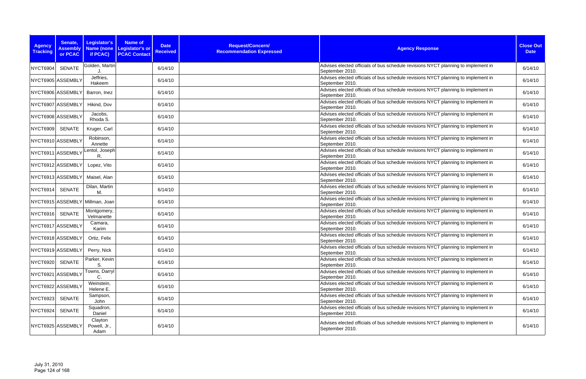| <b>Agency</b><br><b>Tracking</b> | Senate,<br><b>Assembly</b><br>or PCAC | <b>Legislator's</b><br><b>Name (none</b><br>if PCAC) | <b>Name of</b><br>Legislator's or<br><b>PCAC Contact</b> | <b>Date</b><br><b>Received</b> | Request/Concern/<br><b>Recommendation Expressed</b> | <b>Agency Response</b>                                                                               | <b>Close Out</b><br><b>Date</b> |
|----------------------------------|---------------------------------------|------------------------------------------------------|----------------------------------------------------------|--------------------------------|-----------------------------------------------------|------------------------------------------------------------------------------------------------------|---------------------------------|
| <b>NYCT6904</b>                  | <b>SENATE</b>                         | Golden, Martin                                       |                                                          | 6/14/10                        |                                                     | Advises elected officials of bus schedule revisions NYCT planning to implement in<br>September 2010. | 6/14/10                         |
|                                  | NYCT6905 ASSEMBLY                     | Jeffries,<br>Hakeem                                  |                                                          | 6/14/10                        |                                                     | Advises elected officials of bus schedule revisions NYCT planning to implement in<br>September 2010. | 6/14/10                         |
|                                  | NYCT6906 ASSEMBLY                     | Barron, Inez                                         |                                                          | 6/14/10                        |                                                     | Advises elected officials of bus schedule revisions NYCT planning to implement in<br>September 2010. | 6/14/10                         |
|                                  | NYCT6907 ASSEMBLY                     | Hikind, Dov                                          |                                                          | 6/14/10                        |                                                     | Advises elected officials of bus schedule revisions NYCT planning to implement in<br>September 2010. | 6/14/10                         |
|                                  | NYCT6908 ASSEMBLY                     | Jacobs,<br>Rhoda S.                                  |                                                          | 6/14/10                        |                                                     | Advises elected officials of bus schedule revisions NYCT planning to implement in<br>September 2010. | 6/14/10                         |
| <b>NYCT6909</b>                  | SENATE                                | Kruger, Carl                                         |                                                          | 6/14/10                        |                                                     | Advises elected officials of bus schedule revisions NYCT planning to implement in<br>September 2010. | 6/14/10                         |
|                                  | NYCT6910 ASSEMBLY                     | Robinson,<br>Annette                                 |                                                          | 6/14/10                        |                                                     | Advises elected officials of bus schedule revisions NYCT planning to implement in<br>September 2010. | 6/14/10                         |
| NYCT6911 ASSEMBL\                |                                       | Lentol, Joseph<br>R.                                 |                                                          | 6/14/10                        |                                                     | Advises elected officials of bus schedule revisions NYCT planning to implement in<br>September 2010. | 6/14/10                         |
|                                  | NYCT6912 ASSEMBLY                     | Lopez, Vito                                          |                                                          | 6/14/10                        |                                                     | Advises elected officials of bus schedule revisions NYCT planning to implement in<br>September 2010. | 6/14/10                         |
|                                  | NYCT6913 ASSEMBLY                     | Maisel, Alan                                         |                                                          | 6/14/10                        |                                                     | Advises elected officials of bus schedule revisions NYCT planning to implement in<br>September 2010. | 6/14/10                         |
| NYCT6914                         | <b>SENATE</b>                         | Dilan, Martin<br>М.                                  |                                                          | 6/14/10                        |                                                     | Advises elected officials of bus schedule revisions NYCT planning to implement in<br>September 2010. | 6/14/10                         |
|                                  |                                       | NYCT6915 ASSEMBLY Millman, Joan                      |                                                          | 6/14/10                        |                                                     | Advises elected officials of bus schedule revisions NYCT planning to implement in<br>September 2010. | 6/14/10                         |
| <b>NYCT6916</b>                  | <b>SENATE</b>                         | Montgomery,<br>Velmanette                            |                                                          | 6/14/10                        |                                                     | Advises elected officials of bus schedule revisions NYCT planning to implement in<br>September 2010. | 6/14/10                         |
|                                  | NYCT6917 ASSEMBLY                     | Camara,<br>Karim                                     |                                                          | 6/14/10                        |                                                     | Advises elected officials of bus schedule revisions NYCT planning to implement in<br>September 2010. | 6/14/10                         |
|                                  | NYCT6918 ASSEMBLY                     | Ortiz, Felix                                         |                                                          | 6/14/10                        |                                                     | Advises elected officials of bus schedule revisions NYCT planning to implement in<br>September 2010. | 6/14/10                         |
|                                  | NYCT6919 ASSEMBLY                     | Perry, Nick                                          |                                                          | 6/14/10                        |                                                     | Advises elected officials of bus schedule revisions NYCT planning to implement in<br>September 2010. | 6/14/10                         |
| <b>NYCT6920</b>                  | <b>SENATE</b>                         | Parker, Kevin<br>S.                                  |                                                          | 6/14/10                        |                                                     | Advises elected officials of bus schedule revisions NYCT planning to implement in<br>September 2010. | 6/14/10                         |
|                                  | NYCT6921 ASSEMBLY                     | Towns, Darryl<br>C.                                  |                                                          | 6/14/10                        |                                                     | Advises elected officials of bus schedule revisions NYCT planning to implement in<br>September 2010. | 6/14/10                         |
|                                  | NYCT6922 ASSEMBLY                     | Weinstein,<br>Helene E.                              |                                                          | 6/14/10                        |                                                     | Advises elected officials of bus schedule revisions NYCT planning to implement in<br>September 2010. | 6/14/10                         |
| NYCT6923                         | <b>SENATE</b>                         | Sampson,<br>John                                     |                                                          | 6/14/10                        |                                                     | Advises elected officials of bus schedule revisions NYCT planning to implement in<br>September 2010. | 6/14/10                         |
| NYCT6924                         | SENATE                                | Squadron,<br>Daniel                                  |                                                          | 6/14/10                        |                                                     | Advises elected officials of bus schedule revisions NYCT planning to implement in<br>September 2010. | 6/14/10                         |
|                                  | NYCT6925 ASSEMBLY                     | Clayton<br>Powell, Jr.,<br>Adam                      |                                                          | 6/14/10                        |                                                     | Advises elected officials of bus schedule revisions NYCT planning to implement in<br>September 2010. | 6/14/10                         |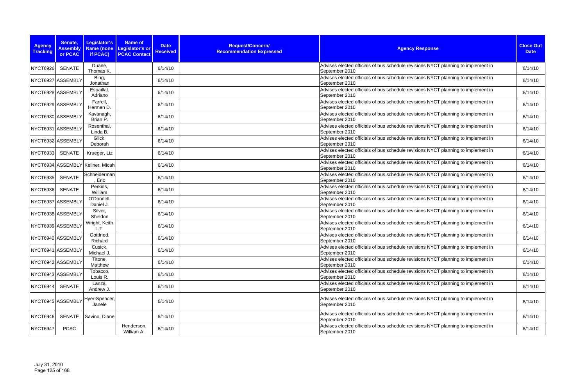| <b>Agency</b><br><b>Tracking</b> | Senate,<br><b>Assembly</b><br>or PCAC | Legislator's<br><b>Name (none</b><br>if PCAC) | <b>Name of</b><br>Legislator's or<br><b>PCAC Contact</b> | <b>Date</b><br><b>Received</b> | Request/Concern/<br><b>Recommendation Expressed</b> | <b>Agency Response</b>                                                                               | <b>Close Out</b><br><b>Date</b> |
|----------------------------------|---------------------------------------|-----------------------------------------------|----------------------------------------------------------|--------------------------------|-----------------------------------------------------|------------------------------------------------------------------------------------------------------|---------------------------------|
| <b>NYCT6926</b>                  | <b>SENATE</b>                         | Duane,<br>Thomas K.                           |                                                          | 6/14/10                        |                                                     | Advises elected officials of bus schedule revisions NYCT planning to implement in<br>September 2010. | 6/14/10                         |
|                                  | NYCT6927 ASSEMBLY                     | Bing,<br>Jonathan                             |                                                          | 6/14/10                        |                                                     | Advises elected officials of bus schedule revisions NYCT planning to implement in<br>September 2010. | 6/14/10                         |
|                                  | NYCT6928 ASSEMBLY                     | Espaillat,<br>Adriano                         |                                                          | 6/14/10                        |                                                     | Advises elected officials of bus schedule revisions NYCT planning to implement in<br>September 2010. | 6/14/10                         |
|                                  | NYCT6929 ASSEMBLY                     | Farrell,<br>Herman D.                         |                                                          | 6/14/10                        |                                                     | Advises elected officials of bus schedule revisions NYCT planning to implement in<br>September 2010. | 6/14/10                         |
|                                  | NYCT6930 ASSEMBLY                     | Kavanagh,<br>Brian P.                         |                                                          | 6/14/10                        |                                                     | Advises elected officials of bus schedule revisions NYCT planning to implement in<br>September 2010. | 6/14/10                         |
| NYCT6931 ASSEMBLY                |                                       | Rosenthal,<br>Linda B.                        |                                                          | 6/14/10                        |                                                     | Advises elected officials of bus schedule revisions NYCT planning to implement in<br>September 2010. | 6/14/10                         |
|                                  | NYCT6932 ASSEMBLY                     | Glick,<br>Deborah                             |                                                          | 6/14/10                        |                                                     | Advises elected officials of bus schedule revisions NYCT planning to implement in<br>September 2010. | 6/14/10                         |
| <b>NYCT6933</b>                  | <b>SENATE</b>                         | Krueger, Liz                                  |                                                          | 6/14/10                        |                                                     | Advises elected officials of bus schedule revisions NYCT planning to implement in<br>September 2010. | 6/14/10                         |
|                                  |                                       | NYCT6934 ASSEMBLY Kellner, Micah              |                                                          | 6/14/10                        |                                                     | Advises elected officials of bus schedule revisions NYCT planning to implement in<br>September 2010. | 6/14/10                         |
| <b>NYCT6935</b>                  | <b>SENATE</b>                         | Schneiderman<br>, Eric                        |                                                          | 6/14/10                        |                                                     | Advises elected officials of bus schedule revisions NYCT planning to implement in<br>September 2010. | 6/14/10                         |
| NYCT6936                         | <b>SENATE</b>                         | Perkins,<br>William                           |                                                          | 6/14/10                        |                                                     | Advises elected officials of bus schedule revisions NYCT planning to implement in<br>September 2010. | 6/14/10                         |
| NYCT6937 ASSEMBLY                |                                       | O'Donnell,<br>Daniel J.                       |                                                          | 6/14/10                        |                                                     | Advises elected officials of bus schedule revisions NYCT planning to implement in<br>September 2010. | 6/14/10                         |
|                                  | NYCT6938 ASSEMBLY                     | Silver,<br>Sheldon                            |                                                          | 6/14/10                        |                                                     | Advises elected officials of bus schedule revisions NYCT planning to implement in<br>September 2010. | 6/14/10                         |
| NYCT6939 ASSEMBLY                |                                       | Wright, Keith<br>L.T.                         |                                                          | 6/14/10                        |                                                     | Advises elected officials of bus schedule revisions NYCT planning to implement in<br>September 2010. | 6/14/10                         |
| NYCT6940 ASSEMBL\                |                                       | Gottfried,<br>Richard                         |                                                          | 6/14/10                        |                                                     | Advises elected officials of bus schedule revisions NYCT planning to implement in<br>September 2010. | 6/14/10                         |
|                                  | NYCT6941 ASSEMBLY                     | Cusick,<br>Michael J.                         |                                                          | 6/14/10                        |                                                     | Advises elected officials of bus schedule revisions NYCT planning to implement in<br>September 2010. | 6/14/10                         |
|                                  | NYCT6942 ASSEMBLY                     | Titone,<br>Matthew                            |                                                          | 6/14/10                        |                                                     | Advises elected officials of bus schedule revisions NYCT planning to implement in<br>September 2010. | 6/14/10                         |
|                                  | NYCT6943 ASSEMBLY                     | Tobacco,<br>Louis R.                          |                                                          | 6/14/10                        |                                                     | Advises elected officials of bus schedule revisions NYCT planning to implement in<br>September 2010. | 6/14/10                         |
| NYCT6944                         | SENATE                                | Lanza,<br>Andrew J.                           |                                                          | 6/14/10                        |                                                     | Advises elected officials of bus schedule revisions NYCT planning to implement in<br>September 2010. | 6/14/10                         |
|                                  |                                       | NYCT6945 ASSEMBLY Hyer-Spencer,<br>Janele     |                                                          | 6/14/10                        |                                                     | Advises elected officials of bus schedule revisions NYCT planning to implement in<br>September 2010. | 6/14/10                         |
| NYCT6946                         |                                       | SENATE   Savino, Diane                        |                                                          | 6/14/10                        |                                                     | Advises elected officials of bus schedule revisions NYCT planning to implement in<br>September 2010. | 6/14/10                         |
| NYCT6947                         | <b>PCAC</b>                           |                                               | Henderson,<br>William A.                                 | 6/14/10                        |                                                     | Advises elected officials of bus schedule revisions NYCT planning to implement in<br>September 2010. | 6/14/10                         |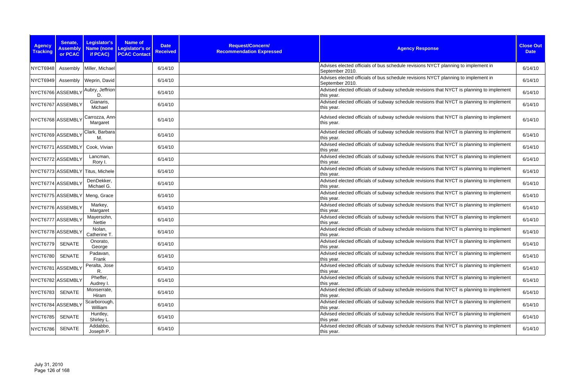| <b>Agency</b><br><b>Tracking</b> | Senate,<br><b>Assembly</b><br>or PCAC | Legislator's<br>Name (none<br>if PCAC) | <b>Name of</b><br>Legislator's or<br><b>PCAC Contact</b> | <b>Date</b><br><b>Received</b> | Request/Concern/<br><b>Recommendation Expressed</b> | <b>Agency Response</b>                                                                                  | <b>Close Out</b><br><b>Date</b> |
|----------------------------------|---------------------------------------|----------------------------------------|----------------------------------------------------------|--------------------------------|-----------------------------------------------------|---------------------------------------------------------------------------------------------------------|---------------------------------|
| NYCT6948                         |                                       | Assembly   Miller, Michael             |                                                          | 6/14/10                        |                                                     | Advises elected officials of bus schedule revisions NYCT planning to implement in<br>September 2010.    | 6/14/10                         |
| <b>NYCT6949</b>                  |                                       | Assembly   Weprin, David               |                                                          | 6/14/10                        |                                                     | Advises elected officials of bus schedule revisions NYCT planning to implement in<br>September 2010.    | 6/14/10                         |
|                                  | NYCT6766 ASSEMBLY                     | Aubry, Jeffrion<br>D.                  |                                                          | 6/14/10                        |                                                     | Advised elected officials of subway schedule revisions that NYCT is planning to implement<br>this year. | 6/14/10                         |
|                                  | NYCT6767 ASSEMBLY                     | Gianaris,<br>Michael                   |                                                          | 6/14/10                        |                                                     | Advised elected officials of subway schedule revisions that NYCT is planning to implement<br>this year. | 6/14/10                         |
|                                  | NYCT6768 ASSEMBLY                     | Carrozza, Ann-<br>Margaret             |                                                          | 6/14/10                        |                                                     | Advised elected officials of subway schedule revisions that NYCT is planning to implement<br>this year. | 6/14/10                         |
| NYCT6769 ASSEMBLY                |                                       | Clark, Barbara<br>М.                   |                                                          | 6/14/10                        |                                                     | Advised elected officials of subway schedule revisions that NYCT is planning to implement<br>this year. | 6/14/10                         |
|                                  | NYCT6771 ASSEMBLY                     | Cook, Vivian                           |                                                          | 6/14/10                        |                                                     | Advised elected officials of subway schedule revisions that NYCT is planning to implement<br>this year. | 6/14/10                         |
|                                  | NYCT6772 ASSEMBLY                     | Lancman,<br>Rory I.                    |                                                          | 6/14/10                        |                                                     | Advised elected officials of subway schedule revisions that NYCT is planning to implement<br>this year. | 6/14/10                         |
|                                  |                                       | NYCT6773 ASSEMBLY Titus, Michele       |                                                          | 6/14/10                        |                                                     | Advised elected officials of subway schedule revisions that NYCT is planning to implement<br>this year. | 6/14/10                         |
|                                  | NYCT6774 ASSEMBLY                     | DenDekker,<br>Michael G.               |                                                          | 6/14/10                        |                                                     | Advised elected officials of subway schedule revisions that NYCT is planning to implement<br>this year. | 6/14/10                         |
|                                  |                                       | NYCT6775 ASSEMBLY Meng, Grace          |                                                          | 6/14/10                        |                                                     | Advised elected officials of subway schedule revisions that NYCT is planning to implement<br>this year. | 6/14/10                         |
|                                  | NYCT6776 ASSEMBLY                     | Markey,<br>Margaret                    |                                                          | 6/14/10                        |                                                     | Advised elected officials of subway schedule revisions that NYCT is planning to implement<br>this year. | 6/14/10                         |
|                                  | NYCT6777 ASSEMBLY                     | Mayersohn,<br>Nettie                   |                                                          | 6/14/10                        |                                                     | Advised elected officials of subway schedule revisions that NYCT is planning to implement<br>this year. | 6/14/10                         |
| NYCT6778 ASSEMBLY                |                                       | Nolan,<br>Catherine T.                 |                                                          | 6/14/10                        |                                                     | Advised elected officials of subway schedule revisions that NYCT is planning to implement<br>this year. | 6/14/10                         |
| NYCT6779 SENATE                  |                                       | Onorato,<br>George                     |                                                          | 6/14/10                        |                                                     | Advised elected officials of subway schedule revisions that NYCT is planning to implement<br>this year. | 6/14/10                         |
| <b>NYCT6780</b>                  | <b>SENATE</b>                         | Padavan,<br>Frank                      |                                                          | 6/14/10                        |                                                     | Advised elected officials of subway schedule revisions that NYCT is planning to implement<br>this year. | 6/14/10                         |
|                                  | NYCT6781 ASSEMBLY                     | Peralta, Jose<br>R.                    |                                                          | 6/14/10                        |                                                     | Advised elected officials of subway schedule revisions that NYCT is planning to implement<br>this year. | 6/14/10                         |
|                                  | NYCT6782 ASSEMBLY                     | Pheffer,<br>Audrey I.                  |                                                          | 6/14/10                        |                                                     | Advised elected officials of subway schedule revisions that NYCT is planning to implement<br>this year. | 6/14/10                         |
| <b>NYCT6783</b>                  | SENATE                                | Monserrate,<br>Hiram                   |                                                          | 6/14/10                        |                                                     | Advised elected officials of subway schedule revisions that NYCT is planning to implement<br>this year. | 6/14/10                         |
|                                  | NYCT6784 ASSEMBLY                     | Scarborough,<br>William                |                                                          | 6/14/10                        |                                                     | Advised elected officials of subway schedule revisions that NYCT is planning to implement<br>this year. | 6/14/10                         |
| <b>NYCT6785</b>                  | <b>SENATE</b>                         | Huntley,<br>Shirley L.                 |                                                          | 6/14/10                        |                                                     | Advised elected officials of subway schedule revisions that NYCT is planning to implement<br>this year. | 6/14/10                         |
| NYCT6786                         | <b>SENATE</b>                         | Addabbo,<br>Joseph P.                  |                                                          | 6/14/10                        |                                                     | Advised elected officials of subway schedule revisions that NYCT is planning to implement<br>this year. | 6/14/10                         |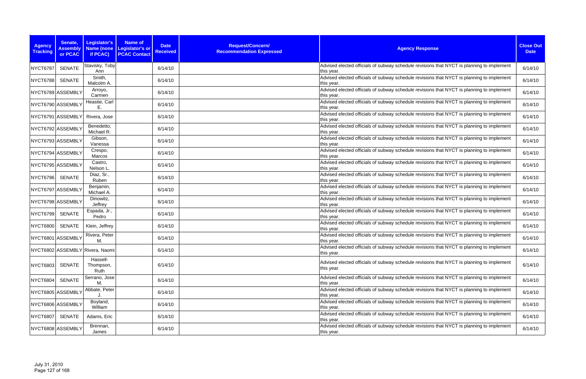| <b>Agency</b><br><b>Tracking</b> | Senate,<br><b>Assembly</b><br>or PCAC | Legislator's<br>if PCAC)        | <b>Name of</b><br>Name (none Legislator's or<br><b>PCAC Contact</b> | <b>Date</b><br><b>Received</b> | Request/Concern/<br><b>Recommendation Expressed</b> | <b>Agency Response</b>                                                                                  | <b>Close Out</b><br><b>Date</b> |
|----------------------------------|---------------------------------------|---------------------------------|---------------------------------------------------------------------|--------------------------------|-----------------------------------------------------|---------------------------------------------------------------------------------------------------------|---------------------------------|
| NYCT6787                         | <b>SENATE</b>                         | Stavisky, Toby<br>Ann           |                                                                     | 6/14/10                        |                                                     | Advised elected officials of subway schedule revisions that NYCT is planning to implement<br>this year. | 6/14/10                         |
| <b>NYCT6788</b>                  | <b>SENATE</b>                         | Smith,<br>Malcolm A.            |                                                                     | 6/14/10                        |                                                     | Advised elected officials of subway schedule revisions that NYCT is planning to implement<br>this year. | 6/14/10                         |
|                                  | NYCT6789 ASSEMBLY                     | Arroyo,<br>Carmen               |                                                                     | 6/14/10                        |                                                     | Advised elected officials of subway schedule revisions that NYCT is planning to implement<br>this year. | 6/14/10                         |
|                                  | NYCT6790 ASSEMBLY                     | Heastie, Carl<br>Ε.             |                                                                     | 6/14/10                        |                                                     | Advised elected officials of subway schedule revisions that NYCT is planning to implement<br>this year. | 6/14/10                         |
|                                  | NYCT6791 ASSEMBLY                     | Rivera, Jose                    |                                                                     | 6/14/10                        |                                                     | Advised elected officials of subway schedule revisions that NYCT is planning to implement<br>this year. | 6/14/10                         |
|                                  | NYCT6792 ASSEMBLY                     | Benedetto,<br>Michael R.        |                                                                     | 6/14/10                        |                                                     | Advised elected officials of subway schedule revisions that NYCT is planning to implement<br>this year. | 6/14/10                         |
|                                  | NYCT6793 ASSEMBLY                     | Gibson,<br>Vanessa              |                                                                     | 6/14/10                        |                                                     | Advised elected officials of subway schedule revisions that NYCT is planning to implement<br>this year. | 6/14/10                         |
|                                  | NYCT6794 ASSEMBLY                     | Crespo,<br>Marcos               |                                                                     | 6/14/10                        |                                                     | Advised elected officials of subway schedule revisions that NYCT is planning to implement<br>this year. | 6/14/10                         |
|                                  | NYCT6795 ASSEMBLY                     | Castro,<br>Nelson L.            |                                                                     | 6/14/10                        |                                                     | Advised elected officials of subway schedule revisions that NYCT is planning to implement<br>this year. | 6/14/10                         |
| <b>NYCT6796</b>                  | <b>SENATE</b>                         | Diaz, Sr.,<br>Ruben             |                                                                     | 6/14/10                        |                                                     | Advised elected officials of subway schedule revisions that NYCT is planning to implement<br>this year. | 6/14/10                         |
|                                  | NYCT6797 ASSEMBLY                     | Benjamin,<br>Michael A.         |                                                                     | 6/14/10                        |                                                     | Advised elected officials of subway schedule revisions that NYCT is planning to implement<br>this year. | 6/14/10                         |
|                                  | NYCT6798 ASSEMBLY                     | Dinowitz,<br>Jeffrey            |                                                                     | 6/14/10                        |                                                     | Advised elected officials of subway schedule revisions that NYCT is planning to implement<br>this year. | 6/14/10                         |
| <b>NYCT6799</b>                  | <b>SENATE</b>                         | Espada, Jr.,<br>Pedro           |                                                                     | 6/14/10                        |                                                     | Advised elected officials of subway schedule revisions that NYCT is planning to implement<br>this year. | 6/14/10                         |
| <b>NYCT6800</b>                  | SENATE                                | Klein, Jeffrey                  |                                                                     | 6/14/10                        |                                                     | Advised elected officials of subway schedule revisions that NYCT is planning to implement<br>this year. | 6/14/10                         |
|                                  | NYCT6801 ASSEMBLY                     | Rivera, Peter<br>M.             |                                                                     | 6/14/10                        |                                                     | Advised elected officials of subway schedule revisions that NYCT is planning to implement<br>this year. | 6/14/10                         |
|                                  |                                       | NYCT6802 ASSEMBLY Rivera, Naomi |                                                                     | 6/14/10                        |                                                     | Advised elected officials of subway schedule revisions that NYCT is planning to implement<br>this year. | 6/14/10                         |
| <b>NYCT6803</b>                  | SENATE                                | Hassell-<br>Thompson,<br>Ruth   |                                                                     | 6/14/10                        |                                                     | Advised elected officials of subway schedule revisions that NYCT is planning to implement<br>this year. | 6/14/10                         |
| <b>NYCT6804</b>                  | <b>SENATE</b>                         | Serrano, Jose<br>M.             |                                                                     | 6/14/10                        |                                                     | Advised elected officials of subway schedule revisions that NYCT is planning to implement<br>this year. | 6/14/10                         |
|                                  | NYCT6805 ASSEMBLY                     | Abbate, Peter                   |                                                                     | 6/14/10                        |                                                     | Advised elected officials of subway schedule revisions that NYCT is planning to implement<br>this year. | 6/14/10                         |
|                                  | NYCT6806 ASSEMBLY                     | Boyland,<br>William             |                                                                     | 6/14/10                        |                                                     | Advised elected officials of subway schedule revisions that NYCT is planning to implement<br>this year. | 6/14/10                         |
| <b>NYCT6807</b>                  | <b>SENATE</b>                         | Adams, Eric                     |                                                                     | 6/14/10                        |                                                     | Advised elected officials of subway schedule revisions that NYCT is planning to implement<br>this year. | 6/14/10                         |
|                                  | NYCT6808 ASSEMBLY                     | Brennan,<br>James               |                                                                     | 6/14/10                        |                                                     | Advised elected officials of subway schedule revisions that NYCT is planning to implement<br>this year. | 6/14/10                         |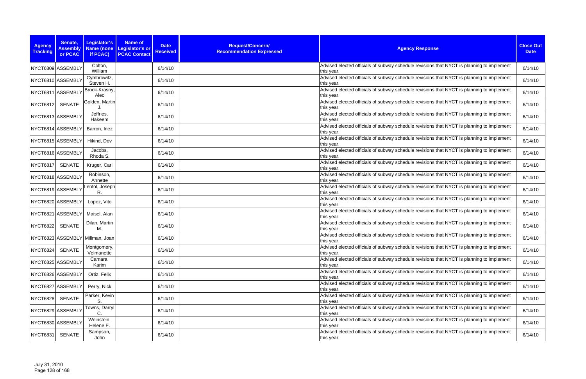| <b>Agency</b><br><b>Tracking</b> | Senate,<br><b>Assembly</b><br>or PCAC | <b>Legislator's</b><br>if PCAC) | <b>Name of</b><br>Name (none Legislator's or<br><b>PCAC Contact</b> | <b>Date</b><br><b>Received</b> | Request/Concern/<br><b>Recommendation Expressed</b> | <b>Agency Response</b>                                                                                  | <b>Close Out</b><br><b>Date</b> |
|----------------------------------|---------------------------------------|---------------------------------|---------------------------------------------------------------------|--------------------------------|-----------------------------------------------------|---------------------------------------------------------------------------------------------------------|---------------------------------|
|                                  | NYCT6809 ASSEMBLY                     | Colton,<br>William              |                                                                     | 6/14/10                        |                                                     | Advised elected officials of subway schedule revisions that NYCT is planning to implement<br>this year. | 6/14/10                         |
|                                  | NYCT6810 ASSEMBLY                     | Cymbrowitz,<br>Steven H.        |                                                                     | 6/14/10                        |                                                     | Advised elected officials of subway schedule revisions that NYCT is planning to implement<br>this year. | 6/14/10                         |
|                                  | NYCT6811 ASSEMBLY                     | Brook-Krasny,<br>Alec           |                                                                     | 6/14/10                        |                                                     | Advised elected officials of subway schedule revisions that NYCT is planning to implement<br>this year. | 6/14/10                         |
| NYCT6812                         | <b>SENATE</b>                         | Golden, Martin                  |                                                                     | 6/14/10                        |                                                     | Advised elected officials of subway schedule revisions that NYCT is planning to implement<br>this year. | 6/14/10                         |
|                                  | NYCT6813 ASSEMBLY                     | Jeffries,<br>Hakeem             |                                                                     | 6/14/10                        |                                                     | Advised elected officials of subway schedule revisions that NYCT is planning to implement<br>this year. | 6/14/10                         |
|                                  | NYCT6814 ASSEMBLY                     | Barron, Inez                    |                                                                     | 6/14/10                        |                                                     | Advised elected officials of subway schedule revisions that NYCT is planning to implement<br>this year. | 6/14/10                         |
|                                  | NYCT6815 ASSEMBLY                     | Hikind, Dov                     |                                                                     | 6/14/10                        |                                                     | Advised elected officials of subway schedule revisions that NYCT is planning to implement<br>this year. | 6/14/10                         |
|                                  | NYCT6816 ASSEMBLY                     | Jacobs,<br>Rhoda S.             |                                                                     | 6/14/10                        |                                                     | Advised elected officials of subway schedule revisions that NYCT is planning to implement<br>this year. | 6/14/10                         |
| <b>NYCT6817</b>                  | <b>SENATE</b>                         | Kruger, Carl                    |                                                                     | 6/14/10                        |                                                     | Advised elected officials of subway schedule revisions that NYCT is planning to implement<br>this year. | 6/14/10                         |
|                                  | NYCT6818 ASSEMBLY                     | Robinson,<br>Annette            |                                                                     | 6/14/10                        |                                                     | Advised elected officials of subway schedule revisions that NYCT is planning to implement<br>this year. | 6/14/10                         |
|                                  | NYCT6819 ASSEMBLY                     | Lentol, Joseph<br>R.            |                                                                     | 6/14/10                        |                                                     | Advised elected officials of subway schedule revisions that NYCT is planning to implement<br>this year. | 6/14/10                         |
|                                  | NYCT6820 ASSEMBLY                     | Lopez, Vito                     |                                                                     | 6/14/10                        |                                                     | Advised elected officials of subway schedule revisions that NYCT is planning to implement<br>this year. | 6/14/10                         |
|                                  | NYCT6821 ASSEMBLY                     | Maisel, Alan                    |                                                                     | 6/14/10                        |                                                     | Advised elected officials of subway schedule revisions that NYCT is planning to implement<br>this year. | 6/14/10                         |
| <b>NYCT6822</b>                  | <b>SENATE</b>                         | Dilan, Martin<br>M.             |                                                                     | 6/14/10                        |                                                     | Advised elected officials of subway schedule revisions that NYCT is planning to implement<br>this year. | 6/14/10                         |
|                                  |                                       | NYCT6823 ASSEMBLY Millman, Joan |                                                                     | 6/14/10                        |                                                     | Advised elected officials of subway schedule revisions that NYCT is planning to implement<br>this year. | 6/14/10                         |
| <b>NYCT6824</b>                  | <b>SENATE</b>                         | Montgomery,<br>Velmanette       |                                                                     | 6/14/10                        |                                                     | Advised elected officials of subway schedule revisions that NYCT is planning to implement<br>this year. | 6/14/10                         |
|                                  | NYCT6825 ASSEMBLY                     | Camara,<br>Karim                |                                                                     | 6/14/10                        |                                                     | Advised elected officials of subway schedule revisions that NYCT is planning to implement<br>this year. | 6/14/10                         |
|                                  | NYCT6826 ASSEMBLY                     | Ortiz, Felix                    |                                                                     | 6/14/10                        |                                                     | Advised elected officials of subway schedule revisions that NYCT is planning to implement<br>this year. | 6/14/10                         |
|                                  | NYCT6827 ASSEMBLY                     | Perry, Nick                     |                                                                     | 6/14/10                        |                                                     | Advised elected officials of subway schedule revisions that NYCT is planning to implement<br>this year. | 6/14/10                         |
| <b>NYCT6828</b>                  | <b>SENATE</b>                         | Parker, Kevin<br>S.             |                                                                     | 6/14/10                        |                                                     | Advised elected officials of subway schedule revisions that NYCT is planning to implement<br>this year. | 6/14/10                         |
|                                  | NYCT6829 ASSEMBLY                     | Towns, Darryl<br>C.             |                                                                     | 6/14/10                        |                                                     | Advised elected officials of subway schedule revisions that NYCT is planning to implement<br>this year. | 6/14/10                         |
|                                  | NYCT6830 ASSEMBLY                     | Weinstein,<br>Helene E.         |                                                                     | 6/14/10                        |                                                     | Advised elected officials of subway schedule revisions that NYCT is planning to implement<br>this year. | 6/14/10                         |
| <b>NYCT6831</b>                  | <b>SENATE</b>                         | Sampson,<br>John                |                                                                     | 6/14/10                        |                                                     | Advised elected officials of subway schedule revisions that NYCT is planning to implement<br>this year. | 6/14/10                         |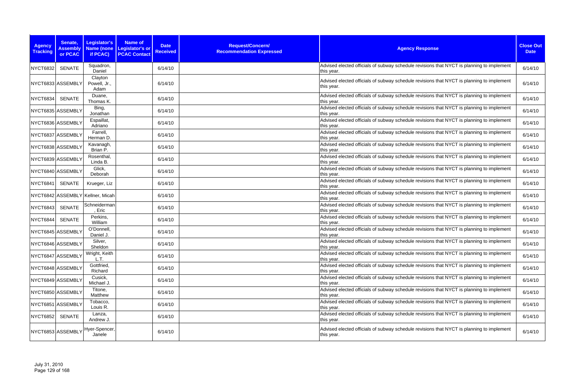| <b>Agency</b><br><b>Tracking</b> | Senate,<br><b>Assembly</b><br>or PCAC | Legislator's<br>Name (none<br>if PCAC) | <b>Name of</b><br>Legislator's or<br><b>PCAC Contact</b> | <b>Date</b><br><b>Received</b> | Request/Concern/<br><b>Recommendation Expressed</b> | <b>Agency Response</b>                                                                                  | <b>Close Out</b><br><b>Date</b> |
|----------------------------------|---------------------------------------|----------------------------------------|----------------------------------------------------------|--------------------------------|-----------------------------------------------------|---------------------------------------------------------------------------------------------------------|---------------------------------|
| <b>NYCT6832</b>                  | <b>SENATE</b>                         | Squadron,<br>Daniel                    |                                                          | 6/14/10                        |                                                     | Advised elected officials of subway schedule revisions that NYCT is planning to implement<br>this year. | 6/14/10                         |
|                                  | NYCT6833 ASSEMBLY                     | Clayton<br>Powell, Jr.,<br>Adam        |                                                          | 6/14/10                        |                                                     | Advised elected officials of subway schedule revisions that NYCT is planning to implement<br>this year. | 6/14/10                         |
| <b>NYCT6834</b>                  | SENATE                                | Duane,<br>Thomas K.                    |                                                          | 6/14/10                        |                                                     | Advised elected officials of subway schedule revisions that NYCT is planning to implement<br>this year. | 6/14/10                         |
|                                  | NYCT6835 ASSEMBLY                     | Bing,<br>Jonathan                      |                                                          | 6/14/10                        |                                                     | Advised elected officials of subway schedule revisions that NYCT is planning to implement<br>this year. | 6/14/10                         |
|                                  | NYCT6836 ASSEMBLY                     | Espaillat,<br>Adriano                  |                                                          | 6/14/10                        |                                                     | Advised elected officials of subway schedule revisions that NYCT is planning to implement<br>this year. | 6/14/10                         |
|                                  | NYCT6837 ASSEMBLY                     | Farrell,<br>Herman D.                  |                                                          | 6/14/10                        |                                                     | Advised elected officials of subway schedule revisions that NYCT is planning to implement<br>this year. | 6/14/10                         |
|                                  | NYCT6838 ASSEMBLY                     | Kavanagh,<br>Brian P.                  |                                                          | 6/14/10                        |                                                     | Advised elected officials of subway schedule revisions that NYCT is planning to implement<br>this year. | 6/14/10                         |
|                                  | NYCT6839 ASSEMBLY                     | Rosenthal,<br>Linda B.                 |                                                          | 6/14/10                        |                                                     | Advised elected officials of subway schedule revisions that NYCT is planning to implement<br>this year. | 6/14/10                         |
|                                  | NYCT6840 ASSEMBLY                     | Glick,<br>Deborah                      |                                                          | 6/14/10                        |                                                     | Advised elected officials of subway schedule revisions that NYCT is planning to implement<br>this year. | 6/14/10                         |
| <b>NYCT6841</b>                  | SENATE                                | Krueger, Liz                           |                                                          | 6/14/10                        |                                                     | Advised elected officials of subway schedule revisions that NYCT is planning to implement<br>this year. | 6/14/10                         |
|                                  |                                       | NYCT6842 ASSEMBLY Kellner, Micah       |                                                          | 6/14/10                        |                                                     | Advised elected officials of subway schedule revisions that NYCT is planning to implement<br>this year. | 6/14/10                         |
| <b>NYCT6843</b>                  | <b>SENATE</b>                         | Schneiderman<br>, Eric                 |                                                          | 6/14/10                        |                                                     | Advised elected officials of subway schedule revisions that NYCT is planning to implement<br>this year. | 6/14/10                         |
| NYCT6844                         | <b>SENATE</b>                         | Perkins,<br>William                    |                                                          | 6/14/10                        |                                                     | Advised elected officials of subway schedule revisions that NYCT is planning to implement<br>this year. | 6/14/10                         |
|                                  | NYCT6845 ASSEMBLY                     | O'Donnell,<br>Daniel J.                |                                                          | 6/14/10                        |                                                     | Advised elected officials of subway schedule revisions that NYCT is planning to implement<br>this year. | 6/14/10                         |
|                                  | NYCT6846 ASSEMBLY                     | Silver,<br>Sheldon                     |                                                          | 6/14/10                        |                                                     | Advised elected officials of subway schedule revisions that NYCT is planning to implement<br>this vear. | 6/14/10                         |
|                                  | NYCT6847 ASSEMBLY                     | Wright, Keith<br>L.T.                  |                                                          | 6/14/10                        |                                                     | Advised elected officials of subway schedule revisions that NYCT is planning to implement<br>this year. | 6/14/10                         |
|                                  | NYCT6848 ASSEMBLY                     | Gottfried,<br>Richard                  |                                                          | 6/14/10                        |                                                     | Advised elected officials of subway schedule revisions that NYCT is planning to implement<br>this year. | 6/14/10                         |
|                                  | NYCT6849 ASSEMBLY                     | Cusick,<br>Michael J.                  |                                                          | 6/14/10                        |                                                     | Advised elected officials of subway schedule revisions that NYCT is planning to implement<br>this year. | 6/14/10                         |
|                                  | NYCT6850 ASSEMBLY                     | Titone,<br>Matthew                     |                                                          | 6/14/10                        |                                                     | Advised elected officials of subway schedule revisions that NYCT is planning to implement<br>this year. | 6/14/10                         |
|                                  | NYCT6851 ASSEMBLY                     | Tobacco,<br>Louis R.                   |                                                          | 6/14/10                        |                                                     | Advised elected officials of subway schedule revisions that NYCT is planning to implement<br>this year. | 6/14/10                         |
| <b>NYCT6852</b>                  | SENATE                                | Lanza,<br>Andrew J.                    |                                                          | 6/14/10                        |                                                     | Advised elected officials of subway schedule revisions that NYCT is planning to implement<br>this year. | 6/14/10                         |
|                                  | NYCT6853 ASSEMBLY                     | Hyer-Spencer,<br>Janele                |                                                          | 6/14/10                        |                                                     | Advised elected officials of subway schedule revisions that NYCT is planning to implement<br>this year. | 6/14/10                         |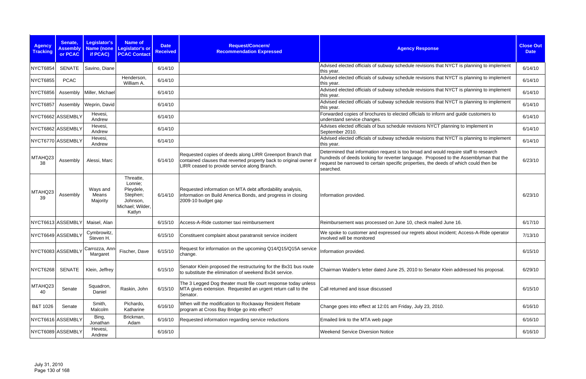| <b>Agency</b><br><b>Tracking</b> | Senate,<br><b>Assembly</b><br>or PCAC | <b>Legislator's</b><br>if PCAC) | Name of<br>Name (none Legislator's or<br><b>PCAC Contact</b>                            | <b>Date</b><br><b>Received</b> | Request/Concern/<br><b>Recommendation Expressed</b>                                                                                                                              | <b>Agency Response</b>                                                                                                                                                                                                                                                             | <b>Close Out</b><br><b>Date</b> |
|----------------------------------|---------------------------------------|---------------------------------|-----------------------------------------------------------------------------------------|--------------------------------|----------------------------------------------------------------------------------------------------------------------------------------------------------------------------------|------------------------------------------------------------------------------------------------------------------------------------------------------------------------------------------------------------------------------------------------------------------------------------|---------------------------------|
| NYCT6854                         | <b>SENATE</b>                         | Savino, Diane                   |                                                                                         | 6/14/10                        |                                                                                                                                                                                  | Advised elected officials of subway schedule revisions that NYCT is planning to implement<br>this year.                                                                                                                                                                            | 6/14/10                         |
| <b>NYCT6855</b>                  | <b>PCAC</b>                           |                                 | Henderson,<br>William A.                                                                | 6/14/10                        |                                                                                                                                                                                  | Advised elected officials of subway schedule revisions that NYCT is planning to implement<br>this year.                                                                                                                                                                            | 6/14/10                         |
| <b>NYCT6856</b>                  | Assembly                              | Miller, Michael                 |                                                                                         | 6/14/10                        |                                                                                                                                                                                  | Advised elected officials of subway schedule revisions that NYCT is planning to implement<br>this year.                                                                                                                                                                            | 6/14/10                         |
| NYCT6857                         | Assembly                              | Weprin, David                   |                                                                                         | 6/14/10                        |                                                                                                                                                                                  | Advised elected officials of subway schedule revisions that NYCT is planning to implement<br>this year.                                                                                                                                                                            | 6/14/10                         |
| NYCT6662 ASSEMBLY                |                                       | Hevesi,<br>Andrew               |                                                                                         | 6/14/10                        |                                                                                                                                                                                  | Forwarded copies of brochures to elected officials to inform and guide customers to<br>understand service changes.                                                                                                                                                                 | 6/14/10                         |
| NYCT6862 ASSEMBLY                |                                       | Hevesi,<br>Andrew               |                                                                                         | 6/14/10                        |                                                                                                                                                                                  | Advises elected officials of bus schedule revisions NYCT planning to implement in<br>September 2010.                                                                                                                                                                               | 6/14/10                         |
| NYCT6770 ASSEMBLY                |                                       | Hevesi,<br>Andrew               |                                                                                         | 6/14/10                        |                                                                                                                                                                                  | Advised elected officials of subway schedule revisions that NYCT is planning to implement<br>this year.                                                                                                                                                                            | 6/14/10                         |
| MTAHQ23<br>38                    | Assembly                              | Alessi, Marc                    |                                                                                         | 6/14/10                        | Requested copies of deeds along LIRR Greenport Branch that<br>contained clauses that reverted property back to original owner if<br>LIRR ceased to provide service along Branch. | Determined that information request is too broad and would require staff to research<br>hundreds of deeds looking for reverter language. Proposed to the Assemblyman that the<br>request be narrowed to certain specific properties, the deeds of which could then be<br>searched. | 6/23/10                         |
| MTAHQ23<br>39                    | Assembly                              | Ways and<br>Means<br>Majority   | Threatte,<br>Lonnie;<br>Pleydele,<br>Stephen;<br>Johnson,<br>Michael; Wilder,<br>Katlyn | 6/14/10                        | Requested information on MTA debt affordability analysis,<br>information on Build America Bonds, and progress in closing<br>2009-10 budget gap                                   | Information provided.                                                                                                                                                                                                                                                              | 6/23/10                         |
| NYCT6613 ASSEMBLY                |                                       | Maisel, Alan                    |                                                                                         | 6/15/10                        | Access-A-Ride customer taxi reimbursement                                                                                                                                        | Reimbursement was processed on June 10, check mailed June 16.                                                                                                                                                                                                                      | 6/17/10                         |
| NYCT6649 ASSEMBLY                |                                       | Cymbrowitz,<br>Steven H.        |                                                                                         | 6/15/10                        | Constituent complaint about paratransit service incident                                                                                                                         | We spoke to customer and expressed our regrets about incident; Access-A-Ride operator<br>involved will be monitored                                                                                                                                                                | 7/13/10                         |
| NYCT6083 ASSEMBLY                |                                       | Carrozza, Ann-<br>Margaret      | Fischer, Dave                                                                           | 6/15/10                        | Request for information on the upcoming Q14/Q15/Q15A service<br>change.                                                                                                          | Information provided.                                                                                                                                                                                                                                                              | 6/15/10                         |
| <b>NYCT6268</b>                  | <b>SENATE</b>                         | Klein, Jeffrey                  |                                                                                         | 6/15/10                        | Senator Klein proposed the restructuring for the Bx31 bus route<br>to substitute the elimination of weekend Bx34 service.                                                        | Chairman Walder's letter dated June 25, 2010 to Senator Klein addressed his proposal.                                                                                                                                                                                              | 6/29/10                         |
| MTAHQ23<br>40                    | Senate                                | Squadron,<br>Daniel             | Raskin, John                                                                            | 6/15/10                        | The 3 Legged Dog theater must file court response today unless<br>MTA gives extension. Requested an urgent return call to the<br>Senator.                                        | Call returned and issue discussed                                                                                                                                                                                                                                                  | 6/15/10                         |
| B&T 1026                         | Senate                                | Smith,<br>Malcolm               | Pichardo,<br>Katharine                                                                  | 6/16/10                        | When will the modification to Rockaway Resident Rebate<br>program at Cross Bay Bridge go into effect?                                                                            | Change goes into effect at 12:01 am Friday, July 23, 2010.                                                                                                                                                                                                                         | 6/16/10                         |
| NYCT6616 ASSEMBLY                |                                       | Bing,<br>Jonathan               | Brickman,<br>Adam                                                                       | 6/16/10                        | Requested information regarding service reductions                                                                                                                               | Emailed link to the MTA web page                                                                                                                                                                                                                                                   | 6/16/10                         |
| NYCT6089 ASSEMBLY                |                                       | Hevesi,<br>Andrew               |                                                                                         | 6/16/10                        |                                                                                                                                                                                  | <b>Weekend Service Diversion Notice</b>                                                                                                                                                                                                                                            | 6/16/10                         |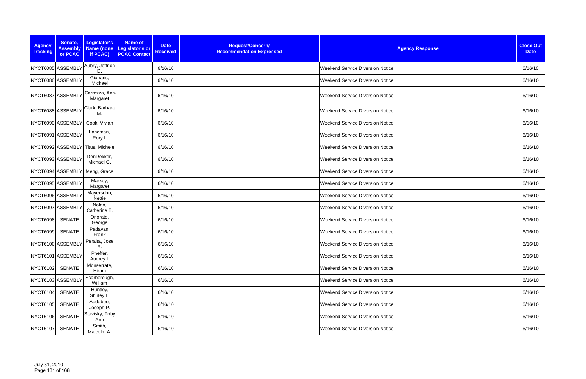| <b>Agency</b><br><b>Tracking</b> | Senate,<br><b>Assembly</b><br>or PCAC | Legislator's<br>if PCAC)         | <b>Name of</b><br>Name (none Legislator's or<br><b>PCAC Contact</b> | <b>Date</b><br><b>Received</b> | Request/Concern/<br><b>Recommendation Expressed</b> | <b>Agency Response</b>                  | <b>Close Out</b><br><b>Date</b> |
|----------------------------------|---------------------------------------|----------------------------------|---------------------------------------------------------------------|--------------------------------|-----------------------------------------------------|-----------------------------------------|---------------------------------|
|                                  | NYCT6085 ASSEMBLY                     | Aubry, Jeffrion<br>D.            |                                                                     | 6/16/10                        |                                                     | <b>Weekend Service Diversion Notice</b> | 6/16/10                         |
|                                  | NYCT6086 ASSEMBLY                     | Gianaris,<br>Michael             |                                                                     | 6/16/10                        |                                                     | <b>Weekend Service Diversion Notice</b> | 6/16/10                         |
|                                  | NYCT6087 ASSEMBLY                     | Carrozza, Ann-<br>Margaret       |                                                                     | 6/16/10                        |                                                     | <b>Weekend Service Diversion Notice</b> | 6/16/10                         |
|                                  | NYCT6088 ASSEMBLY                     | Clark, Barbara<br>M.             |                                                                     | 6/16/10                        |                                                     | <b>Weekend Service Diversion Notice</b> | 6/16/10                         |
|                                  | NYCT6090 ASSEMBLY                     | Cook, Vivian                     |                                                                     | 6/16/10                        |                                                     | <b>Weekend Service Diversion Notice</b> | 6/16/10                         |
|                                  | NYCT6091 ASSEMBLY                     | Lancman,<br>Rory I.              |                                                                     | 6/16/10                        |                                                     | <b>Weekend Service Diversion Notice</b> | 6/16/10                         |
|                                  |                                       | NYCT6092 ASSEMBLY Titus, Michele |                                                                     | 6/16/10                        |                                                     | <b>Weekend Service Diversion Notice</b> | 6/16/10                         |
|                                  | NYCT6093 ASSEMBLY                     | DenDekker,<br>Michael G.         |                                                                     | 6/16/10                        |                                                     | <b>Weekend Service Diversion Notice</b> | 6/16/10                         |
|                                  | NYCT6094 ASSEMBLY                     | Meng, Grace                      |                                                                     | 6/16/10                        |                                                     | <b>Weekend Service Diversion Notice</b> | 6/16/10                         |
|                                  | NYCT6095 ASSEMBLY                     | Markey,<br>Margaret              |                                                                     | 6/16/10                        |                                                     | <b>Weekend Service Diversion Notice</b> | 6/16/10                         |
|                                  | NYCT6096 ASSEMBLY                     | Mayersohn,<br><b>Nettie</b>      |                                                                     | 6/16/10                        |                                                     | <b>Weekend Service Diversion Notice</b> | 6/16/10                         |
|                                  | NYCT6097 ASSEMBLY                     | Nolan,<br>Catherine T.           |                                                                     | 6/16/10                        |                                                     | <b>Weekend Service Diversion Notice</b> | 6/16/10                         |
| <b>NYCT6098</b>                  | <b>SENATE</b>                         | Onorato,<br>George               |                                                                     | 6/16/10                        |                                                     | <b>Weekend Service Diversion Notice</b> | 6/16/10                         |
| <b>NYCT6099</b>                  | <b>SENATE</b>                         | Padavan,<br>Frank                |                                                                     | 6/16/10                        |                                                     | <b>Weekend Service Diversion Notice</b> | 6/16/10                         |
|                                  | NYCT6100 ASSEMBLY                     | Peralta, Jose<br>R.              |                                                                     | 6/16/10                        |                                                     | <b>Weekend Service Diversion Notice</b> | 6/16/10                         |
|                                  | NYCT6101 ASSEMBLY                     | Pheffer,<br>Audrey I.            |                                                                     | 6/16/10                        |                                                     | <b>Weekend Service Diversion Notice</b> | 6/16/10                         |
| <b>NYCT6102</b>                  | <b>SENATE</b>                         | Monserrate,<br>Hiram             |                                                                     | 6/16/10                        |                                                     | <b>Weekend Service Diversion Notice</b> | 6/16/10                         |
|                                  | NYCT6103 ASSEMBLY                     | Scarborough,<br>William          |                                                                     | 6/16/10                        |                                                     | <b>Weekend Service Diversion Notice</b> | 6/16/10                         |
| <b>NYCT6104</b>                  | <b>SENATE</b>                         | Huntley,<br>Shirley L.           |                                                                     | 6/16/10                        |                                                     | <b>Weekend Service Diversion Notice</b> | 6/16/10                         |
| <b>NYCT6105</b>                  | <b>SENATE</b>                         | Addabbo,<br>Joseph P.            |                                                                     | 6/16/10                        |                                                     | <b>Weekend Service Diversion Notice</b> | 6/16/10                         |
| <b>NYCT6106</b>                  | SENATE                                | Stavisky, Toby<br>Ann            |                                                                     | 6/16/10                        |                                                     | <b>Weekend Service Diversion Notice</b> | 6/16/10                         |
| <b>NYCT6107</b>                  | SENATE                                | Smith,<br>Malcolm A.             |                                                                     | 6/16/10                        |                                                     | <b>Weekend Service Diversion Notice</b> | 6/16/10                         |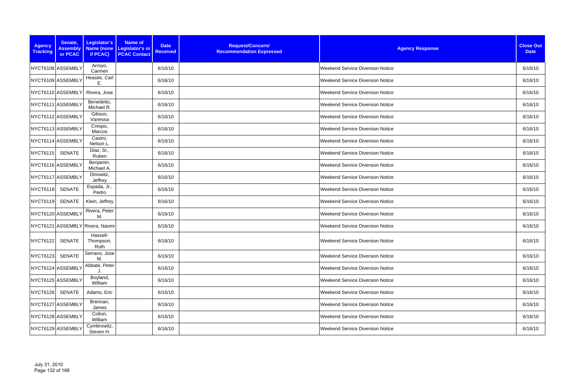| <b>Agency</b><br><b>Tracking</b> | Senate,<br><b>Assembly</b><br>or PCAC | Legislator's<br>if PCAC)        | <b>Name of</b><br>Name (none   Legislator's or<br><b>PCAC Contact</b> | <b>Date</b><br><b>Received</b> | Request/Concern/<br><b>Recommendation Expressed</b> | <b>Agency Response</b>                  | <b>Close Out</b><br><b>Date</b> |
|----------------------------------|---------------------------------------|---------------------------------|-----------------------------------------------------------------------|--------------------------------|-----------------------------------------------------|-----------------------------------------|---------------------------------|
|                                  | NYCT6108 ASSEMBLY                     | Arroyo,<br>Carmen               |                                                                       | 6/16/10                        |                                                     | <b>Weekend Service Diversion Notice</b> | 6/16/10                         |
|                                  | NYCT6109 ASSEMBLY                     | Heastie, Carl<br>Ε.             |                                                                       | 6/16/10                        |                                                     | <b>Weekend Service Diversion Notice</b> | 6/16/10                         |
|                                  | NYCT6110 ASSEMBLY                     | Rivera, Jose                    |                                                                       | 6/16/10                        |                                                     | <b>Weekend Service Diversion Notice</b> | 6/16/10                         |
|                                  | NYCT6111 ASSEMBLY                     | Benedetto,<br>Michael R.        |                                                                       | 6/16/10                        |                                                     | <b>Weekend Service Diversion Notice</b> | 6/16/10                         |
|                                  | NYCT6112 ASSEMBLY                     | Gibson,<br>Vanessa              |                                                                       | 6/16/10                        |                                                     | <b>Weekend Service Diversion Notice</b> | 6/16/10                         |
|                                  | NYCT6113 ASSEMBLY                     | Crespo,<br>Marcos               |                                                                       | 6/16/10                        |                                                     | <b>Weekend Service Diversion Notice</b> | 6/16/10                         |
|                                  | NYCT6114 ASSEMBLY                     | Castro,<br>Nelson L             |                                                                       | 6/16/10                        |                                                     | <b>Weekend Service Diversion Notice</b> | 6/16/10                         |
| <b>NYCT6115</b>                  | <b>SENATE</b>                         | Diaz, Sr.,<br>Ruben             |                                                                       | 6/16/10                        |                                                     | <b>Weekend Service Diversion Notice</b> | 6/16/10                         |
|                                  | NYCT6116 ASSEMBLY                     | Benjamin,<br>Michael A.         |                                                                       | 6/16/10                        |                                                     | <b>Weekend Service Diversion Notice</b> | 6/16/10                         |
|                                  | NYCT6117 ASSEMBLY                     | Dinowitz,<br>Jeffrey            |                                                                       | 6/16/10                        |                                                     | <b>Weekend Service Diversion Notice</b> | 6/16/10                         |
| <b>NYCT6118</b>                  | <b>SENATE</b>                         | Espada, Jr.,<br>Pedro           |                                                                       | 6/16/10                        |                                                     | <b>Weekend Service Diversion Notice</b> | 6/16/10                         |
| <b>NYCT6119</b>                  | <b>SENATE</b>                         | Klein, Jeffrey                  |                                                                       | 6/16/10                        |                                                     | <b>Weekend Service Diversion Notice</b> | 6/16/10                         |
|                                  | NYCT6120 ASSEMBLY                     | Rivera, Peter<br>M.             |                                                                       | 6/16/10                        |                                                     | <b>Weekend Service Diversion Notice</b> | 6/16/10                         |
|                                  |                                       | NYCT6121 ASSEMBLY Rivera, Naomi |                                                                       | 6/16/10                        |                                                     | <b>Weekend Service Diversion Notice</b> | 6/16/10                         |
| NYCT6122                         | SENATE                                | Hassell-<br>Thompson,<br>Ruth   |                                                                       | 6/16/10                        |                                                     | <b>Weekend Service Diversion Notice</b> | 6/16/10                         |
| <b>NYCT6123</b>                  | <b>SENATE</b>                         | Serrano, Jose<br>М.             |                                                                       | 6/16/10                        |                                                     | <b>Weekend Service Diversion Notice</b> | 6/16/10                         |
|                                  | NYCT6124 ASSEMBLY                     | Abbate, Peter                   |                                                                       | 6/16/10                        |                                                     | <b>Weekend Service Diversion Notice</b> | 6/16/10                         |
|                                  | NYCT6125 ASSEMBLY                     | Boyland,<br>William             |                                                                       | 6/16/10                        |                                                     | <b>Weekend Service Diversion Notice</b> | 6/16/10                         |
|                                  | NYCT6126 SENATE                       | Adams, Eric                     |                                                                       | 6/16/10                        |                                                     | <b>Weekend Service Diversion Notice</b> | 6/16/10                         |
|                                  | NYCT6127 ASSEMBLY                     | Brennan,<br>James               |                                                                       | 6/16/10                        |                                                     | <b>Weekend Service Diversion Notice</b> | 6/16/10                         |
|                                  | NYCT6128 ASSEMBLY                     | Colton,<br>William              |                                                                       | 6/16/10                        |                                                     | <b>Weekend Service Diversion Notice</b> | 6/16/10                         |
|                                  | NYCT6129 ASSEMBLY                     | Cymbrowitz,<br>Steven H.        |                                                                       | 6/16/10                        |                                                     | <b>Weekend Service Diversion Notice</b> | 6/16/10                         |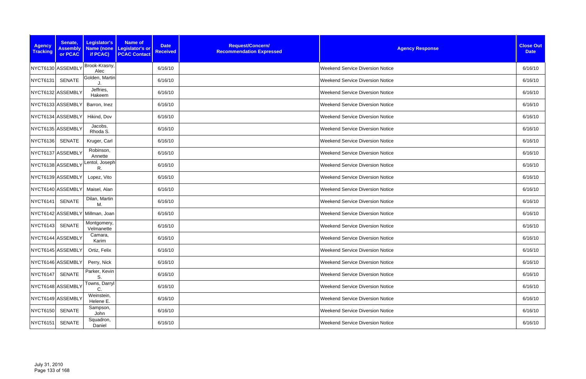| <b>Agency</b><br><b>Tracking</b> | Senate,<br><b>Assembly</b><br>or PCAC | Legislator's<br>if PCAC)  | <b>Name of</b><br>Name (none   Legislator's or<br><b>PCAC Contact</b> | <b>Date</b><br><b>Received</b> | Request/Concern/<br><b>Recommendation Expressed</b> | <b>Agency Response</b>                  | <b>Close Out</b><br><b>Date</b> |
|----------------------------------|---------------------------------------|---------------------------|-----------------------------------------------------------------------|--------------------------------|-----------------------------------------------------|-----------------------------------------|---------------------------------|
|                                  | NYCT6130 ASSEMBLY                     | Brook-Krasny,<br>Alec     |                                                                       | 6/16/10                        |                                                     | <b>Weekend Service Diversion Notice</b> | 6/16/10                         |
| <b>NYCT6131</b>                  | <b>SENATE</b>                         | Golden, Martin            |                                                                       | 6/16/10                        |                                                     | <b>Weekend Service Diversion Notice</b> | 6/16/10                         |
|                                  | NYCT6132 ASSEMBLY                     | Jeffries,<br>Hakeem       |                                                                       | 6/16/10                        |                                                     | <b>Weekend Service Diversion Notice</b> | 6/16/10                         |
|                                  | NYCT6133 ASSEMBLY                     | Barron, Inez              |                                                                       | 6/16/10                        |                                                     | <b>Weekend Service Diversion Notice</b> | 6/16/10                         |
|                                  | NYCT6134 ASSEMBLY                     | Hikind, Dov               |                                                                       | 6/16/10                        |                                                     | <b>Weekend Service Diversion Notice</b> | 6/16/10                         |
|                                  | NYCT6135 ASSEMBLY                     | Jacobs,<br>Rhoda S.       |                                                                       | 6/16/10                        |                                                     | <b>Weekend Service Diversion Notice</b> | 6/16/10                         |
| <b>NYCT6136</b>                  | SENATE                                | Kruger, Carl              |                                                                       | 6/16/10                        |                                                     | <b>Weekend Service Diversion Notice</b> | 6/16/10                         |
|                                  | NYCT6137 ASSEMBLY                     | Robinson,<br>Annette      |                                                                       | 6/16/10                        |                                                     | <b>Weekend Service Diversion Notice</b> | 6/16/10                         |
|                                  | NYCT6138 ASSEMBLY                     | Lentol, Joseph<br>R.      |                                                                       | 6/16/10                        |                                                     | <b>Weekend Service Diversion Notice</b> | 6/16/10                         |
|                                  | NYCT6139 ASSEMBLY                     | Lopez, Vito               |                                                                       | 6/16/10                        |                                                     | <b>Weekend Service Diversion Notice</b> | 6/16/10                         |
|                                  | NYCT6140 ASSEMBLY                     | Maisel, Alan              |                                                                       | 6/16/10                        |                                                     | <b>Weekend Service Diversion Notice</b> | 6/16/10                         |
| <b>NYCT6141</b>                  | <b>SENATE</b>                         | Dilan, Martin<br>M.       |                                                                       | 6/16/10                        |                                                     | <b>Weekend Service Diversion Notice</b> | 6/16/10                         |
|                                  | NYCT6142 ASSEMBLY                     | Millman, Joan             |                                                                       | 6/16/10                        |                                                     | <b>Weekend Service Diversion Notice</b> | 6/16/10                         |
| <b>NYCT6143</b>                  | <b>SENATE</b>                         | Montgomery,<br>Velmanette |                                                                       | 6/16/10                        |                                                     | <b>Weekend Service Diversion Notice</b> | 6/16/10                         |
|                                  | NYCT6144 ASSEMBLY                     | Camara,<br>Karim          |                                                                       | 6/16/10                        |                                                     | <b>Weekend Service Diversion Notice</b> | 6/16/10                         |
|                                  | NYCT6145 ASSEMBLY                     | Ortiz, Felix              |                                                                       | 6/16/10                        |                                                     | <b>Weekend Service Diversion Notice</b> | 6/16/10                         |
|                                  | NYCT6146 ASSEMBLY                     | Perry, Nick               |                                                                       | 6/16/10                        |                                                     | <b>Weekend Service Diversion Notice</b> | 6/16/10                         |
| <b>NYCT6147</b>                  | <b>SENATE</b>                         | Parker, Kevin<br>S.       |                                                                       | 6/16/10                        |                                                     | <b>Weekend Service Diversion Notice</b> | 6/16/10                         |
|                                  | NYCT6148 ASSEMBLY                     | Towns, Darryl<br>C.       |                                                                       | 6/16/10                        |                                                     | <b>Weekend Service Diversion Notice</b> | 6/16/10                         |
|                                  | NYCT6149 ASSEMBLY                     | Weinstein,<br>Helene E.   |                                                                       | 6/16/10                        |                                                     | <b>Weekend Service Diversion Notice</b> | 6/16/10                         |
| <b>NYCT6150</b>                  | <b>SENATE</b>                         | Sampson,<br>John          |                                                                       | 6/16/10                        |                                                     | <b>Weekend Service Diversion Notice</b> | 6/16/10                         |
| <b>NYCT6151</b>                  | <b>SENATE</b>                         | Squadron,<br>Daniel       |                                                                       | 6/16/10                        |                                                     | <b>Weekend Service Diversion Notice</b> | 6/16/10                         |
|                                  |                                       |                           |                                                                       |                                |                                                     |                                         |                                 |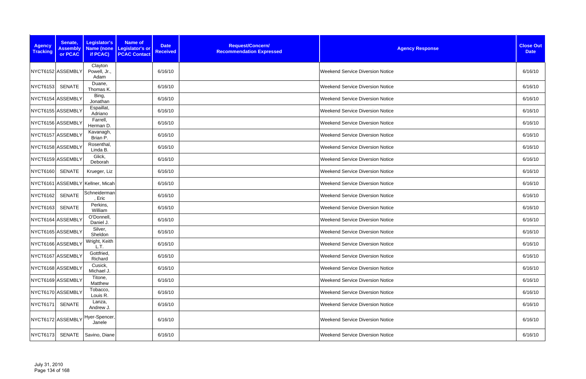| <b>Agency</b><br><b>Tracking</b> | Senate,<br><b>Assembly</b><br>or PCAC | Legislator's<br>if PCAC)         | Name of<br><b>Date</b><br>Name (none Legislator's or<br><b>Received</b><br><b>PCAC Contact</b> | Request/Concern/<br><b>Recommendation Expressed</b> | <b>Agency Response</b>                  | <b>Close Out</b><br><b>Date</b> |
|----------------------------------|---------------------------------------|----------------------------------|------------------------------------------------------------------------------------------------|-----------------------------------------------------|-----------------------------------------|---------------------------------|
|                                  | NYCT6152 ASSEMBLY                     | Clayton<br>Powell, Jr.,<br>Adam  | 6/16/10                                                                                        |                                                     | <b>Weekend Service Diversion Notice</b> | 6/16/10                         |
| <b>NYCT6153</b>                  | SENATE                                | Duane,<br>Thomas K.              | 6/16/10                                                                                        |                                                     | <b>Weekend Service Diversion Notice</b> | 6/16/10                         |
|                                  | NYCT6154 ASSEMBLY                     | Bing,<br>Jonathan                | 6/16/10                                                                                        |                                                     | <b>Weekend Service Diversion Notice</b> | 6/16/10                         |
|                                  | NYCT6155 ASSEMBLY                     | Espaillat,<br>Adriano            | 6/16/10                                                                                        |                                                     | <b>Weekend Service Diversion Notice</b> | 6/16/10                         |
|                                  | NYCT6156 ASSEMBLY                     | Farrell,<br>Herman D.            | 6/16/10                                                                                        |                                                     | <b>Weekend Service Diversion Notice</b> | 6/16/10                         |
|                                  | NYCT6157 ASSEMBLY                     | Kavanagh,<br>Brian P.            | 6/16/10                                                                                        |                                                     | <b>Weekend Service Diversion Notice</b> | 6/16/10                         |
|                                  | NYCT6158 ASSEMBLY                     | Rosenthal,<br>Linda B.           | 6/16/10                                                                                        |                                                     | <b>Weekend Service Diversion Notice</b> | 6/16/10                         |
|                                  | NYCT6159 ASSEMBLY                     | Glick,<br>Deborah                | 6/16/10                                                                                        |                                                     | <b>Weekend Service Diversion Notice</b> | 6/16/10                         |
| <b>NYCT6160</b>                  | SENATE                                | Krueger, Liz                     | 6/16/10                                                                                        |                                                     | <b>Weekend Service Diversion Notice</b> | 6/16/10                         |
|                                  |                                       | NYCT6161 ASSEMBLY Kellner, Micah | 6/16/10                                                                                        |                                                     | <b>Weekend Service Diversion Notice</b> | 6/16/10                         |
| <b>NYCT6162</b>                  | <b>SENATE</b>                         | Schneiderman<br>, Eric           | 6/16/10                                                                                        |                                                     | <b>Weekend Service Diversion Notice</b> | 6/16/10                         |
| <b>NYCT6163</b>                  | <b>SENATE</b>                         | Perkins,<br>William              | 6/16/10                                                                                        |                                                     | <b>Weekend Service Diversion Notice</b> | 6/16/10                         |
|                                  | NYCT6164 ASSEMBLY                     | O'Donnell,<br>Daniel J.          | 6/16/10                                                                                        |                                                     | <b>Weekend Service Diversion Notice</b> | 6/16/10                         |
|                                  | NYCT6165 ASSEMBLY                     | Silver,<br>Sheldon               | 6/16/10                                                                                        |                                                     | <b>Weekend Service Diversion Notice</b> | 6/16/10                         |
|                                  | NYCT6166 ASSEMBLY                     | Wright, Keith<br>L.T.            | 6/16/10                                                                                        |                                                     | <b>Weekend Service Diversion Notice</b> | 6/16/10                         |
|                                  | NYCT6167 ASSEMBLY                     | Gottfried,<br>Richard            | 6/16/10                                                                                        |                                                     | <b>Weekend Service Diversion Notice</b> | 6/16/10                         |
|                                  | NYCT6168 ASSEMBLY                     | Cusick,<br>Michael J.            | 6/16/10                                                                                        |                                                     | Weekend Service Diversion Notice        | 6/16/10                         |
|                                  | NYCT6169 ASSEMBLY                     | Titone,<br>Matthew               | 6/16/10                                                                                        |                                                     | <b>Weekend Service Diversion Notice</b> | 6/16/10                         |
|                                  | NYCT6170 ASSEMBLY                     | Tobacco,<br>Louis R.             | 6/16/10                                                                                        |                                                     | <b>Weekend Service Diversion Notice</b> | 6/16/10                         |
| NYCT6171                         | SENATE                                | Lanza,<br>Andrew J.              | 6/16/10                                                                                        |                                                     | <b>Weekend Service Diversion Notice</b> | 6/16/10                         |
|                                  | NYCT6172 ASSEMBLY                     | Hyer-Spencer,<br>Janele          | 6/16/10                                                                                        |                                                     | <b>Weekend Service Diversion Notice</b> | 6/16/10                         |
| NYCT6173                         | SENATE                                | Savino, Diane                    | 6/16/10                                                                                        |                                                     | <b>Weekend Service Diversion Notice</b> | 6/16/10                         |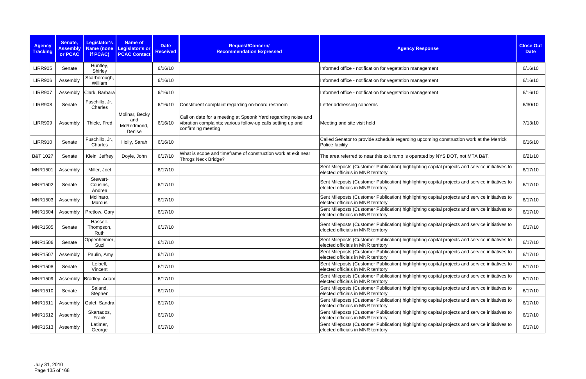| <b>Agency</b><br><b>Tracking</b> | Senate,<br><b>Assembly</b><br>or PCAC | Legislator's<br><b>Name (none</b><br>if PCAC) | <b>Name of</b><br>Legislator's or<br><b>PCAC Contact</b> | <b>Date</b><br><b>Received</b> | Request/Concern/<br><b>Recommendation Expressed</b>                                                                                                 | <b>Agency Response</b>                                                                                                               | <b>Close Out</b><br><b>Date</b> |
|----------------------------------|---------------------------------------|-----------------------------------------------|----------------------------------------------------------|--------------------------------|-----------------------------------------------------------------------------------------------------------------------------------------------------|--------------------------------------------------------------------------------------------------------------------------------------|---------------------------------|
| <b>LIRR905</b>                   | Senate                                | Huntley,<br>Shirley                           |                                                          | 6/16/10                        |                                                                                                                                                     | Informed office - notification for vegetation management                                                                             | 6/16/10                         |
| <b>LIRR906</b>                   | Assembly                              | Scarborough,<br>William                       |                                                          | 6/16/10                        |                                                                                                                                                     | Informed office - notification for vegetation management                                                                             | 6/16/10                         |
| <b>LIRR907</b>                   | Assembly                              | Clark, Barbara                                |                                                          | 6/16/10                        |                                                                                                                                                     | Informed office - notification for vegetation management                                                                             | 6/16/10                         |
| <b>LIRR908</b>                   | Senate                                | Fuschillo, Jr.,<br>Charles                    |                                                          | 6/16/10                        | Constituent complaint regarding on-board restroom                                                                                                   | Letter addressing concerns                                                                                                           | 6/30/10                         |
| <b>LIRR909</b>                   | Assembly                              | Thiele, Fred                                  | Molinar, Becky<br>and<br>McRedmond,<br>Denise            | 6/16/10                        | Call on date for a meeting at Speonk Yard regarding noise and<br>vibration complaints; various follow-up calls setting up and<br>confirming meeting | Meeting and site visit held                                                                                                          | 7/13/10                         |
| <b>LIRR910</b>                   | Senate                                | Fuschillo, Jr.<br>Charles                     | Holly, Sarah                                             | 6/16/10                        |                                                                                                                                                     | Called Senator to provide schedule regarding upcoming construction work at the Merrick<br>Police facility                            | 6/16/10                         |
| B&T 1027                         | Senate                                | Klein, Jeffrey                                | Doyle, John                                              | 6/17/10                        | What is scope and timeframe of construction work at exit near<br><b>Throgs Neck Bridge?</b>                                                         | The area referred to near this exit ramp is operated by NYS DOT, not MTA B&T.                                                        | 6/21/10                         |
| <b>MNR1501</b>                   | Assembly                              | Miller, Joel                                  |                                                          | 6/17/10                        |                                                                                                                                                     | Sent Mileposts (Customer Publication) highlighting capital projects and service initiatives to<br>elected officials in MNR territory | 6/17/10                         |
| <b>MNR1502</b>                   | Senate                                | Stewart-<br>Cousins,<br>Andrea                |                                                          | 6/17/10                        |                                                                                                                                                     | Sent Mileposts (Customer Publication) highlighting capital projects and service initiatives to<br>elected officials in MNR territory | 6/17/10                         |
| <b>MNR1503</b>                   | Assembly                              | Molinaro,<br>Marcus                           |                                                          | 6/17/10                        |                                                                                                                                                     | Sent Mileposts (Customer Publication) highlighting capital projects and service initiatives to<br>elected officials in MNR territory | 6/17/10                         |
| <b>MNR1504</b>                   | Assembly                              | Pretlow, Gary                                 |                                                          | 6/17/10                        |                                                                                                                                                     | Sent Mileposts (Customer Publication) highlighting capital projects and service initiatives to<br>elected officials in MNR territory | 6/17/10                         |
| <b>MNR1505</b>                   | Senate                                | Hassell-<br>Thompson,<br>Ruth                 |                                                          | 6/17/10                        |                                                                                                                                                     | Sent Mileposts (Customer Publication) highlighting capital projects and service initiatives to<br>elected officials in MNR territory | 6/17/10                         |
| <b>MNR1506</b>                   | Senate                                | Oppenheimer,<br>Suzi                          |                                                          | 6/17/10                        |                                                                                                                                                     | Sent Mileposts (Customer Publication) highlighting capital projects and service initiatives to<br>elected officials in MNR territory | 6/17/10                         |
| <b>MNR1507</b>                   | Assembly                              | Paulin, Amy                                   |                                                          | 6/17/10                        |                                                                                                                                                     | Sent Mileposts (Customer Publication) highlighting capital projects and service initiatives to<br>elected officials in MNR territory | 6/17/10                         |
| <b>MNR1508</b>                   | Senate                                | Leibell,<br>Vincent                           |                                                          | 6/17/10                        |                                                                                                                                                     | Sent Mileposts (Customer Publication) highlighting capital projects and service initiatives to<br>elected officials in MNR territory | 6/17/10                         |
| <b>MNR1509</b>                   |                                       | Assembly   Bradley, Adam                      |                                                          | 6/17/10                        |                                                                                                                                                     | Sent Mileposts (Customer Publication) highlighting capital projects and service initiatives to<br>elected officials in MNR territory | 6/17/10                         |
| <b>MNR1510</b>                   | Senate                                | Saland,<br>Stephen                            |                                                          | 6/17/10                        |                                                                                                                                                     | Sent Mileposts (Customer Publication) highlighting capital projects and service initiatives to<br>elected officials in MNR territory | 6/17/10                         |
| <b>MNR1511</b>                   | Assembly                              | Galef, Sandra                                 |                                                          | 6/17/10                        |                                                                                                                                                     | Sent Mileposts (Customer Publication) highlighting capital projects and service initiatives to<br>elected officials in MNR territory | 6/17/10                         |
| MNR1512                          | Assembly                              | Skartados,<br>Frank                           |                                                          | 6/17/10                        |                                                                                                                                                     | Sent Mileposts (Customer Publication) highlighting capital projects and service initiatives to<br>elected officials in MNR territory | 6/17/10                         |
| MNR1513                          | Assembly                              | Latimer,<br>George                            |                                                          | 6/17/10                        |                                                                                                                                                     | Sent Mileposts (Customer Publication) highlighting capital projects and service initiatives to<br>elected officials in MNR territory | 6/17/10                         |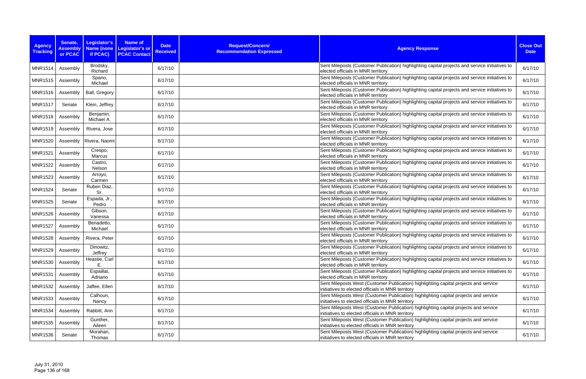| <b>Agency</b><br><b>Tracking</b> | Senate,<br><b>Assembly</b><br>or PCAC | Legislator's<br>if PCAC) | <b>Name of</b><br>Name (none Legislator's or<br><b>PCAC Contact</b> | <b>Date</b><br><b>Received</b> | Request/Concern/<br><b>Recommendation Expressed</b> | <b>Agency Response</b>                                                                                                                    | <b>Close Out</b><br><b>Date</b> |
|----------------------------------|---------------------------------------|--------------------------|---------------------------------------------------------------------|--------------------------------|-----------------------------------------------------|-------------------------------------------------------------------------------------------------------------------------------------------|---------------------------------|
| <b>MNR1514</b>                   | Assembly                              | Brodsky,<br>Richard      |                                                                     | 6/17/10                        |                                                     | Sent Mileposts (Customer Publication) highlighting capital projects and service initiatives to<br>elected officials in MNR territory      | 6/17/10                         |
| <b>MNR1515</b>                   | Assembly                              | Spano,<br>Michael        |                                                                     | 6/17/10                        |                                                     | Sent Mileposts (Customer Publication) highlighting capital projects and service initiatives to<br>elected officials in MNR territory      | 6/17/10                         |
| <b>MNR1516</b>                   | Assembly                              | Ball, Gregory            |                                                                     | 6/17/10                        |                                                     | Sent Mileposts (Customer Publication) highlighting capital projects and service initiatives to<br>elected officials in MNR territory      | 6/17/10                         |
| <b>MNR1517</b>                   | Senate                                | Klein, Jeffrey           |                                                                     | 6/17/10                        |                                                     | Sent Mileposts (Customer Publication) highlighting capital projects and service initiatives to<br>elected officials in MNR territory      | 6/17/10                         |
| <b>MNR1518</b>                   | Assembly                              | Benjamin,<br>Michael A.  |                                                                     | 6/17/10                        |                                                     | Sent Mileposts (Customer Publication) highlighting capital projects and service initiatives to<br>elected officials in MNR territory      | 6/17/10                         |
| <b>MNR1519</b>                   | Assembly                              | Rivera, Jose             |                                                                     | 6/17/10                        |                                                     | Sent Mileposts (Customer Publication) highlighting capital projects and service initiatives to<br>elected officials in MNR territory      | 6/17/10                         |
| <b>MNR1520</b>                   | Assembly                              | Rivera, Naomi            |                                                                     | 6/17/10                        |                                                     | Sent Mileposts (Customer Publication) highlighting capital projects and service initiatives to<br>elected officials in MNR territory      | 6/17/10                         |
| <b>MNR1521</b>                   | Assembly                              | Crespo,<br>Marcus        |                                                                     | 6/17/10                        |                                                     | Sent Mileposts (Customer Publication) highlighting capital projects and service initiatives to<br>elected officials in MNR territory      | 6/17/10                         |
| <b>MNR1522</b>                   | Assembly                              | Castro,<br>Nelson        |                                                                     | 6/17/10                        |                                                     | Sent Mileposts (Customer Publication) highlighting capital projects and service initiatives to<br>elected officials in MNR territory      | 6/17/10                         |
| <b>MNR1523</b>                   | Assembly                              | Arroyo,<br>Carmen        |                                                                     | 6/17/10                        |                                                     | Sent Mileposts (Customer Publication) highlighting capital projects and service initiatives to<br>elected officials in MNR territory      | 6/17/10                         |
| <b>MNR1524</b>                   | Senate                                | Ruben Diaz,<br>Sr.       |                                                                     | 6/17/10                        |                                                     | Sent Mileposts (Customer Publication) highlighting capital projects and service initiatives to<br>elected officials in MNR territory      | 6/17/10                         |
| <b>MNR1525</b>                   | Senate                                | Espada, Jr.,<br>Pedro    |                                                                     | 6/17/10                        |                                                     | Sent Mileposts (Customer Publication) highlighting capital projects and service initiatives to<br>elected officials in MNR territory      | 6/17/10                         |
| <b>MNR1526</b>                   | Assembly                              | Gibson,<br>Vanessa       |                                                                     | 6/17/10                        |                                                     | Sent Mileposts (Customer Publication) highlighting capital projects and service initiatives to<br>elected officials in MNR territory      | 6/17/10                         |
| <b>MNR1527</b>                   | Assembly                              | Benadetto,<br>Michael    |                                                                     | 6/17/10                        |                                                     | Sent Mileposts (Customer Publication) highlighting capital projects and service initiatives to<br>elected officials in MNR territory      | 6/17/10                         |
| <b>MNR1528</b>                   | Assembly                              | Rivera, Peter            |                                                                     | 6/17/10                        |                                                     | Sent Mileposts (Customer Publication) highlighting capital projects and service initiatives to<br>elected officials in MNR territory      | 6/17/10                         |
| <b>MNR1529</b>                   | Assembly                              | Dinowitz,<br>Jeffrey     |                                                                     | 6/17/10                        |                                                     | Sent Mileposts (Customer Publication) highlighting capital projects and service initiatives to<br>elected officials in MNR territory      | 6/17/10                         |
| <b>MNR1530</b>                   | Assembly                              | Heastie, Carl<br>E.      |                                                                     | 6/17/10                        |                                                     | Sent Mileposts (Customer Publication) highlighting capital projects and service initiatives to<br>elected officials in MNR territory      | 6/17/10                         |
| <b>MNR1531</b>                   | Assembly                              | Espaillat,<br>Adriano    |                                                                     | 6/17/10                        |                                                     | Sent Mileposts (Customer Publication) highlighting capital projects and service initiatives to<br>elected officials in MNR territory      | 6/17/10                         |
| <b>MNR1532</b>                   | Assembly                              | Jaffee, Ellen            |                                                                     | 6/17/10                        |                                                     | Sent Mileposts West (Customer Publication) highlighting capital projects and service<br>initiatives to elected officials in MNR territory | 6/17/10                         |
| <b>MNR1533</b>                   | Assembly                              | Calhoun,<br>Nancy        |                                                                     | 6/17/10                        |                                                     | Sent Mileposts West (Customer Publication) highlighting capital projects and service<br>initiatives to elected officials in MNR territory | 6/17/10                         |
| <b>MNR1534</b>                   | Assembly                              | Rabbitt, Ann             |                                                                     | 6/17/10                        |                                                     | Sent Mileposts West (Customer Publication) highlighting capital projects and service<br>initiatives to elected officials in MNR territory | 6/17/10                         |
| <b>MNR1535</b>                   | Assembly                              | Gunther,<br>Aileen       |                                                                     | 6/17/10                        |                                                     | Sent Mileposts West (Customer Publication) highlighting capital projects and service<br>initiatives to elected officials in MNR territory | 6/17/10                         |
| <b>MNR1536</b>                   | Senate                                | Morahan,<br>Thomas       |                                                                     | 6/17/10                        |                                                     | Sent Mileposts West (Customer Publication) highlighting capital projects and service<br>initiatives to elected officials in MNR territory | 6/17/10                         |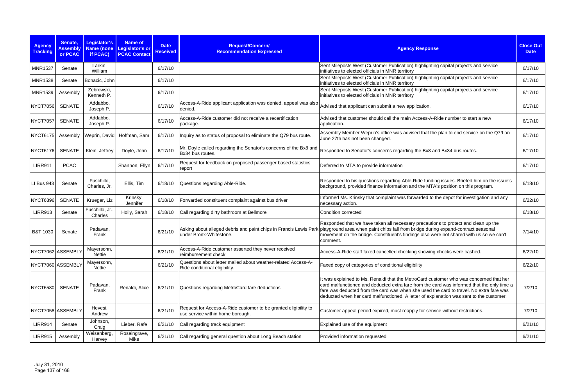| <b>Agency</b><br><b>Tracking</b> | Senate,<br><b>Assembly</b><br>or PCAC | Legislator's<br><b>Name (none</b><br>if PCAC) | <b>Name of</b><br><b>Legislator's or</b><br><b>PCAC Contact</b> | <b>Date</b><br><b>Received</b> | Request/Concern/<br><b>Recommendation Expressed</b>                                                 | <b>Agency Response</b>                                                                                                                                                                                                                                                                                                                                                     | <b>Close Out</b><br><b>Date</b> |
|----------------------------------|---------------------------------------|-----------------------------------------------|-----------------------------------------------------------------|--------------------------------|-----------------------------------------------------------------------------------------------------|----------------------------------------------------------------------------------------------------------------------------------------------------------------------------------------------------------------------------------------------------------------------------------------------------------------------------------------------------------------------------|---------------------------------|
| <b>MNR1537</b>                   | Senate                                | Larkin,<br>William                            |                                                                 | 6/17/10                        |                                                                                                     | Sent Mileposts West (Customer Publication) highlighting capital projects and service<br>initiatives to elected officials in MNR territory                                                                                                                                                                                                                                  | 6/17/10                         |
| <b>MNR1538</b>                   | Senate                                | Bonacic, John                                 |                                                                 | 6/17/10                        |                                                                                                     | Sent Mileposts West (Customer Publication) highlighting capital projects and service<br>initiatives to elected officials in MNR territory                                                                                                                                                                                                                                  | 6/17/10                         |
| <b>MNR1539</b>                   | Assembly                              | Zebrowski,<br>Kenneth P.                      |                                                                 | 6/17/10                        |                                                                                                     | Sent Mileposts West (Customer Publication) highlighting capital projects and service<br>initiatives to elected officials in MNR territory                                                                                                                                                                                                                                  | 6/17/10                         |
| <b>NYCT7056</b>                  | <b>SENATE</b>                         | Addabbo,<br>Joseph P.                         |                                                                 | 6/17/10                        | Access-A-Ride applicant application was denied, appeal was also<br>denied.                          | Advised that applicant can submit a new application.                                                                                                                                                                                                                                                                                                                       | 6/17/10                         |
| <b>NYCT7057</b>                  | <b>SENATE</b>                         | Addabbo,<br>Joseph P.                         |                                                                 | 6/17/10                        | Access-A-Ride customer did not receive a recertification<br>package.                                | Advised that customer should call the main Access-A-Ride number to start a new<br>application.                                                                                                                                                                                                                                                                             | 6/17/10                         |
| NYCT6175                         | Assembly                              |                                               | Weprin, David Hoffman, Sam                                      | 6/17/10                        | Inquiry as to status of proposal to eliminate the Q79 bus route.                                    | Assembly Member Weprin's office was advised that the plan to end service on the Q79 on<br>June 27th has not been changed.                                                                                                                                                                                                                                                  | 6/17/10                         |
| <b>NYCT6176</b>                  | SENATE                                | Klein, Jeffrey                                | Doyle, John                                                     | 6/17/10                        | Mr. Doyle called regarding the Senator's concerns of the Bx8 and<br>Bx34 bus routes.                | Responded to Senator's concerns regarding the Bx8 and Bx34 bus routes.                                                                                                                                                                                                                                                                                                     | 6/17/10                         |
| <b>LIRR911</b>                   | <b>PCAC</b>                           |                                               | Shannon, Ellyn                                                  | 6/17/10                        | Request for feedback on proposed passenger based statistics<br>report                               | Deferred to MTA to provide information                                                                                                                                                                                                                                                                                                                                     | 6/17/10                         |
| LI Bus 943                       | Senate                                | Fuschillo,<br>Charles, Jr.                    | Ellis, Tim                                                      | 6/18/10                        | Questions regarding Able-Ride.                                                                      | Responded to his questions regarding Able-Ride funding issues. Briefed him on the issue's<br>background, provided finance information and the MTA's position on this program.                                                                                                                                                                                              | 6/18/10                         |
| <b>NYCT6396</b>                  | <b>SENATE</b>                         | Krueger, Liz                                  | Krinsky,<br>Jennifer                                            | 6/18/10                        | Forwarded constituent complaint against bus driver                                                  | Informed Ms. Krinsky that complaint was forwarded to the depot for investigation and any<br>necessary action.                                                                                                                                                                                                                                                              | 6/22/10                         |
| <b>LIRR913</b>                   | Senate                                | Fuschillo, Jr.<br>Charles                     | Holly, Sarah                                                    | 6/18/10                        | Call regarding dirty bathroom at Bellmore                                                           | Condition corrected                                                                                                                                                                                                                                                                                                                                                        | 6/18/10                         |
| B&T 1030                         | Senate                                | Padavan,<br>Frank                             |                                                                 | 6/21/10                        | under Bronx-Whitestone.                                                                             | Responded that we have taken all necessary precautions to protect and clean up the<br>Asking about alleged debris and paint chips in Francis Lewis Park playground area when paint chips fall from bridge during expand-contract seasonal<br>movement on the bridge. Constituent's findings also were not shared with us so we can't<br>comment.                           | 7/14/10                         |
|                                  | NYCT7062 ASSEMBLY                     | Mayersohn,<br><b>Nettie</b>                   |                                                                 | 6/21/10                        | Access-A-Ride customer asserted they never received<br>reimbursement check.                         | Access-A-Ride staff faxed cancelled checking showing checks were cashed.                                                                                                                                                                                                                                                                                                   | 6/22/10                         |
|                                  | NYCT7060 ASSEMBLY                     | Mayersohn,<br>Nettie                          |                                                                 | 6/21/10                        | Questions about letter mailed about weather-related Access-A-<br>Ride conditional eligibility.      | Faxed copy of categories of conditional eligibility                                                                                                                                                                                                                                                                                                                        | 6/22/10                         |
| <b>NYCT6580</b>                  | SENATE                                | Padavan,<br>Frank                             | Renaldi, Alice                                                  | 6/21/10                        | Questions regarding MetroCard fare deductions                                                       | It was explained to Ms. Renaldi that the MetroCard customer who was concerned that her<br>card malfunctioned and deducted extra fare from the card was informed that the only time a<br>fare was deducted from the card was when she used the card to travel. No extra fare was<br>deducted when her card malfunctioned. A letter of explanation was sent to the customer. | 7/2/10                          |
|                                  | NYCT7058 ASSEMBLY                     | Hevesi,<br>Andrew                             |                                                                 | 6/21/10                        | Request for Access-A-Ride customer to be granted eligibility to<br>use service within home borough. | Customer appeal period expired, must reapply for service without restrictions.                                                                                                                                                                                                                                                                                             | 7/2/10                          |
| <b>LIRR914</b>                   | Senate                                | Johnson,<br>Craig                             | Lieber, Rafe                                                    | 6/21/10                        | Call regarding track equipment                                                                      | Explained use of the equipment                                                                                                                                                                                                                                                                                                                                             | 6/21/10                         |
| <b>LIRR915</b>                   | Assembly                              | Weisenberg,<br>Harvey                         | Roseingrave,<br>Mike                                            | 6/21/10                        | Call regarding general question about Long Beach station                                            | Provided information requested                                                                                                                                                                                                                                                                                                                                             | 6/21/10                         |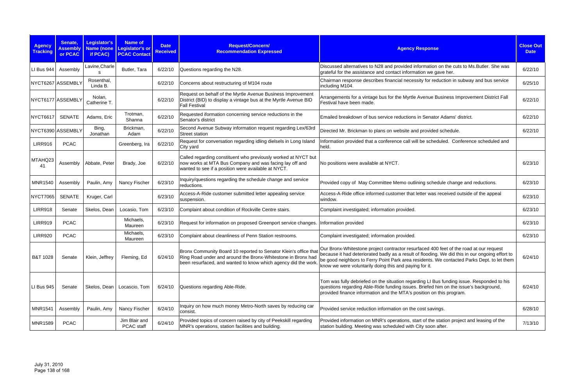| <b>Agency</b><br><b>Tracking</b> | Senate,<br><b>Assembly</b><br>or PCAC | Legislator's<br><b>Name (none</b><br>if PCAC) | <b>Name of</b><br>Legislator's or<br><b>PCAC Contact</b> | <b>Date</b><br><b>Received</b> | Request/Concern/<br><b>Recommendation Expressed</b>                                                                                                                                                | <b>Agency Response</b>                                                                                                                                                                                                                                                                                                                            | <b>Close Out</b><br><b>Date</b> |
|----------------------------------|---------------------------------------|-----------------------------------------------|----------------------------------------------------------|--------------------------------|----------------------------------------------------------------------------------------------------------------------------------------------------------------------------------------------------|---------------------------------------------------------------------------------------------------------------------------------------------------------------------------------------------------------------------------------------------------------------------------------------------------------------------------------------------------|---------------------------------|
| LI Bus 944                       | Assembly                              | Lavine, Charle                                | Butler, Tara                                             | 6/22/10                        | Questions regarding the N28.                                                                                                                                                                       | Discussed alternatives to N28 and provided information on the cuts to Ms. Butler. She was<br>grateful for the assistance and contact information we gave her.                                                                                                                                                                                     | 6/22/10                         |
| NYCT6267 ASSEMBLY                |                                       | Rosenthal,<br>Linda B.                        |                                                          | 6/22/10                        | Concerns about restructuring of M104 route                                                                                                                                                         | Chairman response describes financial necessity for reduction in subway and bus service<br>including M104.                                                                                                                                                                                                                                        | 6/25/10                         |
| NYCT6177 ASSEMBLY                |                                       | Nolan,<br>Catherine T.                        |                                                          | 6/22/10                        | Request on behalf of the Myrtle Avenue Business Improvement<br>District (BID) to display a vintage bus at the Myrtle Avenue BID<br><b>Fall Festival</b>                                            | Arrangements for a vintage bus for the Myrtle Avenue Business Improvement District Fall<br>Festival have been made.                                                                                                                                                                                                                               | 6/22/10                         |
| NYCT6617                         | <b>SENATE</b>                         | Adams, Eric                                   | Trotman,<br>Shanna                                       | 6/22/10                        | Requested iformation concerning service reductions in the<br>Senator's district                                                                                                                    | Emailed breakdown of bus service reductions in Senator Adams' district.                                                                                                                                                                                                                                                                           | 6/22/10                         |
|                                  | NYCT6390 ASSEMBLY                     | Bing,<br>Jonathan                             | Brickman,<br>Adam                                        | 6/22/10                        | Second Avenue Subway information request regarding Lex/63rd<br>Street station                                                                                                                      | Directed Mr. Brickman to plans on website and provided schedule.                                                                                                                                                                                                                                                                                  | 6/22/10                         |
| <b>LIRR916</b>                   | <b>PCAC</b>                           |                                               | Greenberg, Ira                                           | 6/22/10                        | Request for conversation regarding idling dielsels in Long Island<br>City yard                                                                                                                     | Information provided that a conference call will be scheduled. Conference scheduled and<br>held.                                                                                                                                                                                                                                                  |                                 |
| MTAHQ23<br>41                    | Assembly                              | Abbate, Peter                                 | Brady, Joe                                               | 6/22/10                        | Called regarding constituent who previously worked at NYCT but<br>now works at MTA Bus Company and was facing lay off and<br>wanted to see if a position were available at NYCT.                   | No positions were available at NYCT.                                                                                                                                                                                                                                                                                                              | 6/23/10                         |
| <b>MNR1540</b>                   | Assembly                              | Paulin, Amy                                   | Nancy Fischer                                            | 6/23/10                        | Inquiry/questions regarding the schedule change and service<br>reductions.                                                                                                                         | Provided copy of May Committee Memo outlining schedule change and reductions.                                                                                                                                                                                                                                                                     | 6/23/10                         |
| <b>NYCT7065</b>                  | <b>SENATE</b>                         | Kruger, Carl                                  |                                                          | 6/23/10                        | Access-A-Ride customer submitted letter appealing service<br>suspension.                                                                                                                           | Access-A-Ride office informed customer that letter was received outside of the appeal<br>window.                                                                                                                                                                                                                                                  | 6/23/10                         |
| <b>LIRR918</b>                   | Senate                                | Skelos, Dean                                  | Locasio, Tom                                             | 6/23/10                        | Complaint about condition of Rockville Centre stairs.                                                                                                                                              | Complaint investigated; information provided.                                                                                                                                                                                                                                                                                                     | 6/23/10                         |
| <b>LIRR919</b>                   | <b>PCAC</b>                           |                                               | Michaels,<br>Maureen                                     | 6/23/10                        | Request for information on proposed Greenport service changes.                                                                                                                                     | Information provided                                                                                                                                                                                                                                                                                                                              | 6/23/10                         |
| <b>LIRR920</b>                   | <b>PCAC</b>                           |                                               | Michaels,<br>Maureen                                     | 6/23/10                        | Complaint about cleanliness of Penn Station restrooms.                                                                                                                                             | Complaint investigated; information provided.                                                                                                                                                                                                                                                                                                     | 6/23/10                         |
| B&T 1028                         | Senate                                | Klein, Jeffrey                                | Fleming, Ed                                              | 6/24/10                        | Bronx Community Board 10 reported to Senator Klein's office that<br>Ring Road under and around the Bronx-Whitestone in Bronx had<br>been resurfaced, and wanted to know which agency did the work. | Our Bronx-Whitestone project contractor resurfaced 400 feet of the road at our request<br>because it had deteriorated badly as a result of flooding. We did this in our ongoing effort to<br>be good neighbors to Ferry Point Park area residents. We contacted Parks Dept. to let them<br>know we were voluntarily doing this and paying for it. | 6/24/10                         |
| LI Bus 945                       | Senate                                | Skelos, Dean                                  | Locascio, Tom                                            | 6/24/10                        | Questions regarding Able-Ride.                                                                                                                                                                     | Tom was fully debriefed on the situation regarding LI Bus funding issue. Responded to his<br>questions regarding Able-Ride funding issues. Briefed him on the issue's background,<br>provided finance information and the MTA's position on this program.                                                                                         | 6/24/10                         |
| <b>MNR1541</b>                   | Assembly                              | Paulin, Amy                                   | Nancy Fischer                                            | 6/24/10                        | Inquiry on how much money Metro-North saves by reducing car<br>consist.                                                                                                                            | Provided service reduction information on the cost savings.                                                                                                                                                                                                                                                                                       | 6/28/10                         |
| <b>MNR1589</b>                   | <b>PCAC</b>                           |                                               | Jim Blair and<br>PCAC staff                              | 6/24/10                        | Provided topics of concern raised by city of Peekskill regarding<br>MNR's operations, station facilities and building.                                                                             | Provided information on MNR's operations, start of the station project and leasing of the<br>station building. Meeting was scheduled with City soon after.                                                                                                                                                                                        | 7/13/10                         |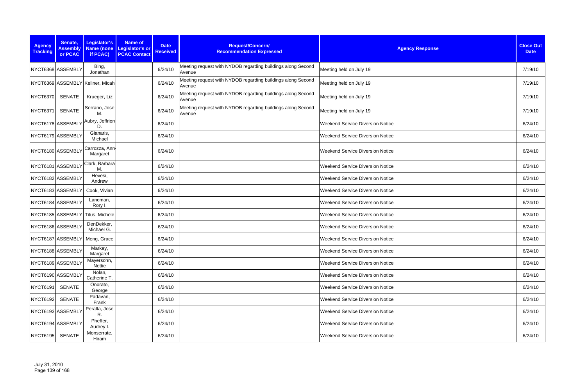| <b>Agency</b><br><b>Tracking</b> | Senate,<br><b>Assembly</b><br>or PCAC | Legislator's<br>if PCAC)         | <b>Name of</b><br>Name (none Legislator's or<br><b>PCAC Contact</b> | <b>Date</b><br><b>Received</b> | Request/Concern/<br><b>Recommendation Expressed</b>                   | <b>Agency Response</b>                  | <b>Close Out</b><br><b>Date</b> |
|----------------------------------|---------------------------------------|----------------------------------|---------------------------------------------------------------------|--------------------------------|-----------------------------------------------------------------------|-----------------------------------------|---------------------------------|
|                                  | NYCT6368 ASSEMBLY                     | Bing,<br>Jonathan                |                                                                     | 6/24/10                        | Meeting request with NYDOB regarding buildings along Second<br>Avenue | Meeting held on July 19                 | 7/19/10                         |
|                                  |                                       | NYCT6369 ASSEMBLY Kellner, Micah |                                                                     | 6/24/10                        | Meeting request with NYDOB regarding buildings along Second<br>Avenue | Meeting held on July 19                 | 7/19/10                         |
| <b>NYCT6370</b>                  | <b>SENATE</b>                         | Krueger, Liz                     |                                                                     | 6/24/10                        | Meeting request with NYDOB regarding buildings along Second<br>Avenue | Meeting held on July 19                 | 7/19/10                         |
| <b>NYCT6371</b>                  | <b>SENATE</b>                         | Serrano, Jose<br>М.              |                                                                     | 6/24/10                        | Meeting request with NYDOB regarding buildings along Second<br>Avenue | Meeting held on July 19                 | 7/19/10                         |
|                                  | NYCT6178 ASSEMBLY                     | Aubry, Jeffrion<br>D.            |                                                                     | 6/24/10                        |                                                                       | <b>Weekend Service Diversion Notice</b> | 6/24/10                         |
|                                  | NYCT6179 ASSEMBLY                     | Gianaris,<br>Michael             |                                                                     | 6/24/10                        |                                                                       | <b>Weekend Service Diversion Notice</b> | 6/24/10                         |
|                                  | NYCT6180 ASSEMBLY                     | Carrozza, Ann-<br>Margaret       |                                                                     | 6/24/10                        |                                                                       | <b>Weekend Service Diversion Notice</b> | 6/24/10                         |
|                                  | NYCT6181 ASSEMBLY                     | Clark, Barbara<br>М.             |                                                                     | 6/24/10                        |                                                                       | <b>Weekend Service Diversion Notice</b> | 6/24/10                         |
|                                  | NYCT6182 ASSEMBLY                     | Hevesi,<br>Andrew                |                                                                     | 6/24/10                        |                                                                       | <b>Weekend Service Diversion Notice</b> | 6/24/10                         |
|                                  | NYCT6183 ASSEMBLY                     | Cook, Vivian                     |                                                                     | 6/24/10                        |                                                                       | <b>Weekend Service Diversion Notice</b> | 6/24/10                         |
|                                  | NYCT6184 ASSEMBLY                     | Lancman,<br>Rory I.              |                                                                     | 6/24/10                        |                                                                       | <b>Weekend Service Diversion Notice</b> | 6/24/10                         |
|                                  |                                       | NYCT6185 ASSEMBLY Titus, Michele |                                                                     | 6/24/10                        |                                                                       | <b>Weekend Service Diversion Notice</b> | 6/24/10                         |
|                                  | NYCT6186 ASSEMBLY                     | DenDekker,<br>Michael G.         |                                                                     | 6/24/10                        |                                                                       | <b>Weekend Service Diversion Notice</b> | 6/24/10                         |
|                                  | NYCT6187 ASSEMBLY                     | Meng, Grace                      |                                                                     | 6/24/10                        |                                                                       | <b>Weekend Service Diversion Notice</b> | 6/24/10                         |
|                                  | NYCT6188 ASSEMBLY                     | Markey,<br>Margaret              |                                                                     | 6/24/10                        |                                                                       | <b>Weekend Service Diversion Notice</b> | 6/24/10                         |
|                                  | NYCT6189 ASSEMBLY                     | Mayersohn,<br>Nettie             |                                                                     | 6/24/10                        |                                                                       | <b>Weekend Service Diversion Notice</b> | 6/24/10                         |
|                                  | NYCT6190 ASSEMBLY                     | Nolan,<br>Catherine T.           |                                                                     | 6/24/10                        |                                                                       | <b>Weekend Service Diversion Notice</b> | 6/24/10                         |
| NYCT6191                         | <b>SENATE</b>                         | Onorato,<br>George               |                                                                     | 6/24/10                        |                                                                       | <b>Weekend Service Diversion Notice</b> | 6/24/10                         |
| NYCT6192                         | <b>SENATE</b>                         | Padavan,<br>Frank                |                                                                     | 6/24/10                        |                                                                       | <b>Weekend Service Diversion Notice</b> | 6/24/10                         |
|                                  | NYCT6193 ASSEMBLY                     | Peralta, Jose<br>R.              |                                                                     | 6/24/10                        |                                                                       | <b>Weekend Service Diversion Notice</b> | 6/24/10                         |
|                                  | NYCT6194 ASSEMBLY                     | Pheffer,<br>Audrey I.            |                                                                     | 6/24/10                        |                                                                       | <b>Weekend Service Diversion Notice</b> | 6/24/10                         |
| NYCT6195                         | <b>SENATE</b>                         | Monserrate,<br>Hiram             |                                                                     | 6/24/10                        |                                                                       | <b>Weekend Service Diversion Notice</b> | 6/24/10                         |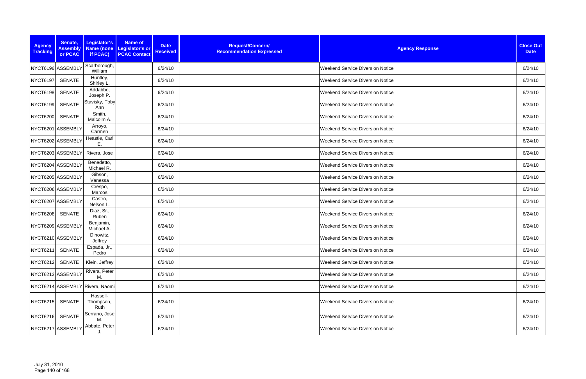| <b>Agency</b><br><b>Tracking</b> | Senate,<br><b>Assembly</b><br>or PCAC | Legislator's<br>if PCAC)        | <b>Name of</b><br>Name (none Legislator's or<br><b>PCAC Contact</b> | <b>Date</b><br><b>Received</b> | Request/Concern/<br><b>Recommendation Expressed</b> | <b>Agency Response</b>                  | <b>Close Out</b><br><b>Date</b> |
|----------------------------------|---------------------------------------|---------------------------------|---------------------------------------------------------------------|--------------------------------|-----------------------------------------------------|-----------------------------------------|---------------------------------|
|                                  | NYCT6196 ASSEMBLY                     | Scarborough,<br>William         |                                                                     | 6/24/10                        |                                                     | <b>Weekend Service Diversion Notice</b> | 6/24/10                         |
| <b>NYCT6197</b>                  | <b>SENATE</b>                         | Huntley,<br>Shirley L.          |                                                                     | 6/24/10                        |                                                     | <b>Weekend Service Diversion Notice</b> | 6/24/10                         |
| NYCT6198                         | <b>SENATE</b>                         | Addabbo,<br>Joseph P.           |                                                                     | 6/24/10                        |                                                     | <b>Weekend Service Diversion Notice</b> | 6/24/10                         |
| NYCT6199                         | <b>SENATE</b>                         | Stavisky, Toby<br>Ann           |                                                                     | 6/24/10                        |                                                     | <b>Weekend Service Diversion Notice</b> | 6/24/10                         |
| <b>NYCT6200</b>                  | <b>SENATE</b>                         | Smith,<br>Malcolm A.            |                                                                     | 6/24/10                        |                                                     | <b>Weekend Service Diversion Notice</b> | 6/24/10                         |
|                                  | NYCT6201 ASSEMBLY                     | Arroyo,<br>Carmen               |                                                                     | 6/24/10                        |                                                     | <b>Weekend Service Diversion Notice</b> | 6/24/10                         |
|                                  | NYCT6202 ASSEMBLY                     | Heastie, Carl<br>Ε.             |                                                                     | 6/24/10                        |                                                     | <b>Weekend Service Diversion Notice</b> | 6/24/10                         |
|                                  | NYCT6203 ASSEMBLY                     | Rivera, Jose                    |                                                                     | 6/24/10                        |                                                     | <b>Weekend Service Diversion Notice</b> | 6/24/10                         |
|                                  | NYCT6204 ASSEMBLY                     | Benedetto,<br>Michael R.        |                                                                     | 6/24/10                        |                                                     | <b>Weekend Service Diversion Notice</b> | 6/24/10                         |
|                                  | NYCT6205 ASSEMBLY                     | Gibson,<br>Vanessa              |                                                                     | 6/24/10                        |                                                     | <b>Weekend Service Diversion Notice</b> | 6/24/10                         |
|                                  | NYCT6206 ASSEMBLY                     | Crespo,<br>Marcos               |                                                                     | 6/24/10                        |                                                     | <b>Weekend Service Diversion Notice</b> | 6/24/10                         |
|                                  | NYCT6207 ASSEMBLY                     | Castro,<br>Nelson L             |                                                                     | 6/24/10                        |                                                     | <b>Weekend Service Diversion Notice</b> | 6/24/10                         |
| <b>NYCT6208</b>                  | <b>SENATE</b>                         | Diaz, Sr.,<br>Ruben             |                                                                     | 6/24/10                        |                                                     | <b>Weekend Service Diversion Notice</b> | 6/24/10                         |
|                                  | NYCT6209 ASSEMBLY                     | Benjamin,<br>Michael A.         |                                                                     | 6/24/10                        |                                                     | <b>Weekend Service Diversion Notice</b> | 6/24/10                         |
|                                  | NYCT6210 ASSEMBLY                     | Dinowitz,<br>Jeffrey            |                                                                     | 6/24/10                        |                                                     | <b>Weekend Service Diversion Notice</b> | 6/24/10                         |
| NYCT6211                         | SENATE                                | Espada, Jr.,<br>Pedro           |                                                                     | 6/24/10                        |                                                     | Weekend Service Diversion Notice        | 6/24/10                         |
| NYCT6212                         | SENATE                                | Klein, Jeffrey                  |                                                                     | 6/24/10                        |                                                     | <b>Weekend Service Diversion Notice</b> | 6/24/10                         |
|                                  | NYCT6213 ASSEMBLY                     | Rivera, Peter<br>M.             |                                                                     | 6/24/10                        |                                                     | Weekend Service Diversion Notice        | 6/24/10                         |
|                                  |                                       | NYCT6214 ASSEMBLY Rivera, Naomi |                                                                     | 6/24/10                        |                                                     | <b>Weekend Service Diversion Notice</b> | 6/24/10                         |
| NYCT6215                         | <b>SENATE</b>                         | Hassell-<br>Thompson,<br>Ruth   |                                                                     | 6/24/10                        |                                                     | <b>Weekend Service Diversion Notice</b> | 6/24/10                         |
| NYCT6216                         | <b>SENATE</b>                         | Serrano, Jose<br>M.             |                                                                     | 6/24/10                        |                                                     | <b>Weekend Service Diversion Notice</b> | 6/24/10                         |
|                                  | NYCT6217 ASSEMBLY                     | Abbate, Peter                   |                                                                     | 6/24/10                        |                                                     | <b>Weekend Service Diversion Notice</b> | 6/24/10                         |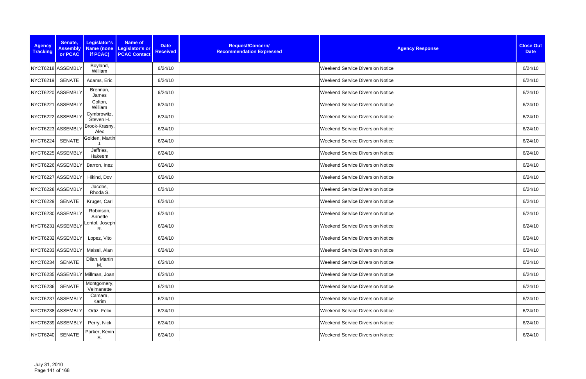| <b>Agency</b><br><b>Tracking</b> | Senate,<br><b>Assembly</b><br>or PCAC | Legislator's<br>if PCAC)        | <b>Name of</b><br>Name (none Legislator's or<br><b>PCAC Contact</b> | <b>Date</b><br><b>Received</b> | Request/Concern/<br><b>Recommendation Expressed</b> | <b>Agency Response</b>                  | <b>Close Out</b><br><b>Date</b> |
|----------------------------------|---------------------------------------|---------------------------------|---------------------------------------------------------------------|--------------------------------|-----------------------------------------------------|-----------------------------------------|---------------------------------|
|                                  | NYCT6218 ASSEMBLY                     | Boyland,<br>William             |                                                                     | 6/24/10                        |                                                     | <b>Weekend Service Diversion Notice</b> | 6/24/10                         |
| <b>NYCT6219</b>                  | <b>SENATE</b>                         | Adams, Eric                     |                                                                     | 6/24/10                        |                                                     | <b>Weekend Service Diversion Notice</b> | 6/24/10                         |
|                                  | NYCT6220 ASSEMBLY                     | Brennan,<br>James               |                                                                     | 6/24/10                        |                                                     | <b>Weekend Service Diversion Notice</b> | 6/24/10                         |
|                                  | NYCT6221 ASSEMBLY                     | Colton,<br>William              |                                                                     | 6/24/10                        |                                                     | <b>Weekend Service Diversion Notice</b> | 6/24/10                         |
|                                  | NYCT6222 ASSEMBLY                     | Cymbrowitz,<br>Steven H.        |                                                                     | 6/24/10                        |                                                     | <b>Weekend Service Diversion Notice</b> | 6/24/10                         |
|                                  | NYCT6223 ASSEMBLY                     | Brook-Krasny,<br>Alec           |                                                                     | 6/24/10                        |                                                     | <b>Weekend Service Diversion Notice</b> | 6/24/10                         |
| NYCT6224                         | <b>SENATE</b>                         | Golden, Martin                  |                                                                     | 6/24/10                        |                                                     | <b>Weekend Service Diversion Notice</b> | 6/24/10                         |
|                                  | NYCT6225 ASSEMBLY                     | Jeffries,<br>Hakeem             |                                                                     | 6/24/10                        |                                                     | <b>Weekend Service Diversion Notice</b> | 6/24/10                         |
|                                  | NYCT6226 ASSEMBLY                     | Barron, Inez                    |                                                                     | 6/24/10                        |                                                     | <b>Weekend Service Diversion Notice</b> | 6/24/10                         |
|                                  | NYCT6227 ASSEMBLY                     | Hikind, Dov                     |                                                                     | 6/24/10                        |                                                     | <b>Weekend Service Diversion Notice</b> | 6/24/10                         |
|                                  | NYCT6228 ASSEMBLY                     | Jacobs,<br>Rhoda S.             |                                                                     | 6/24/10                        |                                                     | <b>Weekend Service Diversion Notice</b> | 6/24/10                         |
| <b>NYCT6229</b>                  | <b>SENATE</b>                         | Kruger, Carl                    |                                                                     | 6/24/10                        |                                                     | <b>Weekend Service Diversion Notice</b> | 6/24/10                         |
|                                  | NYCT6230 ASSEMBLY                     | Robinson,<br>Annette            |                                                                     | 6/24/10                        |                                                     | <b>Weekend Service Diversion Notice</b> | 6/24/10                         |
|                                  | NYCT6231 ASSEMBLY                     | Lentol, Joseph<br>R.            |                                                                     | 6/24/10                        |                                                     | <b>Weekend Service Diversion Notice</b> | 6/24/10                         |
|                                  | NYCT6232 ASSEMBLY                     | Lopez, Vito                     |                                                                     | 6/24/10                        |                                                     | <b>Weekend Service Diversion Notice</b> | 6/24/10                         |
|                                  | NYCT6233 ASSEMBLY                     | Maisel, Alan                    |                                                                     | 6/24/10                        |                                                     | Weekend Service Diversion Notice        | 6/24/10                         |
| <b>NYCT6234</b>                  | <b>SENATE</b>                         | Dilan, Martin<br>M.             |                                                                     | 6/24/10                        |                                                     | Weekend Service Diversion Notice        | 6/24/10                         |
|                                  |                                       | NYCT6235 ASSEMBLY Millman, Joan |                                                                     | 6/24/10                        |                                                     | Weekend Service Diversion Notice        | 6/24/10                         |
| NYCT6236                         | <b>SENATE</b>                         | Montgomery,<br>Velmanette       |                                                                     | 6/24/10                        |                                                     | Weekend Service Diversion Notice        | 6/24/10                         |
|                                  | NYCT6237 ASSEMBLY                     | Camara,<br>Karim                |                                                                     | 6/24/10                        |                                                     | <b>Weekend Service Diversion Notice</b> | 6/24/10                         |
|                                  | NYCT6238 ASSEMBLY                     | Ortiz, Felix                    |                                                                     | 6/24/10                        |                                                     | <b>Weekend Service Diversion Notice</b> | 6/24/10                         |
|                                  | NYCT6239 ASSEMBLY                     | Perry, Nick                     |                                                                     | 6/24/10                        |                                                     | <b>Weekend Service Diversion Notice</b> | 6/24/10                         |
| <b>NYCT6240</b>                  | <b>SENATE</b>                         | Parker, Kevin<br>S.             |                                                                     | 6/24/10                        |                                                     | Weekend Service Diversion Notice        | 6/24/10                         |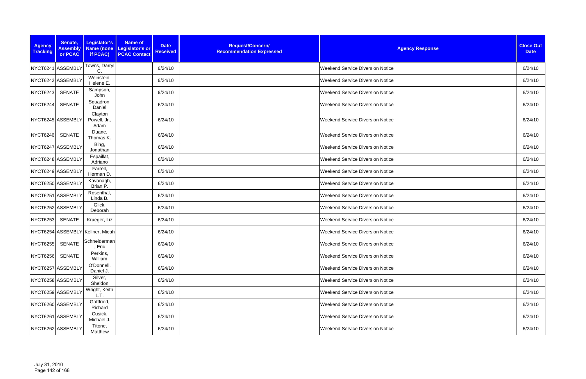| <b>Agency</b><br><b>Tracking</b> | Senate,<br><b>Assembly</b><br>or PCAC | Legislator's<br>if PCAC)         | <b>Name of</b><br><b>Date</b><br>Name (none Legislator's or<br><b>Received</b><br><b>PCAC Contact</b> | Request/Concern/<br><b>Recommendation Expressed</b> | <b>Agency Response</b>                  | <b>Close Out</b><br><b>Date</b> |
|----------------------------------|---------------------------------------|----------------------------------|-------------------------------------------------------------------------------------------------------|-----------------------------------------------------|-----------------------------------------|---------------------------------|
|                                  | NYCT6241 ASSEMBLY                     | Towns, Darryl<br>C.              | 6/24/10                                                                                               |                                                     | <b>Weekend Service Diversion Notice</b> | 6/24/10                         |
|                                  | NYCT6242 ASSEMBLY                     | Weinstein,<br>Helene E.          | 6/24/10                                                                                               |                                                     | <b>Weekend Service Diversion Notice</b> | 6/24/10                         |
| <b>NYCT6243</b>                  | SENATE                                | Sampson,<br>John                 | 6/24/10                                                                                               |                                                     | <b>Weekend Service Diversion Notice</b> | 6/24/10                         |
| NYCT6244                         | <b>SENATE</b>                         | Squadron,<br>Daniel              | 6/24/10                                                                                               |                                                     | <b>Weekend Service Diversion Notice</b> | 6/24/10                         |
|                                  | NYCT6245 ASSEMBLY                     | Clayton<br>Powell, Jr.,<br>Adam  | 6/24/10                                                                                               |                                                     | <b>Weekend Service Diversion Notice</b> | 6/24/10                         |
| <b>NYCT6246</b>                  | <b>SENATE</b>                         | Duane,<br>Thomas K.              | 6/24/10                                                                                               |                                                     | <b>Weekend Service Diversion Notice</b> | 6/24/10                         |
|                                  | NYCT6247 ASSEMBLY                     | Bing,<br>Jonathan                | 6/24/10                                                                                               |                                                     | <b>Weekend Service Diversion Notice</b> | 6/24/10                         |
|                                  | NYCT6248 ASSEMBLY                     | Espaillat,<br>Adriano            | 6/24/10                                                                                               |                                                     | <b>Weekend Service Diversion Notice</b> | 6/24/10                         |
|                                  | NYCT6249 ASSEMBLY                     | Farrell,<br>Herman D.            | 6/24/10                                                                                               |                                                     | <b>Weekend Service Diversion Notice</b> | 6/24/10                         |
|                                  | NYCT6250 ASSEMBLY                     | Kavanagh,<br>Brian P.            | 6/24/10                                                                                               |                                                     | <b>Weekend Service Diversion Notice</b> | 6/24/10                         |
|                                  | NYCT6251 ASSEMBLY                     | Rosenthal,<br>Linda B.           | 6/24/10                                                                                               |                                                     | <b>Weekend Service Diversion Notice</b> | 6/24/10                         |
|                                  | NYCT6252 ASSEMBLY                     | Glick,<br>Deborah                | 6/24/10                                                                                               |                                                     | <b>Weekend Service Diversion Notice</b> | 6/24/10                         |
| <b>NYCT6253</b>                  | <b>SENATE</b>                         | Krueger, Liz                     | 6/24/10                                                                                               |                                                     | <b>Weekend Service Diversion Notice</b> | 6/24/10                         |
|                                  |                                       | NYCT6254 ASSEMBLY Kellner, Micah | 6/24/10                                                                                               |                                                     | <b>Weekend Service Diversion Notice</b> | 6/24/10                         |
| NYCT6255 SENATE                  |                                       | Schneiderman<br>, Eric           | 6/24/10                                                                                               |                                                     | <b>Weekend Service Diversion Notice</b> | 6/24/10                         |
| <b>NYCT6256</b>                  | <b>SENATE</b>                         | Perkins,<br>William              | 6/24/10                                                                                               |                                                     | <b>Weekend Service Diversion Notice</b> | 6/24/10                         |
|                                  | NYCT6257 ASSEMBLY                     | O'Donnell<br>Daniel J.           | 6/24/10                                                                                               |                                                     | Weekend Service Diversion Notice        | 6/24/10                         |
|                                  | NYCT6258 ASSEMBLY                     | Silver,<br>Sheldon               | 6/24/10                                                                                               |                                                     | <b>Weekend Service Diversion Notice</b> | 6/24/10                         |
|                                  | NYCT6259 ASSEMBLY                     | Wright, Keith<br>L.T.            | 6/24/10                                                                                               |                                                     | <b>Weekend Service Diversion Notice</b> | 6/24/10                         |
|                                  | NYCT6260 ASSEMBLY                     | Gottfried,<br>Richard            | 6/24/10                                                                                               |                                                     | <b>Weekend Service Diversion Notice</b> | 6/24/10                         |
|                                  | NYCT6261 ASSEMBLY                     | Cusick,<br>Michael J.            | 6/24/10                                                                                               |                                                     | <b>Weekend Service Diversion Notice</b> | 6/24/10                         |
|                                  | NYCT6262 ASSEMBLY                     | Titone,<br>Matthew               | 6/24/10                                                                                               |                                                     | <b>Weekend Service Diversion Notice</b> | 6/24/10                         |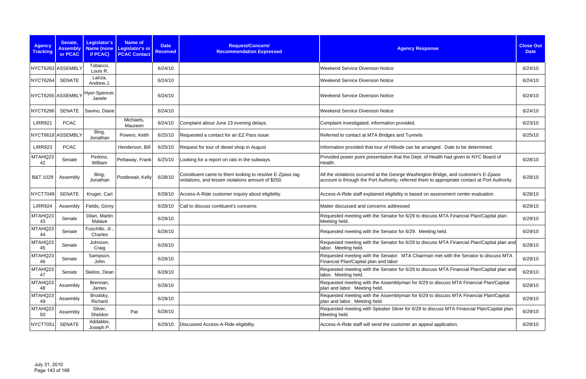| <b>Agency</b><br><b>Tracking</b> | Senate,<br><b>Assembly</b><br>or PCAC | Legislator's<br><b>Name (none</b><br>if PCAC) | <b>Name of</b><br>Legislator's or<br><b>PCAC Contact</b> | <b>Date</b><br><b>Received</b> | Request/Concern/<br><b>Recommendation Expressed</b>                                                           | <b>Agency Response</b>                                                                                                                                                                | <b>Close Out</b><br><b>Date</b> |
|----------------------------------|---------------------------------------|-----------------------------------------------|----------------------------------------------------------|--------------------------------|---------------------------------------------------------------------------------------------------------------|---------------------------------------------------------------------------------------------------------------------------------------------------------------------------------------|---------------------------------|
| NYCT6263 ASSEMBLY                |                                       | Tobacco,<br>Louis R.                          |                                                          | 6/24/10                        |                                                                                                               | <b>Weekend Service Diversion Notice</b>                                                                                                                                               | 6/24/10                         |
| NYCT6264                         | <b>SENATE</b>                         | Lanza,<br>Andrew J.                           |                                                          | 6/24/10                        |                                                                                                               | <b>Weekend Service Diversion Notice</b>                                                                                                                                               | 6/24/10                         |
| NYCT6265 ASSEMBLY                |                                       | Hyer-Spencer,<br>Janele                       |                                                          | 6/24/10                        |                                                                                                               | <b>Weekend Service Diversion Notice</b>                                                                                                                                               | 6/24/10                         |
| NYCT6266                         | <b>SENATE</b>                         | Savino, Diane                                 |                                                          | 6/24/10                        |                                                                                                               | <b>Weekend Service Diversion Notice</b>                                                                                                                                               | 6/24/10                         |
| <b>LIRR921</b>                   | <b>PCAC</b>                           |                                               | Michaels,<br>Maureen                                     | 6/24/10                        | Complaint about June 23 evening delays.                                                                       | Complaint investigated; information provided.                                                                                                                                         | 6/23/10                         |
| NYCT6618 ASSEMBLY                |                                       | Bing,<br>Jonathan                             | Powers, Keith                                            | 6/25/10                        | Requested a contact for an EZ Pass issue                                                                      | Referred to contact at MTA Bridges and Tunnels                                                                                                                                        | 6/25/10                         |
| <b>LIRR923</b>                   | <b>PCAC</b>                           |                                               | Henderson, Bill                                          | 6/25/10                        | Request for tour of diesel shop in August                                                                     | Information provided that tour of Hillside can be arranged. Date to be determined.                                                                                                    |                                 |
| MTAHQ23<br>42                    | Senate                                | Perkins,<br>William                           | Pettaway, Frank                                          | 6/25/10                        | Looking for a report on rats in the subways.                                                                  | Provided power point presentation that the Dept. of Health had given to NYC Board of<br>Health.                                                                                       | 6/28/10                         |
| B&T 1029                         | Assembly                              | Bing,<br>Jonathan                             | Postlewait, Kelly                                        | 6/28/10                        | Constituent came to them looking to resolve E-Zpass tag<br>violations, and lessen violations amount of \$250. | All the violations occurred at the George Washington Bridge, and customer's E-Zpass<br>account is through the Port Authority; referred them to appropriate contact at Port Authority. | 6/28/10                         |
| NYCT7049                         | <b>SENATE</b>                         | Kruger, Carl                                  |                                                          | 6/28/10                        | Access-A-Ride customer inquiry about eligibility.                                                             | Access-A-Ride staff explained eligibility is based on assessment center evaluation.                                                                                                   | 6/28/10                         |
| <b>LIRR924</b>                   | Assembly                              | Fields, Ginny                                 |                                                          | 6/28/10                        | Call to discuss contituent's concerns                                                                         | Matter discussed and concerns addressed                                                                                                                                               | 6/29/10                         |
| MTAHQ23<br>43                    | Senate                                | Dilan, Martin<br>Malave                       |                                                          | 6/28/10                        |                                                                                                               | Requested meeting with the Senator for 6/29 to discuss MTA Financial Plan/Capital plan.<br>Meeting held.                                                                              | 6/29/10                         |
| MTAHQ23<br>44                    | Senate                                | Fuschillo, Jr.,<br>Charles                    |                                                          | 6/28/10                        |                                                                                                               | Requested meeting with the Senator for 6/29. Meeting held.                                                                                                                            | 6/29/10                         |
| MTAHQ23<br>45                    | Senate                                | Johnson,<br>Craig                             |                                                          | 6/28/10                        |                                                                                                               | Requested meeting with the Senator for 6/29 to discuss MTA Financial Plan/Capital plan and<br>labor. Meeting held.                                                                    | 6/29/10                         |
| MTAHQ23<br>46                    | Senate                                | Sampson,<br>John                              |                                                          | 6/28/10                        |                                                                                                               | Requested meeting with the Senator. MTA Chairman met with the Senator to discuss MTA<br>Financial Plan/Capital plan and labor                                                         | 6/29/10                         |
| MTAHQ23<br>47                    | Senate                                | Skelos, Dean                                  |                                                          | 6/28/10                        |                                                                                                               | Requested meeting with the Senator for 6/29 to discuss MTA Financial Plan/Capital plan and<br>labor. Meeting held.                                                                    | 6/29/10                         |
| MTAHQ23<br>48                    | Assembly                              | Brennan,<br>James                             |                                                          | 6/28/10                        |                                                                                                               | Requested meeting with the Assemblyman for 6/29 to discuss MTA Financial Plan/Capital<br>plan and labor. Meeting held.                                                                | 6/29/10                         |
| MTAHQ23<br>49                    | Assembly                              | Brodsky,<br>Richard                           |                                                          | 6/28/10                        |                                                                                                               | Requested meeting with the Assemblyman for 6/29 to discuss MTA Financial Plan/Capital<br>plan and labor. Meeting held.                                                                | 6/29/10                         |
| MTAHQ23<br>50                    | Assembly                              | Silver,<br>Sheldon                            | Pat                                                      | 6/28/10                        |                                                                                                               | Requested meeting with Speaker Silver for 6/29 to discuss MTA Financial Plan/Capital plan.<br>Meeting held.                                                                           | 6/29/10                         |
| NYCT7051                         | <b>SENATE</b>                         | Addabbo,<br>Joseph P.                         |                                                          | 6/29/10                        | Discussed Access-A-Ride eligibility.                                                                          | Access-A-Ride staff will send the customer an appeal application.                                                                                                                     | 6/29/10                         |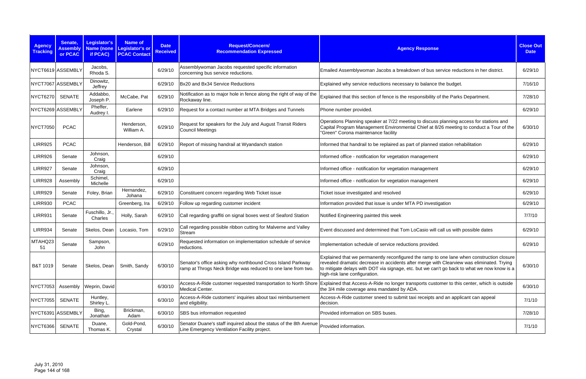| <b>Agency</b><br><b>Tracking</b> | Senate,<br><b>Assembly</b><br>or PCAC | Legislator's<br><b>Name (none</b><br>if PCAC) | <b>Name of</b><br><b>Legislator's or</b><br><b>PCAC Contact</b> | <b>Date</b><br><b>Received</b> | Request/Concern/<br><b>Recommendation Expressed</b>                                                                         | <b>Agency Response</b>                                                                                                                                                                                                                                                                                                 | <b>Close Out</b><br><b>Date</b> |
|----------------------------------|---------------------------------------|-----------------------------------------------|-----------------------------------------------------------------|--------------------------------|-----------------------------------------------------------------------------------------------------------------------------|------------------------------------------------------------------------------------------------------------------------------------------------------------------------------------------------------------------------------------------------------------------------------------------------------------------------|---------------------------------|
|                                  | NYCT6619 ASSEMBLY                     | Jacobs,<br>Rhoda S.                           |                                                                 | 6/29/10                        | Assemblywoman Jacobs requested specific information<br>concerning bus service reductions.                                   | Emailed Assemblywoman Jacobs a breakdown of bus service reductions in her district.                                                                                                                                                                                                                                    | 6/29/10                         |
| NYCT7067 ASSEMBLY                |                                       | Dinowitz,<br>Jeffrey                          |                                                                 | 6/29/10                        | Bx20 and Bx34 Service Reductions                                                                                            | Explained why service reductions necessary to balance the budget.                                                                                                                                                                                                                                                      | 7/16/10                         |
| NYCT6270                         | <b>SENATE</b>                         | Addabbo,<br>Joseph P.                         | McCabe, Pat                                                     | 6/29/10                        | Notification as to major hole in fence along the right of way of the<br>Rockaway line.                                      | Explained that this section of fence is the responsibility of the Parks Department.                                                                                                                                                                                                                                    | 7/28/10                         |
|                                  | NYCT6269 ASSEMBLY                     | Pheffer,<br>Audrey I.                         | Earlene                                                         | 6/29/10                        | Request for a contact number at MTA Bridges and Tunnels                                                                     | Phone number provided.                                                                                                                                                                                                                                                                                                 | 6/29/10                         |
| <b>NYCT7050</b>                  | <b>PCAC</b>                           |                                               | Henderson.<br>William A.                                        | 6/29/10                        | Request for speakers for the July and August Transit Riders<br><b>Council Meetings</b>                                      | Operations Planning speaker at 7/22 meeting to discuss planning access for stations and<br>Capital Program Management Environmental Chief at 8/26 meeting to conduct a Tour of the<br>'Green" Corona maintenance facility                                                                                              | 6/30/10                         |
| <b>LIRR925</b>                   | <b>PCAC</b>                           |                                               | Henderson, Bill                                                 | 6/29/10                        | Report of missing handrail at Wyandanch station                                                                             | Informed that handrail to be replaired as part of planned station rehabilitation                                                                                                                                                                                                                                       | 6/29/10                         |
| <b>LIRR926</b>                   | Senate                                | Johnson,<br>Craig                             |                                                                 | 6/29/10                        |                                                                                                                             | Informed office - notification for vegetation management                                                                                                                                                                                                                                                               | 6/29/10                         |
| <b>LIRR927</b>                   | Senate                                | Johnson,<br>Craig                             |                                                                 | 6/29/10                        |                                                                                                                             | Informed office - notification for vegetation management                                                                                                                                                                                                                                                               | 6/29/10                         |
| <b>LIRR928</b>                   | Assembly                              | Schimel,<br>Michelle                          |                                                                 | 6/29/10                        |                                                                                                                             | Informed office - notification for vegetation management                                                                                                                                                                                                                                                               | 6/29/10                         |
| <b>LIRR929</b>                   | Senate                                | Foley, Brian                                  | Hernandez<br>Johana                                             | 6/29/10                        | Constituent concern regarding Web Ticket issue                                                                              | Ticket issue investigated and resolved                                                                                                                                                                                                                                                                                 | 6/29/10                         |
| <b>LIRR930</b>                   | <b>PCAC</b>                           |                                               | Greenberg, Ira                                                  | 6/29/10                        | Follow up regarding customer incident                                                                                       | Information provided that issue is under MTA PD investigation                                                                                                                                                                                                                                                          | 6/29/10                         |
| <b>LIRR931</b>                   | Senate                                | Fuschillo, Jr.<br>Charles                     | Holly, Sarah                                                    | 6/29/10                        | Call regarding graffiti on signal boxes west of Seaford Station                                                             | Notified Engineering painted this week                                                                                                                                                                                                                                                                                 | 7/7/10                          |
| <b>LIRR934</b>                   | Senate                                | Skelos, Dean                                  | Locasio, Tom                                                    | 6/29/10                        | Call regarding possible ribbon cutting for Malverne and Valley<br>Stream                                                    | Event discussed and determined that Tom LoCasio will call us with possible dates                                                                                                                                                                                                                                       | 6/29/10                         |
| MTAHQ23<br>51                    | Senate                                | Sampson,<br>John                              |                                                                 | 6/29/10                        | Requested information on implementation schedule of service<br>reductions.                                                  | Implementation schedule of service reductions provided.                                                                                                                                                                                                                                                                | 6/29/10                         |
| <b>B&amp;T 1019</b>              | Senate                                | Skelos, Dean                                  | Smith, Sandy                                                    | 6/30/10                        | Senator's office asking why northbound Cross Island Parkway<br>ramp at Throgs Neck Bridge was reduced to one lane from two. | Explained that we permanently reconfigured the ramp to one lane when construction closure<br>revealed dramatic decrease in accidents after merge with Clearview was eliminated. Trying<br>to mitigate delays with DOT via signage, etc. but we can't go back to what we now know is a<br>high-risk lane configuration. | 6/30/10                         |
| <b>NYCT7053</b>                  | Assembly                              | Weprin, David                                 |                                                                 | 6/30/10                        | Medical Center.                                                                                                             | Access-A-Ride customer requested transportation to North Shore Explained that Access-A-Ride no longer transports customer to this center, which is outside<br>the 3/4 mile coverage area mandated by ADA.                                                                                                              | 6/30/10                         |
| <b>NYCT7055</b>                  | <b>SENATE</b>                         | Huntley,<br>Shirley L.                        |                                                                 | 6/30/10                        | Access-A-Ride customers' inquiries about taxi reimbursement<br>and eligibility.                                             | Access-A-Ride customer sneed to submit taxi receipts and an applicant can appeal<br>decision.                                                                                                                                                                                                                          | 7/1/10                          |
|                                  | NYCT6391 ASSEMBLY                     | Bing,<br>Jonathan                             | Brickman,<br>Adam                                               | 6/30/10                        | SBS bus information requested                                                                                               | Provided information on SBS buses.                                                                                                                                                                                                                                                                                     | 7/28/10                         |
| <b>NYCT6366</b>                  | <b>SENATE</b>                         | Duane,<br>Thomas K.                           | Gold-Pond,<br>Crystal                                           | 6/30/10                        | Senator Duane's staff inquired about the status of the 8th Avenue<br>Line Emergency Ventilation Facility project.           | Provided information.                                                                                                                                                                                                                                                                                                  | 7/1/10                          |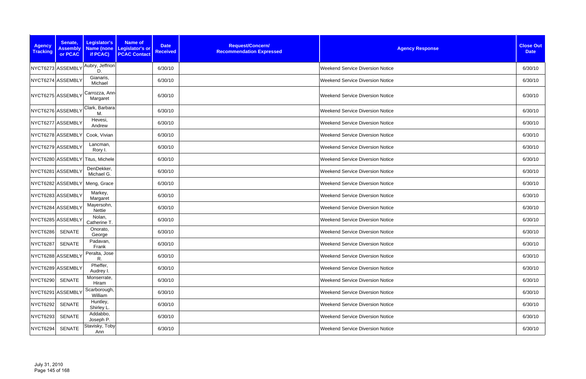| <b>Agency</b><br><b>Tracking</b> | Senate,<br><b>Assembly</b><br>or PCAC | Legislator's<br>if PCAC)         | <b>Name of</b><br>Name (none Legislator's or<br><b>PCAC Contact</b> | <b>Date</b><br><b>Received</b> | Request/Concern/<br><b>Recommendation Expressed</b> | <b>Agency Response</b>                  | <b>Close Out</b><br><b>Date</b> |
|----------------------------------|---------------------------------------|----------------------------------|---------------------------------------------------------------------|--------------------------------|-----------------------------------------------------|-----------------------------------------|---------------------------------|
|                                  | NYCT6273 ASSEMBLY                     | Aubry, Jeffrion<br>D.            |                                                                     | 6/30/10                        |                                                     | <b>Weekend Service Diversion Notice</b> | 6/30/10                         |
|                                  | NYCT6274 ASSEMBLY                     | Gianaris,<br>Michael             |                                                                     | 6/30/10                        |                                                     | <b>Weekend Service Diversion Notice</b> | 6/30/10                         |
|                                  | NYCT6275 ASSEMBLY                     | Carrozza, Ann<br>Margaret        |                                                                     | 6/30/10                        |                                                     | <b>Weekend Service Diversion Notice</b> | 6/30/10                         |
|                                  | NYCT6276 ASSEMBLY                     | Clark, Barbara<br>M.             |                                                                     | 6/30/10                        |                                                     | <b>Weekend Service Diversion Notice</b> | 6/30/10                         |
|                                  | NYCT6277 ASSEMBLY                     | Hevesi,<br>Andrew                |                                                                     | 6/30/10                        |                                                     | <b>Weekend Service Diversion Notice</b> | 6/30/10                         |
|                                  | NYCT6278 ASSEMBLY                     | Cook, Vivian                     |                                                                     | 6/30/10                        |                                                     | <b>Weekend Service Diversion Notice</b> | 6/30/10                         |
|                                  | NYCT6279 ASSEMBLY                     | Lancman,<br>Rory I.              |                                                                     | 6/30/10                        |                                                     | <b>Weekend Service Diversion Notice</b> | 6/30/10                         |
|                                  |                                       | NYCT6280 ASSEMBLY Titus, Michele |                                                                     | 6/30/10                        |                                                     | Weekend Service Diversion Notice        | 6/30/10                         |
|                                  | NYCT6281 ASSEMBLY                     | DenDekker,<br>Michael G.         |                                                                     | 6/30/10                        |                                                     | <b>Weekend Service Diversion Notice</b> | 6/30/10                         |
|                                  | NYCT6282 ASSEMBLY                     | Meng, Grace                      |                                                                     | 6/30/10                        |                                                     | Weekend Service Diversion Notice        | 6/30/10                         |
|                                  | NYCT6283 ASSEMBLY                     | Markey,<br>Margaret              |                                                                     | 6/30/10                        |                                                     | <b>Weekend Service Diversion Notice</b> | 6/30/10                         |
|                                  | NYCT6284 ASSEMBLY                     | Mayersohn,<br>Nettie             |                                                                     | 6/30/10                        |                                                     | <b>Weekend Service Diversion Notice</b> | 6/30/10                         |
|                                  | NYCT6285 ASSEMBLY                     | Nolan,<br>Catherine T            |                                                                     | 6/30/10                        |                                                     | <b>Weekend Service Diversion Notice</b> | 6/30/10                         |
| <b>NYCT6286</b>                  | <b>SENATE</b>                         | Onorato,<br>George               |                                                                     | 6/30/10                        |                                                     | <b>Weekend Service Diversion Notice</b> | 6/30/10                         |
| NYCT6287 SENATE                  |                                       | Padavan,<br>Frank                |                                                                     | 6/30/10                        |                                                     | <b>Weekend Service Diversion Notice</b> | 6/30/10                         |
|                                  | NYCT6288 ASSEMBLY                     | Peralta, Jose<br>R.              |                                                                     | 6/30/10                        |                                                     | Weekend Service Diversion Notice        | 6/30/10                         |
|                                  | NYCT6289 ASSEMBLY                     | Pheffer,<br>Audrey I.            |                                                                     | 6/30/10                        |                                                     | Weekend Service Diversion Notice        | 6/30/10                         |
| <b>NYCT6290</b>                  | <b>SENATE</b>                         | Monserrate,<br>Hiram             |                                                                     | 6/30/10                        |                                                     | <b>Weekend Service Diversion Notice</b> | 6/30/10                         |
|                                  | NYCT6291 ASSEMBLY                     | Scarborough,<br>William          |                                                                     | 6/30/10                        |                                                     | <b>Weekend Service Diversion Notice</b> | 6/30/10                         |
| <b>NYCT6292</b>                  | <b>SENATE</b>                         | Huntley,<br>Shirley L.           |                                                                     | 6/30/10                        |                                                     | <b>Weekend Service Diversion Notice</b> | 6/30/10                         |
| NYCT6293                         | <b>SENATE</b>                         | Addabbo,<br>Joseph P.            |                                                                     | 6/30/10                        |                                                     | <b>Weekend Service Diversion Notice</b> | 6/30/10                         |
| NYCT6294                         | <b>SENATE</b>                         | Stavisky, Toby<br>Ann            |                                                                     | 6/30/10                        |                                                     | <b>Weekend Service Diversion Notice</b> | 6/30/10                         |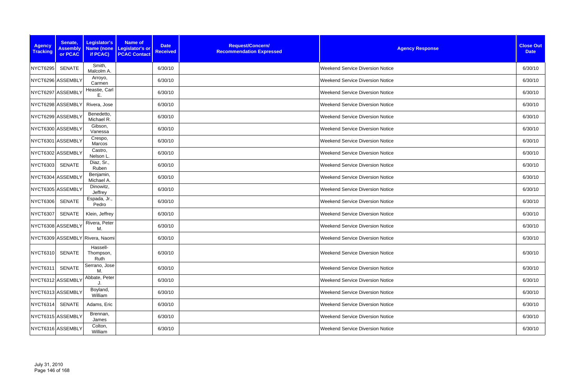| <b>Agency</b><br><b>Tracking</b> | Senate,<br><b>Assembly</b><br>or PCAC | Legislator's<br>if PCAC)        | <b>Name of</b><br>Name (none   Legislator's or<br><b>PCAC Contact</b> | <b>Date</b><br><b>Received</b> | Request/Concern/<br><b>Recommendation Expressed</b> | <b>Agency Response</b>                  | <b>Close Out</b><br><b>Date</b> |
|----------------------------------|---------------------------------------|---------------------------------|-----------------------------------------------------------------------|--------------------------------|-----------------------------------------------------|-----------------------------------------|---------------------------------|
| <b>NYCT6295</b>                  | SENATE                                | Smith,<br>Malcolm A.            |                                                                       | 6/30/10                        |                                                     | <b>Weekend Service Diversion Notice</b> | 6/30/10                         |
|                                  | NYCT6296 ASSEMBLY                     | Arroyo,<br>Carmen               |                                                                       | 6/30/10                        |                                                     | <b>Weekend Service Diversion Notice</b> | 6/30/10                         |
|                                  | NYCT6297 ASSEMBLY                     | Heastie, Carl<br>Ε.             |                                                                       | 6/30/10                        |                                                     | <b>Weekend Service Diversion Notice</b> | 6/30/10                         |
|                                  | NYCT6298 ASSEMBLY                     | Rivera, Jose                    |                                                                       | 6/30/10                        |                                                     | <b>Weekend Service Diversion Notice</b> | 6/30/10                         |
|                                  | NYCT6299 ASSEMBLY                     | Benedetto,<br>Michael R.        |                                                                       | 6/30/10                        |                                                     | <b>Weekend Service Diversion Notice</b> | 6/30/10                         |
|                                  | NYCT6300 ASSEMBLY                     | Gibson,<br>Vanessa              |                                                                       | 6/30/10                        |                                                     | <b>Weekend Service Diversion Notice</b> | 6/30/10                         |
|                                  | NYCT6301 ASSEMBLY                     | Crespo,<br>Marcos               |                                                                       | 6/30/10                        |                                                     | <b>Weekend Service Diversion Notice</b> | 6/30/10                         |
|                                  | NYCT6302 ASSEMBLY                     | Castro,<br>Nelson L             |                                                                       | 6/30/10                        |                                                     | <b>Weekend Service Diversion Notice</b> | 6/30/10                         |
| <b>NYCT6303</b>                  | <b>SENATE</b>                         | Diaz, Sr.,<br>Ruben             |                                                                       | 6/30/10                        |                                                     | <b>Weekend Service Diversion Notice</b> | 6/30/10                         |
|                                  | NYCT6304 ASSEMBLY                     | Benjamin,<br>Michael A.         |                                                                       | 6/30/10                        |                                                     | <b>Weekend Service Diversion Notice</b> | 6/30/10                         |
|                                  | NYCT6305 ASSEMBLY                     | Dinowitz,<br>Jeffrey            |                                                                       | 6/30/10                        |                                                     | <b>Weekend Service Diversion Notice</b> | 6/30/10                         |
| <b>NYCT6306</b>                  | <b>SENATE</b>                         | Espada, Jr.,<br>Pedro           |                                                                       | 6/30/10                        |                                                     | <b>Weekend Service Diversion Notice</b> | 6/30/10                         |
| <b>NYCT6307</b>                  | <b>SENATE</b>                         | Klein, Jeffrey                  |                                                                       | 6/30/10                        |                                                     | <b>Weekend Service Diversion Notice</b> | 6/30/10                         |
|                                  | NYCT6308 ASSEMBLY                     | Rivera, Peter<br>M.             |                                                                       | 6/30/10                        |                                                     | <b>Weekend Service Diversion Notice</b> | 6/30/10                         |
|                                  |                                       | NYCT6309 ASSEMBLY Rivera, Naomi |                                                                       | 6/30/10                        |                                                     | <b>Weekend Service Diversion Notice</b> | 6/30/10                         |
| <b>NYCT6310</b>                  | SENATE                                | Hassell-<br>Thompson,<br>Ruth   |                                                                       | 6/30/10                        |                                                     | <b>Weekend Service Diversion Notice</b> | 6/30/10                         |
| <b>NYCT6311</b>                  | <b>SENATE</b>                         | Serrano, Jose<br>М.             |                                                                       | 6/30/10                        |                                                     | <b>Weekend Service Diversion Notice</b> | 6/30/10                         |
|                                  | NYCT6312 ASSEMBLY                     | Abbate, Peter                   |                                                                       | 6/30/10                        |                                                     | <b>Weekend Service Diversion Notice</b> | 6/30/10                         |
|                                  | NYCT6313 ASSEMBLY                     | Boyland,<br>William             |                                                                       | 6/30/10                        |                                                     | <b>Weekend Service Diversion Notice</b> | 6/30/10                         |
| NYCT6314                         | SENATE                                | Adams, Eric                     |                                                                       | 6/30/10                        |                                                     | <b>Weekend Service Diversion Notice</b> | 6/30/10                         |
|                                  | NYCT6315 ASSEMBLY                     | Brennan,<br>James               |                                                                       | 6/30/10                        |                                                     | <b>Weekend Service Diversion Notice</b> | 6/30/10                         |
|                                  | NYCT6316 ASSEMBLY                     | Colton,<br>William              |                                                                       | 6/30/10                        |                                                     | <b>Weekend Service Diversion Notice</b> | 6/30/10                         |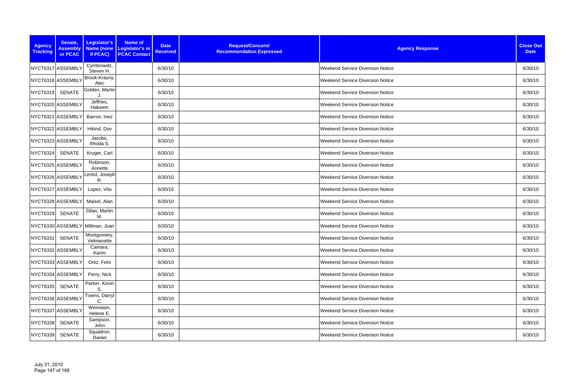| <b>Agency</b><br><b>Tracking</b> | Senate,<br><b>Assembly</b><br>or PCAC | Legislator's<br>Name (none<br>if PCAC) | <b>Name of</b><br><b>Date</b><br><b>Legislator's or</b><br><b>Received</b><br><b>PCAC Contact</b> | Request/Concern/<br><b>Recommendation Expressed</b> | <b>Agency Response</b>                  | <b>Close Out</b><br><b>Date</b> |
|----------------------------------|---------------------------------------|----------------------------------------|---------------------------------------------------------------------------------------------------|-----------------------------------------------------|-----------------------------------------|---------------------------------|
|                                  | NYCT6317 ASSEMBLY                     | Cymbrowitz,<br>Steven H.               | 6/30/10                                                                                           |                                                     | <b>Weekend Service Diversion Notice</b> | 6/30/10                         |
|                                  | NYCT6318 ASSEMBLY                     | Brook-Krasny,<br>Alec                  | 6/30/10                                                                                           |                                                     | <b>Weekend Service Diversion Notice</b> | 6/30/10                         |
| <b>NYCT6319</b>                  | <b>SENATE</b>                         | Golden, Martin                         | 6/30/10                                                                                           |                                                     | <b>Weekend Service Diversion Notice</b> | 6/30/10                         |
|                                  | NYCT6320 ASSEMBLY                     | Jeffries,<br>Hakeem                    | 6/30/10                                                                                           |                                                     | <b>Weekend Service Diversion Notice</b> | 6/30/10                         |
|                                  | NYCT6321 ASSEMBLY                     | Barron, Inez                           | 6/30/10                                                                                           |                                                     | <b>Weekend Service Diversion Notice</b> | 6/30/10                         |
|                                  | NYCT6322 ASSEMBLY                     | Hikind, Dov                            | 6/30/10                                                                                           |                                                     | <b>Weekend Service Diversion Notice</b> | 6/30/10                         |
|                                  | NYCT6323 ASSEMBLY                     | Jacobs,<br>Rhoda S.                    | 6/30/10                                                                                           |                                                     | <b>Weekend Service Diversion Notice</b> | 6/30/10                         |
| NYCT6324                         | SENATE                                | Kruger, Carl                           | 6/30/10                                                                                           |                                                     | <b>Weekend Service Diversion Notice</b> | 6/30/10                         |
|                                  | NYCT6325 ASSEMBLY                     | Robinson,<br>Annette                   | 6/30/10                                                                                           |                                                     | <b>Weekend Service Diversion Notice</b> | 6/30/10                         |
|                                  | NYCT6326 ASSEMBLY                     | Lentol, Joseph<br>R.                   | 6/30/10                                                                                           |                                                     | <b>Weekend Service Diversion Notice</b> | 6/30/10                         |
|                                  | NYCT6327 ASSEMBLY                     | Lopez, Vito                            | 6/30/10                                                                                           |                                                     | <b>Weekend Service Diversion Notice</b> | 6/30/10                         |
|                                  | NYCT6328 ASSEMBLY                     | Maisel, Alan                           | 6/30/10                                                                                           |                                                     | <b>Weekend Service Diversion Notice</b> | 6/30/10                         |
| NYCT6329                         | <b>SENATE</b>                         | Dilan, Martin<br>М.                    | 6/30/10                                                                                           |                                                     | <b>Weekend Service Diversion Notice</b> | 6/30/10                         |
|                                  |                                       | NYCT6330 ASSEMBLY Millman, Joan        | 6/30/10                                                                                           |                                                     | Weekend Service Diversion Notice        | 6/30/10                         |
| NYCT6331                         | SENATE                                | Montgomery,<br>Velmanette              | 6/30/10                                                                                           |                                                     | <b>Weekend Service Diversion Notice</b> | 6/30/10                         |
|                                  | NYCT6332 ASSEMBLY                     | Camara,<br>Karim                       | 6/30/10                                                                                           |                                                     | <b>Weekend Service Diversion Notice</b> | 6/30/10                         |
|                                  | NYCT6333 ASSEMBLY                     | Ortiz, Felix                           | 6/30/10                                                                                           |                                                     | <b>Weekend Service Diversion Notice</b> | 6/30/10                         |
|                                  | NYCT6334 ASSEMBLY                     | Perry, Nick                            | 6/30/10                                                                                           |                                                     | <b>Weekend Service Diversion Notice</b> | 6/30/10                         |
| <b>NYCT6335</b>                  | SENATE                                | Parker, Kevin<br>S.                    | 6/30/10                                                                                           |                                                     | <b>Weekend Service Diversion Notice</b> | 6/30/10                         |
|                                  | NYCT6336 ASSEMBLY                     | Towns, Darryl<br>C.                    | 6/30/10                                                                                           |                                                     | <b>Weekend Service Diversion Notice</b> | 6/30/10                         |
|                                  | NYCT6337 ASSEMBLY                     | Weinstein,<br>Helene E.                | 6/30/10                                                                                           |                                                     | <b>Weekend Service Diversion Notice</b> | 6/30/10                         |
| <b>NYCT6338</b>                  | SENATE                                | Sampson,<br>John                       | 6/30/10                                                                                           |                                                     | <b>Weekend Service Diversion Notice</b> | 6/30/10                         |
| <b>NYCT6339</b>                  | SENATE                                | Squadron,<br>Daniel                    | 6/30/10                                                                                           |                                                     | <b>Weekend Service Diversion Notice</b> | 6/30/10                         |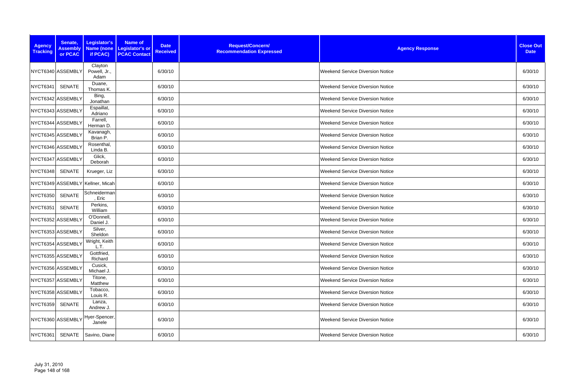| <b>Agency</b><br><b>Tracking</b> | Senate,<br><b>Assembly</b><br>or PCAC | Legislator's<br>if PCAC)         | <b>Name of</b><br>Name (none Legislator's or<br><b>PCAC Contact</b> | <b>Date</b><br><b>Received</b> | Request/Concern/<br><b>Recommendation Expressed</b> | <b>Agency Response</b>                  | <b>Close Out</b><br><b>Date</b> |
|----------------------------------|---------------------------------------|----------------------------------|---------------------------------------------------------------------|--------------------------------|-----------------------------------------------------|-----------------------------------------|---------------------------------|
|                                  | NYCT6340 ASSEMBLY                     | Clayton<br>Powell, Jr.,<br>Adam  |                                                                     | 6/30/10                        |                                                     | <b>Weekend Service Diversion Notice</b> | 6/30/10                         |
| <b>NYCT6341</b>                  | <b>SENATE</b>                         | Duane,<br>Thomas K.              |                                                                     | 6/30/10                        |                                                     | <b>Weekend Service Diversion Notice</b> | 6/30/10                         |
|                                  | NYCT6342 ASSEMBLY                     | Bing,<br>Jonathan                |                                                                     | 6/30/10                        |                                                     | <b>Weekend Service Diversion Notice</b> | 6/30/10                         |
|                                  | NYCT6343 ASSEMBLY                     | Espaillat,<br>Adriano            |                                                                     | 6/30/10                        |                                                     | <b>Weekend Service Diversion Notice</b> | 6/30/10                         |
|                                  | NYCT6344 ASSEMBLY                     | Farrell,<br>Herman D.            |                                                                     | 6/30/10                        |                                                     | <b>Weekend Service Diversion Notice</b> | 6/30/10                         |
|                                  | NYCT6345 ASSEMBLY                     | Kavanagh,<br>Brian P.            |                                                                     | 6/30/10                        |                                                     | <b>Weekend Service Diversion Notice</b> | 6/30/10                         |
|                                  | NYCT6346 ASSEMBLY                     | Rosenthal,<br>Linda B.           |                                                                     | 6/30/10                        |                                                     | <b>Weekend Service Diversion Notice</b> | 6/30/10                         |
|                                  | NYCT6347 ASSEMBLY                     | Glick,<br>Deborah                |                                                                     | 6/30/10                        |                                                     | <b>Weekend Service Diversion Notice</b> | 6/30/10                         |
| <b>NYCT6348</b>                  | <b>SENATE</b>                         | Krueger, Liz                     |                                                                     | 6/30/10                        |                                                     | <b>Weekend Service Diversion Notice</b> | 6/30/10                         |
|                                  |                                       | NYCT6349 ASSEMBLY Kellner, Micah |                                                                     | 6/30/10                        |                                                     | <b>Weekend Service Diversion Notice</b> | 6/30/10                         |
| <b>NYCT6350</b>                  | <b>SENATE</b>                         | Schneiderman<br>Eric             |                                                                     | 6/30/10                        |                                                     | <b>Weekend Service Diversion Notice</b> | 6/30/10                         |
| <b>NYCT6351</b>                  | <b>SENATE</b>                         | Perkins,<br>William              |                                                                     | 6/30/10                        |                                                     | <b>Weekend Service Diversion Notice</b> | 6/30/10                         |
|                                  | NYCT6352 ASSEMBLY                     | O'Donnell,<br>Daniel J.          |                                                                     | 6/30/10                        |                                                     | <b>Weekend Service Diversion Notice</b> | 6/30/10                         |
|                                  | NYCT6353 ASSEMBLY                     | Silver,<br>Sheldon               |                                                                     | 6/30/10                        |                                                     | <b>Weekend Service Diversion Notice</b> | 6/30/10                         |
|                                  | NYCT6354 ASSEMBLY                     | Wright, Keith<br>L.T.            |                                                                     | 6/30/10                        |                                                     | <b>Weekend Service Diversion Notice</b> | 6/30/10                         |
|                                  | NYCT6355 ASSEMBLY                     | Gottfried,<br>Richard            |                                                                     | 6/30/10                        |                                                     | <b>Weekend Service Diversion Notice</b> | 6/30/10                         |
|                                  | NYCT6356 ASSEMBLY                     | Cusick,<br>Michael J.            |                                                                     | 6/30/10                        |                                                     | Weekend Service Diversion Notice        | 6/30/10                         |
|                                  | NYCT6357 ASSEMBLY                     | Titone,<br>Matthew               |                                                                     | 6/30/10                        |                                                     | <b>Weekend Service Diversion Notice</b> | 6/30/10                         |
|                                  | NYCT6358 ASSEMBLY                     | Tobacco,<br>Louis R.             |                                                                     | 6/30/10                        |                                                     | <b>Weekend Service Diversion Notice</b> | 6/30/10                         |
| <b>NYCT6359</b>                  | <b>SENATE</b>                         | Lanza,<br>Andrew J.              |                                                                     | 6/30/10                        |                                                     | <b>Weekend Service Diversion Notice</b> | 6/30/10                         |
|                                  | NYCT6360 ASSEMBLY                     | Hyer-Spencer,<br>Janele          |                                                                     | 6/30/10                        |                                                     | <b>Weekend Service Diversion Notice</b> | 6/30/10                         |
| NYCT6361                         | SENATE                                | Savino, Diane                    |                                                                     | 6/30/10                        |                                                     | <b>Weekend Service Diversion Notice</b> | 6/30/10                         |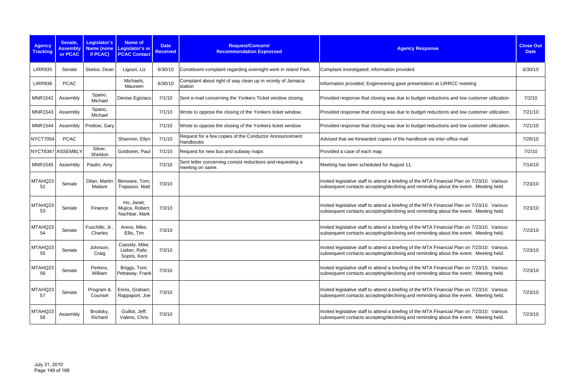| <b>Agency</b><br><b>Tracking</b> | Senate,<br><b>Assembly</b><br>or PCAC | <b>Legislator's</b><br><b>Name (none</b><br>if PCAC) | <b>Name of</b><br>Legislator's or<br><b>PCAC Contact</b> | <b>Date</b><br><b>Received</b> | Request/Concern/<br><b>Recommendation Expressed</b>                            | <b>Agency Response</b>                                                                                                                                                               | <b>Close Out</b><br><b>Date</b> |
|----------------------------------|---------------------------------------|------------------------------------------------------|----------------------------------------------------------|--------------------------------|--------------------------------------------------------------------------------|--------------------------------------------------------------------------------------------------------------------------------------------------------------------------------------|---------------------------------|
| <b>LIRR935</b>                   | Senate                                | Skelos, Dean                                         | Ligouri, Liz                                             | 6/30/10                        | Constituent complaint regarding overnight work in Island Park.                 | Complaint investigated; information provided.                                                                                                                                        | 6/30/10                         |
| <b>LIRR936</b>                   | <b>PCAC</b>                           |                                                      | Michaels,<br>Maureen                                     | 6/30/10                        | Complaint about right of way clean up in vicinity of Jamaica<br>station        | Information provided; Enginneering gave presentation at LIRRCC meeting                                                                                                               |                                 |
| <b>MNR1542</b>                   | Assembly                              | Spano,<br>Michael                                    | Denise Egiziaco                                          | 7/1/10                         | Sent e-mail concerning the Yonkers Ticket window closing.                      | Provided response that closing was due to budget reductions and low customer utilization.                                                                                            | 7/2/10                          |
| <b>MNR1543</b>                   | Assembly                              | Spano,<br>Michael                                    |                                                          | 7/1/10                         | Wrote to oppose the closing of the Yonkers ticket window.                      | Provided response that closing was due to budget reductions and low customer utilization.                                                                                            | 7/21/10                         |
| <b>MNR1544</b>                   | Assembly                              | Pretlow, Gary                                        |                                                          | 7/1/10                         | Wrote to oppose the closing of the Yonkers ticket window.                      | Provided response that closing was due to budget reductions and low customer utilization.                                                                                            | 7/21/10                         |
| <b>NYCT7054</b>                  | <b>PCAC</b>                           |                                                      | Shannon, Ellyn                                           | 7/1/10                         | Request for a few copies of the Conductor Announcement<br>Handbooks            | Advised that we forwarded copies of the handbook via inter-office mail                                                                                                               | 7/26/10                         |
|                                  | NYCT6367 ASSEMBLY                     | Silver,<br>Sheldon                                   | Goldstein, Paul                                          | 7/1/10                         | Request for new bus and subway maps                                            | Provided a case of each map                                                                                                                                                          | 7/2/10                          |
| <b>MNR1545</b>                   | Assembly                              | Paulin, Amy                                          |                                                          | 7/2/10                         | Sent letter concerning consist reductions and requesting a<br>meeting on same. | Meeting has been scheduled for August 11.                                                                                                                                            | 7/14/10                         |
| MTAHQ23<br>52                    | Senate                                | Dilan, Martin<br>Malave                              | Benware, Tom;<br>Trapasso, Matt                          | 7/3/10                         |                                                                                | Invited legislative staff to attend a briefing of the MTA Financial Plan on 7/23/10. Various<br>subsequent contacts accepting/declining and reminding about the event. Meeting held. | 7/23/10                         |
| MTAHQ23<br>53                    | Senate                                | Finance                                              | Ho, Janet;<br>Mujica, Robert;<br>Nachbar, Mark           | 7/3/10                         |                                                                                | Invited legislative staff to attend a briefing of the MTA Financial Plan on 7/23/10. Various<br>subsequent contacts accepting/declining and reminding about the event. Meeting held. | 7/23/10                         |
| MTAHQ23<br>54                    | Senate                                | Fuschillo, Jr.,<br>Charles                           | Arens, Mike;<br>Ellis, Tim                               | 7/3/10                         |                                                                                | Invited legislative staff to attend a briefing of the MTA Financial Plan on 7/23/10. Various<br>subsequent contacts accepting/declining and reminding about the event. Meeting held. | 7/23/10                         |
| MTAHQ23<br>55                    | Senate                                | Johnson,<br>Craig                                    | Cassidy, Mike;<br>Lieber, Rafe;<br>Sopris, Kent          | 7/3/10                         |                                                                                | Invited legislative staff to attend a briefing of the MTA Financial Plan on 7/23/10. Various<br>subsequent contacts accepting/declining and reminding about the event. Meeting held. | 7/23/10                         |
| MTAHQ23<br>56                    | Senate                                | Perkins,<br>William                                  | Briggs, Tom;<br>Pettaway, Frank                          | 7/3/10                         |                                                                                | Invited legislative staff to attend a briefing of the MTA Financial Plan on 7/23/10. Various<br>subsequent contacts accepting/declining and reminding about the event. Meeting held. | 7/23/10                         |
| MTAHQ23<br>57                    | Senate                                | Program &<br>Counsel                                 | Ennis, Graham;<br>Rappaport, Joe                         | 7/3/10                         |                                                                                | Invited legislative staff to attend a briefing of the MTA Financial Plan on 7/23/10. Various<br>subsequent contacts accepting/declining and reminding about the event. Meeting held. | 7/23/10                         |
| MTAHQ23<br>58                    | Assembly                              | Brodsky,<br>Richard                                  | Guillot, Jeff;<br>Valens, Chris                          | 7/3/10                         |                                                                                | Invited legislative staff to attend a briefing of the MTA Financial Plan on 7/23/10. Various<br>subsequent contacts accepting/declining and reminding about the event. Meeting held. | 7/23/10                         |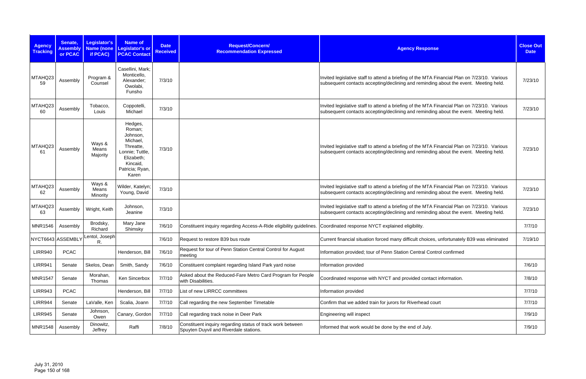| <b>Agency</b><br><b>Tracking</b> | Senate,<br><b>Assembly</b><br>or PCAC | Legislator's<br><b>Name (none</b><br>if PCAC) | <b>Name of</b><br>Legislator's or<br><b>PCAC Contact</b>                                                                        | <b>Date</b><br><b>Received</b> | Request/Concern/<br><b>Recommendation Expressed</b>                                                  | <b>Agency Response</b>                                                                                                                                                               | <b>Close Out</b><br><b>Date</b> |
|----------------------------------|---------------------------------------|-----------------------------------------------|---------------------------------------------------------------------------------------------------------------------------------|--------------------------------|------------------------------------------------------------------------------------------------------|--------------------------------------------------------------------------------------------------------------------------------------------------------------------------------------|---------------------------------|
| MTAHQ23<br>59                    | Assembly                              | Program &<br>Counsel                          | Casellini, Mark;<br>Monticello,<br>Alexander;<br>Owolabi,<br>Funsho                                                             | 7/3/10                         |                                                                                                      | Invited legislative staff to attend a briefing of the MTA Financial Plan on 7/23/10. Various<br>subsequent contacts accepting/declining and reminding about the event. Meeting held. | 7/23/10                         |
| MTAHQ23<br>60                    | Assembly                              | Tobacco,<br>Louis                             | Coppotelli,<br>Michael                                                                                                          | 7/3/10                         |                                                                                                      | Invited legislative staff to attend a briefing of the MTA Financial Plan on 7/23/10. Various<br>subsequent contacts accepting/declining and reminding about the event. Meeting held. | 7/23/10                         |
| MTAHQ23<br>61                    | Assembly                              | Ways &<br>Means<br>Majority                   | Hedges,<br>Roman;<br>Johnson,<br>Michael,<br>Threatte,<br>Lonnie; Tuttle,<br>Elizabeth;<br>Kincaid,<br>Patricia; Ryan,<br>Karen | 7/3/10                         |                                                                                                      | Invited legislative staff to attend a briefing of the MTA Financial Plan on 7/23/10. Various<br>subsequent contacts accepting/declining and reminding about the event. Meeting held. | 7/23/10                         |
| MTAHQ23<br>62                    | Assembly                              | Ways &<br>Means<br>Minority                   | Wilder, Katelyn;<br>Young, David                                                                                                | 7/3/10                         |                                                                                                      | Invited legislative staff to attend a briefing of the MTA Financial Plan on 7/23/10. Various<br>subsequent contacts accepting/declining and reminding about the event. Meeting held. | 7/23/10                         |
| MTAHQ23<br>63                    | Assembly                              | Wright, Keith                                 | Johnson,<br>Jeanine                                                                                                             | 7/3/10                         |                                                                                                      | Invited legislative staff to attend a briefing of the MTA Financial Plan on 7/23/10. Various<br>subsequent contacts accepting/declining and reminding about the event. Meeting held. | 7/23/10                         |
| <b>MNR1546</b>                   | Assembly                              | Brodsky,<br>Richard                           | Mary Jane<br>Shimsky                                                                                                            | 7/6/10                         | Constituent inquiry regarding Access-A-Ride eligibility guidelines.                                  | Coordinated response NYCT explained eligibility.                                                                                                                                     | 7/7/10                          |
| NYCT6643 ASSEMBLY                |                                       | Lentol, Joseph<br>R.                          |                                                                                                                                 | 7/6/10                         | Request to restore B39 bus route                                                                     | Current financial situation forced many difficult choices, unfortunately B39 was eliminated                                                                                          | 7/19/10                         |
| <b>LIRR940</b>                   | <b>PCAC</b>                           |                                               | Henderson, Bill                                                                                                                 | 7/6/10                         | Request for tour of Penn Station Central Control for August<br>meeting                               | Information provided; tour of Penn Station Central Control confirmed                                                                                                                 |                                 |
| <b>LIRR941</b>                   | Senate                                | Skelos, Dean                                  | Smith, Sandy                                                                                                                    | 7/6/10                         | Constituent complaint regarding Island Park yard noise                                               | Information provided                                                                                                                                                                 | 7/6/10                          |
| <b>MNR1547</b>                   | Senate                                | Morahan,<br>Thomas                            | Ken Sincerbox                                                                                                                   | 7/7/10                         | Asked about the Reduced-Fare Metro Card Program for People<br>with Disabilities.                     | Coordinated response with NYCT and provided contact information.                                                                                                                     | 7/8/10                          |
| <b>LIRR943</b>                   | <b>PCAC</b>                           |                                               | Henderson, Bill                                                                                                                 | 7/7/10                         | List of new LIRRCC committees                                                                        | Information provided                                                                                                                                                                 | 7/7/10                          |
| LIRR944                          | Senate                                | LaValle, Ken                                  | Scalia, Joann                                                                                                                   | 7/7/10                         | Call regarding the new September Timetable                                                           | Confirm that we added train for jurors for Riverhead court                                                                                                                           | 7/7/10                          |
| <b>LIRR945</b>                   | Senate                                | Johnson,<br>Owen                              | Canary, Gordon                                                                                                                  | 7/7/10                         | Call regarding track noise in Deer Park                                                              | Engineering will inspect                                                                                                                                                             | 7/9/10                          |
| <b>MNR1548</b>                   | Assembly                              | Dinowitz,<br>Jeffrey                          | Raffi                                                                                                                           | 7/8/10                         | Constituent inquiry regarding status of track work between<br>Spuyten Duyvil and Riverdale stations. | Informed that work would be done by the end of July.                                                                                                                                 | 7/9/10                          |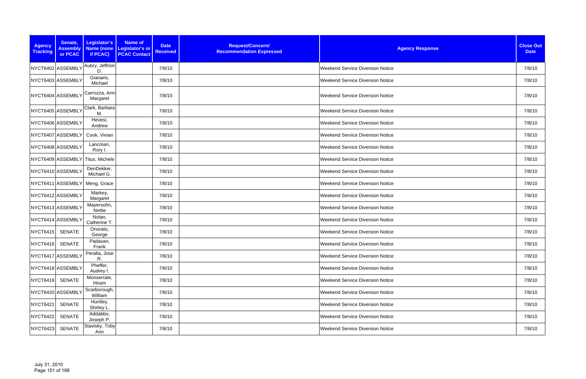| <b>Agency</b><br><b>Tracking</b> | Senate,<br><b>Assembly</b><br>or PCAC | Legislator's<br>Name (none<br>if PCAC) | Name of<br>Legislator's or<br><b>PCAC Contact</b> | <b>Date</b><br><b>Received</b> | Request/Concern/<br><b>Recommendation Expressed</b> | <b>Agency Response</b>                  | <b>Close Out</b><br><b>Date</b> |
|----------------------------------|---------------------------------------|----------------------------------------|---------------------------------------------------|--------------------------------|-----------------------------------------------------|-----------------------------------------|---------------------------------|
| NYCT6402 ASSEMBLY                |                                       | Aubry, Jeffrion<br>D.                  |                                                   | 7/8/10                         |                                                     | <b>Weekend Service Diversion Notice</b> | 7/8/10                          |
| NYCT6403 ASSEMBLY                |                                       | Gianaris,<br>Michael                   |                                                   | 7/8/10                         |                                                     | <b>Weekend Service Diversion Notice</b> | 7/8/10                          |
| NYCT6404 ASSEMBLY                |                                       | Carrozza, Ann-<br>Margaret             |                                                   | 7/8/10                         |                                                     | <b>Weekend Service Diversion Notice</b> | 7/8/10                          |
| NYCT6405 ASSEMBLY                |                                       | Clark, Barbara<br>M.                   |                                                   | 7/8/10                         |                                                     | <b>Weekend Service Diversion Notice</b> | 7/8/10                          |
| NYCT6406 ASSEMBLY                |                                       | Hevesi,<br>Andrew                      |                                                   | 7/8/10                         |                                                     | <b>Weekend Service Diversion Notice</b> | 7/8/10                          |
|                                  | NYCT6407 ASSEMBLY                     | Cook, Vivian                           |                                                   | 7/8/10                         |                                                     | <b>Weekend Service Diversion Notice</b> | 7/8/10                          |
|                                  | NYCT6408 ASSEMBLY                     | Lancman,<br>Rory I.                    |                                                   | 7/8/10                         |                                                     | <b>Weekend Service Diversion Notice</b> | 7/8/10                          |
|                                  |                                       | NYCT6409 ASSEMBLY Titus, Michele       |                                                   | 7/8/10                         |                                                     | <b>Weekend Service Diversion Notice</b> | 7/8/10                          |
| NYCT6410 ASSEMBLY                |                                       | DenDekker,<br>Michael G.               |                                                   | 7/8/10                         |                                                     | <b>Weekend Service Diversion Notice</b> | 7/8/10                          |
|                                  | NYCT6411 ASSEMBLY                     | Meng, Grace                            |                                                   | 7/8/10                         |                                                     | <b>Weekend Service Diversion Notice</b> | 7/8/10                          |
|                                  | NYCT6412 ASSEMBLY                     | Markey,<br>Margaret                    |                                                   | 7/8/10                         |                                                     | <b>Weekend Service Diversion Notice</b> | 7/8/10                          |
| NYCT6413 ASSEMBLY                |                                       | Mayersohn,<br>Nettie                   |                                                   | 7/8/10                         |                                                     | <b>Weekend Service Diversion Notice</b> | 7/8/10                          |
|                                  | NYCT6414 ASSEMBLY                     | Nolan,<br>Catherine T.                 |                                                   | 7/8/10                         |                                                     | <b>Weekend Service Diversion Notice</b> | 7/8/10                          |
| <b>NYCT6415</b>                  | <b>SENATE</b>                         | Onorato,<br>George                     |                                                   | 7/8/10                         |                                                     | <b>Weekend Service Diversion Notice</b> | 7/8/10                          |
| NYCT6416 SENATE                  |                                       | Padavan,<br>Frank                      |                                                   | 7/8/10                         |                                                     | <b>Weekend Service Diversion Notice</b> | 7/8/10                          |
| NYCT6417 ASSEMBLY                |                                       | Peralta, Jose<br>R.                    |                                                   | 7/8/10                         |                                                     | <b>Weekend Service Diversion Notice</b> | 7/8/10                          |
| NYCT6418 ASSEMBLY                |                                       | Pheffer,<br>Audrey I.                  |                                                   | 7/8/10                         |                                                     | <b>Weekend Service Diversion Notice</b> | 7/8/10                          |
| <b>NYCT6419</b>                  | SENATE                                | Monserrate,<br>Hiram                   |                                                   | 7/8/10                         |                                                     | <b>Weekend Service Diversion Notice</b> | 7/8/10                          |
| NYCT6420 ASSEMBLY                |                                       | Scarborough,<br>William                |                                                   | 7/8/10                         |                                                     | <b>Weekend Service Diversion Notice</b> | 7/8/10                          |
| <b>NYCT6421</b>                  | SENATE                                | Huntley,<br>Shirley L.                 |                                                   | 7/8/10                         |                                                     | <b>Weekend Service Diversion Notice</b> | 7/8/10                          |
| NYCT6422                         | SENATE                                | Addabbo,<br>Joseph P.                  |                                                   | 7/8/10                         |                                                     | <b>Weekend Service Diversion Notice</b> | 7/8/10                          |
| NYCT6423                         | <b>SENATE</b>                         | Stavisky, Toby<br>Ann                  |                                                   | 7/8/10                         |                                                     | <b>Weekend Service Diversion Notice</b> | 7/8/10                          |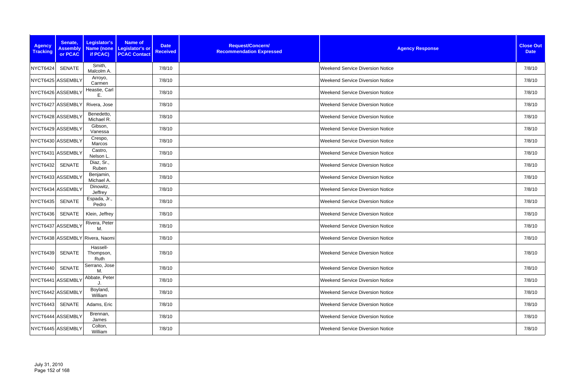| <b>Agency</b><br><b>Tracking</b> | Senate,<br><b>Assembly</b><br>or PCAC | Legislator's<br>Name (none<br>if PCAC) | <b>Name of</b><br>Legislator's or<br><b>PCAC Contact</b> | <b>Date</b><br><b>Received</b> | Request/Concern/<br><b>Recommendation Expressed</b> | <b>Agency Response</b>                  | <b>Close Out</b><br><b>Date</b> |
|----------------------------------|---------------------------------------|----------------------------------------|----------------------------------------------------------|--------------------------------|-----------------------------------------------------|-----------------------------------------|---------------------------------|
| NYCT6424                         | <b>SENATE</b>                         | Smith,<br>Malcolm A.                   |                                                          | 7/8/10                         |                                                     | <b>Weekend Service Diversion Notice</b> | 7/8/10                          |
| NYCT6425 ASSEMBLY                |                                       | Arroyo,<br>Carmen                      |                                                          | 7/8/10                         |                                                     | <b>Weekend Service Diversion Notice</b> | 7/8/10                          |
| NYCT6426 ASSEMBLY                |                                       | Heastie, Carl<br>Ε.                    |                                                          | 7/8/10                         |                                                     | <b>Weekend Service Diversion Notice</b> | 7/8/10                          |
|                                  | NYCT6427 ASSEMBLY                     | Rivera, Jose                           |                                                          | 7/8/10                         |                                                     | <b>Weekend Service Diversion Notice</b> | 7/8/10                          |
| NYCT6428 ASSEMBLY                |                                       | Benedetto,<br>Michael R.               |                                                          | 7/8/10                         |                                                     | <b>Weekend Service Diversion Notice</b> | 7/8/10                          |
| NYCT6429 ASSEMBLY                |                                       | Gibson,<br>Vanessa                     |                                                          | 7/8/10                         |                                                     | <b>Weekend Service Diversion Notice</b> | 7/8/10                          |
| NYCT6430 ASSEMBLY                |                                       | Crespo,<br>Marcos                      |                                                          | 7/8/10                         |                                                     | <b>Weekend Service Diversion Notice</b> | 7/8/10                          |
| NYCT6431 ASSEMBLY                |                                       | Castro,<br>Nelson L.                   |                                                          | 7/8/10                         |                                                     | <b>Weekend Service Diversion Notice</b> | 7/8/10                          |
| <b>NYCT6432</b>                  | <b>SENATE</b>                         | Diaz, Sr.,<br>Ruben                    |                                                          | 7/8/10                         |                                                     | <b>Weekend Service Diversion Notice</b> | 7/8/10                          |
| NYCT6433 ASSEMBLY                |                                       | Benjamin,<br>Michael A.                |                                                          | 7/8/10                         |                                                     | <b>Weekend Service Diversion Notice</b> | 7/8/10                          |
| NYCT6434 ASSEMBLY                |                                       | Dinowitz,<br>Jeffrey                   |                                                          | 7/8/10                         |                                                     | <b>Weekend Service Diversion Notice</b> | 7/8/10                          |
| NYCT6435                         | <b>SENATE</b>                         | Espada, Jr.,<br>Pedro                  |                                                          | 7/8/10                         |                                                     | <b>Weekend Service Diversion Notice</b> | 7/8/10                          |
| <b>NYCT6436</b>                  | SENATE                                | Klein, Jeffrey                         |                                                          | 7/8/10                         |                                                     | <b>Weekend Service Diversion Notice</b> | 7/8/10                          |
| NYCT6437 ASSEMBLY                |                                       | Rivera, Peter<br>М.                    |                                                          | 7/8/10                         |                                                     | <b>Weekend Service Diversion Notice</b> | 7/8/10                          |
|                                  |                                       | NYCT6438 ASSEMBLY Rivera, Naomi        |                                                          | 7/8/10                         |                                                     | <b>Weekend Service Diversion Notice</b> | 7/8/10                          |
| <b>NYCT6439</b>                  | SENATE                                | Hassell-<br>Thompson,<br>Ruth          |                                                          | 7/8/10                         |                                                     | <b>Weekend Service Diversion Notice</b> | 7/8/10                          |
| NYCT6440                         | <b>SENATE</b>                         | Serrano, Jose<br>М.                    |                                                          | 7/8/10                         |                                                     | <b>Weekend Service Diversion Notice</b> | 7/8/10                          |
|                                  | NYCT6441 ASSEMBLY                     | Abbate, Peter                          |                                                          | 7/8/10                         |                                                     | <b>Weekend Service Diversion Notice</b> | 7/8/10                          |
| NYCT6442 ASSEMBLY                |                                       | Boyland,<br>William                    |                                                          | 7/8/10                         |                                                     | <b>Weekend Service Diversion Notice</b> | 7/8/10                          |
| NYCT6443 SENATE                  |                                       | Adams, Eric                            |                                                          | 7/8/10                         |                                                     | <b>Weekend Service Diversion Notice</b> | 7/8/10                          |
| NYCT6444 ASSEMBLY                |                                       | Brennan,<br>James                      |                                                          | 7/8/10                         |                                                     | <b>Weekend Service Diversion Notice</b> | 7/8/10                          |
| NYCT6445 ASSEMBLY                |                                       | Colton,<br>William                     |                                                          | 7/8/10                         |                                                     | <b>Weekend Service Diversion Notice</b> | 7/8/10                          |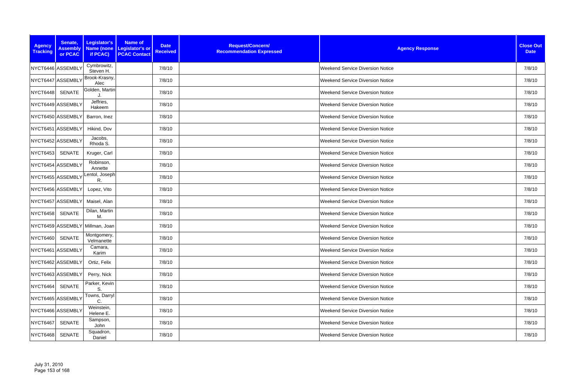| <b>Agency</b><br><b>Tracking</b> | Senate,<br><b>Assembly</b><br>or PCAC | Legislator's<br><b>Name (none)</b><br>if PCAC) | <b>Name of</b><br>Legislator's or<br><b>PCAC Contact</b> | <b>Date</b><br><b>Received</b> | Request/Concern/<br><b>Recommendation Expressed</b> | <b>Agency Response</b>                  | <b>Close Out</b><br><b>Date</b> |
|----------------------------------|---------------------------------------|------------------------------------------------|----------------------------------------------------------|--------------------------------|-----------------------------------------------------|-----------------------------------------|---------------------------------|
| NYCT6446 ASSEMBLY                |                                       | Cymbrowitz,<br>Steven H.                       |                                                          | 7/8/10                         |                                                     | <b>Weekend Service Diversion Notice</b> | 7/8/10                          |
| NYCT6447 ASSEMBLY                |                                       | Brook-Krasny,<br>Alec                          |                                                          | 7/8/10                         |                                                     | <b>Weekend Service Diversion Notice</b> | 7/8/10                          |
| NYCT6448                         | <b>SENATE</b>                         | Golden, Martin                                 |                                                          | 7/8/10                         |                                                     | <b>Weekend Service Diversion Notice</b> | 7/8/10                          |
| NYCT6449 ASSEMBLY                |                                       | Jeffries,<br>Hakeem                            |                                                          | 7/8/10                         |                                                     | <b>Weekend Service Diversion Notice</b> | 7/8/10                          |
| NYCT6450 ASSEMBLY                |                                       | Barron, Inez                                   |                                                          | 7/8/10                         |                                                     | <b>Weekend Service Diversion Notice</b> | 7/8/10                          |
| NYCT6451 ASSEMBLY                |                                       | Hikind, Dov                                    |                                                          | 7/8/10                         |                                                     | <b>Weekend Service Diversion Notice</b> | 7/8/10                          |
| NYCT6452 ASSEMBLY                |                                       | Jacobs,<br>Rhoda S.                            |                                                          | 7/8/10                         |                                                     | <b>Weekend Service Diversion Notice</b> | 7/8/10                          |
| NYCT6453                         | SENATE                                | Kruger, Carl                                   |                                                          | 7/8/10                         |                                                     | <b>Weekend Service Diversion Notice</b> | 7/8/10                          |
| NYCT6454 ASSEMBLY                |                                       | Robinson,<br>Annette                           |                                                          | 7/8/10                         |                                                     | <b>Weekend Service Diversion Notice</b> | 7/8/10                          |
| NYCT6455 ASSEMBLY                |                                       | Lentol, Joseph<br>R.                           |                                                          | 7/8/10                         |                                                     | <b>Weekend Service Diversion Notice</b> | 7/8/10                          |
| NYCT6456 ASSEMBLY                |                                       | Lopez, Vito                                    |                                                          | 7/8/10                         |                                                     | <b>Weekend Service Diversion Notice</b> | 7/8/10                          |
| NYCT6457 ASSEMBLY                |                                       | Maisel, Alan                                   |                                                          | 7/8/10                         |                                                     | <b>Weekend Service Diversion Notice</b> | 7/8/10                          |
| <b>NYCT6458</b>                  | <b>SENATE</b>                         | Dilan, Martin<br>M.                            |                                                          | 7/8/10                         |                                                     | <b>Weekend Service Diversion Notice</b> | 7/8/10                          |
|                                  |                                       | NYCT6459 ASSEMBLY Millman, Joan                |                                                          | 7/8/10                         |                                                     | <b>Weekend Service Diversion Notice</b> | 7/8/10                          |
| <b>NYCT6460</b>                  | <b>SENATE</b>                         | Montgomery,<br>Velmanette                      |                                                          | 7/8/10                         |                                                     | <b>Weekend Service Diversion Notice</b> | 7/8/10                          |
| NYCT6461 ASSEMBLY                |                                       | Camara,<br>Karim                               |                                                          | 7/8/10                         |                                                     | <b>Weekend Service Diversion Notice</b> | 7/8/10                          |
| NYCT6462 ASSEMBLY                |                                       | Ortiz, Felix                                   |                                                          | 7/8/10                         |                                                     | <b>Weekend Service Diversion Notice</b> | 7/8/10                          |
| NYCT6463 ASSEMBLY                |                                       | Perry, Nick                                    |                                                          | 7/8/10                         |                                                     | <b>Weekend Service Diversion Notice</b> | 7/8/10                          |
| <b>NYCT6464</b>                  | <b>SENATE</b>                         | Parker, Kevin<br>S.                            |                                                          | 7/8/10                         |                                                     | <b>Weekend Service Diversion Notice</b> | 7/8/10                          |
| NYCT6465 ASSEMBLY                |                                       | Towns, Darryl<br>C.                            |                                                          | 7/8/10                         |                                                     | <b>Weekend Service Diversion Notice</b> | 7/8/10                          |
| NYCT6466 ASSEMBLY                |                                       | Weinstein,<br>Helene E.                        |                                                          | 7/8/10                         |                                                     | <b>Weekend Service Diversion Notice</b> | 7/8/10                          |
| <b>NYCT6467</b>                  | SENATE                                | Sampson,<br>John                               |                                                          | 7/8/10                         |                                                     | <b>Weekend Service Diversion Notice</b> | 7/8/10                          |
| NYCT6468                         | <b>SENATE</b>                         | Squadron,<br>Daniel                            |                                                          | 7/8/10                         |                                                     | <b>Weekend Service Diversion Notice</b> | 7/8/10                          |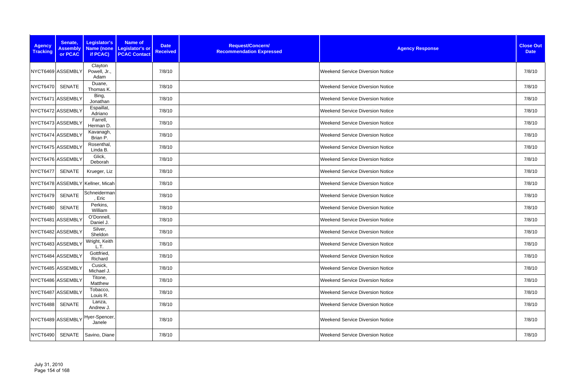| <b>Agency</b><br><b>Tracking</b> | Senate,<br><b>Assembly</b><br>or PCAC | Legislator's<br>Name (none<br>if PCAC) | <b>Name of</b><br>Legislator's or<br><b>PCAC Contact</b> | <b>Date</b><br><b>Received</b> | Request/Concern/<br><b>Recommendation Expressed</b> | <b>Agency Response</b>                  | <b>Close Out</b><br><b>Date</b> |
|----------------------------------|---------------------------------------|----------------------------------------|----------------------------------------------------------|--------------------------------|-----------------------------------------------------|-----------------------------------------|---------------------------------|
| NYCT6469 ASSEMBLY                |                                       | Clayton<br>Powell, Jr.,<br>Adam        |                                                          | 7/8/10                         |                                                     | <b>Weekend Service Diversion Notice</b> | 7/8/10                          |
| <b>NYCT6470</b>                  | SENATE                                | Duane,<br>Thomas K.                    |                                                          | 7/8/10                         |                                                     | <b>Weekend Service Diversion Notice</b> | 7/8/10                          |
| NYCT6471 ASSEMBLY                |                                       | Bing,<br>Jonathan                      |                                                          | 7/8/10                         |                                                     | <b>Weekend Service Diversion Notice</b> | 7/8/10                          |
| NYCT6472 ASSEMBLY                |                                       | Espaillat,<br>Adriano                  |                                                          | 7/8/10                         |                                                     | <b>Weekend Service Diversion Notice</b> | 7/8/10                          |
| NYCT6473 ASSEMBLY                |                                       | Farrell,<br>Herman D.                  |                                                          | 7/8/10                         |                                                     | <b>Weekend Service Diversion Notice</b> | 7/8/10                          |
| NYCT6474 ASSEMBLY                |                                       | Kavanagh,<br>Brian P.                  |                                                          | 7/8/10                         |                                                     | <b>Weekend Service Diversion Notice</b> | 7/8/10                          |
| NYCT6475 ASSEMBLY                |                                       | Rosenthal,<br>Linda B.                 |                                                          | 7/8/10                         |                                                     | <b>Weekend Service Diversion Notice</b> | 7/8/10                          |
| NYCT6476 ASSEMBLY                |                                       | Glick,<br>Deborah                      |                                                          | 7/8/10                         |                                                     | <b>Weekend Service Diversion Notice</b> | 7/8/10                          |
| NYCT6477                         | <b>SENATE</b>                         | Krueger, Liz                           |                                                          | 7/8/10                         |                                                     | <b>Weekend Service Diversion Notice</b> | 7/8/10                          |
|                                  |                                       | NYCT6478 ASSEMBLY Kellner, Micah       |                                                          | 7/8/10                         |                                                     | <b>Weekend Service Diversion Notice</b> | 7/8/10                          |
| <b>NYCT6479</b>                  | <b>SENATE</b>                         | Schneiderman<br>, Eric                 |                                                          | 7/8/10                         |                                                     | <b>Weekend Service Diversion Notice</b> | 7/8/10                          |
| <b>NYCT6480</b>                  | <b>SENATE</b>                         | Perkins,<br>William                    |                                                          | 7/8/10                         |                                                     | <b>Weekend Service Diversion Notice</b> | 7/8/10                          |
| NYCT6481 ASSEMBLY                |                                       | O'Donnell,<br>Daniel J.                |                                                          | 7/8/10                         |                                                     | <b>Weekend Service Diversion Notice</b> | 7/8/10                          |
| NYCT6482 ASSEMBLY                |                                       | Silver,<br>Sheldon                     |                                                          | 7/8/10                         |                                                     | <b>Weekend Service Diversion Notice</b> | 7/8/10                          |
| NYCT6483 ASSEMBLY                |                                       | Wright, Keith<br>L.T.                  |                                                          | 7/8/10                         |                                                     | <b>Weekend Service Diversion Notice</b> | 7/8/10                          |
| NYCT6484 ASSEMBLY                |                                       | Gottfried,<br>Richard                  |                                                          | 7/8/10                         |                                                     | Weekend Service Diversion Notice        | 7/8/10                          |
| NYCT6485 ASSEMBLY                |                                       | Cusick,<br>Michael J.                  |                                                          | 7/8/10                         |                                                     | <b>Weekend Service Diversion Notice</b> | 7/8/10                          |
| NYCT6486 ASSEMBLY                |                                       | Titone,<br>Matthew                     |                                                          | 7/8/10                         |                                                     | <b>Weekend Service Diversion Notice</b> | 7/8/10                          |
| NYCT6487 ASSEMBLY                |                                       | Tobacco,<br>Louis R.                   |                                                          | 7/8/10                         |                                                     | Weekend Service Diversion Notice        | 7/8/10                          |
| <b>NYCT6488</b>                  | SENATE                                | Lanza,<br>Andrew J.                    |                                                          | 7/8/10                         |                                                     | <b>Weekend Service Diversion Notice</b> | 7/8/10                          |
| NYCT6489 ASSEMBLY                |                                       | Hyer-Spencer,<br>Janele                |                                                          | 7/8/10                         |                                                     | <b>Weekend Service Diversion Notice</b> | 7/8/10                          |
| <b>NYCT6490</b>                  | SENATE                                | Savino, Diane                          |                                                          | 7/8/10                         |                                                     | <b>Weekend Service Diversion Notice</b> | 7/8/10                          |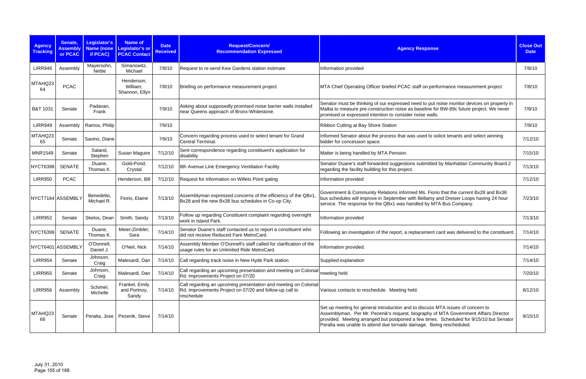| <b>Agency</b><br><b>Tracking</b> | Senate,<br><b>Assembly</b><br>or PCAC | Legislator's<br><b>Name (none)</b><br>if PCAC) | Name of<br>Legislator's or<br><b>PCAC Contact</b> | <b>Date</b><br><b>Received</b> | Request/Concern/<br><b>Recommendation Expressed</b>                                                                                      | <b>Agency Response</b>                                                                                                                                                                                                                                                                                                                    | <b>Close Out</b><br><b>Date</b> |
|----------------------------------|---------------------------------------|------------------------------------------------|---------------------------------------------------|--------------------------------|------------------------------------------------------------------------------------------------------------------------------------------|-------------------------------------------------------------------------------------------------------------------------------------------------------------------------------------------------------------------------------------------------------------------------------------------------------------------------------------------|---------------------------------|
| <b>LIRR946</b>                   | Assembly                              | Mayersohn,<br>Nettie                           | Simanowitz,<br>Michael                            | 7/8/10                         | Request to re-send Kew Gardens station estimate                                                                                          | Information provided                                                                                                                                                                                                                                                                                                                      | 7/8/10                          |
| MTAHQ23<br>64                    | <b>PCAC</b>                           |                                                | Henderson,<br>William;<br>Shannon, Ellyn          | 7/8/10                         | Briefing on performance measurement project                                                                                              | MTA Chief Operating Officer briefed PCAC staff on performance measurement project                                                                                                                                                                                                                                                         | 7/8/10                          |
| B&T 1031                         | Senate                                | Padavan,<br>Frank                              |                                                   | 7/9/10                         | Asking about supposedly promised noise barrier walls installed<br>near Queens approach of Bronx-Whitestone.                              | Senator must be thinking of our expressed need to put noise monitor devices on property in<br>Malba to measure pre-construction noise as baseline for BW-89c future project. We never<br>promised or expressed intention to consider noise walls.                                                                                         | 7/9/10                          |
| <b>LIRR949</b>                   | Assembly                              | Ramos, Philip                                  |                                                   | 7/9/10                         |                                                                                                                                          | Ribbon Cutting at Bay Shore Station                                                                                                                                                                                                                                                                                                       | 7/9/10                          |
| MTAHQ23<br>65                    | Senate                                | Savino, Diane                                  |                                                   | 7/9/10                         | Concern regarding process used to select tenant for Grand<br>Central Terminal.                                                           | Informed Senator about the process that was used to solicit tenants and select winning<br>bidder for concession space.                                                                                                                                                                                                                    | 7/12/10                         |
| <b>MNR1549</b>                   | Senate                                | Saland,<br>Stephen                             | Susan Maguire                                     | 7/12/10                        | Sent correspondence regarding constituent's application for<br>disability                                                                | Matter is being handled by MTA Pension.                                                                                                                                                                                                                                                                                                   | 7/15/10                         |
| <b>NYCT6398</b>                  | <b>SENATE</b>                         | Duane,<br>Thomas K.                            | Gold-Pond,<br>Crystal                             | 7/12/10                        | 8th Avenue Line Emergency Ventilation Facility                                                                                           | Senator Duane's staff forwarded suggestions submitted by Manhattan Community Board 2<br>regarding the facility building for this project.                                                                                                                                                                                                 | 7/13/10                         |
| <b>LIRR950</b>                   | <b>PCAC</b>                           |                                                | Henderson, Bill                                   | 7/12/10                        | Request for information on Willets Point gating                                                                                          | Information provided                                                                                                                                                                                                                                                                                                                      | 7/12/10                         |
|                                  | NYCT7164 ASSEMBLY                     | Benedetto,<br>Michael R.                       | Fiorio, Elaine                                    | 7/13/10                        | Assemblyman expressed concerns of the efficiency of the QBx1<br>Bx28 and the new Bx38 bus schedules in Co-op City.                       | Government & Community Relations informed Ms. Fiorio that the current Bx28 and Bx38<br>bus schedules will improve in September with Bellamy and Dreiser Loops having 24 hour<br>service. The response for the QBx1 was handled by MTA Bus Company.                                                                                        | 7/23/10                         |
| <b>LIRR952</b>                   | Senate                                | Skelos, Dean                                   | Smith, Sandy                                      | 7/13/10                        | Follow up regarding Constituent complaint regarding overnight<br>work in Island Park.                                                    | Information provided                                                                                                                                                                                                                                                                                                                      | 7/13/10                         |
| <b>NYCT6399</b>                  | <b>SENATE</b>                         | Duane,<br>Thomas K.                            | Meier-Zimbler,<br>Sara                            | 7/14/10                        | Senator Duane's staff contacted us to report a constituent who<br>did not receive Reduced Fare MetroCard.                                | Following an investigation of the report, a replacement card was delivered to the constituent.                                                                                                                                                                                                                                            | 7/14/10                         |
|                                  | NYCT6401 ASSEMBLY                     | O'Donnell,<br>Daniel J.                        | O'Neil, Nick                                      | 7/14/10                        | Assembly Member O'Donnell's staff called for clarification of the<br>usage rules for an Unlimited Ride MetroCard.                        | Information provided.                                                                                                                                                                                                                                                                                                                     | 7/14/10                         |
| <b>LIRR954</b>                   | Senate                                | Johnson,<br>Craig                              | Malesardi, Dan                                    | 7/14/10                        | Call regarding track noise in New Hyde Park station                                                                                      | Supplied explanation                                                                                                                                                                                                                                                                                                                      | 7/14/10                         |
| <b>LIRR955</b>                   | Senate                                | Johnson,<br>Craig                              | Malesardi, Dan                                    | 7/14/10                        | Call regarding an upcoming presentation and meeting on Colonial<br>Rd. Improvements Project on 07/20                                     | meeting held                                                                                                                                                                                                                                                                                                                              | 7/20/10                         |
| <b>LIRR956</b>                   | Assembly                              | Schimel,<br>Michelle                           | Frankel, Emily<br>and Portnoy,<br>Sandy           | 7/14/10                        | Call regarding an upcoming presentation and meeting on Colonial<br>Rd. Improvements Project on 07/20 and follow-up call to<br>reschedule | Various contacts to reschedule. Meeting held.                                                                                                                                                                                                                                                                                             | 8/12/10                         |
| MTAHQ23<br>66                    | Senate                                |                                                | Peralta, Jose   Pezenik, Steve                    | 7/14/10                        |                                                                                                                                          | Set up meeting for general introduction and to discuss MTA issues of concern to<br>Assemblyman. Per Mr. Pezenik's request, biography of MTA Government Affairs Director<br>provided. Meeting arranged but postponed a few times. Scheduled for 9/15/10 but Senator<br>Peralta was unable to attend due tornado damage. Being rescheduled. | 9/15/10                         |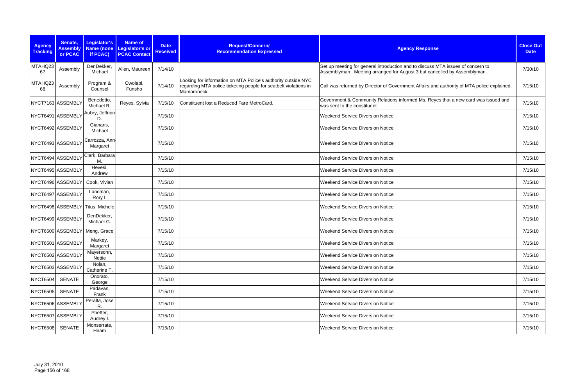| <b>Agency</b><br><b>Tracking</b> | Senate,<br><b>Assembly</b> | Legislator's<br><b>Name (none</b> | <b>Name of</b><br>Legislator's or | <b>Date</b><br><b>Received</b> | Request/Concern/<br><b>Recommendation Expressed</b>                                                                                             | <b>Agency Response</b>                                                                                                                                      | <b>Close Out</b><br><b>Date</b> |
|----------------------------------|----------------------------|-----------------------------------|-----------------------------------|--------------------------------|-------------------------------------------------------------------------------------------------------------------------------------------------|-------------------------------------------------------------------------------------------------------------------------------------------------------------|---------------------------------|
|                                  | or PCAC                    | if PCAC)                          | <b>PCAC Contact</b>               |                                |                                                                                                                                                 |                                                                                                                                                             |                                 |
| MTAHQ23<br>67                    | Assembly                   | DenDekker,<br>Michael             | Allen, Maureen                    | 7/14/10                        |                                                                                                                                                 | Set up meeting for general introduction and to discuss MTA issues of concern to<br>Assemblyman. Meeting arranged for August 3 but cancelled by Assemblyman. | 7/30/10                         |
| MTAHQ23<br>68                    | Assembly                   | Program &<br>Counsel              | Owolabi,<br>Funsho                | 7/14/10                        | Looking for information on MTA Police's authority outside NYC<br>regarding MTA police ticketing people for seatbelt violations in<br>Mamaroneck | Call was returned by Director of Government Affairs and authority of MTA police explained.                                                                  | 7/15/10                         |
|                                  | NYCT7163 ASSEMBLY          | Benedetto,<br>Michael R.          | Reyes, Sylvia                     | 7/15/10                        | Constituent lost a Reduced Fare MetroCard.                                                                                                      | Government & Community Relations informed Ms. Reyes that a new card was issued and<br>was sent to the constituent.                                          | 7/15/10                         |
|                                  | NYCT6491 ASSEMBLY          | Aubry, Jeffrion<br>D              |                                   | 7/15/10                        |                                                                                                                                                 | <b>Weekend Service Diversion Notice</b>                                                                                                                     | 7/15/10                         |
|                                  | NYCT6492 ASSEMBLY          | Gianaris,<br>Michael              |                                   | 7/15/10                        |                                                                                                                                                 | <b>Weekend Service Diversion Notice</b>                                                                                                                     | 7/15/10                         |
|                                  | NYCT6493 ASSEMBLY          | Carrozza, Ann<br>Margaret         |                                   | 7/15/10                        |                                                                                                                                                 | <b>Weekend Service Diversion Notice</b>                                                                                                                     | 7/15/10                         |
|                                  | NYCT6494 ASSEMBLY          | Clark, Barbara<br>М               |                                   | 7/15/10                        |                                                                                                                                                 | <b>Weekend Service Diversion Notice</b>                                                                                                                     | 7/15/10                         |
|                                  | NYCT6495 ASSEMBLY          | Hevesi,<br>Andrew                 |                                   | 7/15/10                        |                                                                                                                                                 | <b>Weekend Service Diversion Notice</b>                                                                                                                     | 7/15/10                         |
|                                  | NYCT6496 ASSEMBLY          | Cook, Vivian                      |                                   | 7/15/10                        |                                                                                                                                                 | <b>Weekend Service Diversion Notice</b>                                                                                                                     | 7/15/10                         |
|                                  | NYCT6497 ASSEMBLY          | Lancman,<br>Rory I.               |                                   | 7/15/10                        |                                                                                                                                                 | <b>Weekend Service Diversion Notice</b>                                                                                                                     | 7/15/10                         |
|                                  | NYCT6498 ASSEMBLY          | Titus, Michele                    |                                   | 7/15/10                        |                                                                                                                                                 | <b>Weekend Service Diversion Notice</b>                                                                                                                     | 7/15/10                         |
|                                  | NYCT6499 ASSEMBLY          | DenDekker,<br>Michael G.          |                                   | 7/15/10                        |                                                                                                                                                 | <b>Weekend Service Diversion Notice</b>                                                                                                                     | 7/15/10                         |
|                                  | NYCT6500 ASSEMBLY          | Meng, Grace                       |                                   | 7/15/10                        |                                                                                                                                                 | <b>Weekend Service Diversion Notice</b>                                                                                                                     | 7/15/10                         |
|                                  | NYCT6501 ASSEMBLY          | Markey,<br>Margaret               |                                   | 7/15/10                        |                                                                                                                                                 | <b>Weekend Service Diversion Notice</b>                                                                                                                     | 7/15/10                         |
|                                  | NYCT6502 ASSEMBLY          | Mayersohn,<br>Nettie              |                                   | 7/15/10                        |                                                                                                                                                 | <b>Weekend Service Diversion Notice</b>                                                                                                                     | 7/15/10                         |
|                                  | NYCT6503 ASSEMBLY          | Nolan,<br>Catherine T.            |                                   | 7/15/10                        |                                                                                                                                                 | <b>Weekend Service Diversion Notice</b>                                                                                                                     | 7/15/10                         |
| <b>NYCT6504</b>                  | <b>SENATE</b>              | Onorato,<br>George                |                                   | 7/15/10                        |                                                                                                                                                 | <b>Weekend Service Diversion Notice</b>                                                                                                                     | 7/15/10                         |
| <b>NYCT6505</b>                  | <b>SENATE</b>              | Padavan,<br>Frank                 |                                   | 7/15/10                        |                                                                                                                                                 | <b>Weekend Service Diversion Notice</b>                                                                                                                     | 7/15/10                         |
|                                  | NYCT6506 ASSEMBLY          | Peralta, Jose<br>R.               |                                   | 7/15/10                        |                                                                                                                                                 | <b>Weekend Service Diversion Notice</b>                                                                                                                     | 7/15/10                         |
|                                  | NYCT6507 ASSEMBLY          | Pheffer,<br>Audrey I.             |                                   | 7/15/10                        |                                                                                                                                                 | <b>Weekend Service Diversion Notice</b>                                                                                                                     | 7/15/10                         |
| <b>NYCT6508</b>                  | SENATE                     | Monserrate,<br>Hiram              |                                   | 7/15/10                        |                                                                                                                                                 | <b>Weekend Service Diversion Notice</b>                                                                                                                     | 7/15/10                         |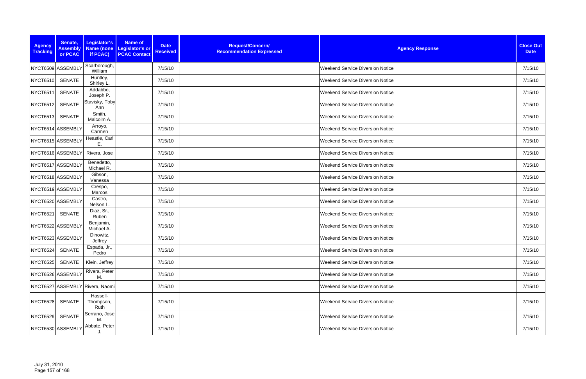| <b>Agency</b><br><b>Tracking</b> | Senate,<br><b>Assembly</b><br>or PCAC | Legislator's<br>Name (none<br>if PCAC) | <b>Name of</b><br><b>Date</b><br><b>Legislator's or</b><br><b>Received</b><br><b>PCAC Contact</b> | Request/Concern/<br><b>Recommendation Expressed</b> | <b>Agency Response</b>                  | <b>Close Out</b><br><b>Date</b> |
|----------------------------------|---------------------------------------|----------------------------------------|---------------------------------------------------------------------------------------------------|-----------------------------------------------------|-----------------------------------------|---------------------------------|
|                                  | NYCT6509 ASSEMBLY                     | Scarborough,<br>William                | 7/15/10                                                                                           |                                                     | <b>Weekend Service Diversion Notice</b> | 7/15/10                         |
| <b>NYCT6510</b>                  | <b>SENATE</b>                         | Huntley,<br>Shirley L.                 | 7/15/10                                                                                           |                                                     | <b>Weekend Service Diversion Notice</b> | 7/15/10                         |
| <b>NYCT6511</b>                  | <b>SENATE</b>                         | Addabbo,<br>Joseph P.                  | 7/15/10                                                                                           |                                                     | <b>Weekend Service Diversion Notice</b> | 7/15/10                         |
| NYCT6512                         | <b>SENATE</b>                         | Stavisky, Toby<br>Ann                  | 7/15/10                                                                                           |                                                     | <b>Weekend Service Diversion Notice</b> | 7/15/10                         |
| NYCT6513                         | SENATE                                | Smith,<br>Malcolm A.                   | 7/15/10                                                                                           |                                                     | <b>Weekend Service Diversion Notice</b> | 7/15/10                         |
|                                  | NYCT6514 ASSEMBLY                     | Arroyo,<br>Carmen                      | 7/15/10                                                                                           |                                                     | <b>Weekend Service Diversion Notice</b> | 7/15/10                         |
|                                  | NYCT6515 ASSEMBLY                     | Heastie, Carl<br>Ε.                    | 7/15/10                                                                                           |                                                     | <b>Weekend Service Diversion Notice</b> | 7/15/10                         |
|                                  | NYCT6516 ASSEMBLY                     | Rivera, Jose                           | 7/15/10                                                                                           |                                                     | <b>Weekend Service Diversion Notice</b> | 7/15/10                         |
|                                  | NYCT6517 ASSEMBLY                     | Benedetto,<br>Michael R.               | 7/15/10                                                                                           |                                                     | <b>Weekend Service Diversion Notice</b> | 7/15/10                         |
|                                  | NYCT6518 ASSEMBLY                     | Gibson,<br>Vanessa                     | 7/15/10                                                                                           |                                                     | <b>Weekend Service Diversion Notice</b> | 7/15/10                         |
|                                  | NYCT6519 ASSEMBLY                     | Crespo,<br>Marcos                      | 7/15/10                                                                                           |                                                     | <b>Weekend Service Diversion Notice</b> | 7/15/10                         |
|                                  | NYCT6520 ASSEMBLY                     | Castro,<br>Nelson L.                   | 7/15/10                                                                                           |                                                     | <b>Weekend Service Diversion Notice</b> | 7/15/10                         |
| NYCT6521                         | <b>SENATE</b>                         | Diaz, Sr.,<br>Ruben                    | 7/15/10                                                                                           |                                                     | <b>Weekend Service Diversion Notice</b> | 7/15/10                         |
|                                  | NYCT6522 ASSEMBLY                     | Benjamin,<br>Michael A.                | 7/15/10                                                                                           |                                                     | Weekend Service Diversion Notice        | 7/15/10                         |
|                                  | NYCT6523 ASSEMBLY                     | Dinowitz,<br>Jeffrey                   | 7/15/10                                                                                           |                                                     | <b>Weekend Service Diversion Notice</b> | 7/15/10                         |
| NYCT6524                         | <b>SENATE</b>                         | Espada, Jr.,<br>Pedro                  | 7/15/10                                                                                           |                                                     | <b>Weekend Service Diversion Notice</b> | 7/15/10                         |
| <b>NYCT6525</b>                  | SENATE                                | Klein, Jeffrey                         | 7/15/10                                                                                           |                                                     | <b>Weekend Service Diversion Notice</b> | 7/15/10                         |
|                                  | NYCT6526 ASSEMBLY                     | Rivera, Peter<br>M.                    | 7/15/10                                                                                           |                                                     | <b>Weekend Service Diversion Notice</b> | 7/15/10                         |
|                                  |                                       | NYCT6527 ASSEMBLY Rivera, Naomi        | 7/15/10                                                                                           |                                                     | <b>Weekend Service Diversion Notice</b> | 7/15/10                         |
| <b>NYCT6528</b>                  | SENATE                                | Hassell-<br>Thompson,<br>Ruth          | 7/15/10                                                                                           |                                                     | <b>Weekend Service Diversion Notice</b> | 7/15/10                         |
| NYCT6529                         | <b>SENATE</b>                         | Serrano, Jose<br>М.                    | 7/15/10                                                                                           |                                                     | <b>Weekend Service Diversion Notice</b> | 7/15/10                         |
|                                  | NYCT6530 ASSEMBLY                     | Abbate, Peter<br>J.                    | 7/15/10                                                                                           |                                                     | <b>Weekend Service Diversion Notice</b> | 7/15/10                         |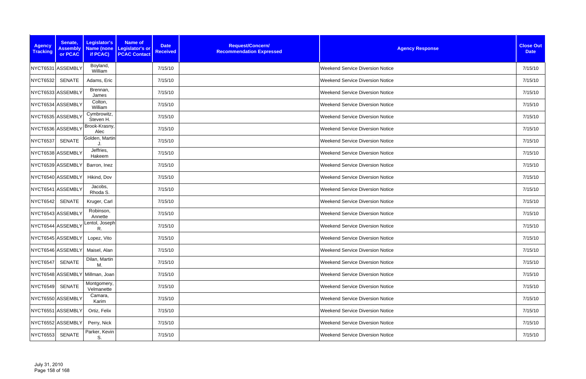| <b>Agency</b><br><b>Tracking</b> | Senate,<br><b>Assembly</b> | Legislator's                    | <b>Name of</b><br>Name (none   Legislator's or | <b>Date</b><br><b>Received</b> | Request/Concern/<br><b>Recommendation Expressed</b> | <b>Agency Response</b>                  | <b>Close Out</b><br><b>Date</b> |
|----------------------------------|----------------------------|---------------------------------|------------------------------------------------|--------------------------------|-----------------------------------------------------|-----------------------------------------|---------------------------------|
|                                  | or PCAC                    | if PCAC)                        | <b>PCAC Contact</b>                            |                                |                                                     |                                         |                                 |
|                                  | NYCT6531 ASSEMBLY          | Boyland,<br>William             |                                                | 7/15/10                        |                                                     | <b>Weekend Service Diversion Notice</b> | 7/15/10                         |
| <b>NYCT6532</b>                  | SENATE                     | Adams, Eric                     |                                                | 7/15/10                        |                                                     | <b>Weekend Service Diversion Notice</b> | 7/15/10                         |
|                                  | NYCT6533 ASSEMBLY          | Brennan,<br>James               |                                                | 7/15/10                        |                                                     | <b>Weekend Service Diversion Notice</b> | 7/15/10                         |
|                                  | NYCT6534 ASSEMBLY          | Colton,<br>William              |                                                | 7/15/10                        |                                                     | <b>Weekend Service Diversion Notice</b> | 7/15/10                         |
|                                  | NYCT6535 ASSEMBLY          | Cymbrowitz,<br>Steven H.        |                                                | 7/15/10                        |                                                     | <b>Weekend Service Diversion Notice</b> | 7/15/10                         |
|                                  | NYCT6536 ASSEMBLY          | Brook-Krasny,<br>Alec           |                                                | 7/15/10                        |                                                     | <b>Weekend Service Diversion Notice</b> | 7/15/10                         |
| <b>NYCT6537</b>                  | <b>SENATE</b>              | Golden, Martin                  |                                                | 7/15/10                        |                                                     | <b>Weekend Service Diversion Notice</b> | 7/15/10                         |
|                                  | NYCT6538 ASSEMBLY          | Jeffries,<br>Hakeem             |                                                | 7/15/10                        |                                                     | <b>Weekend Service Diversion Notice</b> | 7/15/10                         |
|                                  | NYCT6539 ASSEMBLY          | Barron, Inez                    |                                                | 7/15/10                        |                                                     | <b>Weekend Service Diversion Notice</b> | 7/15/10                         |
|                                  | NYCT6540 ASSEMBLY          | Hikind, Dov                     |                                                | 7/15/10                        |                                                     | <b>Weekend Service Diversion Notice</b> | 7/15/10                         |
|                                  | NYCT6541 ASSEMBLY          | Jacobs,<br>Rhoda S.             |                                                | 7/15/10                        |                                                     | <b>Weekend Service Diversion Notice</b> | 7/15/10                         |
| <b>NYCT6542</b>                  | <b>SENATE</b>              | Kruger, Carl                    |                                                | 7/15/10                        |                                                     | <b>Weekend Service Diversion Notice</b> | 7/15/10                         |
|                                  | NYCT6543 ASSEMBLY          | Robinson,<br>Annette            |                                                | 7/15/10                        |                                                     | <b>Weekend Service Diversion Notice</b> | 7/15/10                         |
|                                  | NYCT6544 ASSEMBLY          | Lentol, Joseph<br>R.            |                                                | 7/15/10                        |                                                     | <b>Weekend Service Diversion Notice</b> | 7/15/10                         |
|                                  | NYCT6545 ASSEMBLY          | Lopez, Vito                     |                                                | 7/15/10                        |                                                     | <b>Weekend Service Diversion Notice</b> | 7/15/10                         |
|                                  | NYCT6546 ASSEMBLY          | Maisel, Alan                    |                                                | 7/15/10                        |                                                     | <b>Weekend Service Diversion Notice</b> | 7/15/10                         |
| <b>NYCT6547</b>                  | <b>SENATE</b>              | Dilan, Martin<br>М.             |                                                | 7/15/10                        |                                                     | <b>Weekend Service Diversion Notice</b> | 7/15/10                         |
|                                  |                            | NYCT6548 ASSEMBLY Millman, Joan |                                                | 7/15/10                        |                                                     | <b>Weekend Service Diversion Notice</b> | 7/15/10                         |
| <b>NYCT6549</b>                  | SENATE                     | Montgomery,<br>Velmanette       |                                                | 7/15/10                        |                                                     | <b>Weekend Service Diversion Notice</b> | 7/15/10                         |
|                                  | NYCT6550 ASSEMBLY          | Camara,<br>Karim                |                                                | 7/15/10                        |                                                     | <b>Weekend Service Diversion Notice</b> | 7/15/10                         |
|                                  | NYCT6551 ASSEMBLY          | Ortiz, Felix                    |                                                | 7/15/10                        |                                                     | <b>Weekend Service Diversion Notice</b> | 7/15/10                         |
|                                  | NYCT6552 ASSEMBLY          | Perry, Nick                     |                                                | 7/15/10                        |                                                     | <b>Weekend Service Diversion Notice</b> | 7/15/10                         |
| <b>NYCT6553</b>                  | <b>SENATE</b>              | Parker, Kevin<br>S.             |                                                | 7/15/10                        |                                                     | <b>Weekend Service Diversion Notice</b> | 7/15/10                         |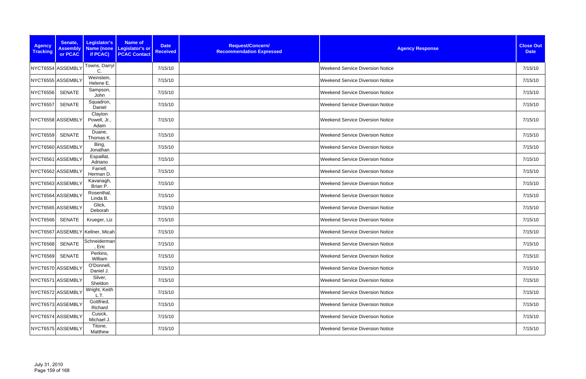| <b>Agency</b><br><b>Tracking</b> | Senate,<br><b>Assembly</b><br>or PCAC | Legislator's<br>if PCAC)         | <b>Name of</b><br>Name (none Legislator's or<br><b>PCAC Contact</b> | <b>Date</b><br><b>Received</b> | Request/Concern/<br><b>Recommendation Expressed</b> | <b>Agency Response</b>                  | <b>Close Out</b><br><b>Date</b> |
|----------------------------------|---------------------------------------|----------------------------------|---------------------------------------------------------------------|--------------------------------|-----------------------------------------------------|-----------------------------------------|---------------------------------|
|                                  | NYCT6554 ASSEMBLY                     | Towns, Darryl<br>C.              |                                                                     | 7/15/10                        |                                                     | <b>Weekend Service Diversion Notice</b> | 7/15/10                         |
|                                  | NYCT6555 ASSEMBLY                     | Weinstein,<br>Helene E.          |                                                                     | 7/15/10                        |                                                     | <b>Weekend Service Diversion Notice</b> | 7/15/10                         |
| <b>NYCT6556</b>                  | <b>SENATE</b>                         | Sampson,<br>John                 |                                                                     | 7/15/10                        |                                                     | <b>Weekend Service Diversion Notice</b> | 7/15/10                         |
| <b>NYCT6557</b>                  | <b>SENATE</b>                         | Squadron,<br>Daniel              |                                                                     | 7/15/10                        |                                                     | <b>Weekend Service Diversion Notice</b> | 7/15/10                         |
|                                  | NYCT6558 ASSEMBLY                     | Clayton<br>Powell, Jr.,<br>Adam  |                                                                     | 7/15/10                        |                                                     | <b>Weekend Service Diversion Notice</b> | 7/15/10                         |
| <b>NYCT6559</b>                  | <b>SENATE</b>                         | Duane,<br>Thomas K.              |                                                                     | 7/15/10                        |                                                     | <b>Weekend Service Diversion Notice</b> | 7/15/10                         |
|                                  | NYCT6560 ASSEMBLY                     | Bing,<br>Jonathan                |                                                                     | 7/15/10                        |                                                     | <b>Weekend Service Diversion Notice</b> | 7/15/10                         |
|                                  | NYCT6561 ASSEMBLY                     | Espaillat,<br>Adriano            |                                                                     | 7/15/10                        |                                                     | <b>Weekend Service Diversion Notice</b> | 7/15/10                         |
|                                  | NYCT6562 ASSEMBLY                     | Farrell,<br>Herman D.            |                                                                     | 7/15/10                        |                                                     | <b>Weekend Service Diversion Notice</b> | 7/15/10                         |
|                                  | NYCT6563 ASSEMBLY                     | Kavanagh,<br>Brian P.            |                                                                     | 7/15/10                        |                                                     | <b>Weekend Service Diversion Notice</b> | 7/15/10                         |
|                                  | NYCT6564 ASSEMBLY                     | Rosenthal,<br>Linda B.           |                                                                     | 7/15/10                        |                                                     | <b>Weekend Service Diversion Notice</b> | 7/15/10                         |
|                                  | NYCT6565 ASSEMBLY                     | Glick,<br>Deborah                |                                                                     | 7/15/10                        |                                                     | <b>Weekend Service Diversion Notice</b> | 7/15/10                         |
| <b>NYCT6566</b>                  | <b>SENATE</b>                         | Krueger, Liz                     |                                                                     | 7/15/10                        |                                                     | <b>Weekend Service Diversion Notice</b> | 7/15/10                         |
|                                  |                                       | NYCT6567 ASSEMBLY Kellner, Micah |                                                                     | 7/15/10                        |                                                     | <b>Weekend Service Diversion Notice</b> | 7/15/10                         |
| NYCT6568 SENATE                  |                                       | Schneiderman<br>, Eric           |                                                                     | 7/15/10                        |                                                     | <b>Weekend Service Diversion Notice</b> | 7/15/10                         |
| <b>NYCT6569</b>                  | <b>SENATE</b>                         | Perkins,<br>William              |                                                                     | 7/15/10                        |                                                     | <b>Weekend Service Diversion Notice</b> | 7/15/10                         |
|                                  | NYCT6570 ASSEMBLY                     | O'Donnell,<br>Daniel J.          |                                                                     | 7/15/10                        |                                                     | Weekend Service Diversion Notice        | 7/15/10                         |
|                                  | NYCT6571 ASSEMBLY                     | Silver,<br>Sheldon               |                                                                     | 7/15/10                        |                                                     | <b>Weekend Service Diversion Notice</b> | 7/15/10                         |
|                                  | NYCT6572 ASSEMBLY                     | Wright, Keith<br>L.T.            |                                                                     | 7/15/10                        |                                                     | <b>Weekend Service Diversion Notice</b> | 7/15/10                         |
|                                  | NYCT6573 ASSEMBLY                     | Gottfried,<br>Richard            |                                                                     | 7/15/10                        |                                                     | <b>Weekend Service Diversion Notice</b> | 7/15/10                         |
|                                  | NYCT6574 ASSEMBLY                     | Cusick,<br>Michael J.            |                                                                     | 7/15/10                        |                                                     | <b>Weekend Service Diversion Notice</b> | 7/15/10                         |
|                                  | NYCT6575 ASSEMBLY                     | Titone,<br>Matthew               |                                                                     | 7/15/10                        |                                                     | <b>Weekend Service Diversion Notice</b> | 7/15/10                         |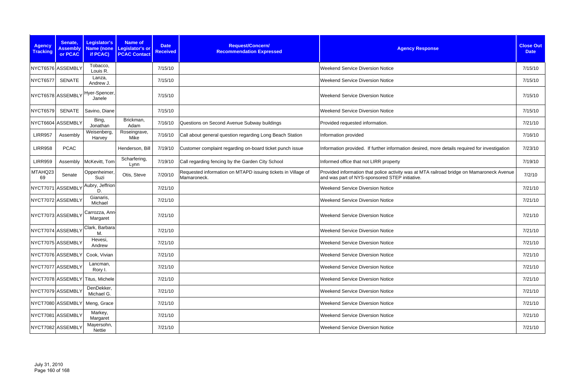| <b>Agency</b><br><b>Tracking</b> | Senate,<br><b>Assembly</b><br>or PCAC | Legislator's<br>if PCAC)         | <b>Name of</b><br>Name (none Legislator's or<br><b>PCAC Contact</b> | <b>Date</b><br><b>Received</b> | Request/Concern/<br><b>Recommendation Expressed</b>                         | <b>Agency Response</b>                                                                                                                      | <b>Close Out</b><br><b>Date</b> |
|----------------------------------|---------------------------------------|----------------------------------|---------------------------------------------------------------------|--------------------------------|-----------------------------------------------------------------------------|---------------------------------------------------------------------------------------------------------------------------------------------|---------------------------------|
|                                  | NYCT6576 ASSEMBLY                     | Tobacco,<br>Louis R.             |                                                                     | 7/15/10                        |                                                                             | <b>Weekend Service Diversion Notice</b>                                                                                                     | 7/15/10                         |
| <b>NYCT6577</b>                  | <b>SENATE</b>                         | Lanza,<br>Andrew J.              |                                                                     | 7/15/10                        |                                                                             | <b>Weekend Service Diversion Notice</b>                                                                                                     | 7/15/10                         |
|                                  | NYCT6578 ASSEMBLY                     | Hyer-Spencer,<br>Janele          |                                                                     | 7/15/10                        |                                                                             | <b>Weekend Service Diversion Notice</b>                                                                                                     | 7/15/10                         |
| <b>NYCT6579</b>                  | <b>SENATE</b>                         | Savino, Diane                    |                                                                     | 7/15/10                        |                                                                             | <b>Weekend Service Diversion Notice</b>                                                                                                     | 7/15/10                         |
|                                  | NYCT6604 ASSEMBLY                     | Bing,<br>Jonathan                | Brickman,<br>Adam                                                   | 7/16/10                        | Questions on Second Avenue Subway buildings                                 | Provided requested information.                                                                                                             | 7/21/10                         |
| <b>LIRR957</b>                   | Assembly                              | Weisenberg,<br>Harvey            | Roseingrave,<br>Mike                                                | 7/16/10                        | Call about general question regarding Long Beach Station                    | Information provided                                                                                                                        | 7/16/10                         |
| <b>LIRR958</b>                   | <b>PCAC</b>                           |                                  | Henderson, Bill                                                     | 7/19/10                        | Customer complaint regarding on-board ticket punch issue                    | Information provided. If further information desired, more details required for investigation                                               | 7/23/10                         |
| <b>LIRR959</b>                   | Assembly                              | McKevitt, Tom                    | Scharfering,<br>Lynn                                                | 7/19/10                        | Call regarding fencing by the Garden City School                            | Informed office that not LIRR property                                                                                                      | 7/19/10                         |
| MTAHQ23<br>69                    | Senate                                | Oppenheimer,<br>Suzi             | Otis, Steve                                                         | 7/20/10                        | Requested information on MTAPD issuing tickets in Village of<br>Mamaroneck. | Provided information that police activity was at MTA railroad bridge on Mamaroneck Avenue<br>and was part of NYS-sponsored STEP initiative. | 7/2/10                          |
|                                  | NYCT7071 ASSEMBLY                     | Aubry, Jeffrion<br>D.            |                                                                     | 7/21/10                        |                                                                             | <b>Weekend Service Diversion Notice</b>                                                                                                     | 7/21/10                         |
|                                  | NYCT7072 ASSEMBLY                     | Gianaris,<br>Michael             |                                                                     | 7/21/10                        |                                                                             | <b>Weekend Service Diversion Notice</b>                                                                                                     | 7/21/10                         |
|                                  | NYCT7073 ASSEMBLY                     | Carrozza, Ann-<br>Margaret       |                                                                     | 7/21/10                        |                                                                             | <b>Weekend Service Diversion Notice</b>                                                                                                     | 7/21/10                         |
|                                  | NYCT7074 ASSEMBLY                     | Clark, Barbara<br>М.             |                                                                     | 7/21/10                        |                                                                             | <b>Weekend Service Diversion Notice</b>                                                                                                     | 7/21/10                         |
|                                  | NYCT7075 ASSEMBLY                     | Hevesi,<br>Andrew                |                                                                     | 7/21/10                        |                                                                             | <b>Weekend Service Diversion Notice</b>                                                                                                     | 7/21/10                         |
|                                  | NYCT7076 ASSEMBLY                     | Cook, Vivian                     |                                                                     | 7/21/10                        |                                                                             | <b>Weekend Service Diversion Notice</b>                                                                                                     | 7/21/10                         |
|                                  | NYCT7077 ASSEMBLY                     | Lancman,<br>Rory I.              |                                                                     | 7/21/10                        |                                                                             | <b>Weekend Service Diversion Notice</b>                                                                                                     | 7/21/10                         |
|                                  |                                       | NYCT7078 ASSEMBLY Titus, Michele |                                                                     | 7/21/10                        |                                                                             | <b>Weekend Service Diversion Notice</b>                                                                                                     | 7/21/10                         |
|                                  | NYCT7079 ASSEMBLY                     | DenDekker,<br>Michael G.         |                                                                     | 7/21/10                        |                                                                             | <b>Weekend Service Diversion Notice</b>                                                                                                     | 7/21/10                         |
|                                  | NYCT7080 ASSEMBLY                     | Meng, Grace                      |                                                                     | 7/21/10                        |                                                                             | <b>Weekend Service Diversion Notice</b>                                                                                                     | 7/21/10                         |
|                                  | NYCT7081 ASSEMBLY                     | Markey,<br>Margaret              |                                                                     | 7/21/10                        |                                                                             | <b>Weekend Service Diversion Notice</b>                                                                                                     | 7/21/10                         |
|                                  | NYCT7082 ASSEMBLY                     | Mayersohn,<br>Nettie             |                                                                     | 7/21/10                        |                                                                             | <b>Weekend Service Diversion Notice</b>                                                                                                     | 7/21/10                         |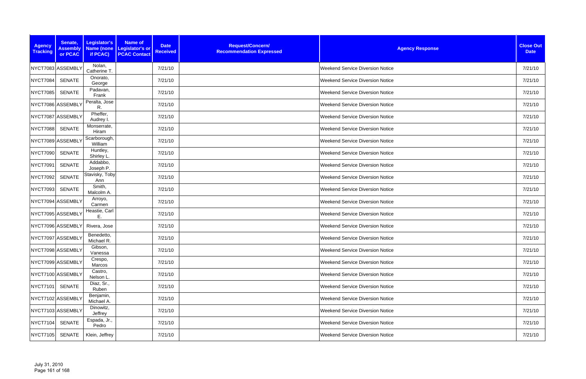| <b>Agency</b><br><b>Tracking</b> | Senate,<br><b>Assembly</b><br>or PCAC | Legislator's<br>Name (none<br>if PCAC) | <b>Name of</b><br><b>Date</b><br><b>Legislator's or</b><br><b>Received</b><br><b>PCAC Contact</b> | Request/Concern/<br><b>Recommendation Expressed</b> | <b>Agency Response</b>                  | <b>Close Out</b><br><b>Date</b> |
|----------------------------------|---------------------------------------|----------------------------------------|---------------------------------------------------------------------------------------------------|-----------------------------------------------------|-----------------------------------------|---------------------------------|
|                                  | NYCT7083 ASSEMBLY                     | Nolan,<br>Catherine T.                 | 7/21/10                                                                                           |                                                     | <b>Weekend Service Diversion Notice</b> | 7/21/10                         |
| <b>NYCT7084</b>                  | <b>SENATE</b>                         | Onorato,<br>George                     | 7/21/10                                                                                           |                                                     | <b>Weekend Service Diversion Notice</b> | 7/21/10                         |
| <b>NYCT7085</b>                  | <b>SENATE</b>                         | Padavan,<br>Frank                      | 7/21/10                                                                                           |                                                     | <b>Weekend Service Diversion Notice</b> | 7/21/10                         |
|                                  | NYCT7086 ASSEMBLY                     | Peralta, Jose<br>R.                    | 7/21/10                                                                                           |                                                     | <b>Weekend Service Diversion Notice</b> | 7/21/10                         |
|                                  | NYCT7087 ASSEMBLY                     | Pheffer,<br>Audrey I.                  | 7/21/10                                                                                           |                                                     | <b>Weekend Service Diversion Notice</b> | 7/21/10                         |
| <b>NYCT7088</b>                  | SENATE                                | Monserrate,<br>Hiram                   | 7/21/10                                                                                           |                                                     | <b>Weekend Service Diversion Notice</b> | 7/21/10                         |
|                                  | NYCT7089 ASSEMBLY                     | Scarborough,<br>William                | 7/21/10                                                                                           |                                                     | <b>Weekend Service Diversion Notice</b> | 7/21/10                         |
| NYCT7090                         | <b>SENATE</b>                         | Huntley,<br>Shirley L.                 | 7/21/10                                                                                           |                                                     | <b>Weekend Service Diversion Notice</b> | 7/21/10                         |
| NYCT7091                         | <b>SENATE</b>                         | Addabbo,<br>Joseph P.                  | 7/21/10                                                                                           |                                                     | <b>Weekend Service Diversion Notice</b> | 7/21/10                         |
| <b>NYCT7092</b>                  | <b>SENATE</b>                         | Stavisky, Toby<br>Ann                  | 7/21/10                                                                                           |                                                     | <b>Weekend Service Diversion Notice</b> | 7/21/10                         |
| <b>NYCT7093</b>                  | SENATE                                | Smith,<br>Malcolm A.                   | 7/21/10                                                                                           |                                                     | <b>Weekend Service Diversion Notice</b> | 7/21/10                         |
|                                  | NYCT7094 ASSEMBLY                     | Arroyo,<br>Carmen                      | 7/21/10                                                                                           |                                                     | <b>Weekend Service Diversion Notice</b> | 7/21/10                         |
|                                  | NYCT7095 ASSEMBLY                     | Heastie, Carl<br>Е.                    | 7/21/10                                                                                           |                                                     | <b>Weekend Service Diversion Notice</b> | 7/21/10                         |
|                                  | NYCT7096 ASSEMBLY                     | Rivera, Jose                           | 7/21/10                                                                                           |                                                     | Weekend Service Diversion Notice        | 7/21/10                         |
|                                  | NYCT7097 ASSEMBLY                     | Benedetto,<br>Michael R.               | 7/21/10                                                                                           |                                                     | <b>Weekend Service Diversion Notice</b> | 7/21/10                         |
|                                  | NYCT7098 ASSEMBLY                     | Gibson,<br>Vanessa                     | 7/21/10                                                                                           |                                                     | <b>Weekend Service Diversion Notice</b> | 7/21/10                         |
|                                  | NYCT7099 ASSEMBLY                     | Crespo,<br>Marcos                      | 7/21/10                                                                                           |                                                     | <b>Weekend Service Diversion Notice</b> | 7/21/10                         |
|                                  | NYCT7100 ASSEMBLY                     | Castro,<br>Nelson L.                   | 7/21/10                                                                                           |                                                     | <b>Weekend Service Diversion Notice</b> | 7/21/10                         |
| <b>NYCT7101</b>                  | SENATE                                | Diaz, Sr.,<br>Ruben                    | 7/21/10                                                                                           |                                                     | <b>Weekend Service Diversion Notice</b> | 7/21/10                         |
|                                  | NYCT7102 ASSEMBLY                     | Benjamin,<br>Michael A.                | 7/21/10                                                                                           |                                                     | <b>Weekend Service Diversion Notice</b> | 7/21/10                         |
|                                  | NYCT7103 ASSEMBLY                     | Dinowitz,<br>Jeffrey                   | 7/21/10                                                                                           |                                                     | <b>Weekend Service Diversion Notice</b> | 7/21/10                         |
| NYCT7104                         | SENATE                                | Espada, Jr.,<br>Pedro                  | 7/21/10                                                                                           |                                                     | <b>Weekend Service Diversion Notice</b> | 7/21/10                         |
| NYCT7105                         | SENATE                                | Klein, Jeffrey                         | 7/21/10                                                                                           |                                                     | Weekend Service Diversion Notice        | 7/21/10                         |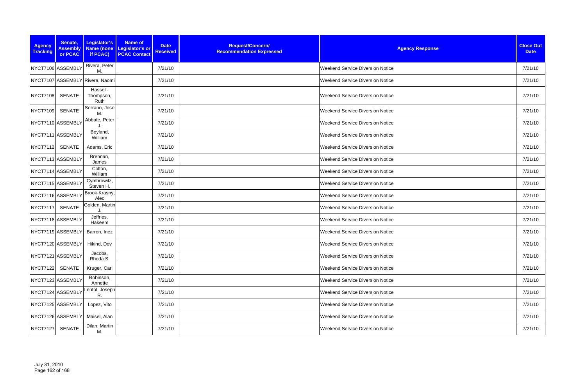| <b>Agency</b><br><b>Tracking</b> | Senate,<br><b>Assembly</b><br>or PCAC | Legislator's<br>if PCAC)        | <b>Name of</b><br><b>Date</b><br>Name (none Legislator's or<br><b>Received</b><br><b>PCAC Contact</b> | Request/Concern/<br><b>Recommendation Expressed</b> | <b>Agency Response</b>                  | <b>Close Out</b><br><b>Date</b> |
|----------------------------------|---------------------------------------|---------------------------------|-------------------------------------------------------------------------------------------------------|-----------------------------------------------------|-----------------------------------------|---------------------------------|
|                                  | NYCT7106 ASSEMBLY                     | Rivera, Peter<br>M.             | 7/21/10                                                                                               |                                                     | Weekend Service Diversion Notice        | 7/21/10                         |
|                                  |                                       | NYCT7107 ASSEMBLY Rivera, Naomi | 7/21/10                                                                                               |                                                     | <b>Weekend Service Diversion Notice</b> | 7/21/10                         |
| <b>NYCT7108</b>                  | <b>SENATE</b>                         | Hassell-<br>Thompson,<br>Ruth   | 7/21/10                                                                                               |                                                     | <b>Weekend Service Diversion Notice</b> | 7/21/10                         |
| <b>NYCT7109</b>                  | <b>SENATE</b>                         | Serrano, Jose<br>М.             | 7/21/10                                                                                               |                                                     | <b>Weekend Service Diversion Notice</b> | 7/21/10                         |
|                                  | NYCT7110 ASSEMBLY                     | Abbate, Peter                   | 7/21/10                                                                                               |                                                     | <b>Weekend Service Diversion Notice</b> | 7/21/10                         |
|                                  | NYCT7111 ASSEMBLY                     | Boyland,<br>William             | 7/21/10                                                                                               |                                                     | <b>Weekend Service Diversion Notice</b> | 7/21/10                         |
| NYCT7112                         | SENATE                                | Adams, Eric                     | 7/21/10                                                                                               |                                                     | <b>Weekend Service Diversion Notice</b> | 7/21/10                         |
|                                  | NYCT7113 ASSEMBLY                     | Brennan,<br>James               | 7/21/10                                                                                               |                                                     | <b>Weekend Service Diversion Notice</b> | 7/21/10                         |
|                                  | NYCT7114 ASSEMBLY                     | Colton,<br>William              | 7/21/10                                                                                               |                                                     | <b>Weekend Service Diversion Notice</b> | 7/21/10                         |
|                                  | NYCT7115 ASSEMBLY                     | Cymbrowitz,<br>Steven H.        | 7/21/10                                                                                               |                                                     | <b>Weekend Service Diversion Notice</b> | 7/21/10                         |
|                                  | NYCT7116 ASSEMBLY                     | Brook-Krasny,<br>Alec           | 7/21/10                                                                                               |                                                     | <b>Weekend Service Diversion Notice</b> | 7/21/10                         |
| <b>NYCT7117</b>                  | <b>SENATE</b>                         | Golden, Martin<br>J.            | 7/21/10                                                                                               |                                                     | <b>Weekend Service Diversion Notice</b> | 7/21/10                         |
|                                  | NYCT7118 ASSEMBLY                     | Jeffries,<br>Hakeem             | 7/21/10                                                                                               |                                                     | Weekend Service Diversion Notice        | 7/21/10                         |
|                                  | NYCT7119 ASSEMBLY                     | Barron, Inez                    | 7/21/10                                                                                               |                                                     | Weekend Service Diversion Notice        | 7/21/10                         |
|                                  |                                       | NYCT7120 ASSEMBLY Hikind, Dov   | 7/21/10                                                                                               |                                                     | <b>Weekend Service Diversion Notice</b> | 7/21/10                         |
|                                  | NYCT7121 ASSEMBLY                     | Jacobs,<br>Rhoda S.             | 7/21/10                                                                                               |                                                     | <b>Weekend Service Diversion Notice</b> | 7/21/10                         |
| <b>NYCT7122</b>                  | <b>SENATE</b>                         | Kruger, Carl                    | 7/21/10                                                                                               |                                                     | Weekend Service Diversion Notice        | 7/21/10                         |
|                                  | NYCT7123 ASSEMBLY                     | Robinson,<br>Annette            | 7/21/10                                                                                               |                                                     | <b>Weekend Service Diversion Notice</b> | 7/21/10                         |
|                                  | NYCT7124 ASSEMBLY                     | entol, Joseph<br>R.             | 7/21/10                                                                                               |                                                     | <b>Weekend Service Diversion Notice</b> | 7/21/10                         |
|                                  | NYCT7125 ASSEMBLY                     | Lopez, Vito                     | 7/21/10                                                                                               |                                                     | <b>Weekend Service Diversion Notice</b> | 7/21/10                         |
|                                  | NYCT7126 ASSEMBLY                     | Maisel, Alan                    | 7/21/10                                                                                               |                                                     | <b>Weekend Service Diversion Notice</b> | 7/21/10                         |
| NYCT7127                         | <b>SENATE</b>                         | Dilan, Martin<br>M.             | 7/21/10                                                                                               |                                                     | <b>Weekend Service Diversion Notice</b> | 7/21/10                         |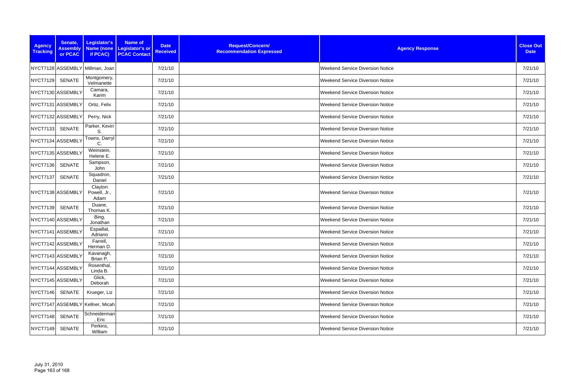| <b>Agency</b><br><b>Tracking</b> | Senate,<br><b>Assembly</b><br>or PCAC | Legislator's<br>if PCAC)         | <b>Name of</b><br>Name (none Legislator's or<br><b>PCAC Contact</b> | <b>Date</b><br><b>Received</b> | Request/Concern/<br><b>Recommendation Expressed</b> | <b>Agency Response</b>                  | <b>Close Out</b><br><b>Date</b> |
|----------------------------------|---------------------------------------|----------------------------------|---------------------------------------------------------------------|--------------------------------|-----------------------------------------------------|-----------------------------------------|---------------------------------|
|                                  |                                       | NYCT7128 ASSEMBLY Millman, Joan  |                                                                     | 7/21/10                        |                                                     | <b>Weekend Service Diversion Notice</b> | 7/21/10                         |
| <b>NYCT7129</b>                  | <b>SENATE</b>                         | Montgomery,<br>Velmanette        |                                                                     | 7/21/10                        |                                                     | <b>Weekend Service Diversion Notice</b> | 7/21/10                         |
|                                  | NYCT7130 ASSEMBLY                     | Camara,<br>Karim                 |                                                                     | 7/21/10                        |                                                     | <b>Weekend Service Diversion Notice</b> | 7/21/10                         |
|                                  | NYCT7131 ASSEMBLY                     | Ortiz, Felix                     |                                                                     | 7/21/10                        |                                                     | <b>Weekend Service Diversion Notice</b> | 7/21/10                         |
|                                  | NYCT7132 ASSEMBLY                     | Perry, Nick                      |                                                                     | 7/21/10                        |                                                     | <b>Weekend Service Diversion Notice</b> | 7/21/10                         |
| <b>NYCT7133</b>                  | <b>SENATE</b>                         | Parker, Kevin<br>S               |                                                                     | 7/21/10                        |                                                     | <b>Weekend Service Diversion Notice</b> | 7/21/10                         |
|                                  | NYCT7134 ASSEMBLY                     | Towns, Darryl<br>С               |                                                                     | 7/21/10                        |                                                     | <b>Weekend Service Diversion Notice</b> | 7/21/10                         |
|                                  | NYCT7135 ASSEMBLY                     | Weinstein,<br>Helene E.          |                                                                     | 7/21/10                        |                                                     | <b>Weekend Service Diversion Notice</b> | 7/21/10                         |
| <b>NYCT7136</b>                  | <b>SENATE</b>                         | Sampson,<br>John                 |                                                                     | 7/21/10                        |                                                     | <b>Weekend Service Diversion Notice</b> | 7/21/10                         |
| <b>NYCT7137</b>                  | <b>SENATE</b>                         | Squadron,<br>Daniel              |                                                                     | 7/21/10                        |                                                     | <b>Weekend Service Diversion Notice</b> | 7/21/10                         |
|                                  | NYCT7138 ASSEMBLY                     | Clayton<br>Powell, Jr.,<br>Adam  |                                                                     | 7/21/10                        |                                                     | <b>Weekend Service Diversion Notice</b> | 7/21/10                         |
| <b>NYCT7139</b>                  | <b>SENATE</b>                         | Duane,<br>Thomas K.              |                                                                     | 7/21/10                        |                                                     | <b>Weekend Service Diversion Notice</b> | 7/21/10                         |
|                                  | NYCT7140 ASSEMBLY                     | Bing,<br>Jonathan                |                                                                     | 7/21/10                        |                                                     | <b>Weekend Service Diversion Notice</b> | 7/21/10                         |
|                                  | NYCT7141 ASSEMBLY                     | Espaillat,<br>Adriano            |                                                                     | 7/21/10                        |                                                     | <b>Weekend Service Diversion Notice</b> | 7/21/10                         |
|                                  | NYCT7142 ASSEMBLY                     | Farrell,<br>Herman D.            |                                                                     | 7/21/10                        |                                                     | <b>Weekend Service Diversion Notice</b> | 7/21/10                         |
|                                  | NYCT7143 ASSEMBLY                     | Kavanagh,<br>Brian P.            |                                                                     | 7/21/10                        |                                                     | <b>Weekend Service Diversion Notice</b> | 7/21/10                         |
|                                  | NYCT7144 ASSEMBLY                     | Rosenthal,<br>Linda B.           |                                                                     | 7/21/10                        |                                                     | <b>Weekend Service Diversion Notice</b> | 7/21/10                         |
|                                  | NYCT7145 ASSEMBLY                     | Glick,<br>Deborah                |                                                                     | 7/21/10                        |                                                     | <b>Weekend Service Diversion Notice</b> | 7/21/10                         |
| <b>NYCT7146</b>                  | SENATE                                | Krueger, Liz                     |                                                                     | 7/21/10                        |                                                     | <b>Weekend Service Diversion Notice</b> | 7/21/10                         |
|                                  |                                       | NYCT7147 ASSEMBLY Kellner, Micah |                                                                     | 7/21/10                        |                                                     | <b>Weekend Service Diversion Notice</b> | 7/21/10                         |
| <b>NYCT7148</b>                  | <b>SENATE</b>                         | Schneiderman<br>, Eric           |                                                                     | 7/21/10                        |                                                     | <b>Weekend Service Diversion Notice</b> | 7/21/10                         |
| <b>NYCT7149</b>                  | <b>SENATE</b>                         | Perkins,<br>William              |                                                                     | 7/21/10                        |                                                     | <b>Weekend Service Diversion Notice</b> | 7/21/10                         |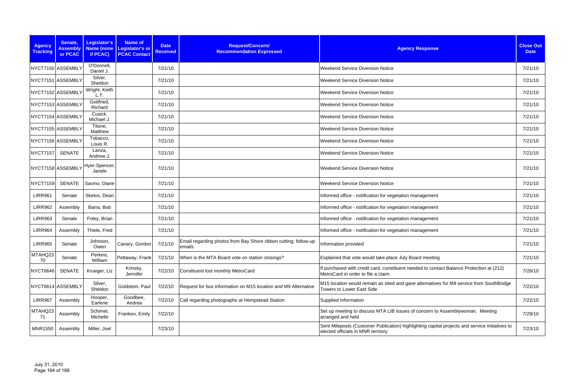| <b>Agency</b><br><b>Tracking</b> | Senate,<br><b>Assembly</b><br>or PCAC | Legislator's<br><b>Name (none</b><br>if PCAC) | <b>Name of</b><br><b>Legislator's or</b><br><b>PCAC Contact</b> | <b>Date</b><br><b>Received</b> | Request/Concern/<br><b>Recommendation Expressed</b>                       | <b>Agency Response</b>                                                                                                               | <b>Close Out</b><br><b>Date</b> |
|----------------------------------|---------------------------------------|-----------------------------------------------|-----------------------------------------------------------------|--------------------------------|---------------------------------------------------------------------------|--------------------------------------------------------------------------------------------------------------------------------------|---------------------------------|
|                                  | NYCT7150 ASSEMBLY                     | O'Donnell,<br>Daniel J.                       |                                                                 | 7/21/10                        |                                                                           | <b>Weekend Service Diversion Notice</b>                                                                                              | 7/21/10                         |
|                                  | NYCT7151 ASSEMBLY                     | Silver,<br>Sheldon                            |                                                                 | 7/21/10                        |                                                                           | <b>Weekend Service Diversion Notice</b>                                                                                              | 7/21/10                         |
|                                  | NYCT7152 ASSEMBLY                     | Wright, Keith<br>L.T.                         |                                                                 | 7/21/10                        |                                                                           | <b>Weekend Service Diversion Notice</b>                                                                                              | 7/21/10                         |
|                                  | NYCT7153 ASSEMBLY                     | Gottfried,<br>Richard                         |                                                                 | 7/21/10                        |                                                                           | <b>Weekend Service Diversion Notice</b>                                                                                              | 7/21/10                         |
|                                  | NYCT7154 ASSEMBLY                     | Cusick,<br>Michael J.                         |                                                                 | 7/21/10                        |                                                                           | <b>Weekend Service Diversion Notice</b>                                                                                              | 7/21/10                         |
|                                  | NYCT7155 ASSEMBLY                     | Titone,<br>Matthew                            |                                                                 | 7/21/10                        |                                                                           | <b>Weekend Service Diversion Notice</b>                                                                                              | 7/21/10                         |
|                                  | NYCT7156 ASSEMBLY                     | Tobacco,<br>Louis R.                          |                                                                 | 7/21/10                        |                                                                           | <b>Weekend Service Diversion Notice</b>                                                                                              | 7/21/10                         |
| NYCT7157                         | <b>SENATE</b>                         | Lanza,<br>Andrew J.                           |                                                                 | 7/21/10                        |                                                                           | <b>Weekend Service Diversion Notice</b>                                                                                              | 7/21/10                         |
|                                  | NYCT7158 ASSEMBLY                     | Hyer-Spencer,<br>Janele                       |                                                                 | 7/21/10                        |                                                                           | <b>Weekend Service Diversion Notice</b>                                                                                              | 7/21/10                         |
| <b>NYCT7159</b>                  | <b>SENATE</b>                         | Savino, Diane                                 |                                                                 | 7/21/10                        |                                                                           | <b>Weekend Service Diversion Notice</b>                                                                                              | 7/21/10                         |
| <b>LIRR961</b>                   | Senate                                | Skelos, Dean                                  |                                                                 | 7/21/10                        |                                                                           | Informed office - notification for vegetation management                                                                             | 7/21/10                         |
| <b>LIRR962</b>                   | Assembly                              | Barra, Bob                                    |                                                                 | 7/21/10                        |                                                                           | Informed office - notification for vegetation management                                                                             | 7/21/10                         |
| <b>LIRR963</b>                   | Senate                                | Foley, Brian                                  |                                                                 | 7/21/10                        |                                                                           | Informed office - notification for vegetation management                                                                             | 7/21/10                         |
| <b>LIRR964</b>                   | Assembly                              | Thiele, Fred                                  |                                                                 | 7/21/10                        |                                                                           | Informed office - notification for vegetation management                                                                             | 7/21/10                         |
| <b>LIRR965</b>                   | Senate                                | Johnson,<br>Owen                              | Canary, Gordon                                                  | 7/21/10                        | Email regarding photos from Bay Shore ribbon cutting; follow-up<br>emalis | Information provided                                                                                                                 | 7/21/10                         |
| MTAHQ23<br>70                    | Senate                                | Perkins,<br>William                           | Pettaway, Frank                                                 | 7/21/10                        | When is the MTA Board vote on station closings?                           | Explained that vote would take place July Board meeting                                                                              | 7/21/10                         |
| NYCT6646                         | <b>SENATE</b>                         | Krueger, Liz                                  | Krinsky,<br>Jennifer                                            | 7/22/10                        | Constituent lost monthly MetroCard                                        | If purchased with credit card, constituent needed to contact Balance Protection at (212)<br>MetroCard in order to file a claim.      | 7/26/10                         |
|                                  | NYCT6614 ASSEMBLY                     | Silver,<br>Sheldon                            | Goldstein, Paul                                                 | 7/22/10                        | Request for bus information on M15 location and M9 Alternative            | M15 location would remain as sited and gave alternatives for M9 service from SouthBridge<br><b>Towers to Lower East Side</b>         | 7/22/10                         |
| <b>LIRR967</b>                   | Assembly                              | Hooper,<br>Earlene                            | Goodbee,<br>Andrea                                              | 7/22/10                        | Call regarding photographs at Hempstead Station                           | Supplied Information                                                                                                                 | 7/22/10                         |
| MTAHQ23<br>71                    | Assembly                              | Schimel,<br>Michelle                          | Frankeo, Emily                                                  | 7/22/10                        |                                                                           | Set up meeting to discuss MTA LIB issues of concern to Assemblywoman. Meeting<br>arranged and held                                   | 7/29/10                         |
| <b>MNR1550</b>                   | Assembly                              | Miller, Joel                                  |                                                                 | 7/23/10                        |                                                                           | Sent Mileposts (Customer Publication) highlighting capital projects and service initiatives to<br>elected officials in MNR territory | 7/23/10                         |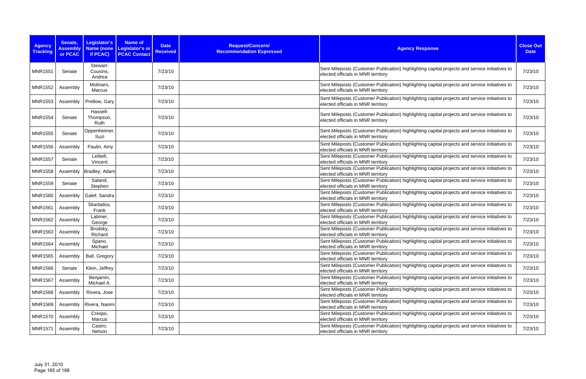| <b>Agency</b><br><b>Tracking</b> | Senate,<br><b>Assembly</b><br>or PCAC | Legislator's<br>Name (none<br>if PCAC) | <b>Name of</b><br><b>Legislator's or</b><br><b>PCAC Contact</b> | <b>Date</b><br><b>Received</b> | Request/Concern/<br><b>Recommendation Expressed</b> | <b>Agency Response</b>                                                                                                               | <b>Close Out</b><br><b>Date</b> |
|----------------------------------|---------------------------------------|----------------------------------------|-----------------------------------------------------------------|--------------------------------|-----------------------------------------------------|--------------------------------------------------------------------------------------------------------------------------------------|---------------------------------|
| <b>MNR1551</b>                   | Senate                                | Stewart-<br>Cousins,<br>Andrea         |                                                                 | 7/23/10                        |                                                     | Sent Mileposts (Customer Publication) highlighting capital projects and service initiatives to<br>elected officials in MNR territory | 7/23/10                         |
| <b>MNR1552</b>                   | Assembly                              | Molinaro,<br>Marcus                    |                                                                 | 7/23/10                        |                                                     | Sent Mileposts (Customer Publication) highlighting capital projects and service initiatives to<br>elected officials in MNR territory | 7/23/10                         |
| <b>MNR1553</b>                   | Assembly                              | Pretlow, Gary                          |                                                                 | 7/23/10                        |                                                     | Sent Mileposts (Customer Publication) highlighting capital projects and service initiatives to<br>elected officials in MNR territory | 7/23/10                         |
| <b>MNR1554</b>                   | Senate                                | Hassell-<br>Thompson,<br>Ruth          |                                                                 | 7/23/10                        |                                                     | Sent Mileposts (Customer Publication) highlighting capital projects and service initiatives to<br>elected officials in MNR territory | 7/23/10                         |
| <b>MNR1555</b>                   | Senate                                | Oppenheimer,<br>Suzi                   |                                                                 | 7/23/10                        |                                                     | Sent Mileposts (Customer Publication) highlighting capital projects and service initiatives to<br>elected officials in MNR territory | 7/23/10                         |
| <b>MNR1556</b>                   | Assembly                              | Paulin, Amy                            |                                                                 | 7/23/10                        |                                                     | Sent Mileposts (Customer Publication) highlighting capital projects and service initiatives to<br>elected officials in MNR territory | 7/23/10                         |
| <b>MNR1557</b>                   | Senate                                | Leibell,<br>Vincent                    |                                                                 | 7/23/10                        |                                                     | Sent Mileposts (Customer Publication) highlighting capital projects and service initiatives to<br>elected officials in MNR territory | 7/23/10                         |
| <b>MNR1558</b>                   | Assembly                              | Bradley, Adam                          |                                                                 | 7/23/10                        |                                                     | Sent Mileposts (Customer Publication) highlighting capital projects and service initiatives to<br>elected officials in MNR territory | 7/23/10                         |
| <b>MNR1559</b>                   | Senate                                | Saland,<br>Stephen                     |                                                                 | 7/23/10                        |                                                     | Sent Mileposts (Customer Publication) highlighting capital projects and service initiatives to<br>elected officials in MNR territory | 7/23/10                         |
| <b>MNR1560</b>                   | Assembly                              | Galef, Sandra                          |                                                                 | 7/23/10                        |                                                     | Sent Mileposts (Customer Publication) highlighting capital projects and service initiatives to<br>elected officials in MNR territory | 7/23/10                         |
| <b>MNR1561</b>                   | Assembly                              | Skartados,<br>Frank                    |                                                                 | 7/23/10                        |                                                     | Sent Mileposts (Customer Publication) highlighting capital projects and service initiatives to<br>elected officials in MNR territory | 7/23/10                         |
| <b>MNR1562</b>                   | Assembly                              | Latimer,<br>George                     |                                                                 | 7/23/10                        |                                                     | Sent Mileposts (Customer Publication) highlighting capital projects and service initiatives to<br>elected officials in MNR territory | 7/23/10                         |
| <b>MNR1563</b>                   | Assembly                              | Brodsky,<br>Richard                    |                                                                 | 7/23/10                        |                                                     | Sent Mileposts (Customer Publication) highlighting capital projects and service initiatives to<br>elected officials in MNR territory | 7/23/10                         |
| MNR1564                          | Assembly                              | Spano,<br>Michael                      |                                                                 | 7/23/10                        |                                                     | Sent Mileposts (Customer Publication) highlighting capital projects and service initiatives to<br>elected officials in MNR territory | 7/23/10                         |
| <b>MNR1565</b>                   | Assembly                              | Ball, Gregory                          |                                                                 | 7/23/10                        |                                                     | Sent Mileposts (Customer Publication) highlighting capital projects and service initiatives to<br>elected officials in MNR territory | 7/23/10                         |
| <b>MNR1566</b>                   | Senate                                | Klein, Jeffrey                         |                                                                 | 7/23/10                        |                                                     | Sent Mileposts (Customer Publication) highlighting capital projects and service initiatives to<br>elected officials in MNR territory | 7/23/10                         |
| <b>MNR1567</b>                   | Assembly                              | Benjamin,<br>Michael A.                |                                                                 | 7/23/10                        |                                                     | Sent Mileposts (Customer Publication) highlighting capital projects and service initiatives to<br>elected officials in MNR territory | 7/23/10                         |
| <b>MNR1568</b>                   | Assembly                              | Rivera, Jose                           |                                                                 | 7/23/10                        |                                                     | Sent Mileposts (Customer Publication) highlighting capital projects and service initiatives to<br>elected officials in MNR territory | 7/23/10                         |
| <b>MNR1569</b>                   | Assembly                              | Rivera, Naomi                          |                                                                 | 7/23/10                        |                                                     | Sent Mileposts (Customer Publication) highlighting capital projects and service initiatives to<br>elected officials in MNR territory | 7/23/10                         |
| <b>MNR1570</b>                   | Assembly                              | Crespo,<br>Marcus                      |                                                                 | 7/23/10                        |                                                     | Sent Mileposts (Customer Publication) highlighting capital projects and service initiatives to<br>elected officials in MNR territory | 7/23/10                         |
| <b>MNR1571</b>                   | Assembly                              | Castro,<br>Nelson                      |                                                                 | 7/23/10                        |                                                     | Sent Mileposts (Customer Publication) highlighting capital projects and service initiatives to<br>elected officials in MNR territory | 7/23/10                         |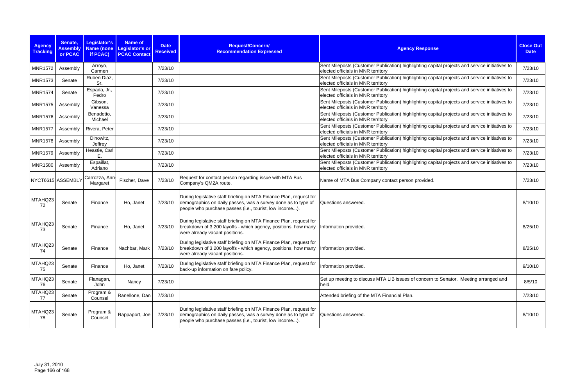| <b>Agency</b><br><b>Tracking</b> | Senate,<br><b>Assembly</b><br>or PCAC | Legislator's<br>if PCAC)   | <b>Name of</b><br>Name (none Legislator's or<br><b>PCAC Contact</b> | <b>Date</b><br><b>Received</b> | Request/Concern/<br><b>Recommendation Expressed</b>                                                                                                                                            | <b>Agency Response</b>                                                                                                               | <b>Close Out</b><br><b>Date</b> |
|----------------------------------|---------------------------------------|----------------------------|---------------------------------------------------------------------|--------------------------------|------------------------------------------------------------------------------------------------------------------------------------------------------------------------------------------------|--------------------------------------------------------------------------------------------------------------------------------------|---------------------------------|
| <b>MNR1572</b>                   | Assembly                              | Arroyo,<br>Carmen          |                                                                     | 7/23/10                        |                                                                                                                                                                                                | Sent Mileposts (Customer Publication) highlighting capital projects and service initiatives to<br>elected officials in MNR territory | 7/23/10                         |
| <b>MNR1573</b>                   | Senate                                | Ruben Diaz,<br>Sr.         |                                                                     | 7/23/10                        |                                                                                                                                                                                                | Sent Mileposts (Customer Publication) highlighting capital projects and service initiatives to<br>elected officials in MNR territory | 7/23/10                         |
| <b>MNR1574</b>                   | Senate                                | Espada, Jr.,<br>Pedro      |                                                                     | 7/23/10                        |                                                                                                                                                                                                | Sent Mileposts (Customer Publication) highlighting capital projects and service initiatives to<br>elected officials in MNR territory | 7/23/10                         |
| <b>MNR1575</b>                   | Assembly                              | Gibson,<br>Vanessa         |                                                                     | 7/23/10                        |                                                                                                                                                                                                | Sent Mileposts (Customer Publication) highlighting capital projects and service initiatives to<br>elected officials in MNR territory | 7/23/10                         |
| <b>MNR1576</b>                   | Assembly                              | Benadetto,<br>Michael      |                                                                     | 7/23/10                        |                                                                                                                                                                                                | Sent Mileposts (Customer Publication) highlighting capital projects and service initiatives to<br>elected officials in MNR territory | 7/23/10                         |
| <b>MNR1577</b>                   | Assembly                              | Rivera, Peter              |                                                                     | 7/23/10                        |                                                                                                                                                                                                | Sent Mileposts (Customer Publication) highlighting capital projects and service initiatives to<br>elected officials in MNR territory | 7/23/10                         |
| <b>MNR1578</b>                   | Assembly                              | Dinowitz,<br>Jeffrey       |                                                                     | 7/23/10                        |                                                                                                                                                                                                | Sent Mileposts (Customer Publication) highlighting capital projects and service initiatives to<br>elected officials in MNR territory | 7/23/10                         |
| <b>MNR1579</b>                   | Assembly                              | Heastie, Carl<br>Ε.        |                                                                     | 7/23/10                        |                                                                                                                                                                                                | Sent Mileposts (Customer Publication) highlighting capital projects and service initiatives to<br>elected officials in MNR territory | 7/23/10                         |
| <b>MNR1580</b>                   | Assembly                              | Espaillat,<br>Adriano      |                                                                     | 7/23/10                        |                                                                                                                                                                                                | Sent Mileposts (Customer Publication) highlighting capital projects and service initiatives to<br>elected officials in MNR territory | 7/23/10                         |
|                                  | NYCT6615 ASSEMBLY                     | Carrozza, Ann-<br>Margaret | Fischer, Dave                                                       | 7/23/10                        | Request for contact person regarding issue with MTA Bus<br>Company's QM2A route.                                                                                                               | Name of MTA Bus Company contact person provided.                                                                                     | 7/23/10                         |
| MTAHQ23<br>72                    | Senate                                | Finance                    | Ho, Janet                                                           | 7/23/10                        | During legislative staff briefing on MTA Finance Plan, request for<br>demographics on daily passes, was a survey done as to type of<br>people who purchase passes (i.e., tourist, low income). | Questions answered.                                                                                                                  | 8/10/10                         |
| MTAHQ23<br>73                    | Senate                                | Finance                    | Ho, Janet                                                           | 7/23/10                        | During legislative staff briefing on MTA Finance Plan, request for<br>breakdown of 3,200 layoffs - which agency, positions, how many<br>were already vacant positions.                         | Information provided.                                                                                                                | 8/25/10                         |
| MTAHQ23<br>74                    | Senate                                | Finance                    | Nachbar, Mark                                                       | 7/23/10                        | During legislative staff briefing on MTA Finance Plan, request for<br>breakdown of 3,200 layoffs - which agency, positions, how many<br>were already vacant positions.                         | Information provided.                                                                                                                | 8/25/10                         |
| MTAHQ23<br>75                    | Senate                                | Finance                    | Ho, Janet                                                           | 7/23/10                        | During legislative staff briefing on MTA Finance Plan, request for<br>back-up information on fare policy.                                                                                      | Information provided.                                                                                                                | 9/10/10                         |
| MTAHQ23<br>76                    | Senate                                | Flanagan,<br>John          | Nancy                                                               | 7/23/10                        |                                                                                                                                                                                                | Set up meeting to discuss MTA LIB issues of concern to Senator. Meeting arranged and<br>held.                                        | 8/5/10                          |
| MTAHQ23<br>77                    | Senate                                | Program &<br>Counsel       | Ranellone, Dan                                                      | 7/23/10                        |                                                                                                                                                                                                | Attended briefing of the MTA Financial Plan.                                                                                         | 7/23/10                         |
| MTAHQ23<br>78                    | Senate                                | Program &<br>Counsel       | Rappaport, Joe                                                      | 7/23/10                        | During legislative staff briefing on MTA Finance Plan, request for<br>demographics on daily passes, was a survey done as to type of<br>people who purchase passes (i.e., tourist, low income). | Questions answered.                                                                                                                  | 8/10/10                         |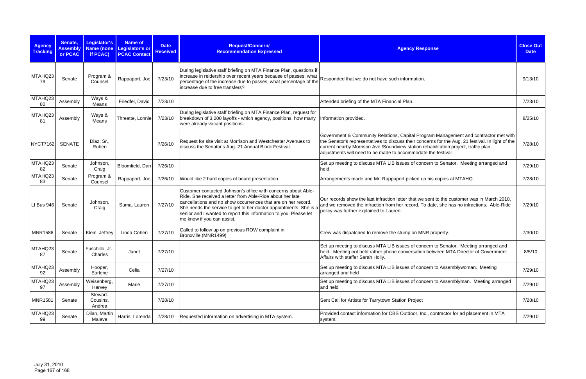| <b>Agency</b><br><b>Tracking</b> | Senate,<br><b>Assembly</b><br>or PCAC | Legislator's<br>if PCAC)       | Name of<br>Name (none Legislator's or<br><b>PCAC Contact</b> | <b>Date</b><br><b>Received</b> | Request/Concern/<br><b>Recommendation Expressed</b>                                                                                                                                                                                                                                                                                                                 | <b>Agency Response</b>                                                                                                                                                                                                                                                                                                                            | <b>Close Out</b><br><b>Date</b> |
|----------------------------------|---------------------------------------|--------------------------------|--------------------------------------------------------------|--------------------------------|---------------------------------------------------------------------------------------------------------------------------------------------------------------------------------------------------------------------------------------------------------------------------------------------------------------------------------------------------------------------|---------------------------------------------------------------------------------------------------------------------------------------------------------------------------------------------------------------------------------------------------------------------------------------------------------------------------------------------------|---------------------------------|
| MTAHQ23<br>79                    | Senate                                | Program &<br>Counsel           | Rappaport, Joe                                               | 7/23/10                        | During legislative staff briefing on MTA Finance Plan, questions if<br>increase in reidership over recent years because of passes; what<br>percentage of the increase due to passes, what percentage of the<br>increase due to free transfers?                                                                                                                      | Responded that we do not have such information.                                                                                                                                                                                                                                                                                                   | 9/13/10                         |
| MTAHQ23<br>80                    | Assembly                              | Ways &<br>Means                | Friedfel, David                                              | 7/23/10                        |                                                                                                                                                                                                                                                                                                                                                                     | Attended briefing of the MTA Financial Plan.                                                                                                                                                                                                                                                                                                      | 7/23/10                         |
| MTAHQ23<br>81                    | Assembly                              | Ways &<br>Means                | Threatte, Lonnie                                             | 7/23/10                        | During legislative staff briefing on MTA Finance Plan, request for<br>breakdown of 3,200 layoffs - which agency, positions, how many<br>were already vacant positions.                                                                                                                                                                                              | Information provided.                                                                                                                                                                                                                                                                                                                             | 8/25/10                         |
| NYCT7162                         | <b>SENATE</b>                         | Diaz, Sr.,<br>Ruben            |                                                              | 7/26/10                        | Request for site visit at Morrison and Westchester Avenues to<br>discuss the Senator's Aug. 21 Annual Block Festival.                                                                                                                                                                                                                                               | Government & Community Relations, Capital Program Management and contractor met with<br>the Senator's representatives to discuss their concerns for the Aug. 21 festival. In light of the<br>current nearby Morrison Ave./Soundview station rehabilitation project, traffic plan<br>adjustments will need to be made to accommodate the festival. | 7/28/10                         |
| MTAHQ23<br>82                    | Senate                                | Johnson,<br>Craig              | Bloomfield, Dan                                              | 7/26/10                        |                                                                                                                                                                                                                                                                                                                                                                     | Set up meeting to discuss MTA LIB issues of concern to Senator. Meeting arranged and<br>held.                                                                                                                                                                                                                                                     | 7/29/10                         |
| MTAHQ23<br>83                    | Senate                                | Program &<br>Counsel           | Rappaport, Joe                                               | 7/26/10                        | Would like 2 hard copies of board presentation.                                                                                                                                                                                                                                                                                                                     | Arrangements made and Mr. Rappaport picked up his copies at MTAHQ.                                                                                                                                                                                                                                                                                | 7/28/10                         |
| LI Bus 946                       | Senate                                | Johnson,<br>Craig              | Suma, Lauren                                                 | 7/27/10                        | Customer contacted Johnson's office with concerns about Able-<br>Ride. She received a letter from Able-Ride about her late<br>cancellations and no show occurrences that are on her record.<br>She needs the service to get to her doctor appointments. She is a<br>senior and I wanted to report this information to you. Please let<br>me know if you can assist. | Our records show the last infraction letter that we sent to the customer was in March 2010,<br>and we removed the infraction from her record. To date, she has no infractions. Able-Ride<br>policy was further explained to Lauren.                                                                                                               | 7/29/10                         |
| <b>MNR1586</b>                   | Senate                                | Klein, Jeffrey                 | Linda Cohen                                                  | 7/27/10                        | Called to follow up on previous ROW complaint in<br>Bronxville.(MNR1499)                                                                                                                                                                                                                                                                                            | Crew was dispatched to remove the stump on MNR property.                                                                                                                                                                                                                                                                                          | 7/30/10                         |
| MTAHQ23<br>87                    | Senate                                | Fuschillo, Jr.,<br>Charles     | Janet                                                        | 7/27/10                        |                                                                                                                                                                                                                                                                                                                                                                     | Set up meeting to discuss MTA LIB issues of concern to Senator. Meeting arranged and<br>held. Meeting not held rather phone conversation between MTA Director of Government<br>Affairs with staffer Sarah Holly.                                                                                                                                  | 8/5/10                          |
| MTAHQ23<br>92                    | Assembly                              | Hooper,<br>Earlene             | Celia                                                        | 7/27/10                        |                                                                                                                                                                                                                                                                                                                                                                     | Set up meeting to discuss MTA LIB issues of concern to Assemblywoman. Meeting<br>arranged and held                                                                                                                                                                                                                                                | 7/29/10                         |
| MTAHQ23<br>97                    | Assembly                              | Weisenberg,<br>Harvey          | Marie                                                        | 7/27/10                        |                                                                                                                                                                                                                                                                                                                                                                     | Set up meeting to discuss MTA LIB issues of concern to Assemblyman. Meeting arranged<br>and held                                                                                                                                                                                                                                                  | 7/29/10                         |
| <b>MNR1581</b>                   | Senate                                | Stewart-<br>Cousins,<br>Andrea |                                                              | 7/28/10                        |                                                                                                                                                                                                                                                                                                                                                                     | Sent Call for Artists for Tarrytown Station Project                                                                                                                                                                                                                                                                                               | 7/28/10                         |
| MTAHQ23<br>99                    | Senate                                | Dilan, Martin<br>Malave        | Harris, Lorenda                                              | 7/28/10                        | Requested information on advertising in MTA system.                                                                                                                                                                                                                                                                                                                 | Provided contact information for CBS Outdoor, Inc., contractor for ad placement in MTA<br>system.                                                                                                                                                                                                                                                 | 7/29/10                         |